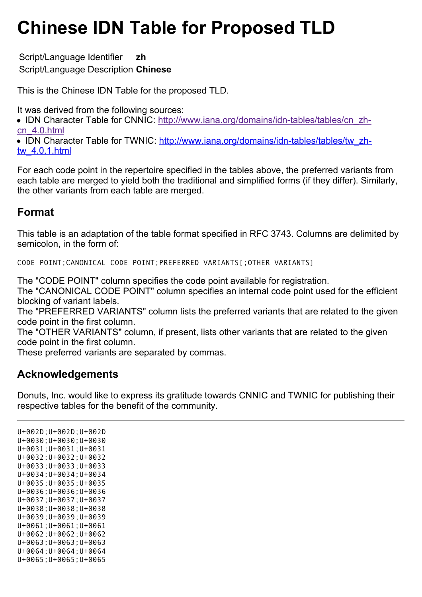## **Chinese IDN Table for Proposed TLD**

Script/Language Identifier **zh** Script/Language Description **Chinese**

This is the Chinese IDN Table for the proposed TLD.

It was derived from the following sources:

• [IDN Character Table for CNNIC: http://www.iana.org/domains/idn-tables/tables/cn\\_zh](http://www.iana.org/domains/idn-tables/tables/cn_zh-cn_4.0.html)cn\_4.0.html

• [IDN Character Table for TWNIC: http://www.iana.org/domains/idn-tables/tables/tw\\_zh](http://www.iana.org/domains/idn-tables/tables/tw_zh-tw_4.0.1.html)tw\_4.0.1.html

For each code point in the repertoire specified in the tables above, the preferred variants from each table are merged to yield both the traditional and simplified forms (if they differ). Similarly, the other variants from each table are merged.

## **Format**

This table is an adaptation of the table format specified in RFC 3743. Columns are delimited by semicolon, in the form of:

CODE POINT;CANONICAL CODE POINT;PREFERRED VARIANTS[;OTHER VARIANTS]

The "CODE POINT" column specifies the code point available for registration.

The "CANONICAL CODE POINT" column specifies an internal code point used for the efficient blocking of variant labels.

The "PREFERRED VARIANTS" column lists the preferred variants that are related to the given code point in the first column.

The "OTHER VARIANTS" column, if present, lists other variants that are related to the given code point in the first column.

These preferred variants are separated by commas.

## **Acknowledgements**

Donuts, Inc. would like to express its gratitude towards CNNIC and TWNIC for publishing their respective tables for the benefit of the community.

U+002D;U+002D;U+002D U+0030;U+0030;U+0030 U+0031;U+0031;U+0031 U+0032;U+0032;U+0032 U+0033;U+0033;U+0033 U+0034;U+0034;U+0034 U+0035;U+0035;U+0035 U+0036;U+0036;U+0036 U+0037;U+0037;U+0037 U+0038;U+0038;U+0038 U+0039;U+0039;U+0039 U+0061;U+0061;U+0061 U+0062;U+0062;U+0062 U+0063;U+0063;U+0063 U+0064;U+0064;U+0064 U+0065;U+0065;U+0065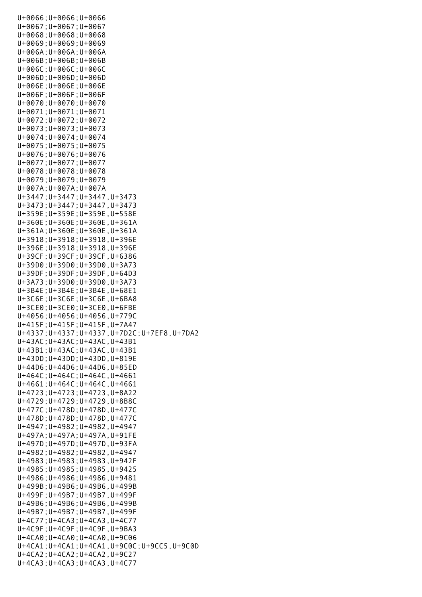| $U+0066$ ; $U+0066$ ; $U+0066$                                                         |
|----------------------------------------------------------------------------------------|
| $U+0067$ ; $U+0067$ ; $U+0067$                                                         |
| $U+0068$ ; $U+0068$ ; $U+0068$                                                         |
| $U+0069$ ; $U+0069$ ; $U+0069$                                                         |
| $U+006A$ ; $U+006A$ ; $U+006A$                                                         |
| $U+006B$ ; $U+006B$ ; $U+006B$                                                         |
| $U+006C$ ; $U+006C$ ; $U+006C$                                                         |
| $U+006D$ ; $U+006D$ ; $U+006D$                                                         |
| $U+006E$ ; $U+006E$ ; $U+006E$                                                         |
| $U+006F$ ; $U+006F$ ; $U+006F$                                                         |
| $U+0070$ ; $U+0070$ ; $U+0070$                                                         |
| $U+0071; U+0071; U+0071$                                                               |
| $U+0072$ ; $U+0072$ ; $U+0072$                                                         |
| $U+0073$ ; $U+0073$ ; $U+0073$                                                         |
| $U+0074$ ; $U+0074$ ; $U+0074$<br>$U+0075$ ; $U+0075$ ; $U+0075$                       |
| $U+0076$ ; $U+0076$ ; $U+0076$                                                         |
| $U+0077$ ; $U+0077$ ; $U+0077$                                                         |
| $U+0078$ ; $U+0078$ ; $U+0078$                                                         |
| $U+0079$ ; $U+0079$ ; $U+0079$                                                         |
| $U+007A$ ; $U+007A$ ; $U+007A$                                                         |
| U+3447; U+3447; U+3447, U+3473                                                         |
| $U+3473; U+3447; U+3447, U+3473$                                                       |
| U+359E; U+359E; U+359E, U+558E                                                         |
| $U+360E$ ; $U+360E$ ; $U+360E$ , $U+361A$                                              |
| $U+361A; U+360E; U+360E; U+361A$                                                       |
| U+3918; U+3918; U+3918, U+396E                                                         |
| U+396E; U+3918; U+3918, U+396E                                                         |
| U+39CF; U+39CF; U+39CF, U+6386                                                         |
| U+39D0; U+39D0; U+39D0, U+3A73                                                         |
| U+39DF; U+39DF; U+39DF, U+64D3                                                         |
| $U+3A73$ ; $U+39D0$ ; $U+39D0$ , $U+3A73$                                              |
| $U+3B4E$ ; $U+3B4E$ ; $U+3B4E$ , $U+68E1$                                              |
|                                                                                        |
| $U+3C6E$ ; $U+3C6E$ ; $U+3C6E$ , $U+6BAB$                                              |
| $U+3CE0$ ; $U+3CE0$ ; $U+3CE0$ , $U+6FBE$                                              |
| $U+4056$ ; $U+4056$ ; $U+4056$ , $U+779C$                                              |
| U+415F; U+415F; U+415F, U+7A47                                                         |
| U+4337;U+4337;U+4337,U+7D2C;U+7EF8,U+7DA2                                              |
| $U+43AC$ ; $U+43AC$ ; $U+43AC$ , $U+43B1$                                              |
| U+43B1; U+43AC; U+43AC, U+43B1                                                         |
| $U+43DD; U+43DD; U+43DD; U+819E$                                                       |
| $U+44D6$ ; $U+44D6$ ; $U+44D6$ , $U+85ED$                                              |
| $U+464C$ ; $U+464C$ ; $U+464C$ , $U+4661$                                              |
| $U+4661; U+464C; U+464C; U+4661$                                                       |
| $U+4723$ ; $U+4723$ ; $U+4723$ , $U+8A22$                                              |
| $U+4729$ ; $U+4729$ ; $U+4729$ , $U+8B8C$                                              |
| U+477C; U+478D; U+478D, U+477C                                                         |
| $U+478D$ ; $U+478D$ ; $U+478D$ , $U+477C$                                              |
| U+4947; U+4982; U+4982, U+4947                                                         |
| $U+497A; U+497A; U+497A; U+91FE$                                                       |
| $U+497D$ ; $U+497D$ ; $U+497D$ , $U+93FA$                                              |
| U+4982; U+4982; U+4982, U+4947                                                         |
| $U+4983; U+4983; U+4983; U+942F$                                                       |
| $U+4985$ ; $U+4985$ ; $U+4985$ , $U+9425$                                              |
| $U+4986$ ; $U+4986$ ; $U+4986$ , $U+9481$<br>$U+499B$ ; $U+49B6$ ; $U+49B6$ , $U+499B$ |
| $U+499F; U+49B7; U+49B7, U+499F$                                                       |
| $U+49B6$ ; $U+49B6$ ; $U+49B6$ , $U+499B$                                              |
| $U+49B7; U+49B7; U+49B7, U+499F$                                                       |
| $U+4C77$ ; $U+4CA3$ ; $U+4CA3$ , $U+4C77$                                              |
| $U+4C9F$ ; $U+4C9F$ ; $U+4C9F$ , $U+9BA3$                                              |
| $U+4CA0$ ; $U+4CA0$ ; $U+4CA0$ , $U+9C06$                                              |
| $U+4CA1$ ; $U+4CA1$ ; $U+4CA1$ , $U+9COC$ ; $U+9CC5$ , $U+9COD$                        |
| $U+4CA2$ ; $U+4CA2$ ; $U+4CA2$ , $U+9C27$<br>$U+4CA3$ ; $U+4CA3$ ; $U+4CA3$ , $U+4C77$ |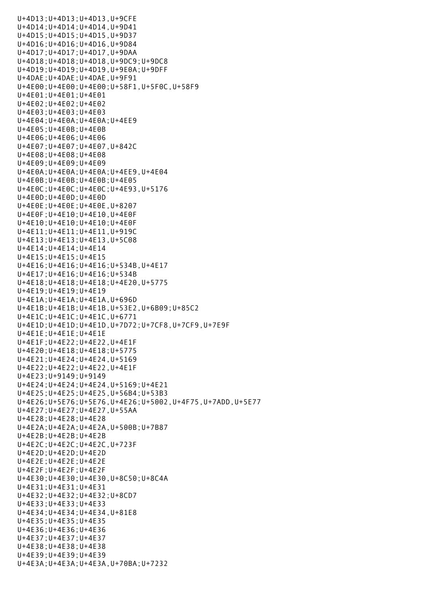U+4D13;U+4D13;U+4D13,U+9CFE U+4D14;U+4D14;U+4D14,U+9D41 U+4D15;U+4D15;U+4D15,U+9D37 U+4D16;U+4D16;U+4D16,U+9D84 U+4D17;U+4D17;U+4D17,U+9DAA U+4D18;U+4D18;U+4D18,U+9DC9;U+9DC8 U+4D19;U+4D19;U+4D19,U+9E0A;U+9DFF U+4DAE;U+4DAE;U+4DAE,U+9F91 U+4E00;U+4E00;U+4E00;U+58F1,U+5F0C,U+58F9 U+4E01;U+4E01;U+4E01 U+4E02;U+4E02;U+4E02 U+4E03;U+4E03;U+4E03 U+4E04;U+4E0A;U+4E0A;U+4EE9 U+4E05;U+4E0B;U+4E0B U+4E06;U+4E06;U+4E06 U+4E07;U+4E07;U+4E07,U+842C U+4E08;U+4E08;U+4E08 U+4E09;U+4E09;U+4E09 U+4E0A;U+4E0A;U+4E0A;U+4EE9,U+4E04 U+4E0B;U+4E0B;U+4E0B;U+4E05 U+4E0C;U+4E0C;U+4E0C;U+4E93,U+5176 U+4E0D;U+4E0D;U+4E0D U+4E0E;U+4E0E;U+4E0E,U+8207 U+4E0F;U+4E10;U+4E10,U+4E0F U+4E10;U+4E10;U+4E10;U+4E0F U+4E11;U+4E11;U+4E11,U+919C U+4E13;U+4E13;U+4E13,U+5C08 U+4E14;U+4E14;U+4E14 U+4E15;U+4E15;U+4E15 U+4E16;U+4E16;U+4E16;U+534B,U+4E17 U+4E17;U+4E16;U+4E16;U+534B U+4E18;U+4E18;U+4E18;U+4E20,U+5775 U+4E19;U+4E19;U+4E19 U+4E1A;U+4E1A;U+4E1A,U+696D U+4E1B;U+4E1B;U+4E1B,U+53E2,U+6B09;U+85C2 U+4E1C;U+4E1C;U+4E1C,U+6771 U+4E1D;U+4E1D;U+4E1D,U+7D72;U+7CF8,U+7CF9,U+7E9F U+4E1E;U+4E1E;U+4E1E U+4E1F;U+4E22;U+4E22,U+4E1F U+4E20;U+4E18;U+4E18;U+5775 U+4E21;U+4E24;U+4E24,U+5169 U+4E22;U+4E22;U+4E22,U+4E1F U+4E23;U+9149;U+9149 U+4E24;U+4E24;U+4E24,U+5169;U+4E21 U+4E25;U+4E25;U+4E25,U+56B4;U+53B3 U+4E26;U+5E76;U+5E76,U+4E26;U+5002,U+4F75,U+7ADD,U+5E77 U+4E27;U+4E27;U+4E27,U+55AA U+4E28;U+4E28;U+4E28 U+4E2A;U+4E2A;U+4E2A,U+500B;U+7B87 U+4E2B;U+4E2B;U+4E2B U+4E2C;U+4E2C;U+4E2C,U+723F U+4E2D;U+4E2D;U+4E2D U+4E2E;U+4E2E;U+4E2E U+4E2F;U+4E2F;U+4E2F U+4E30;U+4E30;U+4E30,U+8C50;U+8C4A U+4E31;U+4E31;U+4E31 U+4E32;U+4E32;U+4E32;U+8CD7 U+4E33;U+4E33;U+4E33 U+4E34;U+4E34;U+4E34,U+81E8 U+4E35;U+4E35;U+4E35 U+4E36;U+4E36;U+4E36 U+4E37;U+4E37;U+4E37 U+4E38;U+4E38;U+4E38 U+4E39;U+4E39;U+4E39 U+4E3A;U+4E3A;U+4E3A,U+70BA;U+7232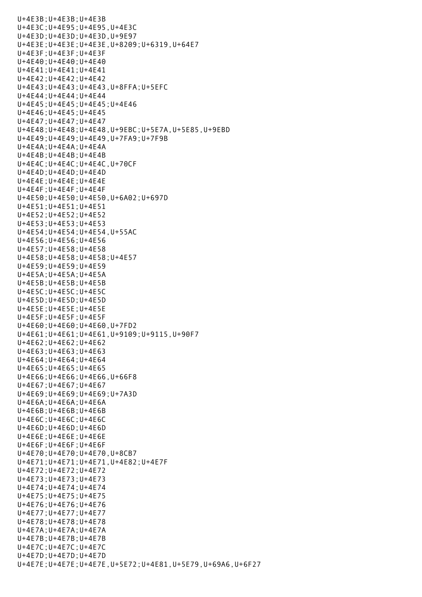U+4E3B;U+4E3B;U+4E3B U+4E3C;U+4E95;U+4E95,U+4E3C U+4E3D;U+4E3D;U+4E3D,U+9E97 U+4E3E;U+4E3E;U+4E3E,U+8209;U+6319,U+64E7 U+4E3F;U+4E3F;U+4E3F U+4E40;U+4E40;U+4E40 U+4E41;U+4E41;U+4E41 U+4E42;U+4E42;U+4E42 U+4E43;U+4E43;U+4E43,U+8FFA;U+5EFC U+4E44;U+4E44;U+4E44 U+4E45;U+4E45;U+4E45;U+4E46 U+4E46;U+4E45;U+4E45 U+4E47;U+4E47;U+4E47 U+4E48;U+4E48;U+4E48,U+9EBC;U+5E7A,U+5E85,U+9EBD U+4E49;U+4E49;U+4E49,U+7FA9;U+7F9B U+4E4A;U+4E4A;U+4E4A U+4E4B;U+4E4B;U+4E4B U+4E4C;U+4E4C;U+4E4C,U+70CF U+4E4D;U+4E4D;U+4E4D U+4E4E;U+4E4E;U+4E4E U+4E4F;U+4E4F;U+4E4F U+4E50;U+4E50;U+4E50,U+6A02;U+697D U+4E51;U+4E51;U+4E51 U+4E52;U+4E52;U+4E52 U+4E53;U+4E53;U+4E53 U+4E54;U+4E54;U+4E54,U+55AC U+4E56;U+4E56;U+4E56 U+4E57;U+4E58;U+4E58 U+4E58;U+4E58;U+4E58;U+4E57 U+4E59;U+4E59;U+4E59 U+4E5A;U+4E5A;U+4E5A U+4E5B;U+4E5B;U+4E5B U+4E5C;U+4E5C;U+4E5C U+4E5D;U+4E5D;U+4E5D U+4E5E;U+4E5E;U+4E5E U+4E5F;U+4E5F;U+4E5F U+4E60;U+4E60;U+4E60,U+7FD2 U+4E61;U+4E61;U+4E61,U+9109;U+9115,U+90F7 U+4E62;U+4E62;U+4E62 U+4E63;U+4E63;U+4E63 U+4E64;U+4E64;U+4E64 U+4E65;U+4E65;U+4E65 U+4E66;U+4E66;U+4E66,U+66F8 U+4E67;U+4E67;U+4E67 U+4E69;U+4E69;U+4E69;U+7A3D U+4E6A;U+4E6A;U+4E6A U+4E6B;U+4E6B;U+4E6B U+4E6C;U+4E6C;U+4E6C U+4E6D;U+4E6D;U+4E6D U+4E6E;U+4E6E;U+4E6E U+4E6F;U+4E6F;U+4E6F U+4E70;U+4E70;U+4E70,U+8CB7 U+4E71;U+4E71;U+4E71,U+4E82;U+4E7F U+4E72;U+4E72;U+4E72 U+4E73;U+4E73;U+4E73 U+4E74;U+4E74;U+4E74 U+4E75;U+4E75;U+4E75 U+4E76;U+4E76;U+4E76 U+4E77;U+4E77;U+4E77 U+4E78;U+4E78;U+4E78 U+4E7A;U+4E7A;U+4E7A U+4E7B;U+4E7B;U+4E7B U+4E7C;U+4E7C;U+4E7C U+4E7D;U+4E7D;U+4E7D U+4E7E;U+4E7E;U+4E7E,U+5E72;U+4E81,U+5E79,U+69A6,U+6F27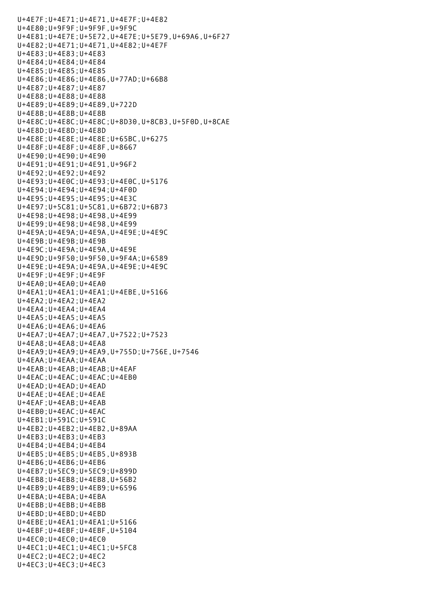U+4E7F;U+4E71;U+4E71,U+4E7F;U+4E82 U+4E80;U+9F9F;U+9F9F,U+9F9C U+4E81;U+4E7E;U+5E72,U+4E7E;U+5E79,U+69A6,U+6F27 U+4E82;U+4E71;U+4E71,U+4E82;U+4E7F U+4E83;U+4E83;U+4E83 U+4E84;U+4E84;U+4E84 U+4E85;U+4E85;U+4E85 U+4E86;U+4E86;U+4E86,U+77AD;U+66B8 U+4E87;U+4E87;U+4E87 U+4E88;U+4E88;U+4E88 U+4E89;U+4E89;U+4E89,U+722D U+4E8B;U+4E8B;U+4E8B U+4E8C;U+4E8C;U+4E8C;U+8D30,U+8CB3,U+5F0D,U+8CAE U+4E8D;U+4E8D;U+4E8D U+4E8E;U+4E8E;U+4E8E;U+65BC,U+6275 U+4E8F;U+4E8F;U+4E8F,U+8667 U+4E90;U+4E90;U+4E90 U+4E91;U+4E91;U+4E91,U+96F2 U+4E92;U+4E92;U+4E92 U+4E93;U+4E0C;U+4E93;U+4E0C,U+5176 U+4E94;U+4E94;U+4E94;U+4F0D U+4E95;U+4E95;U+4E95;U+4E3C U+4E97;U+5C81;U+5C81,U+6B72;U+6B73 U+4E98;U+4E98;U+4E98,U+4E99 U+4E99;U+4E98;U+4E98,U+4E99 U+4E9A;U+4E9A;U+4E9A,U+4E9E;U+4E9C U+4E9B;U+4E9B;U+4E9B U+4E9C;U+4E9A;U+4E9A,U+4E9E U+4E9D;U+9F50;U+9F50,U+9F4A;U+6589 U+4E9E;U+4E9A;U+4E9A,U+4E9E;U+4E9C U+4E9F;U+4E9F;U+4E9F U+4EA0;U+4EA0;U+4EA0 U+4EA1;U+4EA1;U+4EA1;U+4EBE,U+5166 U+4EA2;U+4EA2;U+4EA2 U+4EA4;U+4EA4;U+4EA4 U+4EA5;U+4EA5;U+4EA5 U+4EA6;U+4EA6;U+4EA6 U+4EA7;U+4EA7;U+4EA7,U+7522;U+7523 U+4EA8;U+4EA8;U+4EA8 U+4EA9;U+4EA9;U+4EA9,U+755D;U+756E,U+7546 U+4EAA;U+4EAA;U+4EAA U+4EAB;U+4EAB;U+4EAB;U+4EAF U+4EAC;U+4EAC;U+4EAC;U+4EB0 U+4EAD;U+4EAD;U+4EAD U+4EAE;U+4EAE;U+4EAE U+4EAF;U+4EAB;U+4EAB U+4EB0;U+4EAC;U+4EAC U+4EB1;U+591C;U+591C U+4EB2;U+4EB2;U+4EB2,U+89AA U+4EB3;U+4EB3;U+4EB3 U+4EB4;U+4EB4;U+4EB4 U+4EB5;U+4EB5;U+4EB5,U+893B U+4EB6;U+4EB6;U+4EB6 U+4EB7;U+5EC9;U+5EC9;U+899D U+4EB8;U+4EB8;U+4EB8,U+56B2 U+4EB9;U+4EB9;U+4EB9;U+6596 U+4EBA;U+4EBA;U+4EBA U+4EBB;U+4EBB;U+4EBB U+4EBD;U+4EBD;U+4EBD U+4EBE;U+4EA1;U+4EA1;U+5166 U+4EBF;U+4EBF;U+4EBF,U+5104 U+4EC0;U+4EC0;U+4EC0 U+4EC1;U+4EC1;U+4EC1;U+5FC8 U+4EC2;U+4EC2;U+4EC2 U+4EC3;U+4EC3;U+4EC3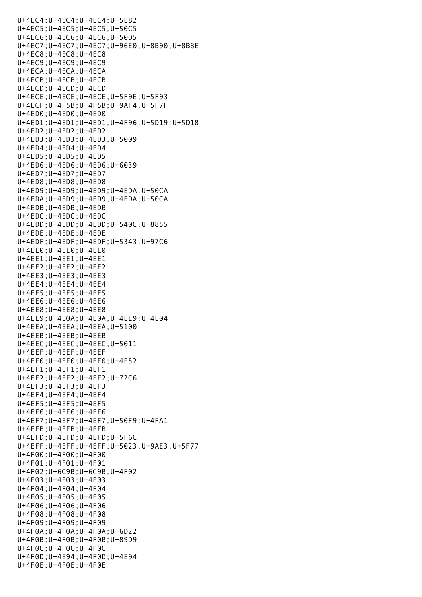U+4EC4;U+4EC4;U+4EC4;U+5E82 U+4EC5;U+4EC5;U+4EC5,U+50C5 U+4EC6;U+4EC6;U+4EC6,U+50D5 U+4EC7;U+4EC7;U+4EC7;U+96E0,U+8B90,U+8B8E U+4EC8;U+4EC8;U+4EC8 U+4EC9;U+4EC9;U+4EC9 U+4ECA;U+4ECA;U+4ECA U+4ECB;U+4ECB;U+4ECB U+4ECD;U+4ECD;U+4ECD U+4ECE;U+4ECE;U+4ECE,U+5F9E;U+5F93 U+4ECF;U+4F5B;U+4F5B;U+9AF4,U+5F7F U+4ED0;U+4ED0;U+4ED0 U+4ED1;U+4ED1;U+4ED1,U+4F96,U+5D19;U+5D18 U+4ED2;U+4ED2;U+4ED2 U+4ED3;U+4ED3;U+4ED3,U+5009 U+4ED4;U+4ED4;U+4ED4 U+4ED5;U+4ED5;U+4ED5 U+4ED6;U+4ED6;U+4ED6;U+6039 U+4ED7;U+4ED7;U+4ED7 U+4ED8;U+4ED8;U+4ED8 U+4ED9;U+4ED9;U+4ED9;U+4EDA,U+50CA U+4EDA;U+4ED9;U+4ED9,U+4EDA;U+50CA U+4EDB;U+4EDB;U+4EDB U+4EDC;U+4EDC;U+4EDC U+4EDD;U+4EDD;U+4EDD;U+540C,U+8855 U+4EDE;U+4EDE;U+4EDE U+4EDF;U+4EDF;U+4EDF;U+5343,U+97C6 U+4EE0;U+4EE0;U+4EE0 U+4EE1;U+4EE1;U+4EE1 U+4EE2;U+4EE2;U+4EE2 U+4EE3;U+4EE3;U+4EE3 U+4EE4;U+4EE4;U+4EE4 U+4EE5;U+4EE5;U+4EE5 U+4EE6;U+4EE6;U+4EE6 U+4EE8;U+4EE8;U+4EE8 U+4EE9;U+4E0A;U+4E0A,U+4EE9;U+4E04 U+4EEA;U+4EEA;U+4EEA,U+5100 U+4EEB;U+4EEB;U+4EEB U+4EEC;U+4EEC;U+4EEC,U+5011 U+4EEF;U+4EEF;U+4EEF U+4EF0;U+4EF0;U+4EF0;U+4F52 U+4EF1;U+4EF1;U+4EF1 U+4EF2;U+4EF2;U+4EF2;U+72C6 U+4EF3;U+4EF3;U+4EF3 U+4EF4;U+4EF4;U+4EF4 U+4EF5;U+4EF5;U+4EF5 U+4EF6;U+4EF6;U+4EF6 U+4EF7;U+4EF7;U+4EF7,U+50F9;U+4FA1 U+4EFB;U+4EFB;U+4EFB U+4EFD;U+4EFD;U+4EFD;U+5F6C U+4EFF;U+4EFF;U+4EFF;U+5023,U+9AE3,U+5F77 U+4F00;U+4F00;U+4F00 U+4F01;U+4F01;U+4F01 U+4F02;U+6C9B;U+6C9B,U+4F02 U+4F03;U+4F03;U+4F03 U+4F04;U+4F04;U+4F04 U+4F05;U+4F05;U+4F05 U+4F06;U+4F06;U+4F06 U+4F08;U+4F08;U+4F08 U+4F09;U+4F09;U+4F09 U+4F0A;U+4F0A;U+4F0A;U+6D22 U+4F0B;U+4F0B;U+4F0B;U+89D9 U+4F0C;U+4F0C;U+4F0C U+4F0D;U+4E94;U+4F0D;U+4E94 U+4F0E;U+4F0E;U+4F0E

U+4EC3;U+4EC3;U+4EC3;U+4EC3;U+4EC3;U+4EC3;U+4EC3;U+4EC3;U+4EC3;U+4EC3;U+4EC3;U+4EC3;U+4EC3;U+4EC3;U+4EC3;U+4EC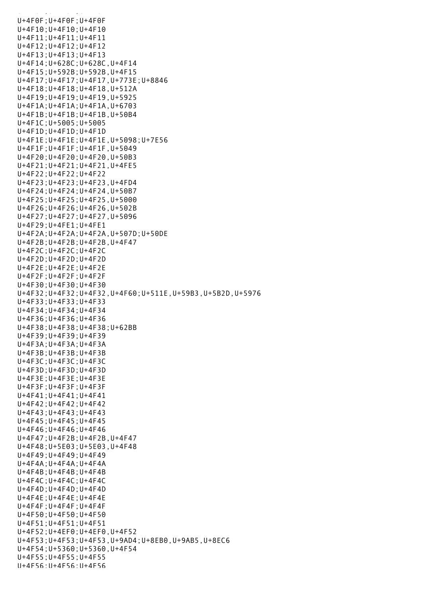U+4F0F;U+4F0F;U+4F0F U+4F10;U+4F10;U+4F10 U+4F11;U+4F11;U+4F11 U+4F12;U+4F12;U+4F12 U+4F13;U+4F13;U+4F13 U+4F14;U+628C;U+628C,U+4F14 U+4F15;U+592B;U+592B,U+4F15 U+4F17;U+4F17;U+4F17,U+773E;U+8846 U+4F18;U+4F18;U+4F18,U+512A U+4F19;U+4F19;U+4F19,U+5925 U+4F1A;U+4F1A;U+4F1A,U+6703 U+4F1B;U+4F1B;U+4F1B,U+50B4 U+4F1C;U+5005;U+5005 U+4F1D;U+4F1D;U+4F1D U+4F1E;U+4F1E;U+4F1E,U+5098;U+7E56 U+4F1F;U+4F1F;U+4F1F,U+5049 U+4F20;U+4F20;U+4F20,U+50B3 U+4F21;U+4F21;U+4F21,U+4FE5 U+4F22;U+4F22;U+4F22 U+4F23;U+4F23;U+4F23,U+4FD4 U+4F24;U+4F24;U+4F24,U+50B7 U+4F25;U+4F25;U+4F25,U+5000 U+4F26;U+4F26;U+4F26,U+502B U+4F27;U+4F27;U+4F27,U+5096 U+4F29;U+4FE1;U+4FE1 U+4F2A;U+4F2A;U+4F2A,U+507D;U+50DE U+4F2B;U+4F2B;U+4F2B,U+4F47 U+4F2C;U+4F2C;U+4F2C U+4F2D;U+4F2D;U+4F2D U+4F2E;U+4F2E;U+4F2E U+4F2F;U+4F2F;U+4F2F U+4F30;U+4F30;U+4F30 U+4F32;U+4F32;U+4F32,U+4F60;U+511E,U+59B3,U+5B2D,U+5976 U+4F33;U+4F33;U+4F33 U+4F34;U+4F34;U+4F34 U+4F36;U+4F36;U+4F36 U+4F38;U+4F38;U+4F38;U+62BB U+4F39;U+4F39;U+4F39 U+4F3A;U+4F3A;U+4F3A U+4F3B;U+4F3B;U+4F3B U+4F3C;U+4F3C;U+4F3C U+4F3D;U+4F3D;U+4F3D U+4F3E;U+4F3E;U+4F3E U+4F3F;U+4F3F;U+4F3F U+4F41;U+4F41;U+4F41 U+4F42;U+4F42;U+4F42 U+4F43;U+4F43;U+4F43 U+4F45;U+4F45;U+4F45 U+4F46;U+4F46;U+4F46 U+4F47;U+4F2B;U+4F2B,U+4F47 U+4F48;U+5E03;U+5E03,U+4F48 U+4F49;U+4F49;U+4F49 U+4F4A;U+4F4A;U+4F4A U+4F4B;U+4F4B;U+4F4B U+4F4C;U+4F4C;U+4F4C U+4F4D;U+4F4D;U+4F4D U+4F4E;U+4F4E;U+4F4E U+4F4F;U+4F4F;U+4F4F U+4F50;U+4F50;U+4F50 U+4F51;U+4F51;U+4F51 U+4F52;U+4EF0;U+4EF0,U+4F52 U+4F53;U+4F53;U+4F53,U+9AD4;U+8EB0,U+9AB5,U+8EC6 U+4F54;U+5360;U+5360,U+4F54 U+4F55;U+4F55;U+4F55 U+4F56;U+4F56;U+4F56

 $U_{\rm{eff}}$  =  $U_{\rm{eff}}$   $U_{\rm{eff}}$  =  $U_{\rm{eff}}$   $U_{\rm{eff}}$  =  $U_{\rm{eff}}$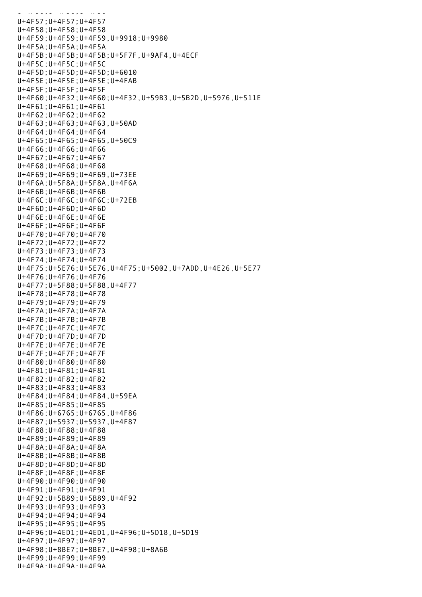U+4F56;U+4F56;U+4F56;U+4F56;U+4F56;U+4F56;U+4F56;U+4F56;U+4F56;U+4F56;U+4F56;U+4F U+4F57;U+4F57;U+4F57 U+4F58;U+4F58;U+4F58 U+4F59;U+4F59;U+4F59,U+9918;U+9980 U+4F5A;U+4F5A;U+4F5A U+4F5B;U+4F5B;U+4F5B;U+5F7F,U+9AF4,U+4ECF U+4F5C;U+4F5C;U+4F5C U+4F5D;U+4F5D;U+4F5D;U+6010 U+4F5E;U+4F5E;U+4F5E;U+4FAB U+4F5F;U+4F5F;U+4F5F U+4F60;U+4F32;U+4F60;U+4F32,U+59B3,U+5B2D,U+5976,U+511E U+4F61;U+4F61;U+4F61 U+4F62;U+4F62;U+4F62 U+4F63;U+4F63;U+4F63,U+50AD U+4F64;U+4F64;U+4F64 U+4F65;U+4F65;U+4F65,U+50C9 U+4F66;U+4F66;U+4F66 U+4F67;U+4F67;U+4F67 U+4F68;U+4F68;U+4F68 U+4F69;U+4F69;U+4F69,U+73EE U+4F6A;U+5F8A;U+5F8A,U+4F6A U+4F6B;U+4F6B;U+4F6B U+4F6C;U+4F6C;U+4F6C;U+72EB U+4F6D;U+4F6D;U+4F6D U+4F6E;U+4F6E;U+4F6E U+4F6F;U+4F6F;U+4F6F U+4F70;U+4F70;U+4F70 U+4F72;U+4F72;U+4F72 U+4F73;U+4F73;U+4F73 U+4F74;U+4F74;U+4F74 U+4F75;U+5E76;U+5E76,U+4F75;U+5002,U+7ADD,U+4E26,U+5E77 U+4F76;U+4F76;U+4F76 U+4F77;U+5F88;U+5F88,U+4F77 U+4F78;U+4F78;U+4F78 U+4F79;U+4F79;U+4F79 U+4F7A;U+4F7A;U+4F7A U+4F7B;U+4F7B;U+4F7B U+4F7C;U+4F7C;U+4F7C U+4F7D;U+4F7D;U+4F7D U+4F7E;U+4F7E;U+4F7E U+4F7F;U+4F7F;U+4F7F U+4F80;U+4F80;U+4F80 U+4F81;U+4F81;U+4F81 U+4F82;U+4F82;U+4F82 U+4F83;U+4F83;U+4F83 U+4F84;U+4F84;U+4F84,U+59EA U+4F85;U+4F85;U+4F85 U+4F86;U+6765;U+6765,U+4F86 U+4F87;U+5937;U+5937,U+4F87 U+4F88;U+4F88;U+4F88 U+4F89;U+4F89;U+4F89 U+4F8A;U+4F8A;U+4F8A U+4F8B;U+4F8B;U+4F8B U+4F8D;U+4F8D;U+4F8D U+4F8F;U+4F8F;U+4F8F U+4F90;U+4F90;U+4F90 U+4F91;U+4F91;U+4F91 U+4F92;U+5B89;U+5B89,U+4F92 U+4F93;U+4F93;U+4F93 U+4F94;U+4F94;U+4F94 U+4F95;U+4F95;U+4F95 U+4F96;U+4ED1;U+4ED1,U+4F96;U+5D18,U+5D19 U+4F97;U+4F97;U+4F97 U+4F98;U+8BE7;U+8BE7,U+4F98;U+8A6B U+4F99;U+4F99;U+4F99  $II+4F9A \cdot II+4F9A \cdot II+4F9A$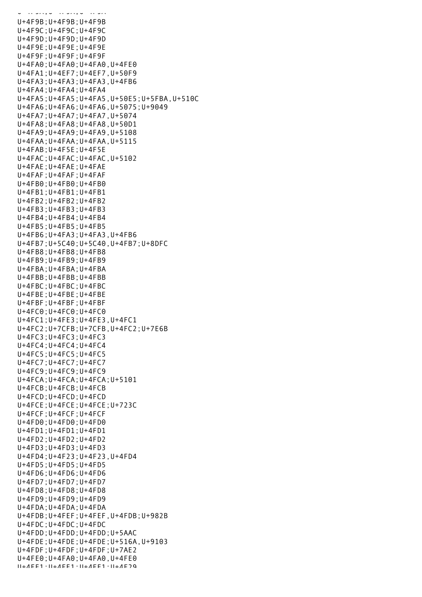U+4F9B;U+4F9B;U+4F9B U+4F9C;U+4F9C;U+4F9C U+4F9D;U+4F9D;U+4F9D U+4F9E;U+4F9E;U+4F9E U+4F9F;U+4F9F;U+4F9F U+4FA0;U+4FA0;U+4FA0,U+4FE0 U+4FA1;U+4EF7;U+4EF7,U+50F9 U+4FA3;U+4FA3;U+4FA3,U+4FB6 U+4FA4;U+4FA4;U+4FA4 U+4FA5;U+4FA5;U+4FA5,U+50E5;U+5FBA,U+510C U+4FA6;U+4FA6;U+4FA6,U+5075;U+9049 U+4FA7;U+4FA7;U+4FA7,U+5074 U+4FA8;U+4FA8;U+4FA8,U+50D1 U+4FA9;U+4FA9;U+4FA9,U+5108 U+4FAA;U+4FAA;U+4FAA,U+5115 U+4FAB;U+4F5E;U+4F5E U+4FAC;U+4FAC;U+4FAC,U+5102 U+4FAE;U+4FAE;U+4FAE U+4FAF;U+4FAF;U+4FAF U+4FB0;U+4FB0;U+4FB0 U+4FB1;U+4FB1;U+4FB1 U+4FB2;U+4FB2;U+4FB2 U+4FB3;U+4FB3;U+4FB3 U+4FB4;U+4FB4;U+4FB4 U+4FB5;U+4FB5;U+4FB5 U+4FB6;U+4FA3;U+4FA3,U+4FB6 U+4FB7;U+5C40;U+5C40,U+4FB7;U+8DFC U+4FB8;U+4FB8;U+4FB8 U+4FB9;U+4FB9;U+4FB9 U+4FBA;U+4FBA;U+4FBA U+4FBB;U+4FBB;U+4FBB U+4FBC;U+4FBC;U+4FBC U+4FBE;U+4FBE;U+4FBE U+4FBF;U+4FBF;U+4FBF U+4FC0;U+4FC0;U+4FC0 U+4FC1;U+4FE3;U+4FE3,U+4FC1 U+4FC2;U+7CFB;U+7CFB,U+4FC2;U+7E6B U+4FC3;U+4FC3;U+4FC3 U+4FC4;U+4FC4;U+4FC4 U+4FC5;U+4FC5;U+4FC5 U+4FC7;U+4FC7;U+4FC7 U+4FC9;U+4FC9;U+4FC9 U+4FCA;U+4FCA;U+4FCA;U+5101 U+4FCB;U+4FCB;U+4FCB U+4FCD;U+4FCD;U+4FCD U+4FCE;U+4FCE;U+4FCE;U+723C U+4FCF;U+4FCF;U+4FCF U+4FD0;U+4FD0;U+4FD0 U+4FD1;U+4FD1;U+4FD1 U+4FD2;U+4FD2;U+4FD2 U+4FD3;U+4FD3;U+4FD3 U+4FD4;U+4F23;U+4F23,U+4FD4 U+4FD5;U+4FD5;U+4FD5 U+4FD6;U+4FD6;U+4FD6 U+4FD7;U+4FD7;U+4FD7 U+4FD8;U+4FD8;U+4FD8 U+4FD9;U+4FD9;U+4FD9 U+4FDA;U+4FDA;U+4FDA U+4FDB;U+4FEF;U+4FEF,U+4FDB;U+982B U+4FDC;U+4FDC;U+4FDC U+4FDD;U+4FDD;U+4FDD;U+5AAC U+4FDE;U+4FDE;U+4FDE;U+516A,U+9103 U+4FDF;U+4FDF;U+4FDF;U+7AE2 U+4FE0;U+4FA0;U+4FA0,U+4FE0  $11+4$ FF1; $1+4$ FF1; $1+4$ FF1; $1+4$ F79

U+4F9A;U+4F9A;U+4F9A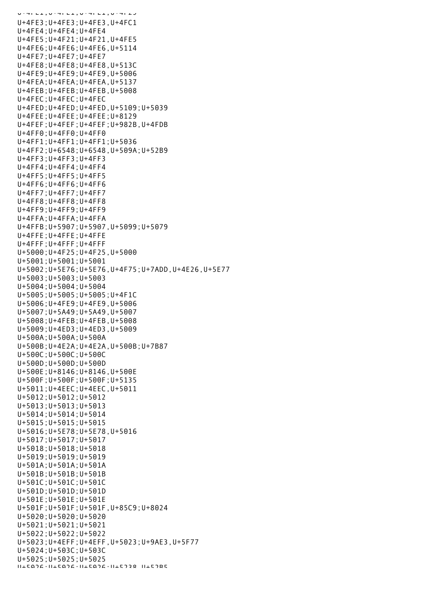U+4FE1;U+4FE1;U+4FE1;U+4F29 U+4FE3;U+4FE3;U+4FE3,U+4FC1 U+4FE4;U+4FE4;U+4FE4 U+4FE5;U+4F21;U+4F21,U+4FE5 U+4FE6;U+4FE6;U+4FE6,U+5114 U+4FE7;U+4FE7;U+4FE7 U+4FE8;U+4FE8;U+4FE8,U+513C U+4FE9;U+4FE9;U+4FE9,U+5006 U+4FEA;U+4FEA;U+4FEA,U+5137 U+4FEB;U+4FEB;U+4FEB,U+5008 U+4FEC;U+4FEC;U+4FEC U+4FED;U+4FED;U+4FED,U+5109;U+5039 U+4FEE;U+4FEE;U+4FEE;U+8129 U+4FEF;U+4FEF;U+4FEF;U+982B,U+4FDB U+4FF0;U+4FF0;U+4FF0 U+4FF1;U+4FF1;U+4FF1;U+5036 U+4FF2;U+6548;U+6548,U+509A;U+52B9 U+4FF3;U+4FF3;U+4FF3 U+4FF4;U+4FF4;U+4FF4 U+4FF5;U+4FF5;U+4FF5 U+4FF6;U+4FF6;U+4FF6 U+4FF7;U+4FF7;U+4FF7 U+4FF8;U+4FF8;U+4FF8 U+4FF9;U+4FF9;U+4FF9 U+4FFA;U+4FFA;U+4FFA U+4FFB;U+5907;U+5907,U+5099;U+5079 U+4FFE;U+4FFE;U+4FFE U+4FFF;U+4FFF;U+4FFF U+5000;U+4F25;U+4F25,U+5000 U+5001;U+5001;U+5001 U+5002;U+5E76;U+5E76,U+4F75;U+7ADD,U+4E26,U+5E77 U+5003;U+5003;U+5003 U+5004;U+5004;U+5004 U+5005;U+5005;U+5005;U+4F1C U+5006;U+4FE9;U+4FE9,U+5006 U+5007;U+5A49;U+5A49,U+5007 U+5008;U+4FEB;U+4FEB,U+5008 U+5009;U+4ED3;U+4ED3,U+5009 U+500A;U+500A;U+500A U+500B;U+4E2A;U+4E2A,U+500B;U+7B87 U+500C;U+500C;U+500C U+500D;U+500D;U+500D U+500E;U+8146;U+8146,U+500E U+500F;U+500F;U+500F;U+5135 U+5011;U+4EEC;U+4EEC,U+5011 U+5012;U+5012;U+5012 U+5013;U+5013;U+5013 U+5014;U+5014;U+5014 U+5015;U+5015;U+5015 U+5016;U+5E78;U+5E78,U+5016 U+5017;U+5017;U+5017 U+5018;U+5018;U+5018 U+5019;U+5019;U+5019 U+501A;U+501A;U+501A U+501B;U+501B;U+501B U+501C;U+501C;U+501C U+501D;U+501D;U+501D U+501E;U+501E;U+501E U+501F;U+501F;U+501F,U+85C9;U+8024 U+5020;U+5020;U+5020 U+5021;U+5021;U+5021 U+5022;U+5022;U+5022 U+5023;U+4EFF;U+4EFF,U+5023;U+9AE3,U+5F77 U+5024;U+503C;U+503C U+5025;U+5025;U+5025  $11+5026 \cdot 11+5026 \cdot 11+5026 \cdot 11+5228$   $11+5285$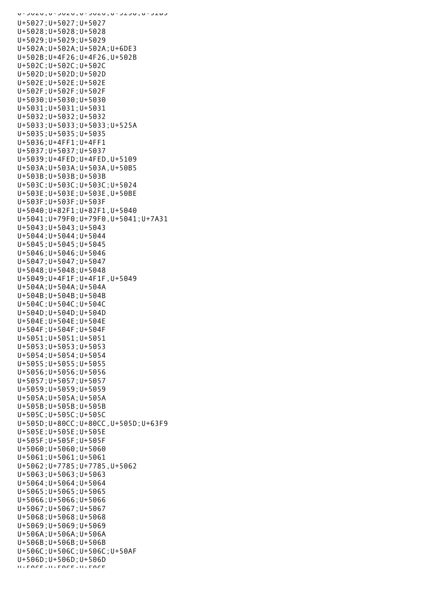U+5026;U+5026;U+5026;U+52DC;U+52B5 U+5027;U+5027;U+5027 U+5028;U+5028;U+5028 U+5029;U+5029;U+5029 U+502A;U+502A;U+502A;U+6DE3 U+502B;U+4F26;U+4F26,U+502B U+502C;U+502C;U+502C U+502D;U+502D;U+502D U+502E;U+502E;U+502E U+502F;U+502F;U+502F U+5030;U+5030;U+5030 U+5031;U+5031;U+5031 U+5032;U+5032;U+5032 U+5033;U+5033;U+5033;U+525A U+5035;U+5035;U+5035 U+5036;U+4FF1;U+4FF1 U+5037;U+5037;U+5037 U+5039;U+4FED;U+4FED,U+5109 U+503A;U+503A;U+503A,U+50B5 U+503B;U+503B;U+503B U+503C;U+503C;U+503C;U+5024 U+503E;U+503E;U+503E,U+50BE U+503F;U+503F;U+503F U+5040;U+82F1;U+82F1,U+5040 U+5041;U+79F0;U+79F0,U+5041;U+7A31 U+5043;U+5043;U+5043 U+5044;U+5044;U+5044 U+5045;U+5045;U+5045 U+5046;U+5046;U+5046 U+5047;U+5047;U+5047 U+5048;U+5048;U+5048 U+5049;U+4F1F;U+4F1F,U+5049 U+504A;U+504A;U+504A U+504B;U+504B;U+504B U+504C;U+504C;U+504C U+504D;U+504D;U+504D U+504E;U+504E;U+504E U+504F;U+504F;U+504F U+5051;U+5051;U+5051 U+5053;U+5053;U+5053 U+5054;U+5054;U+5054 U+5055;U+5055;U+5055 U+5056;U+5056;U+5056 U+5057;U+5057;U+5057 U+5059;U+5059;U+5059 U+505A;U+505A;U+505A U+505B;U+505B;U+505B U+505C;U+505C;U+505C U+505D;U+80CC;U+80CC,U+505D;U+63F9 U+505E;U+505E;U+505E U+505F;U+505F;U+505F U+5060;U+5060;U+5060 U+5061;U+5061;U+5061 U+5062;U+7785;U+7785,U+5062 U+5063;U+5063;U+5063 U+5064;U+5064;U+5064 U+5065;U+5065;U+5065 U+5066;U+5066;U+5066 U+5067;U+5067;U+5067 U+5068;U+5068;U+5068 U+5069;U+5069;U+5069 U+506A;U+506A;U+506A U+506B;U+506B;U+506B U+506C;U+506C;U+506C;U+50AF U+506D;U+506D;U+506D U+506E;U+506E;U+506E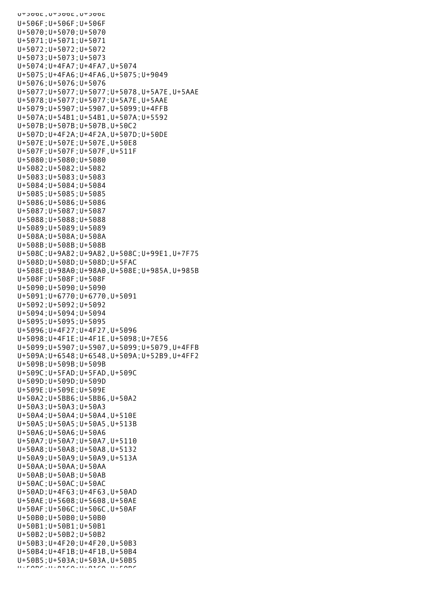$U^+$ סטכ $U^+$ ט פוטכ $E$ , סטכ U+506F;U+506F;U+506F U+5070;U+5070;U+5070 U+5071;U+5071;U+5071 U+5072;U+5072;U+5072 U+5073;U+5073;U+5073 U+5074;U+4FA7;U+4FA7,U+5074 U+5075;U+4FA6;U+4FA6,U+5075;U+9049 U+5076;U+5076;U+5076 U+5077;U+5077;U+5077;U+5078,U+5A7E,U+5AAE U+5078;U+5077;U+5077;U+5A7E,U+5AAE U+5079;U+5907;U+5907,U+5099;U+4FFB U+507A;U+54B1;U+54B1,U+507A;U+5592 U+507B;U+507B;U+507B,U+50C2 U+507D;U+4F2A;U+4F2A,U+507D;U+50DE U+507E;U+507E;U+507E,U+50E8 U+507F;U+507F;U+507F,U+511F U+5080;U+5080;U+5080 U+5082;U+5082;U+5082 U+5083;U+5083;U+5083 U+5084;U+5084;U+5084 U+5085;U+5085;U+5085 U+5086;U+5086;U+5086 U+5087;U+5087;U+5087 U+5088;U+5088;U+5088 U+5089;U+5089;U+5089 U+508A;U+508A;U+508A U+508B;U+508B;U+508B U+508C;U+9A82;U+9A82,U+508C;U+99E1,U+7F75 U+508D;U+508D;U+508D;U+5FAC U+508E;U+98A0;U+98A0,U+508E;U+985A,U+985B U+508F;U+508F;U+508F U+5090;U+5090;U+5090 U+5091;U+6770;U+6770,U+5091 U+5092;U+5092;U+5092 U+5094;U+5094;U+5094 U+5095;U+5095;U+5095 U+5096;U+4F27;U+4F27,U+5096 U+5098;U+4F1E;U+4F1E,U+5098;U+7E56 U+5099;U+5907;U+5907,U+5099;U+5079,U+4FFB U+509A;U+6548;U+6548,U+509A;U+52B9,U+4FF2 U+509B;U+509B;U+509B U+509C;U+5FAD;U+5FAD,U+509C U+509D;U+509D;U+509D U+509E;U+509E;U+509E U+50A2;U+5BB6;U+5BB6,U+50A2 U+50A3;U+50A3;U+50A3 U+50A4;U+50A4;U+50A4,U+510E U+50A5;U+50A5;U+50A5,U+513B U+50A6;U+50A6;U+50A6 U+50A7;U+50A7;U+50A7,U+5110 U+50A8;U+50A8;U+50A8,U+5132 U+50A9;U+50A9;U+50A9,U+513A U+50AA;U+50AA;U+50AA U+50AB;U+50AB;U+50AB U+50AC;U+50AC;U+50AC U+50AD;U+4F63;U+4F63,U+50AD U+50AE;U+5608;U+5608,U+50AE U+50AF;U+506C;U+506C,U+50AF U+50B0;U+50B0;U+50B0 U+50B1;U+50B1;U+50B1 U+50B2;U+50B2;U+50B2 U+50B3;U+4F20;U+4F20,U+50B3 U+50B4;U+4F1B;U+4F1B,U+50B4 U+50B5;U+503A;U+503A,U+50B5 U+FABC;U+81CA;U+81CA,U+FABC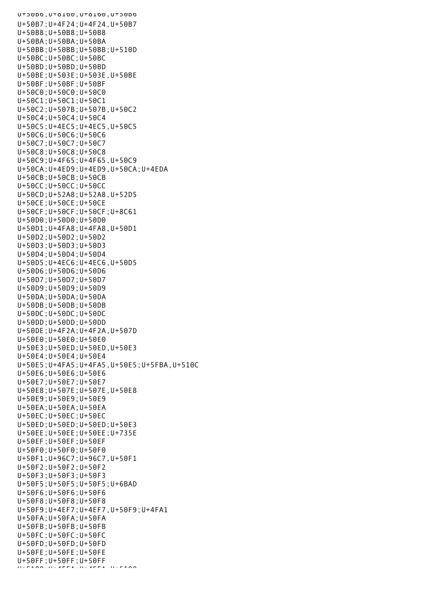U+50B6;U+8160;U+8160,U+50B6 U+50B7;U+4F24;U+4F24,U+50B7 U+50B8;U+50B8;U+50B8 U+50BA;U+50BA;U+50BA U+50BB;U+50BB;U+50BB;U+510D U+50BC;U+50BC;U+50BC U+50BD;U+50BD;U+50BD U+50BE;U+503E;U+503E,U+50BE U+50BF;U+50BF;U+50BF U+50C0;U+50C0;U+50C0 U+50C1;U+50C1;U+50C1 U+50C2;U+507B;U+507B,U+50C2 U+50C4;U+50C4;U+50C4 U+50C5;U+4EC5;U+4EC5,U+50C5 U+50C6;U+50C6;U+50C6 U+50C7;U+50C7;U+50C7 U+50C8;U+50C8;U+50C8 U+50C9;U+4F65;U+4F65,U+50C9 U+50CA;U+4ED9;U+4ED9,U+50CA;U+4EDA U+50CB;U+50CB;U+50CB U+50CC;U+50CC;U+50CC U+50CD;U+52A8;U+52A8,U+52D5 U+50CE;U+50CE;U+50CE U+50CF;U+50CF;U+50CF;U+8C61 U+50D0;U+50D0;U+50D0 U+50D1;U+4FA8;U+4FA8,U+50D1 U+50D2;U+50D2;U+50D2 U+50D3;U+50D3;U+50D3 U+50D4;U+50D4;U+50D4 U+50D5;U+4EC6;U+4EC6,U+50D5 U+50D6;U+50D6;U+50D6 U+50D7;U+50D7;U+50D7 U+50D9;U+50D9;U+50D9 U+50DA;U+50DA;U+50DA U+50DB;U+50DB;U+50DB U+50DC;U+50DC;U+50DC U+50DD;U+50DD;U+50DD U+50DE;U+4F2A;U+4F2A,U+507D U+50E0;U+50E0;U+50E0 U+50E3;U+50ED;U+50ED,U+50E3 U+50E4;U+50E4;U+50E4 U+50E5;U+4FA5;U+4FA5,U+50E5;U+5FBA,U+510C U+50E6;U+50E6;U+50E6 U+50E7;U+50E7;U+50E7 U+50E8;U+507E;U+507E,U+50E8 U+50E9;U+50E9;U+50E9 U+50EA;U+50EA;U+50EA U+50EC;U+50EC;U+50EC U+50ED;U+50ED;U+50ED;U+50E3 U+50EE;U+50EE;U+50EE;U+735E U+50EF;U+50EF;U+50EF U+50F0;U+50F0;U+50F0 U+50F1;U+96C7;U+96C7,U+50F1 U+50F2;U+50F2;U+50F2 U+50F3;U+50F3;U+50F3 U+50F5;U+50F5;U+50F5;U+6BAD U+50F6;U+50F6;U+50F6 U+50F8;U+50F8;U+50F8 U+50F9;U+4EF7;U+4EF7,U+50F9;U+4FA1 U+50FA;U+50FA;U+50FA U+50FB;U+50FB;U+50FB U+50FC;U+50FC;U+50FC U+50FD;U+50FD;U+50FD U+50FE;U+50FE;U+50FE U+50FF;U+50FF;U+50FF  $U_{\pm}$ E400;U+4EEA;U+4EEA;U+4EEA;U+400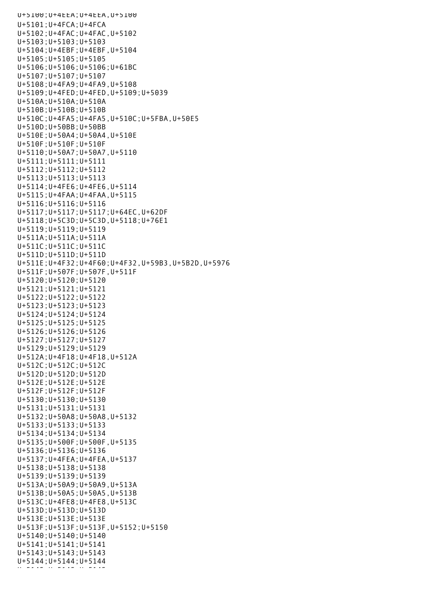U+5100;U+4EEA;U+4EEA,U+5100 U+5101;U+4FCA;U+4FCA U+5102;U+4FAC;U+4FAC,U+5102 U+5103;U+5103;U+5103 U+5104;U+4EBF;U+4EBF,U+5104 U+5105;U+5105;U+5105 U+5106;U+5106;U+5106;U+61BC U+5107;U+5107;U+5107 U+5108;U+4FA9;U+4FA9,U+5108 U+5109;U+4FED;U+4FED,U+5109;U+5039 U+510A;U+510A;U+510A U+510B;U+510B;U+510B U+510C;U+4FA5;U+4FA5,U+510C;U+5FBA,U+50E5 U+510D;U+50BB;U+50BB U+510E;U+50A4;U+50A4,U+510E U+510F;U+510F;U+510F U+5110;U+50A7;U+50A7,U+5110 U+5111;U+5111;U+5111 U+5112;U+5112;U+5112 U+5113;U+5113;U+5113 U+5114;U+4FE6;U+4FE6,U+5114 U+5115;U+4FAA;U+4FAA,U+5115 U+5116;U+5116;U+5116 U+5117;U+5117;U+5117;U+64EC,U+62DF U+5118;U+5C3D;U+5C3D,U+5118;U+76E1 U+5119;U+5119;U+5119 U+511A;U+511A;U+511A U+511C;U+511C;U+511C U+511D;U+511D;U+511D U+511E;U+4F32;U+4F60;U+4F32,U+59B3,U+5B2D,U+5976 U+511F;U+507F;U+507F,U+511F U+5120;U+5120;U+5120 U+5121;U+5121;U+5121 U+5122;U+5122;U+5122 U+5123;U+5123;U+5123 U+5124;U+5124;U+5124 U+5125;U+5125;U+5125 U+5126;U+5126;U+5126 U+5127;U+5127;U+5127 U+5129;U+5129;U+5129 U+512A;U+4F18;U+4F18,U+512A U+512C;U+512C;U+512C U+512D;U+512D;U+512D U+512E;U+512E;U+512E U+512F;U+512F;U+512F U+5130;U+5130;U+5130 U+5131;U+5131;U+5131 U+5132;U+50A8;U+50A8,U+5132 U+5133;U+5133;U+5133 U+5134;U+5134;U+5134 U+5135;U+500F;U+500F,U+5135 U+5136;U+5136;U+5136 U+5137;U+4FEA;U+4FEA,U+5137 U+5138;U+5138;U+5138 U+5139;U+5139;U+5139 U+513A;U+50A9;U+50A9,U+513A U+513B;U+50A5;U+50A5,U+513B U+513C;U+4FE8;U+4FE8,U+513C U+513D;U+513D;U+513D U+513E;U+513E;U+513E U+513F;U+513F;U+513F,U+5152;U+5150 U+5140;U+5140;U+5140 U+5141;U+5141;U+5141 U+5143;U+5143;U+5143 U+5144;U+5144;U+5144 U+5145;U+5145;U+514<br>U+51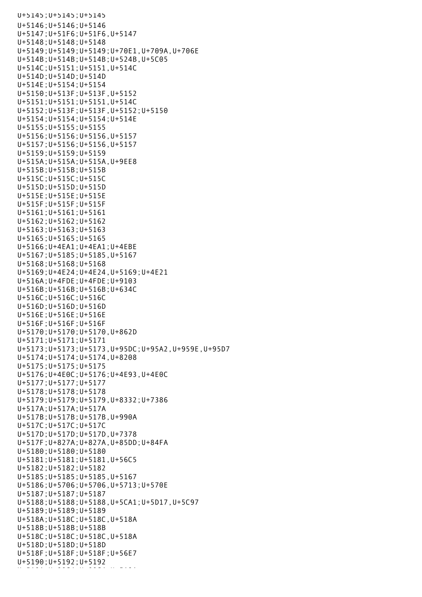```
U+5145;U+5145;U+5145
U+5146;U+5146;U+5146
U+5147;U+51F6;U+51F6,U+5147
U+5148;U+5148;U+5148
U+5149;U+5149;U+5149;U+70E1,U+709A,U+706E
U+514B;U+514B;U+514B;U+524B,U+5C05
U+514C;U+5151;U+5151,U+514C
U+514D;U+514D;U+514D
U+514E;U+5154;U+5154
U+5150;U+513F;U+513F,U+5152
U+5151;U+5151;U+5151,U+514C
U+5152;U+513F;U+513F,U+5152;U+5150
U+5154;U+5154;U+5154;U+514E
U+5155;U+5155;U+5155
U+5156;U+5156;U+5156,U+5157
U+5157;U+5156;U+5156,U+5157
U+5159;U+5159;U+5159
U+515A;U+515A;U+515A,U+9EE8
U+515B;U+515B;U+515B
U+515C;U+515C;U+515C
U+515D;U+515D;U+515D
U+515E;U+515E;U+515E
U+515F;U+515F;U+515F
U+5161;U+5161;U+5161
U+5162;U+5162;U+5162
U+5163;U+5163;U+5163
U+5165;U+5165;U+5165
U+5166;U+4EA1;U+4EA1;U+4EBE
U+5167;U+5185;U+5185,U+5167
U+5168;U+5168;U+5168
U+5169;U+4E24;U+4E24,U+5169;U+4E21
U+516A;U+4FDE;U+4FDE;U+9103
U+516B;U+516B;U+516B;U+634C
U+516C;U+516C;U+516C
U+516D;U+516D;U+516D
U+516E;U+516E;U+516E
U+516F;U+516F;U+516F
U+5170;U+5170;U+5170,U+862D
U+5171;U+5171;U+5171
U+5173;U+5173;U+5173,U+95DC;U+95A2,U+959E,U+95D7
U+5174;U+5174;U+5174,U+8208
U+5175;U+5175;U+5175
U+5176;U+4E0C;U+5176;U+4E93,U+4E0C
U+5177;U+5177;U+5177
U+5178;U+5178;U+5178
U+5179;U+5179;U+5179,U+8332;U+7386
U+517A;U+517A;U+517A
U+517B;U+517B;U+517B,U+990A
U+517C;U+517C;U+517C
U+517D;U+517D;U+517D,U+7378
U+517F;U+827A;U+827A,U+85DD;U+84FA
U+5180;U+5180;U+5180
U+5181;U+5181;U+5181,U+56C5
U+5182;U+5182;U+5182
U+5185;U+5185;U+5185,U+5167
U+5186;U+5706;U+5706,U+5713;U+570E
U+5187;U+5187;U+5187
U+5188;U+5188;U+5188,U+5CA1;U+5D17,U+5C97
U+5189;U+5189;U+5189
U+518A;U+518C;U+518C,U+518A
U+518B;U+518B;U+518B
U+518C;U+518C;U+518C,U+518A
U+518D;U+518D;U+518D
U+518F;U+518F;U+518F;U+56E7
U+5190;U+5192;U+5192
U+5191;U+5191;U+5191;U+5191;U+80C4;U+80C4;U+80C4;U+80C4;U+80C4;U+80C4;U+80C4;U+80C4;U+80C4;U+80C4;U+80C4;U+80C<br>U+5191;U+8191;U+8191;U+8191;U+8191;U+8191;U+8191;U+8191;U+8191;U+8191;U+8191;U+81
```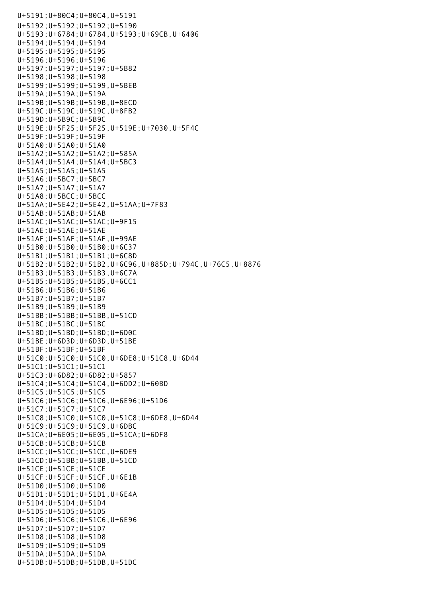U+5191;U+80C4;U+80C4,U+5191 U+5192;U+5192;U+5192;U+5190 U+5193;U+6784;U+6784,U+5193;U+69CB,U+6406 U+5194;U+5194;U+5194 U+5195;U+5195;U+5195 U+5196;U+5196;U+5196 U+5197;U+5197;U+5197;U+5B82 U+5198;U+5198;U+5198 U+5199;U+5199;U+5199,U+5BEB U+519A;U+519A;U+519A U+519B;U+519B;U+519B,U+8ECD U+519C;U+519C;U+519C,U+8FB2 U+519D;U+5B9C;U+5B9C U+519E;U+5F25;U+5F25,U+519E;U+7030,U+5F4C U+519F;U+519F;U+519F U+51A0;U+51A0;U+51A0 U+51A2;U+51A2;U+51A2;U+585A U+51A4;U+51A4;U+51A4;U+5BC3 U+51A5;U+51A5;U+51A5 U+51A6;U+5BC7;U+5BC7 U+51A7;U+51A7;U+51A7 U+51A8;U+5BCC;U+5BCC U+51AA;U+5E42;U+5E42,U+51AA;U+7F83 U+51AB;U+51AB;U+51AB U+51AC;U+51AC;U+51AC;U+9F15 U+51AE;U+51AE;U+51AE U+51AF;U+51AF;U+51AF,U+99AE U+51B0;U+51B0;U+51B0;U+6C37 U+51B1;U+51B1;U+51B1;U+6C8D U+51B2;U+51B2;U+51B2,U+6C96,U+885D;U+794C,U+76C5,U+8876 U+51B3;U+51B3;U+51B3,U+6C7A U+51B5;U+51B5;U+51B5,U+6CC1 U+51B6;U+51B6;U+51B6 U+51B7;U+51B7;U+51B7 U+51B9;U+51B9;U+51B9 U+51BB;U+51BB;U+51BB,U+51CD U+51BC;U+51BC;U+51BC U+51BD;U+51BD;U+51BD;U+6D0C U+51BE;U+6D3D;U+6D3D,U+51BE U+51BF;U+51BF;U+51BF U+51C0;U+51C0;U+51C0,U+6DE8;U+51C8,U+6D44 U+51C1;U+51C1;U+51C1 U+51C3;U+6D82;U+6D82;U+5857 U+51C4;U+51C4;U+51C4,U+6DD2;U+60BD U+51C5;U+51C5;U+51C5 U+51C6;U+51C6;U+51C6,U+6E96;U+51D6 U+51C7;U+51C7;U+51C7 U+51C8;U+51C0;U+51C0,U+51C8;U+6DE8,U+6D44 U+51C9;U+51C9;U+51C9,U+6DBC U+51CA;U+6E05;U+6E05,U+51CA;U+6DF8 U+51CB;U+51CB;U+51CB U+51CC;U+51CC;U+51CC,U+6DE9 U+51CD;U+51BB;U+51BB,U+51CD U+51CE;U+51CE;U+51CE U+51CF;U+51CF;U+51CF,U+6E1B U+51D0;U+51D0;U+51D0 U+51D1;U+51D1;U+51D1,U+6E4A U+51D4;U+51D4;U+51D4 U+51D5;U+51D5;U+51D5 U+51D6;U+51C6;U+51C6,U+6E96 U+51D7;U+51D7;U+51D7 U+51D8;U+51D8;U+51D8 U+51D9;U+51D9;U+51D9 U+51DA;U+51DA;U+51DA U+51DB;U+51DB;U+51DB,U+51DC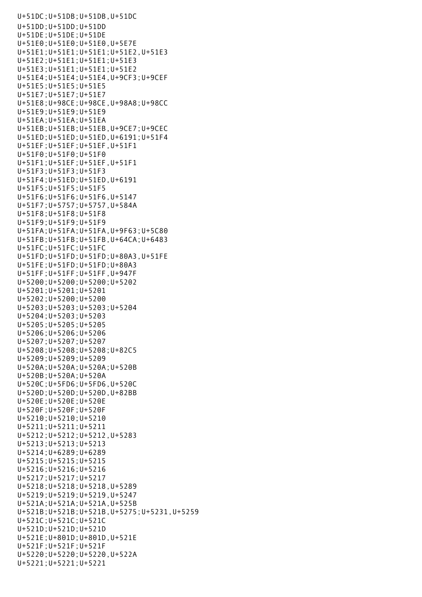```
U+51DC;U+51DB;U+51DB,U+51DC
U+51DD;U+51DD;U+51DD
U+51DE;U+51DE;U+51DE
U+51E0;U+51E0;U+51E0,U+5E7E
U+51E1;U+51E1;U+51E1;U+51E2,U+51E3
U+51E2;U+51E1;U+51E1;U+51E3
U+51E3;U+51E1;U+51E1;U+51E2
U+51E4;U+51E4;U+51E4,U+9CF3;U+9CEF
U+51E5;U+51E5;U+51E5
U+51E7;U+51E7;U+51E7
U+51E8;U+98CE;U+98CE,U+98A8;U+98CC
U+51E9;U+51E9;U+51E9
U+51EA;U+51EA;U+51EA
U+51EB;U+51EB;U+51EB,U+9CE7;U+9CEC
U+51ED;U+51ED;U+51ED,U+6191;U+51F4
U+51EF;U+51EF;U+51EF,U+51F1
U+51F0;U+51F0;U+51F0
U+51F1;U+51EF;U+51EF,U+51F1
U+51F3;U+51F3;U+51F3
U+51F4;U+51ED;U+51ED,U+6191
U+51F5;U+51F5;U+51F5
U+51F6;U+51F6;U+51F6,U+5147
U+51F7;U+5757;U+5757,U+584A
U+51F8;U+51F8;U+51F8
U+51F9;U+51F9;U+51F9
U+51FA;U+51FA;U+51FA,U+9F63;U+5C80
U+51FB;U+51FB;U+51FB,U+64CA;U+6483
U+51FC;U+51FC;U+51FC
U+51FD;U+51FD;U+51FD;U+80A3,U+51FE
U+51FE;U+51FD;U+51FD;U+80A3
U+51FF;U+51FF;U+51FF,U+947F
U+5200;U+5200;U+5200;U+5202
U+5201;U+5201;U+5201
U+5202;U+5200;U+5200
U+5203;U+5203;U+5203;U+5204
U+5204;U+5203;U+5203
U+5205;U+5205;U+5205
U+5206;U+5206;U+5206
U+5207;U+5207;U+5207
U+5208;U+5208;U+5208;U+82C5
U+5209;U+5209;U+5209
U+520A;U+520A;U+520A;U+520B
U+520B;U+520A;U+520A
U+520C;U+5FD6;U+5FD6,U+520C
U+520D;U+520D;U+520D,U+82BB
U+520E;U+520E;U+520E
U+520F;U+520F;U+520F
U+5210;U+5210;U+5210
U+5211;U+5211;U+5211
U+5212;U+5212;U+5212,U+5283
U+5213;U+5213;U+5213
U+5214;U+6289;U+6289
U+5215;U+5215;U+5215
U+5216;U+5216;U+5216
U+5217;U+5217;U+5217
U+5218;U+5218;U+5218,U+5289
U+5219;U+5219;U+5219,U+5247
U+521A;U+521A;U+521A,U+525B
U+521B;U+521B;U+521B,U+5275;U+5231,U+5259
U+521C;U+521C;U+521C
U+521D;U+521D;U+521D
U+521E;U+801D;U+801D,U+521E
U+521F;U+521F;U+521F
U+5220;U+5220;U+5220,U+522A
U+5221;U+5221;U+5221
```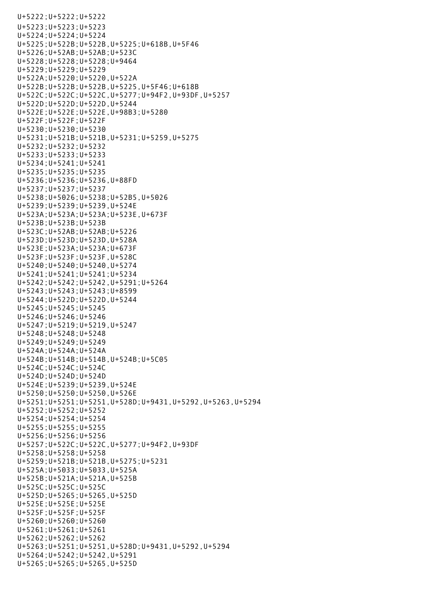U+5222;U+5222;U+5222 U+5223;U+5223;U+5223 U+5224;U+5224;U+5224 U+5225;U+522B;U+522B,U+5225;U+618B,U+5F46 U+5226;U+52AB;U+52AB;U+523C U+5228;U+5228;U+5228;U+9464 U+5229;U+5229;U+5229 U+522A;U+5220;U+5220,U+522A U+522B;U+522B;U+522B,U+5225,U+5F46;U+618B U+522C;U+522C;U+522C,U+5277;U+94F2,U+93DF,U+5257 U+522D;U+522D;U+522D,U+5244 U+522E;U+522E;U+522E,U+98B3;U+5280 U+522F;U+522F;U+522F U+5230;U+5230;U+5230 U+5231;U+521B;U+521B,U+5231;U+5259,U+5275 U+5232;U+5232;U+5232 U+5233;U+5233;U+5233 U+5234;U+5241;U+5241 U+5235;U+5235;U+5235 U+5236;U+5236;U+5236,U+88FD U+5237;U+5237;U+5237 U+5238;U+5026;U+5238;U+52B5,U+5026 U+5239;U+5239;U+5239,U+524E U+523A;U+523A;U+523A;U+523E,U+673F U+523B;U+523B;U+523B U+523C;U+52AB;U+52AB;U+5226 U+523D;U+523D;U+523D,U+528A U+523E;U+523A;U+523A;U+673F U+523F;U+523F;U+523F,U+528C U+5240;U+5240;U+5240,U+5274 U+5241;U+5241;U+5241;U+5234 U+5242;U+5242;U+5242,U+5291;U+5264 U+5243;U+5243;U+5243;U+8599 U+5244;U+522D;U+522D,U+5244 U+5245;U+5245;U+5245 U+5246;U+5246;U+5246 U+5247;U+5219;U+5219,U+5247 U+5248;U+5248;U+5248 U+5249;U+5249;U+5249 U+524A;U+524A;U+524A U+524B;U+514B;U+514B,U+524B;U+5C05 U+524C;U+524C;U+524C U+524D;U+524D;U+524D U+524E;U+5239;U+5239,U+524E U+5250;U+5250;U+5250,U+526E U+5251;U+5251;U+5251,U+528D;U+9431,U+5292,U+5263,U+5294 U+5252;U+5252;U+5252 U+5254;U+5254;U+5254 U+5255;U+5255;U+5255 U+5256;U+5256;U+5256 U+5257;U+522C;U+522C,U+5277;U+94F2,U+93DF U+5258;U+5258;U+5258 U+5259;U+521B;U+521B,U+5275;U+5231 U+525A;U+5033;U+5033,U+525A U+525B;U+521A;U+521A,U+525B U+525C;U+525C;U+525C U+525D;U+5265;U+5265,U+525D U+525E;U+525E;U+525E U+525F;U+525F;U+525F U+5260;U+5260;U+5260 U+5261;U+5261;U+5261 U+5262;U+5262;U+5262 U+5263;U+5251;U+5251,U+528D;U+9431,U+5292,U+5294 U+5264;U+5242;U+5242,U+5291 U+5265;U+5265;U+5265,U+525D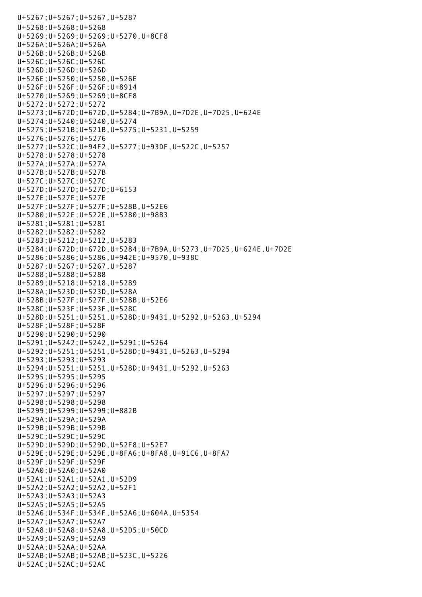U+5267;U+5267;U+5267,U+5287 U+5268;U+5268;U+5268 U+5269;U+5269;U+5269;U+5270,U+8CF8 U+526A;U+526A;U+526A U+526B;U+526B;U+526B U+526C;U+526C;U+526C U+526D;U+526D;U+526D U+526E;U+5250;U+5250,U+526E U+526F;U+526F;U+526F;U+8914 U+5270;U+5269;U+5269;U+8CF8 U+5272;U+5272;U+5272 U+5273;U+672D;U+672D,U+5284;U+7B9A,U+7D2E,U+7D25,U+624E U+5274;U+5240;U+5240,U+5274 U+5275;U+521B;U+521B,U+5275;U+5231,U+5259 U+5276;U+5276;U+5276 U+5277;U+522C;U+94F2,U+5277;U+93DF,U+522C,U+5257 U+5278;U+5278;U+5278 U+527A;U+527A;U+527A U+527B;U+527B;U+527B U+527C;U+527C;U+527C U+527D;U+527D;U+527D;U+6153 U+527E;U+527E;U+527E U+527F;U+527F;U+527F;U+528B,U+52E6 U+5280;U+522E;U+522E,U+5280;U+98B3 U+5281;U+5281;U+5281 U+5282;U+5282;U+5282 U+5283;U+5212;U+5212,U+5283 U+5284;U+672D;U+672D,U+5284;U+7B9A,U+5273,U+7D25,U+624E,U+7D2E U+5286;U+5286;U+5286,U+942E;U+9570,U+938C U+5287;U+5267;U+5267,U+5287 U+5288;U+5288;U+5288 U+5289;U+5218;U+5218,U+5289 U+528A;U+523D;U+523D,U+528A U+528B;U+527F;U+527F,U+528B;U+52E6 U+528C;U+523F;U+523F,U+528C U+528D;U+5251;U+5251,U+528D;U+9431,U+5292,U+5263,U+5294 U+528F;U+528F;U+528F U+5290;U+5290;U+5290 U+5291;U+5242;U+5242,U+5291;U+5264 U+5292;U+5251;U+5251,U+528D;U+9431,U+5263,U+5294 U+5293;U+5293;U+5293 U+5294;U+5251;U+5251,U+528D;U+9431,U+5292,U+5263 U+5295;U+5295;U+5295 U+5296;U+5296;U+5296 U+5297;U+5297;U+5297 U+5298;U+5298;U+5298 U+5299;U+5299;U+5299;U+882B U+529A;U+529A;U+529A U+529B;U+529B;U+529B U+529C;U+529C;U+529C U+529D;U+529D;U+529D,U+52F8;U+52E7 U+529E;U+529E;U+529E,U+8FA6;U+8FA8,U+91C6,U+8FA7 U+529F;U+529F;U+529F U+52A0;U+52A0;U+52A0 U+52A1;U+52A1;U+52A1,U+52D9 U+52A2;U+52A2;U+52A2,U+52F1 U+52A3;U+52A3;U+52A3 U+52A5;U+52A5;U+52A5 U+52A6;U+534F;U+534F,U+52A6;U+604A,U+5354 U+52A7;U+52A7;U+52A7 U+52A8;U+52A8;U+52A8,U+52D5;U+50CD U+52A9;U+52A9;U+52A9 U+52AA;U+52AA;U+52AA U+52AB;U+52AB;U+52AB;U+523C,U+5226 U+52AC;U+52AC;U+52AC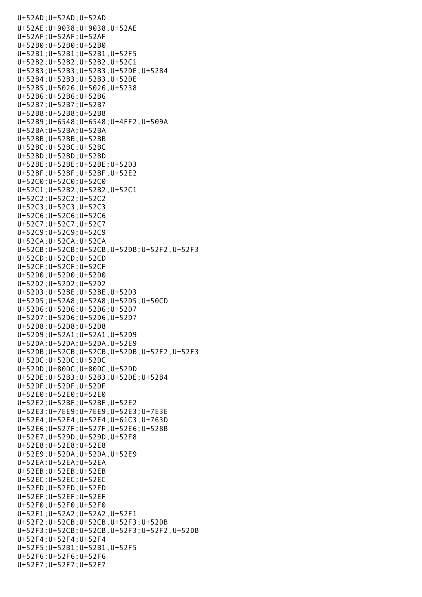U+52AD;U+52AD;U+52AD U+52AE;U+9038;U+9038,U+52AE U+52AF;U+52AF;U+52AF U+52B0;U+52B0;U+52B0 U+52B1;U+52B1;U+52B1,U+52F5 U+52B2;U+52B2;U+52B2,U+52C1 U+52B3;U+52B3;U+52B3,U+52DE;U+52B4 U+52B4;U+52B3;U+52B3,U+52DE U+52B5;U+5026;U+5026,U+5238 U+52B6;U+52B6;U+52B6 U+52B7;U+52B7;U+52B7 U+52B8;U+52B8;U+52B8 U+52B9;U+6548;U+6548;U+4FF2,U+509A U+52BA;U+52BA;U+52BA U+52BB;U+52BB;U+52BB U+52BC;U+52BC;U+52BC U+52BD;U+52BD;U+52BD U+52BE;U+52BE;U+52BE;U+52D3 U+52BF;U+52BF;U+52BF,U+52E2 U+52C0;U+52C0;U+52C0 U+52C1;U+52B2;U+52B2,U+52C1 U+52C2;U+52C2;U+52C2 U+52C3;U+52C3;U+52C3 U+52C6;U+52C6;U+52C6 U+52C7;U+52C7;U+52C7 U+52C9;U+52C9;U+52C9 U+52CA;U+52CA;U+52CA U+52CB;U+52CB;U+52CB,U+52DB;U+52F2,U+52F3 U+52CD;U+52CD;U+52CD U+52CF;U+52CF;U+52CF U+52D0;U+52D0;U+52D0 U+52D2;U+52D2;U+52D2 U+52D3;U+52BE;U+52BE,U+52D3 U+52D5;U+52A8;U+52A8,U+52D5;U+50CD U+52D6;U+52D6;U+52D6;U+52D7 U+52D7;U+52D6;U+52D6,U+52D7 U+52D8;U+52D8;U+52D8 U+52D9;U+52A1;U+52A1,U+52D9 U+52DA;U+52DA;U+52DA,U+52E9 U+52DB;U+52CB;U+52CB,U+52DB;U+52F2,U+52F3 U+52DC;U+52DC;U+52DC U+52DD;U+80DC;U+80DC,U+52DD U+52DE;U+52B3;U+52B3,U+52DE;U+52B4 U+52DF;U+52DF;U+52DF U+52E0;U+52E0;U+52E0 U+52E2;U+52BF;U+52BF,U+52E2 U+52E3;U+7EE9;U+7EE9,U+52E3;U+7E3E U+52E4;U+52E4;U+52E4;U+61C3,U+763D U+52E6;U+527F;U+527F,U+52E6;U+528B U+52E7;U+529D;U+529D,U+52F8 U+52E8;U+52E8;U+52E8 U+52E9;U+52DA;U+52DA,U+52E9 U+52EA;U+52EA;U+52EA U+52EB;U+52EB;U+52EB U+52EC;U+52EC;U+52EC U+52ED;U+52ED;U+52ED U+52EF;U+52EF;U+52EF U+52F0;U+52F0;U+52F0 U+52F1;U+52A2;U+52A2,U+52F1 U+52F2;U+52CB;U+52CB,U+52F3;U+52DB U+52F3;U+52CB;U+52CB,U+52F3;U+52F2,U+52DB U+52F4;U+52F4;U+52F4 U+52F5;U+52B1;U+52B1,U+52F5 U+52F6;U+52F6;U+52F6 U+52F7;U+52F7;U+52F7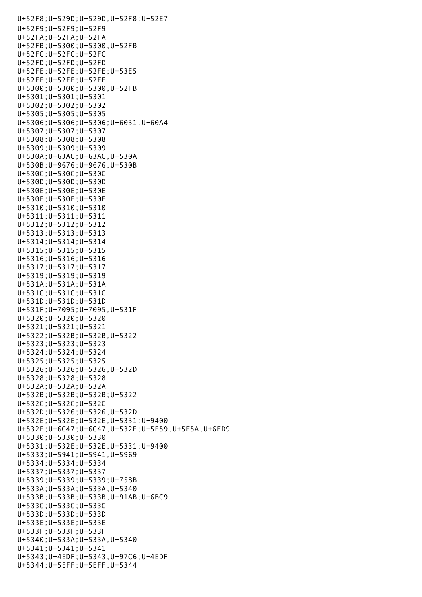U+52F8;U+529D;U+529D,U+52F8;U+52E7 U+52F9;U+52F9;U+52F9 U+52FA;U+52FA;U+52FA U+52FB;U+5300;U+5300,U+52FB U+52FC;U+52FC;U+52FC U+52FD;U+52FD;U+52FD U+52FE;U+52FE;U+52FE;U+53E5 U+52FF;U+52FF;U+52FF U+5300;U+5300;U+5300,U+52FB U+5301;U+5301;U+5301 U+5302;U+5302;U+5302 U+5305;U+5305;U+5305 U+5306;U+5306;U+5306;U+6031,U+60A4 U+5307;U+5307;U+5307 U+5308;U+5308;U+5308 U+5309;U+5309;U+5309 U+530A;U+63AC;U+63AC,U+530A U+530B;U+9676;U+9676,U+530B U+530C;U+530C;U+530C U+530D;U+530D;U+530D U+530E;U+530E;U+530E U+530F;U+530F;U+530F U+5310;U+5310;U+5310 U+5311;U+5311;U+5311 U+5312;U+5312;U+5312 U+5313;U+5313;U+5313 U+5314;U+5314;U+5314 U+5315;U+5315;U+5315 U+5316;U+5316;U+5316 U+5317;U+5317;U+5317 U+5319;U+5319;U+5319 U+531A;U+531A;U+531A U+531C;U+531C;U+531C U+531D;U+531D;U+531D U+531F;U+7095;U+7095,U+531F U+5320;U+5320;U+5320 U+5321;U+5321;U+5321 U+5322;U+532B;U+532B,U+5322 U+5323;U+5323;U+5323 U+5324;U+5324;U+5324 U+5325;U+5325;U+5325 U+5326;U+5326;U+5326,U+532D U+5328;U+5328;U+5328 U+532A;U+532A;U+532A U+532B;U+532B;U+532B;U+5322 U+532C;U+532C;U+532C U+532D;U+5326;U+5326,U+532D U+532E;U+532E;U+532E,U+5331;U+9400 U+532F;U+6C47;U+6C47,U+532F;U+5F59,U+5F5A,U+6ED9 U+5330;U+5330;U+5330 U+5331;U+532E;U+532E,U+5331;U+9400 U+5333;U+5941;U+5941,U+5969 U+5334;U+5334;U+5334 U+5337;U+5337;U+5337 U+5339;U+5339;U+5339;U+758B U+533A;U+533A;U+533A,U+5340 U+533B;U+533B;U+533B,U+91AB;U+6BC9 U+533C;U+533C;U+533C U+533D;U+533D;U+533D U+533E;U+533E;U+533E U+533F;U+533F;U+533F U+5340;U+533A;U+533A,U+5340 U+5341;U+5341;U+5341 U+5343;U+4EDF;U+5343,U+97C6;U+4EDF U+5344;U+5EFF;U+5EFF,U+5344

 $U_{\rm{eff}}=2\pi \left( \frac{1}{2}\right)$   $U_{\rm{eff}}=2\pi \left( \frac{1}{2}\right)$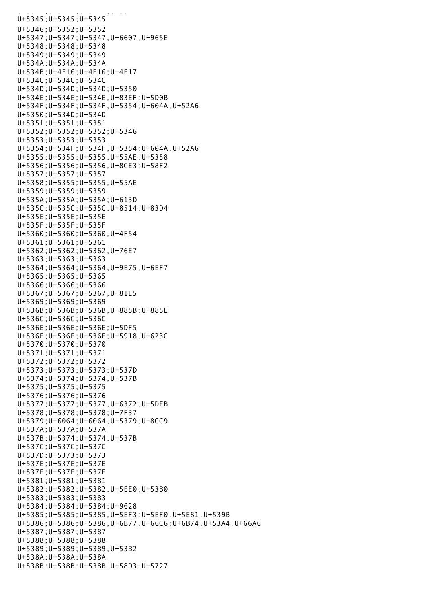U+5345;U+5345;U+5345 U+5346;U+5352;U+5352 U+5347;U+5347;U+5347,U+6607,U+965E U+5348;U+5348;U+5348 U+5349;U+5349;U+5349 U+534A;U+534A;U+534A U+534B;U+4E16;U+4E16;U+4E17 U+534C;U+534C;U+534C U+534D;U+534D;U+534D;U+5350 U+534E;U+534E;U+534E,U+83EF;U+5D0B U+534F;U+534F;U+534F,U+5354;U+604A,U+52A6 U+5350;U+534D;U+534D U+5351;U+5351;U+5351 U+5352;U+5352;U+5352;U+5346 U+5353;U+5353;U+5353 U+5354;U+534F;U+534F,U+5354;U+604A,U+52A6 U+5355;U+5355;U+5355,U+55AE;U+5358 U+5356;U+5356;U+5356,U+8CE3;U+58F2 U+5357;U+5357;U+5357 U+5358;U+5355;U+5355,U+55AE U+5359;U+5359;U+5359 U+535A;U+535A;U+535A;U+613D U+535C;U+535C;U+535C,U+8514;U+83D4 U+535E;U+535E;U+535E U+535F;U+535F;U+535F U+5360;U+5360;U+5360,U+4F54 U+5361;U+5361;U+5361 U+5362;U+5362;U+5362,U+76E7 U+5363;U+5363;U+5363 U+5364;U+5364;U+5364,U+9E75,U+6EF7 U+5365;U+5365;U+5365 U+5366;U+5366;U+5366 U+5367;U+5367;U+5367,U+81E5 U+5369;U+5369;U+5369 U+536B;U+536B;U+536B,U+885B;U+885E U+536C;U+536C;U+536C U+536E;U+536E;U+536E;U+5DF5 U+536F;U+536F;U+536F;U+5918,U+623C U+5370;U+5370;U+5370 U+5371;U+5371;U+5371 U+5372;U+5372;U+5372 U+5373;U+5373;U+5373;U+537D U+5374;U+5374;U+5374,U+537B U+5375;U+5375;U+5375 U+5376;U+5376;U+5376 U+5377;U+5377;U+5377,U+6372;U+5DFB U+5378;U+5378;U+5378;U+7F37 U+5379;U+6064;U+6064,U+5379;U+8CC9 U+537A;U+537A;U+537A U+537B;U+5374;U+5374,U+537B U+537C;U+537C;U+537C U+537D;U+5373;U+5373 U+537E;U+537E;U+537E U+537F;U+537F;U+537F U+5381;U+5381;U+5381 U+5382;U+5382;U+5382,U+5EE0;U+53B0 U+5383;U+5383;U+5383 U+5384;U+5384;U+5384;U+9628 U+5385;U+5385;U+5385,U+5EF3;U+5EF0,U+5E81,U+539B U+5386;U+5386;U+5386,U+6B77,U+66C6;U+6B74,U+53A4,U+66A6 U+5387;U+5387;U+5387 U+5388;U+5388;U+5388 U+5389;U+5389;U+5389,U+53B2 U+538A;U+538A;U+538A U+538B;U+538B;U+538B,U+58D3;U+5727

 $U_{\rm{eff}}=1$  and  $U_{\rm{eff}}=1$  and  $U_{\rm{eff}}=1$  and  $U_{\rm{eff}}=1$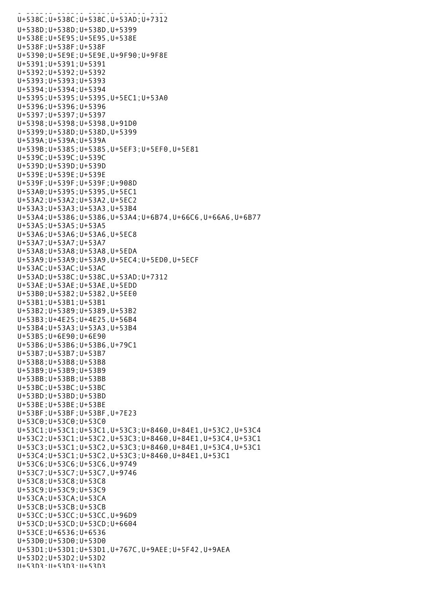U+538B;U+538B;U+538B,U+58D3;U+5727 U+538C;U+538C;U+538C,U+53AD;U+7312 U+538D;U+538D;U+538D,U+5399 U+538E;U+5E95;U+5E95,U+538E U+538F;U+538F;U+538F U+5390;U+5E9E;U+5E9E,U+9F90;U+9F8E U+5391;U+5391;U+5391 U+5392;U+5392;U+5392 U+5393;U+5393;U+5393 U+5394;U+5394;U+5394 U+5395;U+5395;U+5395,U+5EC1;U+53A0 U+5396;U+5396;U+5396 U+5397;U+5397;U+5397 U+5398;U+5398;U+5398,U+91D0 U+5399;U+538D;U+538D,U+5399 U+539A;U+539A;U+539A U+539B;U+5385;U+5385,U+5EF3;U+5EF0,U+5E81 U+539C;U+539C;U+539C U+539D;U+539D;U+539D U+539E;U+539E;U+539E U+539F;U+539F;U+539F;U+908D U+53A0;U+5395;U+5395,U+5EC1 U+53A2;U+53A2;U+53A2,U+5EC2 U+53A3;U+53A3;U+53A3,U+53B4 U+53A4;U+5386;U+5386,U+53A4;U+6B74,U+66C6,U+66A6,U+6B77 U+53A5;U+53A5;U+53A5 U+53A6;U+53A6;U+53A6,U+5EC8 U+53A7;U+53A7;U+53A7 U+53A8;U+53A8;U+53A8,U+5EDA U+53A9;U+53A9;U+53A9,U+5EC4;U+5ED0,U+5ECF U+53AC;U+53AC;U+53AC U+53AD;U+538C;U+538C,U+53AD;U+7312 U+53AE;U+53AE;U+53AE,U+5EDD U+53B0;U+5382;U+5382,U+5EE0 U+53B1;U+53B1;U+53B1 U+53B2;U+5389;U+5389,U+53B2 U+53B3;U+4E25;U+4E25,U+56B4 U+53B4;U+53A3;U+53A3,U+53B4 U+53B5;U+6E90;U+6E90 U+53B6;U+53B6;U+53B6,U+79C1 U+53B7;U+53B7;U+53B7 U+53B8;U+53B8;U+53B8 U+53B9;U+53B9;U+53B9 U+53BB;U+53BB;U+53BB U+53BC;U+53BC;U+53BC U+53BD;U+53BD;U+53BD U+53BE;U+53BE;U+53BE U+53BF;U+53BF;U+53BF,U+7E23 U+53C0;U+53C0;U+53C0 U+53C1;U+53C1;U+53C1,U+53C3;U+8460,U+84E1,U+53C2,U+53C4 U+53C2;U+53C1;U+53C2,U+53C3;U+8460,U+84E1,U+53C4,U+53C1 U+53C3;U+53C1;U+53C2,U+53C3;U+8460,U+84E1,U+53C4,U+53C1 U+53C4;U+53C1;U+53C2,U+53C3;U+8460,U+84E1,U+53C1 U+53C6;U+53C6;U+53C6,U+9749 U+53C7;U+53C7;U+53C7,U+9746 U+53C8;U+53C8;U+53C8 U+53C9;U+53C9;U+53C9 U+53CA;U+53CA;U+53CA U+53CB;U+53CB;U+53CB U+53CC;U+53CC;U+53CC,U+96D9 U+53CD;U+53CD;U+53CD;U+6604 U+53CE;U+6536;U+6536 U+53D0;U+53D0;U+53D0 U+53D1;U+53D1;U+53D1,U+767C,U+9AEE;U+5F42,U+9AEA U+53D2;U+53D2;U+53D2 U+53D3;U+53D3;U+53D3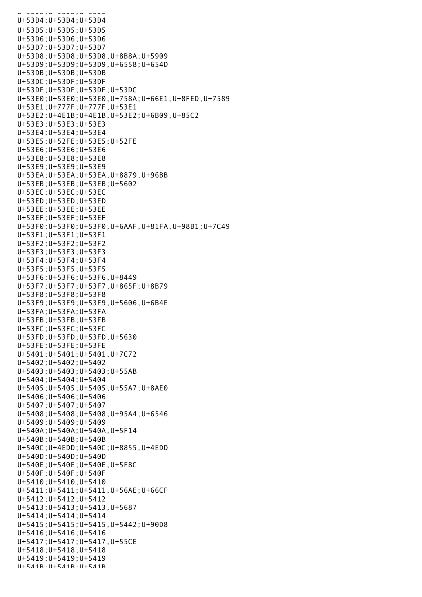U+53D3;U+53D3;U+53D3 U+53D4;U+53D4;U+53D4 U+53D5;U+53D5;U+53D5 U+53D6;U+53D6;U+53D6 U+53D7;U+53D7;U+53D7 U+53D8;U+53D8;U+53D8,U+8B8A;U+5909 U+53D9;U+53D9;U+53D9,U+6558;U+654D U+53DB;U+53DB;U+53DB U+53DC;U+53DF;U+53DF U+53DF;U+53DF;U+53DF;U+53DC U+53E0;U+53E0;U+53E0,U+758A;U+66E1,U+8FED,U+7589 U+53E1;U+777F;U+777F,U+53E1 U+53E2;U+4E1B;U+4E1B,U+53E2;U+6B09,U+85C2 U+53E3;U+53E3;U+53E3 U+53E4;U+53E4;U+53E4 U+53E5;U+52FE;U+53E5;U+52FE U+53E6;U+53E6;U+53E6 U+53E8;U+53E8;U+53E8 U+53E9;U+53E9;U+53E9 U+53EA;U+53EA;U+53EA,U+8879,U+96BB U+53EB;U+53EB;U+53EB;U+5602 U+53EC;U+53EC;U+53EC U+53ED;U+53ED;U+53ED U+53EE;U+53EE;U+53EE U+53EF;U+53EF;U+53EF U+53F0;U+53F0;U+53F0,U+6AAF,U+81FA,U+98B1;U+7C49 U+53F1;U+53F1;U+53F1 U+53F2;U+53F2;U+53F2 U+53F3;U+53F3;U+53F3 U+53F4;U+53F4;U+53F4 U+53F5;U+53F5;U+53F5 U+53F6;U+53F6;U+53F6,U+8449 U+53F7;U+53F7;U+53F7,U+865F;U+8B79 U+53F8;U+53F8;U+53F8 U+53F9;U+53F9;U+53F9,U+5606,U+6B4E U+53FA;U+53FA;U+53FA U+53FB;U+53FB;U+53FB U+53FC;U+53FC;U+53FC U+53FD;U+53FD;U+53FD,U+5630 U+53FE;U+53FE;U+53FE U+5401;U+5401;U+5401,U+7C72 U+5402;U+5402;U+5402 U+5403;U+5403;U+5403;U+55AB U+5404;U+5404;U+5404 U+5405;U+5405;U+5405,U+55A7;U+8AE0 U+5406;U+5406;U+5406 U+5407;U+5407;U+5407 U+5408;U+5408;U+5408,U+95A4;U+6546 U+5409;U+5409;U+5409 U+540A;U+540A;U+540A,U+5F14 U+540B;U+540B;U+540B U+540C;U+4EDD;U+540C;U+8855,U+4EDD U+540D;U+540D;U+540D U+540E;U+540E;U+540E,U+5F8C U+540F;U+540F;U+540F U+5410;U+5410;U+5410 U+5411;U+5411;U+5411,U+56AE;U+66CF U+5412;U+5412;U+5412 U+5413;U+5413;U+5413,U+5687 U+5414;U+5414;U+5414 U+5415;U+5415;U+5415,U+5442;U+90D8 U+5416;U+5416;U+5416 U+5417;U+5417;U+5417,U+55CE U+5418;U+5418;U+5418 U+5419;U+5419;U+5419  $II + 541R \cdot II + 541R \cdot II + 541R$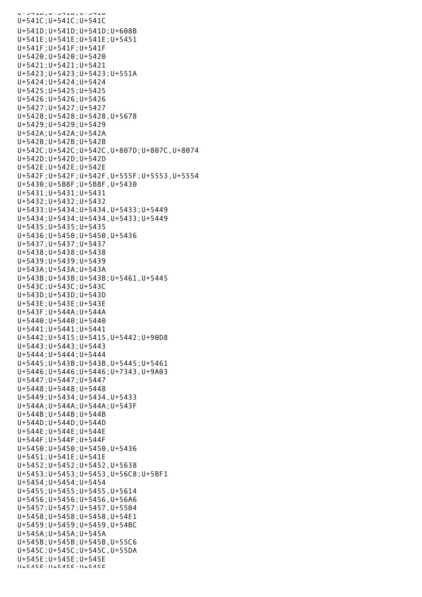U+JTIU, U+JTIU, U+JTIU U+541C;U+541C;U+541C U+541D;U+541D;U+541D;U+608B U+541E;U+541E;U+541E;U+5451 U+541F;U+541F;U+541F U+5420;U+5420;U+5420 U+5421;U+5421;U+5421 U+5423;U+5423;U+5423;U+551A U+5424;U+5424;U+5424 U+5425;U+5425;U+5425 U+5426;U+5426;U+5426 U+5427;U+5427;U+5427 U+5428;U+5428;U+5428,U+5678 U+5429;U+5429;U+5429 U+542A;U+542A;U+542A U+542B;U+542B;U+542B U+542C;U+542C;U+542C,U+807D;U+807C,U+8074 U+542D;U+542D;U+542D U+542E;U+542E;U+542E U+542F;U+542F;U+542F,U+555F;U+5553,U+5554 U+5430;U+5B8F;U+5B8F,U+5430 U+5431;U+5431;U+5431 U+5432;U+5432;U+5432 U+5433;U+5434;U+5434,U+5433;U+5449 U+5434;U+5434;U+5434,U+5433;U+5449 U+5435;U+5435;U+5435 U+5436;U+5450;U+5450,U+5436 U+5437;U+5437;U+5437 U+5438;U+5438;U+5438 U+5439;U+5439;U+5439 U+543A;U+543A;U+543A U+543B;U+543B;U+543B;U+5461,U+5445 U+543C;U+543C;U+543C U+543D;U+543D;U+543D U+543E;U+543E;U+543E U+543F;U+544A;U+544A U+5440;U+5440;U+5440 U+5441;U+5441;U+5441 U+5442;U+5415;U+5415,U+5442;U+90D8 U+5443;U+5443;U+5443 U+5444;U+5444;U+5444 U+5445;U+543B;U+543B,U+5445;U+5461 U+5446;U+5446;U+5446;U+7343,U+9A03 U+5447;U+5447;U+5447 U+5448;U+5448;U+5448 U+5449;U+5434;U+5434,U+5433 U+544A;U+544A;U+544A;U+543F U+544B;U+544B;U+544B U+544D;U+544D;U+544D U+544E;U+544E;U+544E U+544F;U+544F;U+544F U+5450;U+5450;U+5450,U+5436 U+5451;U+541E;U+541E U+5452;U+5452;U+5452,U+5638 U+5453;U+5453;U+5453,U+56C8;U+5BF1 U+5454;U+5454;U+5454 U+5455;U+5455;U+5455,U+5614 U+5456;U+5456;U+5456,U+56A6 U+5457;U+5457;U+5457,U+5504 U+5458;U+5458;U+5458,U+54E1 U+5459;U+5459;U+5459,U+54BC U+545A;U+545A;U+545A U+545B;U+545B;U+545B,U+55C6 U+545C;U+545C;U+545C,U+55DA U+545E;U+545E;U+545E  $11 + 5A5E \cdot 11 + 5A5E \cdot 11 + 5A5E$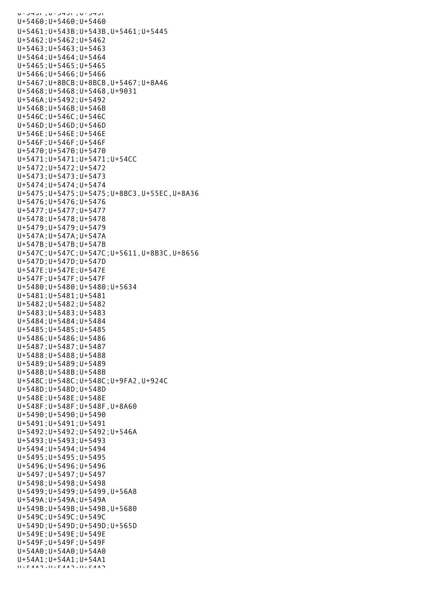$U$ וכדעיט, וכדכיט, וכדכיט U+5460;U+5460;U+5460 U+5461;U+543B;U+543B,U+5461;U+5445 U+5462;U+5462;U+5462 U+5463;U+5463;U+5463 U+5464;U+5464;U+5464 U+5465;U+5465;U+5465 U+5466;U+5466;U+5466 U+5467;U+8BCB;U+8BCB,U+5467;U+8A46 U+5468;U+5468;U+5468,U+9031 U+546A;U+5492;U+5492 U+546B;U+546B;U+546B U+546C;U+546C;U+546C U+546D;U+546D;U+546D U+546E;U+546E;U+546E U+546F;U+546F;U+546F U+5470;U+5470;U+5470 U+5471;U+5471;U+5471;U+54CC U+5472;U+5472;U+5472 U+5473;U+5473;U+5473 U+5474;U+5474;U+5474 U+5475;U+5475;U+5475;U+8BC3,U+55EC,U+8A36 U+5476;U+5476;U+5476 U+5477;U+5477;U+5477 U+5478;U+5478;U+5478 U+5479;U+5479;U+5479 U+547A;U+547A;U+547A U+547B;U+547B;U+547B U+547C;U+547C;U+547C;U+5611,U+8B3C,U+8656 U+547D;U+547D;U+547D U+547E;U+547E;U+547E U+547F;U+547F;U+547F U+5480;U+5480;U+5480;U+5634 U+5481;U+5481;U+5481 U+5482;U+5482;U+5482 U+5483;U+5483;U+5483 U+5484;U+5484;U+5484 U+5485;U+5485;U+5485 U+5486;U+5486;U+5486 U+5487;U+5487;U+5487 U+5488;U+5488;U+5488 U+5489;U+5489;U+5489 U+548B;U+548B;U+548B U+548C;U+548C;U+548C;U+9FA2,U+924C U+548D;U+548D;U+548D U+548E;U+548E;U+548E U+548F;U+548F;U+548F,U+8A60 U+5490;U+5490;U+5490 U+5491;U+5491;U+5491 U+5492;U+5492;U+5492;U+546A U+5493;U+5493;U+5493 U+5494;U+5494;U+5494 U+5495;U+5495;U+5495 U+5496;U+5496;U+5496 U+5497;U+5497;U+5497 U+5498;U+5498;U+5498 U+5499;U+5499;U+5499,U+56A8 U+549A;U+549A;U+549A U+549B;U+549B;U+549B,U+5680 U+549C;U+549C;U+549C U+549D;U+549D;U+549D;U+565D U+549E;U+549E;U+549E U+549F;U+549F;U+549F U+54A0;U+54A0;U+54A0 U+54A1;U+54A1;U+54A1  $U + E$  $A$  $A$  $A$  $B$  $+$  $U + E$  $A$  $A$  $A$  $D$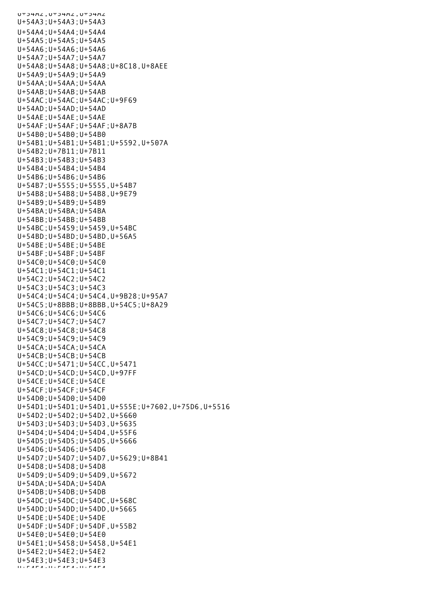UTJ4AZ, UTJ4AZ, UTJ4AZ U+54A3;U+54A3;U+54A3 U+54A4;U+54A4;U+54A4 U+54A5;U+54A5;U+54A5 U+54A6;U+54A6;U+54A6 U+54A7;U+54A7;U+54A7 U+54A8;U+54A8;U+54A8;U+8C18,U+8AEE U+54A9;U+54A9;U+54A9 U+54AA;U+54AA;U+54AA U+54AB;U+54AB;U+54AB U+54AC;U+54AC;U+54AC;U+9F69 U+54AD;U+54AD;U+54AD U+54AE;U+54AE;U+54AE U+54AF;U+54AF;U+54AF;U+8A7B U+54B0;U+54B0;U+54B0 U+54B1;U+54B1;U+54B1;U+5592,U+507A U+54B2;U+7B11;U+7B11 U+54B3;U+54B3;U+54B3 U+54B4;U+54B4;U+54B4 U+54B6;U+54B6;U+54B6 U+54B7;U+5555;U+5555,U+54B7 U+54B8;U+54B8;U+54B8,U+9E79 U+54B9;U+54B9;U+54B9 U+54BA;U+54BA;U+54BA U+54BB;U+54BB;U+54BB U+54BC;U+5459;U+5459,U+54BC U+54BD;U+54BD;U+54BD,U+56A5 U+54BE;U+54BE;U+54BE U+54BF;U+54BF;U+54BF U+54C0;U+54C0;U+54C0 U+54C1;U+54C1;U+54C1 U+54C2;U+54C2;U+54C2 U+54C3;U+54C3;U+54C3 U+54C4;U+54C4;U+54C4,U+9B28;U+95A7 U+54C5;U+8BBB;U+8BBB,U+54C5;U+8A29 U+54C6;U+54C6;U+54C6 U+54C7;U+54C7;U+54C7 U+54C8;U+54C8;U+54C8 U+54C9;U+54C9;U+54C9 U+54CA;U+54CA;U+54CA U+54CB;U+54CB;U+54CB U+54CC;U+5471;U+54CC,U+5471 U+54CD;U+54CD;U+54CD,U+97FF U+54CE;U+54CE;U+54CE U+54CF;U+54CF;U+54CF U+54D0;U+54D0;U+54D0 U+54D1;U+54D1;U+54D1,U+555E;U+7602,U+75D6,U+5516 U+54D2;U+54D2;U+54D2,U+5660 U+54D3;U+54D3;U+54D3,U+5635 U+54D4;U+54D4;U+54D4,U+55F6 U+54D5;U+54D5;U+54D5,U+5666 U+54D6;U+54D6;U+54D6 U+54D7;U+54D7;U+54D7,U+5629;U+8B41 U+54D8;U+54D8;U+54D8 U+54D9;U+54D9;U+54D9,U+5672 U+54DA;U+54DA;U+54DA U+54DB;U+54DB;U+54DB U+54DC;U+54DC;U+54DC,U+568C U+54DD;U+54DD;U+54DD,U+5665 U+54DE;U+54DE;U+54DE U+54DF;U+54DF;U+54DF,U+55B2 U+54E0;U+54E0;U+54E0 U+54E1;U+5458;U+5458,U+54E1 U+54E2;U+54E2;U+54E2 U+54E3;U+54E3;U+54E3 U+54E4;U+54E4;U+54E4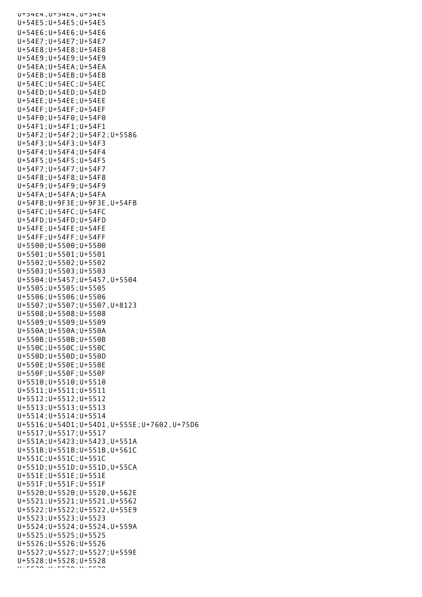U+54E4;U+54E4;U+54E4 U+54E5;U+54E5;U+54E5 U+54E6;U+54E6;U+54E6 U+54E7;U+54E7;U+54E7 U+54E8;U+54E8;U+54E8 U+54E9;U+54E9;U+54E9 U+54EA;U+54EA;U+54EA U+54EB;U+54EB;U+54EB U+54EC;U+54EC;U+54EC U+54ED;U+54ED;U+54ED U+54EE;U+54EE;U+54EE U+54EF;U+54EF;U+54EF U+54F0;U+54F0;U+54F0 U+54F1;U+54F1;U+54F1 U+54F2;U+54F2;U+54F2;U+5586 U+54F3;U+54F3;U+54F3 U+54F4;U+54F4;U+54F4 U+54F5;U+54F5;U+54F5 U+54F7;U+54F7;U+54F7 U+54F8;U+54F8;U+54F8 U+54F9;U+54F9;U+54F9 U+54FA;U+54FA;U+54FA U+54FB;U+9F3E;U+9F3E,U+54FB U+54FC;U+54FC;U+54FC U+54FD;U+54FD;U+54FD U+54FE;U+54FE;U+54FE U+54FF;U+54FF;U+54FF U+5500;U+5500;U+5500 U+5501;U+5501;U+5501 U+5502;U+5502;U+5502 U+5503;U+5503;U+5503 U+5504;U+5457;U+5457,U+5504 U+5505;U+5505;U+5505 U+5506;U+5506;U+5506 U+5507;U+5507;U+5507,U+8123 U+5508;U+5508;U+5508 U+5509;U+5509;U+5509 U+550A;U+550A;U+550A U+550B;U+550B;U+550B U+550C;U+550C;U+550C U+550D;U+550D;U+550D U+550E;U+550E;U+550E U+550F;U+550F;U+550F U+5510;U+5510;U+5510 U+5511;U+5511;U+5511 U+5512;U+5512;U+5512 U+5513;U+5513;U+5513 U+5514;U+5514;U+5514 U+5516;U+54D1;U+54D1,U+555E;U+7602,U+75D6 U+5517;U+5517;U+5517 U+551A;U+5423;U+5423,U+551A U+551B;U+551B;U+551B,U+561C U+551C;U+551C;U+551C U+551D;U+551D;U+551D,U+55CA U+551E;U+551E;U+551E U+551F;U+551F;U+551F U+5520;U+5520;U+5520,U+562E U+5521;U+5521;U+5521,U+5562 U+5522;U+5522;U+5522,U+55E9 U+5523;U+5523;U+5523 U+5524;U+5524;U+5524,U+559A U+5525;U+5525;U+5525 U+5526;U+5526;U+5526 U+5527;U+5527;U+5527;U+559E U+5528;U+5528;U+5528 U+5529;U+5529;U+5529<br>U+5529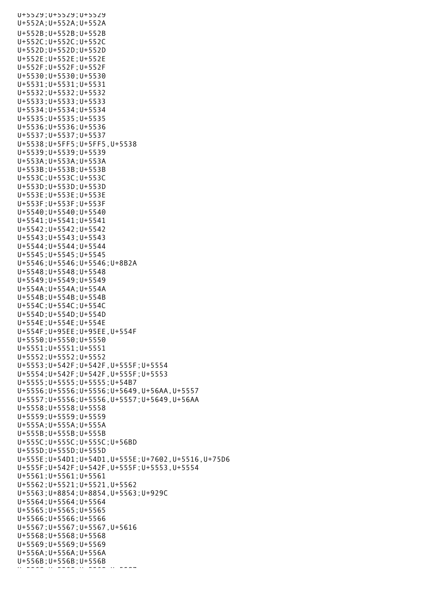U+5529;U+5529;U+5529 U+552A;U+552A;U+552A U+552B;U+552B;U+552B U+552C;U+552C;U+552C U+552D;U+552D;U+552D U+552E;U+552E;U+552E U+552F;U+552F;U+552F U+5530;U+5530;U+5530 U+5531;U+5531;U+5531 U+5532;U+5532;U+5532 U+5533;U+5533;U+5533 U+5534;U+5534;U+5534 U+5535;U+5535;U+5535 U+5536;U+5536;U+5536 U+5537;U+5537;U+5537 U+5538;U+5FF5;U+5FF5,U+5538 U+5539;U+5539;U+5539 U+553A;U+553A;U+553A U+553B;U+553B;U+553B U+553C;U+553C;U+553C U+553D;U+553D;U+553D U+553E;U+553E;U+553E U+553F;U+553F;U+553F U+5540;U+5540;U+5540 U+5541;U+5541;U+5541 U+5542;U+5542;U+5542 U+5543;U+5543;U+5543 U+5544;U+5544;U+5544 U+5545;U+5545;U+5545 U+5546;U+5546;U+5546;U+8B2A U+5548;U+5548;U+5548 U+5549;U+5549;U+5549 U+554A;U+554A;U+554A U+554B;U+554B;U+554B U+554C;U+554C;U+554C U+554D;U+554D;U+554D U+554E;U+554E;U+554E U+554F;U+95EE;U+95EE,U+554F U+5550;U+5550;U+5550 U+5551;U+5551;U+5551 U+5552;U+5552;U+5552 U+5553;U+542F;U+542F,U+555F;U+5554 U+5554;U+542F;U+542F,U+555F;U+5553 U+5555;U+5555;U+5555;U+54B7 U+5556;U+5556;U+5556;U+5649,U+56AA,U+5557 U+5557;U+5556;U+5556,U+5557;U+5649,U+56AA U+5558;U+5558;U+5558 U+5559;U+5559;U+5559 U+555A;U+555A;U+555A U+555B;U+555B;U+555B U+555C;U+555C;U+555C;U+56BD U+555D;U+555D;U+555D U+555E;U+54D1;U+54D1,U+555E;U+7602,U+5516,U+75D6 U+555F;U+542F;U+542F,U+555F;U+5553,U+5554 U+5561;U+5561;U+5561 U+5562;U+5521;U+5521,U+5562 U+5563;U+8854;U+8854,U+5563;U+929C U+5564;U+5564;U+5564 U+5565;U+5565;U+5565 U+5566;U+5566;U+5566 U+5567;U+5567;U+5567,U+5616 U+5568;U+5568;U+5568 U+5569;U+5569;U+5569 U+556A;U+556A;U+556A  $U+556B$ ;  $U+556B$ ;  $U+556B$ <br> $U+556B$ ;  $U+556B$ U+556 U+556 U+556 U+555<br>C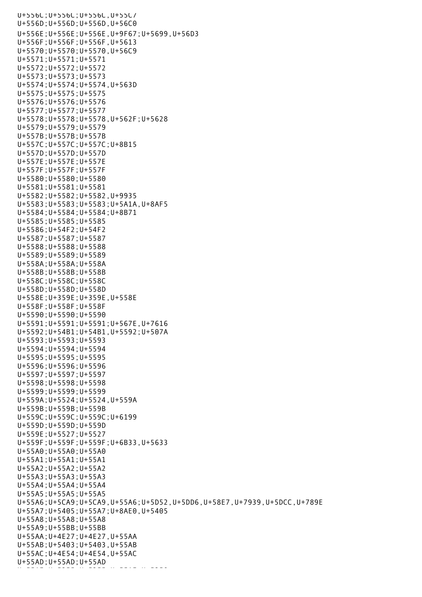U+556C;U+556C;U+556C,U+55C7 U+556D;U+556D;U+556D,U+56C0 U+556E;U+556E;U+556E,U+9F67;U+5699,U+56D3 U+556F;U+556F;U+556F,U+5613 U+5570;U+5570;U+5570,U+56C9 U+5571;U+5571;U+5571 U+5572;U+5572;U+5572 U+5573;U+5573;U+5573 U+5574;U+5574;U+5574,U+563D U+5575;U+5575;U+5575 U+5576;U+5576;U+5576 U+5577;U+5577;U+5577 U+5578;U+5578;U+5578,U+562F;U+5628 U+5579;U+5579;U+5579 U+557B;U+557B;U+557B U+557C;U+557C;U+557C;U+8B15 U+557D;U+557D;U+557D U+557E;U+557E;U+557E U+557F;U+557F;U+557F U+5580;U+5580;U+5580 U+5581;U+5581;U+5581 U+5582;U+5582;U+5582,U+9935 U+5583;U+5583;U+5583;U+5A1A,U+8AF5 U+5584;U+5584;U+5584;U+8B71 U+5585;U+5585;U+5585 U+5586;U+54F2;U+54F2 U+5587;U+5587;U+5587 U+5588;U+5588;U+5588 U+5589;U+5589;U+5589 U+558A;U+558A;U+558A U+558B;U+558B;U+558B U+558C;U+558C;U+558C U+558D;U+558D;U+558D U+558E;U+359E;U+359E,U+558E U+558F;U+558F;U+558F U+5590;U+5590;U+5590 U+5591;U+5591;U+5591;U+567E,U+7616 U+5592;U+54B1;U+54B1,U+5592;U+507A U+5593;U+5593;U+5593 U+5594;U+5594;U+5594 U+5595;U+5595;U+5595 U+5596;U+5596;U+5596 U+5597;U+5597;U+5597 U+5598;U+5598;U+5598 U+5599;U+5599;U+5599 U+559A;U+5524;U+5524,U+559A U+559B;U+559B;U+559B U+559C;U+559C;U+559C;U+6199 U+559D;U+559D;U+559D U+559E;U+5527;U+5527 U+559F;U+559F;U+559F;U+6B33,U+5633 U+55A0;U+55A0;U+55A0 U+55A1;U+55A1;U+55A1 U+55A2;U+55A2;U+55A2 U+55A3;U+55A3;U+55A3 U+55A4;U+55A4;U+55A4 U+55A5;U+55A5;U+55A5 U+55A6;U+5CA9;U+5CA9,U+55A6;U+5D52,U+5DD6,U+58E7,U+7939,U+5DCC,U+789E U+55A7;U+5405;U+55A7;U+8AE0,U+5405 U+55A8;U+55A8;U+55A8 U+55A9;U+55BB;U+55BB U+55AA;U+4E27;U+4E27,U+55AA U+55AB;U+5403;U+5403,U+55AB U+55AC;U+4E54;U+4E54,U+55AC U+55AD;U+55AD;U+55AD

U+55AE;U+5355;U+5358;U+5358;U+5358;U+5358<br>U+53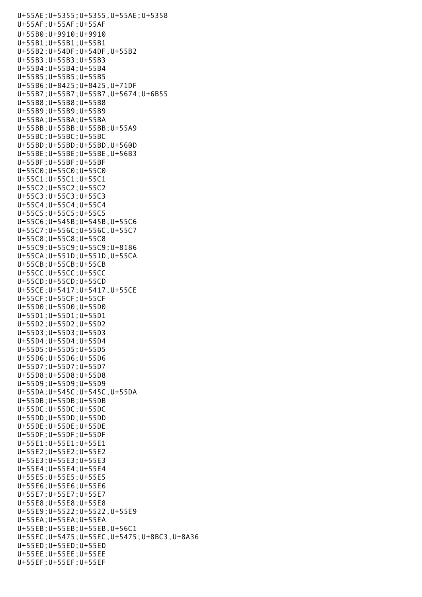U+55AE;U+5355;U+5355,U+55AE;U+5358 U+55AF;U+55AF;U+55AF U+55B0;U+9910;U+9910 U+55B1;U+55B1;U+55B1 U+55B2;U+54DF;U+54DF,U+55B2 U+55B3;U+55B3;U+55B3 U+55B4;U+55B4;U+55B4 U+55B5;U+55B5;U+55B5 U+55B6;U+8425;U+8425,U+71DF U+55B7;U+55B7;U+55B7,U+5674;U+6B55 U+55B8;U+55B8;U+55B8 U+55B9;U+55B9;U+55B9 U+55BA;U+55BA;U+55BA U+55BB;U+55BB;U+55BB;U+55A9 U+55BC;U+55BC;U+55BC U+55BD;U+55BD;U+55BD,U+560D U+55BE;U+55BE;U+55BE,U+56B3 U+55BF;U+55BF;U+55BF U+55C0;U+55C0;U+55C0 U+55C1;U+55C1;U+55C1 U+55C2;U+55C2;U+55C2 U+55C3;U+55C3;U+55C3 U+55C4;U+55C4;U+55C4 U+55C5;U+55C5;U+55C5 U+55C6;U+545B;U+545B,U+55C6 U+55C7;U+556C;U+556C,U+55C7 U+55C8;U+55C8;U+55C8 U+55C9;U+55C9;U+55C9;U+8186 U+55CA;U+551D;U+551D,U+55CA U+55CB;U+55CB;U+55CB U+55CC;U+55CC;U+55CC U+55CD;U+55CD;U+55CD U+55CE;U+5417;U+5417,U+55CE U+55CF;U+55CF;U+55CF U+55D0;U+55D0;U+55D0 U+55D1;U+55D1;U+55D1 U+55D2;U+55D2;U+55D2 U+55D3;U+55D3;U+55D3 U+55D4;U+55D4;U+55D4 U+55D5;U+55D5;U+55D5 U+55D6;U+55D6;U+55D6 U+55D7;U+55D7;U+55D7 U+55D8;U+55D8;U+55D8 U+55D9;U+55D9;U+55D9 U+55DA;U+545C;U+545C,U+55DA U+55DB;U+55DB;U+55DB U+55DC;U+55DC;U+55DC U+55DD;U+55DD;U+55DD U+55DE;U+55DE;U+55DE U+55DF;U+55DF;U+55DF U+55E1;U+55E1;U+55E1 U+55E2;U+55E2;U+55E2 U+55E3;U+55E3;U+55E3 U+55E4;U+55E4;U+55E4 U+55E5;U+55E5;U+55E5 U+55E6;U+55E6;U+55E6 U+55E7;U+55E7;U+55E7 U+55E8;U+55E8;U+55E8 U+55E9;U+5522;U+5522,U+55E9 U+55EA;U+55EA;U+55EA U+55EB;U+55EB;U+55EB,U+56C1 U+55EC;U+5475;U+55EC,U+5475;U+8BC3,U+8A36 U+55ED;U+55ED;U+55ED U+55EE;U+55EE;U+55EE U+55EF;U+55EF;U+55EF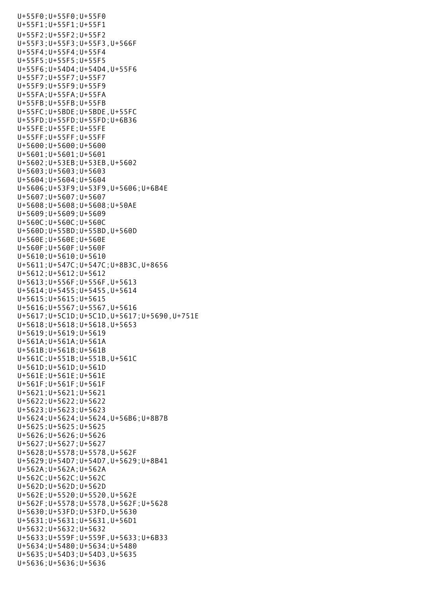U+55F0;U+55F0;U+55F0 U+55F1;U+55F1;U+55F1 U+55F2;U+55F2;U+55F2 U+55F3;U+55F3;U+55F3,U+566F U+55F4;U+55F4;U+55F4 U+55F5;U+55F5;U+55F5 U+55F6;U+54D4;U+54D4,U+55F6 U+55F7;U+55F7;U+55F7 U+55F9;U+55F9;U+55F9 U+55FA;U+55FA;U+55FA U+55FB;U+55FB;U+55FB U+55FC;U+5BDE;U+5BDE,U+55FC U+55FD;U+55FD;U+55FD;U+6B36 U+55FE;U+55FE;U+55FE U+55FF;U+55FF;U+55FF U+5600;U+5600;U+5600 U+5601;U+5601;U+5601 U+5602;U+53EB;U+53EB,U+5602 U+5603;U+5603;U+5603 U+5604;U+5604;U+5604 U+5606;U+53F9;U+53F9,U+5606;U+6B4E U+5607;U+5607;U+5607 U+5608;U+5608;U+5608;U+50AE U+5609;U+5609;U+5609 U+560C;U+560C;U+560C U+560D;U+55BD;U+55BD,U+560D U+560E;U+560E;U+560E U+560F;U+560F;U+560F U+5610;U+5610;U+5610 U+5611;U+547C;U+547C;U+8B3C,U+8656 U+5612;U+5612;U+5612 U+5613;U+556F;U+556F,U+5613 U+5614;U+5455;U+5455,U+5614 U+5615;U+5615;U+5615 U+5616;U+5567;U+5567,U+5616 U+5617;U+5C1D;U+5C1D,U+5617;U+5690,U+751E U+5618;U+5618;U+5618,U+5653 U+5619;U+5619;U+5619 U+561A;U+561A;U+561A U+561B;U+561B;U+561B U+561C;U+551B;U+551B,U+561C U+561D;U+561D;U+561D U+561E;U+561E;U+561E U+561F;U+561F;U+561F U+5621;U+5621;U+5621 U+5622;U+5622;U+5622 U+5623;U+5623;U+5623 U+5624;U+5624;U+5624,U+56B6;U+8B7B U+5625;U+5625;U+5625 U+5626;U+5626;U+5626 U+5627;U+5627;U+5627 U+5628;U+5578;U+5578,U+562F U+5629;U+54D7;U+54D7,U+5629;U+8B41 U+562A;U+562A;U+562A U+562C;U+562C;U+562C U+562D;U+562D;U+562D U+562E;U+5520;U+5520,U+562E U+562F;U+5578;U+5578,U+562F;U+5628 U+5630;U+53FD;U+53FD,U+5630 U+5631;U+5631;U+5631,U+56D1 U+5632;U+5632;U+5632 U+5633;U+559F;U+559F,U+5633;U+6B33 U+5634;U+5480;U+5634;U+5480 U+5635;U+54D3;U+54D3,U+5635 U+5636;U+5636;U+5636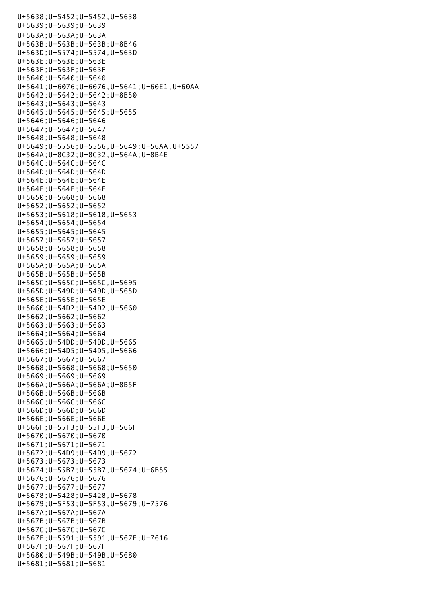U+5638;U+5452;U+5452,U+5638 U+5639;U+5639;U+5639 U+563A;U+563A;U+563A U+563B;U+563B;U+563B;U+8B46 U+563D;U+5574;U+5574,U+563D U+563E;U+563E;U+563E U+563F;U+563F;U+563F U+5640;U+5640;U+5640 U+5641;U+6076;U+6076,U+5641;U+60E1,U+60AA U+5642;U+5642;U+5642;U+8B50 U+5643;U+5643;U+5643 U+5645;U+5645;U+5645;U+5655 U+5646;U+5646;U+5646 U+5647;U+5647;U+5647 U+5648;U+5648;U+5648 U+5649;U+5556;U+5556,U+5649;U+56AA,U+5557 U+564A;U+8C32;U+8C32,U+564A;U+8B4E U+564C;U+564C;U+564C U+564D;U+564D;U+564D U+564E;U+564E;U+564E U+564F;U+564F;U+564F U+5650;U+5668;U+5668 U+5652;U+5652;U+5652 U+5653;U+5618;U+5618,U+5653 U+5654;U+5654;U+5654 U+5655;U+5645;U+5645 U+5657;U+5657;U+5657 U+5658;U+5658;U+5658 U+5659;U+5659;U+5659 U+565A;U+565A;U+565A U+565B;U+565B;U+565B U+565C;U+565C;U+565C,U+5695 U+565D;U+549D;U+549D,U+565D U+565E;U+565E;U+565E U+5660;U+54D2;U+54D2,U+5660 U+5662;U+5662;U+5662 U+5663;U+5663;U+5663 U+5664;U+5664;U+5664 U+5665;U+54DD;U+54DD,U+5665 U+5666;U+54D5;U+54D5,U+5666 U+5667;U+5667;U+5667 U+5668;U+5668;U+5668;U+5650 U+5669;U+5669;U+5669 U+566A;U+566A;U+566A;U+8B5F U+566B;U+566B;U+566B U+566C;U+566C;U+566C U+566D;U+566D;U+566D U+566E;U+566E;U+566E U+566F;U+55F3;U+55F3,U+566F U+5670;U+5670;U+5670 U+5671;U+5671;U+5671 U+5672;U+54D9;U+54D9,U+5672 U+5673;U+5673;U+5673 U+5674;U+55B7;U+55B7,U+5674;U+6B55 U+5676;U+5676;U+5676 U+5677;U+5677;U+5677 U+5678;U+5428;U+5428,U+5678 U+5679;U+5F53;U+5F53,U+5679;U+7576 U+567A;U+567A;U+567A U+567B;U+567B;U+567B U+567C;U+567C;U+567C U+567E;U+5591;U+5591,U+567E;U+7616 U+567F;U+567F;U+567F U+5680;U+549B;U+549B,U+5680 U+5681;U+5681;U+5681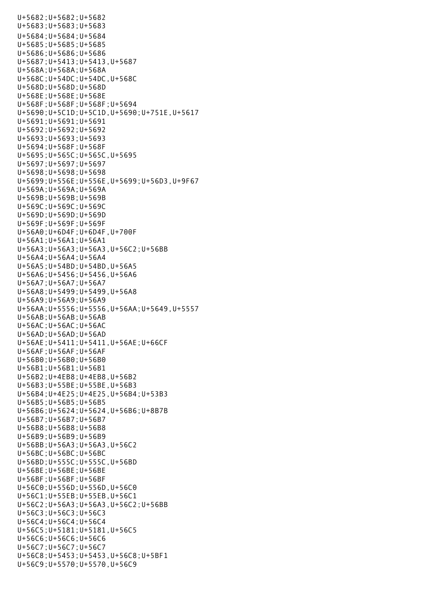U+5682;U+5682;U+5682 U+5683;U+5683;U+5683 U+5684;U+5684;U+5684 U+5685;U+5685;U+5685 U+5686;U+5686;U+5686 U+5687;U+5413;U+5413,U+5687 U+568A;U+568A;U+568A U+568C;U+54DC;U+54DC,U+568C U+568D;U+568D;U+568D U+568E;U+568E;U+568E U+568F;U+568F;U+568F;U+5694 U+5690;U+5C1D;U+5C1D,U+5690;U+751E,U+5617 U+5691;U+5691;U+5691 U+5692;U+5692;U+5692 U+5693;U+5693;U+5693 U+5694;U+568F;U+568F U+5695;U+565C;U+565C,U+5695 U+5697;U+5697;U+5697 U+5698;U+5698;U+5698 U+5699;U+556E;U+556E,U+5699;U+56D3,U+9F67 U+569A;U+569A;U+569A U+569B;U+569B;U+569B U+569C;U+569C;U+569C U+569D;U+569D;U+569D U+569F;U+569F;U+569F U+56A0;U+6D4F;U+6D4F,U+700F U+56A1;U+56A1;U+56A1 U+56A3;U+56A3;U+56A3,U+56C2;U+56BB U+56A4;U+56A4;U+56A4 U+56A5;U+54BD;U+54BD,U+56A5 U+56A6;U+5456;U+5456,U+56A6 U+56A7;U+56A7;U+56A7 U+56A8;U+5499;U+5499,U+56A8 U+56A9;U+56A9;U+56A9 U+56AA;U+5556;U+5556,U+56AA;U+5649,U+5557 U+56AB;U+56AB;U+56AB U+56AC;U+56AC;U+56AC U+56AD;U+56AD;U+56AD U+56AE;U+5411;U+5411,U+56AE;U+66CF U+56AF;U+56AF;U+56AF U+56B0;U+56B0;U+56B0 U+56B1;U+56B1;U+56B1 U+56B2;U+4EB8;U+4EB8,U+56B2 U+56B3;U+55BE;U+55BE,U+56B3 U+56B4;U+4E25;U+4E25,U+56B4;U+53B3 U+56B5;U+56B5;U+56B5 U+56B6;U+5624;U+5624,U+56B6;U+8B7B U+56B7;U+56B7;U+56B7 U+56B8;U+56B8;U+56B8 U+56B9;U+56B9;U+56B9 U+56BB;U+56A3;U+56A3,U+56C2 U+56BC;U+56BC;U+56BC U+56BD;U+555C;U+555C,U+56BD U+56BE;U+56BE;U+56BE U+56BF;U+56BF;U+56BF U+56C0;U+556D;U+556D,U+56C0 U+56C1;U+55EB;U+55EB,U+56C1 U+56C2;U+56A3;U+56A3,U+56C2;U+56BB U+56C3;U+56C3;U+56C3 U+56C4;U+56C4;U+56C4 U+56C5;U+5181;U+5181,U+56C5 U+56C6;U+56C6;U+56C6 U+56C7;U+56C7;U+56C7 U+56C8;U+5453;U+5453,U+56C8;U+5BF1 U+56C9;U+5570;U+5570,U+56C9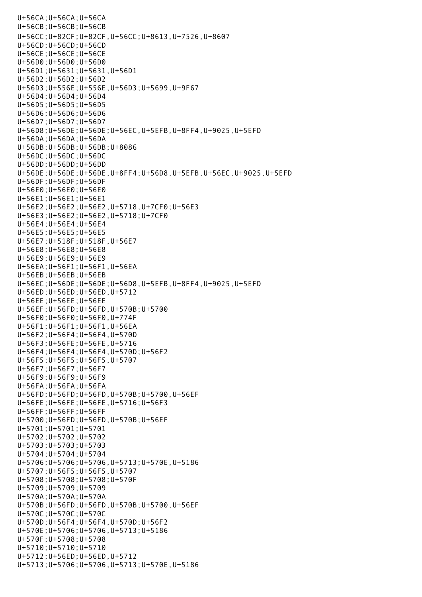U+56CA;U+56CA;U+56CA U+56CB;U+56CB;U+56CB U+56CC;U+82CF;U+82CF,U+56CC;U+8613,U+7526,U+8607 U+56CD;U+56CD;U+56CD U+56CE;U+56CE;U+56CE U+56D0;U+56D0;U+56D0 U+56D1;U+5631;U+5631,U+56D1 U+56D2;U+56D2;U+56D2 U+56D3;U+556E;U+556E,U+56D3;U+5699,U+9F67 U+56D4;U+56D4;U+56D4 U+56D5;U+56D5;U+56D5 U+56D6;U+56D6;U+56D6 U+56D7;U+56D7;U+56D7 U+56D8;U+56DE;U+56DE;U+56EC,U+5EFB,U+8FF4,U+9025,U+5EFD U+56DA;U+56DA;U+56DA U+56DB;U+56DB;U+56DB;U+8086 U+56DC;U+56DC;U+56DC U+56DD;U+56DD;U+56DD U+56DE;U+56DE;U+56DE,U+8FF4;U+56D8,U+5EFB,U+56EC,U+9025,U+5EFD U+56DF;U+56DF;U+56DF U+56E0;U+56E0;U+56E0 U+56E1;U+56E1;U+56E1 U+56E2;U+56E2;U+56E2,U+5718,U+7CF0;U+56E3 U+56E3;U+56E2;U+56E2,U+5718;U+7CF0 U+56E4;U+56E4;U+56E4 U+56E5;U+56E5;U+56E5 U+56E7;U+518F;U+518F,U+56E7 U+56E8;U+56E8;U+56E8 U+56E9;U+56E9;U+56E9 U+56EA;U+56F1;U+56F1,U+56EA U+56EB;U+56EB;U+56EB U+56EC;U+56DE;U+56DE;U+56D8,U+5EFB,U+8FF4,U+9025,U+5EFD U+56ED;U+56ED;U+56ED,U+5712 U+56EE;U+56EE;U+56EE U+56EF;U+56FD;U+56FD,U+570B;U+5700 U+56F0;U+56F0;U+56F0,U+774F U+56F1;U+56F1;U+56F1,U+56EA U+56F2;U+56F4;U+56F4,U+570D U+56F3;U+56FE;U+56FE,U+5716 U+56F4;U+56F4;U+56F4,U+570D;U+56F2 U+56F5;U+56F5;U+56F5,U+5707 U+56F7;U+56F7;U+56F7 U+56F9;U+56F9;U+56F9 U+56FA;U+56FA;U+56FA U+56FD;U+56FD;U+56FD,U+570B;U+5700,U+56EF U+56FE;U+56FE;U+56FE,U+5716;U+56F3 U+56FF;U+56FF;U+56FF U+5700;U+56FD;U+56FD,U+570B;U+56EF U+5701;U+5701;U+5701 U+5702;U+5702;U+5702 U+5703;U+5703;U+5703 U+5704;U+5704;U+5704 U+5706;U+5706;U+5706,U+5713;U+570E,U+5186 U+5707;U+56F5;U+56F5,U+5707 U+5708;U+5708;U+5708;U+570F U+5709;U+5709;U+5709 U+570A;U+570A;U+570A U+570B;U+56FD;U+56FD,U+570B;U+5700,U+56EF U+570C;U+570C;U+570C U+570D;U+56F4;U+56F4,U+570D;U+56F2 U+570E;U+5706;U+5706,U+5713;U+5186 U+570F;U+5708;U+5708 U+5710;U+5710;U+5710 U+5712;U+56ED;U+56ED,U+5712 U+5713;U+5706;U+5706,U+5713;U+570E,U+5186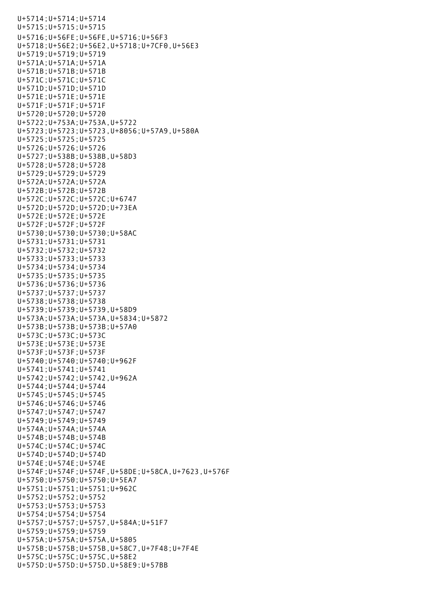U+5714;U+5714;U+5714 U+5715;U+5715;U+5715 U+5716;U+56FE;U+56FE,U+5716;U+56F3 U+5718;U+56E2;U+56E2,U+5718;U+7CF0,U+56E3 U+5719;U+5719;U+5719 U+571A;U+571A;U+571A U+571B;U+571B;U+571B U+571C;U+571C;U+571C U+571D;U+571D;U+571D U+571E;U+571E;U+571E U+571F;U+571F;U+571F U+5720;U+5720;U+5720 U+5722;U+753A;U+753A,U+5722 U+5723;U+5723;U+5723,U+8056;U+57A9,U+580A U+5725;U+5725;U+5725 U+5726;U+5726;U+5726 U+5727;U+538B;U+538B,U+58D3 U+5728;U+5728;U+5728 U+5729;U+5729;U+5729 U+572A;U+572A;U+572A U+572B;U+572B;U+572B U+572C;U+572C;U+572C;U+6747 U+572D;U+572D;U+572D;U+73EA U+572E;U+572E;U+572E U+572F;U+572F;U+572F U+5730;U+5730;U+5730;U+58AC U+5731;U+5731;U+5731 U+5732;U+5732;U+5732 U+5733;U+5733;U+5733 U+5734;U+5734;U+5734 U+5735;U+5735;U+5735 U+5736;U+5736;U+5736 U+5737;U+5737;U+5737 U+5738;U+5738;U+5738 U+5739;U+5739;U+5739,U+58D9 U+573A;U+573A;U+573A,U+5834;U+5872 U+573B;U+573B;U+573B;U+57A0 U+573C;U+573C;U+573C U+573E;U+573E;U+573E U+573F;U+573F;U+573F U+5740;U+5740;U+5740;U+962F U+5741;U+5741;U+5741 U+5742;U+5742;U+5742,U+962A U+5744;U+5744;U+5744 U+5745;U+5745;U+5745 U+5746;U+5746;U+5746 U+5747;U+5747;U+5747 U+5749;U+5749;U+5749 U+574A;U+574A;U+574A U+574B;U+574B;U+574B U+574C;U+574C;U+574C U+574D;U+574D;U+574D U+574E;U+574E;U+574E U+574F;U+574F;U+574F,U+58DE;U+58CA,U+7623,U+576F U+5750;U+5750;U+5750;U+5EA7 U+5751;U+5751;U+5751;U+962C U+5752;U+5752;U+5752 U+5753;U+5753;U+5753 U+5754;U+5754;U+5754 U+5757;U+5757;U+5757,U+584A;U+51F7 U+5759;U+5759;U+5759 U+575A;U+575A;U+575A,U+5805 U+575B;U+575B;U+575B,U+58C7,U+7F48;U+7F4E U+575C;U+575C;U+575C,U+58E2 U+575D;U+575D;U+575D,U+58E9;U+57BB

U+5713;U+570E,U+570E,U+570E,U+570E,U+570E,U+570E,U+570E,U+570E,U+570E,U+570E,U+570E,U+570E,U+570E,U+570E,U+570<br>U+570E,U+570E,U+570E,U+570E,U+570E,U+570E,U+570E,U+570E,U+570E,U+570E,U+570E,U+570E,U+570E,U+570E,U+570E,U+570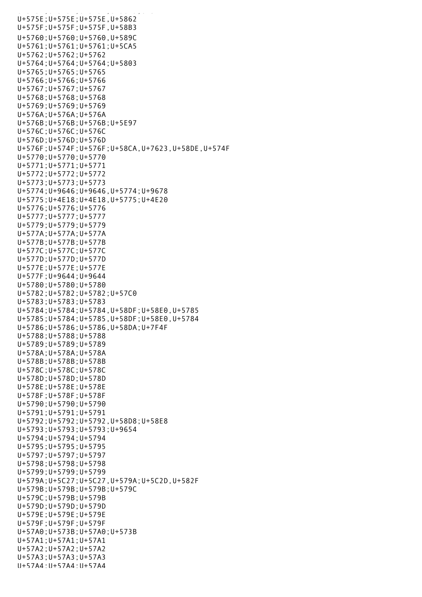U+575E;U+575E;U+575E,U+5862 U+575F;U+575F;U+575F,U+58B3 U+5760;U+5760;U+5760,U+589C U+5761;U+5761;U+5761;U+5CA5 U+5762;U+5762;U+5762 U+5764;U+5764;U+5764;U+5803 U+5765;U+5765;U+5765 U+5766;U+5766;U+5766 U+5767;U+5767;U+5767 U+5768;U+5768;U+5768 U+5769;U+5769;U+5769 U+576A;U+576A;U+576A U+576B;U+576B;U+576B;U+5E97 U+576C;U+576C;U+576C U+576D;U+576D;U+576D U+576F;U+574F;U+576F;U+58CA,U+7623,U+58DE,U+574F U+5770;U+5770;U+5770 U+5771;U+5771;U+5771 U+5772;U+5772;U+5772 U+5773;U+5773;U+5773 U+5774;U+9646;U+9646,U+5774;U+9678 U+5775;U+4E18;U+4E18,U+5775;U+4E20 U+5776;U+5776;U+5776 U+5777;U+5777;U+5777 U+5779;U+5779;U+5779 U+577A;U+577A;U+577A U+577B;U+577B;U+577B U+577C;U+577C;U+577C U+577D;U+577D;U+577D U+577E;U+577E;U+577E U+577F;U+9644;U+9644 U+5780;U+5780;U+5780 U+5782;U+5782;U+5782;U+57C0 U+5783;U+5783;U+5783 U+5784;U+5784;U+5784,U+58DF;U+58E0,U+5785 U+5785;U+5784;U+5785,U+58DF;U+58E0,U+5784 U+5786;U+5786;U+5786,U+58DA;U+7F4F U+5788;U+5788;U+5788 U+5789;U+5789;U+5789 U+578A;U+578A;U+578A U+578B;U+578B;U+578B U+578C;U+578C;U+578C U+578D;U+578D;U+578D U+578E;U+578E;U+578E U+578F;U+578F;U+578F U+5790;U+5790;U+5790 U+5791;U+5791;U+5791 U+5792;U+5792;U+5792,U+58D8;U+58E8 U+5793;U+5793;U+5793;U+9654 U+5794;U+5794;U+5794 U+5795;U+5795;U+5795 U+5797;U+5797;U+5797 U+5798;U+5798;U+5798 U+5799;U+5799;U+5799 U+579A;U+5C27;U+5C27,U+579A;U+5C2D,U+582F U+579B;U+579B;U+579B;U+579C U+579C;U+579B;U+579B U+579D;U+579D;U+579D U+579E;U+579E;U+579E U+579F;U+579F;U+579F U+57A0;U+573B;U+57A0;U+573B U+57A1;U+57A1;U+57A1 U+57A2;U+57A2;U+57A2 U+57A3;U+57A3;U+57A3 U+57A4;U+57A4;U+57A4

U+575D;U+575D;U+575D;U+575D;U+575D;U+575D;U+575D;U+575D;U+575D;U+575D;U+575D;U+57BBBBBBBBBBBBBBBBBBBBBBBBBBBBB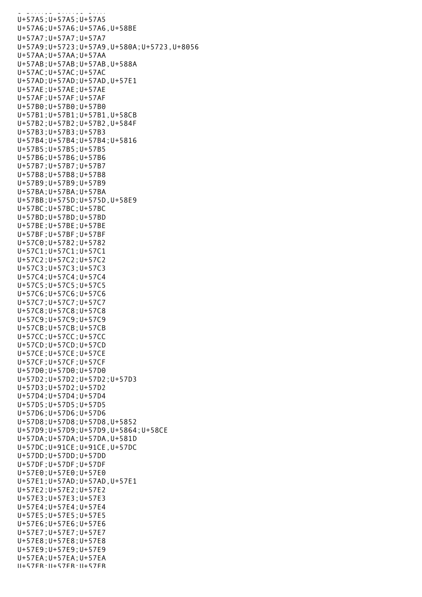U+57A4;U+57A4;U+57A4;U+57A4;U+57A4;U+57A4;U+57A4;U+57A4;U+57A4;U+57A4;U+57A4;U+57A4;U+57A4;U+57A4;U+57A4;U+57A U+57A5;U+57A5;U+57A5 U+57A6;U+57A6;U+57A6,U+58BE U+57A7;U+57A7;U+57A7 U+57A9;U+5723;U+57A9,U+580A;U+5723,U+8056 U+57AA;U+57AA;U+57AA U+57AB;U+57AB;U+57AB,U+588A U+57AC;U+57AC;U+57AC U+57AD;U+57AD;U+57AD,U+57E1 U+57AE;U+57AE;U+57AE U+57AF;U+57AF;U+57AF U+57B0;U+57B0;U+57B0 U+57B1;U+57B1;U+57B1,U+58CB U+57B2;U+57B2;U+57B2,U+584F U+57B3;U+57B3;U+57B3 U+57B4;U+57B4;U+57B4;U+5816 U+57B5;U+57B5;U+57B5 U+57B6;U+57B6;U+57B6 U+57B7;U+57B7;U+57B7 U+57B8;U+57B8;U+57B8 U+57B9;U+57B9;U+57B9 U+57BA;U+57BA;U+57BA U+57BB;U+575D;U+575D,U+58E9 U+57BC;U+57BC;U+57BC U+57BD;U+57BD;U+57BD U+57BE;U+57BE;U+57BE U+57BF;U+57BF;U+57BF U+57C0;U+5782;U+5782 U+57C1;U+57C1;U+57C1 U+57C2;U+57C2;U+57C2 U+57C3;U+57C3;U+57C3 U+57C4;U+57C4;U+57C4 U+57C5;U+57C5;U+57C5 U+57C6;U+57C6;U+57C6 U+57C7;U+57C7;U+57C7 U+57C8;U+57C8;U+57C8 U+57C9;U+57C9;U+57C9 U+57CB;U+57CB;U+57CB U+57CC;U+57CC;U+57CC U+57CD;U+57CD;U+57CD U+57CE;U+57CE;U+57CE U+57CF;U+57CF;U+57CF U+57D0;U+57D0;U+57D0 U+57D2;U+57D2;U+57D2;U+57D3 U+57D3;U+57D2;U+57D2 U+57D4;U+57D4;U+57D4 U+57D5;U+57D5;U+57D5 U+57D6;U+57D6;U+57D6 U+57D8;U+57D8;U+57D8,U+5852 U+57D9;U+57D9;U+57D9,U+5864;U+58CE U+57DA;U+57DA;U+57DA,U+581D U+57DC;U+91CE;U+91CE,U+57DC U+57DD;U+57DD;U+57DD U+57DF;U+57DF;U+57DF U+57E0;U+57E0;U+57E0 U+57E1;U+57AD;U+57AD,U+57E1 U+57E2;U+57E2;U+57E2 U+57E3;U+57E3;U+57E3 U+57E4;U+57E4;U+57E4 U+57E5;U+57E5;U+57E5 U+57E6;U+57E6;U+57E6 U+57E7;U+57E7;U+57E7 U+57E8;U+57E8;U+57E8 U+57E9;U+57E9;U+57E9 U+57EA;U+57EA;U+57EA U+57EB;U+57EB;U+57EB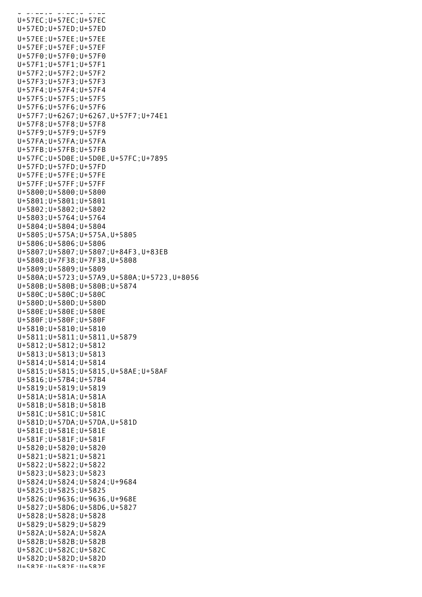U+57EB;U+57EB;U+57EB U+57EC;U+57EC;U+57EC U+57ED;U+57ED;U+57ED U+57EE;U+57EE;U+57EE U+57EF;U+57EF;U+57EF U+57F0;U+57F0;U+57F0 U+57F1;U+57F1;U+57F1 U+57F2;U+57F2;U+57F2 U+57F3;U+57F3;U+57F3 U+57F4;U+57F4;U+57F4 U+57F5;U+57F5;U+57F5 U+57F6;U+57F6;U+57F6 U+57F7;U+6267;U+6267,U+57F7;U+74E1 U+57F8;U+57F8;U+57F8 U+57F9;U+57F9;U+57F9 U+57FA;U+57FA;U+57FA U+57FB;U+57FB;U+57FB U+57FC;U+5D0E;U+5D0E,U+57FC;U+7895 U+57FD;U+57FD;U+57FD U+57FE;U+57FE;U+57FE U+57FF;U+57FF;U+57FF U+5800;U+5800;U+5800 U+5801;U+5801;U+5801 U+5802;U+5802;U+5802 U+5803;U+5764;U+5764 U+5804;U+5804;U+5804 U+5805;U+575A;U+575A,U+5805 U+5806;U+5806;U+5806 U+5807;U+5807;U+5807;U+84F3,U+83EB U+5808;U+7F38;U+7F38,U+5808 U+5809;U+5809;U+5809 U+580A;U+5723;U+57A9,U+580A;U+5723,U+8056 U+580B;U+580B;U+580B;U+5874 U+580C;U+580C;U+580C U+580D;U+580D;U+580D U+580E;U+580E;U+580E U+580F;U+580F;U+580F U+5810;U+5810;U+5810 U+5811;U+5811;U+5811,U+5879 U+5812;U+5812;U+5812 U+5813;U+5813;U+5813 U+5814;U+5814;U+5814 U+5815;U+5815;U+5815,U+58AE;U+58AF U+5816;U+57B4;U+57B4 U+5819;U+5819;U+5819 U+581A;U+581A;U+581A U+581B;U+581B;U+581B U+581C;U+581C;U+581C U+581D;U+57DA;U+57DA,U+581D U+581E;U+581E;U+581E U+581F;U+581F;U+581F U+5820;U+5820;U+5820 U+5821;U+5821;U+5821 U+5822;U+5822;U+5822 U+5823;U+5823;U+5823 U+5824;U+5824;U+5824;U+9684 U+5825;U+5825;U+5825 U+5826;U+9636;U+9636,U+968E U+5827;U+58D6;U+58D6,U+5827 U+5828;U+5828;U+5828 U+5829;U+5829;U+5829 U+582A;U+582A;U+582A U+582B;U+582B;U+582B U+582C;U+582C;U+582C U+582D;U+582D;U+582D U+582E;U+582E;U+582E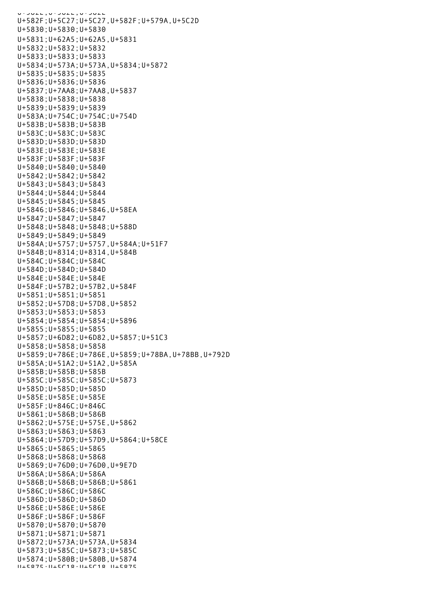U+582E;U+582E;U+582E U+582F;U+5C27;U+5C27,U+582F;U+579A,U+5C2D U+5830;U+5830;U+5830 U+5831;U+62A5;U+62A5,U+5831 U+5832;U+5832;U+5832 U+5833;U+5833;U+5833 U+5834;U+573A;U+573A,U+5834;U+5872 U+5835;U+5835;U+5835 U+5836;U+5836;U+5836 U+5837;U+7AA8;U+7AA8,U+5837 U+5838;U+5838;U+5838 U+5839;U+5839;U+5839 U+583A;U+754C;U+754C;U+754D U+583B;U+583B;U+583B U+583C;U+583C;U+583C U+583D;U+583D;U+583D U+583E;U+583E;U+583E U+583F;U+583F;U+583F U+5840;U+5840;U+5840 U+5842;U+5842;U+5842 U+5843;U+5843;U+5843 U+5844;U+5844;U+5844 U+5845;U+5845;U+5845 U+5846;U+5846;U+5846,U+58EA U+5847;U+5847;U+5847 U+5848;U+5848;U+5848;U+588D U+5849;U+5849;U+5849 U+584A;U+5757;U+5757,U+584A;U+51F7 U+584B;U+8314;U+8314,U+584B U+584C;U+584C;U+584C U+584D;U+584D;U+584D U+584E;U+584E;U+584E U+584F;U+57B2;U+57B2,U+584F U+5851;U+5851;U+5851 U+5852;U+57D8;U+57D8,U+5852 U+5853;U+5853;U+5853 U+5854;U+5854;U+5854;U+5896 U+5855;U+5855;U+5855 U+5857;U+6D82;U+6D82,U+5857;U+51C3 U+5858;U+5858;U+5858 U+5859;U+786E;U+786E,U+5859;U+78BA,U+78BB,U+792D U+585A;U+51A2;U+51A2,U+585A U+585B;U+585B;U+585B U+585C;U+585C;U+585C;U+5873 U+585D;U+585D;U+585D U+585E;U+585E;U+585E U+585F;U+846C;U+846C U+5861;U+586B;U+586B U+5862;U+575E;U+575E,U+5862 U+5863;U+5863;U+5863 U+5864;U+57D9;U+57D9,U+5864;U+58CE U+5865;U+5865;U+5865 U+5868;U+5868;U+5868 U+5869;U+76D0;U+76D0,U+9E7D U+586A;U+586A;U+586A U+586B;U+586B;U+586B;U+5861 U+586C;U+586C;U+586C U+586D;U+586D;U+586D U+586E;U+586E;U+586E U+586F;U+586F;U+586F U+5870;U+5870;U+5870 U+5871;U+5871;U+5871 U+5872;U+573A;U+573A,U+5834 U+5873;U+585C;U+5873;U+585C U+5874;U+580B;U+580B,U+5874 U+5875;U+5C18;U+5C18,U+5875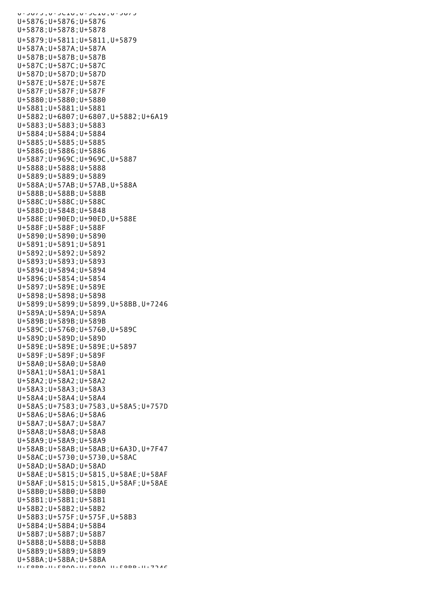U+5875;U+5C10,U+5C10,U+5C19 U+5876;U+5876;U+5876 U+5878;U+5878;U+5878 U+5879;U+5811;U+5811,U+5879 U+587A;U+587A;U+587A U+587B;U+587B;U+587B U+587C;U+587C;U+587C U+587D;U+587D;U+587D U+587E;U+587E;U+587E U+587F;U+587F;U+587F U+5880;U+5880;U+5880 U+5881;U+5881;U+5881 U+5882;U+6807;U+6807,U+5882;U+6A19 U+5883;U+5883;U+5883 U+5884;U+5884;U+5884 U+5885;U+5885;U+5885 U+5886;U+5886;U+5886 U+5887;U+969C;U+969C,U+5887 U+5888;U+5888;U+5888 U+5889;U+5889;U+5889 U+588A;U+57AB;U+57AB,U+588A U+588B;U+588B;U+588B U+588C;U+588C;U+588C U+588D;U+5848;U+5848 U+588E;U+90ED;U+90ED,U+588E U+588F;U+588F;U+588F U+5890;U+5890;U+5890 U+5891;U+5891;U+5891 U+5892;U+5892;U+5892 U+5893;U+5893;U+5893 U+5894;U+5894;U+5894 U+5896;U+5854;U+5854 U+5897;U+589E;U+589E U+5898;U+5898;U+5898 U+5899;U+5899;U+5899,U+58BB,U+7246 U+589A;U+589A;U+589A U+589B;U+589B;U+589B U+589C;U+5760;U+5760,U+589C U+589D;U+589D;U+589D U+589E;U+589E;U+589E;U+5897 U+589F;U+589F;U+589F U+58A0;U+58A0;U+58A0 U+58A1;U+58A1;U+58A1 U+58A2;U+58A2;U+58A2 U+58A3;U+58A3;U+58A3 U+58A4;U+58A4;U+58A4 U+58A5;U+7583;U+7583,U+58A5;U+757D U+58A6;U+58A6;U+58A6 U+58A7;U+58A7;U+58A7 U+58A8;U+58A8;U+58A8 U+58A9;U+58A9;U+58A9 U+58AB;U+58AB;U+58AB;U+6A3D,U+7F47 U+58AC;U+5730;U+5730,U+58AC U+58AD;U+58AD;U+58AD U+58AE;U+5815;U+5815,U+58AE;U+58AF U+58AF;U+5815;U+5815,U+58AF;U+58AE U+58B0;U+58B0;U+58B0 U+58B1;U+58B1;U+58B1 U+58B2;U+58B2;U+58B2 U+58B3;U+575F;U+575F,U+58B3 U+58B4;U+58B4;U+58B4 U+58B7;U+58B7;U+58B7 U+58B8;U+58B8;U+58B8 U+58B9;U+58B9;U+58B9 U+58BA;U+58BA;U+58BA U+59BB;U+5800;U+5900,U+59BB;U+7746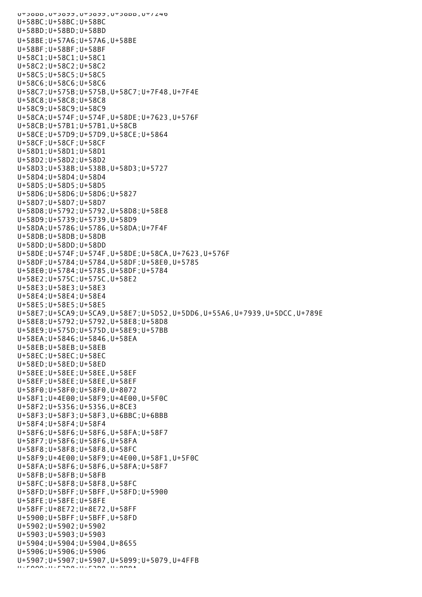$U^{\pm}$ 59B , U+5899, U+589,U+589,U+589,U+7240 U+58BC;U+58BC;U+58BC U+58BD;U+58BD;U+58BD U+58BE;U+57A6;U+57A6,U+58BE U+58BF;U+58BF;U+58BF U+58C1;U+58C1;U+58C1 U+58C2;U+58C2;U+58C2 U+58C5;U+58C5;U+58C5 U+58C6;U+58C6;U+58C6 U+58C7;U+575B;U+575B,U+58C7;U+7F48,U+7F4E U+58C8;U+58C8;U+58C8 U+58C9;U+58C9;U+58C9 U+58CA;U+574F;U+574F,U+58DE;U+7623,U+576F U+58CB;U+57B1;U+57B1,U+58CB U+58CE;U+57D9;U+57D9,U+58CE;U+5864 U+58CF;U+58CF;U+58CF U+58D1;U+58D1;U+58D1 U+58D2;U+58D2;U+58D2 U+58D3;U+538B;U+538B,U+58D3;U+5727 U+58D4;U+58D4;U+58D4 U+58D5;U+58D5;U+58D5 U+58D6;U+58D6;U+58D6;U+5827 U+58D7;U+58D7;U+58D7 U+58D8;U+5792;U+5792,U+58D8;U+58E8 U+58D9;U+5739;U+5739,U+58D9 U+58DA;U+5786;U+5786,U+58DA;U+7F4F U+58DB;U+58DB;U+58DB U+58DD;U+58DD;U+58DD U+58DE;U+574F;U+574F,U+58DE;U+58CA,U+7623,U+576F U+58DF;U+5784;U+5784,U+58DF;U+58E0,U+5785 U+58E0;U+5784;U+5785,U+58DF;U+5784 U+58E2;U+575C;U+575C,U+58E2 U+58E3;U+58E3;U+58E3 U+58E4;U+58E4;U+58E4 U+58E5;U+58E5;U+58E5 U+58E7;U+5CA9;U+5CA9,U+58E7;U+5D52,U+5DD6,U+55A6,U+7939,U+5DCC,U+789E U+58E8;U+5792;U+5792,U+58E8;U+58D8 U+58E9;U+575D;U+575D,U+58E9;U+57BB U+58EA;U+5846;U+5846,U+58EA U+58EB;U+58EB;U+58EB U+58EC;U+58EC;U+58EC U+58ED;U+58ED;U+58ED U+58EE;U+58EE;U+58EE,U+58EF U+58EF;U+58EE;U+58EE,U+58EF U+58F0;U+58F0;U+58F0,U+8072 U+58F1;U+4E00;U+58F9;U+4E00,U+5F0C U+58F2;U+5356;U+5356,U+8CE3 U+58F3;U+58F3;U+58F3,U+6BBC;U+6BBB U+58F4;U+58F4;U+58F4 U+58F6;U+58F6;U+58F6,U+58FA;U+58F7 U+58F7;U+58F6;U+58F6,U+58FA U+58F8;U+58F8;U+58F8,U+58FC U+58F9;U+4E00;U+58F9;U+4E00,U+58F1,U+5F0C U+58FA;U+58F6;U+58F6,U+58FA;U+58F7 U+58FB;U+58FB;U+58FB U+58FC;U+58F8;U+58F8,U+58FC U+58FD;U+5BFF;U+5BFF,U+58FD;U+5900 U+58FE;U+58FE;U+58FE U+58FF;U+8E72;U+8E72,U+58FF U+5900;U+5BFF;U+5BFF,U+58FD U+5902;U+5902;U+5902 U+5903;U+5903;U+5903 U+5904;U+5904;U+5904,U+8655 U+5906;U+5906;U+5906 U+5907;U+5907;U+5907,U+5099;U+5079,U+4FFB U+5909;U+53D8;U+53D8,U+8B8A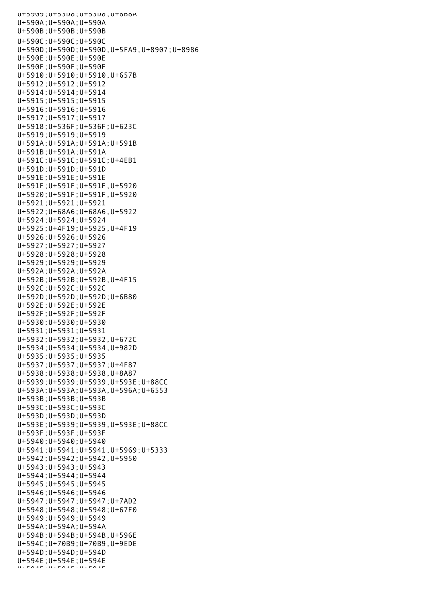U+5909;U+53D8;U+53D8,U+8B8A U+590A;U+590A;U+590A U+590B;U+590B;U+590B U+590C;U+590C;U+590C U+590D;U+590D;U+590D,U+5FA9,U+8907;U+8986 U+590E;U+590E;U+590E U+590F;U+590F;U+590F U+5910;U+5910;U+5910,U+657B U+5912;U+5912;U+5912 U+5914;U+5914;U+5914 U+5915;U+5915;U+5915 U+5916;U+5916;U+5916 U+5917;U+5917;U+5917 U+5918;U+536F;U+536F;U+623C U+5919;U+5919;U+5919 U+591A;U+591A;U+591A;U+591B U+591B;U+591A;U+591A U+591C;U+591C;U+591C;U+4EB1 U+591D;U+591D;U+591D U+591E;U+591E;U+591E U+591F;U+591F;U+591F,U+5920 U+5920;U+591F;U+591F,U+5920 U+5921;U+5921;U+5921 U+5922;U+68A6;U+68A6,U+5922 U+5924;U+5924;U+5924 U+5925;U+4F19;U+5925,U+4F19 U+5926;U+5926;U+5926 U+5927;U+5927;U+5927 U+5928;U+5928;U+5928 U+5929;U+5929;U+5929 U+592A;U+592A;U+592A U+592B;U+592B;U+592B,U+4F15 U+592C;U+592C;U+592C U+592D;U+592D;U+592D;U+6B80 U+592E;U+592E;U+592E U+592F;U+592F;U+592F U+5930;U+5930;U+5930 U+5931;U+5931;U+5931 U+5932;U+5932;U+5932,U+672C U+5934;U+5934;U+5934,U+982D U+5935;U+5935;U+5935 U+5937;U+5937;U+5937;U+4F87 U+5938;U+5938;U+5938,U+8A87 U+5939;U+5939;U+5939,U+593E;U+88CC U+593A;U+593A;U+593A,U+596A;U+6553 U+593B;U+593B;U+593B U+593C;U+593C;U+593C U+593D;U+593D;U+593D U+593E;U+5939;U+5939,U+593E;U+88CC U+593F;U+593F;U+593F U+5940;U+5940;U+5940 U+5941;U+5941;U+5941,U+5969;U+5333 U+5942;U+5942;U+5942,U+5950 U+5943;U+5943;U+5943 U+5944;U+5944;U+5944 U+5945;U+5945;U+5945 U+5946;U+5946;U+5946 U+5947;U+5947;U+5947;U+7AD2 U+5948;U+5948;U+5948;U+67F0 U+5949;U+5949;U+5949 U+594A;U+594A;U+594A U+594B;U+594B;U+594B,U+596E U+594C;U+70B9;U+70B9,U+9EDE U+594D;U+594D;U+594D U+594E;U+594E;U+594E  $U \times F$ 94F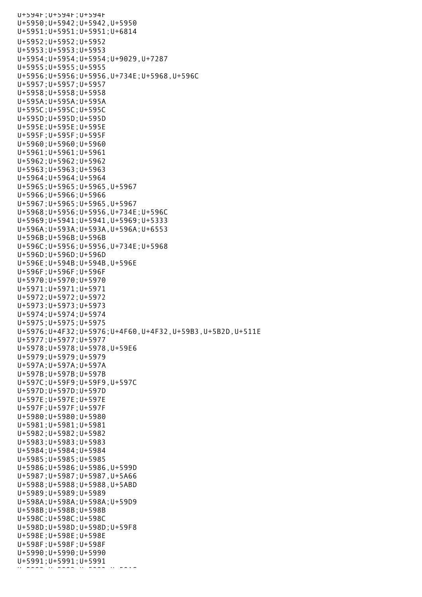U+594F;U+594F;U+594F U+5950;U+5942;U+5942,U+5950 U+5951;U+5951;U+5951;U+6814 U+5952;U+5952;U+5952 U+5953;U+5953;U+5953 U+5954;U+5954;U+5954;U+9029,U+7287 U+5955;U+5955;U+5955 U+5956;U+5956;U+5956,U+734E;U+5968,U+596C U+5957;U+5957;U+5957 U+5958;U+5958;U+5958 U+595A;U+595A;U+595A U+595C;U+595C;U+595C U+595D;U+595D;U+595D U+595E;U+595E;U+595E U+595F;U+595F;U+595F U+5960;U+5960;U+5960 U+5961;U+5961;U+5961 U+5962;U+5962;U+5962 U+5963;U+5963;U+5963 U+5964;U+5964;U+5964 U+5965;U+5965;U+5965,U+5967 U+5966;U+5966;U+5966 U+5967;U+5965;U+5965,U+5967 U+5968;U+5956;U+5956,U+734E;U+596C U+5969;U+5941;U+5941,U+5969;U+5333 U+596A;U+593A;U+593A,U+596A;U+6553 U+596B;U+596B;U+596B U+596C;U+5956;U+5956,U+734E;U+5968 U+596D;U+596D;U+596D U+596E;U+594B;U+594B,U+596E U+596F;U+596F;U+596F U+5970;U+5970;U+5970 U+5971;U+5971;U+5971 U+5972;U+5972;U+5972 U+5973;U+5973;U+5973 U+5974;U+5974;U+5974 U+5975;U+5975;U+5975 U+5976;U+4F32;U+5976;U+4F60,U+4F32,U+59B3,U+5B2D,U+511E U+5977;U+5977;U+5977 U+5978;U+5978;U+5978,U+59E6 U+5979;U+5979;U+5979 U+597A;U+597A;U+597A U+597B;U+597B;U+597B U+597C;U+59F9;U+59F9,U+597C U+597D;U+597D;U+597D U+597E;U+597E;U+597E U+597F;U+597F;U+597F U+5980;U+5980;U+5980 U+5981;U+5981;U+5981 U+5982;U+5982;U+5982 U+5983;U+5983;U+5983 U+5984;U+5984;U+5984 U+5985;U+5985;U+5985 U+5986;U+5986;U+5986,U+599D U+5987;U+5987;U+5987,U+5A66 U+5988;U+5988;U+5988,U+5ABD U+5989;U+5989;U+5989 U+598A;U+598A;U+598A;U+59D9 U+598B;U+598B;U+598B U+598C;U+598C;U+598C U+598D;U+598D;U+598D;U+59F8 U+598E;U+598E;U+598E U+598F;U+598F;U+598F U+5990;U+5990;U+5990 U+5991;U+5991;U+5991 U+5992;U+5992;U+5992;U+59AC<br>U+5992;U+5992;U+5992;U+5992;U+59AC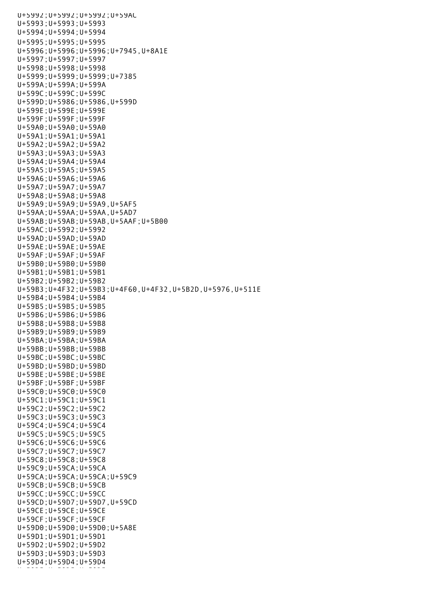U+5992;U+5992;U+5992;U+59AC U+5993;U+5993;U+5993 U+5994;U+5994;U+5994 U+5995;U+5995;U+5995 U+5996;U+5996;U+5996;U+7945,U+8A1E U+5997;U+5997;U+5997 U+5998;U+5998;U+5998 U+5999;U+5999;U+5999;U+7385 U+599A;U+599A;U+599A U+599C;U+599C;U+599C U+599D;U+5986;U+5986,U+599D U+599E;U+599E;U+599E U+599F;U+599F;U+599F U+59A0;U+59A0;U+59A0 U+59A1;U+59A1;U+59A1 U+59A2;U+59A2;U+59A2 U+59A3;U+59A3;U+59A3 U+59A4;U+59A4;U+59A4 U+59A5;U+59A5;U+59A5 U+59A6;U+59A6;U+59A6 U+59A7;U+59A7;U+59A7 U+59A8;U+59A8;U+59A8 U+59A9;U+59A9;U+59A9,U+5AF5 U+59AA;U+59AA;U+59AA,U+5AD7 U+59AB;U+59AB;U+59AB,U+5AAF;U+5B00 U+59AC;U+5992;U+5992 U+59AD;U+59AD;U+59AD U+59AE;U+59AE;U+59AE U+59AF;U+59AF;U+59AF U+59B0;U+59B0;U+59B0 U+59B1;U+59B1;U+59B1 U+59B2;U+59B2;U+59B2 U+59B3;U+4F32;U+59B3;U+4F60,U+4F32,U+5B2D,U+5976,U+511E U+59B4;U+59B4;U+59B4 U+59B5;U+59B5;U+59B5 U+59B6;U+59B6;U+59B6 U+59B8;U+59B8;U+59B8 U+59B9;U+59B9;U+59B9 U+59BA;U+59BA;U+59BA U+59BB;U+59BB;U+59BB U+59BC;U+59BC;U+59BC U+59BD;U+59BD;U+59BD U+59BE;U+59BE;U+59BE U+59BF;U+59BF;U+59BF U+59C0;U+59C0;U+59C0 U+59C1;U+59C1;U+59C1 U+59C2;U+59C2;U+59C2 U+59C3;U+59C3;U+59C3 U+59C4;U+59C4;U+59C4 U+59C5;U+59C5;U+59C5 U+59C6;U+59C6;U+59C6 U+59C7;U+59C7;U+59C7 U+59C8;U+59C8;U+59C8 U+59C9;U+59CA;U+59CA U+59CA;U+59CA;U+59CA;U+59C9 U+59CB;U+59CB;U+59CB U+59CC;U+59CC;U+59CC U+59CD;U+59D7;U+59D7,U+59CD U+59CE;U+59CE;U+59CE U+59CF;U+59CF;U+59CF U+59D0;U+59D0;U+59D0;U+5A8E U+59D1;U+59D1;U+59D1 U+59D2;U+59D2;U+59D2 U+59D3;U+59D3;U+59D3 U+59D4;U+59D4;U+59D4 U+59D5;U+59D5;U+59D5;U+59D5;U+59D5;U+59D5;U+59D5;U+59D5;U+59D5;U+59D5;U+59D5;U+59D5;U+59D5;U+59D5;U+59D5;U+59D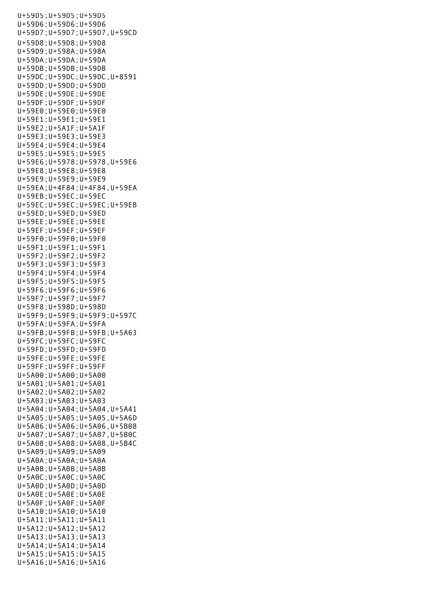U+59D5;U+59D5;U+59D5 U+59D6;U+59D6;U+59D6 U+59D7;U+59D7;U+59D7,U+59CD U+59D8;U+59D8;U+59D8 U+59D9;U+598A;U+598A U+59DA;U+59DA;U+59DA U+59DB;U+59DB;U+59DB U+59DC;U+59DC;U+59DC,U+8591 U+59DD;U+59DD;U+59DD U+59DE;U+59DE;U+59DE U+59DF;U+59DF;U+59DF U+59E0;U+59E0;U+59E0 U+59E1;U+59E1;U+59E1 U+59E2;U+5A1F;U+5A1F U+59E3;U+59E3;U+59E3 U+59E4;U+59E4;U+59E4 U+59E5;U+59E5;U+59E5 U+59E6;U+5978;U+5978,U+59E6 U+59E8;U+59E8;U+59E8 U+59E9;U+59E9;U+59E9 U+59EA;U+4F84;U+4F84,U+59EA U+59EB;U+59EC;U+59EC U+59EC;U+59EC;U+59EC;U+59EB U+59ED;U+59ED;U+59ED U+59EE;U+59EE;U+59EE U+59EF;U+59EF;U+59EF U+59F0;U+59F0;U+59F0 U+59F1;U+59F1;U+59F1 U+59F2;U+59F2;U+59F2 U+59F3;U+59F3;U+59F3 U+59F4;U+59F4;U+59F4 U+59F5;U+59F5;U+59F5 U+59F6;U+59F6;U+59F6 U+59F7;U+59F7;U+59F7 U+59F8;U+598D;U+598D U+59F9;U+59F9;U+59F9;U+597C U+59FA;U+59FA;U+59FA U+59FB;U+59FB;U+59FB;U+5A63 U+59FC;U+59FC;U+59FC U+59FD;U+59FD;U+59FD U+59FE;U+59FE;U+59FE U+59FF;U+59FF;U+59FF U+5A00;U+5A00;U+5A00 U+5A01;U+5A01;U+5A01 U+5A02;U+5A02;U+5A02 U+5A03;U+5A03;U+5A03 U+5A04;U+5A04;U+5A04,U+5A41 U+5A05;U+5A05;U+5A05,U+5A6D U+5A06;U+5A06;U+5A06,U+5B08 U+5A07;U+5A07;U+5A07,U+5B0C U+5A08;U+5A08;U+5A08,U+5B4C U+5A09;U+5A09;U+5A09 U+5A0A;U+5A0A;U+5A0A U+5A0B;U+5A0B;U+5A0B U+5A0C;U+5A0C;U+5A0C U+5A0D;U+5A0D;U+5A0D U+5A0E;U+5A0E;U+5A0E U+5A0F;U+5A0F;U+5A0F U+5A10;U+5A10;U+5A10 U+5A11;U+5A11;U+5A11 U+5A12;U+5A12;U+5A12 U+5A13;U+5A13;U+5A13 U+5A14;U+5A14;U+5A14 U+5A15;U+5A15;U+5A15 U+5A16;U+5A16;U+5A16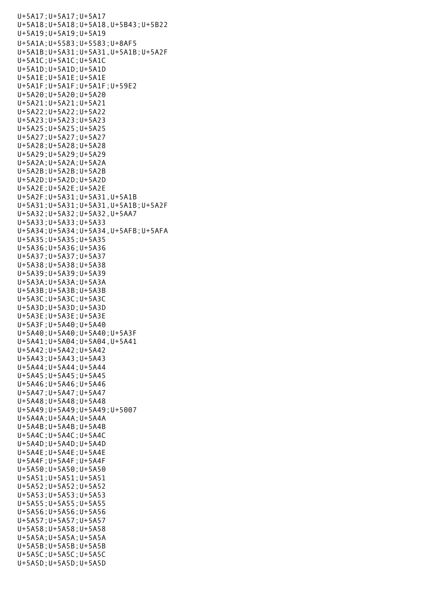U+5A17;U+5A17;U+5A17 U+5A18;U+5A18;U+5A18,U+5B43;U+5B22 U+5A19;U+5A19;U+5A19 U+5A1A;U+5583;U+5583;U+8AF5 U+5A1B;U+5A31;U+5A31,U+5A1B;U+5A2F U+5A1C;U+5A1C;U+5A1C U+5A1D;U+5A1D;U+5A1D U+5A1E;U+5A1E;U+5A1E U+5A1F;U+5A1F;U+5A1F;U+59E2 U+5A20;U+5A20;U+5A20 U+5A21;U+5A21;U+5A21 U+5A22;U+5A22;U+5A22 U+5A23;U+5A23;U+5A23 U+5A25;U+5A25;U+5A25 U+5A27;U+5A27;U+5A27 U+5A28;U+5A28;U+5A28 U+5A29;U+5A29;U+5A29 U+5A2A;U+5A2A;U+5A2A U+5A2B;U+5A2B;U+5A2B U+5A2D;U+5A2D;U+5A2D U+5A2E;U+5A2E;U+5A2E U+5A2F;U+5A31;U+5A31,U+5A1B U+5A31;U+5A31;U+5A31,U+5A1B;U+5A2F U+5A32;U+5A32;U+5A32,U+5AA7 U+5A33;U+5A33;U+5A33 U+5A34;U+5A34;U+5A34,U+5AFB;U+5AFA U+5A35;U+5A35;U+5A35 U+5A36;U+5A36;U+5A36 U+5A37;U+5A37;U+5A37 U+5A38;U+5A38;U+5A38 U+5A39;U+5A39;U+5A39 U+5A3A;U+5A3A;U+5A3A U+5A3B;U+5A3B;U+5A3B U+5A3C;U+5A3C;U+5A3C U+5A3D;U+5A3D;U+5A3D U+5A3E;U+5A3E;U+5A3E  $U+5A3F:U+5A40:U+5A40$ U+5A40;U+5A40;U+5A40;U+5A3F U+5A41;U+5A04;U+5A04,U+5A41 U+5A42;U+5A42;U+5A42 U+5A43;U+5A43;U+5A43 U+5A44;U+5A44;U+5A44 U+5A45;U+5A45;U+5A45 U+5A46;U+5A46;U+5A46 U+5A47;U+5A47;U+5A47 U+5A48;U+5A48;U+5A48 U+5A49;U+5A49;U+5A49;U+5007 U+5A4A;U+5A4A;U+5A4A U+5A4B;U+5A4B;U+5A4B U+5A4C;U+5A4C;U+5A4C U+5A4D;U+5A4D;U+5A4D U+5A4E;U+5A4E;U+5A4E U+5A4F;U+5A4F;U+5A4F U+5A50;U+5A50;U+5A50 U+5A51;U+5A51;U+5A51 U+5A52;U+5A52;U+5A52 U+5A53;U+5A53;U+5A53 U+5A55;U+5A55;U+5A55 U+5A56;U+5A56;U+5A56 U+5A57;U+5A57;U+5A57 U+5A58;U+5A58;U+5A58 U+5A5A;U+5A5A;U+5A5A U+5A5B;U+5A5B;U+5A5B U+5A5C;U+5A5C;U+5A5C U+5A5D;U+5A5D;U+5A5D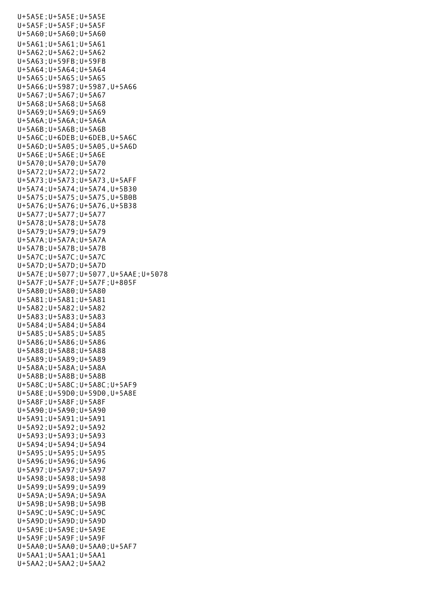U+5A5E;U+5A5E;U+5A5E U+5A5F;U+5A5F;U+5A5F U+5A60;U+5A60;U+5A60 U+5A61;U+5A61;U+5A61 U+5A62;U+5A62;U+5A62 U+5A63;U+59FB;U+59FB U+5A64;U+5A64;U+5A64 U+5A65;U+5A65;U+5A65 U+5A66;U+5987;U+5987,U+5A66 U+5A67;U+5A67;U+5A67 U+5A68;U+5A68;U+5A68 U+5A69;U+5A69;U+5A69 U+5A6A;U+5A6A;U+5A6A U+5A6B;U+5A6B;U+5A6B U+5A6C;U+6DEB;U+6DEB,U+5A6C U+5A6D;U+5A05;U+5A05,U+5A6D U+5A6E;U+5A6E;U+5A6E U+5A70;U+5A70;U+5A70 U+5A72;U+5A72;U+5A72 U+5A73;U+5A73;U+5A73,U+5AFF U+5A74;U+5A74;U+5A74,U+5B30 U+5A75;U+5A75;U+5A75,U+5B0B U+5A76;U+5A76;U+5A76,U+5B38 U+5A77;U+5A77;U+5A77 U+5A78;U+5A78;U+5A78 U+5A79;U+5A79;U+5A79 U+5A7A;U+5A7A;U+5A7A U+5A7B;U+5A7B;U+5A7B U+5A7C;U+5A7C;U+5A7C U+5A7D;U+5A7D;U+5A7D U+5A7E;U+5077;U+5077,U+5AAE;U+5078 U+5A7F;U+5A7F;U+5A7F;U+805F U+5A80;U+5A80;U+5A80 U+5A81;U+5A81;U+5A81 U+5A82;U+5A82;U+5A82 U+5A83;U+5A83;U+5A83 U+5A84;U+5A84;U+5A84 U+5A85;U+5A85;U+5A85 U+5A86;U+5A86;U+5A86 U+5A88;U+5A88;U+5A88 U+5A89;U+5A89;U+5A89 U+5A8A;U+5A8A;U+5A8A U+5A8B;U+5A8B;U+5A8B U+5A8C;U+5A8C;U+5A8C;U+5AF9 U+5A8E;U+59D0;U+59D0,U+5A8E U+5A8F;U+5A8F;U+5A8F U+5A90;U+5A90;U+5A90 U+5A91;U+5A91;U+5A91 U+5A92;U+5A92;U+5A92 U+5A93;U+5A93;U+5A93 U+5A94;U+5A94;U+5A94 U+5A95;U+5A95;U+5A95 U+5A96;U+5A96;U+5A96 U+5A97;U+5A97;U+5A97 U+5A98;U+5A98;U+5A98 U+5A99;U+5A99;U+5A99 U+5A9A;U+5A9A;U+5A9A U+5A9B;U+5A9B;U+5A9B U+5A9C;U+5A9C;U+5A9C U+5A9D;U+5A9D;U+5A9D U+5A9E;U+5A9E;U+5A9E U+5A9F;U+5A9F;U+5A9F U+5AA0;U+5AA0;U+5AA0;U+5AF7 U+5AA1;U+5AA1;U+5AA1 U+5AA2;U+5AA2;U+5AA2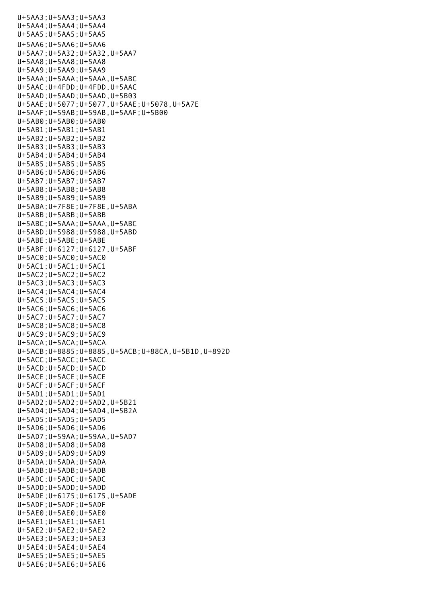U+5AA3;U+5AA3;U+5AA3 U+5AA4;U+5AA4;U+5AA4 U+5AA5;U+5AA5;U+5AA5 U+5AA6;U+5AA6;U+5AA6 U+5AA7;U+5A32;U+5A32,U+5AA7 U+5AA8;U+5AA8;U+5AA8 U+5AA9;U+5AA9;U+5AA9 U+5AAA;U+5AAA;U+5AAA,U+5ABC U+5AAC;U+4FDD;U+4FDD,U+5AAC U+5AAD;U+5AAD;U+5AAD,U+5B03 U+5AAE;U+5077;U+5077,U+5AAE;U+5078,U+5A7E U+5AAF;U+59AB;U+59AB,U+5AAF;U+5B00 U+5AB0;U+5AB0;U+5AB0 U+5AB1;U+5AB1;U+5AB1 U+5AB2;U+5AB2;U+5AB2 U+5AB3;U+5AB3;U+5AB3 U+5AB4;U+5AB4;U+5AB4 U+5AB5;U+5AB5;U+5AB5 U+5AB6;U+5AB6;U+5AB6 U+5AB7;U+5AB7;U+5AB7 U+5AB8;U+5AB8;U+5AB8 U+5AB9;U+5AB9;U+5AB9 U+5ABA;U+7F8E;U+7F8E,U+5ABA U+5ABB;U+5ABB;U+5ABB U+5ABC;U+5AAA;U+5AAA,U+5ABC U+5ABD;U+5988;U+5988,U+5ABD U+5ABE;U+5ABE;U+5ABE U+5ABF;U+6127;U+6127,U+5ABF U+5AC0;U+5AC0;U+5AC0 U+5AC1;U+5AC1;U+5AC1 U+5AC2;U+5AC2;U+5AC2 U+5AC3;U+5AC3;U+5AC3 U+5AC4;U+5AC4;U+5AC4 U+5AC5;U+5AC5;U+5AC5 U+5AC6;U+5AC6;U+5AC6 U+5AC7;U+5AC7;U+5AC7 U+5AC8;U+5AC8;U+5AC8 U+5AC9;U+5AC9;U+5AC9 U+5ACA;U+5ACA;U+5ACA U+5ACB;U+8885;U+8885,U+5ACB;U+88CA,U+5B1D,U+892D U+5ACC;U+5ACC;U+5ACC U+5ACD;U+5ACD;U+5ACD U+5ACE;U+5ACE;U+5ACE U+5ACF;U+5ACF;U+5ACF U+5AD1;U+5AD1;U+5AD1 U+5AD2;U+5AD2;U+5AD2,U+5B21 U+5AD4;U+5AD4;U+5AD4,U+5B2A U+5AD5;U+5AD5;U+5AD5 U+5AD6;U+5AD6;U+5AD6 U+5AD7;U+59AA;U+59AA,U+5AD7 U+5AD8;U+5AD8;U+5AD8 U+5AD9;U+5AD9;U+5AD9 U+5ADA;U+5ADA;U+5ADA U+5ADB;U+5ADB;U+5ADB U+5ADC;U+5ADC;U+5ADC U+5ADD;U+5ADD;U+5ADD U+5ADE;U+6175;U+6175,U+5ADE U+5ADF;U+5ADF;U+5ADF U+5AE0;U+5AE0;U+5AE0 U+5AE1;U+5AE1;U+5AE1 U+5AE2;U+5AE2;U+5AE2 U+5AE3;U+5AE3;U+5AE3 U+5AE4;U+5AE4;U+5AE4 U+5AE5;U+5AE5;U+5AE5 U+5AE6;U+5AE6;U+5AE6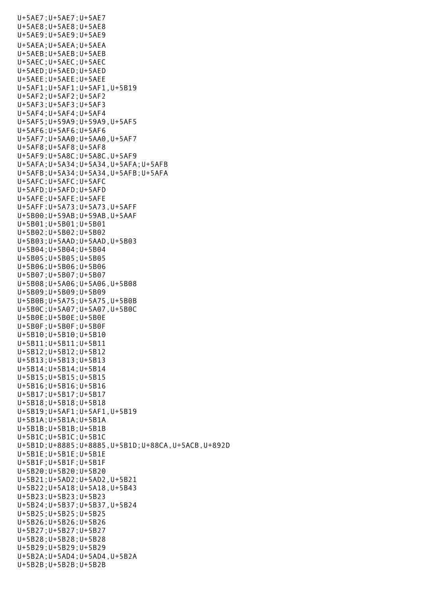U+5AE7;U+5AE7;U+5AE7 U+5AE8;U+5AE8;U+5AE8 U+5AE9;U+5AE9;U+5AE9 U+5AEA;U+5AEA;U+5AEA U+5AEB;U+5AEB;U+5AEB U+5AEC;U+5AEC;U+5AEC U+5AED;U+5AED;U+5AED U+5AEE;U+5AEE;U+5AEE U+5AF1;U+5AF1;U+5AF1,U+5B19 U+5AF2;U+5AF2;U+5AF2 U+5AF3;U+5AF3;U+5AF3 U+5AF4;U+5AF4;U+5AF4 U+5AF5;U+59A9;U+59A9,U+5AF5 U+5AF6;U+5AF6;U+5AF6 U+5AF7;U+5AA0;U+5AA0,U+5AF7 U+5AF8;U+5AF8;U+5AF8 U+5AF9;U+5A8C;U+5A8C,U+5AF9 U+5AFA;U+5A34;U+5A34,U+5AFA;U+5AFB U+5AFB;U+5A34;U+5A34,U+5AFB;U+5AFA U+5AFC;U+5AFC;U+5AFC U+5AFD;U+5AFD;U+5AFD U+5AFE;U+5AFE;U+5AFE U+5AFF;U+5A73;U+5A73,U+5AFF U+5B00;U+59AB;U+59AB,U+5AAF U+5B01;U+5B01;U+5B01 U+5B02;U+5B02;U+5B02 U+5B03;U+5AAD;U+5AAD,U+5B03 U+5B04;U+5B04;U+5B04 U+5B05;U+5B05;U+5B05 U+5B06;U+5B06;U+5B06 U+5B07;U+5B07;U+5B07 U+5B08;U+5A06;U+5A06,U+5B08 U+5B09;U+5B09;U+5B09 U+5B0B;U+5A75;U+5A75,U+5B0B U+5B0C;U+5A07;U+5A07,U+5B0C U+5B0E;U+5B0E;U+5B0E U+5B0F;U+5B0F;U+5B0F U+5B10;U+5B10;U+5B10 U+5B11;U+5B11;U+5B11 U+5B12;U+5B12;U+5B12 U+5B13;U+5B13;U+5B13 U+5B14;U+5B14;U+5B14 U+5B15;U+5B15;U+5B15 U+5B16;U+5B16;U+5B16 U+5B17;U+5B17;U+5B17 U+5B18;U+5B18;U+5B18 U+5B19;U+5AF1;U+5AF1,U+5B19 U+5B1A;U+5B1A;U+5B1A U+5B1B;U+5B1B;U+5B1B U+5B1C;U+5B1C;U+5B1C U+5B1D;U+8885;U+8885,U+5B1D;U+88CA,U+5ACB,U+892D U+5B1E;U+5B1E;U+5B1E U+5B1F;U+5B1F;U+5B1F U+5B20;U+5B20;U+5B20 U+5B21;U+5AD2;U+5AD2,U+5B21 U+5B22;U+5A18;U+5A18,U+5B43 U+5B23;U+5B23;U+5B23 U+5B24;U+5B37;U+5B37,U+5B24 U+5B25;U+5B25;U+5B25 U+5B26;U+5B26;U+5B26 U+5B27;U+5B27;U+5B27 U+5B28;U+5B28;U+5B28 U+5B29;U+5B29;U+5B29 U+5B2A;U+5AD4;U+5AD4,U+5B2A U+5B2B;U+5B2B;U+5B2B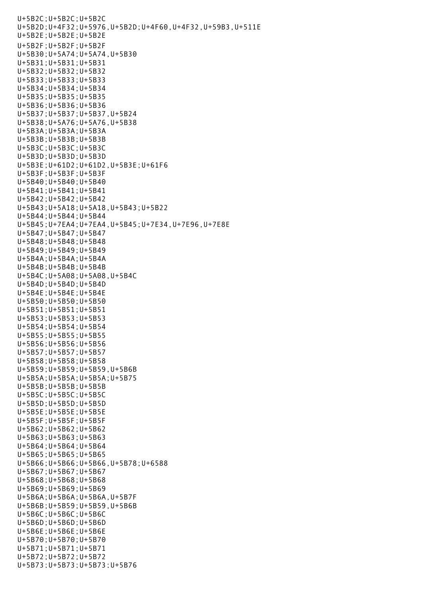U+5B2C;U+5B2C;U+5B2C U+5B2D;U+4F32;U+5976,U+5B2D;U+4F60,U+4F32,U+59B3,U+511E U+5B2E;U+5B2E;U+5B2E U+5B2F;U+5B2F;U+5B2F U+5B30;U+5A74;U+5A74,U+5B30 U+5B31;U+5B31;U+5B31 U+5B32;U+5B32;U+5B32 U+5B33;U+5B33;U+5B33 U+5B34;U+5B34;U+5B34 U+5B35;U+5B35;U+5B35 U+5B36;U+5B36;U+5B36 U+5B37;U+5B37;U+5B37,U+5B24 U+5B38;U+5A76;U+5A76,U+5B38 U+5B3A;U+5B3A;U+5B3A U+5B3B;U+5B3B;U+5B3B U+5B3C;U+5B3C;U+5B3C U+5B3D;U+5B3D;U+5B3D U+5B3E;U+61D2;U+61D2,U+5B3E;U+61F6 U+5B3F;U+5B3F;U+5B3F U+5B40;U+5B40;U+5B40 U+5B41;U+5B41;U+5B41 U+5B42;U+5B42;U+5B42 U+5B43;U+5A18;U+5A18,U+5B43;U+5B22 U+5B44;U+5B44;U+5B44 U+5B45;U+7EA4;U+7EA4,U+5B45;U+7E34,U+7E96,U+7E8E U+5B47;U+5B47;U+5B47 U+5B48;U+5B48;U+5B48 U+5B49;U+5B49;U+5B49 U+5B4A;U+5B4A;U+5B4A U+5B4B;U+5B4B;U+5B4B U+5B4C;U+5A08;U+5A08,U+5B4C U+5B4D;U+5B4D;U+5B4D U+5B4E;U+5B4E;U+5B4E U+5B50;U+5B50;U+5B50 U+5B51;U+5B51;U+5B51 U+5B53;U+5B53;U+5B53 U+5B54;U+5B54;U+5B54 U+5B55;U+5B55;U+5B55 U+5B56;U+5B56;U+5B56 U+5B57;U+5B57;U+5B57 U+5B58;U+5B58;U+5B58 U+5B59;U+5B59;U+5B59,U+5B6B U+5B5A;U+5B5A;U+5B5A;U+5B75 U+5B5B;U+5B5B;U+5B5B U+5B5C;U+5B5C;U+5B5C U+5B5D;U+5B5D;U+5B5D U+5B5E;U+5B5E;U+5B5E U+5B5F;U+5B5F;U+5B5F U+5B62;U+5B62;U+5B62 U+5B63;U+5B63;U+5B63 U+5B64;U+5B64;U+5B64 U+5B65;U+5B65;U+5B65 U+5B66;U+5B66;U+5B66,U+5B78;U+6588 U+5B67;U+5B67;U+5B67 U+5B68;U+5B68;U+5B68 U+5B69;U+5B69;U+5B69 U+5B6A;U+5B6A;U+5B6A,U+5B7F U+5B6B;U+5B59;U+5B59,U+5B6B U+5B6C;U+5B6C;U+5B6C U+5B6D;U+5B6D;U+5B6D U+5B6E;U+5B6E;U+5B6E U+5B70;U+5B70;U+5B70 U+5B71;U+5B71;U+5B71 U+5B72;U+5B72;U+5B72 U+5B73;U+5B73;U+5B73;U+5B76

U+5B2B;U+5B2B;U+5B2B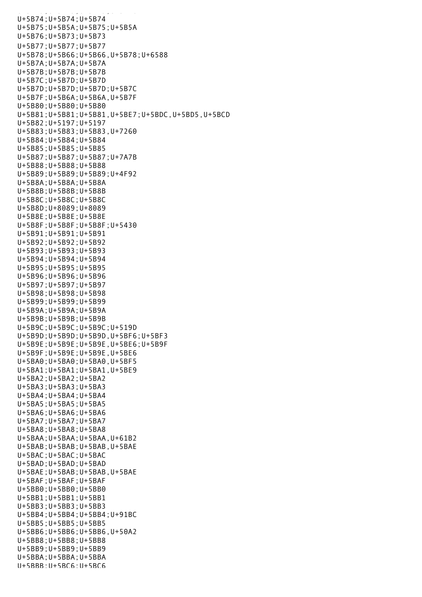U+5B74;U+5B74;U+5B74 U+5B75;U+5B5A;U+5B75;U+5B5A U+5B76;U+5B73;U+5B73 U+5B77;U+5B77;U+5B77 U+5B78;U+5B66;U+5B66,U+5B78;U+6588 U+5B7A;U+5B7A;U+5B7A U+5B7B;U+5B7B;U+5B7B U+5B7C;U+5B7D;U+5B7D U+5B7D;U+5B7D;U+5B7D;U+5B7C U+5B7F;U+5B6A;U+5B6A,U+5B7F U+5B80;U+5B80;U+5B80 U+5B81;U+5B81;U+5B81,U+5BE7;U+5BDC,U+5BD5,U+5BCD U+5B82;U+5197;U+5197 U+5B83;U+5B83;U+5B83,U+7260 U+5B84;U+5B84;U+5B84 U+5B85;U+5B85;U+5B85 U+5B87;U+5B87;U+5B87;U+7A7B U+5B88;U+5B88;U+5B88 U+5B89;U+5B89;U+5B89;U+4F92 U+5B8A;U+5B8A;U+5B8A U+5B8B;U+5B8B;U+5B8B U+5B8C;U+5B8C;U+5B8C U+5B8D;U+8089;U+8089 U+5B8E;U+5B8E;U+5B8E U+5B8F;U+5B8F;U+5B8F;U+5430 U+5B91;U+5B91;U+5B91 U+5B92;U+5B92;U+5B92 U+5B93;U+5B93;U+5B93 U+5B94;U+5B94;U+5B94 U+5B95;U+5B95;U+5B95 U+5B96;U+5B96;U+5B96 U+5B97;U+5B97;U+5B97 U+5B98;U+5B98;U+5B98 U+5B99;U+5B99;U+5B99 U+5B9A;U+5B9A;U+5B9A U+5B9B;U+5B9B;U+5B9B U+5B9C;U+5B9C;U+5B9C;U+519D U+5B9D;U+5B9D;U+5B9D,U+5BF6;U+5BF3 U+5B9E;U+5B9E;U+5B9E,U+5BE6;U+5B9F U+5B9F;U+5B9E;U+5B9E,U+5BE6 U+5BA0;U+5BA0;U+5BA0,U+5BF5 U+5BA1;U+5BA1;U+5BA1,U+5BE9 U+5BA2;U+5BA2;U+5BA2 U+5BA3;U+5BA3;U+5BA3 U+5BA4;U+5BA4;U+5BA4 U+5BA5;U+5BA5;U+5BA5 U+5BA6;U+5BA6;U+5BA6 U+5BA7;U+5BA7;U+5BA7 U+5BA8;U+5BA8;U+5BA8 U+5BAA;U+5BAA;U+5BAA,U+61B2 U+5BAB;U+5BAB;U+5BAB,U+5BAE U+5BAC;U+5BAC;U+5BAC U+5BAD;U+5BAD;U+5BAD U+5BAE;U+5BAB;U+5BAB,U+5BAE U+5BAF;U+5BAF;U+5BAF U+5BB0;U+5BB0;U+5BB0 U+5BB1;U+5BB1;U+5BB1 U+5BB3;U+5BB3;U+5BB3 U+5BB4;U+5BB4;U+5BB4;U+91BC U+5BB5;U+5BB5;U+5BB5 U+5BB6;U+5BB6;U+5BB6,U+50A2 U+5BB8;U+5BB8;U+5BB8 U+5BB9;U+5BB9;U+5BB9 U+5BBA;U+5BBA;U+5BBA U+5BBB;U+5BC6;U+5BC6

U+5B73;U+5B73;U+5B73;U+5B73;U+5B73;U+5B763;U+5B73;U+5B73;U+5B73;U+5B763;U+5B763;U+5B763;U+5B763;U+5B763;U+5B76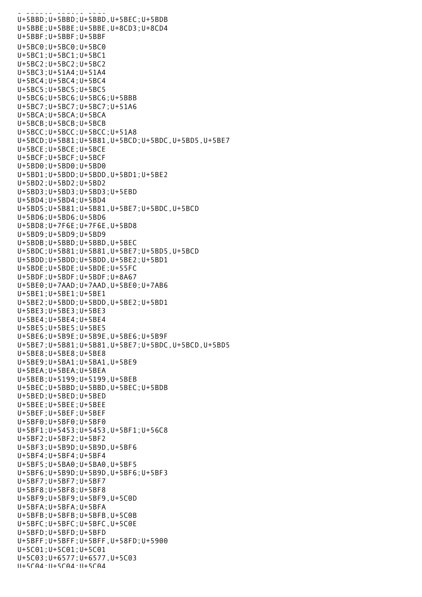UHS SEED, SUPER U+5BBD;U+5BBD;U+5BBD,U+5BEC;U+5BDB U+5BBE;U+5BBE;U+5BBE,U+8CD3;U+8CD4 U+5BBF;U+5BBF;U+5BBF U+5BC0;U+5BC0;U+5BC0 U+5BC1;U+5BC1;U+5BC1 U+5BC2;U+5BC2;U+5BC2 U+5BC3;U+51A4;U+51A4 U+5BC4;U+5BC4;U+5BC4 U+5BC5;U+5BC5;U+5BC5 U+5BC6;U+5BC6;U+5BC6;U+5BBB U+5BC7;U+5BC7;U+5BC7;U+51A6 U+5BCA;U+5BCA;U+5BCA U+5BCB;U+5BCB;U+5BCB U+5BCC;U+5BCC;U+5BCC;U+51A8 U+5BCD;U+5B81;U+5B81,U+5BCD;U+5BDC,U+5BD5,U+5BE7 U+5BCE;U+5BCE;U+5BCE U+5BCF;U+5BCF;U+5BCF U+5BD0;U+5BD0;U+5BD0 U+5BD1;U+5BDD;U+5BDD,U+5BD1;U+5BE2 U+5BD2;U+5BD2;U+5BD2 U+5BD3;U+5BD3;U+5BD3;U+5EBD U+5BD4;U+5BD4;U+5BD4 U+5BD5;U+5B81;U+5B81,U+5BE7;U+5BDC,U+5BCD U+5BD6;U+5BD6;U+5BD6 U+5BD8;U+7F6E;U+7F6E,U+5BD8 U+5BD9;U+5BD9;U+5BD9 U+5BDB;U+5BBD;U+5BBD,U+5BEC U+5BDC;U+5B81;U+5B81,U+5BE7;U+5BD5,U+5BCD U+5BDD;U+5BDD;U+5BDD,U+5BE2;U+5BD1 U+5BDE;U+5BDE;U+5BDE;U+55FC U+5BDF;U+5BDF;U+5BDF;U+8A67 U+5BE0;U+7AAD;U+7AAD,U+5BE0;U+7AB6 U+5BE1;U+5BE1;U+5BE1 U+5BE2;U+5BDD;U+5BDD,U+5BE2;U+5BD1 U+5BE3;U+5BE3;U+5BE3 U+5BE4;U+5BE4;U+5BE4 U+5BE5;U+5BE5;U+5BE5 U+5BE6;U+5B9E;U+5B9E,U+5BE6;U+5B9F U+5BE7;U+5B81;U+5B81,U+5BE7;U+5BDC,U+5BCD,U+5BD5 U+5BE8;U+5BE8;U+5BE8 U+5BE9;U+5BA1;U+5BA1,U+5BE9 U+5BEA;U+5BEA;U+5BEA U+5BEB;U+5199;U+5199,U+5BEB U+5BEC;U+5BBD;U+5BBD,U+5BEC;U+5BDB U+5BED;U+5BED;U+5BED U+5BEE;U+5BEE;U+5BEE U+5BEF;U+5BEF;U+5BEF U+5BF0;U+5BF0;U+5BF0 U+5BF1;U+5453;U+5453,U+5BF1;U+56C8 U+5BF2;U+5BF2;U+5BF2 U+5BF3;U+5B9D;U+5B9D,U+5BF6 U+5BF4;U+5BF4;U+5BF4 U+5BF5;U+5BA0;U+5BA0,U+5BF5 U+5BF6;U+5B9D;U+5B9D,U+5BF6;U+5BF3 U+5BF7;U+5BF7;U+5BF7 U+5BF8;U+5BF8;U+5BF8 U+5BF9;U+5BF9;U+5BF9,U+5C0D U+5BFA;U+5BFA;U+5BFA U+5BFB;U+5BFB;U+5BFB,U+5C0B U+5BFC;U+5BFC;U+5BFC,U+5C0E U+5BFD;U+5BFD;U+5BFD U+5BFF;U+5BFF;U+5BFF,U+58FD;U+5900 U+5C01;U+5C01;U+5C01 U+5C03;U+6577;U+6577,U+5C03  $II+5C04 \cdot II+5C04 \cdot II+5C04$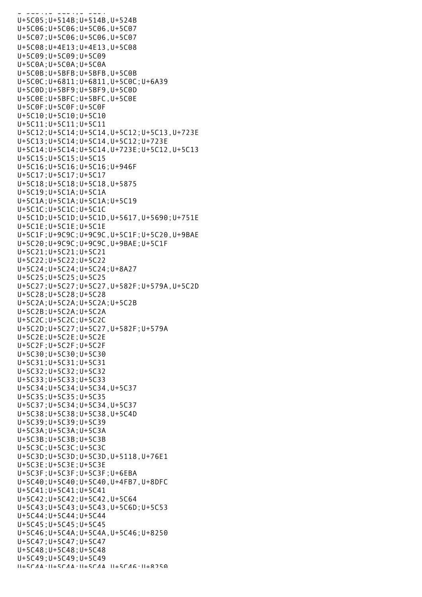U+5C04;U+5C04;U+5C04 U+5C05;U+514B;U+514B,U+524B U+5C06;U+5C06;U+5C06,U+5C07 U+5C07;U+5C06;U+5C06,U+5C07 U+5C08;U+4E13;U+4E13,U+5C08 U+5C09;U+5C09;U+5C09 U+5C0A;U+5C0A;U+5C0A U+5C0B;U+5BFB;U+5BFB,U+5C0B U+5C0C;U+6811;U+6811,U+5C0C;U+6A39 U+5C0D;U+5BF9;U+5BF9,U+5C0D U+5C0E;U+5BFC;U+5BFC,U+5C0E U+5C0F;U+5C0F;U+5C0F U+5C10;U+5C10;U+5C10 U+5C11;U+5C11;U+5C11 U+5C12;U+5C14;U+5C14,U+5C12;U+5C13,U+723E U+5C13;U+5C14;U+5C14,U+5C12;U+723E U+5C14;U+5C14;U+5C14,U+723E;U+5C12,U+5C13 U+5C15;U+5C15;U+5C15 U+5C16;U+5C16;U+5C16;U+946F U+5C17;U+5C17;U+5C17 U+5C18;U+5C18;U+5C18,U+5875 U+5C19;U+5C1A;U+5C1A U+5C1A;U+5C1A;U+5C1A;U+5C19 U+5C1C;U+5C1C;U+5C1C U+5C1D;U+5C1D;U+5C1D,U+5617,U+5690;U+751E U+5C1E;U+5C1E;U+5C1E U+5C1F;U+9C9C;U+9C9C,U+5C1F;U+5C20,U+9BAE U+5C20;U+9C9C;U+9C9C,U+9BAE;U+5C1F U+5C21;U+5C21;U+5C21 U+5C22;U+5C22;U+5C22 U+5C24;U+5C24;U+5C24;U+8A27 U+5C25;U+5C25;U+5C25 U+5C27;U+5C27;U+5C27,U+582F;U+579A,U+5C2D U+5C28;U+5C28;U+5C28 U+5C2A;U+5C2A;U+5C2A;U+5C2B U+5C2B;U+5C2A;U+5C2A U+5C2C;U+5C2C;U+5C2C U+5C2D;U+5C27;U+5C27,U+582F;U+579A U+5C2E;U+5C2E;U+5C2E U+5C2F;U+5C2F;U+5C2F U+5C30;U+5C30;U+5C30 U+5C31;U+5C31;U+5C31 U+5C32;U+5C32;U+5C32 U+5C33;U+5C33;U+5C33 U+5C34;U+5C34;U+5C34,U+5C37 U+5C35;U+5C35;U+5C35 U+5C37;U+5C34;U+5C34,U+5C37 U+5C38;U+5C38;U+5C38,U+5C4D U+5C39;U+5C39;U+5C39 U+5C3A;U+5C3A;U+5C3A U+5C3B;U+5C3B;U+5C3B U+5C3C;U+5C3C;U+5C3C U+5C3D;U+5C3D;U+5C3D,U+5118,U+76E1 U+5C3E;U+5C3E;U+5C3E U+5C3F;U+5C3F;U+5C3F;U+6EBA U+5C40;U+5C40;U+5C40,U+4FB7,U+8DFC U+5C41;U+5C41;U+5C41 U+5C42;U+5C42;U+5C42,U+5C64 U+5C43;U+5C43;U+5C43,U+5C6D;U+5C53 U+5C44;U+5C44;U+5C44 U+5C45;U+5C45;U+5C45 U+5C46;U+5C4A;U+5C4A,U+5C46;U+8250 U+5C47;U+5C47;U+5C47 U+5C48;U+5C48;U+5C48 U+5C49;U+5C49;U+5C49 U+5C4A;U+5C4A;U+5C4A,U+5C46;U+8250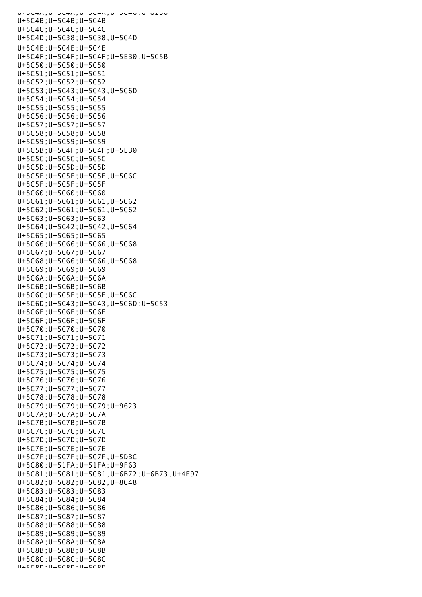U+JUTA;U+JUTA;U+JUTA;U+JUTU;U+UZJU U+5C4B;U+5C4B;U+5C4B U+5C4C;U+5C4C;U+5C4C U+5C4D;U+5C38;U+5C38,U+5C4D U+5C4E;U+5C4E;U+5C4E U+5C4F;U+5C4F;U+5C4F;U+5EB0,U+5C5B U+5C50;U+5C50;U+5C50 U+5C51;U+5C51;U+5C51 U+5C52;U+5C52;U+5C52 U+5C53;U+5C43;U+5C43,U+5C6D U+5C54;U+5C54;U+5C54 U+5C55;U+5C55;U+5C55 U+5C56;U+5C56;U+5C56 U+5C57;U+5C57;U+5C57 U+5C58;U+5C58;U+5C58 U+5C59;U+5C59;U+5C59 U+5C5B;U+5C4F;U+5C4F;U+5EB0 U+5C5C;U+5C5C;U+5C5C U+5C5D;U+5C5D;U+5C5D U+5C5E;U+5C5E;U+5C5E,U+5C6C U+5C5F;U+5C5F;U+5C5F U+5C60;U+5C60;U+5C60 U+5C61;U+5C61;U+5C61,U+5C62 U+5C62;U+5C61;U+5C61,U+5C62 U+5C63;U+5C63;U+5C63 U+5C64;U+5C42;U+5C42,U+5C64 U+5C65;U+5C65;U+5C65 U+5C66;U+5C66;U+5C66,U+5C68 U+5C67;U+5C67;U+5C67 U+5C68;U+5C66;U+5C66,U+5C68 U+5C69;U+5C69;U+5C69 U+5C6A;U+5C6A;U+5C6A U+5C6B;U+5C6B;U+5C6B U+5C6C;U+5C5E;U+5C5E,U+5C6C U+5C6D;U+5C43;U+5C43,U+5C6D;U+5C53 U+5C6E;U+5C6E;U+5C6E U+5C6F;U+5C6F;U+5C6F U+5C70;U+5C70;U+5C70 U+5C71;U+5C71;U+5C71 U+5C72;U+5C72;U+5C72 U+5C73;U+5C73;U+5C73 U+5C74;U+5C74;U+5C74 U+5C75;U+5C75;U+5C75 U+5C76;U+5C76;U+5C76 U+5C77;U+5C77;U+5C77 U+5C78;U+5C78;U+5C78 U+5C79;U+5C79;U+5C79;U+9623 U+5C7A;U+5C7A;U+5C7A U+5C7B;U+5C7B;U+5C7B U+5C7C;U+5C7C;U+5C7C U+5C7D;U+5C7D;U+5C7D U+5C7E;U+5C7E;U+5C7E U+5C7F;U+5C7F;U+5C7F,U+5DBC U+5C80;U+51FA;U+51FA;U+9F63 U+5C81;U+5C81;U+5C81,U+6B72;U+6B73,U+4E97 U+5C82;U+5C82;U+5C82,U+8C48 U+5C83;U+5C83;U+5C83 U+5C84;U+5C84;U+5C84 U+5C86;U+5C86;U+5C86 U+5C87;U+5C87;U+5C87 U+5C88;U+5C88;U+5C88 U+5C89;U+5C89;U+5C89 U+5C8A;U+5C8A;U+5C8A U+5C8B;U+5C8B;U+5C8B U+5C8C;U+5C8C;U+5C8C U+5C8D;U+5C8D;U+5C8D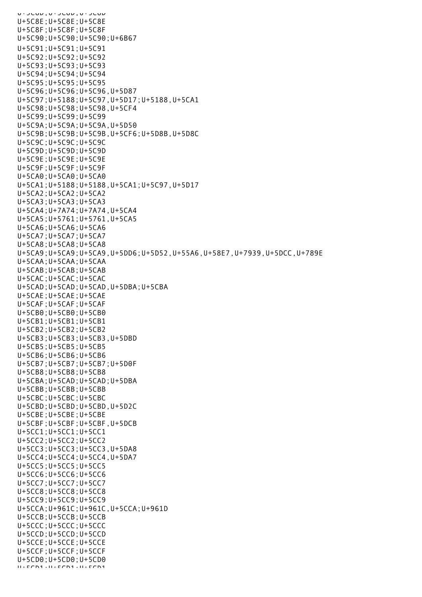U+5C0D;U+5C0D;U+5C0D U+5C8E;U+5C8E;U+5C8E U+5C8F;U+5C8F;U+5C8F U+5C90;U+5C90;U+5C90;U+6B67 U+5C91;U+5C91;U+5C91 U+5C92;U+5C92;U+5C92 U+5C93;U+5C93;U+5C93 U+5C94;U+5C94;U+5C94 U+5C95;U+5C95;U+5C95 U+5C96;U+5C96;U+5C96,U+5D87 U+5C97;U+5188;U+5C97,U+5D17;U+5188,U+5CA1 U+5C98;U+5C98;U+5C98,U+5CF4 U+5C99;U+5C99;U+5C99 U+5C9A;U+5C9A;U+5C9A,U+5D50 U+5C9B;U+5C9B;U+5C9B,U+5CF6;U+5D8B,U+5D8C U+5C9C;U+5C9C;U+5C9C U+5C9D;U+5C9D;U+5C9D U+5C9E;U+5C9E;U+5C9E U+5C9F;U+5C9F;U+5C9F U+5CA0;U+5CA0;U+5CA0 U+5CA1;U+5188;U+5188,U+5CA1;U+5C97,U+5D17 U+5CA2;U+5CA2;U+5CA2 U+5CA3;U+5CA3;U+5CA3 U+5CA4;U+7A74;U+7A74,U+5CA4 U+5CA5;U+5761;U+5761,U+5CA5 U+5CA6;U+5CA6;U+5CA6 U+5CA7;U+5CA7;U+5CA7 U+5CA8;U+5CA8;U+5CA8 U+5CA9;U+5CA9;U+5CA9,U+5DD6;U+5D52,U+55A6,U+58E7,U+7939,U+5DCC,U+789E U+5CAA;U+5CAA;U+5CAA U+5CAB;U+5CAB;U+5CAB U+5CAC;U+5CAC;U+5CAC U+5CAD;U+5CAD;U+5CAD,U+5DBA;U+5CBA U+5CAE;U+5CAE;U+5CAE U+5CAF;U+5CAF;U+5CAF U+5CB0;U+5CB0;U+5CB0 U+5CB1;U+5CB1;U+5CB1 U+5CB2;U+5CB2;U+5CB2 U+5CB3;U+5CB3;U+5CB3,U+5DBD U+5CB5;U+5CB5;U+5CB5 U+5CB6;U+5CB6;U+5CB6 U+5CB7;U+5CB7;U+5CB7;U+5D0F U+5CB8;U+5CB8;U+5CB8 U+5CBA;U+5CAD;U+5CAD;U+5DBA U+5CBB;U+5CBB;U+5CBB U+5CBC;U+5CBC;U+5CBC U+5CBD;U+5CBD;U+5CBD,U+5D2C U+5CBE;U+5CBE;U+5CBE U+5CBF;U+5CBF;U+5CBF,U+5DCB U+5CC1;U+5CC1;U+5CC1 U+5CC2;U+5CC2;U+5CC2 U+5CC3;U+5CC3;U+5CC3,U+5DA8 U+5CC4;U+5CC4;U+5CC4,U+5DA7 U+5CC5;U+5CC5;U+5CC5 U+5CC6;U+5CC6;U+5CC6 U+5CC7;U+5CC7;U+5CC7 U+5CC8;U+5CC8;U+5CC8 U+5CC9;U+5CC9;U+5CC9 U+5CCA;U+961C;U+961C,U+5CCA;U+961D U+5CCB;U+5CCB;U+5CCB U+5CCC;U+5CCC;U+5CCC U+5CCD;U+5CCD;U+5CCD U+5CCE;U+5CCE;U+5CCE U+5CCF;U+5CCF;U+5CCF U+5CD0;U+5CD0;U+5CD0 U+5CD1;U+5CD1;U+5CD1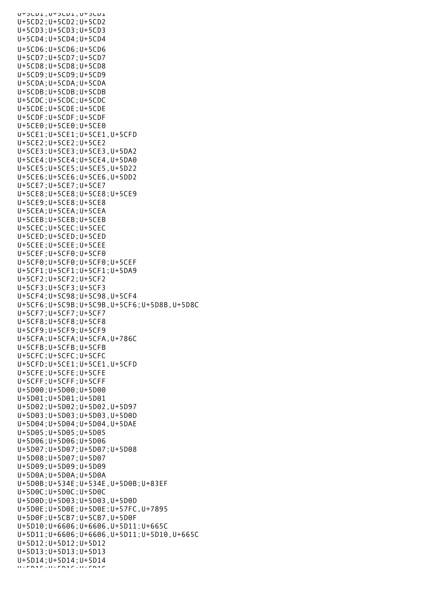U+5CD1;U+5CD1;U+5CD1 U+5CD2;U+5CD2;U+5CD2 U+5CD3;U+5CD3;U+5CD3 U+5CD4;U+5CD4;U+5CD4 U+5CD6;U+5CD6;U+5CD6 U+5CD7;U+5CD7;U+5CD7 U+5CD8;U+5CD8;U+5CD8 U+5CD9;U+5CD9;U+5CD9 U+5CDA;U+5CDA;U+5CDA U+5CDB;U+5CDB;U+5CDB U+5CDC;U+5CDC;U+5CDC U+5CDE;U+5CDE;U+5CDE U+5CDF;U+5CDF;U+5CDF U+5CE0;U+5CE0;U+5CE0 U+5CE1;U+5CE1;U+5CE1,U+5CFD U+5CE2;U+5CE2;U+5CE2 U+5CE3;U+5CE3;U+5CE3,U+5DA2 U+5CE4;U+5CE4;U+5CE4,U+5DA0 U+5CE5;U+5CE5;U+5CE5,U+5D22 U+5CE6;U+5CE6;U+5CE6,U+5DD2 U+5CE7;U+5CE7;U+5CE7 U+5CE8;U+5CE8;U+5CE8;U+5CE9 U+5CE9;U+5CE8;U+5CE8 U+5CEA;U+5CEA;U+5CEA U+5CEB;U+5CEB;U+5CEB U+5CEC;U+5CEC;U+5CEC U+5CED;U+5CED;U+5CED U+5CEE;U+5CEE;U+5CEE U+5CEF;U+5CF0;U+5CF0 U+5CF0;U+5CF0;U+5CF0;U+5CEF U+5CF1;U+5CF1;U+5CF1;U+5DA9 U+5CF2;U+5CF2;U+5CF2 U+5CF3;U+5CF3;U+5CF3 U+5CF4;U+5C98;U+5C98,U+5CF4 U+5CF6;U+5C9B;U+5C9B,U+5CF6;U+5D8B,U+5D8C U+5CF7;U+5CF7;U+5CF7 U+5CF8;U+5CF8;U+5CF8 U+5CF9;U+5CF9;U+5CF9 U+5CFA;U+5CFA;U+5CFA,U+786C U+5CFB;U+5CFB;U+5CFB U+5CFC;U+5CFC;U+5CFC U+5CFD;U+5CE1;U+5CE1,U+5CFD U+5CFE;U+5CFE;U+5CFE U+5CFF;U+5CFF;U+5CFF U+5D00;U+5D00;U+5D00 U+5D01;U+5D01;U+5D01 U+5D02;U+5D02;U+5D02,U+5D97 U+5D03;U+5D03;U+5D03,U+5D0D U+5D04;U+5D04;U+5D04,U+5DAE U+5D05;U+5D05;U+5D05 U+5D06;U+5D06;U+5D06 U+5D07;U+5D07;U+5D07;U+5D08 U+5D08;U+5D07;U+5D07 U+5D09;U+5D09;U+5D09 U+5D0A;U+5D0A;U+5D0A U+5D0B;U+534E;U+534E,U+5D0B;U+83EF U+5D0C;U+5D0C;U+5D0C U+5D0D;U+5D03;U+5D03,U+5D0D U+5D0E;U+5D0E;U+5D0E;U+57FC,U+7895 U+5D0F;U+5CB7;U+5CB7,U+5D0F U+5D10;U+6606;U+6606,U+5D11;U+665C U+5D11;U+6606;U+6606,U+5D11;U+5D10,U+665C U+5D12;U+5D12;U+5D12 U+5D13;U+5D13;U+5D13 U+5D14;U+5D14;U+5D14 U+ FD1F;U+FD16;U+5D16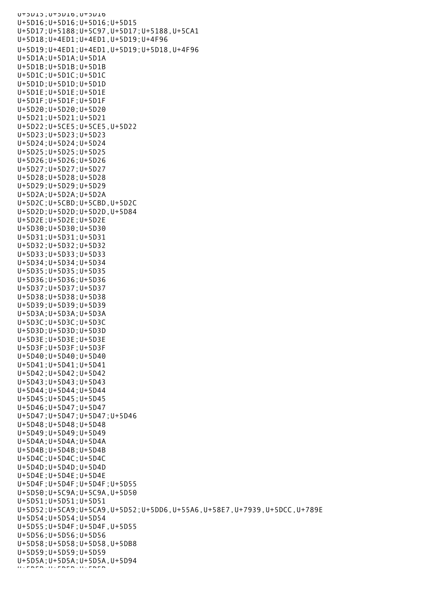U+5D15;U+5D16;U+5D16 U+5D16;U+5D16;U+5D16;U+5D15 U+5D17;U+5188;U+5C97,U+5D17;U+5188,U+5CA1 U+5D18;U+4ED1;U+4ED1,U+5D19;U+4F96 U+5D19;U+4ED1;U+4ED1,U+5D19;U+5D18,U+4F96 U+5D1A;U+5D1A;U+5D1A U+5D1B;U+5D1B;U+5D1B U+5D1C;U+5D1C;U+5D1C U+5D1D;U+5D1D;U+5D1D U+5D1E;U+5D1E;U+5D1E U+5D1F;U+5D1F;U+5D1F U+5D20;U+5D20;U+5D20 U+5D21;U+5D21;U+5D21 U+5D22;U+5CE5;U+5CE5,U+5D22 U+5D23;U+5D23;U+5D23 U+5D24;U+5D24;U+5D24 U+5D25;U+5D25;U+5D25 U+5D26;U+5D26;U+5D26 U+5D27;U+5D27;U+5D27 U+5D28;U+5D28;U+5D28 U+5D29;U+5D29;U+5D29 U+5D2A;U+5D2A;U+5D2A U+5D2C;U+5CBD;U+5CBD,U+5D2C U+5D2D;U+5D2D;U+5D2D,U+5D84 U+5D2E;U+5D2E;U+5D2E U+5D30;U+5D30;U+5D30 U+5D31;U+5D31;U+5D31 U+5D32;U+5D32;U+5D32 U+5D33;U+5D33;U+5D33 U+5D34;U+5D34;U+5D34 U+5D35;U+5D35;U+5D35 U+5D36;U+5D36;U+5D36 U+5D37;U+5D37;U+5D37 U+5D38;U+5D38;U+5D38 U+5D39;U+5D39;U+5D39 U+5D3A;U+5D3A;U+5D3A U+5D3C;U+5D3C;U+5D3C U+5D3D;U+5D3D;U+5D3D U+5D3E;U+5D3E;U+5D3E U+5D3F;U+5D3F;U+5D3F U+5D40;U+5D40;U+5D40 U+5D41;U+5D41;U+5D41 U+5D42;U+5D42;U+5D42 U+5D43;U+5D43;U+5D43 U+5D44;U+5D44;U+5D44 U+5D45;U+5D45;U+5D45 U+5D46;U+5D47;U+5D47 U+5D47;U+5D47;U+5D47;U+5D46 U+5D48;U+5D48;U+5D48 U+5D49;U+5D49;U+5D49 U+5D4A;U+5D4A;U+5D4A U+5D4B;U+5D4B;U+5D4B U+5D4C;U+5D4C;U+5D4C U+5D4D;U+5D4D;U+5D4D U+5D4E;U+5D4E;U+5D4E U+5D4F;U+5D4F;U+5D4F;U+5D55 U+5D50;U+5C9A;U+5C9A,U+5D50 U+5D51;U+5D51;U+5D51 U+5D52;U+5CA9;U+5CA9,U+5D52;U+5DD6,U+55A6,U+58E7,U+7939,U+5DCC,U+789E U+5D54;U+5D54;U+5D54 U+5D55;U+5D4F;U+5D4F,U+5D55 U+5D56;U+5D56;U+5D56 U+5D58;U+5D58;U+5D58,U+5DB8 U+5D59;U+5D59;U+5D59 U+5D5A;U+5D5A;U+5D5A,U+5D94 U+5D5B;U+5D5B;U+5D5B<mark>;</mark><br>U+5D5B;U+5D5B;U+5D5B;U+5D5B;U+5D5B;U+5D5B;U+5D5B;U+5D5B;U+5D5B;U+5D5B;U+5D5B;U+5D5B;U+5D5B;U+5D5B;U+5D5B;U+5D5B;U+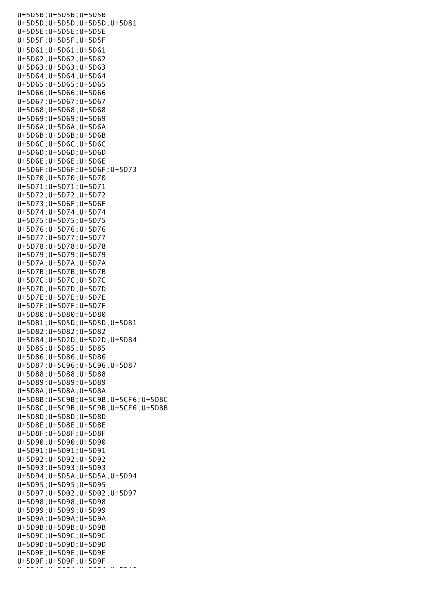U+5D5B;U+5D5B;U+5D5B U+5D5D;U+5D5D;U+5D5D,U+5D81 U+5D5E;U+5D5E;U+5D5E U+5D5F;U+5D5F;U+5D5F U+5D61;U+5D61;U+5D61 U+5D62;U+5D62;U+5D62 U+5D63;U+5D63;U+5D63 U+5D64;U+5D64;U+5D64 U+5D65;U+5D65;U+5D65 U+5D66;U+5D66;U+5D66 U+5D67;U+5D67;U+5D67 U+5D68;U+5D68;U+5D68 U+5D69;U+5D69;U+5D69 U+5D6A;U+5D6A;U+5D6A U+5D6B;U+5D6B;U+5D6B U+5D6C;U+5D6C;U+5D6C U+5D6D;U+5D6D;U+5D6D U+5D6E;U+5D6E;U+5D6E U+5D6F;U+5D6F;U+5D6F;U+5D73 U+5D70;U+5D70;U+5D70 U+5D71;U+5D71;U+5D71 U+5D72;U+5D72;U+5D72 U+5D73;U+5D6F;U+5D6F U+5D74;U+5D74;U+5D74 U+5D75;U+5D75;U+5D75 U+5D76;U+5D76;U+5D76 U+5D77;U+5D77;U+5D77 U+5D78;U+5D78;U+5D78 U+5D79;U+5D79;U+5D79 U+5D7A;U+5D7A;U+5D7A U+5D7B;U+5D7B;U+5D7B U+5D7C;U+5D7C;U+5D7C U+5D7D;U+5D7D;U+5D7D U+5D7E;U+5D7E;U+5D7E U+5D7F;U+5D7F;U+5D7F U+5D80;U+5D80;U+5D80 U+5D81;U+5D5D;U+5D5D,U+5D81 U+5D82;U+5D82;U+5D82 U+5D84;U+5D2D;U+5D2D,U+5D84 U+5D85;U+5D85;U+5D85 U+5D86;U+5D86;U+5D86 U+5D87;U+5C96;U+5C96,U+5D87 U+5D88;U+5D88;U+5D88 U+5D89;U+5D89;U+5D89 U+5D8A;U+5D8A;U+5D8A U+5D8B;U+5C9B;U+5C9B,U+5CF6;U+5D8C U+5D8C;U+5C9B;U+5C9B,U+5CF6;U+5D8B U+5D8D;U+5D8D;U+5D8D U+5D8E;U+5D8E;U+5D8E U+5D8F;U+5D8F;U+5D8F U+5D90;U+5D90;U+5D90 U+5D91;U+5D91;U+5D91 U+5D92;U+5D92;U+5D92 U+5D93;U+5D93;U+5D93 U+5D94;U+5D5A;U+5D5A,U+5D94 U+5D95;U+5D95;U+5D95 U+5D97;U+5D02;U+5D02,U+5D97 U+5D98;U+5D98;U+5D98 U+5D99;U+5D99;U+5D99 U+5D9A;U+5D9A;U+5D9A U+5D9B;U+5D9B;U+5D9B U+5D9C;U+5D9C;U+5D9C U+5D9D;U+5D9D;U+5D9D U+5D9E;U+5D9E;U+5D9E U+5D9F;U+5D9F;U+5D9F U+5DA U+5A5ZU+5A5ZU+5DA<br>U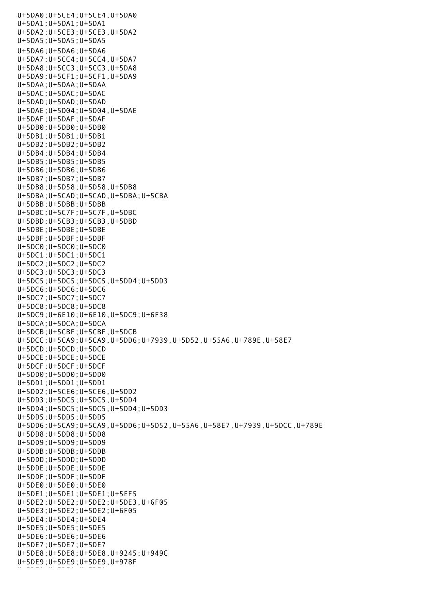U+5DA0;U+5CE4;U+5CE4,U+5DA0 U+5DA1;U+5DA1;U+5DA1 U+5DA2;U+5CE3;U+5CE3,U+5DA2 U+5DA5;U+5DA5;U+5DA5 U+5DA6;U+5DA6;U+5DA6 U+5DA7;U+5CC4;U+5CC4,U+5DA7 U+5DA8;U+5CC3;U+5CC3,U+5DA8 U+5DA9;U+5CF1;U+5CF1,U+5DA9 U+5DAA;U+5DAA;U+5DAA U+5DAC;U+5DAC;U+5DAC U+5DAD;U+5DAD;U+5DAD U+5DAE;U+5D04;U+5D04,U+5DAE U+5DAF;U+5DAF;U+5DAF U+5DB0;U+5DB0;U+5DB0 U+5DB1;U+5DB1;U+5DB1 U+5DB2;U+5DB2;U+5DB2 U+5DB4;U+5DB4;U+5DB4 U+5DB5;U+5DB5;U+5DB5 U+5DB6;U+5DB6;U+5DB6 U+5DB7;U+5DB7;U+5DB7 U+5DB8;U+5D58;U+5D58,U+5DB8 U+5DBA;U+5CAD;U+5CAD,U+5DBA;U+5CBA U+5DBB;U+5DBB;U+5DBB U+5DBC;U+5C7F;U+5C7F,U+5DBC U+5DBD;U+5CB3;U+5CB3,U+5DBD U+5DBE;U+5DBE;U+5DBE U+5DBF;U+5DBF;U+5DBF U+5DC0;U+5DC0;U+5DC0 U+5DC1;U+5DC1;U+5DC1 U+5DC2;U+5DC2;U+5DC2 U+5DC3;U+5DC3;U+5DC3 U+5DC5;U+5DC5;U+5DC5,U+5DD4;U+5DD3 U+5DC6;U+5DC6;U+5DC6 U+5DC7;U+5DC7;U+5DC7 U+5DC8;U+5DC8;U+5DC8 U+5DC9;U+6E10;U+6E10,U+5DC9;U+6F38 U+5DCA;U+5DCA;U+5DCA U+5DCB;U+5CBF;U+5CBF,U+5DCB U+5DCC;U+5CA9;U+5CA9,U+5DD6;U+7939,U+5D52,U+55A6,U+789E,U+58E7 U+5DCD;U+5DCD;U+5DCD U+5DCE;U+5DCE;U+5DCE U+5DCF;U+5DCF;U+5DCF U+5DD0;U+5DD0;U+5DD0 U+5DD1;U+5DD1;U+5DD1 U+5DD2;U+5CE6;U+5CE6,U+5DD2 U+5DD3;U+5DC5;U+5DC5,U+5DD4 U+5DD4;U+5DC5;U+5DC5,U+5DD4;U+5DD3 U+5DD5;U+5DD5;U+5DD5 U+5DD6;U+5CA9;U+5CA9,U+5DD6;U+5D52,U+55A6,U+58E7,U+7939,U+5DCC,U+789E U+5DD8;U+5DD8;U+5DD8 U+5DD9;U+5DD9;U+5DD9 U+5DDB;U+5DDB;U+5DDB U+5DDD;U+5DDD;U+5DDD U+5DDE;U+5DDE;U+5DDE U+5DDF;U+5DDF;U+5DDF U+5DE0;U+5DE0;U+5DE0 U+5DE1;U+5DE1;U+5DE1;U+5EF5 U+5DE2;U+5DE2;U+5DE2;U+5DE3,U+6F05 U+5DE3;U+5DE2;U+5DE2;U+6F05 U+5DE4;U+5DE4;U+5DE4 U+5DE5;U+5DE5;U+5DE5 U+5DE6;U+5DE6;U+5DE6 U+5DE7;U+5DE7;U+5DE7 U+5DE8;U+5DE8;U+5DE8,U+9245;U+949C U+5DE9;U+5DE9;U+5DE9,U+978F U+5DEA;U+5DEA;U+5DEA;U+5DEA;U+5DEA;U+5DEA;U+5DEA;U+5DEA;U+5DEA;U+5DEA;U+5DEA;U+5DEA;U+5DEA;U+5DEA;U+5DEA;U+5D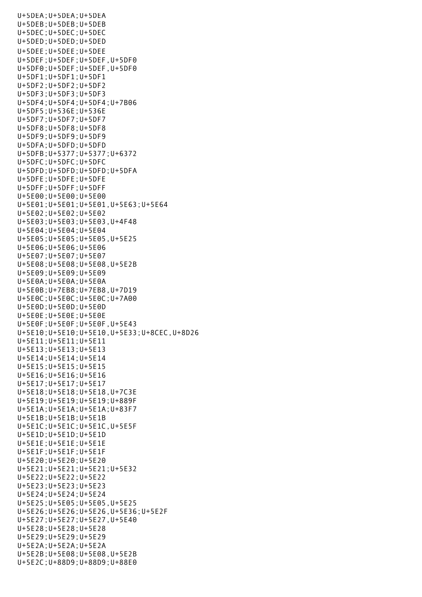U+5DEA;U+5DEA;U+5DEA U+5DEB;U+5DEB;U+5DEB U+5DEC;U+5DEC;U+5DEC U+5DED;U+5DED;U+5DED U+5DEE;U+5DEE;U+5DEE U+5DEF;U+5DEF;U+5DEF,U+5DF0 U+5DF0;U+5DEF;U+5DEF,U+5DF0 U+5DF1;U+5DF1;U+5DF1 U+5DF2;U+5DF2;U+5DF2 U+5DF3;U+5DF3;U+5DF3 U+5DF4;U+5DF4;U+5DF4;U+7B06 U+5DF5;U+536E;U+536E U+5DF7;U+5DF7;U+5DF7 U+5DF8;U+5DF8;U+5DF8 U+5DF9;U+5DF9;U+5DF9 U+5DFA;U+5DFD;U+5DFD U+5DFB;U+5377;U+5377;U+6372 U+5DFC;U+5DFC;U+5DFC U+5DFD;U+5DFD;U+5DFD;U+5DFA U+5DFE;U+5DFE;U+5DFE U+5DFF;U+5DFF;U+5DFF U+5E00;U+5E00;U+5E00 U+5E01;U+5E01;U+5E01,U+5E63;U+5E64 U+5E02;U+5E02;U+5E02 U+5E03;U+5E03;U+5E03,U+4F48 U+5E04;U+5E04;U+5E04 U+5E05;U+5E05;U+5E05,U+5E25 U+5E06;U+5E06;U+5E06 U+5E07;U+5E07;U+5E07 U+5E08;U+5E08;U+5E08,U+5E2B U+5E09;U+5E09;U+5E09 U+5E0A;U+5E0A;U+5E0A U+5E0B;U+7EB8;U+7EB8,U+7D19 U+5E0C;U+5E0C;U+5E0C;U+7A00 U+5E0D;U+5E0D;U+5E0D U+5E0E;U+5E0E;U+5E0E U+5E0F;U+5E0F;U+5E0F,U+5E43 U+5E10;U+5E10;U+5E10,U+5E33;U+8CEC,U+8D26 U+5E11;U+5E11;U+5E11 U+5E13;U+5E13;U+5E13 U+5E14;U+5E14;U+5E14 U+5E15;U+5E15;U+5E15 U+5E16;U+5E16;U+5E16 U+5E17;U+5E17;U+5E17 U+5E18;U+5E18;U+5E18,U+7C3E U+5E19;U+5E19;U+5E19;U+889F U+5E1A;U+5E1A;U+5E1A;U+83F7 U+5E1B;U+5E1B;U+5E1B U+5E1C;U+5E1C;U+5E1C,U+5E5F U+5E1D;U+5E1D;U+5E1D U+5E1E;U+5E1E;U+5E1E U+5E1F;U+5E1F;U+5E1F U+5E20;U+5E20;U+5E20 U+5E21;U+5E21;U+5E21;U+5E32 U+5E22;U+5E22;U+5E22 U+5E23;U+5E23;U+5E23 U+5E24;U+5E24;U+5E24 U+5E25;U+5E05;U+5E05,U+5E25 U+5E26;U+5E26;U+5E26,U+5E36;U+5E2F U+5E27;U+5E27;U+5E27,U+5E40 U+5E28;U+5E28;U+5E28 U+5E29;U+5E29;U+5E29 U+5E2A;U+5E2A;U+5E2A U+5E2B;U+5E08;U+5E08,U+5E2B U+5E2C;U+88D9;U+88D9;U+88E0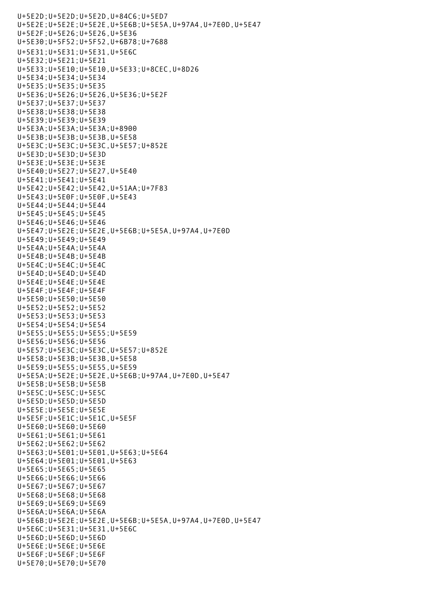U+5E2D;U+5E2D;U+5E2D,U+84C6;U+5ED7 U+5E2E;U+5E2E;U+5E2E,U+5E6B;U+5E5A,U+97A4,U+7E0D,U+5E47 U+5E2F;U+5E26;U+5E26,U+5E36 U+5E30;U+5F52;U+5F52,U+6B78;U+7688 U+5E31;U+5E31;U+5E31,U+5E6C U+5E32;U+5E21;U+5E21 U+5E33;U+5E10;U+5E10,U+5E33;U+8CEC,U+8D26 U+5E34;U+5E34;U+5E34 U+5E35;U+5E35;U+5E35 U+5E36;U+5E26;U+5E26,U+5E36;U+5E2F U+5E37;U+5E37;U+5E37 U+5E38;U+5E38;U+5E38 U+5E39;U+5E39;U+5E39 U+5E3A;U+5E3A;U+5E3A;U+8900 U+5E3B;U+5E3B;U+5E3B,U+5E58 U+5E3C;U+5E3C;U+5E3C,U+5E57;U+852E U+5E3D;U+5E3D;U+5E3D U+5E3E;U+5E3E;U+5E3E U+5E40;U+5E27;U+5E27,U+5E40 U+5E41;U+5E41;U+5E41 U+5E42;U+5E42;U+5E42,U+51AA;U+7F83 U+5E43;U+5E0F;U+5E0F,U+5E43 U+5E44;U+5E44;U+5E44 U+5E45;U+5E45;U+5E45 U+5E46;U+5E46;U+5E46 U+5E47;U+5E2E;U+5E2E,U+5E6B;U+5E5A,U+97A4,U+7E0D U+5E49;U+5E49;U+5E49 U+5E4A;U+5E4A;U+5E4A U+5E4B;U+5E4B;U+5E4B U+5E4C;U+5E4C;U+5E4C U+5E4D;U+5E4D;U+5E4D U+5E4E;U+5E4E;U+5E4E U+5E4F;U+5E4F;U+5E4F U+5E50;U+5E50;U+5E50 U+5E52;U+5E52;U+5E52 U+5E53;U+5E53;U+5E53 U+5E54;U+5E54;U+5E54 U+5E55;U+5E55;U+5E55;U+5E59 U+5E56;U+5E56;U+5E56 U+5E57;U+5E3C;U+5E3C,U+5E57;U+852E U+5E58;U+5E3B;U+5E3B,U+5E58 U+5E59;U+5E55;U+5E55,U+5E59 U+5E5A;U+5E2E;U+5E2E,U+5E6B;U+97A4,U+7E0D,U+5E47 U+5E5B;U+5E5B;U+5E5B U+5E5C;U+5E5C;U+5E5C U+5E5D;U+5E5D;U+5E5D U+5E5E;U+5E5E;U+5E5E U+5E5F;U+5E1C;U+5E1C,U+5E5F U+5E60;U+5E60;U+5E60 U+5E61;U+5E61;U+5E61 U+5E62;U+5E62;U+5E62 U+5E63;U+5E01;U+5E01,U+5E63;U+5E64 U+5E64;U+5E01;U+5E01,U+5E63 U+5E65;U+5E65;U+5E65 U+5E66;U+5E66;U+5E66 U+5E67;U+5E67;U+5E67 U+5E68;U+5E68;U+5E68 U+5E69;U+5E69;U+5E69 U+5E6A;U+5E6A;U+5E6A U+5E6B;U+5E2E;U+5E2E,U+5E6B;U+5E5A,U+97A4,U+7E0D,U+5E47 U+5E6C;U+5E31;U+5E31,U+5E6C U+5E6D;U+5E6D;U+5E6D U+5E6E;U+5E6E;U+5E6E U+5E6F;U+5E6F;U+5E6F U+5E70;U+5E70;U+5E70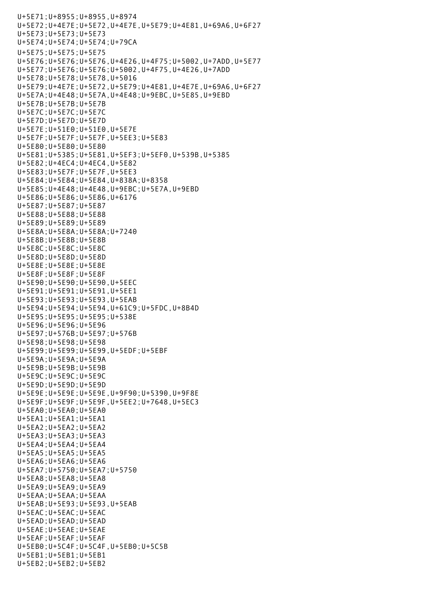```
U+5E71;U+8955;U+8955,U+8974
U+5E72;U+4E7E;U+5E72,U+4E7E,U+5E79;U+4E81,U+69A6,U+6F27
U+5E73;U+5E73;U+5E73
U+5E74;U+5E74;U+5E74;U+79CA
U+5E75;U+5E75;U+5E75
U+5E76;U+5E76;U+5E76,U+4E26,U+4F75;U+5002,U+7ADD,U+5E77
U+5E77;U+5E76;U+5E76;U+5002,U+4F75,U+4E26,U+7ADD
U+5E78;U+5E78;U+5E78,U+5016
U+5E79;U+4E7E;U+5E72,U+5E79;U+4E81,U+4E7E,U+69A6,U+6F27
U+5E7A;U+4E48;U+5E7A,U+4E48;U+9EBC,U+5E85,U+9EBD
U+5E7B;U+5E7B;U+5E7B
U+5E7C;U+5E7C;U+5E7C
U+5E7D;U+5E7D;U+5E7D
U+5E7E;U+51E0;U+51E0,U+5E7E
U+5E7F;U+5E7F;U+5E7F,U+5EE3;U+5E83
U+5E80;U+5E80;U+5E80
U+5E81;U+5385;U+5E81,U+5EF3;U+5EF0,U+539B,U+5385
U+5E82;U+4EC4;U+4EC4,U+5E82
U+5E83;U+5E7F;U+5E7F,U+5EE3
U+5E84;U+5E84;U+5E84,U+838A;U+8358
U+5E85;U+4E48;U+4E48,U+9EBC;U+5E7A,U+9EBD
U+5E86;U+5E86;U+5E86,U+6176
U+5E87;U+5E87;U+5E87
U+5E88;U+5E88;U+5E88
U+5E89;U+5E89;U+5E89
U+5E8A;U+5E8A;U+5E8A;U+7240
U+5E8B;U+5E8B;U+5E8B
U+5E8C;U+5E8C;U+5E8C
U+5E8D;U+5E8D;U+5E8D
U+5E8E;U+5E8E;U+5E8E
U+5E8F;U+5E8F;U+5E8F
U+5E90;U+5E90;U+5E90,U+5EEC
U+5E91;U+5E91;U+5E91,U+5EE1
U+5E93;U+5E93;U+5E93,U+5EAB
U+5E94;U+5E94;U+5E94,U+61C9;U+5FDC,U+8B4D
U+5E95;U+5E95;U+5E95;U+538E
U+5E96;U+5E96;U+5E96
U+5E97;U+576B;U+5E97;U+576B
U+5E98;U+5E98;U+5E98
U+5E99;U+5E99;U+5E99,U+5EDF;U+5EBF
U+5E9A;U+5E9A;U+5E9A
U+5E9B;U+5E9B;U+5E9B
U+5E9C;U+5E9C;U+5E9C
U+5E9D;U+5E9D;U+5E9D
U+5E9E;U+5E9E;U+5E9E,U+9F90;U+5390,U+9F8E
U+5E9F;U+5E9F;U+5E9F,U+5EE2;U+7648,U+5EC3
U+5EA0;U+5EA0;U+5EA0
U+5EA1;U+5EA1;U+5EA1
U+5EA2;U+5EA2;U+5EA2
U+5EA3;U+5EA3;U+5EA3
U+5EA4;U+5EA4;U+5EA4
U+5EA5;U+5EA5;U+5EA5
U+5EA6;U+5EA6;U+5EA6
U+5EA7;U+5750;U+5EA7;U+5750
U+5EA8;U+5EA8;U+5EA8
U+5EA9;U+5EA9;U+5EA9
U+5EAA;U+5EAA;U+5EAA
U+5EAB;U+5E93;U+5E93,U+5EAB
U+5EAC;U+5EAC;U+5EAC
U+5EAD;U+5EAD;U+5EAD
U+5EAE;U+5EAE;U+5EAE
U+5EAF;U+5EAF;U+5EAF
U+5EB0;U+5C4F;U+5C4F,U+5EB0;U+5C5B
U+5EB1;U+5EB1;U+5EB1
U+5EB2;U+5EB2;U+5EB2
```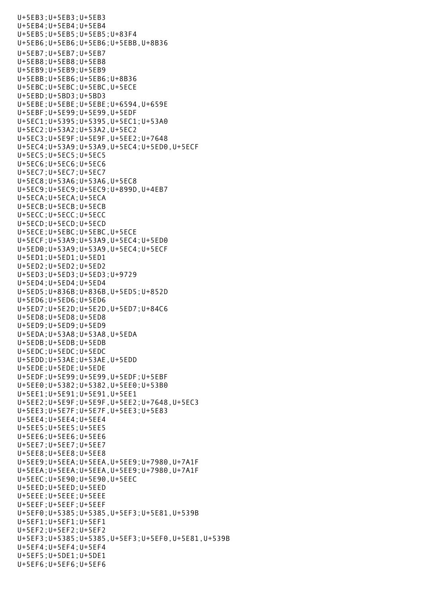U+5EB3;U+5EB3;U+5EB3 U+5EB4;U+5EB4;U+5EB4 U+5EB5;U+5EB5;U+5EB5;U+83F4 U+5EB6;U+5EB6;U+5EB6;U+5EBB,U+8B36 U+5EB7;U+5EB7;U+5EB7 U+5EB8;U+5EB8;U+5EB8 U+5EB9;U+5EB9;U+5EB9 U+5EBB;U+5EB6;U+5EB6;U+8B36 U+5EBC;U+5EBC;U+5EBC,U+5ECE U+5EBD;U+5BD3;U+5BD3 U+5EBE;U+5EBE;U+5EBE;U+6594,U+659E U+5EBF;U+5E99;U+5E99,U+5EDF U+5EC1;U+5395;U+5395,U+5EC1;U+53A0 U+5EC2;U+53A2;U+53A2,U+5EC2 U+5EC3;U+5E9F;U+5E9F,U+5EE2;U+7648 U+5EC4;U+53A9;U+53A9,U+5EC4;U+5ED0,U+5ECF U+5EC5;U+5EC5;U+5EC5 U+5EC6;U+5EC6;U+5EC6 U+5EC7;U+5EC7;U+5EC7 U+5EC8;U+53A6;U+53A6,U+5EC8 U+5EC9;U+5EC9;U+5EC9;U+899D,U+4EB7 U+5ECA;U+5ECA;U+5ECA U+5ECB;U+5ECB;U+5ECB U+5ECC;U+5ECC;U+5ECC U+5ECD;U+5ECD;U+5ECD U+5ECE;U+5EBC;U+5EBC,U+5ECE U+5ECF;U+53A9;U+53A9,U+5EC4;U+5ED0 U+5ED0;U+53A9;U+53A9,U+5EC4;U+5ECF U+5ED1;U+5ED1;U+5ED1 U+5ED2;U+5ED2;U+5ED2 U+5ED3;U+5ED3;U+5ED3;U+9729 U+5ED4;U+5ED4;U+5ED4 U+5ED5;U+836B;U+836B,U+5ED5;U+852D U+5ED6;U+5ED6;U+5ED6 U+5ED7;U+5E2D;U+5E2D,U+5ED7;U+84C6 U+5ED8;U+5ED8;U+5ED8 U+5ED9;U+5ED9;U+5ED9 U+5EDA;U+53A8;U+53A8,U+5EDA U+5EDB;U+5EDB;U+5EDB U+5EDC;U+5EDC;U+5EDC U+5EDD;U+53AE;U+53AE,U+5EDD U+5EDE;U+5EDE;U+5EDE U+5EDF;U+5E99;U+5E99,U+5EDF;U+5EBF U+5EE0;U+5382;U+5382,U+5EE0;U+53B0 U+5EE1;U+5E91;U+5E91,U+5EE1 U+5EE2;U+5E9F;U+5E9F,U+5EE2;U+7648,U+5EC3 U+5EE3;U+5E7F;U+5E7F,U+5EE3;U+5E83 U+5EE4;U+5EE4;U+5EE4 U+5EE5;U+5EE5;U+5EE5 U+5EE6;U+5EE6;U+5EE6 U+5EE7;U+5EE7;U+5EE7 U+5EE8;U+5EE8;U+5EE8 U+5EE9;U+5EEA;U+5EEA,U+5EE9;U+7980,U+7A1F U+5EEA;U+5EEA;U+5EEA,U+5EE9;U+7980,U+7A1F U+5EEC;U+5E90;U+5E90,U+5EEC U+5EED;U+5EED;U+5EED U+5EEE;U+5EEE;U+5EEE U+5EEF;U+5EEF;U+5EEF U+5EF0;U+5385;U+5385,U+5EF3;U+5E81,U+539B U+5EF1;U+5EF1;U+5EF1 U+5EF2;U+5EF2;U+5EF2 U+5EF3;U+5385;U+5385,U+5EF3;U+5EF0,U+5E81,U+539B U+5EF4;U+5EF4;U+5EF4 U+5EF5;U+5DE1;U+5DE1 U+5EF6;U+5EF6;U+5EF6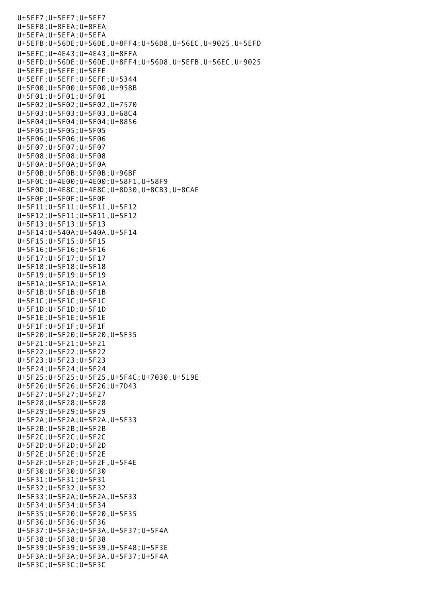U+5EF7;U+5EF7;U+5EF7 U+5EF8;U+8FEA;U+8FEA U+5EFA;U+5EFA;U+5EFA U+5EFB;U+56DE;U+56DE,U+8FF4;U+56D8,U+56EC,U+9025,U+5EFD U+5EFC;U+4E43;U+4E43,U+8FFA U+5EFD;U+56DE;U+56DE,U+8FF4;U+56D8,U+5EFB,U+56EC,U+9025 U+5EFE;U+5EFE;U+5EFE U+5EFF;U+5EFF;U+5EFF;U+5344 U+5F00;U+5F00;U+5F00,U+958B U+5F01;U+5F01;U+5F01 U+5F02;U+5F02;U+5F02,U+7570 U+5F03;U+5F03;U+5F03,U+68C4 U+5F04;U+5F04;U+5F04;U+8856 U+5F05;U+5F05;U+5F05 U+5F06;U+5F06;U+5F06 U+5F07;U+5F07;U+5F07 U+5F08;U+5F08;U+5F08 U+5F0A;U+5F0A;U+5F0A U+5F0B;U+5F0B;U+5F0B;U+96BF U+5F0C;U+4E00;U+4E00;U+58F1,U+58F9 U+5F0D;U+4E8C;U+4E8C;U+8D30,U+8CB3,U+8CAE U+5F0F;U+5F0F;U+5F0F U+5F11;U+5F11;U+5F11,U+5F12 U+5F12;U+5F11;U+5F11,U+5F12 U+5F13;U+5F13;U+5F13 U+5F14;U+540A;U+540A,U+5F14 U+5F15;U+5F15;U+5F15 U+5F16;U+5F16;U+5F16 U+5F17;U+5F17;U+5F17 U+5F18;U+5F18;U+5F18 U+5F19;U+5F19;U+5F19 U+5F1A;U+5F1A;U+5F1A U+5F1B;U+5F1B;U+5F1B U+5F1C;U+5F1C;U+5F1C U+5F1D;U+5F1D;U+5F1D U+5F1E;U+5F1E;U+5F1E U+5F1F;U+5F1F;U+5F1F U+5F20;U+5F20;U+5F20,U+5F35 U+5F21;U+5F21;U+5F21 U+5F22;U+5F22;U+5F22 U+5F23;U+5F23;U+5F23 U+5F24;U+5F24;U+5F24 U+5F25;U+5F25;U+5F25,U+5F4C;U+7030,U+519E U+5F26;U+5F26;U+5F26;U+7D43 U+5F27;U+5F27;U+5F27 U+5F28;U+5F28;U+5F28 U+5F29;U+5F29;U+5F29 U+5F2A;U+5F2A;U+5F2A,U+5F33 U+5F2B;U+5F2B;U+5F2B U+5F2C;U+5F2C;U+5F2C U+5F2D;U+5F2D;U+5F2D U+5F2E;U+5F2E;U+5F2E U+5F2F;U+5F2F;U+5F2F,U+5F4E U+5F30;U+5F30;U+5F30 U+5F31;U+5F31;U+5F31 U+5F32;U+5F32;U+5F32 U+5F33;U+5F2A;U+5F2A,U+5F33 U+5F34;U+5F34;U+5F34 U+5F35;U+5F20;U+5F20,U+5F35 U+5F36;U+5F36;U+5F36 U+5F37;U+5F3A;U+5F3A,U+5F37;U+5F4A U+5F38;U+5F38;U+5F38 U+5F39;U+5F39;U+5F39,U+5F48;U+5F3E U+5F3A;U+5F3A;U+5F3A,U+5F37;U+5F4A U+5F3C;U+5F3C;U+5F3C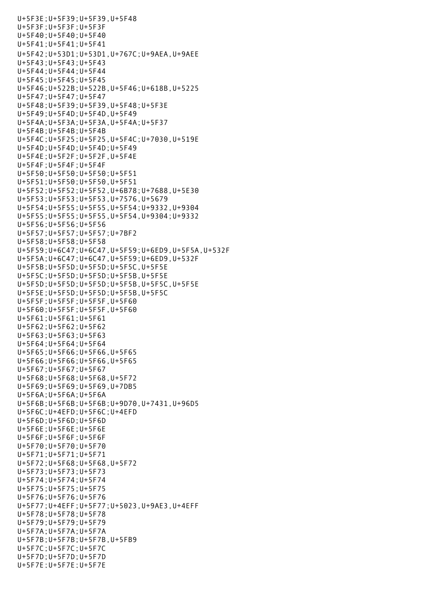U+5F3E;U+5F39;U+5F39,U+5F48 U+5F3F;U+5F3F;U+5F3F U+5F40;U+5F40;U+5F40 U+5F41;U+5F41;U+5F41 U+5F42;U+53D1;U+53D1,U+767C;U+9AEA,U+9AEE U+5F43;U+5F43;U+5F43 U+5F44;U+5F44;U+5F44 U+5F45;U+5F45;U+5F45 U+5F46;U+522B;U+522B,U+5F46;U+618B,U+5225 U+5F47;U+5F47;U+5F47 U+5F48;U+5F39;U+5F39,U+5F48;U+5F3E U+5F49;U+5F4D;U+5F4D,U+5F49 U+5F4A;U+5F3A;U+5F3A,U+5F4A;U+5F37 U+5F4B;U+5F4B;U+5F4B U+5F4C;U+5F25;U+5F25,U+5F4C;U+7030,U+519E U+5F4D;U+5F4D;U+5F4D;U+5F49 U+5F4E;U+5F2F;U+5F2F,U+5F4E U+5F4F;U+5F4F;U+5F4F U+5F50;U+5F50;U+5F50;U+5F51 U+5F51;U+5F50;U+5F50,U+5F51 U+5F52;U+5F52;U+5F52,U+6B78;U+7688,U+5E30 U+5F53;U+5F53;U+5F53,U+7576,U+5679 U+5F54;U+5F55;U+5F55,U+5F54;U+9332,U+9304 U+5F55;U+5F55;U+5F55,U+5F54,U+9304;U+9332 U+5F56;U+5F56;U+5F56 U+5F57;U+5F57;U+5F57;U+7BF2 U+5F58;U+5F58;U+5F58 U+5F59;U+6C47;U+6C47,U+5F59;U+6ED9,U+5F5A,U+532F U+5F5A;U+6C47;U+6C47,U+5F59;U+6ED9,U+532F U+5F5B;U+5F5D;U+5F5D;U+5F5C,U+5F5E U+5F5C;U+5F5D;U+5F5D;U+5F5B,U+5F5E U+5F5D;U+5F5D;U+5F5D;U+5F5B,U+5F5C,U+5F5E U+5F5E;U+5F5D;U+5F5D;U+5F5B,U+5F5C U+5F5F;U+5F5F;U+5F5F,U+5F60 U+5F60;U+5F5F;U+5F5F,U+5F60 U+5F61;U+5F61;U+5F61 U+5F62;U+5F62;U+5F62 U+5F63;U+5F63;U+5F63 U+5F64;U+5F64;U+5F64 U+5F65;U+5F66;U+5F66,U+5F65 U+5F66;U+5F66;U+5F66,U+5F65 U+5F67;U+5F67;U+5F67 U+5F68;U+5F68;U+5F68,U+5F72 U+5F69;U+5F69;U+5F69,U+7DB5 U+5F6A;U+5F6A;U+5F6A U+5F6B;U+5F6B;U+5F6B;U+9D70,U+7431,U+96D5 U+5F6C;U+4EFD;U+5F6C;U+4EFD U+5F6D;U+5F6D;U+5F6D U+5F6E;U+5F6E;U+5F6E U+5F6F;U+5F6F;U+5F6F U+5F70;U+5F70;U+5F70 U+5F71;U+5F71;U+5F71 U+5F72;U+5F68;U+5F68,U+5F72 U+5F73;U+5F73;U+5F73 U+5F74;U+5F74;U+5F74 U+5F75;U+5F75;U+5F75 U+5F76;U+5F76;U+5F76 U+5F77;U+4EFF;U+5F77;U+5023,U+9AE3,U+4EFF U+5F78;U+5F78;U+5F78 U+5F79;U+5F79;U+5F79 U+5F7A;U+5F7A;U+5F7A U+5F7B;U+5F7B;U+5F7B,U+5FB9 U+5F7C;U+5F7C;U+5F7C U+5F7D;U+5F7D;U+5F7D U+5F7E;U+5F7E;U+5F7E

 $U_{\rm{eff}}=55$  C;U+5F3C;U+5F3C;U+5F3C;U+5F3C;U+5F3C;U+5F3C;U+5F3C;U+5F3C;U+5F3C;U+5F3C;U+5F3C;U+5F3C;U+5F3C;U+5F3C;U+5F3C;U+5F3C;U+5F3C;U+5F3C;U+5F3C;U+5F3C;U+5F3C;U+5F3C;U+5F3C;U+5F3C;U+5F3C;U+5F3C;U+5F3C;U+5F3C;U+5F3C;U+5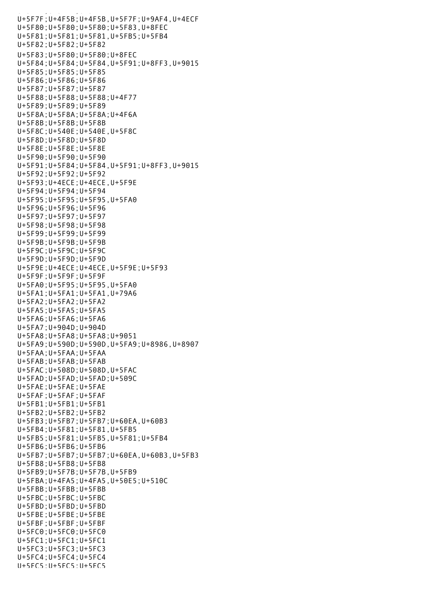U+5F7F;U+4F5B;U+4F5B,U+5F7F;U+9AF4,U+4ECF U+5F80;U+5F80;U+5F80;U+5F83,U+8FEC U+5F81;U+5F81;U+5F81,U+5FB5;U+5FB4 U+5F82;U+5F82;U+5F82 U+5F83;U+5F80;U+5F80;U+8FEC U+5F84;U+5F84;U+5F84,U+5F91;U+8FF3,U+9015 U+5F85;U+5F85;U+5F85 U+5F86;U+5F86;U+5F86 U+5F87;U+5F87;U+5F87 U+5F88;U+5F88;U+5F88;U+4F77 U+5F89;U+5F89;U+5F89 U+5F8A;U+5F8A;U+5F8A;U+4F6A U+5F8B;U+5F8B;U+5F8B U+5F8C;U+540E;U+540E,U+5F8C U+5F8D;U+5F8D;U+5F8D U+5F8E;U+5F8E;U+5F8E U+5F90;U+5F90;U+5F90 U+5F91;U+5F84;U+5F84,U+5F91;U+8FF3,U+9015 U+5F92;U+5F92;U+5F92 U+5F93;U+4ECE;U+4ECE,U+5F9E U+5F94;U+5F94;U+5F94 U+5F95;U+5F95;U+5F95,U+5FA0 U+5F96;U+5F96;U+5F96 U+5F97;U+5F97;U+5F97 U+5F98;U+5F98;U+5F98 U+5F99;U+5F99;U+5F99 U+5F9B;U+5F9B;U+5F9B U+5F9C;U+5F9C;U+5F9C U+5F9D;U+5F9D;U+5F9D U+5F9E;U+4ECE;U+4ECE,U+5F9E;U+5F93 U+5F9F;U+5F9F;U+5F9F U+5FA0;U+5F95;U+5F95,U+5FA0 U+5FA1;U+5FA1;U+5FA1,U+79A6 U+5FA2;U+5FA2;U+5FA2 U+5FA5;U+5FA5;U+5FA5 U+5FA6;U+5FA6;U+5FA6 U+5FA7;U+904D;U+904D U+5FA8;U+5FA8;U+5FA8;U+9051 U+5FA9;U+590D;U+590D,U+5FA9;U+8986,U+8907 U+5FAA;U+5FAA;U+5FAA U+5FAB;U+5FAB;U+5FAB U+5FAC;U+508D;U+508D,U+5FAC U+5FAD;U+5FAD;U+5FAD;U+509C U+5FAE;U+5FAE;U+5FAE U+5FAF;U+5FAF;U+5FAF U+5FB1;U+5FB1;U+5FB1 U+5FB2;U+5FB2;U+5FB2 U+5FB3;U+5FB7;U+5FB7;U+60EA,U+60B3 U+5FB4;U+5F81;U+5F81,U+5FB5 U+5FB5;U+5F81;U+5FB5,U+5F81;U+5FB4 U+5FB6;U+5FB6;U+5FB6 U+5FB7;U+5FB7;U+5FB7;U+60EA,U+60B3,U+5FB3 U+5FB8;U+5FB8;U+5FB8 U+5FB9;U+5F7B;U+5F7B,U+5FB9 U+5FBA;U+4FA5;U+4FA5,U+50E5;U+510C U+5FBB;U+5FBB;U+5FBB U+5FBC;U+5FBC;U+5FBC U+5FBD;U+5FBD;U+5FBD U+5FBE;U+5FBE;U+5FBE U+5FBF;U+5FBF;U+5FBF U+5FC0;U+5FC0;U+5FC0 U+5FC1;U+5FC1;U+5FC1 U+5FC3;U+5FC3;U+5FC3  $U+5FC4:U+5FC4:U+5FC4$ U+5FC5;U+5FC5;U+5FC5

 $U_{\rm{eff}}$  =  $U_{\rm{eff}}$   $U_{\rm{eff}}$  =  $U_{\rm{eff}}$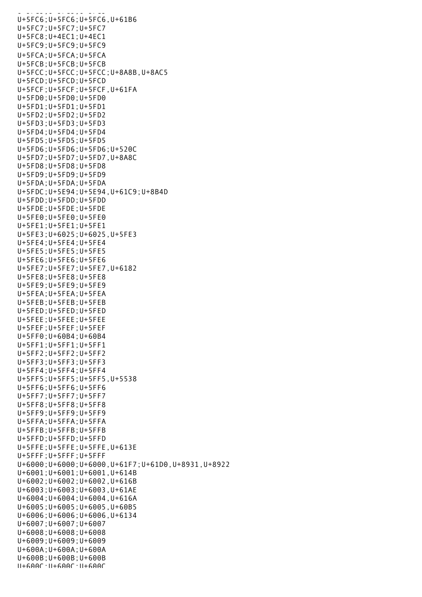$U\rightarrow 5$   $-5$   $-5$   $-5$   $-5$   $-5$   $-5$   $-5$ U+5FC6;U+5FC6;U+5FC6,U+61B6 U+5FC7;U+5FC7;U+5FC7 U+5FC8;U+4EC1;U+4EC1 U+5FC9;U+5FC9;U+5FC9 U+5FCA;U+5FCA;U+5FCA U+5FCB;U+5FCB;U+5FCB U+5FCC;U+5FCC;U+5FCC;U+8A8B,U+8AC5 U+5FCD;U+5FCD;U+5FCD U+5FCF;U+5FCF;U+5FCF,U+61FA U+5FD0;U+5FD0;U+5FD0 U+5FD1;U+5FD1;U+5FD1 U+5FD2;U+5FD2;U+5FD2 U+5FD3;U+5FD3;U+5FD3 U+5FD4;U+5FD4;U+5FD4 U+5FD5;U+5FD5;U+5FD5 U+5FD6;U+5FD6;U+5FD6;U+520C U+5FD7;U+5FD7;U+5FD7,U+8A8C U+5FD8;U+5FD8;U+5FD8 U+5FD9;U+5FD9;U+5FD9 U+5FDA;U+5FDA;U+5FDA U+5FDC;U+5E94;U+5E94,U+61C9;U+8B4D U+5FDD;U+5FDD;U+5FDD U+5FDE;U+5FDE;U+5FDE U+5FE0;U+5FE0;U+5FE0 U+5FE1;U+5FE1;U+5FE1 U+5FE3;U+6025;U+6025,U+5FE3 U+5FE4;U+5FE4;U+5FE4 U+5FE5;U+5FE5;U+5FE5 U+5FE6;U+5FE6;U+5FE6 U+5FE7;U+5FE7;U+5FE7,U+6182 U+5FE8;U+5FE8;U+5FE8 U+5FE9;U+5FE9;U+5FE9 U+5FEA;U+5FEA;U+5FEA U+5FEB;U+5FEB;U+5FEB U+5FED;U+5FED;U+5FED U+5FEE;U+5FEE;U+5FEE U+5FEF;U+5FEF;U+5FEF U+5FF0;U+60B4;U+60B4 U+5FF1;U+5FF1;U+5FF1 U+5FF2;U+5FF2;U+5FF2 U+5FF3;U+5FF3;U+5FF3 U+5FF4;U+5FF4;U+5FF4 U+5FF5;U+5FF5;U+5FF5,U+5538 U+5FF6;U+5FF6;U+5FF6 U+5FF7;U+5FF7;U+5FF7 U+5FF8;U+5FF8;U+5FF8 U+5FF9;U+5FF9;U+5FF9 U+5FFA;U+5FFA;U+5FFA U+5FFB;U+5FFB;U+5FFB U+5FFD;U+5FFD;U+5FFD U+5FFE;U+5FFE;U+5FFE,U+613E U+5FFF;U+5FFF;U+5FFF U+6000;U+6000;U+6000,U+61F7;U+61D0,U+8931,U+8922 U+6001;U+6001;U+6001,U+614B U+6002;U+6002;U+6002,U+616B U+6003;U+6003;U+6003,U+61AE U+6004;U+6004;U+6004,U+616A U+6005;U+6005;U+6005,U+60B5 U+6006;U+6006;U+6006,U+6134 U+6007;U+6007;U+6007 U+6008;U+6008;U+6008 U+6009;U+6009;U+6009 U+600A;U+600A;U+600A U+600B;U+600B;U+600B U+600C;U+600C;U+600C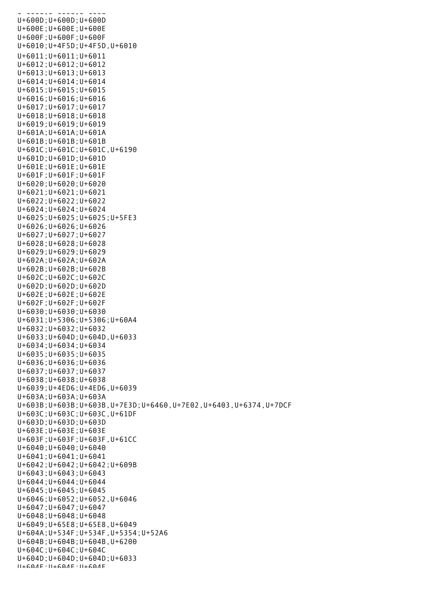U+600C;U+600C;U+600C U+600D;U+600D;U+600D U+600E;U+600E;U+600E U+600F;U+600F;U+600F U+6010;U+4F5D;U+4F5D,U+6010 U+6011;U+6011;U+6011 U+6012;U+6012;U+6012 U+6013;U+6013;U+6013 U+6014;U+6014;U+6014 U+6015;U+6015;U+6015 U+6016;U+6016;U+6016 U+6017;U+6017;U+6017 U+6018;U+6018;U+6018 U+6019;U+6019;U+6019 U+601A;U+601A;U+601A U+601B;U+601B;U+601B U+601C;U+601C;U+601C,U+6190 U+601D;U+601D;U+601D U+601E;U+601E;U+601E U+601F;U+601F;U+601F U+6020;U+6020;U+6020 U+6021;U+6021;U+6021 U+6022;U+6022;U+6022 U+6024;U+6024;U+6024 U+6025;U+6025;U+6025;U+5FE3 U+6026;U+6026;U+6026 U+6027;U+6027;U+6027 U+6028;U+6028;U+6028 U+6029;U+6029;U+6029 U+602A;U+602A;U+602A U+602B;U+602B;U+602B U+602C;U+602C;U+602C U+602D;U+602D;U+602D U+602E;U+602E;U+602E U+602F;U+602F;U+602F U+6030;U+6030;U+6030 U+6031;U+5306;U+5306;U+60A4 U+6032;U+6032;U+6032 U+6033;U+604D;U+604D,U+6033 U+6034;U+6034;U+6034 U+6035;U+6035;U+6035 U+6036;U+6036;U+6036 U+6037;U+6037;U+6037 U+6038;U+6038;U+6038 U+6039;U+4ED6;U+4ED6,U+6039 U+603A;U+603A;U+603A U+603B;U+603B;U+603B,U+7E3D;U+6460,U+7E02,U+6403,U+6374,U+7DCF U+603C;U+603C;U+603C,U+61DF U+603D;U+603D;U+603D U+603E;U+603E;U+603E U+603F;U+603F;U+603F,U+61CC U+6040;U+6040;U+6040 U+6041;U+6041;U+6041 U+6042;U+6042;U+6042;U+609B U+6043;U+6043;U+6043 U+6044;U+6044;U+6044 U+6045;U+6045;U+6045 U+6046;U+6052;U+6052,U+6046 U+6047;U+6047;U+6047 U+6048;U+6048;U+6048 U+6049;U+65E8;U+65E8,U+6049 U+604A;U+534F;U+534F,U+5354;U+52A6 U+604B;U+604B;U+604B,U+6200 U+604C;U+604C;U+604C U+604D;U+604D;U+604D;U+6033 U+604E;U+604E;U+604E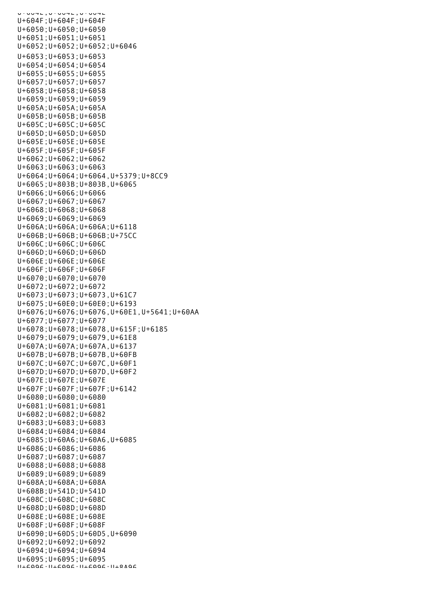U+604E;U+60+E;U+604E U+604F;U+604F;U+604F U+6050;U+6050;U+6050 U+6051;U+6051;U+6051 U+6052;U+6052;U+6052;U+6046 U+6053;U+6053;U+6053 U+6054;U+6054;U+6054 U+6055;U+6055;U+6055 U+6057;U+6057;U+6057 U+6058;U+6058;U+6058 U+6059;U+6059;U+6059 U+605A;U+605A;U+605A U+605B;U+605B;U+605B U+605C;U+605C;U+605C U+605D;U+605D;U+605D U+605E;U+605E;U+605E U+605F;U+605F;U+605F U+6062;U+6062;U+6062 U+6063;U+6063;U+6063 U+6064;U+6064;U+6064,U+5379;U+8CC9 U+6065;U+803B;U+803B,U+6065 U+6066;U+6066;U+6066 U+6067;U+6067;U+6067 U+6068;U+6068;U+6068 U+6069;U+6069;U+6069 U+606A;U+606A;U+606A;U+6118 U+606B;U+606B;U+606B;U+75CC U+606C;U+606C;U+606C U+606D;U+606D;U+606D U+606E;U+606E;U+606E U+606F;U+606F;U+606F U+6070;U+6070;U+6070 U+6072;U+6072;U+6072 U+6073;U+6073;U+6073,U+61C7 U+6075;U+60E0;U+60E0;U+6193 U+6076;U+6076;U+6076,U+60E1,U+5641;U+60AA U+6077;U+6077;U+6077 U+6078;U+6078;U+6078,U+615F;U+6185 U+6079;U+6079;U+6079,U+61E8 U+607A;U+607A;U+607A,U+6137 U+607B;U+607B;U+607B,U+60FB U+607C;U+607C;U+607C,U+60F1 U+607D;U+607D;U+607D,U+60F2 U+607E;U+607E;U+607E U+607F;U+607F;U+607F;U+6142 U+6080;U+6080;U+6080 U+6081;U+6081;U+6081 U+6082;U+6082;U+6082 U+6083;U+6083;U+6083 U+6084;U+6084;U+6084 U+6085;U+60A6;U+60A6,U+6085 U+6086;U+6086;U+6086 U+6087;U+6087;U+6087 U+6088;U+6088;U+6088 U+6089;U+6089;U+6089 U+608A;U+608A;U+608A U+608B;U+541D;U+541D U+608C;U+608C;U+608C U+608D;U+608D;U+608D U+608E;U+608E;U+608E U+608F;U+608F;U+608F U+6090;U+60D5;U+60D5,U+6090 U+6092;U+6092;U+6092 U+6094;U+6094;U+6094 U+6095;U+6095;U+6095 U+6096;U+6096;U+6096;U+8A96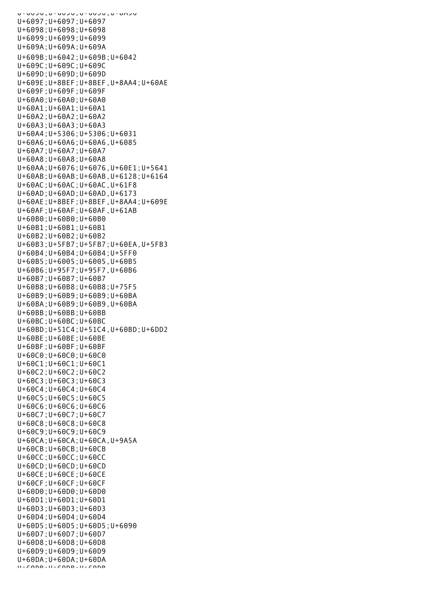U+6099,U+0099,U+00999;U+60999 U+6097;U+6097;U+6097 U+6098;U+6098;U+6098 U+6099;U+6099;U+6099 U+609A;U+609A;U+609A U+609B;U+6042;U+609B;U+6042 U+609C;U+609C;U+609C U+609D;U+609D;U+609D U+609E;U+8BEF;U+8BEF,U+8AA4;U+60AE U+609F;U+609F;U+609F  $U+60A0:U+60A0:U+60A0$ U+60A1;U+60A1;U+60A1 U+60A2;U+60A2;U+60A2 U+60A3;U+60A3;U+60A3 U+60A4;U+5306;U+5306;U+6031 U+60A6;U+60A6;U+60A6,U+6085 U+60A7;U+60A7;U+60A7 U+60A8;U+60A8;U+60A8 U+60AA;U+6076;U+6076,U+60E1;U+5641 U+60AB;U+60AB;U+60AB,U+6128;U+6164 U+60AC;U+60AC;U+60AC,U+61F8 U+60AD;U+60AD;U+60AD,U+6173 U+60AE;U+8BEF;U+8BEF,U+8AA4;U+609E U+60AF;U+60AF;U+60AF,U+61AB U+60B0;U+60B0;U+60B0 U+60B1;U+60B1;U+60B1 U+60B2;U+60B2;U+60B2 U+60B3;U+5FB7;U+5FB7;U+60EA,U+5FB3 U+60B4;U+60B4;U+60B4;U+5FF0 U+60B5;U+6005;U+6005,U+60B5 U+60B6;U+95F7;U+95F7,U+60B6 U+60B7;U+60B7;U+60B7 U+60B8;U+60B8;U+60B8;U+75F5 U+60B9;U+60B9;U+60B9;U+60BA U+60BA;U+60B9;U+60B9,U+60BA U+60BB;U+60BB;U+60BB U+60BC;U+60BC;U+60BC U+60BD;U+51C4;U+51C4,U+60BD;U+6DD2 U+60BE;U+60BE;U+60BE U+60BF;U+60BF;U+60BF U+60C0;U+60C0;U+60C0 U+60C1;U+60C1;U+60C1 U+60C2;U+60C2;U+60C2 U+60C3;U+60C3;U+60C3 U+60C4;U+60C4;U+60C4 U+60C5;U+60C5;U+60C5 U+60C6;U+60C6;U+60C6 U+60C7;U+60C7;U+60C7 U+60C8;U+60C8;U+60C8 U+60C9;U+60C9;U+60C9 U+60CA;U+60CA;U+60CA,U+9A5A U+60CB;U+60CB;U+60CB U+60CC;U+60CC;U+60CC U+60CD;U+60CD;U+60CD U+60CE;U+60CE;U+60CE U+60CF;U+60CF;U+60CF U+60D0;U+60D0;U+60D0 U+60D1;U+60D1;U+60D1 U+60D3;U+60D3;U+60D3 U+60D4;U+60D4;U+60D4 U+60D5;U+60D5;U+60D5;U+6090 U+60D7;U+60D7;U+60D7 U+60D8;U+60D8;U+60D8 U+60D9;U+60D9;U+60D9 U+60DA;U+60DA;U+60DA  $U + 60D + U + 60D + U + 60D$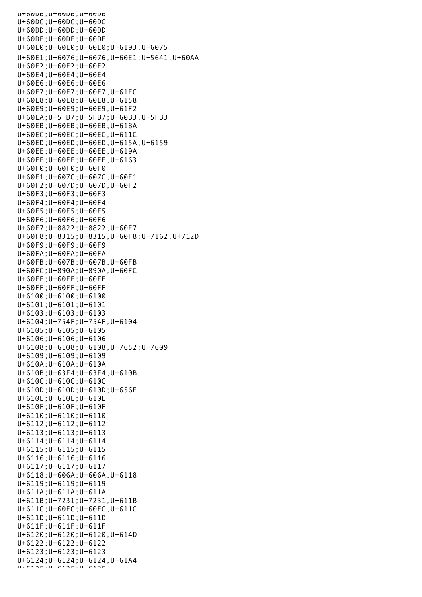```
U^+0טסU^+, טעטסU^+סטס
U+60DC;U+60DC;U+60DC
U+60DD;U+60DD;U+60DD
U+60DF;U+60DF;U+60DF
U+60E0;U+60E0;U+60E0;U+6193,U+6075
U+60E1;U+6076;U+6076,U+60E1;U+5641,U+60AA
U+60E2;U+60E2;U+60E2
U+60E4;U+60E4;U+60E4
U+60E6;U+60E6;U+60E6
U+60E7;U+60E7;U+60E7,U+61FC
U+60E8;U+60E8;U+60E8,U+6158
U+60E9;U+60E9;U+60E9,U+61F2
U+60EA;U+5FB7;U+5FB7;U+60B3,U+5FB3
U+60EB;U+60EB;U+60EB,U+618A
U+60EC;U+60EC;U+60EC,U+611C
U+60ED;U+60ED;U+60ED,U+615A;U+6159
U+60EE;U+60EE;U+60EE,U+619A
U+60EF;U+60EF;U+60EF,U+6163
U+60F0;U+60F0;U+60F0
U+60F1;U+607C;U+607C,U+60F1
U+60F2;U+607D;U+607D,U+60F2
U+60F3;U+60F3;U+60F3
U+60F4;U+60F4;U+60F4
U+60F5;U+60F5;U+60F5
U+60F6;U+60F6;U+60F6
U+60F7;U+8822;U+8822,U+60F7
U+60F8;U+8315;U+8315,U+60F8;U+7162,U+712D
U+60F9;U+60F9;U+60F9
U+60FA;U+60FA;U+60FA
U+60FB;U+607B;U+607B,U+60FB
U+60FC;U+890A;U+890A,U+60FC
U+60FE;U+60FE;U+60FE
U+60FF;U+60FF;U+60FF
U+6100;U+6100;U+6100
U+6101;U+6101;U+6101
U+6103;U+6103;U+6103
U+6104;U+754F;U+754F,U+6104
U+6105;U+6105;U+6105
U+6106;U+6106;U+6106
U+6108;U+6108;U+6108,U+7652;U+7609
U+6109;U+6109;U+6109
U+610A;U+610A;U+610A
U+610B;U+63F4;U+63F4,U+610B
U+610C;U+610C;U+610C
U+610D;U+610D;U+610D;U+656F
U+610E;U+610E;U+610E
U+610F;U+610F;U+610F
U+6110;U+6110;U+6110
U+6112;U+6112;U+6112
U+6113;U+6113;U+6113
U+6114;U+6114;U+6114
U+6115;U+6115;U+6115
U+6116;U+6116;U+6116
U+6117;U+6117;U+6117
U+6118;U+606A;U+606A,U+6118
U+6119;U+6119;U+6119
U+611A;U+611A;U+611A
U+611B;U+7231;U+7231,U+611B
U+611C;U+60EC;U+60EC,U+611C
U+611D;U+611D;U+611D
U+611F;U+611F;U+611F
U+6120;U+6120;U+6120,U+614D
U+6122;U+6122;U+6122
U+6123;U+6123;U+6123
U+6124;U+6124;U+6124,U+61A4
U+6125;U+6125;U+6125
```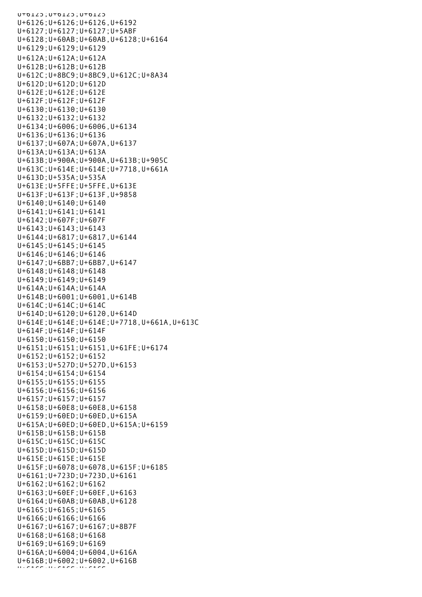U+6125;U+6125;U+6125 U+6126;U+6126;U+6126,U+6192 U+6127;U+6127;U+6127;U+5ABF U+6128;U+60AB;U+60AB,U+6128;U+6164 U+6129;U+6129;U+6129 U+612A;U+612A;U+612A U+612B;U+612B;U+612B U+612C;U+8BC9;U+8BC9,U+612C;U+8A34 U+612D;U+612D;U+612D U+612E;U+612E;U+612E U+612F;U+612F;U+612F U+6130;U+6130;U+6130 U+6132;U+6132;U+6132 U+6134;U+6006;U+6006,U+6134 U+6136;U+6136;U+6136 U+6137;U+607A;U+607A,U+6137 U+613A;U+613A;U+613A U+613B;U+900A;U+900A,U+613B;U+905C U+613C;U+614E;U+614E;U+7718,U+661A U+613D;U+535A;U+535A U+613E;U+5FFE;U+5FFE,U+613E U+613F;U+613F;U+613F,U+9858 U+6140;U+6140;U+6140 U+6141;U+6141;U+6141 U+6142;U+607F;U+607F U+6143;U+6143;U+6143 U+6144;U+6817;U+6817,U+6144 U+6145;U+6145;U+6145 U+6146;U+6146;U+6146 U+6147;U+6BB7;U+6BB7,U+6147 U+6148;U+6148;U+6148 U+6149;U+6149;U+6149 U+614A;U+614A;U+614A U+614B;U+6001;U+6001,U+614B U+614C;U+614C;U+614C U+614D;U+6120;U+6120,U+614D U+614E;U+614E;U+614E;U+7718,U+661A,U+613C U+614F;U+614F;U+614F U+6150;U+6150;U+6150 U+6151;U+6151;U+6151,U+61FE;U+6174 U+6152;U+6152;U+6152 U+6153;U+527D;U+527D,U+6153 U+6154;U+6154;U+6154 U+6155;U+6155;U+6155 U+6156;U+6156;U+6156 U+6157;U+6157;U+6157 U+6158;U+60E8;U+60E8,U+6158 U+6159;U+60ED;U+60ED,U+615A U+615A;U+60ED;U+60ED,U+615A;U+6159 U+615B;U+615B;U+615B U+615C;U+615C;U+615C U+615D;U+615D;U+615D U+615E;U+615E;U+615E U+615F;U+6078;U+6078,U+615F;U+6185 U+6161;U+723D;U+723D,U+6161 U+6162;U+6162;U+6162 U+6163;U+60EF;U+60EF,U+6163 U+6164;U+60AB;U+60AB,U+6128 U+6165;U+6165;U+6165 U+6166;U+6166;U+6166 U+6167;U+6167;U+6167;U+8B7F U+6168;U+6168;U+6168 U+6169;U+6169;U+6169 U+616A;U+6004;U+6004,U+616A U+616B;U+6002;U+6002,U+616B  $U_1$  for form  $\sigma$  for  $\sigma$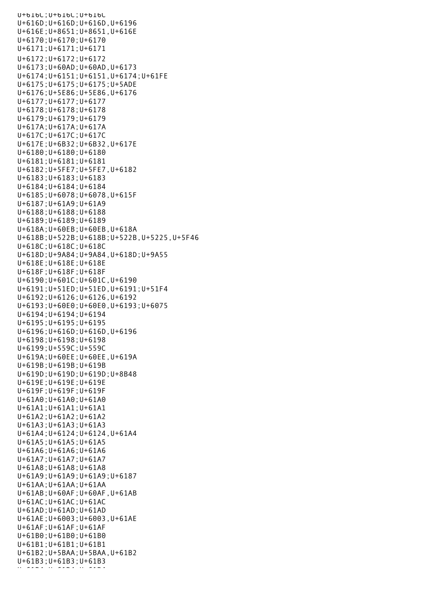U+616C;U+616C;U+616C U+616D;U+616D;U+616D,U+6196 U+616E;U+8651;U+8651,U+616E U+6170;U+6170;U+6170 U+6171;U+6171;U+6171 U+6172;U+6172;U+6172 U+6173;U+60AD;U+60AD,U+6173 U+6174;U+6151;U+6151,U+6174;U+61FE U+6175;U+6175;U+6175;U+5ADE U+6176;U+5E86;U+5E86,U+6176 U+6177;U+6177;U+6177 U+6178;U+6178;U+6178 U+6179;U+6179;U+6179 U+617A;U+617A;U+617A U+617C;U+617C;U+617C U+617E;U+6B32;U+6B32,U+617E U+6180;U+6180;U+6180 U+6181;U+6181;U+6181 U+6182;U+5FE7;U+5FE7,U+6182 U+6183;U+6183;U+6183 U+6184;U+6184;U+6184 U+6185;U+6078;U+6078,U+615F U+6187;U+61A9;U+61A9 U+6188;U+6188;U+6188 U+6189;U+6189;U+6189 U+618A;U+60EB;U+60EB,U+618A U+618B;U+522B;U+618B;U+522B,U+5225,U+5F46 U+618C;U+618C;U+618C U+618D;U+9A84;U+9A84,U+618D;U+9A55 U+618E;U+618E;U+618E U+618F;U+618F;U+618F U+6190;U+601C;U+601C,U+6190 U+6191;U+51ED;U+51ED,U+6191;U+51F4 U+6192;U+6126;U+6126,U+6192 U+6193;U+60E0;U+60E0,U+6193;U+6075 U+6194;U+6194;U+6194 U+6195;U+6195;U+6195 U+6196;U+616D;U+616D,U+6196 U+6198;U+6198;U+6198 U+6199;U+559C;U+559C U+619A;U+60EE;U+60EE,U+619A U+619B;U+619B;U+619B U+619D;U+619D;U+619D;U+8B48 U+619E;U+619E;U+619E U+619F;U+619F;U+619F U+61A0;U+61A0;U+61A0 U+61A1;U+61A1;U+61A1 U+61A2;U+61A2;U+61A2 U+61A3;U+61A3;U+61A3 U+61A4;U+6124;U+6124,U+61A4 U+61A5;U+61A5;U+61A5 U+61A6;U+61A6;U+61A6 U+61A7;U+61A7;U+61A7 U+61A8;U+61A8;U+61A8 U+61A9;U+61A9;U+61A9;U+6187 U+61AA;U+61AA;U+61AA U+61AB;U+60AF;U+60AF,U+61AB U+61AC;U+61AC;U+61AC U+61AD;U+61AD;U+61AD U+61AE;U+6003;U+6003,U+61AE U+61AF;U+61AF;U+61AF U+61B0;U+61B0;U+61B0 U+61B1;U+61B1;U+61B1 U+61B2;U+5BAA;U+5BAA,U+61B2 U+61B3;U+61B3;U+61B3 U+61B4;U+61B4;U+61B4;<br>U+61B4;U+61B4;U+61B4;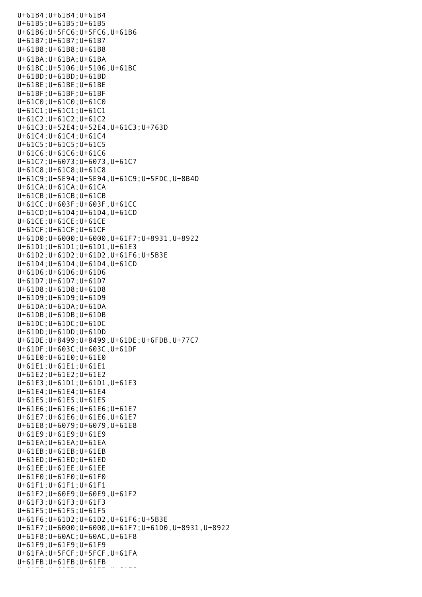U+61B4;U+61B4;U+61B4 U+61B5;U+61B5;U+61B5 U+61B6;U+5FC6;U+5FC6,U+61B6 U+61B7;U+61B7;U+61B7 U+61B8;U+61B8;U+61B8 U+61BA;U+61BA;U+61BA U+61BC;U+5106;U+5106,U+61BC U+61BD;U+61BD;U+61BD U+61BE;U+61BE;U+61BE U+61BF;U+61BF;U+61BF U+61C0;U+61C0;U+61C0 U+61C1;U+61C1;U+61C1 U+61C2;U+61C2;U+61C2 U+61C3;U+52E4;U+52E4,U+61C3;U+763D U+61C4;U+61C4;U+61C4 U+61C5;U+61C5;U+61C5 U+61C6;U+61C6;U+61C6 U+61C7;U+6073;U+6073,U+61C7 U+61C8;U+61C8;U+61C8 U+61C9;U+5E94;U+5E94,U+61C9;U+5FDC,U+8B4D U+61CA;U+61CA;U+61CA U+61CB;U+61CB;U+61CB U+61CC;U+603F;U+603F,U+61CC U+61CD;U+61D4;U+61D4,U+61CD U+61CE;U+61CE;U+61CE U+61CF;U+61CF;U+61CF U+61D0;U+6000;U+6000,U+61F7;U+8931,U+8922 U+61D1;U+61D1;U+61D1,U+61E3 U+61D2;U+61D2;U+61D2,U+61F6;U+5B3E U+61D4;U+61D4;U+61D4,U+61CD U+61D6;U+61D6;U+61D6 U+61D7;U+61D7;U+61D7 U+61D8;U+61D8;U+61D8 U+61D9;U+61D9;U+61D9 U+61DA;U+61DA;U+61DA U+61DB;U+61DB;U+61DB U+61DC;U+61DC;U+61DC U+61DD;U+61DD;U+61DD U+61DE;U+8499;U+8499,U+61DE;U+6FDB,U+77C7 U+61DF;U+603C;U+603C,U+61DF U+61E0;U+61E0;U+61E0 U+61E1;U+61E1;U+61E1 U+61E2;U+61E2;U+61E2 U+61E3;U+61D1;U+61D1,U+61E3 U+61E4;U+61E4;U+61E4 U+61E5;U+61E5;U+61E5 U+61E6;U+61E6;U+61E6;U+61E7 U+61E7;U+61E6;U+61E6,U+61E7 U+61E8;U+6079;U+6079,U+61E8 U+61E9;U+61E9;U+61E9 U+61EA;U+61EA;U+61EA U+61EB;U+61EB;U+61EB U+61ED;U+61ED;U+61ED U+61EE;U+61EE;U+61EE U+61F0;U+61F0;U+61F0 U+61F1;U+61F1;U+61F1 U+61F2;U+60E9;U+60E9,U+61F2 U+61F3;U+61F3;U+61F3 U+61F5;U+61F5;U+61F5 U+61F6;U+61D2;U+61D2,U+61F6;U+5B3E U+61F7;U+6000;U+6000,U+61F7;U+61D0,U+8931,U+8922 U+61F8;U+60AC;U+60AC,U+61F8 U+61F9;U+61F9;U+61F9 U+61FA;U+5FCF;U+5FCF,U+61FA U+61FB;U+61FB;U+61FB U+61FC;U+60E7;U+61FC;U+61FC;U+61FC;<br>U+61FC;U+61FC;U+61FC;U+61FC;U+61FC;U+61FC;U+61FC;U+61FC;U+61FC;U+61FC;U+61FC;U+6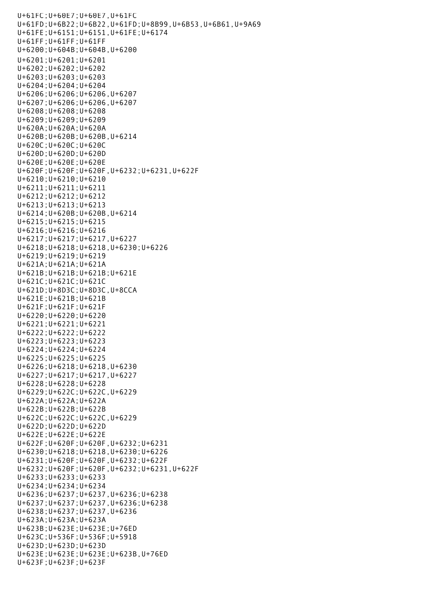U+61FC;U+60E7;U+60E7,U+61FC U+61FD;U+6B22;U+6B22,U+61FD;U+8B99,U+6B53,U+6B61,U+9A69 U+61FE;U+6151;U+6151,U+61FE;U+6174 U+61FF;U+61FF;U+61FF U+6200;U+604B;U+604B,U+6200 U+6201;U+6201;U+6201 U+6202;U+6202;U+6202 U+6203;U+6203;U+6203 U+6204;U+6204;U+6204 U+6206;U+6206;U+6206,U+6207 U+6207;U+6206;U+6206,U+6207 U+6208;U+6208;U+6208 U+6209;U+6209;U+6209 U+620A;U+620A;U+620A U+620B;U+620B;U+620B,U+6214 U+620C;U+620C;U+620C U+620D;U+620D;U+620D U+620E;U+620E;U+620E U+620F;U+620F;U+620F,U+6232;U+6231,U+622F U+6210;U+6210;U+6210 U+6211;U+6211;U+6211 U+6212;U+6212;U+6212 U+6213;U+6213;U+6213 U+6214;U+620B;U+620B,U+6214 U+6215;U+6215;U+6215 U+6216;U+6216;U+6216 U+6217;U+6217;U+6217,U+6227 U+6218;U+6218;U+6218,U+6230;U+6226 U+6219;U+6219;U+6219 U+621A;U+621A;U+621A U+621B;U+621B;U+621B;U+621E U+621C;U+621C;U+621C U+621D;U+8D3C;U+8D3C,U+8CCA U+621E;U+621B;U+621B U+621F;U+621F;U+621F U+6220;U+6220;U+6220 U+6221;U+6221;U+6221 U+6222;U+6222;U+6222 U+6223;U+6223;U+6223 U+6224;U+6224;U+6224 U+6225;U+6225;U+6225 U+6226;U+6218;U+6218,U+6230 U+6227;U+6217;U+6217,U+6227 U+6228;U+6228;U+6228 U+6229;U+622C;U+622C,U+6229 U+622A;U+622A;U+622A U+622B;U+622B;U+622B U+622C;U+622C;U+622C,U+6229 U+622D;U+622D;U+622D U+622E;U+622E;U+622E U+622F;U+620F;U+620F,U+6232;U+6231 U+6230;U+6218;U+6218,U+6230;U+6226 U+6231;U+620F;U+620F,U+6232;U+622F U+6232;U+620F;U+620F,U+6232;U+6231,U+622F U+6233;U+6233;U+6233 U+6234;U+6234;U+6234 U+6236;U+6237;U+6237,U+6236;U+6238 U+6237;U+6237;U+6237,U+6236;U+6238 U+6238;U+6237;U+6237,U+6236 U+623A;U+623A;U+623A U+623B;U+623E;U+623E;U+76ED U+623C;U+536F;U+536F;U+5918 U+623D;U+623D;U+623D U+623E;U+623E;U+623E;U+623B,U+76ED U+623F;U+623F;U+623F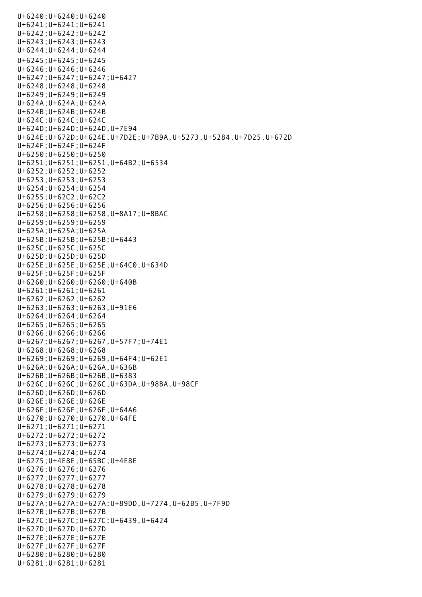U+6240;U+6240;U+6240 U+6241;U+6241;U+6241 U+6242;U+6242;U+6242 U+6243;U+6243;U+6243 U+6244;U+6244;U+6244 U+6245;U+6245;U+6245 U+6246;U+6246;U+6246 U+6247;U+6247;U+6247;U+6427 U+6248;U+6248;U+6248 U+6249;U+6249;U+6249 U+624A;U+624A;U+624A U+624B;U+624B;U+624B U+624C;U+624C;U+624C U+624D;U+624D;U+624D,U+7E94 U+624E;U+672D;U+624E,U+7D2E;U+7B9A,U+5273,U+5284,U+7D25,U+672D U+624F;U+624F;U+624F U+6250;U+6250;U+6250 U+6251;U+6251;U+6251,U+64B2;U+6534 U+6252;U+6252;U+6252 U+6253;U+6253;U+6253 U+6254;U+6254;U+6254 U+6255;U+62C2;U+62C2 U+6256;U+6256;U+6256 U+6258;U+6258;U+6258,U+8A17;U+8BAC U+6259;U+6259;U+6259 U+625A;U+625A;U+625A U+625B;U+625B;U+625B;U+6443 U+625C;U+625C;U+625C U+625D;U+625D;U+625D U+625E;U+625E;U+625E;U+64C0,U+634D U+625F;U+625F;U+625F U+6260;U+6260;U+6260;U+640B U+6261;U+6261;U+6261 U+6262;U+6262;U+6262 U+6263;U+6263;U+6263,U+91E6 U+6264;U+6264;U+6264 U+6265;U+6265;U+6265 U+6266;U+6266;U+6266 U+6267;U+6267;U+6267,U+57F7;U+74E1 U+6268;U+6268;U+6268 U+6269;U+6269;U+6269,U+64F4;U+62E1 U+626A;U+626A;U+626A,U+636B U+626B;U+626B;U+626B,U+6383 U+626C;U+626C;U+626C,U+63DA;U+98BA,U+98CF U+626D;U+626D;U+626D U+626E;U+626E;U+626E U+626F;U+626F;U+626F;U+64A6 U+6270;U+6270;U+6270,U+64FE U+6271;U+6271;U+6271 U+6272;U+6272;U+6272 U+6273;U+6273;U+6273 U+6274;U+6274;U+6274 U+6275;U+4E8E;U+65BC;U+4E8E U+6276;U+6276;U+6276 U+6277;U+6277;U+6277 U+6278;U+6278;U+6278 U+6279;U+6279;U+6279 U+627A;U+627A;U+627A;U+89DD,U+7274,U+62B5,U+7F9D U+627B;U+627B;U+627B U+627C;U+627C;U+627C;U+6439,U+6424 U+627D;U+627D;U+627D U+627E;U+627E;U+627E U+627F;U+627F;U+627F U+6280;U+6280;U+6280 U+6281;U+6281;U+6281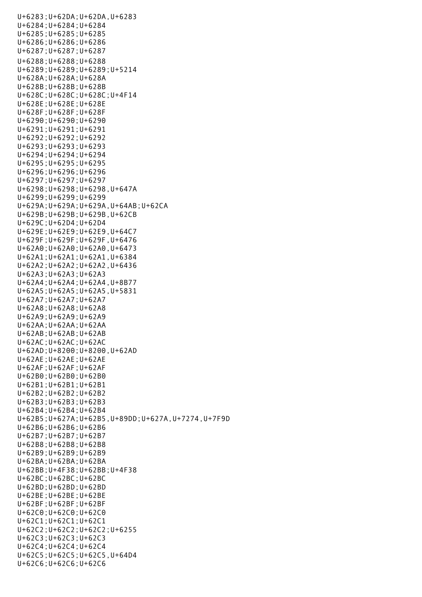U+6283;U+62DA;U+62DA,U+6283 U+6284;U+6284;U+6284 U+6285;U+6285;U+6285 U+6286;U+6286;U+6286 U+6287;U+6287;U+6287 U+6288;U+6288;U+6288 U+6289;U+6289;U+6289;U+5214 U+628A;U+628A;U+628A U+628B;U+628B;U+628B U+628C;U+628C;U+628C;U+4F14 U+628E;U+628E;U+628E U+628F;U+628F;U+628F U+6290;U+6290;U+6290 U+6291;U+6291;U+6291 U+6292;U+6292;U+6292 U+6293;U+6293;U+6293 U+6294;U+6294;U+6294 U+6295;U+6295;U+6295 U+6296;U+6296;U+6296 U+6297;U+6297;U+6297 U+6298;U+6298;U+6298,U+647A U+6299;U+6299;U+6299 U+629A;U+629A;U+629A,U+64AB;U+62CA U+629B;U+629B;U+629B,U+62CB U+629C;U+62D4;U+62D4 U+629E;U+62E9;U+62E9,U+64C7 U+629F;U+629F;U+629F,U+6476 U+62A0;U+62A0;U+62A0,U+6473 U+62A1;U+62A1;U+62A1,U+6384 U+62A2;U+62A2;U+62A2,U+6436 U+62A3;U+62A3;U+62A3 U+62A4;U+62A4;U+62A4,U+8B77 U+62A5;U+62A5;U+62A5,U+5831 U+62A7;U+62A7;U+62A7 U+62A8;U+62A8;U+62A8 U+62A9;U+62A9;U+62A9 U+62AA;U+62AA;U+62AA U+62AB;U+62AB;U+62AB U+62AC;U+62AC;U+62AC U+62AD;U+8200;U+8200,U+62AD U+62AE;U+62AE;U+62AE U+62AF;U+62AF;U+62AF U+62B0;U+62B0;U+62B0 U+62B1;U+62B1;U+62B1 U+62B2;U+62B2;U+62B2 U+62B3;U+62B3;U+62B3 U+62B4;U+62B4;U+62B4 U+62B5;U+627A;U+62B5,U+89DD;U+627A,U+7274,U+7F9D U+62B6;U+62B6;U+62B6 U+62B7;U+62B7;U+62B7 U+62B8;U+62B8;U+62B8 U+62B9;U+62B9;U+62B9 U+62BA;U+62BA;U+62BA U+62BB;U+4F38;U+62BB;U+4F38 U+62BC;U+62BC;U+62BC U+62BD;U+62BD;U+62BD U+62BE;U+62BE;U+62BE U+62BF;U+62BF;U+62BF U+62C0;U+62C0;U+62C0 U+62C1;U+62C1;U+62C1 U+62C2;U+62C2;U+62C2;U+6255 U+62C3;U+62C3;U+62C3 U+62C4;U+62C4;U+62C4 U+62C5;U+62C5;U+62C5,U+64D4 U+62C6;U+62C6;U+62C6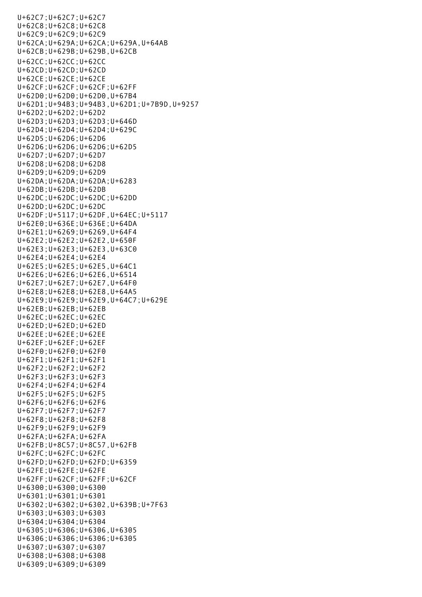U+62C7;U+62C7;U+62C7 U+62C8;U+62C8;U+62C8 U+62C9;U+62C9;U+62C9 U+62CA;U+629A;U+62CA;U+629A,U+64AB U+62CB;U+629B;U+629B,U+62CB U+62CC;U+62CC;U+62CC U+62CD;U+62CD;U+62CD U+62CE;U+62CE;U+62CE U+62CF;U+62CF;U+62CF;U+62FF U+62D0;U+62D0;U+62D0,U+67B4 U+62D1;U+94B3;U+94B3,U+62D1;U+7B9D,U+9257 U+62D2;U+62D2;U+62D2 U+62D3;U+62D3;U+62D3;U+646D U+62D4;U+62D4;U+62D4;U+629C U+62D5;U+62D6;U+62D6 U+62D6;U+62D6;U+62D6;U+62D5 U+62D7;U+62D7;U+62D7 U+62D8;U+62D8;U+62D8 U+62D9;U+62D9;U+62D9 U+62DA;U+62DA;U+62DA;U+6283 U+62DB;U+62DB;U+62DB U+62DC;U+62DC;U+62DC;U+62DD U+62DD;U+62DC;U+62DC U+62DF;U+5117;U+62DF,U+64EC;U+5117 U+62E0;U+636E;U+636E;U+64DA U+62E1;U+6269;U+6269,U+64F4 U+62E2;U+62E2;U+62E2,U+650F U+62E3;U+62E3;U+62E3,U+63C0 U+62E4;U+62E4;U+62E4 U+62E5;U+62E5;U+62E5,U+64C1 U+62E6;U+62E6;U+62E6,U+6514 U+62E7;U+62E7;U+62E7,U+64F0 U+62E8;U+62E8;U+62E8,U+64A5 U+62E9;U+62E9;U+62E9,U+64C7;U+629E U+62EB;U+62EB;U+62EB U+62EC;U+62EC;U+62EC U+62ED;U+62ED;U+62ED U+62EE;U+62EE;U+62EE U+62EF;U+62EF;U+62EF U+62F0;U+62F0;U+62F0 U+62F1;U+62F1;U+62F1 U+62F2;U+62F2;U+62F2 U+62F3;U+62F3;U+62F3 U+62F4;U+62F4;U+62F4 U+62F5;U+62F5;U+62F5 U+62F6;U+62F6;U+62F6 U+62F7;U+62F7;U+62F7 U+62F8;U+62F8;U+62F8 U+62F9;U+62F9;U+62F9 U+62FA;U+62FA;U+62FA U+62FB;U+8C57;U+8C57,U+62FB U+62FC;U+62FC;U+62FC U+62FD;U+62FD;U+62FD;U+6359 U+62FE;U+62FE;U+62FE U+62FF;U+62CF;U+62FF;U+62CF U+6300;U+6300;U+6300 U+6301;U+6301;U+6301 U+6302;U+6302;U+6302,U+639B;U+7F63 U+6303;U+6303;U+6303 U+6304;U+6304;U+6304 U+6305;U+6306;U+6306,U+6305 U+6306;U+6306;U+6306;U+6305 U+6307;U+6307;U+6307 U+6308;U+6308;U+6308 U+6309;U+6309;U+6309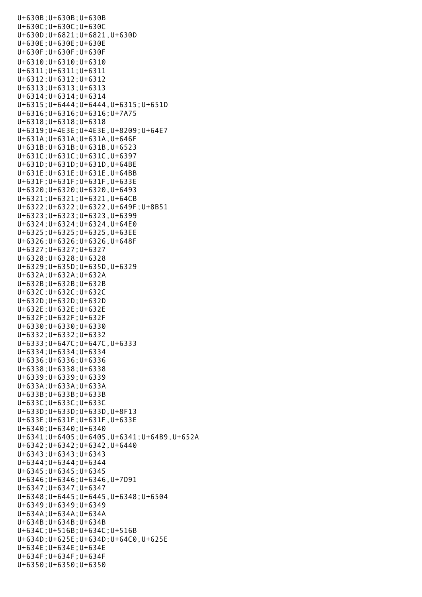U+630B;U+630B;U+630B U+630C;U+630C;U+630C U+630D;U+6821;U+6821,U+630D U+630E;U+630E;U+630E U+630F;U+630F;U+630F U+6310;U+6310;U+6310 U+6311;U+6311;U+6311 U+6312;U+6312;U+6312 U+6313;U+6313;U+6313 U+6314;U+6314;U+6314 U+6315;U+6444;U+6444,U+6315;U+651D U+6316;U+6316;U+6316;U+7A75 U+6318;U+6318;U+6318 U+6319;U+4E3E;U+4E3E,U+8209;U+64E7 U+631A;U+631A;U+631A,U+646F U+631B;U+631B;U+631B,U+6523 U+631C;U+631C;U+631C,U+6397 U+631D;U+631D;U+631D,U+64BE U+631E;U+631E;U+631E,U+64BB U+631F;U+631F;U+631F,U+633E U+6320;U+6320;U+6320,U+6493 U+6321;U+6321;U+6321,U+64CB U+6322;U+6322;U+6322,U+649F;U+8B51 U+6323;U+6323;U+6323,U+6399 U+6324;U+6324;U+6324,U+64E0 U+6325;U+6325;U+6325,U+63EE U+6326;U+6326;U+6326,U+648F U+6327;U+6327;U+6327 U+6328;U+6328;U+6328 U+6329;U+635D;U+635D,U+6329 U+632A;U+632A;U+632A U+632B;U+632B;U+632B U+632C;U+632C;U+632C U+632D;U+632D;U+632D U+632E;U+632E;U+632E U+632F;U+632F;U+632F U+6330;U+6330;U+6330 U+6332;U+6332;U+6332 U+6333;U+647C;U+647C,U+6333 U+6334;U+6334;U+6334 U+6336;U+6336;U+6336 U+6338;U+6338;U+6338 U+6339;U+6339;U+6339 U+633A;U+633A;U+633A U+633B;U+633B;U+633B U+633C;U+633C;U+633C U+633D;U+633D;U+633D,U+8F13 U+633E;U+631F;U+631F,U+633E U+6340;U+6340;U+6340 U+6341;U+6405;U+6405,U+6341;U+64B9,U+652A U+6342;U+6342;U+6342,U+6440 U+6343;U+6343;U+6343 U+6344;U+6344;U+6344 U+6345;U+6345;U+6345 U+6346;U+6346;U+6346,U+7D91 U+6347;U+6347;U+6347 U+6348;U+6445;U+6445,U+6348;U+6504 U+6349;U+6349;U+6349 U+634A;U+634A;U+634A U+634B;U+634B;U+634B U+634C;U+516B;U+634C;U+516B U+634D;U+625E;U+634D;U+64C0,U+625E U+634E;U+634E;U+634E U+634F;U+634F;U+634F U+6350;U+6350;U+6350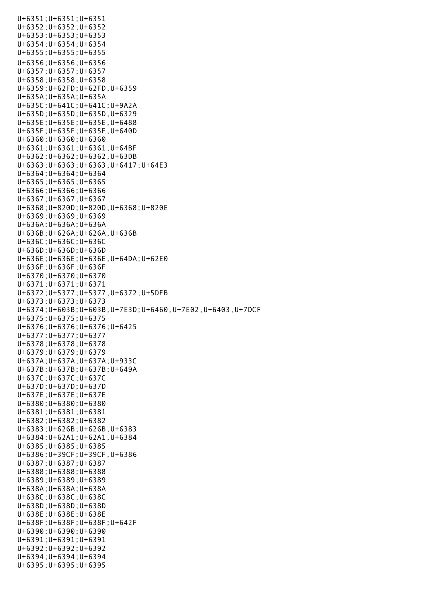U+6351;U+6351;U+6351 U+6352;U+6352;U+6352 U+6353;U+6353;U+6353 U+6354;U+6354;U+6354 U+6355;U+6355;U+6355 U+6356;U+6356;U+6356 U+6357;U+6357;U+6357 U+6358;U+6358;U+6358 U+6359;U+62FD;U+62FD,U+6359 U+635A;U+635A;U+635A U+635C;U+641C;U+641C;U+9A2A U+635D;U+635D;U+635D,U+6329 U+635E;U+635E;U+635E,U+6488 U+635F;U+635F;U+635F,U+640D U+6360;U+6360;U+6360 U+6361;U+6361;U+6361,U+64BF U+6362;U+6362;U+6362,U+63DB U+6363;U+6363;U+6363,U+6417;U+64E3 U+6364;U+6364;U+6364 U+6365;U+6365;U+6365 U+6366;U+6366;U+6366 U+6367;U+6367;U+6367 U+6368;U+820D;U+820D,U+6368;U+820E U+6369;U+6369;U+6369 U+636A;U+636A;U+636A U+636B;U+626A;U+626A,U+636B U+636C;U+636C;U+636C U+636D;U+636D;U+636D U+636E;U+636E;U+636E,U+64DA;U+62E0 U+636F;U+636F;U+636F U+6370;U+6370;U+6370 U+6371;U+6371;U+6371 U+6372;U+5377;U+5377,U+6372;U+5DFB U+6373;U+6373;U+6373 U+6374;U+603B;U+603B,U+7E3D;U+6460,U+7E02,U+6403,U+7DCF U+6375;U+6375;U+6375 U+6376;U+6376;U+6376;U+6425 U+6377;U+6377;U+6377 U+6378;U+6378;U+6378 U+6379;U+6379;U+6379 U+637A;U+637A;U+637A;U+933C U+637B;U+637B;U+637B;U+649A U+637C;U+637C;U+637C U+637D;U+637D;U+637D U+637E;U+637E;U+637E U+6380;U+6380;U+6380 U+6381;U+6381;U+6381 U+6382;U+6382;U+6382 U+6383;U+626B;U+626B,U+6383 U+6384;U+62A1;U+62A1,U+6384 U+6385;U+6385;U+6385 U+6386;U+39CF;U+39CF,U+6386 U+6387;U+6387;U+6387 U+6388;U+6388;U+6388 U+6389;U+6389;U+6389 U+638A;U+638A;U+638A U+638C;U+638C;U+638C U+638D;U+638D;U+638D U+638E;U+638E;U+638E U+638F;U+638F;U+638F;U+642F U+6390;U+6390;U+6390 U+6391;U+6391;U+6391 U+6392;U+6392;U+6392 U+6394;U+6394;U+6394 U+6395;U+6395;U+6395

U+6350;U+6350;U+6350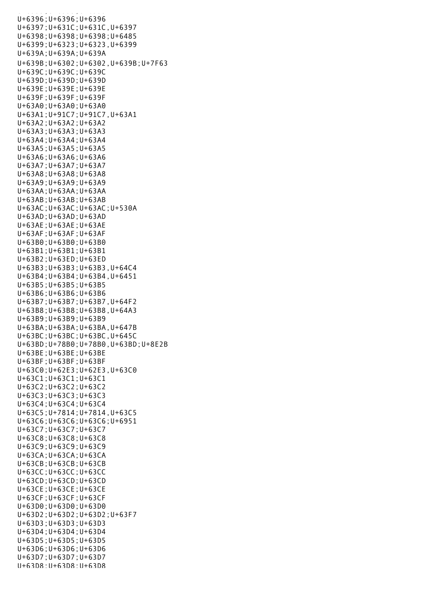U+6396;U+6396;U+6396 U+6397;U+631C;U+631C,U+6397 U+6398;U+6398;U+6398;U+6485 U+6399;U+6323;U+6323,U+6399 U+639A;U+639A;U+639A U+639B;U+6302;U+6302,U+639B;U+7F63 U+639C;U+639C;U+639C U+639D;U+639D;U+639D U+639E;U+639E;U+639E U+639F;U+639F;U+639F U+63A0;U+63A0;U+63A0 U+63A1;U+91C7;U+91C7,U+63A1 U+63A2;U+63A2;U+63A2 U+63A3;U+63A3;U+63A3 U+63A4;U+63A4;U+63A4 U+63A5;U+63A5;U+63A5 U+63A6;U+63A6;U+63A6 U+63A7;U+63A7;U+63A7 U+63A8;U+63A8;U+63A8 U+63A9;U+63A9;U+63A9  $U+63AA:U+63AA:U+63AA$ U+63AB;U+63AB;U+63AB U+63AC;U+63AC;U+63AC;U+530A U+63AD;U+63AD;U+63AD U+63AE;U+63AE;U+63AE U+63AF;U+63AF;U+63AF U+63B0;U+63B0;U+63B0 U+63B1;U+63B1;U+63B1 U+63B2;U+63ED;U+63ED U+63B3;U+63B3;U+63B3,U+64C4 U+63B4;U+63B4;U+63B4,U+6451 U+63B5;U+63B5;U+63B5 U+63B6;U+63B6;U+63B6 U+63B7;U+63B7;U+63B7,U+64F2 U+63B8;U+63B8;U+63B8,U+64A3 U+63B9;U+63B9;U+63B9 U+63BA;U+63BA;U+63BA,U+647B U+63BC;U+63BC;U+63BC,U+645C U+63BD;U+78B0;U+78B0,U+63BD;U+8E2B U+63BE;U+63BE;U+63BE U+63BF;U+63BF;U+63BF U+63C0;U+62E3;U+62E3,U+63C0 U+63C1;U+63C1;U+63C1 U+63C2;U+63C2;U+63C2 U+63C3;U+63C3;U+63C3 U+63C4;U+63C4;U+63C4 U+63C5;U+7814;U+7814,U+63C5 U+63C6;U+63C6;U+63C6;U+6951 U+63C7;U+63C7;U+63C7 U+63C8;U+63C8;U+63C8 U+63C9;U+63C9;U+63C9 U+63CA;U+63CA;U+63CA U+63CB;U+63CB;U+63CB U+63CC;U+63CC;U+63CC U+63CD;U+63CD;U+63CD U+63CE;U+63CE;U+63CE U+63CF;U+63CF;U+63CF U+63D0;U+63D0;U+63D0 U+63D2;U+63D2;U+63D2;U+63F7 U+63D3;U+63D3;U+63D3 U+63D4;U+63D4;U+63D4 U+63D5;U+63D5;U+63D5 U+63D6;U+63D6;U+63D6 U+63D7;U+63D7;U+63D7 U+63D8;U+63D8;U+63D8

u<br>Geografia de la construcción de la construcción de la construcción de la construcción de la construcción de l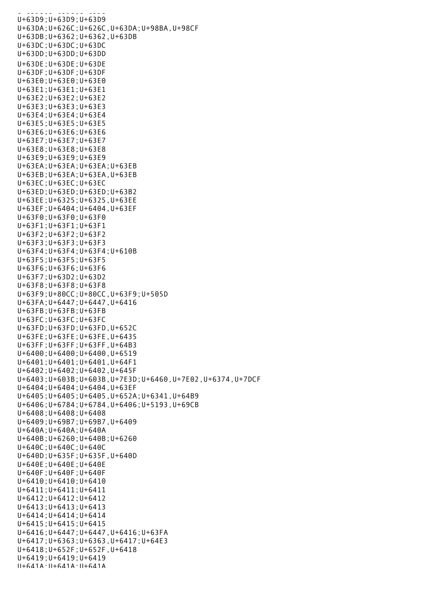$U = U + U + U + U + U + U$ U+63D9;U+63D9;U+63D9 U+63DA;U+626C;U+626C,U+63DA;U+98BA,U+98CF U+63DB;U+6362;U+6362,U+63DB U+63DC;U+63DC;U+63DC U+63DD;U+63DD;U+63DD U+63DE;U+63DE;U+63DE U+63DF;U+63DF;U+63DF U+63E0;U+63E0;U+63E0 U+63E1;U+63E1;U+63E1 U+63E2;U+63E2;U+63E2 U+63E3;U+63E3;U+63E3 U+63E4;U+63E4;U+63E4 U+63E5;U+63E5;U+63E5 U+63E6;U+63E6;U+63E6 U+63E7;U+63E7;U+63E7 U+63E8;U+63E8;U+63E8 U+63E9;U+63E9;U+63E9 U+63EA;U+63EA;U+63EA;U+63EB U+63EB;U+63EA;U+63EA,U+63EB U+63EC;U+63EC;U+63EC U+63ED;U+63ED;U+63ED;U+63B2 U+63EE;U+6325;U+6325,U+63EE U+63EF;U+6404;U+6404,U+63EF U+63F0;U+63F0;U+63F0 U+63F1;U+63F1;U+63F1 U+63F2;U+63F2;U+63F2 U+63F3;U+63F3;U+63F3 U+63F4;U+63F4;U+63F4;U+610B U+63F5;U+63F5;U+63F5 U+63F6;U+63F6;U+63F6 U+63F7;U+63D2;U+63D2 U+63F8;U+63F8;U+63F8 U+63F9;U+80CC;U+80CC,U+63F9;U+505D U+63FA;U+6447;U+6447,U+6416 U+63FB;U+63FB;U+63FB U+63FC;U+63FC;U+63FC U+63FD;U+63FD;U+63FD,U+652C U+63FE;U+63FE;U+63FE,U+6435 U+63FF;U+63FF;U+63FF,U+64B3 U+6400;U+6400;U+6400,U+6519 U+6401;U+6401;U+6401,U+64F1 U+6402;U+6402;U+6402,U+645F U+6403;U+603B;U+603B,U+7E3D;U+6460,U+7E02,U+6374,U+7DCF U+6404;U+6404;U+6404,U+63EF U+6405;U+6405;U+6405,U+652A;U+6341,U+64B9 U+6406;U+6784;U+6784,U+6406;U+5193,U+69CB U+6408;U+6408;U+6408 U+6409;U+69B7;U+69B7,U+6409 U+640A;U+640A;U+640A U+640B;U+6260;U+640B;U+6260 U+640C;U+640C;U+640C U+640D;U+635F;U+635F,U+640D U+640E;U+640E;U+640E U+640F;U+640F;U+640F U+6410;U+6410;U+6410 U+6411;U+6411;U+6411 U+6412;U+6412;U+6412 U+6413;U+6413;U+6413 U+6414;U+6414;U+6414 U+6415;U+6415;U+6415 U+6416;U+6447;U+6447,U+6416;U+63FA U+6417;U+6363;U+6363,U+6417;U+64E3 U+6418;U+652F;U+652F,U+6418 U+6419;U+6419;U+6419  $II + 641A \cdot II + 641A \cdot II + 641A$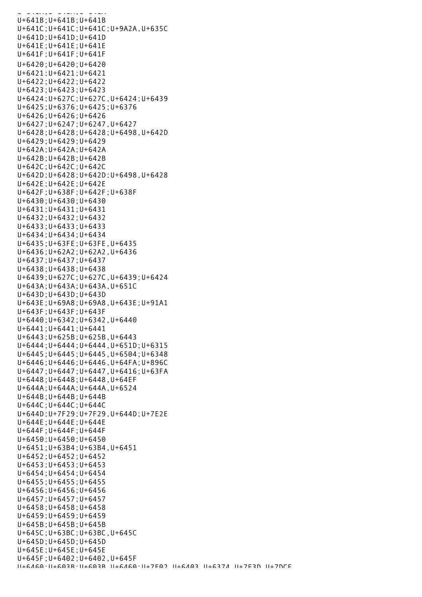U+641A;U+641A;U+641A U+641B;U+641B;U+641B U+641C;U+641C;U+641C;U+9A2A,U+635C U+641D;U+641D;U+641D U+641E;U+641E;U+641E U+641F;U+641F;U+641F U+6420;U+6420;U+6420 U+6421;U+6421;U+6421 U+6422;U+6422;U+6422 U+6423;U+6423;U+6423 U+6424;U+627C;U+627C,U+6424;U+6439 U+6425;U+6376;U+6425;U+6376 U+6426;U+6426;U+6426 U+6427;U+6247;U+6247,U+6427 U+6428;U+6428;U+6428;U+6498,U+642D U+6429;U+6429;U+6429 U+642A;U+642A;U+642A U+642B;U+642B;U+642B U+642C;U+642C;U+642C U+642D;U+6428;U+642D;U+6498,U+6428 U+642E;U+642E;U+642E U+642F;U+638F;U+642F;U+638F U+6430;U+6430;U+6430 U+6431;U+6431;U+6431 U+6432;U+6432;U+6432 U+6433;U+6433;U+6433 U+6434;U+6434;U+6434 U+6435;U+63FE;U+63FE,U+6435 U+6436;U+62A2;U+62A2,U+6436 U+6437;U+6437;U+6437 U+6438;U+6438;U+6438 U+6439;U+627C;U+627C,U+6439;U+6424 U+643A;U+643A;U+643A,U+651C U+643D;U+643D;U+643D U+643E;U+69A8;U+69A8,U+643E;U+91A1 U+643F;U+643F;U+643F U+6440;U+6342;U+6342,U+6440 U+6441;U+6441;U+6441 U+6443;U+625B;U+625B,U+6443 U+6444;U+6444;U+6444,U+651D;U+6315 U+6445;U+6445;U+6445,U+6504;U+6348 U+6446;U+6446;U+6446,U+64FA;U+896C U+6447;U+6447;U+6447,U+6416;U+63FA U+6448;U+6448;U+6448,U+64EF U+644A;U+644A;U+644A,U+6524 U+644B;U+644B;U+644B U+644C;U+644C;U+644C U+644D;U+7F29;U+7F29,U+644D;U+7E2E U+644E;U+644E;U+644E U+644F;U+644F;U+644F U+6450;U+6450;U+6450 U+6451;U+63B4;U+63B4,U+6451 U+6452;U+6452;U+6452 U+6453;U+6453;U+6453 U+6454;U+6454;U+6454 U+6455;U+6455;U+6455 U+6456;U+6456;U+6456 U+6457;U+6457;U+6457 U+6458;U+6458;U+6458 U+6459;U+6459;U+6459 U+645B;U+645B;U+645B U+645C;U+63BC;U+63BC,U+645C U+645D;U+645D;U+645D U+645E;U+645E;U+645E U+645F;U+6402;U+6402,U+645F U+6460;U+603B;U+603B,U+6460;U+7E02,U+6403,U+6374,U+7E3D,U+7DCF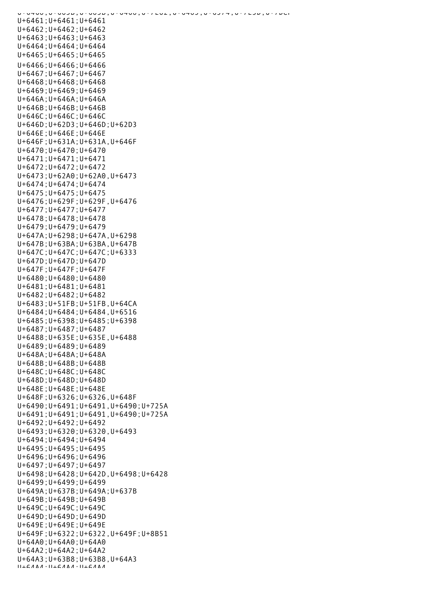U+6460;U+603B;U+603B,U+6460;U+7E02,U+6403,U+6374,U+7E3D,U+7DCF U+6461;U+6461;U+6461 U+6462;U+6462;U+6462 U+6463;U+6463;U+6463 U+6464;U+6464;U+6464 U+6465;U+6465;U+6465 U+6466;U+6466;U+6466 U+6467;U+6467;U+6467 U+6468;U+6468;U+6468 U+6469;U+6469;U+6469 U+646A;U+646A;U+646A U+646B;U+646B;U+646B U+646C;U+646C;U+646C U+646D;U+62D3;U+646D;U+62D3 U+646E;U+646E;U+646E U+646F;U+631A;U+631A,U+646F U+6470;U+6470;U+6470 U+6471;U+6471;U+6471 U+6472;U+6472;U+6472 U+6473;U+62A0;U+62A0,U+6473 U+6474;U+6474;U+6474 U+6475;U+6475;U+6475 U+6476;U+629F;U+629F,U+6476 U+6477;U+6477;U+6477 U+6478;U+6478;U+6478 U+6479;U+6479;U+6479 U+647A;U+6298;U+647A,U+6298 U+647B;U+63BA;U+63BA,U+647B U+647C;U+647C;U+647C;U+6333 U+647D;U+647D;U+647D U+647F;U+647F;U+647F U+6480;U+6480;U+6480 U+6481;U+6481;U+6481 U+6482;U+6482;U+6482 U+6483;U+51FB;U+51FB,U+64CA U+6484;U+6484;U+6484,U+6516 U+6485;U+6398;U+6485;U+6398 U+6487;U+6487;U+6487 U+6488;U+635E;U+635E,U+6488 U+6489;U+6489;U+6489 U+648A;U+648A;U+648A U+648B;U+648B;U+648B U+648C;U+648C;U+648C U+648D;U+648D;U+648D U+648E;U+648E;U+648E U+648F;U+6326;U+6326,U+648F U+6490;U+6491;U+6491,U+6490;U+725A U+6491;U+6491;U+6491,U+6490;U+725A U+6492;U+6492;U+6492 U+6493;U+6320;U+6320,U+6493 U+6494;U+6494;U+6494 U+6495;U+6495;U+6495 U+6496;U+6496;U+6496 U+6497;U+6497;U+6497 U+6498;U+6428;U+642D,U+6498;U+6428 U+6499;U+6499;U+6499 U+649A;U+637B;U+649A;U+637B U+649B;U+649B;U+649B U+649C;U+649C;U+649C U+649D;U+649D;U+649D U+649E;U+649E;U+649E U+649F;U+6322;U+6322,U+649F;U+8B51 U+64A0;U+64A0;U+64A0 U+64A2;U+64A2;U+64A2 U+64A3;U+63B8;U+63B8,U+64A3  $\begin{array}{cccccccccccccc} \text{I} & \text{I} & \text{I} & \text{I} & \text{I} & \text{I} & \text{I} & \text{I} & \text{I} & \text{I} & \text{I} & \text{I} & \text{I} & \text{I} & \text{I} & \text{I} & \text{I} & \text{I} & \text{I} & \text{I} & \text{I} & \text{I} & \text{I} & \text{I} & \text{I} & \text{I} & \text{I} & \text{I} & \text{I} & \text{I} & \text{I} & \text{I} & \text{I} & \text{I} & \text{I} &$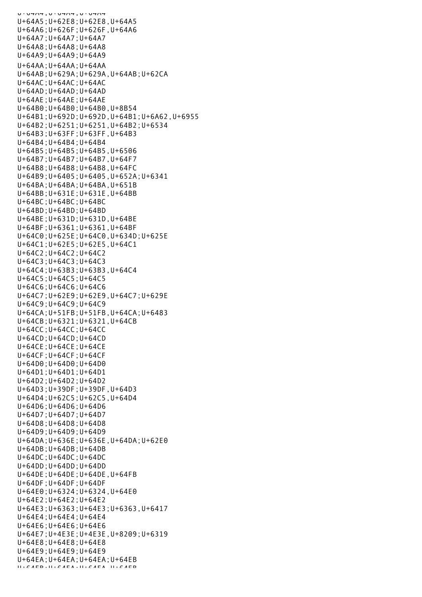U+UHA4;U+UHA4 U+64A5;U+62E8;U+62E8,U+64A5 U+64A6;U+626F;U+626F,U+64A6 U+64A7;U+64A7;U+64A7 U+64A8;U+64A8;U+64A8 U+64A9;U+64A9;U+64A9 U+64AA;U+64AA;U+64AA U+64AB;U+629A;U+629A,U+64AB;U+62CA U+64AC;U+64AC;U+64AC U+64AD;U+64AD;U+64AD U+64AE;U+64AE;U+64AE U+64B0;U+64B0;U+64B0,U+8B54 U+64B1;U+692D;U+692D,U+64B1;U+6A62,U+6955 U+64B2;U+6251;U+6251,U+64B2;U+6534 U+64B3;U+63FF;U+63FF,U+64B3 U+64B4;U+64B4;U+64B4 U+64B5;U+64B5;U+64B5,U+6506 U+64B7;U+64B7;U+64B7,U+64F7 U+64B8;U+64B8;U+64B8,U+64FC U+64B9;U+6405;U+6405,U+652A;U+6341 U+64BA;U+64BA;U+64BA,U+651B U+64BB;U+631E;U+631E,U+64BB U+64BC;U+64BC;U+64BC U+64BD;U+64BD;U+64BD U+64BE;U+631D;U+631D,U+64BE U+64BF;U+6361;U+6361,U+64BF U+64C0;U+625E;U+64C0,U+634D;U+625E U+64C1;U+62E5;U+62E5,U+64C1 U+64C2;U+64C2;U+64C2 U+64C3;U+64C3;U+64C3 U+64C4;U+63B3;U+63B3,U+64C4 U+64C5;U+64C5;U+64C5 U+64C6;U+64C6;U+64C6 U+64C7;U+62E9;U+62E9,U+64C7;U+629E U+64C9;U+64C9;U+64C9 U+64CA;U+51FB;U+51FB,U+64CA;U+6483 U+64CB;U+6321;U+6321,U+64CB U+64CC;U+64CC;U+64CC U+64CD;U+64CD;U+64CD U+64CE;U+64CE;U+64CE U+64CF;U+64CF;U+64CF U+64D0;U+64D0;U+64D0 U+64D1;U+64D1;U+64D1 U+64D2;U+64D2;U+64D2 U+64D3;U+39DF;U+39DF,U+64D3 U+64D4;U+62C5;U+62C5,U+64D4 U+64D6;U+64D6;U+64D6 U+64D7;U+64D7;U+64D7 U+64D8;U+64D8;U+64D8 U+64D9;U+64D9;U+64D9 U+64DA;U+636E;U+636E,U+64DA;U+62E0 U+64DB;U+64DB;U+64DB U+64DC;U+64DC;U+64DC U+64DD;U+64DD;U+64DD U+64DE;U+64DE;U+64DE,U+64FB U+64DF;U+64DF;U+64DF U+64E0;U+6324;U+6324,U+64E0 U+64E2;U+64E2;U+64E2 U+64E3;U+6363;U+64E3;U+6363,U+6417 U+64E4;U+64E4;U+64E4 U+64E6;U+64E6;U+64E6 U+64E7;U+4E3E;U+4E3E,U+8209;U+6319 U+64E8;U+64E8;U+64E8 U+64E9;U+64E9;U+64E9 U+64EA;U+64EA;U+64EA;U+64EB U+64EB;U+64EA;U+64EA,U+64EB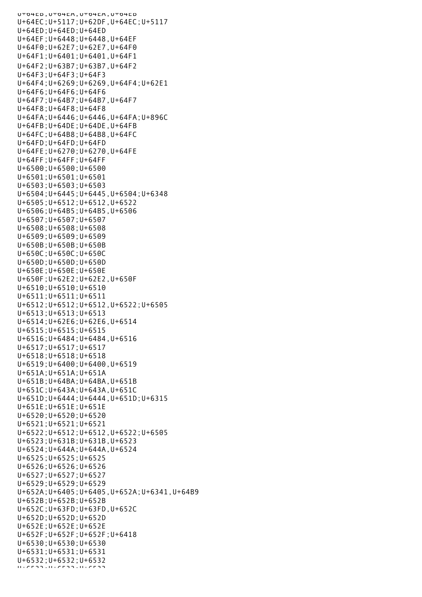U+64EB;U+64EA;U+64EA,U+64EB U+64EC;U+5117;U+62DF,U+64EC;U+5117 U+64ED;U+64ED;U+64ED U+64EF;U+6448;U+6448,U+64EF U+64F0;U+62E7;U+62E7,U+64F0 U+64F1;U+6401;U+6401,U+64F1 U+64F2;U+63B7;U+63B7,U+64F2 U+64F3;U+64F3;U+64F3 U+64F4;U+6269;U+6269,U+64F4;U+62E1 U+64F6;U+64F6;U+64F6 U+64F7;U+64B7;U+64B7,U+64F7 U+64F8;U+64F8;U+64F8 U+64FA;U+6446;U+6446,U+64FA;U+896C U+64FB;U+64DE;U+64DE,U+64FB U+64FC;U+64B8;U+64B8,U+64FC U+64FD;U+64FD;U+64FD U+64FE;U+6270;U+6270,U+64FE U+64FF;U+64FF;U+64FF U+6500;U+6500;U+6500 U+6501;U+6501;U+6501 U+6503;U+6503;U+6503 U+6504;U+6445;U+6445,U+6504;U+6348 U+6505;U+6512;U+6512,U+6522 U+6506;U+64B5;U+64B5,U+6506 U+6507;U+6507;U+6507 U+6508;U+6508;U+6508 U+6509;U+6509;U+6509 U+650B;U+650B;U+650B U+650C;U+650C;U+650C U+650D;U+650D;U+650D U+650E;U+650E;U+650E U+650F;U+62E2;U+62E2,U+650F U+6510;U+6510;U+6510 U+6511;U+6511;U+6511 U+6512;U+6512;U+6512,U+6522;U+6505 U+6513;U+6513;U+6513 U+6514;U+62E6;U+62E6,U+6514 U+6515;U+6515;U+6515 U+6516;U+6484;U+6484,U+6516 U+6517;U+6517;U+6517 U+6518;U+6518;U+6518 U+6519;U+6400;U+6400,U+6519 U+651A;U+651A;U+651A U+651B;U+64BA;U+64BA,U+651B U+651C;U+643A;U+643A,U+651C U+651D;U+6444;U+6444,U+651D;U+6315 U+651E;U+651E;U+651E U+6520;U+6520;U+6520 U+6521;U+6521;U+6521 U+6522;U+6512;U+6512,U+6522;U+6505 U+6523;U+631B;U+631B,U+6523 U+6524;U+644A;U+644A,U+6524 U+6525;U+6525;U+6525 U+6526;U+6526;U+6526 U+6527;U+6527;U+6527 U+6529;U+6529;U+6529 U+652A;U+6405;U+6405,U+652A;U+6341,U+64B9 U+652B;U+652B;U+652B U+652C;U+63FD;U+63FD,U+652C U+652D;U+652D;U+652D U+652E;U+652E;U+652E U+652F;U+652F;U+652F;U+6418 U+6530;U+6530;U+6530 U+6531;U+6531;U+6531 U+6532;U+6532;U+6532 U+6533;U+6533;U+6533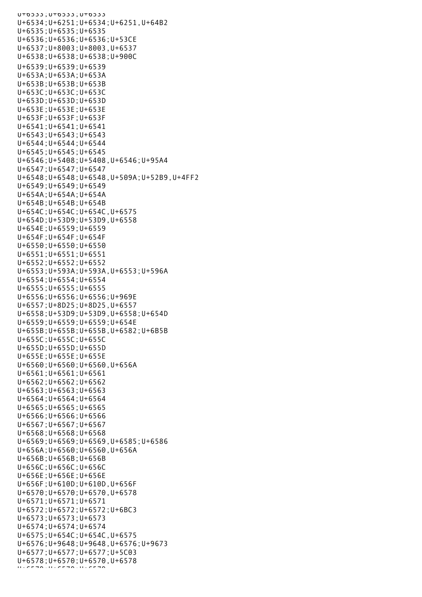$U^+0$ 333;U+6333;U+6533 U+6534;U+6251;U+6534;U+6251,U+64B2 U+6535;U+6535;U+6535 U+6536;U+6536;U+6536;U+53CE U+6537;U+8003;U+8003,U+6537 U+6538;U+6538;U+6538;U+900C U+6539;U+6539;U+6539 U+653A;U+653A;U+653A U+653B;U+653B;U+653B U+653C;U+653C;U+653C U+653D;U+653D;U+653D U+653E;U+653E;U+653E U+653F;U+653F;U+653F U+6541;U+6541;U+6541 U+6543;U+6543;U+6543 U+6544;U+6544;U+6544 U+6545;U+6545;U+6545 U+6546;U+5408;U+5408,U+6546;U+95A4 U+6547;U+6547;U+6547 U+6548;U+6548;U+6548,U+509A;U+52B9,U+4FF2 U+6549;U+6549;U+6549 U+654A;U+654A;U+654A U+654B;U+654B;U+654B U+654C;U+654C;U+654C,U+6575 U+654D;U+53D9;U+53D9,U+6558 U+654E;U+6559;U+6559 U+654F;U+654F;U+654F U+6550;U+6550;U+6550 U+6551;U+6551;U+6551 U+6552;U+6552;U+6552 U+6553;U+593A;U+593A,U+6553;U+596A U+6554;U+6554;U+6554 U+6555;U+6555;U+6555 U+6556;U+6556;U+6556;U+969E U+6557;U+8D25;U+8D25,U+6557 U+6558;U+53D9;U+53D9,U+6558;U+654D U+6559;U+6559;U+6559;U+654E U+655B;U+655B;U+655B,U+6582;U+6B5B U+655C;U+655C;U+655C U+655D;U+655D;U+655D U+655E;U+655E;U+655E U+6560;U+6560;U+6560,U+656A U+6561;U+6561;U+6561 U+6562;U+6562;U+6562 U+6563;U+6563;U+6563 U+6564;U+6564;U+6564 U+6565;U+6565;U+6565 U+6566;U+6566;U+6566 U+6567;U+6567;U+6567 U+6568;U+6568;U+6568 U+6569;U+6569;U+6569,U+6585;U+6586 U+656A;U+6560;U+6560,U+656A U+656B;U+656B;U+656B U+656C;U+656C;U+656C U+656E;U+656E;U+656E U+656F;U+610D;U+610D,U+656F U+6570;U+6570;U+6570,U+6578 U+6571;U+6571;U+6571 U+6572;U+6572;U+6572;U+6BC3 U+6573;U+6573;U+6573 U+6574;U+6574;U+6574 U+6575;U+654C;U+654C,U+6575 U+6576;U+9648;U+9648,U+6576;U+9673 U+6577;U+6577;U+6577;U+5C03 U+6578;U+6570;U+6570,U+6578 U+6579;U+6579;U+6579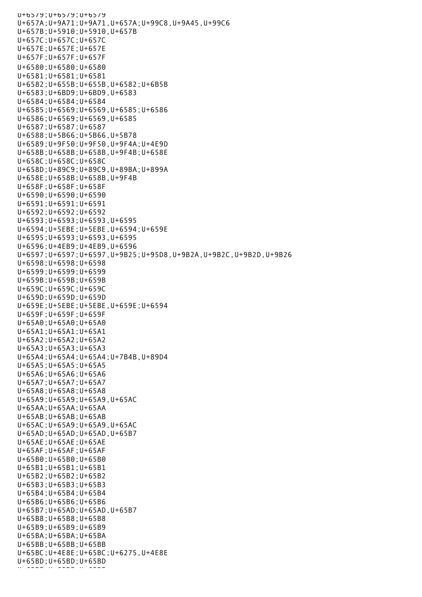U+6579;U+6579;U+6579 U+657A;U+9A71;U+9A71,U+657A;U+99C8,U+9A45,U+99C6 U+657B;U+5910;U+5910,U+657B U+657C;U+657C;U+657C U+657E;U+657E;U+657E U+657F;U+657F;U+657F U+6580;U+6580;U+6580 U+6581;U+6581;U+6581 U+6582;U+655B;U+655B,U+6582;U+6B5B U+6583;U+6BD9;U+6BD9,U+6583 U+6584;U+6584;U+6584 U+6585;U+6569;U+6569,U+6585;U+6586 U+6586;U+6569;U+6569,U+6585 U+6587;U+6587;U+6587 U+6588;U+5B66;U+5B66,U+5B78 U+6589;U+9F50;U+9F50,U+9F4A;U+4E9D U+658B;U+658B;U+658B,U+9F4B;U+658E U+658C;U+658C;U+658C U+658D;U+89C9;U+89C9,U+89BA;U+899A U+658E;U+658B;U+658B,U+9F4B U+658F;U+658F;U+658F U+6590;U+6590;U+6590 U+6591;U+6591;U+6591 U+6592;U+6592;U+6592 U+6593;U+6593;U+6593,U+6595 U+6594;U+5EBE;U+5EBE,U+6594;U+659E U+6595;U+6593;U+6593,U+6595 U+6596;U+4EB9;U+4EB9,U+6596 U+6597;U+6597;U+6597,U+9B25;U+95D8,U+9B2A,U+9B2C,U+9B2D,U+9B26 U+6598;U+6598;U+6598 U+6599;U+6599;U+6599 U+659B;U+659B;U+659B U+659C;U+659C;U+659C U+659D;U+659D;U+659D U+659E;U+5EBE;U+5EBE,U+659E;U+6594 U+659F;U+659F;U+659F U+65A0;U+65A0;U+65A0 U+65A1;U+65A1;U+65A1 U+65A2;U+65A2;U+65A2 U+65A3;U+65A3;U+65A3 U+65A4;U+65A4;U+65A4;U+7B4B,U+89D4 U+65A5;U+65A5;U+65A5 U+65A6;U+65A6;U+65A6 U+65A7;U+65A7;U+65A7 U+65A8;U+65A8;U+65A8 U+65A9;U+65A9;U+65A9,U+65AC U+65AA;U+65AA;U+65AA U+65AB;U+65AB;U+65AB U+65AC;U+65A9;U+65A9,U+65AC U+65AD;U+65AD;U+65AD,U+65B7 U+65AE;U+65AE;U+65AE U+65AF;U+65AF;U+65AF U+65B0;U+65B0;U+65B0 U+65B1;U+65B1;U+65B1 U+65B2;U+65B2;U+65B2 U+65B3;U+65B3;U+65B3 U+65B4;U+65B4;U+65B4 U+65B6;U+65B6;U+65B6 U+65B7;U+65AD;U+65AD,U+65B7 U+65B8;U+65B8;U+65B8 U+65B9;U+65B9;U+65B9 U+65BA;U+65BA;U+65BA U+65BB;U+65BB;U+65BB U+65BC;U+4E8E;U+65BC;U+6275,U+4E8E U+65BD;U+65BD;U+65BD U+65BF;U+65BF;U+65BF;<br>U+6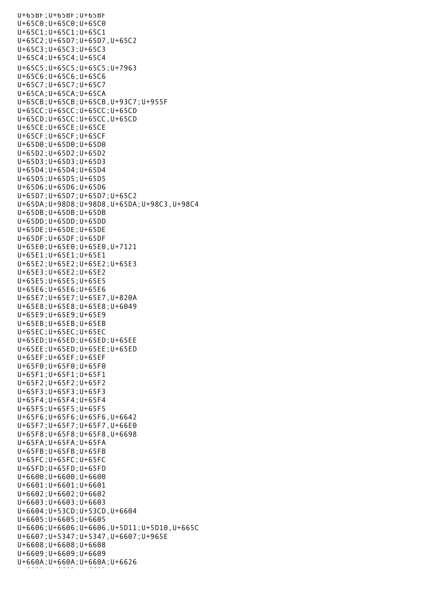U+65BF;U+65BF;U+65BF U+65C0;U+65C0;U+65C0 U+65C1;U+65C1;U+65C1 U+65C2;U+65D7;U+65D7,U+65C2 U+65C3;U+65C3;U+65C3 U+65C4;U+65C4;U+65C4 U+65C5;U+65C5;U+65C5;U+7963 U+65C6;U+65C6;U+65C6 U+65C7;U+65C7;U+65C7 U+65CA;U+65CA;U+65CA U+65CB;U+65CB;U+65CB,U+93C7;U+955F U+65CC;U+65CC;U+65CC;U+65CD U+65CD;U+65CC;U+65CC,U+65CD U+65CE;U+65CE;U+65CE U+65CF;U+65CF;U+65CF U+65D0;U+65D0;U+65D0 U+65D2;U+65D2;U+65D2 U+65D3;U+65D3;U+65D3 U+65D4;U+65D4;U+65D4 U+65D5;U+65D5;U+65D5 U+65D6;U+65D6;U+65D6 U+65D7;U+65D7;U+65D7;U+65C2 U+65DA;U+98D8;U+98D8,U+65DA;U+98C3,U+98C4 U+65DB;U+65DB;U+65DB U+65DD;U+65DD;U+65DD U+65DE;U+65DE;U+65DE U+65DF;U+65DF;U+65DF U+65E0;U+65E0;U+65E0,U+7121 U+65E1;U+65E1;U+65E1 U+65E2;U+65E2;U+65E2;U+65E3 U+65E3;U+65E2;U+65E2 U+65E5;U+65E5;U+65E5 U+65E6;U+65E6;U+65E6 U+65E7;U+65E7;U+65E7,U+820A U+65E8;U+65E8;U+65E8;U+6049 U+65E9;U+65E9;U+65E9 U+65EB;U+65EB;U+65EB U+65EC;U+65EC;U+65EC U+65ED;U+65ED;U+65ED;U+65EE U+65EE;U+65ED;U+65EE;U+65ED U+65EF;U+65EF;U+65EF U+65F0;U+65F0;U+65F0 U+65F1;U+65F1;U+65F1 U+65F2;U+65F2;U+65F2 U+65F3;U+65F3;U+65F3 U+65F4;U+65F4;U+65F4 U+65F5;U+65F5;U+65F5 U+65F6;U+65F6;U+65F6,U+6642 U+65F7;U+65F7;U+65F7,U+66E0 U+65F8;U+65F8;U+65F8,U+6698 U+65FA;U+65FA;U+65FA U+65FB;U+65FB;U+65FB U+65FC;U+65FC;U+65FC U+65FD;U+65FD;U+65FD U+6600;U+6600;U+6600 U+6601;U+6601;U+6601 U+6602;U+6602;U+6602 U+6603;U+6603;U+6603 U+6604;U+53CD;U+53CD,U+6604 U+6605;U+6605;U+6605 U+6606;U+6606;U+6606,U+5D11;U+5D10,U+665C U+6607;U+5347;U+5347,U+6607;U+965E U+6608;U+6608;U+6608 U+6609;U+6609;U+6609 U+660A;U+660A;U+660A;U+6626 ut eeste vuositas vuositas.<br>U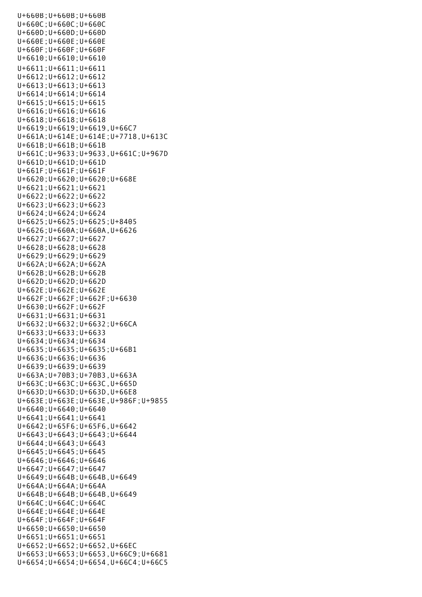U+660B;U+660B;U+660B U+660C;U+660C;U+660C U+660D;U+660D;U+660D U+660E;U+660E;U+660E U+660F;U+660F;U+660F U+6610;U+6610;U+6610 U+6611;U+6611;U+6611 U+6612;U+6612;U+6612 U+6613;U+6613;U+6613 U+6614;U+6614;U+6614 U+6615;U+6615;U+6615 U+6616;U+6616;U+6616 U+6618;U+6618;U+6618 U+6619;U+6619;U+6619,U+66C7 U+661A;U+614E;U+614E;U+7718,U+613C U+661B;U+661B;U+661B U+661C;U+9633;U+9633,U+661C;U+967D U+661D;U+661D;U+661D U+661F;U+661F;U+661F U+6620;U+6620;U+6620;U+668E U+6621;U+6621;U+6621 U+6622;U+6622;U+6622 U+6623;U+6623;U+6623 U+6624;U+6624;U+6624 U+6625;U+6625;U+6625;U+8405 U+6626;U+660A;U+660A,U+6626 U+6627;U+6627;U+6627 U+6628;U+6628;U+6628 U+6629;U+6629;U+6629 U+662A;U+662A;U+662A U+662B;U+662B;U+662B U+662D;U+662D;U+662D U+662E;U+662E;U+662E U+662F;U+662F;U+662F;U+6630 U+6630;U+662F;U+662F U+6631;U+6631;U+6631 U+6632;U+6632;U+6632;U+66CA U+6633;U+6633;U+6633 U+6634;U+6634;U+6634 U+6635;U+6635;U+6635;U+66B1 U+6636;U+6636;U+6636 U+6639;U+6639;U+6639 U+663A;U+70B3;U+70B3,U+663A U+663C;U+663C;U+663C,U+665D U+663D;U+663D;U+663D,U+66E8 U+663E;U+663E;U+663E,U+986F;U+9855 U+6640;U+6640;U+6640 U+6641;U+6641;U+6641 U+6642;U+65F6;U+65F6,U+6642 U+6643;U+6643;U+6643;U+6644 U+6644;U+6643;U+6643 U+6645;U+6645;U+6645 U+6646;U+6646;U+6646 U+6647;U+6647;U+6647 U+6649;U+664B;U+664B,U+6649 U+664A;U+664A;U+664A U+664B;U+664B;U+664B,U+6649 U+664C;U+664C;U+664C U+664E;U+664E;U+664E U+664F;U+664F;U+664F U+6650;U+6650;U+6650 U+6651;U+6651;U+6651 U+6652;U+6652;U+6652,U+66EC U+6653;U+6653;U+6653,U+66C9;U+6681 U+6654;U+6654;U+6654,U+66C4;U+66C5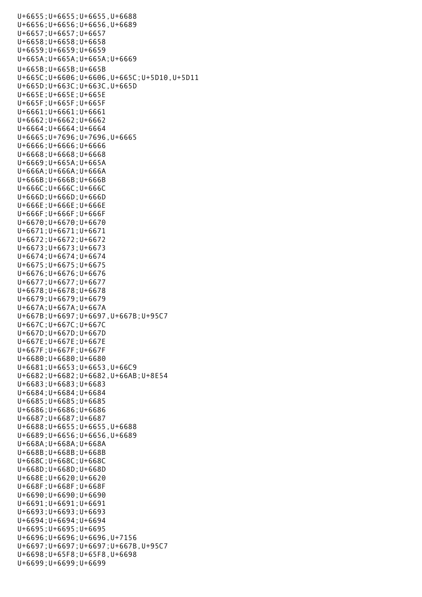|  |  | $U+6655$ ; $U+6655$ ; $U+6655$ , $U+6688$            |  |  |  |  |
|--|--|------------------------------------------------------|--|--|--|--|
|  |  | $U+6656$ ; $U+6656$ ; $U+6656$ , $U+6689$            |  |  |  |  |
|  |  | $U+6657$ ; $U+6657$ ; $U+6657$                       |  |  |  |  |
|  |  | $U+6658$ ; $U+6658$ ; $U+6658$                       |  |  |  |  |
|  |  | $U+6659; U+6659; U+6659$                             |  |  |  |  |
|  |  |                                                      |  |  |  |  |
|  |  | U+665A; U+665A; U+665A; U+6669                       |  |  |  |  |
|  |  | $U+665B$ ; $U+665B$ ; $U+665B$                       |  |  |  |  |
|  |  | U+665C; U+6606; U+6606, U+665C; U+5D10, U+5D11       |  |  |  |  |
|  |  | U+665D; U+663C; U+663C, U+665D                       |  |  |  |  |
|  |  | U+665E; U+665E; U+665E                               |  |  |  |  |
|  |  |                                                      |  |  |  |  |
|  |  | $U+665F$ ; $U+665F$ ; $U+665F$                       |  |  |  |  |
|  |  | $U+6661; U+6661; U+6661$                             |  |  |  |  |
|  |  | $U+6662; U+6662; U+6662$                             |  |  |  |  |
|  |  | $U+6664$ ; $U+6664$ ; $U+6664$                       |  |  |  |  |
|  |  | $U+6665$ ; $U+7696$ ; $U+7696$ , $U+6665$            |  |  |  |  |
|  |  | $U+6666$ ; $U+6666$ ; $U+6666$                       |  |  |  |  |
|  |  | $U+6668$ ; $U+6668$ ; $U+6668$                       |  |  |  |  |
|  |  | $U+6669; U+665A; U+665A$                             |  |  |  |  |
|  |  |                                                      |  |  |  |  |
|  |  | $U+666A; U+666A; U+666A$                             |  |  |  |  |
|  |  | $U+666B$ ; $U+666B$ ; $U+666B$                       |  |  |  |  |
|  |  | $U+666C$ ; $U+666C$ ; $U+666C$                       |  |  |  |  |
|  |  | $U+666D; U+666D; U+666D$                             |  |  |  |  |
|  |  | U+666E; U+666E; U+666E                               |  |  |  |  |
|  |  | $U+666F$ ; $U+666F$ ; $U+666F$                       |  |  |  |  |
|  |  | $U+6670$ ; $U+6670$ ; $U+6670$                       |  |  |  |  |
|  |  | $U+6671; U+6671; U+6671$                             |  |  |  |  |
|  |  | $U+6672; U+6672; U+6672$                             |  |  |  |  |
|  |  |                                                      |  |  |  |  |
|  |  | $U+6673; U+6673; U+6673$                             |  |  |  |  |
|  |  | $U+6674; U+6674; U+6674$                             |  |  |  |  |
|  |  | $U+6675$ ; $U+6675$ ; $U+6675$                       |  |  |  |  |
|  |  | $U+6676$ ; $U+6676$ ; $U+6676$                       |  |  |  |  |
|  |  | $U+6677; U+6677; U+6677$                             |  |  |  |  |
|  |  | $U+6678; U+6678; U+6678$                             |  |  |  |  |
|  |  | $U+6679; U+6679; U+6679$                             |  |  |  |  |
|  |  | $U+667A; U+667A; U+667A$                             |  |  |  |  |
|  |  | $U+667B$ ; $U+6697$ ; $U+6697$ , $U+667B$ ; $U+95C7$ |  |  |  |  |
|  |  |                                                      |  |  |  |  |
|  |  | $U+667C$ ; $U+667C$ ; $U+667C$                       |  |  |  |  |
|  |  | $U+667D$ ; $U+667D$ ; $U+667D$                       |  |  |  |  |
|  |  | $U+667E$ ; $U+667E$ ; $U+667E$                       |  |  |  |  |
|  |  | $U+667F$ ; $U+667F$ ; $U+667F$                       |  |  |  |  |
|  |  | $U+6680$ ; $U+6680$ ; $U+6680$                       |  |  |  |  |
|  |  | $U+6681; U+6653; U+6653, U+66C9$                     |  |  |  |  |
|  |  | $U+6682$ ; $U+6682$ ; $U+6682$ , $U+66AB$ ; $U+8E54$ |  |  |  |  |
|  |  | $U+6683; U+6683; U+6683$                             |  |  |  |  |
|  |  | $U+6684$ ; $U+6684$ ; $U+6684$                       |  |  |  |  |
|  |  | $U+6685$ ; $U+6685$ ; $U+6685$                       |  |  |  |  |
|  |  |                                                      |  |  |  |  |
|  |  | $U+6686$ ; $U+6686$ ; $U+6686$                       |  |  |  |  |
|  |  | $U+6687; U+6687; U+6687$                             |  |  |  |  |
|  |  | $U+6688$ ; $U+6655$ ; $U+6655$ , $U+6688$            |  |  |  |  |
|  |  | $U+6689$ ; $U+6656$ ; $U+6656$ , $U+6689$            |  |  |  |  |
|  |  | $U+668A; U+668A; U+668A$                             |  |  |  |  |
|  |  | $U+668B$ ; $U+668B$ ; $U+668B$                       |  |  |  |  |
|  |  | $U+668C$ ; $U+668C$ ; $U+668C$                       |  |  |  |  |
|  |  | $U+668D; U+668D; U+668D$                             |  |  |  |  |
|  |  | $U+668E$ ; $U+6620$ ; $U+6620$                       |  |  |  |  |
|  |  | $U+668F; U+668F; U+668F$                             |  |  |  |  |
|  |  |                                                      |  |  |  |  |
|  |  | $U+6690$ ; $U+6690$ ; $U+6690$                       |  |  |  |  |
|  |  | $U+6691; U+6691; U+6691$                             |  |  |  |  |
|  |  | $U+6693; U+6693; U+6693$                             |  |  |  |  |
|  |  | $U+6694$ ; $U+6694$ ; $U+6694$                       |  |  |  |  |
|  |  | $U+6695$ ; $U+6695$ ; $U+6695$                       |  |  |  |  |
|  |  | $U+6696$ ; $U+6696$ ; $U+6696$ , $U+7156$            |  |  |  |  |
|  |  | $U+6697$ ; $U+6697$ ; $U+6697$ ; $U+667B$ , $U+95C7$ |  |  |  |  |
|  |  | $U+6698; U+65F8; U+65F8, U+6698$                     |  |  |  |  |
|  |  | $U+6699$ ; $U+6699$ ; $U+6699$                       |  |  |  |  |
|  |  |                                                      |  |  |  |  |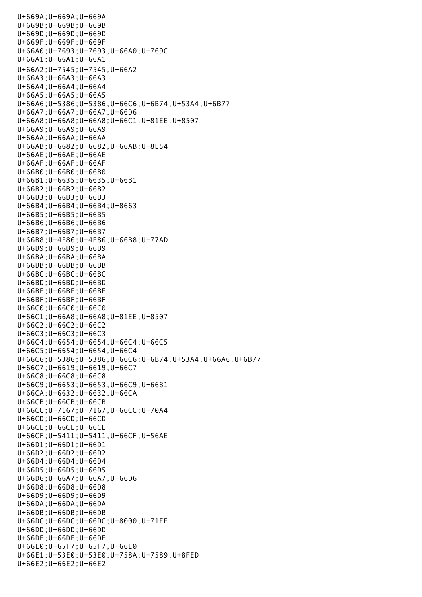U+669A;U+669A;U+669A U+669B;U+669B;U+669B U+669D;U+669D;U+669D U+669F;U+669F;U+669F U+66A0;U+7693;U+7693,U+66A0;U+769C U+66A1;U+66A1;U+66A1 U+66A2;U+7545;U+7545,U+66A2 U+66A3;U+66A3;U+66A3 U+66A4;U+66A4;U+66A4 U+66A5;U+66A5;U+66A5 U+66A6;U+5386;U+5386,U+66C6;U+6B74,U+53A4,U+6B77 U+66A7;U+66A7;U+66A7,U+66D6 U+66A8;U+66A8;U+66A8;U+66C1,U+81EE,U+8507 U+66A9;U+66A9;U+66A9 U+66AA;U+66AA;U+66AA U+66AB;U+6682;U+6682,U+66AB;U+8E54 U+66AE;U+66AE;U+66AE U+66AF;U+66AF;U+66AF U+66B0;U+66B0;U+66B0 U+66B1;U+6635;U+6635,U+66B1 U+66B2;U+66B2;U+66B2 U+66B3;U+66B3;U+66B3 U+66B4;U+66B4;U+66B4;U+8663 U+66B5;U+66B5;U+66B5 U+66B6;U+66B6;U+66B6 U+66B7;U+66B7;U+66B7 U+66B8;U+4E86;U+4E86,U+66B8;U+77AD U+66B9;U+66B9;U+66B9 U+66BA;U+66BA;U+66BA U+66BB;U+66BB;U+66BB U+66BC;U+66BC;U+66BC U+66BD;U+66BD;U+66BD U+66BE;U+66BE;U+66BE U+66BF;U+66BF;U+66BF U+66C0;U+66C0;U+66C0 U+66C1;U+66A8;U+66A8;U+81EE,U+8507 U+66C2;U+66C2;U+66C2 U+66C3;U+66C3;U+66C3 U+66C4;U+6654;U+6654,U+66C4;U+66C5 U+66C5;U+6654;U+6654,U+66C4 U+66C6;U+5386;U+5386,U+66C6;U+6B74,U+53A4,U+66A6,U+6B77 U+66C7;U+6619;U+6619,U+66C7 U+66C8;U+66C8;U+66C8 U+66C9;U+6653;U+6653,U+66C9;U+6681 U+66CA;U+6632;U+6632,U+66CA U+66CB;U+66CB;U+66CB U+66CC;U+7167;U+7167,U+66CC;U+70A4 U+66CD;U+66CD;U+66CD U+66CE;U+66CE;U+66CE U+66CF;U+5411;U+5411,U+66CF;U+56AE U+66D1;U+66D1;U+66D1 U+66D2;U+66D2;U+66D2 U+66D4;U+66D4;U+66D4 U+66D5;U+66D5;U+66D5 U+66D6;U+66A7;U+66A7,U+66D6 U+66D8;U+66D8;U+66D8 U+66D9;U+66D9;U+66D9 U+66DA;U+66DA;U+66DA U+66DB;U+66DB;U+66DB U+66DC;U+66DC;U+66DC;U+8000,U+71FF U+66DD;U+66DD;U+66DD U+66DE;U+66DE;U+66DE U+66E0;U+65F7;U+65F7,U+66E0 U+66E1;U+53E0;U+53E0,U+758A;U+7589,U+8FED U+66E2;U+66E2;U+66E2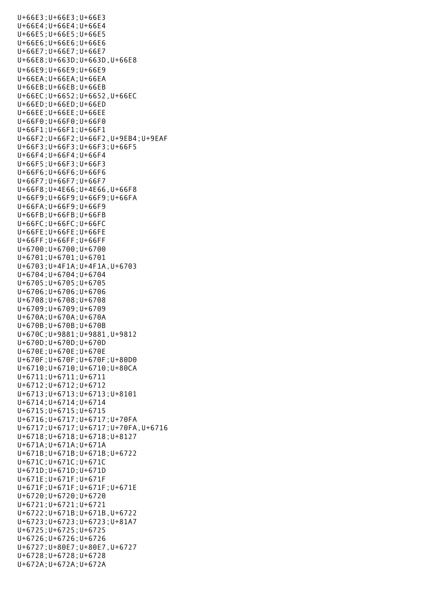U+66E3;U+66E3;U+66E3 U+66E4;U+66E4;U+66E4 U+66E5;U+66E5;U+66E5 U+66E6;U+66E6;U+66E6 U+66E7;U+66E7;U+66E7 U+66E8;U+663D;U+663D,U+66E8 U+66E9;U+66E9;U+66E9 U+66EA;U+66EA;U+66EA U+66EB;U+66EB;U+66EB U+66EC;U+6652;U+6652,U+66EC U+66ED;U+66ED;U+66ED U+66EE;U+66EE;U+66EE U+66F0;U+66F0;U+66F0 U+66F1;U+66F1;U+66F1 U+66F2;U+66F2;U+66F2,U+9EB4;U+9EAF U+66F3;U+66F3;U+66F3;U+66F5 U+66F4;U+66F4;U+66F4 U+66F5;U+66F3;U+66F3 U+66F6;U+66F6;U+66F6 U+66F7;U+66F7;U+66F7 U+66F8;U+4E66;U+4E66,U+66F8 U+66F9;U+66F9;U+66F9;U+66FA U+66FA;U+66F9;U+66F9 U+66FB;U+66FB;U+66FB U+66FC;U+66FC;U+66FC U+66FE;U+66FE;U+66FE U+66FF;U+66FF;U+66FF U+6700;U+6700;U+6700 U+6701;U+6701;U+6701 U+6703;U+4F1A;U+4F1A,U+6703 U+6704;U+6704;U+6704 U+6705;U+6705;U+6705 U+6706;U+6706;U+6706 U+6708;U+6708;U+6708 U+6709;U+6709;U+6709 U+670A;U+670A;U+670A U+670B;U+670B;U+670B U+670C;U+9881;U+9881,U+9812 U+670D;U+670D;U+670D U+670E;U+670E;U+670E U+670F;U+670F;U+670F;U+80D0 U+6710;U+6710;U+6710;U+80CA U+6711;U+6711;U+6711 U+6712;U+6712;U+6712 U+6713;U+6713;U+6713;U+8101 U+6714;U+6714;U+6714 U+6715;U+6715;U+6715 U+6716;U+6717;U+6717;U+70FA U+6717;U+6717;U+6717;U+70FA,U+6716 U+6718;U+6718;U+6718;U+8127 U+671A;U+671A;U+671A U+671B;U+671B;U+671B;U+6722 U+671C;U+671C;U+671C U+671D;U+671D;U+671D U+671E;U+671F;U+671F U+671F;U+671F;U+671F;U+671E U+6720;U+6720;U+6720 U+6721;U+6721;U+6721 U+6722;U+671B;U+671B,U+6722 U+6723;U+6723;U+6723;U+81A7 U+6725;U+6725;U+6725 U+6726;U+6726;U+6726 U+6727;U+80E7;U+80E7,U+6727 U+6728;U+6728;U+6728 U+672A;U+672A;U+672A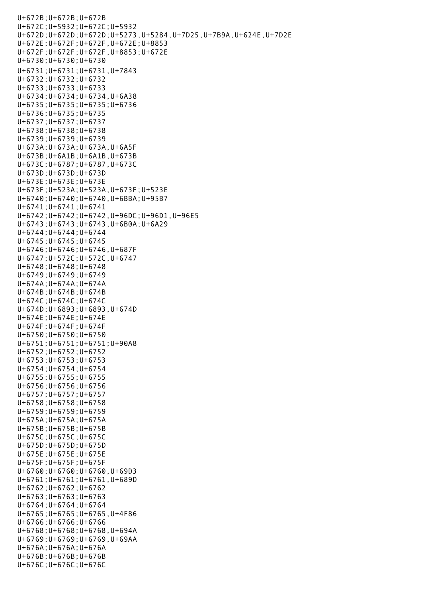U+672B;U+672B;U+672B U+672C;U+5932;U+672C;U+5932 U+672D;U+672D;U+672D;U+5273,U+5284,U+7D25,U+7B9A,U+624E,U+7D2E U+672E;U+672F;U+672F,U+672E;U+8853 U+672F;U+672F;U+672F,U+8853;U+672E U+6730;U+6730;U+6730 U+6731;U+6731;U+6731,U+7843 U+6732;U+6732;U+6732 U+6733;U+6733;U+6733 U+6734;U+6734;U+6734,U+6A38 U+6735;U+6735;U+6735;U+6736 U+6736;U+6735;U+6735 U+6737;U+6737;U+6737 U+6738;U+6738;U+6738 U+6739;U+6739;U+6739 U+673A;U+673A;U+673A,U+6A5F U+673B;U+6A1B;U+6A1B,U+673B U+673C;U+6787;U+6787,U+673C U+673D;U+673D;U+673D U+673E;U+673E;U+673E U+673F;U+523A;U+523A,U+673F;U+523E U+6740;U+6740;U+6740,U+6BBA;U+95B7 U+6741;U+6741;U+6741 U+6742;U+6742;U+6742,U+96DC;U+96D1,U+96E5 U+6743;U+6743;U+6743,U+6B0A;U+6A29 U+6744;U+6744;U+6744 U+6745;U+6745;U+6745 U+6746;U+6746;U+6746,U+687F U+6747;U+572C;U+572C,U+6747 U+6748;U+6748;U+6748 U+6749;U+6749;U+6749 U+674A;U+674A;U+674A U+674B;U+674B;U+674B U+674C;U+674C;U+674C U+674D;U+6893;U+6893,U+674D U+674E;U+674E;U+674E U+674F;U+674F;U+674F U+6750;U+6750;U+6750 U+6751;U+6751;U+6751;U+90A8 U+6752;U+6752;U+6752 U+6753;U+6753;U+6753 U+6754;U+6754;U+6754 U+6755;U+6755;U+6755 U+6756;U+6756;U+6756 U+6757;U+6757;U+6757 U+6758;U+6758;U+6758 U+6759;U+6759;U+6759 U+675A;U+675A;U+675A U+675B;U+675B;U+675B U+675C;U+675C;U+675C U+675D;U+675D;U+675D U+675E;U+675E;U+675E U+675F;U+675F;U+675F U+6760;U+6760;U+6760,U+69D3 U+6761;U+6761;U+6761,U+689D U+6762;U+6762;U+6762 U+6763;U+6763;U+6763 U+6764;U+6764;U+6764 U+6765;U+6765;U+6765,U+4F86 U+6766;U+6766;U+6766 U+6768;U+6768;U+6768,U+694A U+6769;U+6769;U+6769,U+69AA U+676A;U+676A;U+676A U+676B;U+676B;U+676B U+676C;U+676C;U+676C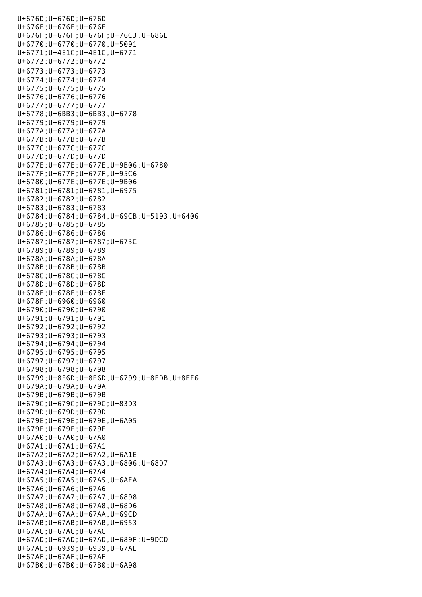U+676D;U+676D;U+676D U+676E;U+676E;U+676E U+676F;U+676F;U+676F;U+76C3,U+686E U+6770;U+6770;U+6770,U+5091 U+6771;U+4E1C;U+4E1C,U+6771 U+6772;U+6772;U+6772 U+6773;U+6773;U+6773 U+6774;U+6774;U+6774 U+6775;U+6775;U+6775 U+6776;U+6776;U+6776 U+6777;U+6777;U+6777 U+6778;U+6BB3;U+6BB3,U+6778 U+6779;U+6779;U+6779 U+677A;U+677A;U+677A U+677B;U+677B;U+677B U+677C;U+677C;U+677C U+677D;U+677D;U+677D U+677E;U+677E;U+677E,U+9B06;U+6780 U+677F;U+677F;U+677F,U+95C6 U+6780;U+677E;U+677E;U+9B06 U+6781;U+6781;U+6781,U+6975 U+6782;U+6782;U+6782 U+6783;U+6783;U+6783 U+6784;U+6784;U+6784,U+69CB;U+5193,U+6406 U+6785;U+6785;U+6785 U+6786;U+6786;U+6786 U+6787;U+6787;U+6787;U+673C U+6789;U+6789;U+6789 U+678A;U+678A;U+678A U+678B;U+678B;U+678B U+678C;U+678C;U+678C U+678D;U+678D;U+678D U+678E;U+678E;U+678E U+678F;U+6960;U+6960 U+6790;U+6790;U+6790 U+6791;U+6791;U+6791 U+6792;U+6792;U+6792 U+6793;U+6793;U+6793 U+6794;U+6794;U+6794 U+6795;U+6795;U+6795 U+6797;U+6797;U+6797 U+6798;U+6798;U+6798 U+6799;U+8F6D;U+8F6D,U+6799;U+8EDB,U+8EF6 U+679A;U+679A;U+679A U+679B;U+679B;U+679B U+679C;U+679C;U+679C;U+83D3 U+679D;U+679D;U+679D U+679E;U+679E;U+679E,U+6A05 U+679F;U+679F;U+679F U+67A0;U+67A0;U+67A0 U+67A1;U+67A1;U+67A1 U+67A2;U+67A2;U+67A2,U+6A1E U+67A3;U+67A3;U+67A3,U+6806;U+68D7 U+67A4;U+67A4;U+67A4 U+67A5;U+67A5;U+67A5,U+6AEA U+67A6;U+67A6;U+67A6 U+67A7;U+67A7;U+67A7,U+6898 U+67A8;U+67A8;U+67A8,U+68D6 U+67AA;U+67AA;U+67AA,U+69CD U+67AB;U+67AB;U+67AB,U+6953 U+67AC;U+67AC;U+67AC U+67AD;U+67AD;U+67AD,U+689F;U+9DCD U+67AE;U+6939;U+6939,U+67AE U+67AF;U+67AF;U+67AF U+67B0;U+67B0;U+67B0;U+6A98

U+676C;U+676C;U+676C;U+676C;U+676C;U+676C;U+676C;U+676C;U+676C;U+676C;U+676C;U+676C;U+676C;U+676C;U+676C;U+676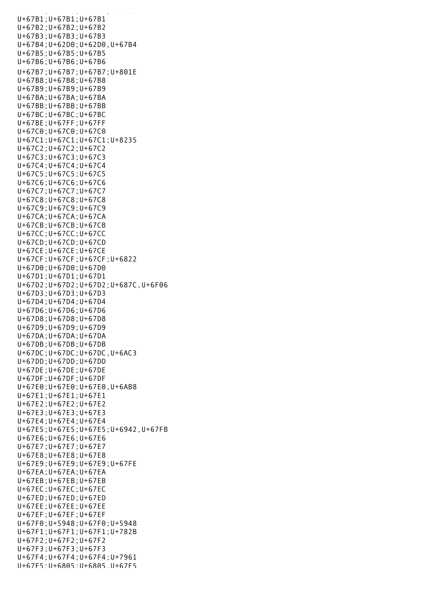U+67B0;U+67B0;U+67B0;U+67B0;U+67B0;U+68888 U+67B1;U+67B1;U+67B1 U+67B2;U+67B2;U+67B2 U+67B3;U+67B3;U+67B3 U+67B4;U+62D0;U+62D0,U+67B4 U+67B5;U+67B5;U+67B5 U+67B6;U+67B6;U+67B6 U+67B7;U+67B7;U+67B7;U+801E U+67B8;U+67B8;U+67B8 U+67B9;U+67B9;U+67B9 U+67BA;U+67BA;U+67BA U+67BB;U+67BB;U+67BB U+67BC;U+67BC;U+67BC U+67BE;U+67FF;U+67FF U+67C0;U+67C0;U+67C0 U+67C1;U+67C1;U+67C1;U+8235 U+67C2;U+67C2;U+67C2 U+67C3;U+67C3;U+67C3 U+67C4;U+67C4;U+67C4 U+67C5;U+67C5;U+67C5 U+67C6;U+67C6;U+67C6 U+67C7;U+67C7;U+67C7 U+67C8;U+67C8;U+67C8 U+67C9;U+67C9;U+67C9 U+67CA;U+67CA;U+67CA U+67CB;U+67CB;U+67CB U+67CC;U+67CC;U+67CC U+67CD;U+67CD;U+67CD U+67CE;U+67CE;U+67CE U+67CF;U+67CF;U+67CF;U+6822 U+67D0;U+67D0;U+67D0 U+67D1;U+67D1;U+67D1 U+67D2;U+67D2;U+67D2;U+687C,U+6F06 U+67D3;U+67D3;U+67D3 U+67D4;U+67D4;U+67D4 U+67D6;U+67D6;U+67D6 U+67D8;U+67D8;U+67D8 U+67D9;U+67D9;U+67D9 U+67DA;U+67DA;U+67DA U+67DB;U+67DB;U+67DB U+67DC;U+67DC;U+67DC,U+6AC3 U+67DD;U+67DD;U+67DD U+67DE;U+67DE;U+67DE U+67DF;U+67DF;U+67DF U+67E0;U+67E0;U+67E0,U+6AB8 U+67E1;U+67E1;U+67E1 U+67E2;U+67E2;U+67E2 U+67E3;U+67E3;U+67E3 U+67E4;U+67E4;U+67E4 U+67E5;U+67E5;U+67E5;U+6942,U+67FB U+67E6;U+67E6;U+67E6 U+67E7;U+67E7;U+67E7 U+67E8;U+67E8;U+67E8 U+67E9;U+67E9;U+67E9;U+67FE U+67EA;U+67EA;U+67EA U+67EB;U+67EB;U+67EB U+67EC;U+67EC;U+67EC U+67ED;U+67ED;U+67ED U+67EE;U+67EE;U+67EE U+67EF;U+67EF;U+67EF U+67F0;U+5948;U+67F0;U+5948 U+67F1;U+67F1;U+67F1;U+782B U+67F2;U+67F2;U+67F2 U+67F3;U+67F3;U+67F3 U+67F4;U+67F4;U+67F4;U+7961 U+67F5;U+6805;U+6805,U+67F5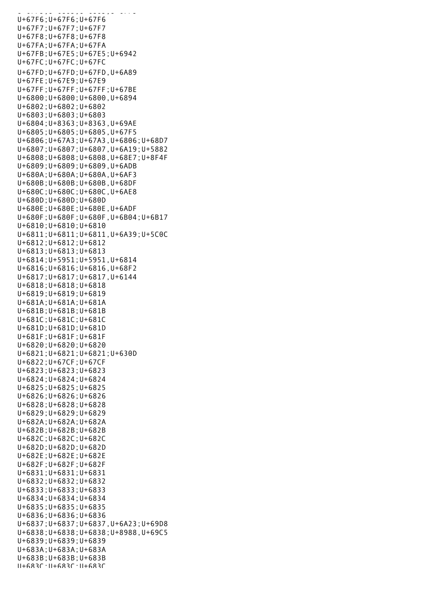U+67F5;U+6805;U+6805;U+6805;U+6805;U+6805;U+6805;U+6805;U+6805;U+6805;U+6805;U+6805;U+6805;U+6805;U+6805;U+680 U+67F6;U+67F6;U+67F6 U+67F7;U+67F7;U+67F7 U+67F8;U+67F8;U+67F8 U+67FA;U+67FA;U+67FA U+67FB;U+67E5;U+67E5;U+6942 U+67FC;U+67FC;U+67FC U+67FD;U+67FD;U+67FD,U+6A89 U+67FE;U+67E9;U+67E9 U+67FF;U+67FF;U+67FF;U+67BE U+6800;U+6800;U+6800,U+6894 U+6802;U+6802;U+6802 U+6803;U+6803;U+6803 U+6804;U+8363;U+8363,U+69AE U+6805;U+6805;U+6805,U+67F5 U+6806;U+67A3;U+67A3,U+6806;U+68D7 U+6807;U+6807;U+6807,U+6A19;U+5882 U+6808;U+6808;U+6808,U+68E7;U+8F4F U+6809;U+6809;U+6809,U+6ADB U+680A;U+680A;U+680A,U+6AF3 U+680B;U+680B;U+680B,U+68DF U+680C;U+680C;U+680C,U+6AE8 U+680D;U+680D;U+680D U+680E;U+680E;U+680E,U+6ADF U+680F;U+680F;U+680F,U+6B04;U+6B17 U+6810;U+6810;U+6810 U+6811;U+6811;U+6811,U+6A39;U+5C0C U+6812;U+6812;U+6812 U+6813;U+6813;U+6813 U+6814;U+5951;U+5951,U+6814 U+6816;U+6816;U+6816,U+68F2 U+6817;U+6817;U+6817,U+6144 U+6818;U+6818;U+6818 U+6819;U+6819;U+6819 U+681A;U+681A;U+681A U+681B;U+681B;U+681B U+681C;U+681C;U+681C U+681D;U+681D;U+681D U+681F;U+681F;U+681F U+6820;U+6820;U+6820 U+6821;U+6821;U+6821;U+630D U+6822;U+67CF;U+67CF U+6823;U+6823;U+6823 U+6824;U+6824;U+6824 U+6825;U+6825;U+6825 U+6826;U+6826;U+6826 U+6828;U+6828;U+6828 U+6829;U+6829;U+6829 U+682A;U+682A;U+682A U+682B;U+682B;U+682B U+682C;U+682C;U+682C U+682D;U+682D;U+682D U+682E;U+682E;U+682E U+682F;U+682F;U+682F U+6831;U+6831;U+6831 U+6832;U+6832;U+6832 U+6833;U+6833;U+6833 U+6834;U+6834;U+6834 U+6835;U+6835;U+6835 U+6836;U+6836;U+6836 U+6837;U+6837;U+6837,U+6A23;U+69D8 U+6838;U+6838;U+6838;U+8988,U+69C5 U+6839;U+6839;U+6839 U+683A;U+683A;U+683A U+683B;U+683B;U+683B U+683C;U+683C;U+683C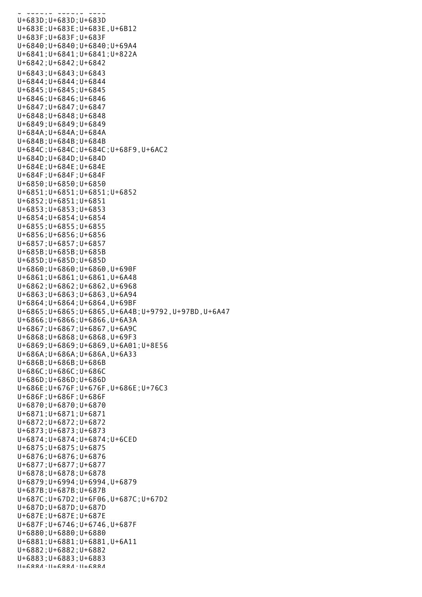U+683C;U+683C;U+683C U+683D;U+683D;U+683D U+683E;U+683E;U+683E,U+6B12 U+683F;U+683F;U+683F U+6840;U+6840;U+6840;U+69A4 U+6841;U+6841;U+6841;U+822A U+6842;U+6842;U+6842 U+6843;U+6843;U+6843 U+6844;U+6844;U+6844 U+6845;U+6845;U+6845 U+6846;U+6846;U+6846 U+6847;U+6847;U+6847 U+6848;U+6848;U+6848 U+6849;U+6849;U+6849 U+684A;U+684A;U+684A U+684B;U+684B;U+684B U+684C;U+684C;U+684C;U+68F9,U+6AC2 U+684D;U+684D;U+684D U+684E;U+684E;U+684E U+684F;U+684F;U+684F U+6850;U+6850;U+6850 U+6851;U+6851;U+6851;U+6852 U+6852;U+6851;U+6851 U+6853;U+6853;U+6853 U+6854;U+6854;U+6854 U+6855;U+6855;U+6855 U+6856;U+6856;U+6856 U+6857;U+6857;U+6857 U+685B;U+685B;U+685B U+685D;U+685D;U+685D U+6860;U+6860;U+6860,U+690F U+6861;U+6861;U+6861,U+6A48 U+6862;U+6862;U+6862,U+6968 U+6863;U+6863;U+6863,U+6A94 U+6864;U+6864;U+6864,U+69BF U+6865;U+6865;U+6865,U+6A4B;U+9792,U+97BD,U+6A47 U+6866;U+6866;U+6866,U+6A3A U+6867;U+6867;U+6867,U+6A9C U+6868;U+6868;U+6868,U+69F3 U+6869;U+6869;U+6869,U+6A01;U+8E56 U+686A;U+686A;U+686A,U+6A33 U+686B;U+686B;U+686B U+686C;U+686C;U+686C U+686D;U+686D;U+686D U+686E;U+676F;U+676F,U+686E;U+76C3 U+686F;U+686F;U+686F U+6870;U+6870;U+6870 U+6871;U+6871;U+6871 U+6872;U+6872;U+6872 U+6873;U+6873;U+6873 U+6874;U+6874;U+6874;U+6CED U+6875;U+6875;U+6875 U+6876;U+6876;U+6876 U+6877;U+6877;U+6877 U+6878;U+6878;U+6878 U+6879;U+6994;U+6994,U+6879 U+687B;U+687B;U+687B U+687C;U+67D2;U+6F06,U+687C;U+67D2 U+687D;U+687D;U+687D U+687E;U+687E;U+687E U+687F;U+6746;U+6746,U+687F U+6880;U+6880;U+6880 U+6881;U+6881;U+6881,U+6A11 U+6882;U+6882;U+6882 U+6883;U+6883;U+6883 U+6884;U+6884;U+6884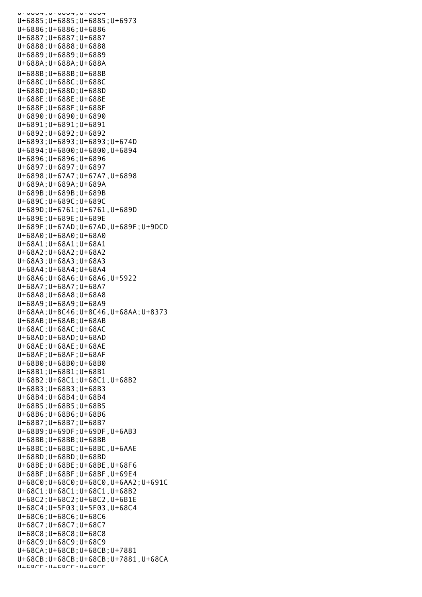U+6884;U+6884;U+6884;U+68 U+6885;U+6885;U+6885;U+6973 U+6886;U+6886;U+6886 U+6887;U+6887;U+6887 U+6888;U+6888;U+6888 U+6889;U+6889;U+6889 U+688A;U+688A;U+688A U+688B;U+688B;U+688B U+688C;U+688C;U+688C U+688D;U+688D;U+688D U+688E;U+688E;U+688E U+688F;U+688F;U+688F U+6890;U+6890;U+6890 U+6891;U+6891;U+6891 U+6892;U+6892;U+6892 U+6893;U+6893;U+6893;U+674D U+6894;U+6800;U+6800,U+6894 U+6896;U+6896;U+6896 U+6897;U+6897;U+6897 U+6898;U+67A7;U+67A7,U+6898 U+689A;U+689A;U+689A U+689B;U+689B;U+689B U+689C;U+689C;U+689C U+689D;U+6761;U+6761,U+689D U+689E;U+689E;U+689E U+689F;U+67AD;U+67AD,U+689F;U+9DCD U+68A0;U+68A0;U+68A0 U+68A1;U+68A1;U+68A1 U+68A2;U+68A2;U+68A2 U+68A3;U+68A3;U+68A3 U+68A4;U+68A4;U+68A4 U+68A6;U+68A6;U+68A6,U+5922 U+68A7;U+68A7;U+68A7 U+68A8;U+68A8;U+68A8 U+68A9;U+68A9;U+68A9 U+68AA;U+8C46;U+8C46,U+68AA;U+8373 U+68AB;U+68AB;U+68AB U+68AC;U+68AC;U+68AC U+68AD;U+68AD;U+68AD U+68AE;U+68AE;U+68AE U+68AF;U+68AF;U+68AF U+68B0;U+68B0;U+68B0 U+68B1;U+68B1;U+68B1 U+68B2;U+68C1;U+68C1,U+68B2 U+68B3;U+68B3;U+68B3 U+68B4;U+68B4;U+68B4 U+68B5;U+68B5;U+68B5 U+68B6;U+68B6;U+68B6 U+68B7;U+68B7;U+68B7 U+68B9;U+69DF;U+69DF,U+6AB3 U+68BB;U+68BB;U+68BB U+68BC;U+68BC;U+68BC,U+6AAE U+68BD;U+68BD;U+68BD U+68BE;U+68BE;U+68BE,U+68F6 U+68BF;U+68BF;U+68BF,U+69E4 U+68C0;U+68C0;U+68C0,U+6AA2;U+691C U+68C1;U+68C1;U+68C1,U+68B2 U+68C2;U+68C2;U+68C2,U+6B1E U+68C4;U+5F03;U+5F03,U+68C4 U+68C6;U+68C6;U+68C6 U+68C7;U+68C7;U+68C7 U+68C8;U+68C8;U+68C8 U+68C9;U+68C9;U+68C9 U+68CA;U+68CB;U+68CB;U+7881 U+68CB;U+68CB;U+68CB;U+7881,U+68CA  $11+68C$ C $\cdot$  $11+68C$ C $\cdot$  $11+68C$ C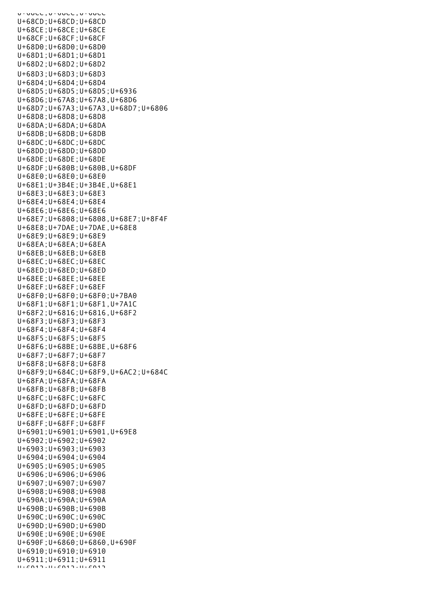U+00CC,U+00CC,U+00CC U+68CD;U+68CD;U+68CD U+68CE;U+68CE;U+68CE U+68CF;U+68CF;U+68CF U+68D0;U+68D0;U+68D0 U+68D1;U+68D1;U+68D1 U+68D2;U+68D2;U+68D2 U+68D3;U+68D3;U+68D3 U+68D4;U+68D4;U+68D4 U+68D5;U+68D5;U+68D5;U+6936 U+68D6;U+67A8;U+67A8,U+68D6 U+68D7;U+67A3;U+67A3,U+68D7;U+6806 U+68D8;U+68D8;U+68D8 U+68DA;U+68DA;U+68DA U+68DB;U+68DB;U+68DB U+68DC;U+68DC;U+68DC U+68DD;U+68DD;U+68DD U+68DE;U+68DE;U+68DE U+68DF;U+680B;U+680B,U+68DF U+68E0;U+68E0;U+68E0 U+68E1;U+3B4E;U+3B4E,U+68E1 U+68E3;U+68E3;U+68E3 U+68E4;U+68E4;U+68E4 U+68E6;U+68E6;U+68E6 U+68E7;U+6808;U+6808,U+68E7;U+8F4F U+68E8;U+7DAE;U+7DAE,U+68E8 U+68E9;U+68E9;U+68E9 U+68EA;U+68EA;U+68EA U+68EB;U+68EB;U+68EB U+68EC;U+68EC;U+68EC U+68ED;U+68ED;U+68ED U+68EE;U+68EE;U+68EE U+68EF;U+68EF;U+68EF U+68F0;U+68F0;U+68F0;U+7BA0 U+68F1;U+68F1;U+68F1,U+7A1C U+68F2;U+6816;U+6816,U+68F2 U+68F3;U+68F3;U+68F3 U+68F4;U+68F4;U+68F4 U+68F5;U+68F5;U+68F5 U+68F6;U+68BE;U+68BE,U+68F6 U+68F7;U+68F7;U+68F7 U+68F8;U+68F8;U+68F8 U+68F9;U+684C;U+68F9,U+6AC2;U+684C U+68FA;U+68FA;U+68FA U+68FB;U+68FB;U+68FB U+68FC;U+68FC;U+68FC U+68FD;U+68FD;U+68FD U+68FE;U+68FE;U+68FE U+68FF;U+68FF;U+68FF U+6901;U+6901;U+6901,U+69E8 U+6902;U+6902;U+6902 U+6903;U+6903;U+6903 U+6904;U+6904;U+6904 U+6905;U+6905;U+6905 U+6906;U+6906;U+6906 U+6907;U+6907;U+6907 U+6908;U+6908;U+6908 U+690A;U+690A;U+690A U+690B;U+690B;U+690B U+690C;U+690C;U+690C U+690D;U+690D;U+690D U+690E;U+690E;U+690E U+690F;U+6860;U+6860,U+690F U+6910;U+6910;U+6910 U+6911;U+6911;U+6911  $U + 6912 \cdot U + 6912 \cdot U + 6912$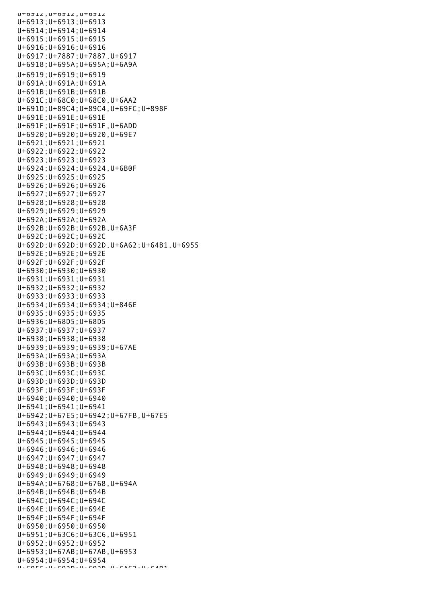UTOJIZ, UTOJIZ, UTOJIZ U+6913;U+6913;U+6913 U+6914;U+6914;U+6914 U+6915;U+6915;U+6915 U+6916;U+6916;U+6916 U+6917;U+7887;U+7887,U+6917 U+6918;U+695A;U+695A;U+6A9A U+6919;U+6919;U+6919 U+691A;U+691A;U+691A U+691B;U+691B;U+691B U+691C;U+68C0;U+68C0,U+6AA2 U+691D;U+89C4;U+89C4,U+69FC;U+898F U+691E;U+691E;U+691E U+691F;U+691F;U+691F,U+6ADD U+6920;U+6920;U+6920,U+69E7 U+6921;U+6921;U+6921 U+6922;U+6922;U+6922 U+6923;U+6923;U+6923 U+6924;U+6924;U+6924,U+6B0F U+6925;U+6925;U+6925 U+6926;U+6926;U+6926 U+6927;U+6927;U+6927 U+6928;U+6928;U+6928 U+6929;U+6929;U+6929 U+692A;U+692A;U+692A U+692B;U+692B;U+692B,U+6A3F U+692C;U+692C;U+692C U+692D;U+692D;U+692D,U+6A62;U+64B1,U+6955 U+692E;U+692E;U+692E U+692F;U+692F;U+692F U+6930;U+6930;U+6930 U+6931;U+6931;U+6931 U+6932;U+6932;U+6932 U+6933;U+6933;U+6933 U+6934;U+6934;U+6934;U+846E U+6935;U+6935;U+6935 U+6936;U+68D5;U+68D5 U+6937;U+6937;U+6937 U+6938;U+6938;U+6938 U+6939;U+6939;U+6939;U+67AE U+693A;U+693A;U+693A U+693B;U+693B;U+693B U+693C;U+693C;U+693C U+693D;U+693D;U+693D U+693F;U+693F;U+693F U+6940;U+6940;U+6940 U+6941;U+6941;U+6941 U+6942;U+67E5;U+6942;U+67FB,U+67E5 U+6943;U+6943;U+6943 U+6944;U+6944;U+6944 U+6945;U+6945;U+6945 U+6946;U+6946;U+6946 U+6947;U+6947;U+6947 U+6948;U+6948;U+6948 U+6949;U+6949;U+6949 U+694A;U+6768;U+6768,U+694A U+694B;U+694B;U+694B U+694C;U+694C;U+694C U+694E;U+694E;U+694E U+694F;U+694F;U+694F U+6950;U+6950;U+6950 U+6951;U+63C6;U+63C6,U+6951 U+6952;U+6952;U+6952 U+6953;U+67AB;U+67AB,U+6953 U+6954;U+6954;U+6954 U+6955;U+692D;U+692D,U+6A62;U+64B1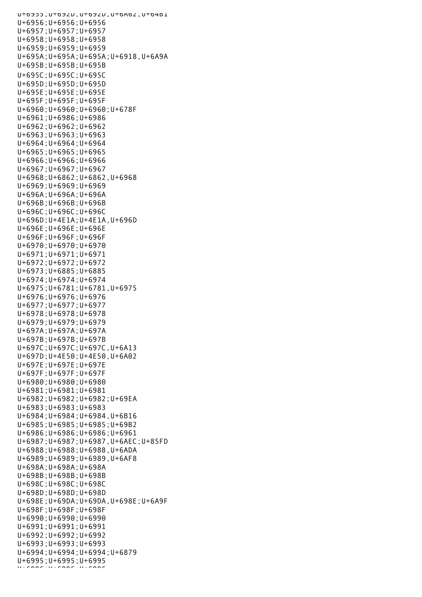U+6955;U+692D;U+692D,U+6A62;U+64B1 U+6956;U+6956;U+6956 U+6957;U+6957;U+6957 U+6958;U+6958;U+6958 U+6959;U+6959;U+6959 U+695A;U+695A;U+695A;U+6918,U+6A9A U+695B;U+695B;U+695B U+695C;U+695C;U+695C U+695D;U+695D;U+695D U+695E;U+695E;U+695E U+695F;U+695F;U+695F U+6960;U+6960;U+6960;U+678F U+6961;U+6986;U+6986 U+6962;U+6962;U+6962 U+6963;U+6963;U+6963 U+6964;U+6964;U+6964 U+6965;U+6965;U+6965 U+6966;U+6966;U+6966 U+6967;U+6967;U+6967 U+6968;U+6862;U+6862,U+6968 U+6969;U+6969;U+6969 U+696A;U+696A;U+696A U+696B;U+696B;U+696B U+696C;U+696C;U+696C U+696D;U+4E1A;U+4E1A,U+696D U+696E;U+696E;U+696E U+696F;U+696F;U+696F U+6970;U+6970;U+6970 U+6971;U+6971;U+6971 U+6972;U+6972;U+6972 U+6973;U+6885;U+6885 U+6974;U+6974;U+6974 U+6975;U+6781;U+6781,U+6975 U+6976;U+6976;U+6976 U+6977;U+6977;U+6977 U+6978;U+6978;U+6978 U+6979;U+6979;U+6979 U+697A;U+697A;U+697A U+697B;U+697B;U+697B U+697C;U+697C;U+697C,U+6A13 U+697D;U+4E50;U+4E50,U+6A02 U+697E;U+697E;U+697E U+697F;U+697F;U+697F U+6980;U+6980;U+6980 U+6981;U+6981;U+6981 U+6982;U+6982;U+6982;U+69EA U+6983;U+6983;U+6983 U+6984;U+6984;U+6984,U+6B16 U+6985;U+6985;U+6985;U+69B2 U+6986;U+6986;U+6986;U+6961 U+6987;U+6987;U+6987,U+6AEC;U+85FD U+6988;U+6988;U+6988,U+6ADA U+6989;U+6989;U+6989,U+6AF8 U+698A;U+698A;U+698A U+698B;U+698B;U+698B U+698C;U+698C;U+698C U+698D;U+698D;U+698D U+698E;U+69DA;U+69DA,U+698E;U+6A9F U+698F;U+698F;U+698F U+6990;U+6990;U+6990 U+6991;U+6991;U+6991 U+6992;U+6992;U+6992 U+6993;U+6993;U+6993 U+6994;U+6994;U+6994;U+6879 U+6995;U+6995;U+6995  $\mathbf{U}_{\pm}$ 6996;U+6996;U+6996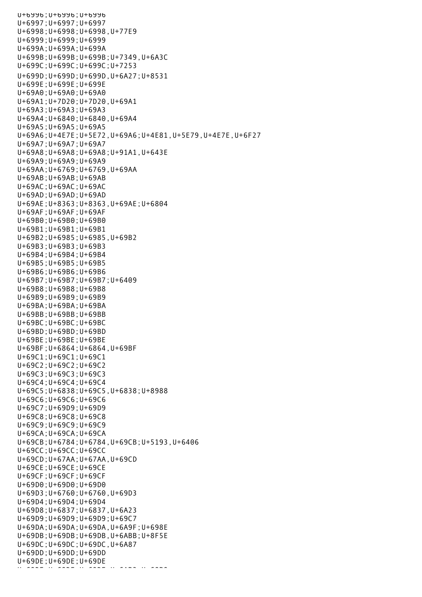U+6996;U+6996;U+6996 U+6997;U+6997;U+6997 U+6998;U+6998;U+6998,U+77E9 U+6999;U+6999;U+6999 U+699A;U+699A;U+699A U+699B;U+699B;U+699B;U+7349,U+6A3C U+699C;U+699C;U+699C;U+7253 U+699D;U+699D;U+699D,U+6A27;U+8531 U+699E;U+699E;U+699E U+69A0;U+69A0;U+69A0 U+69A1;U+7D20;U+7D20,U+69A1 U+69A3;U+69A3;U+69A3 U+69A4;U+6840;U+6840,U+69A4 U+69A5;U+69A5;U+69A5 U+69A6;U+4E7E;U+5E72,U+69A6;U+4E81,U+5E79,U+4E7E,U+6F27 U+69A7;U+69A7;U+69A7 U+69A8;U+69A8;U+69A8;U+91A1,U+643E U+69A9;U+69A9;U+69A9 U+69AA;U+6769;U+6769,U+69AA U+69AB;U+69AB;U+69AB U+69AC;U+69AC;U+69AC U+69AD;U+69AD;U+69AD U+69AE;U+8363;U+8363,U+69AE;U+6804 U+69AF;U+69AF;U+69AF U+69B0;U+69B0;U+69B0 U+69B1;U+69B1;U+69B1 U+69B2;U+6985;U+6985,U+69B2 U+69B3;U+69B3;U+69B3 U+69B4;U+69B4;U+69B4 U+69B5;U+69B5;U+69B5 U+69B6;U+69B6;U+69B6 U+69B7;U+69B7;U+69B7;U+6409 U+69B8;U+69B8;U+69B8 U+69B9;U+69B9;U+69B9 U+69BA;U+69BA;U+69BA U+69BB;U+69BB;U+69BB U+69BC;U+69BC;U+69BC U+69BD;U+69BD;U+69BD U+69BE;U+69BE;U+69BE U+69BF;U+6864;U+6864,U+69BF U+69C1;U+69C1;U+69C1 U+69C2;U+69C2;U+69C2 U+69C3;U+69C3;U+69C3 U+69C4;U+69C4;U+69C4 U+69C5;U+6838;U+69C5,U+6838;U+8988 U+69C6;U+69C6;U+69C6 U+69C7;U+69D9;U+69D9 U+69C8;U+69C8;U+69C8 U+69C9;U+69C9;U+69C9 U+69CA;U+69CA;U+69CA U+69CB;U+6784;U+6784,U+69CB;U+5193,U+6406 U+69CC;U+69CC;U+69CC U+69CD;U+67AA;U+67AA,U+69CD U+69CE;U+69CE;U+69CE U+69CF;U+69CF;U+69CF U+69D0;U+69D0;U+69D0 U+69D3;U+6760;U+6760,U+69D3 U+69D4;U+69D4;U+69D4 U+69D8;U+6837;U+6837,U+6A23 U+69D9;U+69D9;U+69D9;U+69C7 U+69DA;U+69DA;U+69DA,U+6A9F;U+698E U+69DB;U+69DB;U+69DB,U+6ABB;U+8F5E U+69DC;U+69DC;U+69DC,U+6A87 U+69DD;U+69DD;U+69DD U+69DE;U+69DE;U+69DE  $L_{\rm{max}}$  of  $L_{\rm{max}}$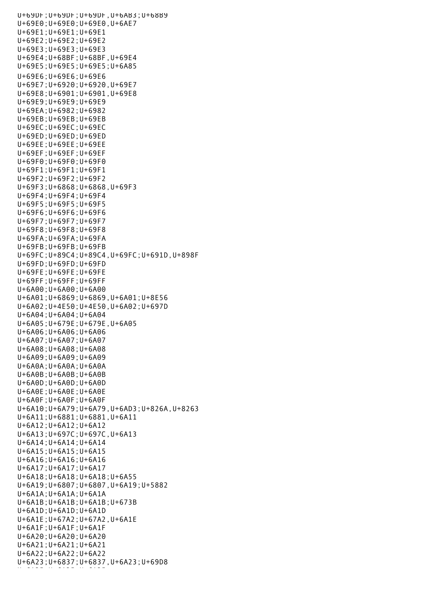U+69DF;U+69DF;U+69DF,U+6AB3;U+68B9 U+69E0;U+69E0;U+69E0,U+6AE7 U+69E1;U+69E1;U+69E1 U+69E2;U+69E2;U+69E2 U+69E3;U+69E3;U+69E3 U+69E4;U+68BF;U+68BF,U+69E4 U+69E5;U+69E5;U+69E5;U+6A85 U+69E6;U+69E6;U+69E6 U+69E7;U+6920;U+6920,U+69E7 U+69E8;U+6901;U+6901,U+69E8 U+69E9;U+69E9;U+69E9 U+69EA;U+6982;U+6982 U+69EB;U+69EB;U+69EB U+69EC;U+69EC;U+69EC U+69ED;U+69ED;U+69ED U+69EE;U+69EE;U+69EE U+69EF;U+69EF;U+69EF U+69F0;U+69F0;U+69F0 U+69F1;U+69F1;U+69F1 U+69F2;U+69F2;U+69F2 U+69F3;U+6868;U+6868,U+69F3 U+69F4;U+69F4;U+69F4 U+69F5;U+69F5;U+69F5 U+69F6;U+69F6;U+69F6 U+69F7;U+69F7;U+69F7 U+69F8;U+69F8;U+69F8 U+69FA;U+69FA;U+69FA U+69FB;U+69FB;U+69FB U+69FC;U+89C4;U+89C4,U+69FC;U+691D,U+898F U+69FD;U+69FD;U+69FD U+69FE;U+69FE;U+69FE U+69FF;U+69FF;U+69FF U+6A00;U+6A00;U+6A00 U+6A01;U+6869;U+6869,U+6A01;U+8E56 U+6A02;U+4E50;U+4E50,U+6A02;U+697D U+6A04;U+6A04;U+6A04 U+6A05;U+679E;U+679E,U+6A05 U+6A06;U+6A06;U+6A06 U+6A07;U+6A07;U+6A07 U+6A08;U+6A08;U+6A08 U+6A09;U+6A09;U+6A09 U+6A0A;U+6A0A;U+6A0A U+6A0B;U+6A0B;U+6A0B U+6A0D;U+6A0D;U+6A0D U+6A0E;U+6A0E;U+6A0E U+6A0F;U+6A0F;U+6A0F U+6A10;U+6A79;U+6A79,U+6AD3;U+826A,U+8263 U+6A11;U+6881;U+6881,U+6A11 U+6A12;U+6A12;U+6A12 U+6A13;U+697C;U+697C,U+6A13 U+6A14;U+6A14;U+6A14 U+6A15;U+6A15;U+6A15 U+6A16;U+6A16;U+6A16 U+6A17;U+6A17;U+6A17 U+6A18;U+6A18;U+6A18;U+6A55 U+6A19;U+6807;U+6807,U+6A19;U+5882 U+6A1A;U+6A1A;U+6A1A U+6A1B;U+6A1B;U+6A1B;U+673B U+6A1D;U+6A1D;U+6A1D U+6A1E;U+67A2;U+67A2,U+6A1E U+6A1F;U+6A1F;U+6A1F U+6A20;U+6A20;U+6A20 U+6A21;U+6A21;U+6A21 U+6A22;U+6A22;U+6A22 U+6A23;U+6837;U+6837,U+6A23;U+69D8 ut at final utilization at the state of the state of the state of the state of the state of the state of the s<br>State of the state of the state of the state of the state of the state of the state of the state of the state o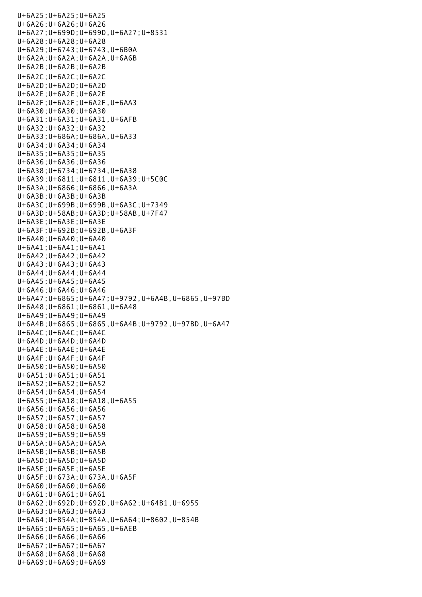U+6A25;U+6A25;U+6A25 U+6A26;U+6A26;U+6A26 U+6A27;U+699D;U+699D,U+6A27;U+8531 U+6A28;U+6A28;U+6A28 U+6A29;U+6743;U+6743,U+6B0A U+6A2A;U+6A2A;U+6A2A,U+6A6B U+6A2B;U+6A2B;U+6A2B U+6A2C;U+6A2C;U+6A2C U+6A2D;U+6A2D;U+6A2D U+6A2E;U+6A2E;U+6A2E U+6A2F;U+6A2F;U+6A2F,U+6AA3 U+6A30;U+6A30;U+6A30 U+6A31;U+6A31;U+6A31,U+6AFB U+6A32;U+6A32;U+6A32 U+6A33;U+686A;U+686A,U+6A33 U+6A34;U+6A34;U+6A34 U+6A35;U+6A35;U+6A35 U+6A36;U+6A36;U+6A36 U+6A38;U+6734;U+6734,U+6A38 U+6A39;U+6811;U+6811,U+6A39;U+5C0C U+6A3A;U+6866;U+6866,U+6A3A U+6A3B;U+6A3B;U+6A3B U+6A3C;U+699B;U+699B,U+6A3C;U+7349 U+6A3D;U+58AB;U+6A3D;U+58AB,U+7F47 U+6A3E;U+6A3E;U+6A3E U+6A3F;U+692B;U+692B,U+6A3F U+6A40;U+6A40;U+6A40 U+6A41;U+6A41;U+6A41 U+6A42;U+6A42;U+6A42 U+6A43;U+6A43;U+6A43 U+6A44;U+6A44;U+6A44 U+6A45;U+6A45;U+6A45 U+6A46;U+6A46;U+6A46 U+6A47;U+6865;U+6A47;U+9792,U+6A4B,U+6865,U+97BD U+6A48;U+6861;U+6861,U+6A48 U+6A49;U+6A49;U+6A49 U+6A4B;U+6865;U+6865,U+6A4B;U+9792,U+97BD,U+6A47  $U+6A4C:U+6A4C:U+6A4C$ U+6A4D;U+6A4D;U+6A4D U+6A4E;U+6A4E;U+6A4E U+6A4F;U+6A4F;U+6A4F U+6A50;U+6A50;U+6A50 U+6A51;U+6A51;U+6A51 U+6A52;U+6A52;U+6A52 U+6A54;U+6A54;U+6A54 U+6A55;U+6A18;U+6A18,U+6A55 U+6A56;U+6A56;U+6A56 U+6A57;U+6A57;U+6A57 U+6A58;U+6A58;U+6A58 U+6A59;U+6A59;U+6A59 U+6A5A;U+6A5A;U+6A5A U+6A5B;U+6A5B;U+6A5B U+6A5D;U+6A5D;U+6A5D U+6A5E;U+6A5E;U+6A5E U+6A5F;U+673A;U+673A,U+6A5F U+6A60;U+6A60;U+6A60 U+6A61;U+6A61;U+6A61 U+6A62;U+692D;U+692D,U+6A62;U+64B1,U+6955 U+6A63;U+6A63;U+6A63 U+6A64;U+854A;U+854A,U+6A64;U+8602,U+854B U+6A65;U+6A65;U+6A65,U+6AEB U+6A66;U+6A66;U+6A66 U+6A67;U+6A67;U+6A67 U+6A68;U+6A68;U+6A68 U+6A69;U+6A69;U+6A69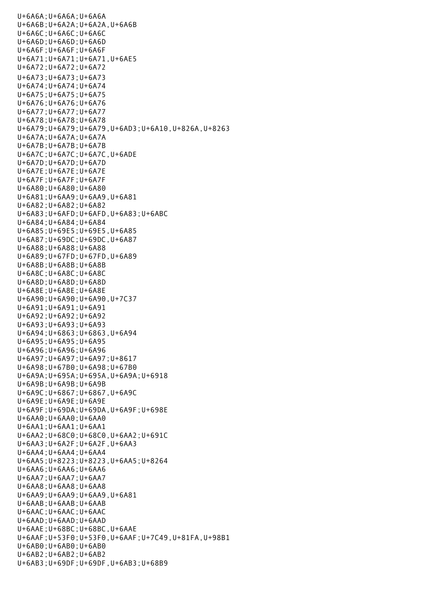U+6A6A;U+6A6A;U+6A6A U+6A6B;U+6A2A;U+6A2A,U+6A6B U+6A6C;U+6A6C;U+6A6C U+6A6D;U+6A6D;U+6A6D U+6A6F;U+6A6F;U+6A6F U+6A71;U+6A71;U+6A71,U+6AE5 U+6A72;U+6A72;U+6A72 U+6A73;U+6A73;U+6A73 U+6A74;U+6A74;U+6A74 U+6A75;U+6A75;U+6A75 U+6A76;U+6A76;U+6A76 U+6A77;U+6A77;U+6A77 U+6A78;U+6A78;U+6A78 U+6A79;U+6A79;U+6A79,U+6AD3;U+6A10,U+826A,U+8263 U+6A7A;U+6A7A;U+6A7A U+6A7B;U+6A7B;U+6A7B U+6A7C;U+6A7C;U+6A7C,U+6ADE U+6A7D;U+6A7D;U+6A7D U+6A7E;U+6A7E;U+6A7E U+6A7F;U+6A7F;U+6A7F U+6A80;U+6A80;U+6A80 U+6A81;U+6AA9;U+6AA9,U+6A81 U+6A82;U+6A82;U+6A82 U+6A83;U+6AFD;U+6AFD,U+6A83;U+6ABC U+6A84;U+6A84;U+6A84 U+6A85;U+69E5;U+69E5,U+6A85 U+6A87;U+69DC;U+69DC,U+6A87 U+6A88;U+6A88;U+6A88 U+6A89;U+67FD;U+67FD,U+6A89 U+6A8B;U+6A8B;U+6A8B U+6A8C;U+6A8C;U+6A8C U+6A8D;U+6A8D;U+6A8D U+6A8E;U+6A8E;U+6A8E U+6A90;U+6A90;U+6A90,U+7C37 U+6A91;U+6A91;U+6A91 U+6A92;U+6A92;U+6A92 U+6A93;U+6A93;U+6A93 U+6A94;U+6863;U+6863,U+6A94 U+6A95;U+6A95;U+6A95 U+6A96;U+6A96;U+6A96 U+6A97;U+6A97;U+6A97;U+8617 U+6A98;U+67B0;U+6A98;U+67B0 U+6A9A;U+695A;U+695A,U+6A9A;U+6918 U+6A9B;U+6A9B;U+6A9B U+6A9C;U+6867;U+6867,U+6A9C U+6A9E;U+6A9E;U+6A9E U+6A9F;U+69DA;U+69DA,U+6A9F;U+698E U+6AA0;U+6AA0;U+6AA0 U+6AA1;U+6AA1;U+6AA1 U+6AA2;U+68C0;U+68C0,U+6AA2;U+691C U+6AA3;U+6A2F;U+6A2F,U+6AA3 U+6AA4;U+6AA4;U+6AA4 U+6AA5;U+8223;U+8223,U+6AA5;U+8264 U+6AA6;U+6AA6;U+6AA6 U+6AA7;U+6AA7;U+6AA7 U+6AA8;U+6AA8;U+6AA8 U+6AA9;U+6AA9;U+6AA9,U+6A81 U+6AAB;U+6AAB;U+6AAB U+6AAC;U+6AAC;U+6AAC U+6AAD;U+6AAD;U+6AAD U+6AAE;U+68BC;U+68BC,U+6AAE U+6AAF;U+53F0;U+53F0,U+6AAF;U+7C49,U+81FA,U+98B1 U+6AB0;U+6AB0;U+6AB0 U+6AB2;U+6AB2;U+6AB2 U+6AB3;U+69DF;U+69DF,U+6AB3;U+68B9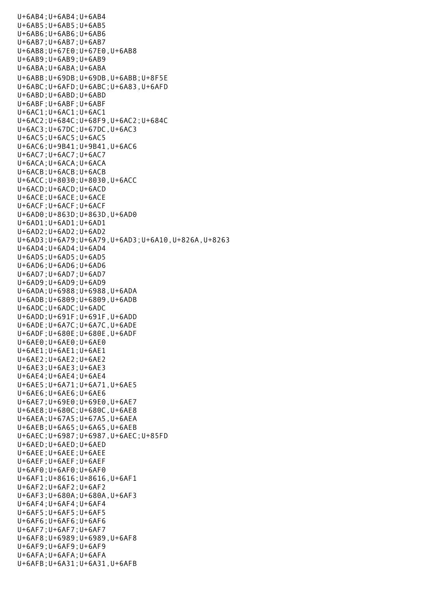U+6AB4;U+6AB4;U+6AB4 U+6AB5;U+6AB5;U+6AB5 U+6AB6;U+6AB6;U+6AB6 U+6AB7;U+6AB7;U+6AB7 U+6AB8;U+67E0;U+67E0,U+6AB8 U+6AB9;U+6AB9;U+6AB9 U+6ABA;U+6ABA;U+6ABA U+6ABB;U+69DB;U+69DB,U+6ABB;U+8F5E U+6ABC;U+6AFD;U+6ABC;U+6A83,U+6AFD U+6ABD;U+6ABD;U+6ABD U+6ABF;U+6ABF;U+6ABF U+6AC1;U+6AC1;U+6AC1 U+6AC2;U+684C;U+68F9,U+6AC2;U+684C U+6AC3;U+67DC;U+67DC,U+6AC3 U+6AC5;U+6AC5;U+6AC5 U+6AC6;U+9B41;U+9B41,U+6AC6 U+6AC7;U+6AC7;U+6AC7 U+6ACA;U+6ACA;U+6ACA U+6ACB;U+6ACB;U+6ACB U+6ACC;U+8030;U+8030,U+6ACC U+6ACD;U+6ACD;U+6ACD U+6ACE;U+6ACE;U+6ACE U+6ACF;U+6ACF;U+6ACF U+6AD0;U+863D;U+863D,U+6AD0 U+6AD1;U+6AD1;U+6AD1 U+6AD2;U+6AD2;U+6AD2 U+6AD3;U+6A79;U+6A79,U+6AD3;U+6A10,U+826A,U+8263 U+6AD4;U+6AD4;U+6AD4 U+6AD5;U+6AD5;U+6AD5 U+6AD6;U+6AD6;U+6AD6 U+6AD7;U+6AD7;U+6AD7 U+6AD9;U+6AD9;U+6AD9 U+6ADA;U+6988;U+6988,U+6ADA U+6ADB;U+6809;U+6809,U+6ADB U+6ADC;U+6ADC;U+6ADC U+6ADD;U+691F;U+691F,U+6ADD U+6ADE;U+6A7C;U+6A7C,U+6ADE U+6ADF;U+680E;U+680E,U+6ADF U+6AE0;U+6AE0;U+6AE0 U+6AE1;U+6AE1;U+6AE1 U+6AE2;U+6AE2;U+6AE2 U+6AE3;U+6AE3;U+6AE3 U+6AE4;U+6AE4;U+6AE4 U+6AE5;U+6A71;U+6A71,U+6AE5 U+6AE6;U+6AE6;U+6AE6 U+6AE7;U+69E0;U+69E0,U+6AE7 U+6AE8;U+680C;U+680C,U+6AE8 U+6AEA;U+67A5;U+67A5,U+6AEA U+6AEB;U+6A65;U+6A65,U+6AEB U+6AEC;U+6987;U+6987,U+6AEC;U+85FD U+6AED;U+6AED;U+6AED U+6AEE;U+6AEE;U+6AEE U+6AEF;U+6AEF;U+6AEF U+6AF0;U+6AF0;U+6AF0 U+6AF1;U+8616;U+8616,U+6AF1 U+6AF2;U+6AF2;U+6AF2 U+6AF3;U+680A;U+680A,U+6AF3 U+6AF4;U+6AF4;U+6AF4 U+6AF5;U+6AF5;U+6AF5 U+6AF6;U+6AF6;U+6AF6 U+6AF7;U+6AF7;U+6AF7 U+6AF8;U+6989;U+6989,U+6AF8 U+6AF9;U+6AF9;U+6AF9 U+6AFA;U+6AFA;U+6AFA U+6AFB;U+6A31;U+6A31,U+6AFB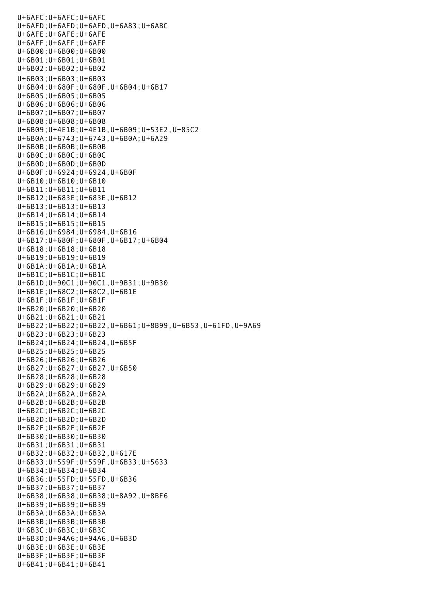U+6AFC;U+6AFC;U+6AFC U+6AFD;U+6AFD;U+6AFD,U+6A83;U+6ABC U+6AFE;U+6AFE;U+6AFE U+6AFF;U+6AFF;U+6AFF U+6B00;U+6B00;U+6B00 U+6B01;U+6B01;U+6B01 U+6B02;U+6B02;U+6B02 U+6B03;U+6B03;U+6B03 U+6B04;U+680F;U+680F,U+6B04;U+6B17 U+6B05;U+6B05;U+6B05 U+6B06;U+6B06;U+6B06 U+6B07;U+6B07;U+6B07 U+6B08;U+6B08;U+6B08 U+6B09;U+4E1B;U+4E1B,U+6B09;U+53E2,U+85C2 U+6B0A;U+6743;U+6743,U+6B0A;U+6A29 U+6B0B;U+6B0B;U+6B0B U+6B0C;U+6B0C;U+6B0C U+6B0D;U+6B0D;U+6B0D U+6B0F;U+6924;U+6924,U+6B0F U+6B10;U+6B10;U+6B10 U+6B11;U+6B11;U+6B11 U+6B12;U+683E;U+683E,U+6B12 U+6B13;U+6B13;U+6B13 U+6B14;U+6B14;U+6B14 U+6B15;U+6B15;U+6B15 U+6B16;U+6984;U+6984,U+6B16 U+6B17;U+680F;U+680F,U+6B17;U+6B04 U+6B18;U+6B18;U+6B18 U+6B19;U+6B19;U+6B19 U+6B1A;U+6B1A;U+6B1A U+6B1C;U+6B1C;U+6B1C U+6B1D;U+90C1;U+90C1,U+9B31;U+9B30 U+6B1E;U+68C2;U+68C2,U+6B1E U+6B1F;U+6B1F;U+6B1F U+6B20;U+6B20;U+6B20 U+6B21;U+6B21;U+6B21 U+6B22;U+6B22;U+6B22,U+6B61;U+8B99,U+6B53,U+61FD,U+9A69 U+6B23;U+6B23;U+6B23 U+6B24;U+6B24;U+6B24,U+6B5F U+6B25;U+6B25;U+6B25 U+6B26;U+6B26;U+6B26 U+6B27;U+6B27;U+6B27,U+6B50 U+6B28;U+6B28;U+6B28 U+6B29;U+6B29;U+6B29 U+6B2A;U+6B2A;U+6B2A U+6B2B;U+6B2B;U+6B2B U+6B2C;U+6B2C;U+6B2C U+6B2D;U+6B2D;U+6B2D U+6B2F;U+6B2F;U+6B2F U+6B30;U+6B30;U+6B30 U+6B31;U+6B31;U+6B31 U+6B32;U+6B32;U+6B32,U+617E U+6B33;U+559F;U+559F,U+6B33;U+5633 U+6B34;U+6B34;U+6B34 U+6B36;U+55FD;U+55FD,U+6B36 U+6B37;U+6B37;U+6B37 U+6B38;U+6B38;U+6B38;U+8A92,U+8BF6 U+6B39;U+6B39;U+6B39 U+6B3A;U+6B3A;U+6B3A U+6B3B;U+6B3B;U+6B3B U+6B3C;U+6B3C;U+6B3C U+6B3D;U+94A6;U+94A6,U+6B3D U+6B3E;U+6B3E;U+6B3E U+6B3F;U+6B3F;U+6B3F U+6B41;U+6B41;U+6B41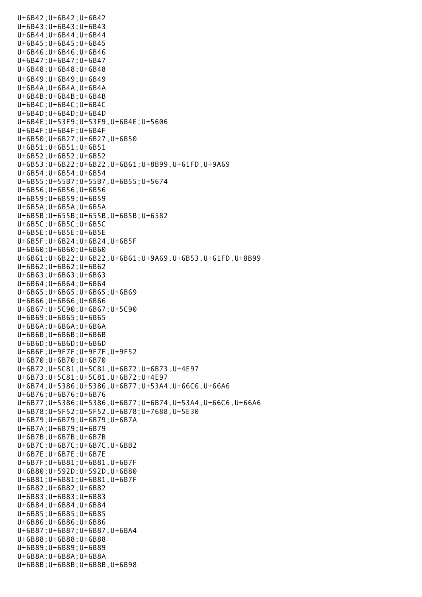U+6B42;U+6B42;U+6B42 U+6B43;U+6B43;U+6B43 U+6B44;U+6B44;U+6B44 U+6B45;U+6B45;U+6B45 U+6B46;U+6B46;U+6B46 U+6B47;U+6B47;U+6B47 U+6B48;U+6B48;U+6B48 U+6B49;U+6B49;U+6B49 U+6B4A;U+6B4A;U+6B4A U+6B4B;U+6B4B;U+6B4B U+6B4C;U+6B4C;U+6B4C U+6B4D;U+6B4D;U+6B4D U+6B4E;U+53F9;U+53F9,U+6B4E;U+5606 U+6B4F;U+6B4F;U+6B4F U+6B50;U+6B27;U+6B27,U+6B50 U+6B51;U+6B51;U+6B51 U+6B52;U+6B52;U+6B52 U+6B53;U+6B22;U+6B22,U+6B61;U+8B99,U+61FD,U+9A69 U+6B54;U+6B54;U+6B54 U+6B55;U+55B7;U+55B7,U+6B55;U+5674 U+6B56;U+6B56;U+6B56 U+6B59;U+6B59;U+6B59 U+6B5A;U+6B5A;U+6B5A U+6B5B;U+655B;U+655B,U+6B5B;U+6582 U+6B5C;U+6B5C;U+6B5C U+6B5E;U+6B5E;U+6B5E U+6B5F;U+6B24;U+6B24,U+6B5F U+6B60;U+6B60;U+6B60 U+6B61;U+6B22;U+6B22,U+6B61;U+9A69,U+6B53,U+61FD,U+8B99 U+6B62;U+6B62;U+6B62 U+6B63;U+6B63;U+6B63 U+6B64;U+6B64;U+6B64 U+6B65;U+6B65;U+6B65;U+6B69 U+6B66;U+6B66;U+6B66 U+6B67;U+5C90;U+6B67;U+5C90 U+6B69;U+6B65;U+6B65 U+6B6A;U+6B6A;U+6B6A U+6B6B;U+6B6B;U+6B6B U+6B6D;U+6B6D;U+6B6D U+6B6F;U+9F7F;U+9F7F,U+9F52 U+6B70;U+6B70;U+6B70 U+6B72;U+5C81;U+5C81,U+6B72;U+6B73,U+4E97 U+6B73;U+5C81;U+5C81,U+6B72;U+4E97 U+6B74;U+5386;U+5386,U+6B77;U+53A4,U+66C6,U+66A6 U+6B76;U+6B76;U+6B76 U+6B77;U+5386;U+5386,U+6B77;U+6B74,U+53A4,U+66C6,U+66A6 U+6B78;U+5F52;U+5F52,U+6B78;U+7688,U+5E30 U+6B79;U+6B79;U+6B79;U+6B7A U+6B7A;U+6B79;U+6B79 U+6B7B;U+6B7B;U+6B7B U+6B7C;U+6B7C;U+6B7C,U+6BB2 U+6B7E;U+6B7E;U+6B7E U+6B7F;U+6B81;U+6B81,U+6B7F U+6B80;U+592D;U+592D,U+6B80 U+6B81;U+6B81;U+6B81,U+6B7F U+6B82;U+6B82;U+6B82 U+6B83;U+6B83;U+6B83 U+6B84;U+6B84;U+6B84 U+6B85;U+6B85;U+6B85 U+6B86;U+6B86;U+6B86 U+6B87;U+6B87;U+6B87,U+6BA4 U+6B88;U+6B88;U+6B88 U+6B89;U+6B89;U+6B89 U+6B8A;U+6B8A;U+6B8A U+6B8B;U+6B8B;U+6B8B,U+6B98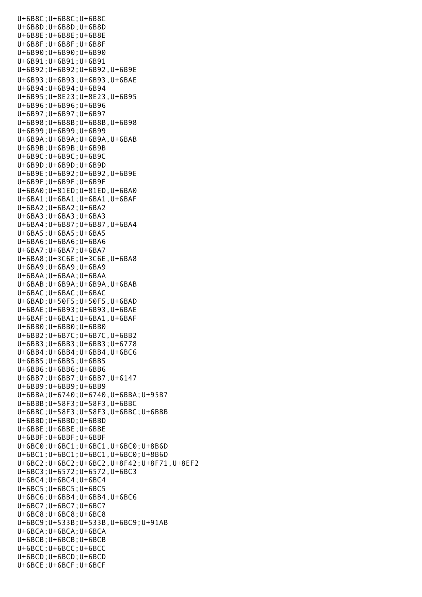U+6B8B;U+6B8B;U+6B8B;U+6B8B;U+6B8B,U+6B98B;U+6B8B;U+6B8B;U+6B8B;U+6B98B;U+6B98B;U+6B98B;U+6B98B;U+6B98B;U+6B98 U+6B8C;U+6B8C;U+6B8C U+6B8D;U+6B8D;U+6B8D U+6B8E;U+6B8E;U+6B8E U+6B8F;U+6B8F;U+6B8F U+6B90;U+6B90;U+6B90 U+6B91;U+6B91;U+6B91 U+6B92;U+6B92;U+6B92,U+6B9E U+6B93;U+6B93;U+6B93,U+6BAE U+6B94;U+6B94;U+6B94 U+6B95;U+8E23;U+8E23,U+6B95 U+6B96;U+6B96;U+6B96 U+6B97;U+6B97;U+6B97 U+6B98;U+6B8B;U+6B8B,U+6B98 U+6B99;U+6B99;U+6B99 U+6B9A;U+6B9A;U+6B9A,U+6BAB U+6B9B;U+6B9B;U+6B9B U+6B9C;U+6B9C;U+6B9C U+6B9D;U+6B9D;U+6B9D U+6B9E;U+6B92;U+6B92,U+6B9E U+6B9F;U+6B9F;U+6B9F U+6BA0;U+81ED;U+81ED,U+6BA0 U+6BA1;U+6BA1;U+6BA1,U+6BAF U+6BA2;U+6BA2;U+6BA2 U+6BA3;U+6BA3;U+6BA3 U+6BA4;U+6B87;U+6B87,U+6BA4 U+6BA5;U+6BA5;U+6BA5 U+6BA6;U+6BA6;U+6BA6 U+6BA7;U+6BA7;U+6BA7 U+6BA8;U+3C6E;U+3C6E,U+6BA8 U+6BA9;U+6BA9;U+6BA9 U+6BAA;U+6BAA;U+6BAA U+6BAB;U+6B9A;U+6B9A,U+6BAB U+6BAC;U+6BAC;U+6BAC U+6BAD;U+50F5;U+50F5,U+6BAD U+6BAE;U+6B93;U+6B93,U+6BAE U+6BAF;U+6BA1;U+6BA1,U+6BAF U+6BB0;U+6BB0;U+6BB0 U+6BB2;U+6B7C;U+6B7C,U+6BB2 U+6BB3;U+6BB3;U+6BB3;U+6778 U+6BB4;U+6BB4;U+6BB4,U+6BC6 U+6BB5;U+6BB5;U+6BB5 U+6BB6;U+6BB6;U+6BB6 U+6BB7;U+6BB7;U+6BB7,U+6147 U+6BB9;U+6BB9;U+6BB9 U+6BBA;U+6740;U+6740,U+6BBA;U+95B7 U+6BBB;U+58F3;U+58F3,U+6BBC U+6BBC;U+58F3;U+58F3,U+6BBC;U+6BBB U+6BBD;U+6BBD;U+6BBD U+6BBE;U+6BBE;U+6BBE U+6BBF;U+6BBF;U+6BBF U+6BC0;U+6BC1;U+6BC1,U+6BC0;U+8B6D U+6BC1;U+6BC1;U+6BC1,U+6BC0;U+8B6D U+6BC2;U+6BC2;U+6BC2,U+8F42;U+8F71,U+8EF2 U+6BC3;U+6572;U+6572,U+6BC3 U+6BC4;U+6BC4;U+6BC4 U+6BC5;U+6BC5;U+6BC5 U+6BC6;U+6BB4;U+6BB4,U+6BC6 U+6BC7;U+6BC7;U+6BC7 U+6BC8;U+6BC8;U+6BC8 U+6BC9;U+533B;U+533B,U+6BC9;U+91AB U+6BCA;U+6BCA;U+6BCA U+6BCB;U+6BCB;U+6BCB U+6BCC;U+6BCC;U+6BCC U+6BCD;U+6BCD;U+6BCD U+6BCE;U+6BCF;U+6BCF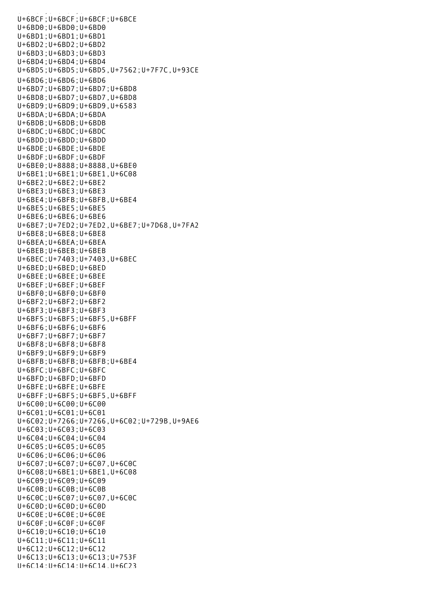U+6BCF;U+6BCF;U+6BCF;U+6BCE U+6BD0;U+6BD0;U+6BD0 U+6BD1;U+6BD1;U+6BD1 U+6BD2;U+6BD2;U+6BD2 U+6BD3;U+6BD3;U+6BD3 U+6BD4;U+6BD4;U+6BD4 U+6BD5;U+6BD5;U+6BD5,U+7562;U+7F7C,U+93CE U+6BD6;U+6BD6;U+6BD6 U+6BD7;U+6BD7;U+6BD7;U+6BD8 U+6BD8;U+6BD7;U+6BD7,U+6BD8 U+6BD9;U+6BD9;U+6BD9,U+6583 U+6BDA;U+6BDA;U+6BDA U+6BDB;U+6BDB;U+6BDB U+6BDC;U+6BDC;U+6BDC U+6BDD;U+6BDD;U+6BDD U+6BDE;U+6BDE;U+6BDE U+6BDF;U+6BDF;U+6BDF U+6BE0;U+8888;U+8888,U+6BE0 U+6BE1;U+6BE1;U+6BE1,U+6C08 U+6BE2;U+6BE2;U+6BE2 U+6BE3;U+6BE3;U+6BE3 U+6BE4;U+6BFB;U+6BFB,U+6BE4 U+6BE5;U+6BE5;U+6BE5 U+6BE6;U+6BE6;U+6BE6 U+6BE7;U+7ED2;U+7ED2,U+6BE7;U+7D68,U+7FA2 U+6BE8;U+6BE8;U+6BE8 U+6BEA;U+6BEA;U+6BEA U+6BEB;U+6BEB;U+6BEB U+6BEC;U+7403;U+7403,U+6BEC U+6BED;U+6BED;U+6BED U+6BEE;U+6BEE;U+6BEE U+6BEF;U+6BEF;U+6BEF U+6BF0;U+6BF0;U+6BF0 U+6BF2;U+6BF2;U+6BF2 U+6BF3;U+6BF3;U+6BF3 U+6BF5;U+6BF5;U+6BF5,U+6BFF U+6BF6;U+6BF6;U+6BF6 U+6BF7;U+6BF7;U+6BF7 U+6BF8;U+6BF8;U+6BF8 U+6BF9;U+6BF9;U+6BF9 U+6BFB;U+6BFB;U+6BFB;U+6BE4 U+6BFC;U+6BFC;U+6BFC U+6BFD;U+6BFD;U+6BFD U+6BFE;U+6BFE;U+6BFE U+6BFF;U+6BF5;U+6BF5,U+6BFF U+6C00;U+6C00;U+6C00 U+6C01;U+6C01;U+6C01 U+6C02;U+7266;U+7266,U+6C02;U+729B,U+9AE6 U+6C03;U+6C03;U+6C03 U+6C04;U+6C04;U+6C04 U+6C05;U+6C05;U+6C05 U+6C06;U+6C06;U+6C06 U+6C07;U+6C07;U+6C07,U+6C0C U+6C08;U+6BE1;U+6BE1,U+6C08 U+6C09;U+6C09;U+6C09 U+6C0B;U+6C0B;U+6C0B U+6C0C;U+6C07;U+6C07,U+6C0C U+6C0D;U+6C0D;U+6C0D U+6C0E;U+6C0E;U+6C0E U+6C0F;U+6C0F;U+6C0F U+6C10;U+6C10;U+6C10 U+6C11;U+6C11;U+6C11 U+6C12;U+6C12;U+6C12 U+6C13;U+6C13;U+6C13;U+753F U+6C14;U+6C14;U+6C14,U+6C23

u<br>Geografia (1966-1966), provincial (1966-1966)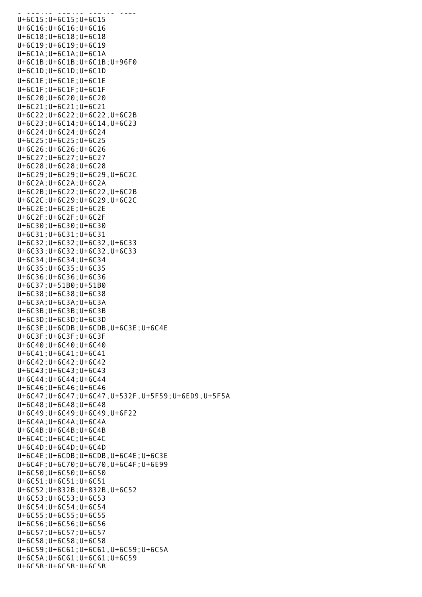U+6C14;U+6C14;U+6C14,U+6C23 U+6C15;U+6C15;U+6C15 U+6C16;U+6C16;U+6C16 U+6C18;U+6C18;U+6C18 U+6C19;U+6C19;U+6C19 U+6C1A;U+6C1A;U+6C1A U+6C1B;U+6C1B;U+6C1B;U+96F0 U+6C1D;U+6C1D;U+6C1D U+6C1E;U+6C1E;U+6C1E U+6C1F;U+6C1F;U+6C1F U+6C20;U+6C20;U+6C20 U+6C21;U+6C21;U+6C21 U+6C22;U+6C22;U+6C22,U+6C2B U+6C23;U+6C14;U+6C14,U+6C23 U+6C24;U+6C24;U+6C24 U+6C25;U+6C25;U+6C25 U+6C26;U+6C26;U+6C26 U+6C27;U+6C27;U+6C27 U+6C28;U+6C28;U+6C28 U+6C29;U+6C29;U+6C29,U+6C2C U+6C2A;U+6C2A;U+6C2A U+6C2B;U+6C22;U+6C22,U+6C2B U+6C2C;U+6C29;U+6C29,U+6C2C U+6C2E;U+6C2E;U+6C2E U+6C2F;U+6C2F;U+6C2F U+6C30;U+6C30;U+6C30 U+6C31;U+6C31;U+6C31 U+6C32;U+6C32;U+6C32,U+6C33 U+6C33;U+6C32;U+6C32,U+6C33 U+6C34;U+6C34;U+6C34 U+6C35;U+6C35;U+6C35 U+6C36;U+6C36;U+6C36 U+6C37;U+51B0;U+51B0 U+6C38;U+6C38;U+6C38 U+6C3A;U+6C3A;U+6C3A U+6C3B;U+6C3B;U+6C3B U+6C3D;U+6C3D;U+6C3D U+6C3E;U+6CDB;U+6CDB,U+6C3E;U+6C4E U+6C3F;U+6C3F;U+6C3F U+6C40;U+6C40;U+6C40 U+6C41;U+6C41;U+6C41 U+6C42;U+6C42;U+6C42 U+6C43;U+6C43;U+6C43 U+6C44;U+6C44;U+6C44 U+6C46;U+6C46;U+6C46 U+6C47;U+6C47;U+6C47,U+532F,U+5F59;U+6ED9,U+5F5A U+6C48;U+6C48;U+6C48 U+6C49;U+6C49;U+6C49,U+6F22 U+6C4A;U+6C4A;U+6C4A U+6C4B;U+6C4B;U+6C4B U+6C4C;U+6C4C;U+6C4C U+6C4D;U+6C4D;U+6C4D U+6C4E;U+6CDB;U+6CDB,U+6C4E;U+6C3E U+6C4F;U+6C70;U+6C70,U+6C4F;U+6E99 U+6C50;U+6C50;U+6C50 U+6C51;U+6C51;U+6C51 U+6C52;U+832B;U+832B,U+6C52 U+6C53;U+6C53;U+6C53 U+6C54;U+6C54;U+6C54 U+6C55;U+6C55;U+6C55 U+6C56;U+6C56;U+6C56 U+6C57;U+6C57;U+6C57 U+6C58;U+6C58;U+6C58 U+6C59;U+6C61;U+6C61,U+6C59;U+6C5A U+6C5A;U+6C61;U+6C61;U+6C59 U+6C5B;U+6C5B;U+6C5B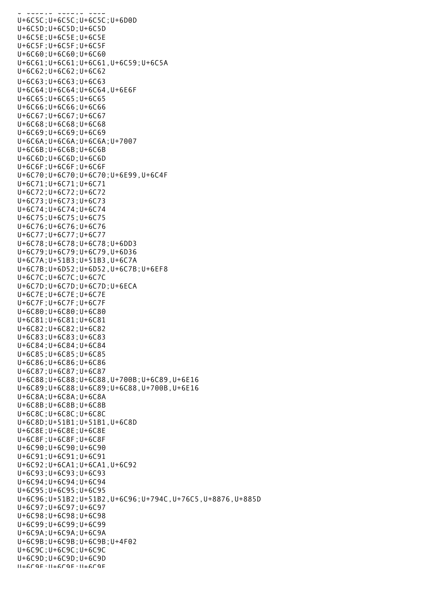U+6C5B;U+6C5B;U+6C5B U+6C5C;U+6C5C;U+6C5C;U+6D0D U+6C5D;U+6C5D;U+6C5D U+6C5E;U+6C5E;U+6C5E U+6C5F;U+6C5F;U+6C5F U+6C60;U+6C60;U+6C60 U+6C61;U+6C61;U+6C61,U+6C59;U+6C5A U+6C62;U+6C62;U+6C62 U+6C63;U+6C63;U+6C63 U+6C64;U+6C64;U+6C64,U+6E6F U+6C65;U+6C65;U+6C65 U+6C66;U+6C66;U+6C66 U+6C67;U+6C67;U+6C67 U+6C68;U+6C68;U+6C68 U+6C69;U+6C69;U+6C69 U+6C6A;U+6C6A;U+6C6A;U+7007 U+6C6B;U+6C6B;U+6C6B U+6C6D;U+6C6D;U+6C6D U+6C6F;U+6C6F;U+6C6F U+6C70;U+6C70;U+6C70;U+6E99,U+6C4F U+6C71;U+6C71;U+6C71 U+6C72;U+6C72;U+6C72 U+6C73;U+6C73;U+6C73 U+6C74;U+6C74;U+6C74 U+6C75;U+6C75;U+6C75 U+6C76;U+6C76;U+6C76 U+6C77;U+6C77;U+6C77 U+6C78;U+6C78;U+6C78;U+6DD3 U+6C79;U+6C79;U+6C79,U+6D36 U+6C7A;U+51B3;U+51B3,U+6C7A U+6C7B;U+6D52;U+6D52,U+6C7B;U+6EF8 U+6C7C;U+6C7C;U+6C7C U+6C7D;U+6C7D;U+6C7D;U+6ECA U+6C7E;U+6C7E;U+6C7E U+6C7F;U+6C7F;U+6C7F U+6C80;U+6C80;U+6C80 U+6C81;U+6C81;U+6C81 U+6C82;U+6C82;U+6C82 U+6C83;U+6C83;U+6C83 U+6C84;U+6C84;U+6C84 U+6C85;U+6C85;U+6C85 U+6C86;U+6C86;U+6C86 U+6C87;U+6C87;U+6C87 U+6C88;U+6C88;U+6C88,U+700B;U+6C89,U+6E16 U+6C89;U+6C88;U+6C89;U+6C88,U+700B,U+6E16 U+6C8A;U+6C8A;U+6C8A U+6C8B;U+6C8B;U+6C8B U+6C8C;U+6C8C;U+6C8C U+6C8D;U+51B1;U+51B1,U+6C8D U+6C8E;U+6C8E;U+6C8E U+6C8F;U+6C8F;U+6C8F U+6C90;U+6C90;U+6C90 U+6C91;U+6C91;U+6C91 U+6C92;U+6CA1;U+6CA1,U+6C92 U+6C93;U+6C93;U+6C93 U+6C94;U+6C94;U+6C94 U+6C95;U+6C95;U+6C95 U+6C96;U+51B2;U+51B2,U+6C96;U+794C,U+76C5,U+8876,U+885D U+6C97;U+6C97;U+6C97 U+6C98;U+6C98;U+6C98 U+6C99;U+6C99;U+6C99 U+6C9A;U+6C9A;U+6C9A U+6C9B;U+6C9B;U+6C9B;U+4F02 U+6C9C;U+6C9C;U+6C9C U+6C9D;U+6C9D;U+6C9D U+6C9E;U+6C9E;U+6C9E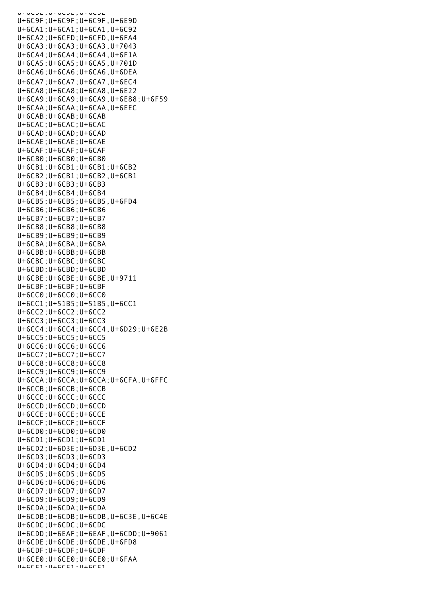U+6C9E;U+6C9E;U+6C9E U+6C9F;U+6C9F;U+6C9F,U+6E9D U+6CA1;U+6CA1;U+6CA1,U+6C92 U+6CA2;U+6CFD;U+6CFD,U+6FA4 U+6CA3;U+6CA3;U+6CA3,U+7043 U+6CA4;U+6CA4;U+6CA4,U+6F1A U+6CA5;U+6CA5;U+6CA5,U+701D U+6CA6;U+6CA6;U+6CA6,U+6DEA U+6CA7;U+6CA7;U+6CA7,U+6EC4 U+6CA8;U+6CA8;U+6CA8,U+6E22 U+6CA9;U+6CA9;U+6CA9,U+6E88;U+6F59 U+6CAA;U+6CAA;U+6CAA,U+6EEC U+6CAB;U+6CAB;U+6CAB U+6CAC;U+6CAC;U+6CAC U+6CAD;U+6CAD;U+6CAD U+6CAE;U+6CAE;U+6CAE U+6CAF;U+6CAF;U+6CAF U+6CB0;U+6CB0;U+6CB0 U+6CB1;U+6CB1;U+6CB1;U+6CB2 U+6CB2;U+6CB1;U+6CB2,U+6CB1 U+6CB3;U+6CB3;U+6CB3 U+6CB4;U+6CB4;U+6CB4 U+6CB5;U+6CB5;U+6CB5,U+6FD4 U+6CB6;U+6CB6;U+6CB6 U+6CB7;U+6CB7;U+6CB7 U+6CB8;U+6CB8;U+6CB8 U+6CB9;U+6CB9;U+6CB9 U+6CBA;U+6CBA;U+6CBA U+6CBB;U+6CBB;U+6CBB U+6CBC;U+6CBC;U+6CBC U+6CBD;U+6CBD;U+6CBD U+6CBE;U+6CBE;U+6CBE,U+9711 U+6CBF;U+6CBF;U+6CBF  $U+6CC0$ ;  $U+6CC0$ ;  $U+6CC0$ U+6CC1;U+51B5;U+51B5,U+6CC1 U+6CC2;U+6CC2;U+6CC2 U+6CC3;U+6CC3;U+6CC3 U+6CC4;U+6CC4;U+6CC4,U+6D29;U+6E2B U+6CC5;U+6CC5;U+6CC5 U+6CC6;U+6CC6;U+6CC6 U+6CC7;U+6CC7;U+6CC7 U+6CC8;U+6CC8;U+6CC8 U+6CC9;U+6CC9;U+6CC9 U+6CCA;U+6CCA;U+6CCA;U+6CFA,U+6FFC U+6CCB;U+6CCB;U+6CCB U+6CCC;U+6CCC;U+6CCC U+6CCD;U+6CCD;U+6CCD U+6CCE;U+6CCE;U+6CCE U+6CCF;U+6CCF;U+6CCF U+6CD0;U+6CD0;U+6CD0 U+6CD1;U+6CD1;U+6CD1 U+6CD2;U+6D3E;U+6D3E,U+6CD2 U+6CD3;U+6CD3;U+6CD3 U+6CD4;U+6CD4;U+6CD4 U+6CD5;U+6CD5;U+6CD5 U+6CD6;U+6CD6;U+6CD6 U+6CD7;U+6CD7;U+6CD7 U+6CD9;U+6CD9;U+6CD9 U+6CDA;U+6CDA;U+6CDA U+6CDB;U+6CDB;U+6CDB,U+6C3E,U+6C4E U+6CDC;U+6CDC;U+6CDC U+6CDD;U+6EAF;U+6EAF,U+6CDD;U+9061 U+6CDE;U+6CDE;U+6CDE,U+6FD8 U+6CDF;U+6CDF;U+6CDF U+6CE0;U+6CE0;U+6CE0;U+6FAA  $11+6CE1 \cdot 11+6CE1 \cdot 11+6CE1$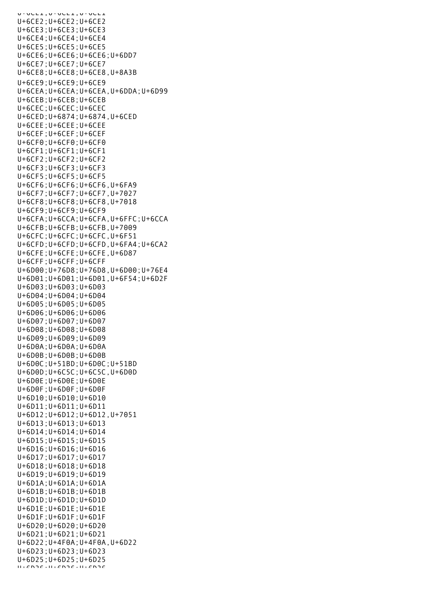U+6CE1;U+6CE1;U+6CE1 U+6CE2;U+6CE2;U+6CE2 U+6CE3;U+6CE3;U+6CE3 U+6CE4;U+6CE4;U+6CE4 U+6CE5;U+6CE5;U+6CE5 U+6CE6;U+6CE6;U+6CE6;U+6DD7 U+6CE7;U+6CE7;U+6CE7 U+6CE8;U+6CE8;U+6CE8,U+8A3B U+6CE9;U+6CE9;U+6CE9 U+6CEA;U+6CEA;U+6CEA,U+6DDA;U+6D99 U+6CEB;U+6CEB;U+6CEB U+6CEC;U+6CEC;U+6CEC U+6CED;U+6874;U+6874,U+6CED U+6CEE;U+6CEE;U+6CEE U+6CEF;U+6CEF;U+6CEF U+6CF0;U+6CF0;U+6CF0 U+6CF1;U+6CF1;U+6CF1 U+6CF2;U+6CF2;U+6CF2 U+6CF3;U+6CF3;U+6CF3 U+6CF5;U+6CF5;U+6CF5 U+6CF6;U+6CF6;U+6CF6,U+6FA9 U+6CF7;U+6CF7;U+6CF7,U+7027 U+6CF8;U+6CF8;U+6CF8,U+7018 U+6CF9;U+6CF9;U+6CF9 U+6CFA;U+6CCA;U+6CFA,U+6FFC;U+6CCA U+6CFB;U+6CFB;U+6CFB,U+7009 U+6CFC;U+6CFC;U+6CFC,U+6F51 U+6CFD;U+6CFD;U+6CFD,U+6FA4;U+6CA2 U+6CFE;U+6CFE;U+6CFE,U+6D87 U+6CFF;U+6CFF;U+6CFF U+6D00;U+76D8;U+76D8,U+6D00;U+76E4 U+6D01;U+6D01;U+6D01,U+6F54;U+6D2F U+6D03;U+6D03;U+6D03 U+6D04;U+6D04;U+6D04 U+6D05;U+6D05;U+6D05 U+6D06;U+6D06;U+6D06 U+6D07;U+6D07;U+6D07 U+6D08;U+6D08;U+6D08 U+6D09;U+6D09;U+6D09 U+6D0A;U+6D0A;U+6D0A U+6D0B;U+6D0B;U+6D0B U+6D0C;U+51BD;U+6D0C;U+51BD U+6D0D;U+6C5C;U+6C5C,U+6D0D U+6D0E;U+6D0E;U+6D0E U+6D0F;U+6D0F;U+6D0F U+6D10;U+6D10;U+6D10 U+6D11;U+6D11;U+6D11 U+6D12;U+6D12;U+6D12,U+7051 U+6D13;U+6D13;U+6D13 U+6D14;U+6D14;U+6D14 U+6D15;U+6D15;U+6D15 U+6D16;U+6D16;U+6D16 U+6D17;U+6D17;U+6D17 U+6D18;U+6D18;U+6D18 U+6D19;U+6D19;U+6D19 U+6D1A;U+6D1A;U+6D1A U+6D1B;U+6D1B;U+6D1B U+6D1D;U+6D1D;U+6D1D U+6D1E;U+6D1E;U+6D1E U+6D1F;U+6D1F;U+6D1F U+6D20;U+6D20;U+6D20 U+6D21;U+6D21;U+6D21 U+6D22;U+4F0A;U+4F0A,U+6D22 U+6D23;U+6D23;U+6D23 U+6D25;U+6D25;U+6D25  $ULF$ D<sub>26</sub>;U+6D<sub>26</sub>;U+6D<sub>26</sub>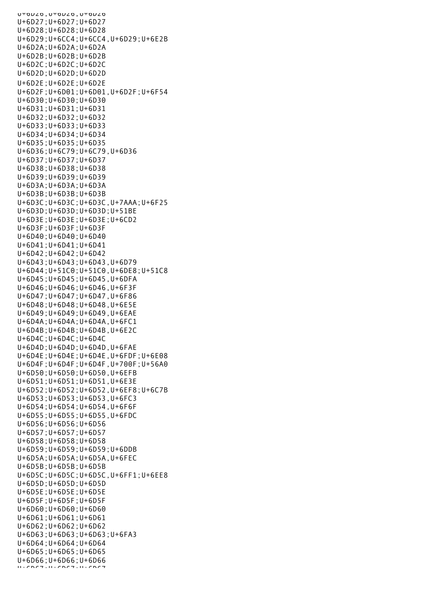UTOUZO, UTOUZO, UTOUZO U+6D27;U+6D27;U+6D27 U+6D28;U+6D28;U+6D28 U+6D29;U+6CC4;U+6CC4,U+6D29;U+6E2B U+6D2A;U+6D2A;U+6D2A U+6D2B;U+6D2B;U+6D2B U+6D2C;U+6D2C;U+6D2C U+6D2D;U+6D2D;U+6D2D U+6D2E;U+6D2E;U+6D2E U+6D2F;U+6D01;U+6D01,U+6D2F;U+6F54 U+6D30;U+6D30;U+6D30 U+6D31;U+6D31;U+6D31 U+6D32;U+6D32;U+6D32 U+6D33;U+6D33;U+6D33 U+6D34;U+6D34;U+6D34 U+6D35;U+6D35;U+6D35 U+6D36;U+6C79;U+6C79,U+6D36 U+6D37;U+6D37;U+6D37 U+6D38;U+6D38;U+6D38 U+6D39;U+6D39;U+6D39 U+6D3A;U+6D3A;U+6D3A U+6D3B;U+6D3B;U+6D3B U+6D3C;U+6D3C;U+6D3C,U+7AAA;U+6F25 U+6D3D;U+6D3D;U+6D3D;U+51BE U+6D3E;U+6D3E;U+6D3E;U+6CD2 U+6D3F;U+6D3F;U+6D3F U+6D40;U+6D40;U+6D40 U+6D41;U+6D41;U+6D41 U+6D42;U+6D42;U+6D42 U+6D43;U+6D43;U+6D43,U+6D79 U+6D44;U+51C0;U+51C0,U+6DE8;U+51C8 U+6D45;U+6D45;U+6D45,U+6DFA U+6D46;U+6D46;U+6D46,U+6F3F U+6D47;U+6D47;U+6D47,U+6F86 U+6D48;U+6D48;U+6D48,U+6E5E U+6D49;U+6D49;U+6D49,U+6EAE U+6D4A;U+6D4A;U+6D4A,U+6FC1 U+6D4B;U+6D4B;U+6D4B,U+6E2C U+6D4C;U+6D4C;U+6D4C U+6D4D;U+6D4D;U+6D4D,U+6FAE U+6D4E;U+6D4E;U+6D4E,U+6FDF;U+6E08 U+6D4F;U+6D4F;U+6D4F,U+700F;U+56A0 U+6D50;U+6D50;U+6D50,U+6EFB U+6D51;U+6D51;U+6D51,U+6E3E U+6D52;U+6D52;U+6D52,U+6EF8;U+6C7B U+6D53;U+6D53;U+6D53,U+6FC3 U+6D54;U+6D54;U+6D54,U+6F6F U+6D55;U+6D55;U+6D55,U+6FDC U+6D56;U+6D56;U+6D56 U+6D57;U+6D57;U+6D57 U+6D58;U+6D58;U+6D58 U+6D59;U+6D59;U+6D59;U+6DDB U+6D5A;U+6D5A;U+6D5A,U+6FEC U+6D5B;U+6D5B;U+6D5B U+6D5C;U+6D5C;U+6D5C,U+6FF1;U+6EE8 U+6D5D;U+6D5D;U+6D5D U+6D5E;U+6D5E;U+6D5E U+6D5F;U+6D5F;U+6D5F U+6D60;U+6D60;U+6D60 U+6D61;U+6D61;U+6D61 U+6D62;U+6D62;U+6D62 U+6D63;U+6D63;U+6D63;U+6FA3 U+6D64;U+6D64;U+6D64 U+6D65;U+6D65;U+6D65 U+6D66;U+6D66;U+6D66 U+6D67;U+6D67;U+6D67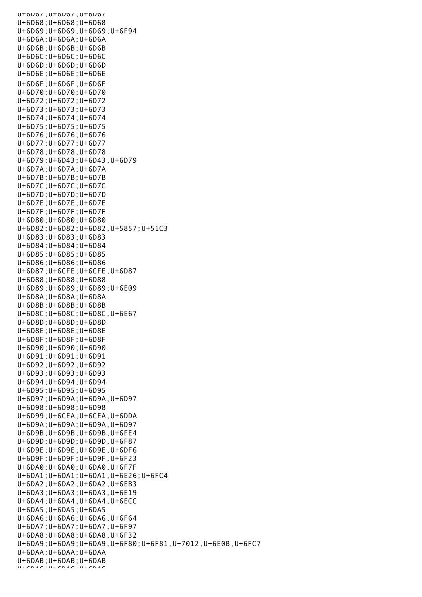U+6D67;U+6D67;U+6D67 U+6D68;U+6D68;U+6D68 U+6D69;U+6D69;U+6D69;U+6F94 U+6D6A;U+6D6A;U+6D6A U+6D6B;U+6D6B;U+6D6B U+6D6C;U+6D6C;U+6D6C U+6D6D;U+6D6D;U+6D6D U+6D6E;U+6D6E;U+6D6E U+6D6F;U+6D6F;U+6D6F U+6D70;U+6D70;U+6D70 U+6D72;U+6D72;U+6D72 U+6D73;U+6D73;U+6D73 U+6D74;U+6D74;U+6D74 U+6D75;U+6D75;U+6D75 U+6D76;U+6D76;U+6D76 U+6D77;U+6D77;U+6D77 U+6D78;U+6D78;U+6D78 U+6D79;U+6D43;U+6D43,U+6D79 U+6D7A;U+6D7A;U+6D7A U+6D7B;U+6D7B;U+6D7B U+6D7C;U+6D7C;U+6D7C U+6D7D;U+6D7D;U+6D7D U+6D7E;U+6D7E;U+6D7E U+6D7F;U+6D7F;U+6D7F U+6D80;U+6D80;U+6D80 U+6D82;U+6D82;U+6D82,U+5857;U+51C3 U+6D83;U+6D83;U+6D83 U+6D84;U+6D84;U+6D84 U+6D85;U+6D85;U+6D85 U+6D86;U+6D86;U+6D86 U+6D87;U+6CFE;U+6CFE,U+6D87 U+6D88;U+6D88;U+6D88 U+6D89;U+6D89;U+6D89;U+6E09 U+6D8A;U+6D8A;U+6D8A U+6D8B;U+6D8B;U+6D8B U+6D8C;U+6D8C;U+6D8C,U+6E67 U+6D8D;U+6D8D;U+6D8D U+6D8E;U+6D8E;U+6D8E U+6D8F;U+6D8F;U+6D8F U+6D90;U+6D90;U+6D90 U+6D91;U+6D91;U+6D91 U+6D92;U+6D92;U+6D92 U+6D93;U+6D93;U+6D93 U+6D94;U+6D94;U+6D94 U+6D95;U+6D95;U+6D95 U+6D97;U+6D9A;U+6D9A,U+6D97 U+6D98;U+6D98;U+6D98 U+6D99;U+6CEA;U+6CEA,U+6DDA U+6D9A;U+6D9A;U+6D9A,U+6D97 U+6D9B;U+6D9B;U+6D9B,U+6FE4 U+6D9D;U+6D9D;U+6D9D,U+6F87 U+6D9E;U+6D9E;U+6D9E,U+6DF6 U+6D9F;U+6D9F;U+6D9F,U+6F23 U+6DA0;U+6DA0;U+6DA0,U+6F7F U+6DA1;U+6DA1;U+6DA1,U+6E26;U+6FC4 U+6DA2;U+6DA2;U+6DA2,U+6EB3 U+6DA3;U+6DA3;U+6DA3,U+6E19 U+6DA4;U+6DA4;U+6DA4,U+6ECC U+6DA5;U+6DA5;U+6DA5 U+6DA6;U+6DA6;U+6DA6,U+6F64 U+6DA7;U+6DA7;U+6DA7,U+6F97 U+6DA8;U+6DA8;U+6DA8,U+6F32 U+6DA9;U+6DA9;U+6DA9,U+6F80;U+6F81,U+7012,U+6E0B,U+6FC7 U+6DAA;U+6DAA;U+6DAA U+6DAB;U+6DAB;U+6DAB U+6DAC;U+6DAC;U+6DAC;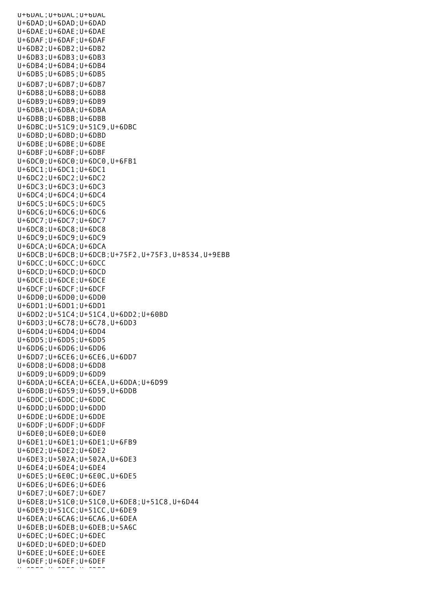U+6DAC;U+6DAC;U+6DAC U+6DAD;U+6DAD;U+6DAD U+6DAE;U+6DAE;U+6DAE U+6DAF;U+6DAF;U+6DAF U+6DB2;U+6DB2;U+6DB2 U+6DB3;U+6DB3;U+6DB3 U+6DB4;U+6DB4;U+6DB4 U+6DB5;U+6DB5;U+6DB5 U+6DB7;U+6DB7;U+6DB7 U+6DB8;U+6DB8;U+6DB8 U+6DB9;U+6DB9;U+6DB9 U+6DBA;U+6DBA;U+6DBA U+6DBB;U+6DBB;U+6DBB U+6DBC;U+51C9;U+51C9,U+6DBC U+6DBD;U+6DBD;U+6DBD U+6DBE;U+6DBE;U+6DBE U+6DBF;U+6DBF;U+6DBF U+6DC0;U+6DC0;U+6DC0,U+6FB1 U+6DC1;U+6DC1;U+6DC1 U+6DC2;U+6DC2;U+6DC2 U+6DC3;U+6DC3;U+6DC3 U+6DC4;U+6DC4;U+6DC4 U+6DC5;U+6DC5;U+6DC5 U+6DC6;U+6DC6;U+6DC6 U+6DC7;U+6DC7;U+6DC7 U+6DC8;U+6DC8;U+6DC8 U+6DC9;U+6DC9;U+6DC9 U+6DCA;U+6DCA;U+6DCA U+6DCB;U+6DCB;U+6DCB;U+75F2,U+75F3,U+8534,U+9EBB U+6DCC;U+6DCC;U+6DCC U+6DCD;U+6DCD;U+6DCD U+6DCE;U+6DCE;U+6DCE U+6DCF;U+6DCF;U+6DCF U+6DD0;U+6DD0;U+6DD0 U+6DD1;U+6DD1;U+6DD1 U+6DD2;U+51C4;U+51C4,U+6DD2;U+60BD U+6DD3;U+6C78;U+6C78,U+6DD3 U+6DD4;U+6DD4;U+6DD4 U+6DD5;U+6DD5;U+6DD5 U+6DD6;U+6DD6;U+6DD6 U+6DD7;U+6CE6;U+6CE6,U+6DD7 U+6DD8;U+6DD8;U+6DD8 U+6DD9;U+6DD9;U+6DD9 U+6DDA;U+6CEA;U+6CEA,U+6DDA;U+6D99 U+6DDB;U+6D59;U+6D59,U+6DDB U+6DDC;U+6DDC;U+6DDC U+6DDD;U+6DDD;U+6DDD U+6DDE;U+6DDE;U+6DDE U+6DDF;U+6DDF;U+6DDF U+6DE0;U+6DE0;U+6DE0 U+6DE1;U+6DE1;U+6DE1;U+6FB9 U+6DE2;U+6DE2;U+6DE2 U+6DE3;U+502A;U+502A,U+6DE3 U+6DE4;U+6DE4;U+6DE4 U+6DE5;U+6E0C;U+6E0C,U+6DE5 U+6DE6;U+6DE6;U+6DE6 U+6DE7;U+6DE7;U+6DE7 U+6DE8;U+51C0;U+51C0,U+6DE8;U+51C8,U+6D44 U+6DE9;U+51CC;U+51CC,U+6DE9 U+6DEA;U+6CA6;U+6CA6,U+6DEA U+6DEB;U+6DEB;U+6DEB;U+5A6C U+6DEC;U+6DEC;U+6DEC U+6DED;U+6DED;U+6DED U+6DEE;U+6DEE;U+6DEE U+6DEF;U+6DEF;U+6DEF U+6DF0;U+6DF0;U+6DF0;<br>U+6DF0;U+6DF0;U+6DF0;U+6DF0;U+6DF0;U+6DF0;U+6DF0;U+6DF0;U+6DF0;U+6DF0;U+6DF0;U+6DF0;U+6DF0;U+6DF0;U+6DF0;U+6DF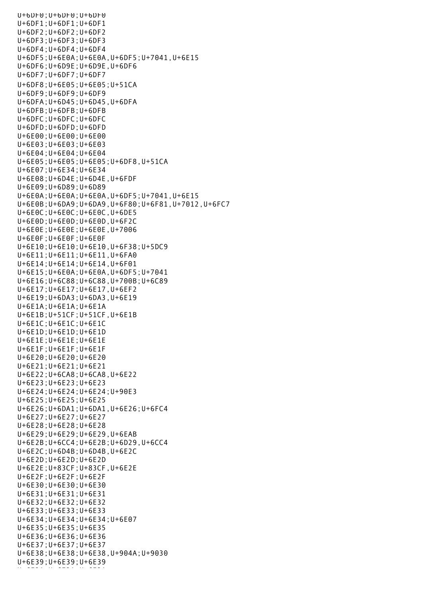U+6DF0;U+6DF0;U+6DF0 U+6DF1;U+6DF1;U+6DF1 U+6DF2;U+6DF2;U+6DF2 U+6DF3;U+6DF3;U+6DF3 U+6DF4;U+6DF4;U+6DF4 U+6DF5;U+6E0A;U+6E0A,U+6DF5;U+7041,U+6E15 U+6DF6;U+6D9E;U+6D9E,U+6DF6 U+6DF7;U+6DF7;U+6DF7 U+6DF8;U+6E05;U+6E05;U+51CA U+6DF9;U+6DF9;U+6DF9 U+6DFA;U+6D45;U+6D45,U+6DFA U+6DFB;U+6DFB;U+6DFB U+6DFC;U+6DFC;U+6DFC U+6DFD;U+6DFD;U+6DFD U+6E00;U+6E00;U+6E00 U+6E03;U+6E03;U+6E03 U+6E04;U+6E04;U+6E04 U+6E05;U+6E05;U+6E05;U+6DF8,U+51CA U+6E07;U+6E34;U+6E34 U+6E08;U+6D4E;U+6D4E,U+6FDF U+6E09;U+6D89;U+6D89 U+6E0A;U+6E0A;U+6E0A,U+6DF5;U+7041,U+6E15 U+6E0B;U+6DA9;U+6DA9,U+6F80;U+6F81,U+7012,U+6FC7 U+6E0C;U+6E0C;U+6E0C,U+6DE5 U+6E0D;U+6E0D;U+6E0D,U+6F2C U+6E0E;U+6E0E;U+6E0E,U+7006 U+6E0F;U+6E0F;U+6E0F U+6E10;U+6E10;U+6E10,U+6F38;U+5DC9 U+6E11;U+6E11;U+6E11,U+6FA0 U+6E14;U+6E14;U+6E14,U+6F01 U+6E15;U+6E0A;U+6E0A,U+6DF5;U+7041 U+6E16;U+6C88;U+6C88,U+700B;U+6C89 U+6E17;U+6E17;U+6E17,U+6EF2 U+6E19;U+6DA3;U+6DA3,U+6E19 U+6E1A;U+6E1A;U+6E1A U+6E1B;U+51CF;U+51CF,U+6E1B U+6E1C;U+6E1C;U+6E1C U+6E1D;U+6E1D;U+6E1D U+6E1E;U+6E1E;U+6E1E U+6E1F;U+6E1F;U+6E1F U+6E20;U+6E20;U+6E20 U+6E21;U+6E21;U+6E21 U+6E22;U+6CA8;U+6CA8,U+6E22 U+6E23;U+6E23;U+6E23 U+6E24;U+6E24;U+6E24;U+90E3 U+6E25;U+6E25;U+6E25 U+6E26;U+6DA1;U+6DA1,U+6E26;U+6FC4 U+6E27;U+6E27;U+6E27 U+6E28;U+6E28;U+6E28 U+6E29;U+6E29;U+6E29,U+6EAB U+6E2B;U+6CC4;U+6E2B;U+6D29,U+6CC4 U+6E2C;U+6D4B;U+6D4B,U+6E2C U+6E2D;U+6E2D;U+6E2D U+6E2E;U+83CF;U+83CF,U+6E2E U+6E2F;U+6E2F;U+6E2F U+6E30;U+6E30;U+6E30 U+6E31;U+6E31;U+6E31 U+6E32;U+6E32;U+6E32 U+6E33;U+6E33;U+6E33 U+6E34;U+6E34;U+6E34;U+6E07 U+6E35;U+6E35;U+6E35 U+6E36;U+6E36;U+6E36 U+6E37;U+6E37;U+6E37 U+6E38;U+6E38;U+6E38,U+904A;U+9030 U+6E39;U+6E39;U+6E39 u+6E3a;u+6E3A;u+6E3A;u+6E3A;<br>U+6E3A;u+6E3A;u+6E3A;u+6E3A;u+6E3A;u+6E3A;u+6E3A;u+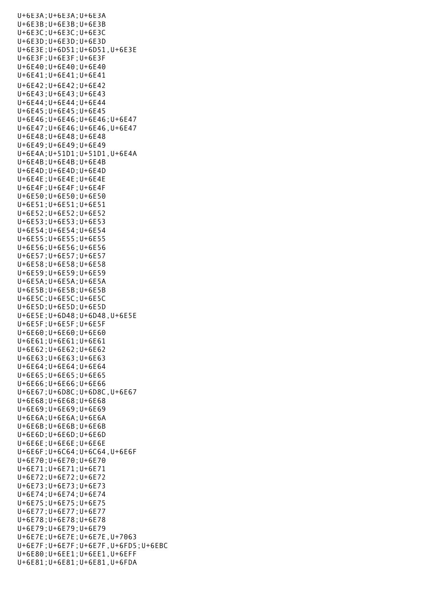U+6E3A;U+6E3A;U+6E3A U+6E3B;U+6E3B;U+6E3B U+6E3C;U+6E3C;U+6E3C U+6E3D;U+6E3D;U+6E3D U+6E3E;U+6D51;U+6D51,U+6E3E U+6E3F;U+6E3F;U+6E3F U+6E40;U+6E40;U+6E40 U+6E41;U+6E41;U+6E41 U+6E42;U+6E42;U+6E42 U+6E43;U+6E43;U+6E43 U+6E44;U+6E44;U+6E44 U+6E45;U+6E45;U+6E45 U+6E46;U+6E46;U+6E46;U+6E47 U+6E47;U+6E46;U+6E46,U+6E47 U+6E48;U+6E48;U+6E48 U+6E49;U+6E49;U+6E49 U+6E4A;U+51D1;U+51D1,U+6E4A U+6E4B;U+6E4B;U+6E4B U+6E4D;U+6E4D;U+6E4D U+6E4E;U+6E4E;U+6E4E U+6E4F;U+6E4F;U+6E4F U+6E50;U+6E50;U+6E50 U+6E51;U+6E51;U+6E51 U+6E52;U+6E52;U+6E52 U+6E53;U+6E53;U+6E53 U+6E54;U+6E54;U+6E54 U+6E55;U+6E55;U+6E55 U+6E56;U+6E56;U+6E56 U+6E57;U+6E57;U+6E57 U+6E58;U+6E58;U+6E58 U+6E59;U+6E59;U+6E59 U+6E5A;U+6E5A;U+6E5A U+6E5B;U+6E5B;U+6E5B U+6E5C;U+6E5C;U+6E5C U+6E5D;U+6E5D;U+6E5D U+6E5E;U+6D48;U+6D48,U+6E5E U+6E5F;U+6E5F;U+6E5F U+6E60;U+6E60;U+6E60 U+6E61;U+6E61;U+6E61 U+6E62;U+6E62;U+6E62 U+6E63;U+6E63;U+6E63 U+6E64;U+6E64;U+6E64 U+6E65;U+6E65;U+6E65 U+6E66;U+6E66;U+6E66 U+6E67;U+6D8C;U+6D8C,U+6E67 U+6E68;U+6E68;U+6E68 U+6E69;U+6E69;U+6E69 U+6E6A;U+6E6A;U+6E6A U+6E6B;U+6E6B;U+6E6B U+6E6D;U+6E6D;U+6E6D U+6E6E;U+6E6E;U+6E6E U+6E6F;U+6C64;U+6C64,U+6E6F U+6E70;U+6E70;U+6E70 U+6E71;U+6E71;U+6E71 U+6E72;U+6E72;U+6E72 U+6E73;U+6E73;U+6E73 U+6E74;U+6E74;U+6E74 U+6E75;U+6E75;U+6E75 U+6E77;U+6E77;U+6E77 U+6E78;U+6E78;U+6E78 U+6E79;U+6E79;U+6E79 U+6E7E;U+6E7E;U+6E7E,U+7063 U+6E7F;U+6E7F;U+6E7F,U+6FD5;U+6EBC U+6E80;U+6EE1;U+6EE1,U+6EFF U+6E81;U+6E81;U+6E81,U+6FDA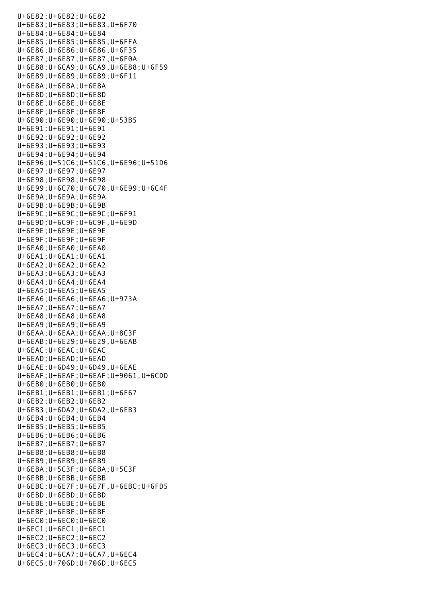U+6E82;U+6E82;U+6E82 U+6E83;U+6E83;U+6E83,U+6F70 U+6E84;U+6E84;U+6E84 U+6E85;U+6E85;U+6E85,U+6FFA U+6E86;U+6E86;U+6E86,U+6F35 U+6E87;U+6E87;U+6E87,U+6F0A U+6E88;U+6CA9;U+6CA9,U+6E88;U+6F59 U+6E89;U+6E89;U+6E89;U+6F11 U+6E8A;U+6E8A;U+6E8A U+6E8D;U+6E8D;U+6E8D U+6E8E;U+6E8E;U+6E8E U+6E8F;U+6E8F;U+6E8F U+6E90;U+6E90;U+6E90;U+53B5 U+6E91;U+6E91;U+6E91 U+6E92;U+6E92;U+6E92 U+6E93;U+6E93;U+6E93 U+6E94;U+6E94;U+6E94 U+6E96;U+51C6;U+51C6,U+6E96;U+51D6 U+6E97;U+6E97;U+6E97 U+6E98;U+6E98;U+6E98 U+6E99;U+6C70;U+6C70,U+6E99;U+6C4F U+6E9A;U+6E9A;U+6E9A U+6E9B;U+6E9B;U+6E9B U+6E9C;U+6E9C;U+6E9C;U+6F91 U+6E9D;U+6C9F;U+6C9F,U+6E9D U+6E9E;U+6E9E;U+6E9E U+6E9F;U+6E9F;U+6E9F U+6EA0;U+6EA0;U+6EA0 U+6EA1;U+6EA1;U+6EA1 U+6EA2;U+6EA2;U+6EA2 U+6EA3;U+6EA3;U+6EA3 U+6EA4;U+6EA4;U+6EA4 U+6EA5;U+6EA5;U+6EA5 U+6EA6;U+6EA6;U+6EA6;U+973A U+6EA7;U+6EA7;U+6EA7 U+6EA8;U+6EA8;U+6EA8 U+6EA9;U+6EA9;U+6EA9 U+6EAA;U+6EAA;U+6EAA;U+8C3F U+6EAB;U+6E29;U+6E29,U+6EAB U+6EAC;U+6EAC;U+6EAC U+6EAD;U+6EAD;U+6EAD U+6EAE;U+6D49;U+6D49,U+6EAE U+6EAF;U+6EAF;U+6EAF;U+9061,U+6CDD U+6EB0;U+6EB0;U+6EB0 U+6EB1;U+6EB1;U+6EB1;U+6F67 U+6EB2;U+6EB2;U+6EB2 U+6EB3;U+6DA2;U+6DA2,U+6EB3 U+6EB4;U+6EB4;U+6EB4 U+6EB5;U+6EB5;U+6EB5 U+6EB6;U+6EB6;U+6EB6 U+6EB7;U+6EB7;U+6EB7 U+6EB8;U+6EB8;U+6EB8 U+6EB9;U+6EB9;U+6EB9 U+6EBA;U+5C3F;U+6EBA;U+5C3F U+6EBB;U+6EBB;U+6EBB U+6EBC;U+6E7F;U+6E7F,U+6EBC;U+6FD5 U+6EBD;U+6EBD;U+6EBD U+6EBE;U+6EBE;U+6EBE U+6EBF;U+6EBF;U+6EBF U+6EC0;U+6EC0;U+6EC0 U+6EC1;U+6EC1;U+6EC1 U+6EC2;U+6EC2;U+6EC2 U+6EC3;U+6EC3;U+6EC3 U+6EC4;U+6CA7;U+6CA7,U+6EC4 U+6EC5;U+706D;U+706D,U+6EC5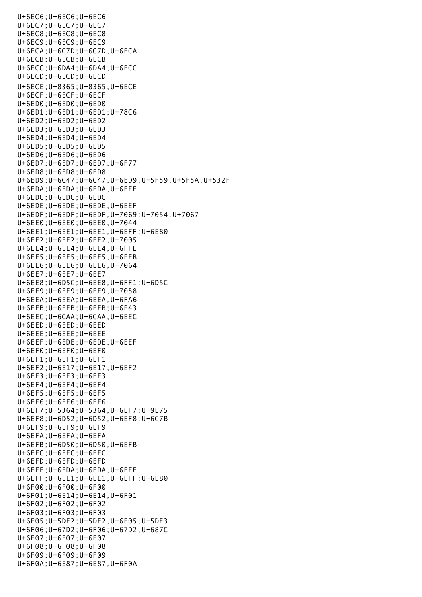U+6EC6;U+6EC6;U+6EC6 U+6EC7;U+6EC7;U+6EC7 U+6EC8;U+6EC8;U+6EC8 U+6EC9;U+6EC9;U+6EC9 U+6ECA;U+6C7D;U+6C7D,U+6ECA U+6ECB;U+6ECB;U+6ECB U+6ECC;U+6DA4;U+6DA4,U+6ECC U+6ECD;U+6ECD;U+6ECD U+6ECE;U+8365;U+8365,U+6ECE U+6ECF;U+6ECF;U+6ECF U+6ED0;U+6ED0;U+6ED0 U+6ED1;U+6ED1;U+6ED1;U+78C6 U+6ED2;U+6ED2;U+6ED2 U+6ED3;U+6ED3;U+6ED3 U+6ED4;U+6ED4;U+6ED4 U+6ED5;U+6ED5;U+6ED5 U+6ED6;U+6ED6;U+6ED6 U+6ED7;U+6ED7;U+6ED7,U+6F77 U+6ED8;U+6ED8;U+6ED8 U+6ED9;U+6C47;U+6C47,U+6ED9;U+5F59,U+5F5A,U+532F U+6EDA;U+6EDA;U+6EDA,U+6EFE U+6EDC;U+6EDC;U+6EDC U+6EDE;U+6EDE;U+6EDE,U+6EEF U+6EDF;U+6EDF;U+6EDF,U+7069;U+7054,U+7067 U+6EE0;U+6EE0;U+6EE0,U+7044 U+6EE1;U+6EE1;U+6EE1,U+6EFF;U+6E80 U+6EE2;U+6EE2;U+6EE2,U+7005 U+6EE4;U+6EE4;U+6EE4,U+6FFE U+6EE5;U+6EE5;U+6EE5,U+6FEB U+6EE6;U+6EE6;U+6EE6,U+7064 U+6EE7;U+6EE7;U+6EE7 U+6EE8;U+6D5C;U+6EE8,U+6FF1;U+6D5C U+6EE9;U+6EE9;U+6EE9,U+7058 U+6EEA;U+6EEA;U+6EEA,U+6FA6 U+6EEB;U+6EEB;U+6EEB;U+6F43 U+6EEC;U+6CAA;U+6CAA,U+6EEC U+6EED;U+6EED;U+6EED U+6EEE;U+6EEE;U+6EEE U+6EEF;U+6EDE;U+6EDE,U+6EEF U+6EF0;U+6EF0;U+6EF0 U+6EF1;U+6EF1;U+6EF1 U+6EF2;U+6E17;U+6E17,U+6EF2 U+6EF3;U+6EF3;U+6EF3 U+6EF4;U+6EF4;U+6EF4 U+6EF5;U+6EF5;U+6EF5 U+6EF6;U+6EF6;U+6EF6 U+6EF7;U+5364;U+5364,U+6EF7;U+9E75 U+6EF8;U+6D52;U+6D52,U+6EF8;U+6C7B U+6EF9;U+6EF9;U+6EF9 U+6EFA;U+6EFA;U+6EFA U+6EFB;U+6D50;U+6D50,U+6EFB U+6EFC;U+6EFC;U+6EFC U+6EFD;U+6EFD;U+6EFD U+6EFE;U+6EDA;U+6EDA,U+6EFE U+6EFF;U+6EE1;U+6EE1,U+6EFF;U+6E80 U+6F00;U+6F00;U+6F00 U+6F01;U+6E14;U+6E14,U+6F01 U+6F02;U+6F02;U+6F02 U+6F03;U+6F03;U+6F03 U+6F05;U+5DE2;U+5DE2,U+6F05;U+5DE3 U+6F06;U+67D2;U+6F06;U+67D2,U+687C U+6F07;U+6F07;U+6F07 U+6F08;U+6F08;U+6F08 U+6F09;U+6F09;U+6F09 U+6F0A;U+6E87;U+6E87,U+6F0A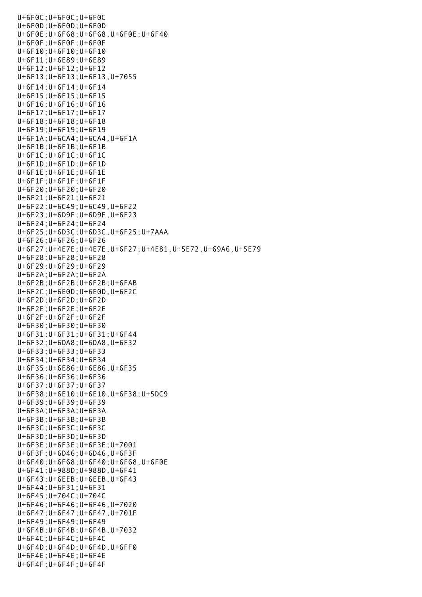U+6F0C;U+6F0C;U+6F0C U+6F0D;U+6F0D;U+6F0D U+6F0E;U+6F68;U+6F68,U+6F0E;U+6F40 U+6F0F;U+6F0F;U+6F0F U+6F10;U+6F10;U+6F10 U+6F11;U+6E89;U+6E89 U+6F12;U+6F12;U+6F12 U+6F13;U+6F13;U+6F13,U+7055 U+6F14;U+6F14;U+6F14 U+6F15;U+6F15;U+6F15 U+6F16;U+6F16;U+6F16 U+6F17;U+6F17;U+6F17 U+6F18;U+6F18;U+6F18 U+6F19;U+6F19;U+6F19 U+6F1A;U+6CA4;U+6CA4,U+6F1A U+6F1B;U+6F1B;U+6F1B U+6F1C;U+6F1C;U+6F1C U+6F1D;U+6F1D;U+6F1D U+6F1E;U+6F1E;U+6F1E U+6F1F;U+6F1F;U+6F1F U+6F20;U+6F20;U+6F20 U+6F21;U+6F21;U+6F21 U+6F22;U+6C49;U+6C49,U+6F22 U+6F23;U+6D9F;U+6D9F,U+6F23 U+6F24;U+6F24;U+6F24 U+6F25;U+6D3C;U+6D3C,U+6F25;U+7AAA U+6F26;U+6F26;U+6F26 U+6F27;U+4E7E;U+4E7E,U+6F27;U+4E81,U+5E72,U+69A6,U+5E79 U+6F28;U+6F28;U+6F28 U+6F29;U+6F29;U+6F29 U+6F2A;U+6F2A;U+6F2A U+6F2B;U+6F2B;U+6F2B;U+6FAB U+6F2C;U+6E0D;U+6E0D,U+6F2C U+6F2D;U+6F2D;U+6F2D U+6F2E;U+6F2E;U+6F2E U+6F2F;U+6F2F;U+6F2F U+6F30;U+6F30;U+6F30 U+6F31;U+6F31;U+6F31;U+6F44 U+6F32;U+6DA8;U+6DA8,U+6F32 U+6F33;U+6F33;U+6F33 U+6F34;U+6F34;U+6F34 U+6F35;U+6E86;U+6E86,U+6F35 U+6F36;U+6F36;U+6F36 U+6F37;U+6F37;U+6F37 U+6F38;U+6E10;U+6E10,U+6F38;U+5DC9 U+6F39;U+6F39;U+6F39 U+6F3A;U+6F3A;U+6F3A U+6F3B;U+6F3B;U+6F3B U+6F3C;U+6F3C;U+6F3C U+6F3D;U+6F3D;U+6F3D U+6F3E;U+6F3E;U+6F3E;U+7001 U+6F3F;U+6D46;U+6D46,U+6F3F U+6F40;U+6F68;U+6F40;U+6F68,U+6F0E U+6F41;U+988D;U+988D,U+6F41 U+6F43;U+6EEB;U+6EEB,U+6F43 U+6F44;U+6F31;U+6F31 U+6F45;U+704C;U+704C U+6F46;U+6F46;U+6F46,U+7020 U+6F47;U+6F47;U+6F47,U+701F U+6F49;U+6F49;U+6F49 U+6F4B;U+6F4B;U+6F4B,U+7032 U+6F4C;U+6F4C;U+6F4C U+6F4D;U+6F4D;U+6F4D,U+6FF0 U+6F4E;U+6F4E;U+6F4E U+6F4F;U+6F4F;U+6F4F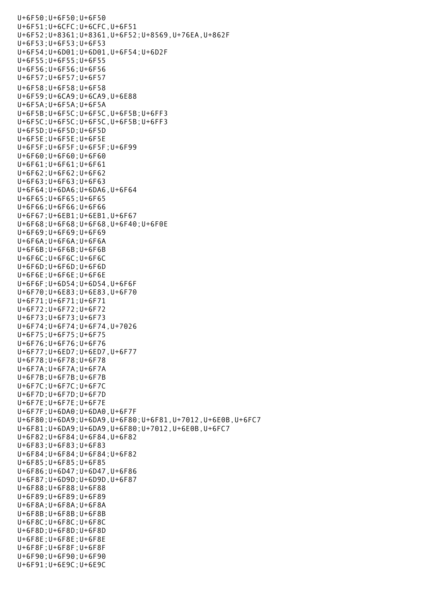U+6F50;U+6F50;U+6F50 U+6F51;U+6CFC;U+6CFC,U+6F51 U+6F52;U+8361;U+8361,U+6F52;U+8569,U+76EA,U+862F U+6F53;U+6F53;U+6F53 U+6F54;U+6D01;U+6D01,U+6F54;U+6D2F U+6F55;U+6F55;U+6F55 U+6F56;U+6F56;U+6F56 U+6F57;U+6F57;U+6F57 U+6F58;U+6F58;U+6F58 U+6F59;U+6CA9;U+6CA9,U+6E88 U+6F5A;U+6F5A;U+6F5A U+6F5B;U+6F5C;U+6F5C,U+6F5B;U+6FF3 U+6F5C;U+6F5C;U+6F5C,U+6F5B;U+6FF3 U+6F5D;U+6F5D;U+6F5D U+6F5E;U+6F5E;U+6F5E U+6F5F;U+6F5F;U+6F5F;U+6F99 U+6F60;U+6F60;U+6F60 U+6F61;U+6F61;U+6F61 U+6F62;U+6F62;U+6F62 U+6F63;U+6F63;U+6F63 U+6F64;U+6DA6;U+6DA6,U+6F64 U+6F65;U+6F65;U+6F65 U+6F66;U+6F66;U+6F66 U+6F67;U+6EB1;U+6EB1,U+6F67 U+6F68;U+6F68;U+6F68,U+6F40;U+6F0E U+6F69;U+6F69;U+6F69 U+6F6A;U+6F6A;U+6F6A U+6F6B;U+6F6B;U+6F6B U+6F6C;U+6F6C;U+6F6C U+6F6D;U+6F6D;U+6F6D U+6F6E;U+6F6E;U+6F6E U+6F6F;U+6D54;U+6D54,U+6F6F U+6F70;U+6E83;U+6E83,U+6F70 U+6F71;U+6F71;U+6F71 U+6F72;U+6F72;U+6F72 U+6F73;U+6F73;U+6F73 U+6F74;U+6F74;U+6F74,U+7026 U+6F75;U+6F75;U+6F75 U+6F76;U+6F76;U+6F76 U+6F77;U+6ED7;U+6ED7,U+6F77 U+6F78;U+6F78;U+6F78 U+6F7A;U+6F7A;U+6F7A U+6F7B;U+6F7B;U+6F7B U+6F7C;U+6F7C;U+6F7C U+6F7D;U+6F7D;U+6F7D U+6F7E;U+6F7E;U+6F7E U+6F7F;U+6DA0;U+6DA0,U+6F7F U+6F80;U+6DA9;U+6DA9,U+6F80;U+6F81,U+7012,U+6E0B,U+6FC7 U+6F81;U+6DA9;U+6DA9,U+6F80;U+7012,U+6E0B,U+6FC7 U+6F82;U+6F84;U+6F84,U+6F82 U+6F83;U+6F83;U+6F83 U+6F84;U+6F84;U+6F84;U+6F82 U+6F85;U+6F85;U+6F85 U+6F86;U+6D47;U+6D47,U+6F86 U+6F87;U+6D9D;U+6D9D,U+6F87 U+6F88;U+6F88;U+6F88 U+6F89;U+6F89;U+6F89 U+6F8A;U+6F8A;U+6F8A U+6F8B;U+6F8B;U+6F8B U+6F8C;U+6F8C;U+6F8C U+6F8D;U+6F8D;U+6F8D U+6F8E;U+6F8E;U+6F8E U+6F8F;U+6F8F;U+6F8F U+6F90;U+6F90;U+6F90 U+6F91;U+6E9C;U+6E9C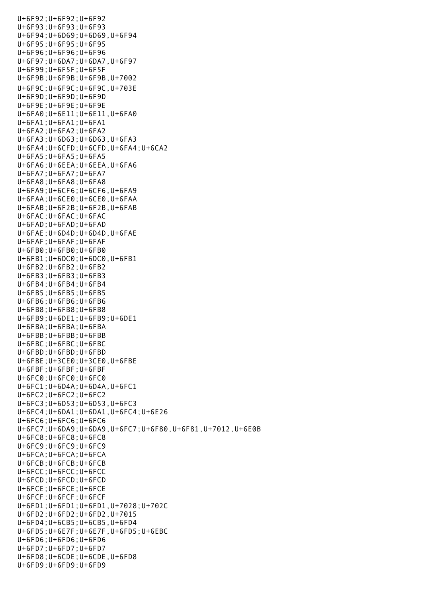U+6F92;U+6F92;U+6F92 U+6F93;U+6F93;U+6F93 U+6F94;U+6D69;U+6D69,U+6F94 U+6F95;U+6F95;U+6F95 U+6F96;U+6F96;U+6F96 U+6F97;U+6DA7;U+6DA7,U+6F97 U+6F99;U+6F5F;U+6F5F U+6F9B;U+6F9B;U+6F9B,U+7002 U+6F9C;U+6F9C;U+6F9C,U+703E U+6F9D;U+6F9D;U+6F9D U+6F9E;U+6F9E;U+6F9E U+6FA0;U+6E11;U+6E11,U+6FA0 U+6FA1;U+6FA1;U+6FA1 U+6FA2;U+6FA2;U+6FA2 U+6FA3;U+6D63;U+6D63,U+6FA3 U+6FA4;U+6CFD;U+6CFD,U+6FA4;U+6CA2 U+6FA5;U+6FA5;U+6FA5 U+6FA6;U+6EEA;U+6EEA,U+6FA6 U+6FA7;U+6FA7;U+6FA7 U+6FA8;U+6FA8;U+6FA8 U+6FA9;U+6CF6;U+6CF6,U+6FA9 U+6FAA;U+6CE0;U+6CE0,U+6FAA U+6FAB;U+6F2B;U+6F2B,U+6FAB U+6FAC;U+6FAC;U+6FAC U+6FAD;U+6FAD;U+6FAD U+6FAE;U+6D4D;U+6D4D,U+6FAE U+6FAF;U+6FAF;U+6FAF U+6FB0;U+6FB0;U+6FB0 U+6FB1;U+6DC0;U+6DC0,U+6FB1 U+6FB2;U+6FB2;U+6FB2 U+6FB3;U+6FB3;U+6FB3 U+6FB4;U+6FB4;U+6FB4 U+6FB5;U+6FB5;U+6FB5 U+6FB6;U+6FB6;U+6FB6 U+6FB8;U+6FB8;U+6FB8 U+6FB9;U+6DE1;U+6FB9;U+6DE1 U+6FBA;U+6FBA;U+6FBA U+6FBB;U+6FBB;U+6FBB U+6FBC;U+6FBC;U+6FBC U+6FBD;U+6FBD;U+6FBD U+6FBE;U+3CE0;U+3CE0,U+6FBE U+6FBF;U+6FBF;U+6FBF U+6FC0;U+6FC0;U+6FC0 U+6FC1;U+6D4A;U+6D4A,U+6FC1 U+6FC2;U+6FC2;U+6FC2 U+6FC3;U+6D53;U+6D53,U+6FC3 U+6FC4;U+6DA1;U+6DA1,U+6FC4;U+6E26 U+6FC6;U+6FC6;U+6FC6 U+6FC7;U+6DA9;U+6DA9,U+6FC7;U+6F80,U+6F81,U+7012,U+6E0B U+6FC8;U+6FC8;U+6FC8 U+6FC9;U+6FC9;U+6FC9 U+6FCA;U+6FCA;U+6FCA U+6FCB;U+6FCB;U+6FCB U+6FCC;U+6FCC;U+6FCC U+6FCD;U+6FCD;U+6FCD U+6FCE;U+6FCE;U+6FCE U+6FCF;U+6FCF;U+6FCF U+6FD1;U+6FD1;U+6FD1,U+7028;U+702C U+6FD2;U+6FD2;U+6FD2,U+7015 U+6FD4;U+6CB5;U+6CB5,U+6FD4 U+6FD5;U+6E7F;U+6E7F,U+6FD5;U+6EBC U+6FD6;U+6FD6;U+6FD6 U+6FD7;U+6FD7;U+6FD7 U+6FD8;U+6CDE;U+6CDE,U+6FD8 U+6FD9;U+6FD9;U+6FD9

U+6F91;U+6E9C;U+6E9C;U+6E9C;U+6E9C;U+6E9C;U+6E9C;U+6E9C;U+6E9C;U+6E9C;U+6E9C;U+6E9C;U+6E9C;U+6E9C;U+6E9C;U+6E9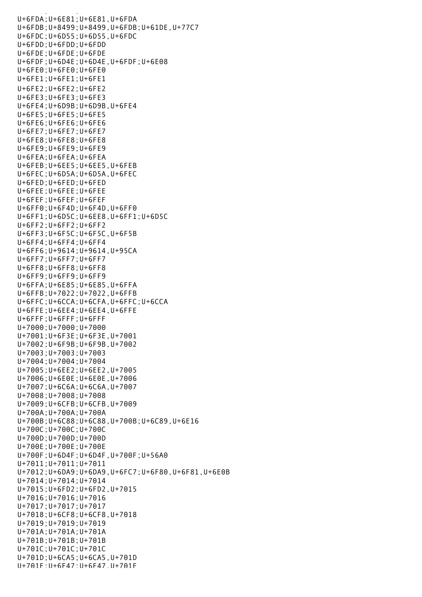u<br>Geografia (1999), utawi sebagai kecamatan di kecamatan di kecamatan di kecamatan di kecamatan di kecamatan di U+6FDA;U+6E81;U+6E81,U+6FDA U+6FDB;U+8499;U+8499,U+6FDB;U+61DE,U+77C7 U+6FDC;U+6D55;U+6D55,U+6FDC U+6FDD;U+6FDD;U+6FDD U+6FDE;U+6FDE;U+6FDE U+6FDF;U+6D4E;U+6D4E,U+6FDF;U+6E08 U+6FE0;U+6FE0;U+6FE0 U+6FE1;U+6FE1;U+6FE1 U+6FE2;U+6FE2;U+6FE2 U+6FE3;U+6FE3;U+6FE3 U+6FE4;U+6D9B;U+6D9B,U+6FE4 U+6FE5;U+6FE5;U+6FE5 U+6FE6;U+6FE6;U+6FE6 U+6FE7;U+6FE7;U+6FE7 U+6FE8;U+6FE8;U+6FE8 U+6FE9;U+6FE9;U+6FE9 U+6FEA;U+6FEA;U+6FEA U+6FEB;U+6EE5;U+6EE5,U+6FEB U+6FEC;U+6D5A;U+6D5A,U+6FEC U+6FED;U+6FED;U+6FED U+6FEE;U+6FEE;U+6FEE U+6FEF;U+6FEF;U+6FEF U+6FF0;U+6F4D;U+6F4D,U+6FF0 U+6FF1;U+6D5C;U+6EE8,U+6FF1;U+6D5C U+6FF2;U+6FF2;U+6FF2 U+6FF3;U+6F5C;U+6F5C,U+6F5B U+6FF4;U+6FF4;U+6FF4 U+6FF6;U+9614;U+9614,U+95CA U+6FF7;U+6FF7;U+6FF7 U+6FF8;U+6FF8;U+6FF8 U+6FF9;U+6FF9;U+6FF9 U+6FFA;U+6E85;U+6E85,U+6FFA U+6FFB;U+7022;U+7022,U+6FFB U+6FFC;U+6CCA;U+6CFA,U+6FFC;U+6CCA U+6FFE;U+6EE4;U+6EE4,U+6FFE U+6FFF;U+6FFF;U+6FFF U+7000;U+7000;U+7000 U+7001;U+6F3E;U+6F3E,U+7001 U+7002;U+6F9B;U+6F9B,U+7002 U+7003;U+7003;U+7003 U+7004;U+7004;U+7004 U+7005;U+6EE2;U+6EE2,U+7005 U+7006;U+6E0E;U+6E0E,U+7006 U+7007;U+6C6A;U+6C6A,U+7007 U+7008;U+7008;U+7008 U+7009;U+6CFB;U+6CFB,U+7009 U+700A;U+700A;U+700A U+700B;U+6C88;U+6C88,U+700B;U+6C89,U+6E16 U+700C;U+700C;U+700C U+700D;U+700D;U+700D U+700E;U+700E;U+700E U+700F;U+6D4F;U+6D4F,U+700F;U+56A0 U+7011;U+7011;U+7011 U+7012;U+6DA9;U+6DA9,U+6FC7;U+6F80,U+6F81,U+6E0B U+7014;U+7014;U+7014 U+7015;U+6FD2;U+6FD2,U+7015 U+7016;U+7016;U+7016 U+7017;U+7017;U+7017 U+7018;U+6CF8;U+6CF8,U+7018 U+7019;U+7019;U+7019 U+701A;U+701A;U+701A U+701B;U+701B;U+701B U+701C;U+701C;U+701C U+701D;U+6CA5;U+6CA5,U+701D U+701F;U+6F47;U+6F47,U+701F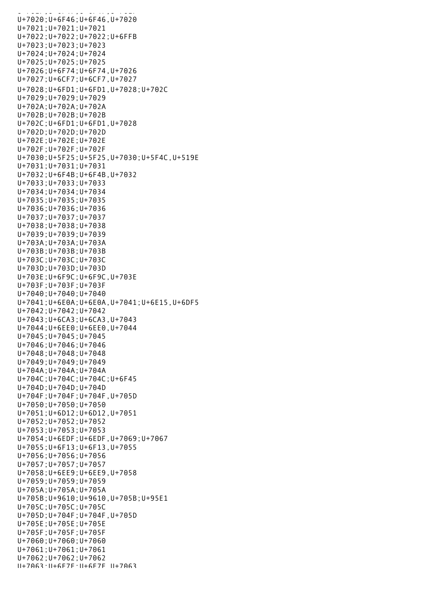U+701F;U+6F47;U+6F47,U+7O1F47,U+7O1F47,U+7O1F47,U+7O1F47,U+7O1F47,U+7O1F47,U+7O1F47,U+7O1F47,U+7O1F4 U+7020;U+6F46;U+6F46,U+7020 U+7021;U+7021;U+7021 U+7022;U+7022;U+7022;U+6FFB U+7023;U+7023;U+7023 U+7024;U+7024;U+7024 U+7025;U+7025;U+7025 U+7026;U+6F74;U+6F74,U+7026 U+7027;U+6CF7;U+6CF7,U+7027 U+7028;U+6FD1;U+6FD1,U+7028;U+702C U+7029;U+7029;U+7029 U+702A;U+702A;U+702A U+702B;U+702B;U+702B U+702C;U+6FD1;U+6FD1,U+7028 U+702D;U+702D;U+702D U+702E;U+702E;U+702E U+702F;U+702F;U+702F U+7030;U+5F25;U+5F25,U+7030;U+5F4C,U+519E U+7031;U+7031;U+7031 U+7032;U+6F4B;U+6F4B,U+7032 U+7033;U+7033;U+7033 U+7034;U+7034;U+7034 U+7035;U+7035;U+7035 U+7036;U+7036;U+7036 U+7037;U+7037;U+7037 U+7038;U+7038;U+7038 U+7039;U+7039;U+7039 U+703A;U+703A;U+703A U+703B;U+703B;U+703B U+703C;U+703C;U+703C U+703D;U+703D;U+703D U+703E;U+6F9C;U+6F9C,U+703E U+703F;U+703F;U+703F U+7040;U+7040;U+7040 U+7041;U+6E0A;U+6E0A,U+7041;U+6E15,U+6DF5 U+7042;U+7042;U+7042 U+7043;U+6CA3;U+6CA3,U+7043 U+7044;U+6EE0;U+6EE0,U+7044 U+7045;U+7045;U+7045 U+7046;U+7046;U+7046 U+7048;U+7048;U+7048 U+7049;U+7049;U+7049 U+704A;U+704A;U+704A U+704C;U+704C;U+704C;U+6F45 U+704D;U+704D;U+704D U+704F;U+704F;U+704F,U+705D U+7050;U+7050;U+7050 U+7051;U+6D12;U+6D12,U+7051 U+7052;U+7052;U+7052 U+7053;U+7053;U+7053 U+7054;U+6EDF;U+6EDF,U+7069;U+7067 U+7055;U+6F13;U+6F13,U+7055 U+7056;U+7056;U+7056 U+7057;U+7057;U+7057 U+7058;U+6EE9;U+6EE9,U+7058 U+7059;U+7059;U+7059 U+705A;U+705A;U+705A U+705B;U+9610;U+9610,U+705B;U+95E1 U+705C;U+705C;U+705C U+705D;U+704F;U+704F,U+705D U+705E;U+705E;U+705E U+705F;U+705F;U+705F U+7060;U+7060;U+7060 U+7061;U+7061;U+7061 U+7062;U+7062;U+7062 U+7063;U+6E7E;U+6E7E,U+7063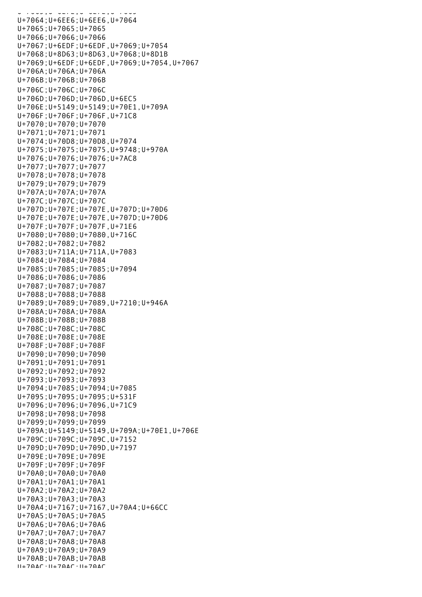U+7063;U+6E7E;U+6E7E,U+7063 U+7064;U+6EE6;U+6EE6,U+7064 U+7065;U+7065;U+7065 U+7066;U+7066;U+7066 U+7067;U+6EDF;U+6EDF,U+7069;U+7054 U+7068;U+8D63;U+8D63,U+7068;U+8D1B U+7069;U+6EDF;U+6EDF,U+7069;U+7054,U+7067 U+706A;U+706A;U+706A U+706B;U+706B;U+706B U+706C;U+706C;U+706C U+706D;U+706D;U+706D,U+6EC5 U+706E;U+5149;U+5149;U+70E1,U+709A U+706F;U+706F;U+706F,U+71C8 U+7070;U+7070;U+7070 U+7071;U+7071;U+7071 U+7074;U+70D8;U+70D8,U+7074 U+7075;U+7075;U+7075,U+9748;U+970A U+7076;U+7076;U+7076;U+7AC8 U+7077;U+7077;U+7077 U+7078;U+7078;U+7078 U+7079;U+7079;U+7079 U+707A;U+707A;U+707A U+707C;U+707C;U+707C U+707D;U+707E;U+707E,U+707D;U+70D6 U+707E;U+707E;U+707E,U+707D;U+70D6 U+707F;U+707F;U+707F,U+71E6 U+7080;U+7080;U+7080,U+716C U+7082;U+7082;U+7082 U+7083;U+711A;U+711A,U+7083 U+7084;U+7084;U+7084 U+7085;U+7085;U+7085;U+7094 U+7086;U+7086;U+7086 U+7087;U+7087;U+7087 U+7088;U+7088;U+7088 U+7089;U+7089;U+7089,U+7210;U+946A U+708A;U+708A;U+708A U+708B;U+708B;U+708B U+708C;U+708C;U+708C U+708E;U+708E;U+708E U+708F;U+708F;U+708F U+7090;U+7090;U+7090 U+7091;U+7091;U+7091 U+7092;U+7092;U+7092 U+7093;U+7093;U+7093 U+7094;U+7085;U+7094;U+7085 U+7095;U+7095;U+7095;U+531F U+7096;U+7096;U+7096,U+71C9 U+7098;U+7098;U+7098 U+7099;U+7099;U+7099 U+709A;U+5149;U+5149,U+709A;U+70E1,U+706E U+709C;U+709C;U+709C,U+7152 U+709D;U+709D;U+709D,U+7197 U+709E;U+709E;U+709E U+709F;U+709F;U+709F U+70A0;U+70A0;U+70A0 U+70A1;U+70A1;U+70A1 U+70A2;U+70A2;U+70A2 U+70A3;U+70A3;U+70A3 U+70A4;U+7167;U+7167,U+70A4;U+66CC U+70A5;U+70A5;U+70A5 U+70A6;U+70A6;U+70A6 U+70A7;U+70A7;U+70A7 U+70A8;U+70A8;U+70A8 U+70A9;U+70A9;U+70A9 U+70AB;U+70AB;U+70AB U+70AC;U+70AC;U+70AC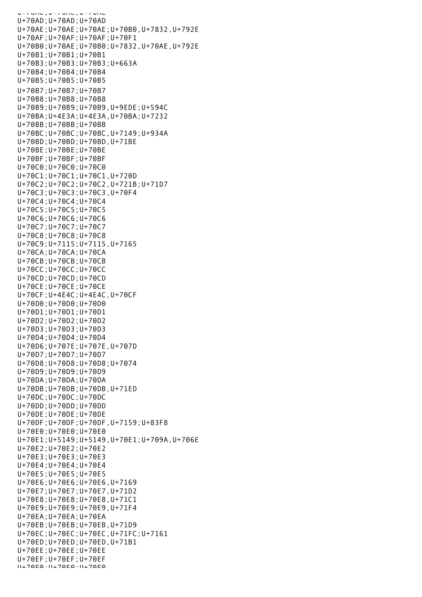U+70AC;U+70AC;U+70AC U+70AD;U+70AD;U+70AD U+70AE;U+70AE;U+70AE;U+70B0,U+7832,U+792E U+70AF;U+70AF;U+70AF;U+70F1 U+70B0;U+70AE;U+70B0;U+7832,U+70AE,U+792E U+70B1;U+70B1;U+70B1 U+70B3;U+70B3;U+70B3;U+663A U+70B4;U+70B4;U+70B4 U+70B5;U+70B5;U+70B5 U+70B7;U+70B7;U+70B7 U+70B8;U+70B8;U+70B8 U+70B9;U+70B9;U+70B9,U+9EDE;U+594C U+70BA;U+4E3A;U+4E3A,U+70BA;U+7232 U+70BB;U+70BB;U+70BB U+70BC;U+70BC;U+70BC,U+7149;U+934A U+70BD;U+70BD;U+70BD,U+71BE U+70BE;U+70BE;U+70BE U+70BF;U+70BF;U+70BF U+70C0;U+70C0;U+70C0 U+70C1;U+70C1;U+70C1,U+720D U+70C2;U+70C2;U+70C2,U+721B;U+71D7 U+70C3;U+70C3;U+70C3,U+70F4 U+70C4;U+70C4;U+70C4 U+70C5;U+70C5;U+70C5 U+70C6;U+70C6;U+70C6 U+70C7;U+70C7;U+70C7 U+70C8;U+70C8;U+70C8 U+70C9;U+7115;U+7115,U+7165 U+70CA;U+70CA;U+70CA U+70CB;U+70CB;U+70CB U+70CC;U+70CC;U+70CC U+70CD;U+70CD;U+70CD U+70CE;U+70CE;U+70CE U+70CF;U+4E4C;U+4E4C,U+70CF U+70D0;U+70D0;U+70D0 U+70D1;U+70D1;U+70D1 U+70D2;U+70D2;U+70D2 U+70D3;U+70D3;U+70D3 U+70D4;U+70D4;U+70D4 U+70D6;U+707E;U+707E,U+707D U+70D7;U+70D7;U+70D7 U+70D8;U+70D8;U+70D8;U+7074 U+70D9;U+70D9;U+70D9 U+70DA;U+70DA;U+70DA U+70DB;U+70DB;U+70DB,U+71ED U+70DC;U+70DC;U+70DC U+70DD;U+70DD;U+70DD U+70DE;U+70DE;U+70DE U+70DF;U+70DF;U+70DF,U+7159;U+83F8 U+70E0;U+70E0;U+70E0 U+70E1;U+5149;U+5149,U+70E1;U+709A,U+706E U+70E2;U+70E2;U+70E2 U+70E3;U+70E3;U+70E3 U+70E4;U+70E4;U+70E4 U+70E5;U+70E5;U+70E5 U+70E6;U+70E6;U+70E6,U+7169 U+70E7;U+70E7;U+70E7,U+71D2 U+70E8;U+70E8;U+70E8,U+71C1 U+70E9;U+70E9;U+70E9,U+71F4 U+70EA;U+70EA;U+70EA U+70EB;U+70EB;U+70EB,U+71D9 U+70EC;U+70EC;U+70EC,U+71FC;U+7161 U+70ED;U+70ED;U+70ED,U+71B1 U+70EE;U+70EE;U+70EE U+70EF;U+70EF;U+70EF  $11+70EQ \cdot 11+70EQ \cdot 11+70EQ$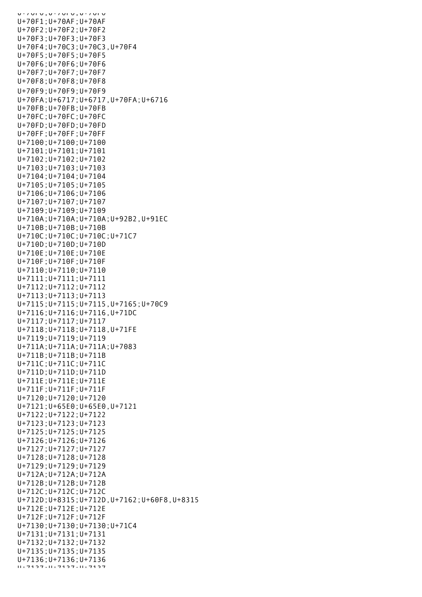U+70F0;U+70F0;U+70F0 U+70F1;U+70AF;U+70AF U+70F2;U+70F2;U+70F2 U+70F3;U+70F3;U+70F3 U+70F4;U+70C3;U+70C3,U+70F4 U+70F5;U+70F5;U+70F5 U+70F6;U+70F6;U+70F6 U+70F7;U+70F7;U+70F7 U+70F8;U+70F8;U+70F8 U+70F9;U+70F9;U+70F9 U+70FA;U+6717;U+6717,U+70FA;U+6716 U+70FB;U+70FB;U+70FB U+70FC;U+70FC;U+70FC U+70FD;U+70FD;U+70FD U+70FF;U+70FF;U+70FF U+7100;U+7100;U+7100 U+7101;U+7101;U+7101 U+7102;U+7102;U+7102 U+7103;U+7103;U+7103 U+7104;U+7104;U+7104 U+7105;U+7105;U+7105 U+7106;U+7106;U+7106 U+7107;U+7107;U+7107 U+7109;U+7109;U+7109 U+710A;U+710A;U+710A;U+92B2,U+91EC U+710B;U+710B;U+710B U+710C;U+710C;U+710C;U+71C7 U+710D;U+710D;U+710D U+710E;U+710E;U+710E U+710F;U+710F;U+710F U+7110;U+7110;U+7110 U+7111;U+7111;U+7111 U+7112;U+7112;U+7112 U+7113;U+7113;U+7113 U+7115;U+7115;U+7115,U+7165;U+70C9 U+7116;U+7116;U+7116,U+71DC U+7117;U+7117;U+7117 U+7118;U+7118;U+7118,U+71FE U+7119;U+7119;U+7119 U+711A;U+711A;U+711A;U+7083 U+711B;U+711B;U+711B U+711C;U+711C;U+711C U+711D;U+711D;U+711D U+711E;U+711E;U+711E U+711F;U+711F;U+711F U+7120;U+7120;U+7120 U+7121;U+65E0;U+65E0,U+7121 U+7122;U+7122;U+7122 U+7123;U+7123;U+7123 U+7125;U+7125;U+7125 U+7126;U+7126;U+7126 U+7127;U+7127;U+7127 U+7128;U+7128;U+7128 U+7129;U+7129;U+7129 U+712A;U+712A;U+712A U+712B;U+712B;U+712B U+712C;U+712C;U+712C U+712D;U+8315;U+712D,U+7162;U+60F8,U+8315 U+712E;U+712E;U+712E U+712F;U+712F;U+712F U+7130;U+7130;U+7130;U+71C4 U+7131;U+7131;U+7131 U+7132;U+7132;U+7132 U+7135;U+7135;U+7135 U+7136;U+7136;U+7136 U+7137;U+7137;U+7137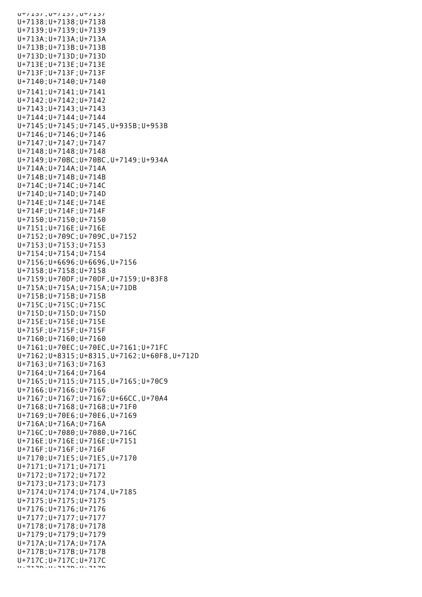$U+137, U+137, U+137$ U+7138;U+7138;U+7138 U+7139;U+7139;U+7139 U+713A;U+713A;U+713A U+713B;U+713B;U+713B U+713D;U+713D;U+713D U+713E;U+713E;U+713E U+713F;U+713F;U+713F U+7140;U+7140;U+7140 U+7141;U+7141;U+7141 U+7142;U+7142;U+7142 U+7143;U+7143;U+7143 U+7144;U+7144;U+7144 U+7145;U+7145;U+7145,U+935B;U+953B U+7146;U+7146;U+7146 U+7147;U+7147;U+7147 U+7148;U+7148;U+7148 U+7149;U+70BC;U+70BC,U+7149;U+934A U+714A;U+714A;U+714A U+714B;U+714B;U+714B U+714C;U+714C;U+714C U+714D;U+714D;U+714D U+714E;U+714E;U+714E U+714F;U+714F;U+714F U+7150;U+7150;U+7150 U+7151;U+716E;U+716E U+7152;U+709C;U+709C,U+7152 U+7153;U+7153;U+7153 U+7154;U+7154;U+7154 U+7156;U+6696;U+6696,U+7156 U+7158;U+7158;U+7158 U+7159;U+70DF;U+70DF,U+7159;U+83F8 U+715A;U+715A;U+715A;U+71DB U+715B;U+715B;U+715B U+715C;U+715C;U+715C U+715D;U+715D;U+715D U+715E;U+715E;U+715E U+715F;U+715F;U+715F U+7160;U+7160;U+7160 U+7161;U+70EC;U+70EC,U+7161;U+71FC U+7162;U+8315;U+8315,U+7162;U+60F8,U+712D U+7163;U+7163;U+7163 U+7164;U+7164;U+7164 U+7165;U+7115;U+7115,U+7165;U+70C9 U+7166;U+7166;U+7166 U+7167;U+7167;U+7167;U+66CC,U+70A4 U+7168;U+7168;U+7168;U+71F0 U+7169;U+70E6;U+70E6,U+7169 U+716A;U+716A;U+716A U+716C;U+7080;U+7080,U+716C U+716E;U+716E;U+716E;U+7151 U+716F;U+716F;U+716F U+7170;U+71E5;U+71E5,U+7170 U+7171;U+7171;U+7171 U+7172;U+7172;U+7172 U+7173;U+7173;U+7173 U+7174;U+7174;U+7174,U+7185 U+7175;U+7175;U+7175 U+7176;U+7176;U+7176 U+7177;U+7177;U+7177 U+7178;U+7178;U+7178 U+7179;U+7179;U+7179 U+717A;U+717A;U+717A U+717B;U+717B;U+717B U+717C;U+717C;U+717C U+717D;U+717D;U+717D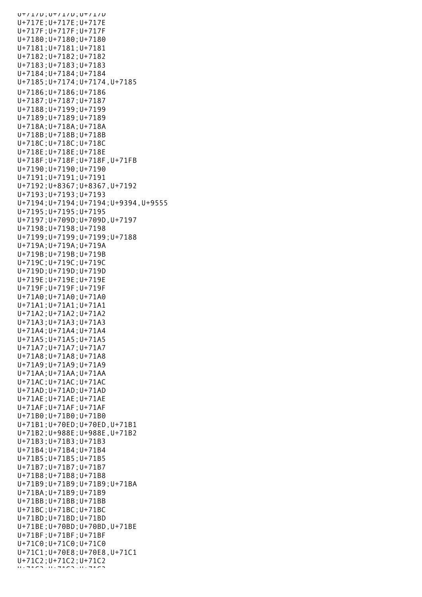U+717D;U+717D;U+717D U+717E;U+717E;U+717E U+717F;U+717F;U+717F U+7180;U+7180;U+7180 U+7181;U+7181;U+7181 U+7182;U+7182;U+7182 U+7183;U+7183;U+7183 U+7184;U+7184;U+7184 U+7185;U+7174;U+7174,U+7185 U+7186;U+7186;U+7186 U+7187;U+7187;U+7187 U+7188;U+7199;U+7199 U+7189;U+7189;U+7189 U+718A;U+718A;U+718A U+718B;U+718B;U+718B U+718C;U+718C;U+718C U+718E;U+718E;U+718E U+718F;U+718F;U+718F,U+71FB U+7190;U+7190;U+7190 U+7191;U+7191;U+7191 U+7192;U+8367;U+8367,U+7192 U+7193;U+7193;U+7193 U+7194;U+7194;U+7194;U+9394,U+9555 U+7195;U+7195;U+7195 U+7197;U+709D;U+709D,U+7197 U+7198;U+7198;U+7198 U+7199;U+7199;U+7199;U+7188 U+719A;U+719A;U+719A U+719B;U+719B;U+719B U+719C;U+719C;U+719C U+719D;U+719D;U+719D U+719E;U+719E;U+719E U+719F;U+719F;U+719F U+71A0;U+71A0;U+71A0 U+71A1;U+71A1;U+71A1 U+71A2;U+71A2;U+71A2 U+71A3;U+71A3;U+71A3 U+71A4;U+71A4;U+71A4 U+71A5;U+71A5;U+71A5 U+71A7;U+71A7;U+71A7 U+71A8;U+71A8;U+71A8 U+71A9;U+71A9;U+71A9 U+71AA;U+71AA;U+71AA U+71AC;U+71AC;U+71AC U+71AD;U+71AD;U+71AD U+71AE;U+71AE;U+71AE U+71AF;U+71AF;U+71AF U+71B0;U+71B0;U+71B0 U+71B1;U+70ED;U+70ED,U+71B1 U+71B2;U+988E;U+988E,U+71B2 U+71B3;U+71B3;U+71B3 U+71B4;U+71B4;U+71B4 U+71B5;U+71B5;U+71B5 U+71B7;U+71B7;U+71B7 U+71B8;U+71B8;U+71B8 U+71B9;U+71B9;U+71B9;U+71BA U+71BA;U+71B9;U+71B9 U+71BB;U+71BB;U+71BB U+71BC;U+71BC;U+71BC U+71BD;U+71BD;U+71BD U+71BE;U+70BD;U+70BD,U+71BE U+71BF;U+71BF;U+71BF U+71C0;U+71C0;U+71C0 U+71C1;U+70E8;U+70E8,U+71C1 U+71C2;U+71C2;U+71C2 U+71C3;U+71C3;U+71C3;U+71C3;U+71C3;U+71C3;U+71C3;U+71C3;U+71C3;U+71C3;U+71C3;U+71C3;U+71C3;U+71C3;U+71C3;U+71C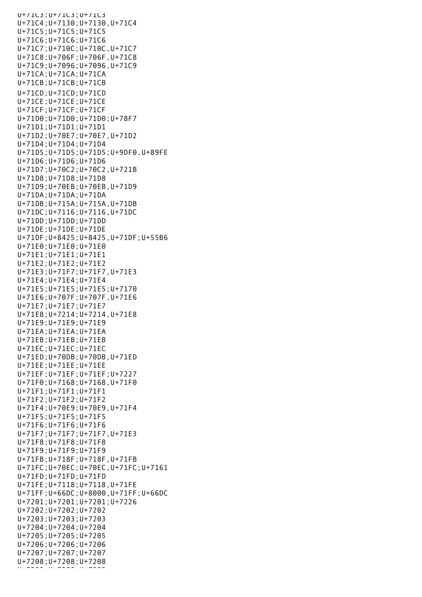U+71C3;U+71C3;U+71C3 U+71C4;U+7130;U+7130,U+71C4 U+71C5;U+71C5;U+71C5 U+71C6;U+71C6;U+71C6 U+71C7;U+710C;U+710C,U+71C7 U+71C8;U+706F;U+706F,U+71C8 U+71C9;U+7096;U+7096,U+71C9 U+71CA;U+71CA;U+71CA U+71CB;U+71CB;U+71CB U+71CD;U+71CD;U+71CD U+71CE;U+71CE;U+71CE U+71CF;U+71CF;U+71CF U+71D0;U+71D0;U+71D0;U+78F7 U+71D1;U+71D1;U+71D1 U+71D2;U+70E7;U+70E7,U+71D2 U+71D4;U+71D4;U+71D4 U+71D5;U+71D5;U+71D5;U+9DF0,U+89FE U+71D6;U+71D6;U+71D6 U+71D7;U+70C2;U+70C2,U+721B U+71D8;U+71D8;U+71D8 U+71D9;U+70EB;U+70EB,U+71D9 U+71DA;U+71DA;U+71DA U+71DB;U+715A;U+715A,U+71DB U+71DC;U+7116;U+7116,U+71DC U+71DD;U+71DD;U+71DD U+71DE;U+71DE;U+71DE U+71DF;U+8425;U+8425,U+71DF;U+55B6 U+71E0;U+71E0;U+71E0 U+71E1;U+71E1;U+71E1 U+71E2;U+71E2;U+71E2 U+71E3;U+71F7;U+71F7,U+71E3 U+71E4;U+71E4;U+71E4 U+71E5;U+71E5;U+71E5;U+7170 U+71E6;U+707F;U+707F,U+71E6 U+71E7;U+71E7;U+71E7 U+71E8;U+7214;U+7214,U+71E8 U+71E9;U+71E9;U+71E9 U+71EA;U+71EA;U+71EA U+71EB;U+71EB;U+71EB U+71EC;U+71EC;U+71EC U+71ED;U+70DB;U+70DB,U+71ED U+71EE;U+71EE;U+71EE U+71EF;U+71EF;U+71EF;U+7227 U+71F0;U+7168;U+7168,U+71F0 U+71F1;U+71F1;U+71F1 U+71F2;U+71F2;U+71F2 U+71F4;U+70E9;U+70E9,U+71F4 U+71F5;U+71F5;U+71F5 U+71F6;U+71F6;U+71F6 U+71F7;U+71F7;U+71F7,U+71E3 U+71F8;U+71F8;U+71F8 U+71F9;U+71F9;U+71F9 U+71FB;U+718F;U+718F,U+71FB U+71FC;U+70EC;U+70EC,U+71FC;U+7161 U+71FD;U+71FD;U+71FD U+71FE;U+7118;U+7118,U+71FE U+71FF;U+66DC;U+8000,U+71FF;U+66DC U+7201;U+7201;U+7201;U+7226 U+7202;U+7202;U+7202 U+7203;U+7203;U+7203 U+7204;U+7204;U+7204 U+7205;U+7205;U+7205 U+7206;U+7206;U+7206 U+7207;U+7207;U+7207 U+7208;U+7208;U+7208  $\cdots$  =220, U =220, U =220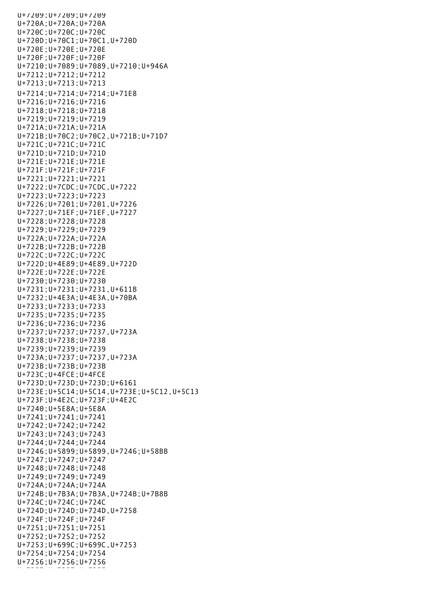U+7209;U+7209;U+7209 U+720A;U+720A;U+720A U+720C;U+720C;U+720C U+720D;U+70C1;U+70C1,U+720D U+720E;U+720E;U+720E U+720F;U+720F;U+720F U+7210;U+7089;U+7089,U+7210;U+946A U+7212;U+7212;U+7212 U+7213;U+7213;U+7213 U+7214;U+7214;U+7214;U+71E8 U+7216;U+7216;U+7216 U+7218;U+7218;U+7218 U+7219;U+7219;U+7219 U+721A;U+721A;U+721A U+721B;U+70C2;U+70C2,U+721B;U+71D7 U+721C;U+721C;U+721C U+721D;U+721D;U+721D U+721E;U+721E;U+721E U+721F;U+721F;U+721F U+7221;U+7221;U+7221 U+7222;U+7CDC;U+7CDC,U+7222 U+7223;U+7223;U+7223 U+7226;U+7201;U+7201,U+7226 U+7227;U+71EF;U+71EF,U+7227 U+7228;U+7228;U+7228 U+7229;U+7229;U+7229 U+722A;U+722A;U+722A U+722B;U+722B;U+722B U+722C;U+722C;U+722C U+722D;U+4E89;U+4E89,U+722D U+722E;U+722E;U+722E U+7230;U+7230;U+7230 U+7231;U+7231;U+7231,U+611B U+7232;U+4E3A;U+4E3A,U+70BA U+7233;U+7233;U+7233 U+7235;U+7235;U+7235 U+7236;U+7236;U+7236 U+7237;U+7237;U+7237,U+723A U+7238;U+7238;U+7238 U+7239;U+7239;U+7239 U+723A;U+7237;U+7237,U+723A U+723B;U+723B;U+723B U+723C;U+4FCE;U+4FCE U+723D;U+723D;U+723D;U+6161 U+723E;U+5C14;U+5C14,U+723E;U+5C12,U+5C13 U+723F;U+4E2C;U+723F;U+4E2C U+7240;U+5E8A;U+5E8A U+7241;U+7241;U+7241 U+7242;U+7242;U+7242 U+7243;U+7243;U+7243 U+7244;U+7244;U+7244 U+7246;U+5899;U+5899,U+7246;U+58BB U+7247;U+7247;U+7247 U+7248;U+7248;U+7248 U+7249;U+7249;U+7249 U+724A;U+724A;U+724A U+724B;U+7B3A;U+7B3A,U+724B;U+7B8B U+724C;U+724C;U+724C U+724D;U+724D;U+724D,U+7258 U+724F;U+724F;U+724F U+7251;U+7251;U+7251 U+7252;U+7252;U+7252 U+7253;U+699C;U+699C,U+7253 U+7254;U+7254;U+7254 U+7256;U+7256;U+7256  $\mathcal{U}$  , and for  $\mathcal{U}$  and  $\mathcal{U}$  are  $\mathcal{U}$  and  $\mathcal{U}$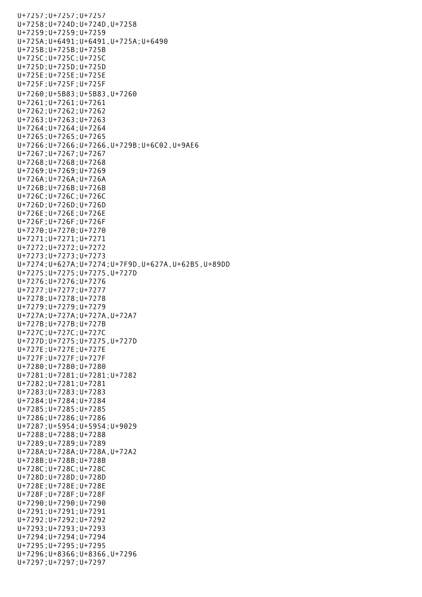U+7257;U+7257;U+7257 U+7258;U+724D;U+724D,U+7258 U+7259;U+7259;U+7259 U+725A;U+6491;U+6491,U+725A;U+6490 U+725B;U+725B;U+725B U+725C;U+725C;U+725C U+725D;U+725D;U+725D U+725E;U+725E;U+725E U+725F;U+725F;U+725F U+7260;U+5B83;U+5B83,U+7260 U+7261;U+7261;U+7261 U+7262;U+7262;U+7262 U+7263;U+7263;U+7263 U+7264;U+7264;U+7264 U+7265;U+7265;U+7265 U+7266;U+7266;U+7266,U+729B;U+6C02,U+9AE6 U+7267;U+7267;U+7267 U+7268;U+7268;U+7268 U+7269;U+7269;U+7269 U+726A;U+726A;U+726A U+726B;U+726B;U+726B U+726C;U+726C;U+726C U+726D;U+726D;U+726D U+726E;U+726E;U+726E U+726F;U+726F;U+726F U+7270;U+7270;U+7270 U+7271;U+7271;U+7271 U+7272;U+7272;U+7272 U+7273;U+7273;U+7273 U+7274;U+627A;U+7274;U+7F9D,U+627A,U+62B5,U+89DD U+7275;U+7275;U+7275,U+727D U+7276;U+7276;U+7276 U+7277;U+7277;U+7277 U+7278;U+7278;U+7278 U+7279;U+7279;U+7279 U+727A;U+727A;U+727A,U+72A7 U+727B;U+727B;U+727B U+727C;U+727C;U+727C U+727D;U+7275;U+7275,U+727D U+727E;U+727E;U+727E U+727F;U+727F;U+727F U+7280;U+7280;U+7280 U+7281;U+7281;U+7281;U+7282 U+7282;U+7281;U+7281 U+7283;U+7283;U+7283 U+7284;U+7284;U+7284 U+7285;U+7285;U+7285 U+7286;U+7286;U+7286 U+7287;U+5954;U+5954;U+9029 U+7288;U+7288;U+7288 U+7289;U+7289;U+7289 U+728A;U+728A;U+728A,U+72A2 U+728B;U+728B;U+728B U+728C;U+728C;U+728C U+728D;U+728D;U+728D U+728E;U+728E;U+728E U+728F;U+728F;U+728F U+7290;U+7290;U+7290 U+7291;U+7291;U+7291 U+7292;U+7292;U+7292 U+7293;U+7293;U+7293 U+7294;U+7294;U+7294 U+7295;U+7295;U+7295 U+7296;U+8366;U+8366,U+7296 U+7297;U+7297;U+7297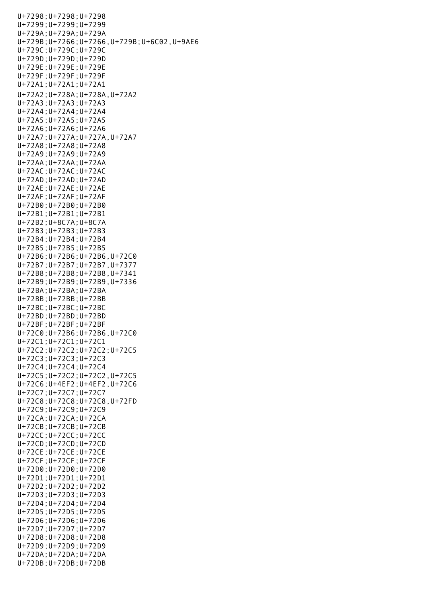U+7298;U+7298;U+7298 U+7299;U+7299;U+7299 U+729A;U+729A;U+729A U+729B;U+7266;U+7266,U+729B;U+6C02,U+9AE6 U+729C;U+729C;U+729C U+729D;U+729D;U+729D U+729E;U+729E;U+729E U+729F;U+729F;U+729F U+72A1;U+72A1;U+72A1 U+72A2;U+728A;U+728A,U+72A2 U+72A3;U+72A3;U+72A3 U+72A4;U+72A4;U+72A4 U+72A5;U+72A5;U+72A5 U+72A6;U+72A6;U+72A6 U+72A7;U+727A;U+727A,U+72A7 U+72A8;U+72A8;U+72A8 U+72A9;U+72A9;U+72A9 U+72AA;U+72AA;U+72AA U+72AC;U+72AC;U+72AC U+72AD;U+72AD;U+72AD U+72AE;U+72AE;U+72AE U+72AF;U+72AF;U+72AF U+72B0;U+72B0;U+72B0 U+72B1;U+72B1;U+72B1 U+72B2;U+8C7A;U+8C7A U+72B3;U+72B3;U+72B3 U+72B4;U+72B4;U+72B4 U+72B5;U+72B5;U+72B5 U+72B6;U+72B6;U+72B6,U+72C0 U+72B7;U+72B7;U+72B7,U+7377 U+72B8;U+72B8;U+72B8,U+7341 U+72B9;U+72B9;U+72B9,U+7336 U+72BA;U+72BA;U+72BA U+72BB;U+72BB;U+72BB U+72BC;U+72BC;U+72BC U+72BD;U+72BD;U+72BD U+72BF;U+72BF;U+72BF U+72C0;U+72B6;U+72B6,U+72C0 U+72C1;U+72C1;U+72C1 U+72C2;U+72C2;U+72C2;U+72C5 U+72C3;U+72C3;U+72C3 U+72C4;U+72C4;U+72C4 U+72C5;U+72C2;U+72C2,U+72C5 U+72C6;U+4EF2;U+4EF2,U+72C6 U+72C7;U+72C7;U+72C7 U+72C8;U+72C8;U+72C8,U+72FD U+72C9;U+72C9;U+72C9 U+72CA;U+72CA;U+72CA U+72CB;U+72CB;U+72CB U+72CC;U+72CC;U+72CC U+72CD;U+72CD;U+72CD U+72CE;U+72CE;U+72CE U+72CF;U+72CF;U+72CF U+72D0;U+72D0;U+72D0 U+72D1;U+72D1;U+72D1 U+72D2;U+72D2;U+72D2 U+72D3;U+72D3;U+72D3 U+72D4;U+72D4;U+72D4 U+72D5;U+72D5;U+72D5 U+72D6;U+72D6;U+72D6 U+72D7;U+72D7;U+72D7 U+72D8;U+72D8;U+72D8 U+72D9;U+72D9;U+72D9 U+72DA;U+72DA;U+72DA U+72DB;U+72DB;U+72DB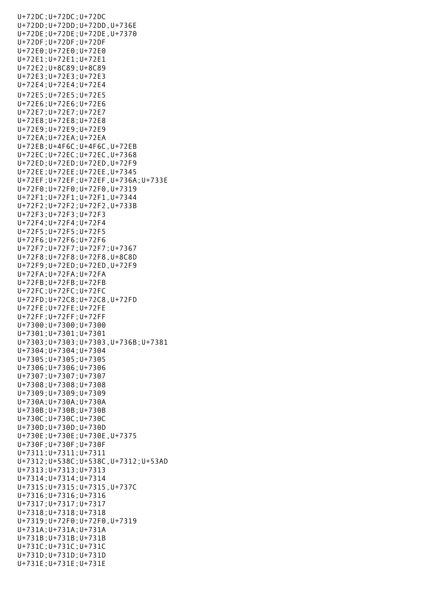U+72DC;U+72DC;U+72DC U+72DD;U+72DD;U+72DD,U+736E U+72DE;U+72DE;U+72DE,U+7370 U+72DF;U+72DF;U+72DF U+72E0;U+72E0;U+72E0 U+72E1;U+72E1;U+72E1 U+72E2;U+8C89;U+8C89 U+72E3;U+72E3;U+72E3 U+72E4;U+72E4;U+72E4 U+72E5;U+72E5;U+72E5 U+72E6;U+72E6;U+72E6 U+72E7;U+72E7;U+72E7 U+72E8;U+72E8;U+72E8 U+72E9;U+72E9;U+72E9 U+72EA;U+72EA;U+72EA U+72EB;U+4F6C;U+4F6C,U+72EB U+72EC;U+72EC;U+72EC,U+7368 U+72ED;U+72ED;U+72ED,U+72F9 U+72EE;U+72EE;U+72EE,U+7345 U+72EF;U+72EF;U+72EF,U+736A;U+733E U+72F0;U+72F0;U+72F0,U+7319 U+72F1;U+72F1;U+72F1,U+7344 U+72F2;U+72F2;U+72F2,U+733B U+72F3;U+72F3;U+72F3 U+72F4;U+72F4;U+72F4 U+72F5;U+72F5;U+72F5 U+72F6;U+72F6;U+72F6 U+72F7;U+72F7;U+72F7;U+7367 U+72F8;U+72F8;U+72F8,U+8C8D U+72F9;U+72ED;U+72ED,U+72F9 U+72FA;U+72FA;U+72FA U+72FB;U+72FB;U+72FB U+72FC;U+72FC;U+72FC U+72FD;U+72C8;U+72C8,U+72FD U+72FE;U+72FE;U+72FE U+72FF;U+72FF;U+72FF U+7300;U+7300;U+7300 U+7301;U+7301;U+7301 U+7303;U+7303;U+7303,U+736B;U+7381 U+7304;U+7304;U+7304 U+7305;U+7305;U+7305 U+7306;U+7306;U+7306 U+7307;U+7307;U+7307 U+7308;U+7308;U+7308 U+7309;U+7309;U+7309 U+730A;U+730A;U+730A U+730B;U+730B;U+730B U+730C;U+730C;U+730C U+730D;U+730D;U+730D U+730E;U+730E;U+730E,U+7375 U+730F;U+730F;U+730F U+7311;U+7311;U+7311 U+7312;U+538C;U+538C,U+7312;U+53AD U+7313;U+7313;U+7313 U+7314;U+7314;U+7314 U+7315;U+7315;U+7315,U+737C U+7316;U+7316;U+7316 U+7317;U+7317;U+7317 U+7318;U+7318;U+7318 U+7319;U+72F0;U+72F0,U+7319 U+731A;U+731A;U+731A U+731B;U+731B;U+731B U+731C;U+731C;U+731C U+731D;U+731D;U+731D U+731E;U+731E;U+731E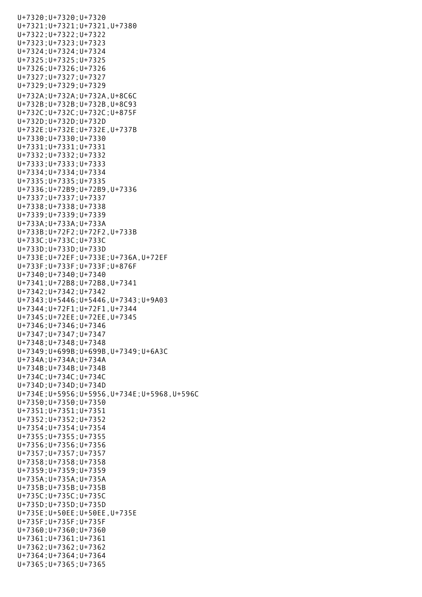U+7320;U+7320;U+7320 U+7321;U+7321;U+7321,U+7380 U+7322;U+7322;U+7322 U+7323;U+7323;U+7323 U+7324;U+7324;U+7324 U+7325;U+7325;U+7325 U+7326;U+7326;U+7326 U+7327;U+7327;U+7327 U+7329;U+7329;U+7329 U+732A;U+732A;U+732A,U+8C6C U+732B;U+732B;U+732B,U+8C93 U+732C;U+732C;U+732C;U+875F U+732D;U+732D;U+732D U+732E;U+732E;U+732E,U+737B U+7330;U+7330;U+7330 U+7331;U+7331;U+7331 U+7332;U+7332;U+7332 U+7333;U+7333;U+7333 U+7334;U+7334;U+7334 U+7335;U+7335;U+7335 U+7336;U+72B9;U+72B9,U+7336 U+7337;U+7337;U+7337 U+7338;U+7338;U+7338 U+7339;U+7339;U+7339 U+733A;U+733A;U+733A U+733B;U+72F2;U+72F2,U+733B U+733C;U+733C;U+733C U+733D;U+733D;U+733D U+733E;U+72EF;U+733E;U+736A,U+72EF U+733F;U+733F;U+733F;U+876F U+7340;U+7340;U+7340 U+7341;U+72B8;U+72B8,U+7341 U+7342;U+7342;U+7342 U+7343;U+5446;U+5446,U+7343;U+9A03 U+7344;U+72F1;U+72F1,U+7344 U+7345;U+72EE;U+72EE,U+7345 U+7346;U+7346;U+7346 U+7347;U+7347;U+7347 U+7348;U+7348;U+7348 U+7349;U+699B;U+699B,U+7349;U+6A3C U+734A;U+734A;U+734A U+734B;U+734B;U+734B U+734C;U+734C;U+734C U+734D;U+734D;U+734D U+734E;U+5956;U+5956,U+734E;U+5968,U+596C U+7350;U+7350;U+7350 U+7351;U+7351;U+7351 U+7352;U+7352;U+7352 U+7354;U+7354;U+7354 U+7355;U+7355;U+7355 U+7356;U+7356;U+7356 U+7357;U+7357;U+7357 U+7358;U+7358;U+7358 U+7359;U+7359;U+7359 U+735A;U+735A;U+735A U+735B;U+735B;U+735B U+735C;U+735C;U+735C U+735D;U+735D;U+735D U+735E;U+50EE;U+50EE,U+735E U+735F;U+735F;U+735F U+7360;U+7360;U+7360 U+7361;U+7361;U+7361 U+7362;U+7362;U+7362 U+7364;U+7364;U+7364 U+7365;U+7365;U+7365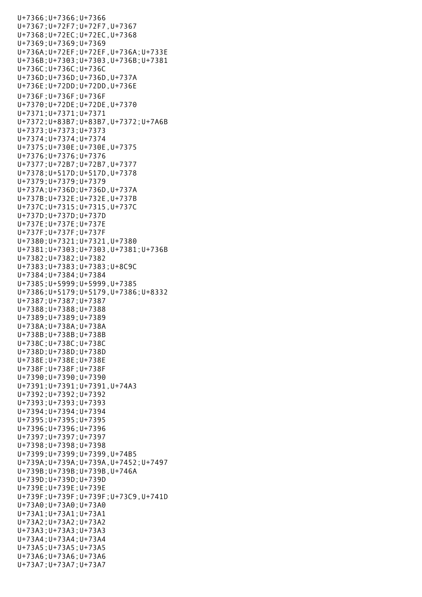U+7366;U+7366;U+7366 U+7367;U+72F7;U+72F7,U+7367 U+7368;U+72EC;U+72EC,U+7368 U+7369;U+7369;U+7369 U+736A;U+72EF;U+72EF,U+736A;U+733E U+736B;U+7303;U+7303,U+736B;U+7381 U+736C;U+736C;U+736C U+736D;U+736D;U+736D,U+737A U+736E;U+72DD;U+72DD,U+736E U+736F;U+736F;U+736F U+7370;U+72DE;U+72DE,U+7370 U+7371;U+7371;U+7371 U+7372;U+83B7;U+83B7,U+7372;U+7A6B U+7373;U+7373;U+7373 U+7374;U+7374;U+7374 U+7375;U+730E;U+730E,U+7375 U+7376;U+7376;U+7376 U+7377;U+72B7;U+72B7,U+7377 U+7378;U+517D;U+517D,U+7378 U+7379;U+7379;U+7379 U+737A;U+736D;U+736D,U+737A U+737B;U+732E;U+732E,U+737B U+737C;U+7315;U+7315,U+737C U+737D;U+737D;U+737D U+737E;U+737E;U+737E U+737F;U+737F;U+737F U+7380;U+7321;U+7321,U+7380 U+7381;U+7303;U+7303,U+7381;U+736B U+7382;U+7382;U+7382 U+7383;U+7383;U+7383;U+8C9C U+7384;U+7384;U+7384 U+7385;U+5999;U+5999,U+7385 U+7386;U+5179;U+5179,U+7386;U+8332 U+7387;U+7387;U+7387 U+7388;U+7388;U+7388 U+7389;U+7389;U+7389 U+738A;U+738A;U+738A U+738B;U+738B;U+738B U+738C;U+738C;U+738C U+738D;U+738D;U+738D U+738E;U+738E;U+738E U+738F;U+738F;U+738F U+7390;U+7390;U+7390 U+7391;U+7391;U+7391,U+74A3 U+7392;U+7392;U+7392 U+7393;U+7393;U+7393 U+7394;U+7394;U+7394 U+7395;U+7395;U+7395 U+7396;U+7396;U+7396 U+7397;U+7397;U+7397 U+7398;U+7398;U+7398 U+7399;U+7399;U+7399,U+74B5 U+739A;U+739A;U+739A,U+7452;U+7497 U+739B;U+739B;U+739B,U+746A U+739D;U+739D;U+739D U+739E;U+739E;U+739E U+739F;U+739F;U+739F;U+73C9,U+741D U+73A0;U+73A0;U+73A0 U+73A1;U+73A1;U+73A1 U+73A2;U+73A2;U+73A2 U+73A3;U+73A3;U+73A3 U+73A4;U+73A4;U+73A4 U+73A5;U+73A5;U+73A5 U+73A6;U+73A6;U+73A6 U+73A7;U+73A7;U+73A7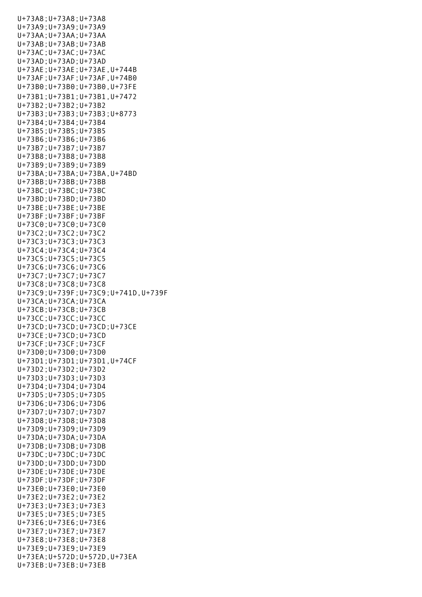U+73A8;U+73A8;U+73A8 U+73A9;U+73A9;U+73A9 U+73AA;U+73AA;U+73AA U+73AB;U+73AB;U+73AB U+73AC;U+73AC;U+73AC U+73AD;U+73AD;U+73AD U+73AE;U+73AE;U+73AE,U+744B U+73AF;U+73AF;U+73AF,U+74B0 U+73B0;U+73B0;U+73B0,U+73FE U+73B1;U+73B1;U+73B1,U+7472 U+73B2;U+73B2;U+73B2 U+73B3;U+73B3;U+73B3;U+8773 U+73B4;U+73B4;U+73B4 U+73B5;U+73B5;U+73B5 U+73B6;U+73B6;U+73B6 U+73B7;U+73B7;U+73B7 U+73B8;U+73B8;U+73B8 U+73B9;U+73B9;U+73B9 U+73BA;U+73BA;U+73BA,U+74BD U+73BB;U+73BB;U+73BB U+73BC;U+73BC;U+73BC U+73BD;U+73BD;U+73BD U+73BE;U+73BE;U+73BE U+73BF;U+73BF;U+73BF U+73C0;U+73C0;U+73C0 U+73C2;U+73C2;U+73C2 U+73C3;U+73C3;U+73C3 U+73C4;U+73C4;U+73C4 U+73C5;U+73C5;U+73C5 U+73C6;U+73C6;U+73C6 U+73C7;U+73C7;U+73C7 U+73C8;U+73C8;U+73C8 U+73C9;U+739F;U+73C9;U+741D,U+739F U+73CA;U+73CA;U+73CA U+73CB;U+73CB;U+73CB U+73CC;U+73CC;U+73CC U+73CD;U+73CD;U+73CD;U+73CE U+73CE;U+73CD;U+73CD U+73CF;U+73CF;U+73CF U+73D0;U+73D0;U+73D0 U+73D1;U+73D1;U+73D1,U+74CF U+73D2;U+73D2;U+73D2 U+73D3;U+73D3;U+73D3 U+73D4;U+73D4;U+73D4 U+73D5;U+73D5;U+73D5 U+73D6;U+73D6;U+73D6 U+73D7;U+73D7;U+73D7 U+73D8;U+73D8;U+73D8 U+73D9;U+73D9;U+73D9 U+73DA;U+73DA;U+73DA U+73DB;U+73DB;U+73DB U+73DC;U+73DC;U+73DC U+73DD;U+73DD;U+73DD U+73DE;U+73DE;U+73DE U+73DF;U+73DF;U+73DF U+73E0;U+73E0;U+73E0 U+73E2;U+73E2;U+73E2 U+73E3;U+73E3;U+73E3 U+73E5;U+73E5;U+73E5 U+73E6;U+73E6;U+73E6 U+73E7;U+73E7;U+73E7 U+73E8;U+73E8;U+73E8 U+73E9;U+73E9;U+73E9 U+73EA;U+572D;U+572D,U+73EA U+73EB;U+73EB;U+73EB

U+73A7;U+73A7;U+73A7;U+73A7;U+73A7;U+73A7;U+73A7;U+73A7;U+73A7;U+73A7;U+73A7;U+73A7;U+73A7;U+73A7;U+73A7;U+73A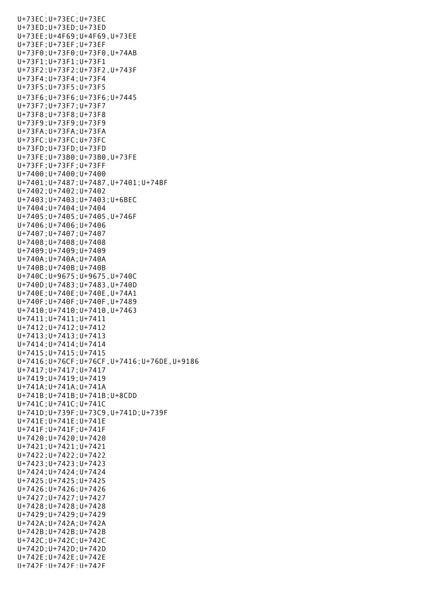U+73EB;U+73EB;U+73EB U+73EC;U+73EC;U+73EC U+73ED;U+73ED;U+73ED U+73EE;U+4F69;U+4F69,U+73EE U+73EF;U+73EF;U+73EF U+73F0;U+73F0;U+73F0,U+74AB U+73F1;U+73F1;U+73F1 U+73F2;U+73F2;U+73F2,U+743F U+73F4;U+73F4;U+73F4 U+73F5;U+73F5;U+73F5 U+73F6;U+73F6;U+73F6;U+7445 U+73F7;U+73F7;U+73F7 U+73F8;U+73F8;U+73F8 U+73F9;U+73F9;U+73F9 U+73FA;U+73FA;U+73FA U+73FC;U+73FC;U+73FC U+73FD;U+73FD;U+73FD U+73FE;U+73B0;U+73B0,U+73FE U+73FF;U+73FF;U+73FF U+7400;U+7400;U+7400 U+7401;U+7487;U+7487,U+7401;U+74BF U+7402;U+7402;U+7402 U+7403;U+7403;U+7403;U+6BEC U+7404;U+7404;U+7404 U+7405;U+7405;U+7405,U+746F U+7406;U+7406;U+7406 U+7407;U+7407;U+7407 U+7408;U+7408;U+7408 U+7409;U+7409;U+7409 U+740A;U+740A;U+740A U+740B;U+740B;U+740B U+740C;U+9675;U+9675,U+740C U+740D;U+7483;U+7483,U+740D U+740E;U+740E;U+740E,U+74A1 U+740F;U+740F;U+740F,U+7489 U+7410;U+7410;U+7410,U+7463 U+7411;U+7411;U+7411 U+7412;U+7412;U+7412 U+7413;U+7413;U+7413 U+7414;U+7414;U+7414 U+7415;U+7415;U+7415 U+7416;U+76CF;U+76CF,U+7416;U+76DE,U+9186 U+7417;U+7417;U+7417 U+7419;U+7419;U+7419 U+741A;U+741A;U+741A U+741B;U+741B;U+741B;U+8CDD U+741C;U+741C;U+741C U+741D;U+739F;U+73C9,U+741D;U+739F U+741E;U+741E;U+741E U+741F;U+741F;U+741F U+7420;U+7420;U+7420 U+7421;U+7421;U+7421 U+7422;U+7422;U+7422 U+7423;U+7423;U+7423 U+7424;U+7424;U+7424 U+7425;U+7425;U+7425 U+7426;U+7426;U+7426 U+7427;U+7427;U+7427 U+7428;U+7428;U+7428 U+7429;U+7429;U+7429 U+742A;U+742A;U+742A U+742B;U+742B;U+742B U+742C;U+742C;U+742C U+742D;U+742D;U+742D U+742E;U+742E;U+742E U+742F;U+742F;U+742F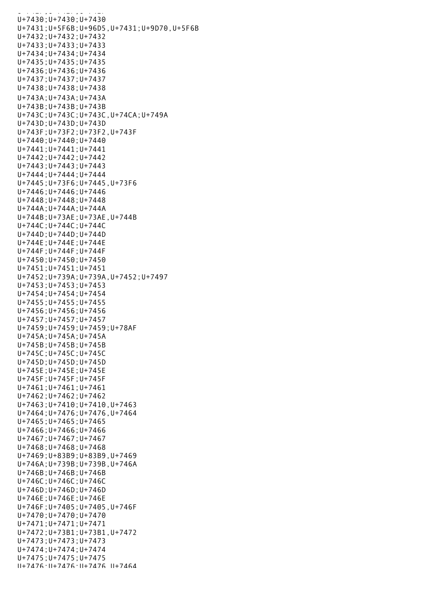U+742F;U+742F;U+742F;U+742F;U+742F;U+742F;U+742F;U+742F;U+742F;U+742F;U+742F;U+74 U+7430;U+7430;U+7430 U+7431;U+5F6B;U+96D5,U+7431;U+9D70,U+5F6B U+7432;U+7432;U+7432 U+7433;U+7433;U+7433 U+7434;U+7434;U+7434 U+7435;U+7435;U+7435 U+7436;U+7436;U+7436 U+7437;U+7437;U+7437 U+7438;U+7438;U+7438 U+743A;U+743A;U+743A U+743B;U+743B;U+743B U+743C;U+743C;U+743C,U+74CA;U+749A U+743D;U+743D;U+743D U+743F;U+73F2;U+73F2,U+743F U+7440;U+7440;U+7440 U+7441;U+7441;U+7441 U+7442;U+7442;U+7442 U+7443;U+7443;U+7443 U+7444;U+7444;U+7444 U+7445;U+73F6;U+7445,U+73F6 U+7446;U+7446;U+7446 U+7448;U+7448;U+7448 U+744A;U+744A;U+744A U+744B;U+73AE;U+73AE,U+744B U+744C;U+744C;U+744C U+744D;U+744D;U+744D U+744E;U+744E;U+744E U+744F;U+744F;U+744F U+7450;U+7450;U+7450 U+7451;U+7451;U+7451 U+7452;U+739A;U+739A,U+7452;U+7497 U+7453;U+7453;U+7453 U+7454;U+7454;U+7454 U+7455;U+7455;U+7455 U+7456;U+7456;U+7456 U+7457;U+7457;U+7457 U+7459;U+7459;U+7459;U+78AF U+745A;U+745A;U+745A U+745B;U+745B;U+745B U+745C;U+745C;U+745C U+745D;U+745D;U+745D U+745E;U+745E;U+745E U+745F;U+745F;U+745F U+7461;U+7461;U+7461 U+7462;U+7462;U+7462 U+7463;U+7410;U+7410,U+7463 U+7464;U+7476;U+7476,U+7464 U+7465;U+7465;U+7465 U+7466;U+7466;U+7466 U+7467;U+7467;U+7467 U+7468;U+7468;U+7468 U+7469;U+83B9;U+83B9,U+7469 U+746A;U+739B;U+739B,U+746A U+746B;U+746B;U+746B U+746C;U+746C;U+746C U+746D;U+746D;U+746D U+746E;U+746E;U+746E U+746F;U+7405;U+7405,U+746F U+7470;U+7470;U+7470 U+7471;U+7471;U+7471 U+7472;U+73B1;U+73B1,U+7472 U+7473;U+7473;U+7473 U+7474;U+7474;U+7474 U+7475;U+7475;U+7475 U+7476;U+7476;U+7476,U+7464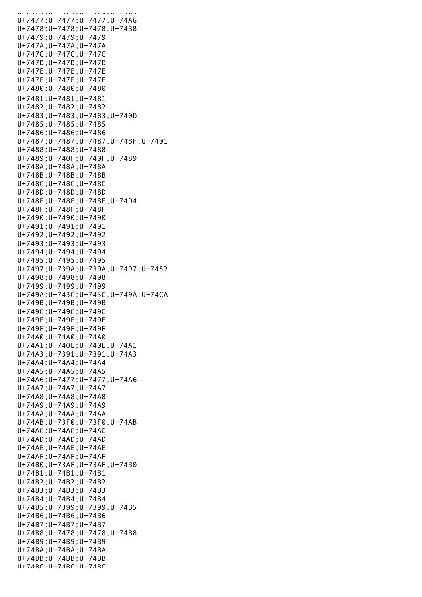a - 7476;U+7476;U+7476;U+7476;U+7476 U+7477;U+7477;U+7477,U+74A6 U+7478;U+7478;U+7478,U+74B8 U+7479;U+7479;U+7479 U+747A;U+747A;U+747A U+747C;U+747C;U+747C U+747D;U+747D;U+747D U+747E;U+747E;U+747E U+747F;U+747F;U+747F U+7480;U+7480;U+7480 U+7481;U+7481;U+7481 U+7482;U+7482;U+7482 U+7483;U+7483;U+7483;U+740D U+7485;U+7485;U+7485 U+7486;U+7486;U+7486 U+7487;U+7487;U+7487,U+74BF;U+7401 U+7488;U+7488;U+7488 U+7489;U+740F;U+740F,U+7489 U+748A;U+748A;U+748A U+748B;U+748B;U+748B U+748C;U+748C;U+748C U+748D;U+748D;U+748D U+748E;U+748E;U+748E,U+74D4 U+748F;U+748F;U+748F U+7490;U+7490;U+7490 U+7491;U+7491;U+7491 U+7492;U+7492;U+7492 U+7493;U+7493;U+7493 U+7494;U+7494;U+7494 U+7495;U+7495;U+7495 U+7497;U+739A;U+739A,U+7497;U+7452 U+7498;U+7498;U+7498 U+7499;U+7499;U+7499 U+749A;U+743C;U+743C,U+749A;U+74CA U+749B;U+749B;U+749B U+749C;U+749C;U+749C U+749E;U+749E;U+749E U+749F;U+749F;U+749F U+74A0;U+74A0;U+74A0 U+74A1;U+740E;U+740E,U+74A1 U+74A3;U+7391;U+7391,U+74A3 U+74A4;U+74A4;U+74A4 U+74A5;U+74A5;U+74A5 U+74A6;U+7477;U+7477,U+74A6 U+74A7;U+74A7;U+74A7 U+74A8;U+74A8;U+74A8 U+74A9;U+74A9;U+74A9 U+74AA;U+74AA;U+74AA U+74AB;U+73F0;U+73F0,U+74AB U+74AC;U+74AC;U+74AC U+74AD;U+74AD;U+74AD U+74AE;U+74AE;U+74AE U+74AF;U+74AF;U+74AF U+74B0;U+73AF;U+73AF,U+74B0 U+74B1;U+74B1;U+74B1 U+74B2;U+74B2;U+74B2 U+74B3;U+74B3;U+74B3 U+74B4;U+74B4;U+74B4 U+74B5;U+7399;U+7399,U+74B5 U+74B6;U+74B6;U+74B6 U+74B7;U+74B7;U+74B7 U+74B8;U+7478;U+7478,U+74B8 U+74B9;U+74B9;U+74B9 U+74BA;U+74BA;U+74BA U+74BB;U+74BB;U+74BB U+74BC;U+74BC;U+74BC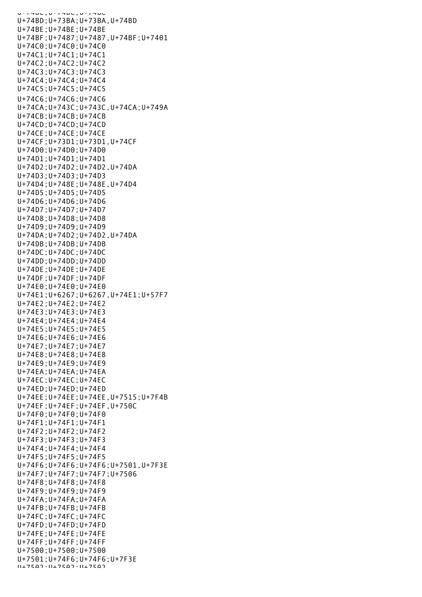U+74BC;U+74BC U+74BD;U+73BA;U+73BA,U+74BD U+74BE;U+74BE;U+74BE U+74BF;U+7487;U+7487,U+74BF;U+7401 U+74C0;U+74C0;U+74C0 U+74C1;U+74C1;U+74C1 U+74C2;U+74C2;U+74C2 U+74C3;U+74C3;U+74C3 U+74C4;U+74C4;U+74C4 U+74C5;U+74C5;U+74C5 U+74C6;U+74C6;U+74C6 U+74CA;U+743C;U+743C,U+74CA;U+749A U+74CB;U+74CB;U+74CB U+74CD;U+74CD;U+74CD U+74CE;U+74CE;U+74CE U+74CF;U+73D1;U+73D1,U+74CF U+74D0;U+74D0;U+74D0 U+74D1;U+74D1;U+74D1 U+74D2;U+74D2;U+74D2,U+74DA U+74D3;U+74D3;U+74D3 U+74D4;U+748E;U+748E,U+74D4 U+74D5;U+74D5;U+74D5 U+74D6;U+74D6;U+74D6 U+74D7;U+74D7;U+74D7 U+74D8;U+74D8;U+74D8 U+74D9;U+74D9;U+74D9 U+74DA;U+74D2;U+74D2,U+74DA U+74DB;U+74DB;U+74DB U+74DC;U+74DC;U+74DC U+74DD;U+74DD;U+74DD U+74DE;U+74DE;U+74DE U+74DF;U+74DF;U+74DF U+74E0;U+74E0;U+74E0 U+74E1;U+6267;U+6267,U+74E1;U+57F7 U+74E2;U+74E2;U+74E2 U+74E3;U+74E3;U+74E3 U+74E4;U+74E4;U+74E4 U+74E5;U+74E5;U+74E5 U+74E6;U+74E6;U+74E6 U+74E7;U+74E7;U+74E7 U+74E8;U+74E8;U+74E8 U+74E9;U+74E9;U+74E9 U+74EA;U+74EA;U+74EA U+74EC;U+74EC;U+74EC U+74ED;U+74ED;U+74ED U+74EE;U+74EE;U+74EE,U+7515;U+7F4B U+74EF;U+74EF;U+74EF,U+750C U+74F0;U+74F0;U+74F0 U+74F1;U+74F1;U+74F1 U+74F2;U+74F2;U+74F2 U+74F3;U+74F3;U+74F3 U+74F4;U+74F4;U+74F4 U+74F5;U+74F5;U+74F5 U+74F6;U+74F6;U+74F6;U+7501,U+7F3E U+74F7;U+74F7;U+74F7;U+7506 U+74F8;U+74F8;U+74F8 U+74F9;U+74F9;U+74F9 U+74FA;U+74FA;U+74FA U+74FB;U+74FB;U+74FB U+74FC;U+74FC;U+74FC U+74FD;U+74FD;U+74FD U+74FE;U+74FE;U+74FE U+74FF;U+74FF;U+74FF U+7500;U+7500;U+7500 U+7501;U+74F6;U+74F6;U+7F3E  $11+7502 \cdot 11+7502 \cdot 11+7502$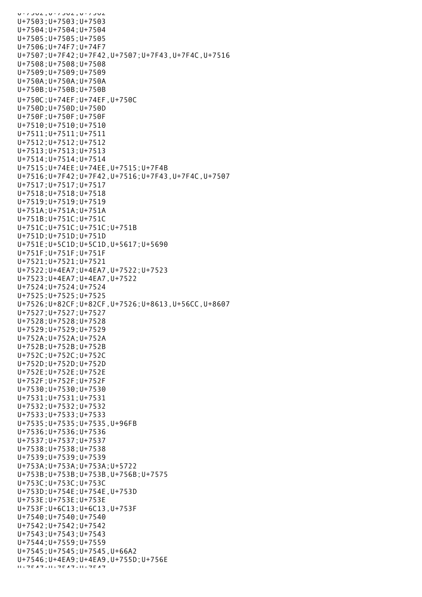U+7502;U+7502;U+7502 U+7503;U+7503;U+7503 U+7504;U+7504;U+7504 U+7505;U+7505;U+7505 U+7506;U+74F7;U+74F7 U+7507;U+7F42;U+7F42,U+7507;U+7F43,U+7F4C,U+7516 U+7508;U+7508;U+7508 U+7509;U+7509;U+7509 U+750A;U+750A;U+750A U+750B;U+750B;U+750B U+750C;U+74EF;U+74EF,U+750C U+750D;U+750D;U+750D U+750F;U+750F;U+750F U+7510;U+7510;U+7510 U+7511;U+7511;U+7511 U+7512;U+7512;U+7512 U+7513;U+7513;U+7513 U+7514;U+7514;U+7514 U+7515;U+74EE;U+74EE,U+7515;U+7F4B U+7516;U+7F42;U+7F42,U+7516;U+7F43,U+7F4C,U+7507 U+7517;U+7517;U+7517 U+7518;U+7518;U+7518 U+7519;U+7519;U+7519 U+751A;U+751A;U+751A U+751B;U+751C;U+751C U+751C;U+751C;U+751C;U+751B U+751D;U+751D;U+751D U+751E;U+5C1D;U+5C1D,U+5617;U+5690 U+751F;U+751F;U+751F U+7521;U+7521;U+7521 U+7522;U+4EA7;U+4EA7,U+7522;U+7523 U+7523;U+4EA7;U+4EA7,U+7522 U+7524;U+7524;U+7524 U+7525;U+7525;U+7525 U+7526;U+82CF;U+82CF,U+7526;U+8613,U+56CC,U+8607 U+7527;U+7527;U+7527 U+7528;U+7528;U+7528 U+7529;U+7529;U+7529 U+752A;U+752A;U+752A U+752B;U+752B;U+752B U+752C;U+752C;U+752C U+752D;U+752D;U+752D U+752E;U+752E;U+752E U+752F;U+752F;U+752F U+7530;U+7530;U+7530 U+7531;U+7531;U+7531 U+7532;U+7532;U+7532 U+7533;U+7533;U+7533 U+7535;U+7535;U+7535,U+96FB U+7536;U+7536;U+7536 U+7537;U+7537;U+7537 U+7538;U+7538;U+7538 U+7539;U+7539;U+7539 U+753A;U+753A;U+753A;U+5722 U+753B;U+753B;U+753B,U+756B;U+7575 U+753C;U+753C;U+753C U+753D;U+754E;U+754E,U+753D U+753E;U+753E;U+753E U+753F;U+6C13;U+6C13,U+753F U+7540;U+7540;U+7540 U+7542;U+7542;U+7542 U+7543;U+7543;U+7543 U+7544;U+7559;U+7559 U+7545;U+7545;U+7545,U+66A2 U+7546;U+4EA9;U+4EA9,U+755D;U+756E U+7547;U+7547;U+7547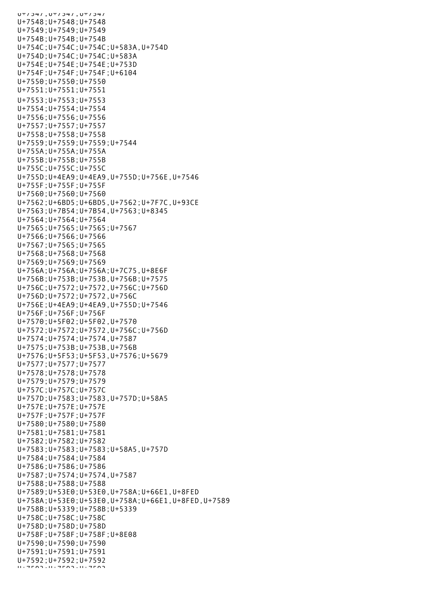$U+7547, U+7547, U+7547$ U+7548;U+7548;U+7548 U+7549;U+7549;U+7549 U+754B;U+754B;U+754B U+754C;U+754C;U+754C;U+583A,U+754D U+754D;U+754C;U+754C;U+583A U+754E;U+754E;U+754E;U+753D U+754F;U+754F;U+754F;U+6104 U+7550;U+7550;U+7550 U+7551;U+7551;U+7551 U+7553;U+7553;U+7553 U+7554;U+7554;U+7554 U+7556;U+7556;U+7556 U+7557;U+7557;U+7557 U+7558;U+7558;U+7558 U+7559;U+7559;U+7559;U+7544 U+755A;U+755A;U+755A U+755B;U+755B;U+755B U+755C;U+755C;U+755C U+755D;U+4EA9;U+4EA9,U+755D;U+756E,U+7546 U+755F;U+755F;U+755F U+7560;U+7560;U+7560 U+7562;U+6BD5;U+6BD5,U+7562;U+7F7C,U+93CE U+7563;U+7B54;U+7B54,U+7563;U+8345 U+7564;U+7564;U+7564 U+7565;U+7565;U+7565;U+7567 U+7566;U+7566;U+7566 U+7567;U+7565;U+7565 U+7568;U+7568;U+7568 U+7569;U+7569;U+7569 U+756A;U+756A;U+756A;U+7C75,U+8E6F U+756B;U+753B;U+753B,U+756B;U+7575 U+756C;U+7572;U+7572,U+756C;U+756D U+756D;U+7572;U+7572,U+756C U+756E;U+4EA9;U+4EA9,U+755D;U+7546 U+756F;U+756F;U+756F U+7570;U+5F02;U+5F02,U+7570 U+7572;U+7572;U+7572,U+756C;U+756D U+7574;U+7574;U+7574,U+7587 U+7575;U+753B;U+753B,U+756B U+7576;U+5F53;U+5F53,U+7576;U+5679 U+7577;U+7577;U+7577 U+7578;U+7578;U+7578 U+7579;U+7579;U+7579 U+757C;U+757C;U+757C U+757D;U+7583;U+7583,U+757D;U+58A5 U+757E;U+757E;U+757E U+757F;U+757F;U+757F U+7580;U+7580;U+7580 U+7581;U+7581;U+7581 U+7582;U+7582;U+7582 U+7583;U+7583;U+7583;U+58A5,U+757D U+7584;U+7584;U+7584 U+7586;U+7586;U+7586 U+7587;U+7574;U+7574,U+7587 U+7588;U+7588;U+7588 U+7589;U+53E0;U+53E0,U+758A;U+66E1,U+8FED U+758A;U+53E0;U+53E0,U+758A;U+66E1,U+8FED,U+7589 U+758B;U+5339;U+758B;U+5339 U+758C;U+758C;U+758C U+758D;U+758D;U+758D U+758F;U+758F;U+758F;U+8E08 U+7590;U+7590;U+7590 U+7591;U+7591;U+7591 U+7592;U+7592;U+7592 U+7503;U+7593;U+7593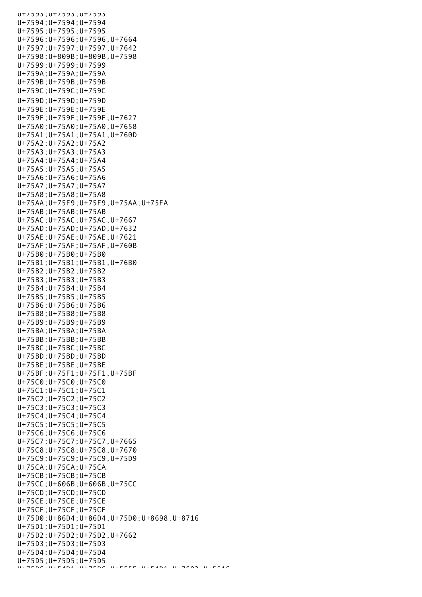U+753;U+7593 U+7594;U+7594;U+7594 U+7595;U+7595;U+7595 U+7596;U+7596;U+7596,U+7664 U+7597;U+7597;U+7597,U+7642 U+7598;U+809B;U+809B,U+7598 U+7599;U+7599;U+7599 U+759A;U+759A;U+759A U+759B;U+759B;U+759B U+759C;U+759C;U+759C U+759D;U+759D;U+759D U+759E;U+759E;U+759E U+759F;U+759F;U+759F,U+7627 U+75A0;U+75A0;U+75A0,U+7658 U+75A1;U+75A1;U+75A1,U+760D U+75A2;U+75A2;U+75A2 U+75A3;U+75A3;U+75A3 U+75A4;U+75A4;U+75A4 U+75A5;U+75A5;U+75A5 U+75A6;U+75A6;U+75A6 U+75A7;U+75A7;U+75A7 U+75A8;U+75A8;U+75A8 U+75AA;U+75F9;U+75F9,U+75AA;U+75FA U+75AB;U+75AB;U+75AB U+75AC;U+75AC;U+75AC,U+7667 U+75AD;U+75AD;U+75AD,U+7632 U+75AE;U+75AE;U+75AE,U+7621 U+75AF;U+75AF;U+75AF,U+760B U+75B0;U+75B0;U+75B0 U+75B1;U+75B1;U+75B1,U+76B0 U+75B2;U+75B2;U+75B2 U+75B3;U+75B3;U+75B3 U+75B4;U+75B4;U+75B4 U+75B5;U+75B5;U+75B5 U+75B6;U+75B6;U+75B6 U+75B8;U+75B8;U+75B8 U+75B9;U+75B9;U+75B9 U+75BA;U+75BA;U+75BA U+75BB;U+75BB;U+75BB U+75BC;U+75BC;U+75BC U+75BD;U+75BD;U+75BD U+75BE;U+75BE;U+75BE U+75BF;U+75F1;U+75F1,U+75BF U+75C0;U+75C0;U+75C0 U+75C1;U+75C1;U+75C1 U+75C2;U+75C2;U+75C2 U+75C3;U+75C3;U+75C3 U+75C4;U+75C4;U+75C4 U+75C5;U+75C5;U+75C5 U+75C6;U+75C6;U+75C6 U+75C7;U+75C7;U+75C7,U+7665 U+75C8;U+75C8;U+75C8,U+7670 U+75C9;U+75C9;U+75C9,U+75D9 U+75CA;U+75CA;U+75CA U+75CB;U+75CB;U+75CB U+75CC;U+606B;U+606B,U+75CC U+75CD;U+75CD;U+75CD U+75CE;U+75CE;U+75CE U+75CF;U+75CF;U+75CF U+75D0;U+86D4;U+86D4,U+75D0;U+8698,U+8716 U+75D1;U+75D1;U+75D1 U+75D2;U+75D2;U+75D2,U+7662 U+75D3;U+75D3;U+75D3 U+75D4;U+75D4;U+75D4 U+75D5;U+75D5;U+75D5 U+75D6;U+75AD1;U+76D2;U+5516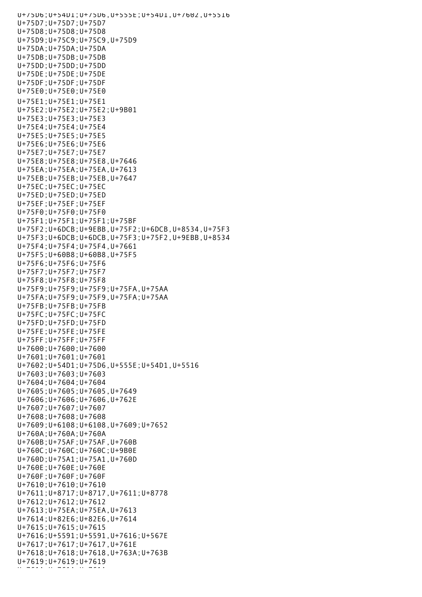U+75D6;U+54D1;U+75D6,U+555E;U+54D1,U+7602,U+5516 U+75D7;U+75D7;U+75D7 U+75D8;U+75D8;U+75D8 U+75D9;U+75C9;U+75C9,U+75D9 U+75DA;U+75DA;U+75DA U+75DB;U+75DB;U+75DB U+75DD;U+75DD;U+75DD U+75DE;U+75DE;U+75DE U+75DF;U+75DF;U+75DF U+75E0;U+75E0;U+75E0 U+75E1;U+75E1;U+75E1 U+75E2;U+75E2;U+75E2;U+9B01 U+75E3;U+75E3;U+75E3 U+75E4;U+75E4;U+75E4 U+75E5;U+75E5;U+75E5 U+75E6;U+75E6;U+75E6 U+75E7;U+75E7;U+75E7 U+75E8;U+75E8;U+75E8,U+7646 U+75EA;U+75EA;U+75EA,U+7613 U+75EB;U+75EB;U+75EB,U+7647 U+75EC;U+75EC;U+75EC U+75ED;U+75ED;U+75ED U+75EF;U+75EF;U+75EF U+75F0;U+75F0;U+75F0 U+75F1;U+75F1;U+75F1;U+75BF U+75F2;U+6DCB;U+9EBB,U+75F2;U+6DCB,U+8534,U+75F3 U+75F3;U+6DCB;U+6DCB,U+75F3;U+75F2,U+9EBB,U+8534 U+75F4;U+75F4;U+75F4,U+7661 U+75F5;U+60B8;U+60B8,U+75F5 U+75F6;U+75F6;U+75F6 U+75F7;U+75F7;U+75F7 U+75F8;U+75F8;U+75F8 U+75F9;U+75F9;U+75F9;U+75FA,U+75AA U+75FA;U+75F9;U+75F9,U+75FA;U+75AA U+75FB;U+75FB;U+75FB U+75FC;U+75FC;U+75FC U+75FD;U+75FD;U+75FD U+75FE;U+75FE;U+75FE U+75FF;U+75FF;U+75FF U+7600;U+7600;U+7600 U+7601;U+7601;U+7601 U+7602;U+54D1;U+75D6,U+555E;U+54D1,U+5516 U+7603;U+7603;U+7603 U+7604;U+7604;U+7604 U+7605;U+7605;U+7605,U+7649 U+7606;U+7606;U+7606,U+762E U+7607;U+7607;U+7607 U+7608;U+7608;U+7608 U+7609;U+6108;U+6108,U+7609;U+7652 U+760A;U+760A;U+760A U+760B;U+75AF;U+75AF,U+760B U+760C;U+760C;U+760C;U+9B0E U+760D;U+75A1;U+75A1,U+760D U+760E;U+760E;U+760E U+760F;U+760F;U+760F U+7610;U+7610;U+7610 U+7611;U+8717;U+8717,U+7611;U+8778 U+7612;U+7612;U+7612 U+7613;U+75EA;U+75EA,U+7613 U+7614;U+82E6;U+82E6,U+7614 U+7615;U+7615;U+7615 U+7616;U+5591;U+5591,U+7616;U+567E U+7617;U+7617;U+7617,U+761E U+7618;U+7618;U+7618,U+763A;U+763B U+7619;U+7619;U+7619 U+761A;U+761A;U+761A;<br>U+761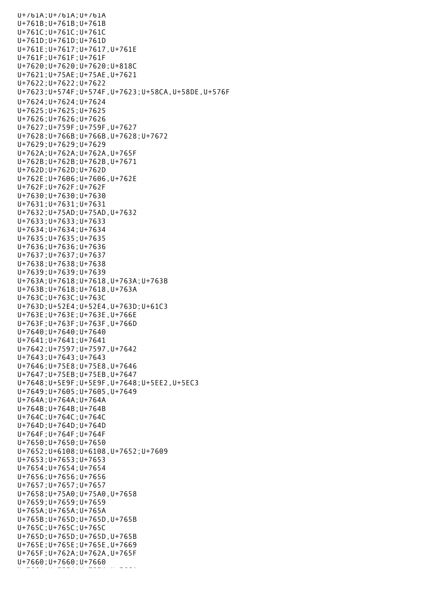U+761A;U+761A;U+761A U+761B;U+761B;U+761B U+761C;U+761C;U+761C U+761D;U+761D;U+761D U+761E;U+7617;U+7617,U+761E U+761F;U+761F;U+761F U+7620;U+7620;U+7620;U+818C U+7621;U+75AE;U+75AE,U+7621 U+7622;U+7622;U+7622 U+7623;U+574F;U+574F,U+7623;U+58CA,U+58DE,U+576F U+7624;U+7624;U+7624 U+7625;U+7625;U+7625 U+7626;U+7626;U+7626 U+7627;U+759F;U+759F,U+7627 U+7628;U+766B;U+766B,U+7628;U+7672 U+7629;U+7629;U+7629 U+762A;U+762A;U+762A,U+765F U+762B;U+762B;U+762B,U+7671 U+762D;U+762D;U+762D U+762E;U+7606;U+7606,U+762E U+762F;U+762F;U+762F U+7630;U+7630;U+7630 U+7631;U+7631;U+7631 U+7632;U+75AD;U+75AD,U+7632 U+7633;U+7633;U+7633 U+7634;U+7634;U+7634 U+7635;U+7635;U+7635 U+7636;U+7636;U+7636 U+7637;U+7637;U+7637 U+7638;U+7638;U+7638 U+7639;U+7639;U+7639 U+763A;U+7618;U+7618,U+763A;U+763B U+763B;U+7618;U+7618,U+763A U+763C;U+763C;U+763C U+763D;U+52E4;U+52E4,U+763D;U+61C3 U+763E;U+763E;U+763E,U+766E U+763F;U+763F;U+763F,U+766D U+7640;U+7640;U+7640 U+7641;U+7641;U+7641 U+7642;U+7597;U+7597,U+7642 U+7643;U+7643;U+7643 U+7646;U+75E8;U+75E8,U+7646 U+7647;U+75EB;U+75EB,U+7647 U+7648;U+5E9F;U+5E9F,U+7648;U+5EE2,U+5EC3 U+7649;U+7605;U+7605,U+7649 U+764A;U+764A;U+764A U+764B;U+764B;U+764B U+764C;U+764C;U+764C U+764D;U+764D;U+764D U+764F;U+764F;U+764F U+7650;U+7650;U+7650 U+7652;U+6108;U+6108,U+7652;U+7609 U+7653;U+7653;U+7653 U+7654;U+7654;U+7654 U+7656;U+7656;U+7656 U+7657;U+7657;U+7657 U+7658;U+75A0;U+75A0,U+7658 U+7659;U+7659;U+7659 U+765A;U+765A;U+765A U+765B;U+765D;U+765D,U+765B U+765C;U+765C;U+765C U+765D;U+765D;U+765D,U+765B U+765E;U+765E;U+765E,U+7669 U+765F;U+762A;U+762A,U+765F U+7660;U+7660;U+7660 U+7661;U+75F4;U+75F4;U+7661;U+7661;U+7661;U+7661;U+7661;U+75F4;U+7661;U+7661;U+76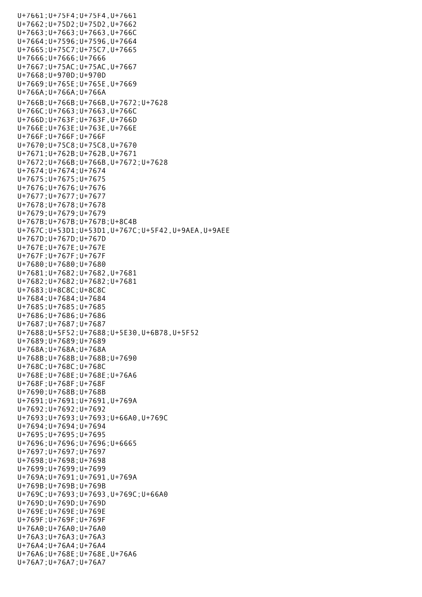U+7661;U+75F4;U+75F4,U+7661 U+7662;U+75D2;U+75D2,U+7662 U+7663;U+7663;U+7663,U+766C U+7664;U+7596;U+7596,U+7664 U+7665;U+75C7;U+75C7,U+7665 U+7666;U+7666;U+7666 U+7667;U+75AC;U+75AC,U+7667 U+7668;U+970D;U+970D U+7669;U+765E;U+765E,U+7669 U+766A;U+766A;U+766A U+766B;U+766B;U+766B,U+7672;U+7628 U+766C;U+7663;U+7663,U+766C U+766D;U+763F;U+763F,U+766D U+766E;U+763E;U+763E,U+766E U+766F;U+766F;U+766F U+7670;U+75C8;U+75C8,U+7670 U+7671;U+762B;U+762B,U+7671 U+7672;U+766B;U+766B,U+7672;U+7628 U+7674;U+7674;U+7674 U+7675;U+7675;U+7675 U+7676;U+7676;U+7676 U+7677;U+7677;U+7677 U+7678;U+7678;U+7678 U+7679;U+7679;U+7679 U+767B;U+767B;U+767B;U+8C4B U+767C;U+53D1;U+53D1,U+767C;U+5F42,U+9AEA,U+9AEE U+767D;U+767D;U+767D U+767E;U+767E;U+767E U+767F;U+767F;U+767F U+7680;U+7680;U+7680 U+7681;U+7682;U+7682,U+7681 U+7682;U+7682;U+7682;U+7681 U+7683;U+8C8C;U+8C8C U+7684;U+7684;U+7684 U+7685;U+7685;U+7685 U+7686;U+7686;U+7686 U+7687;U+7687;U+7687 U+7688;U+5F52;U+7688;U+5E30,U+6B78,U+5F52 U+7689;U+7689;U+7689 U+768A;U+768A;U+768A U+768B;U+768B;U+768B;U+7690 U+768C;U+768C;U+768C U+768E;U+768E;U+768E;U+76A6 U+768F;U+768F;U+768F U+7690;U+768B;U+768B U+7691;U+7691;U+7691,U+769A U+7692;U+7692;U+7692 U+7693;U+7693;U+7693;U+66A0,U+769C U+7694;U+7694;U+7694 U+7695;U+7695;U+7695 U+7696;U+7696;U+7696;U+6665 U+7697;U+7697;U+7697 U+7698;U+7698;U+7698 U+7699;U+7699;U+7699 U+769A;U+7691;U+7691,U+769A U+769B;U+769B;U+769B U+769C;U+7693;U+7693,U+769C;U+66A0 U+769D;U+769D;U+769D U+769E;U+769E;U+769E U+769F;U+769F;U+769F U+76A0;U+76A0;U+76A0 U+76A3;U+76A3;U+76A3 U+76A4;U+76A4;U+76A4 U+76A6;U+768E;U+768E,U+76A6 U+76A7;U+76A7;U+76A7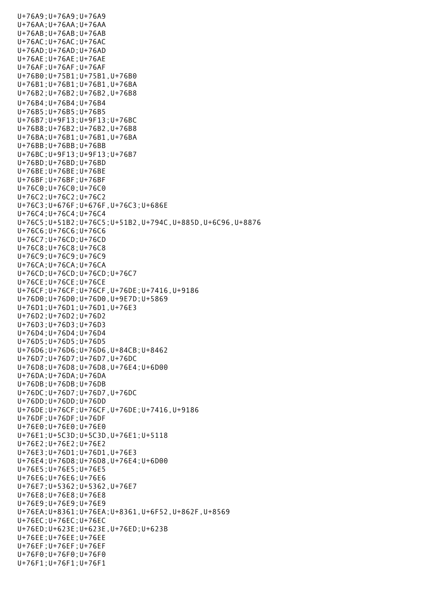U+76A9;U+76A9;U+76A9 U+76AA;U+76AA;U+76AA U+76AB;U+76AB;U+76AB U+76AC;U+76AC;U+76AC U+76AD;U+76AD;U+76AD U+76AE;U+76AE;U+76AE U+76AF;U+76AF;U+76AF U+76B0;U+75B1;U+75B1,U+76B0 U+76B1;U+76B1;U+76B1,U+76BA U+76B2;U+76B2;U+76B2,U+76B8 U+76B4;U+76B4;U+76B4 U+76B5;U+76B5;U+76B5 U+76B7;U+9F13;U+9F13;U+76BC U+76B8;U+76B2;U+76B2,U+76B8 U+76BA;U+76B1;U+76B1,U+76BA U+76BB;U+76BB;U+76BB U+76BC;U+9F13;U+9F13;U+76B7 U+76BD;U+76BD;U+76BD U+76BE;U+76BE;U+76BE U+76BF;U+76BF;U+76BF U+76C0;U+76C0;U+76C0 U+76C2;U+76C2;U+76C2 U+76C3;U+676F;U+676F,U+76C3;U+686E U+76C4;U+76C4;U+76C4 U+76C5;U+51B2;U+76C5;U+51B2,U+794C,U+885D,U+6C96,U+8876 U+76C6;U+76C6;U+76C6 U+76C7;U+76CD;U+76CD U+76C8;U+76C8;U+76C8 U+76C9;U+76C9;U+76C9 U+76CA;U+76CA;U+76CA U+76CD;U+76CD;U+76CD;U+76C7 U+76CE;U+76CE;U+76CE U+76CF;U+76CF;U+76CF,U+76DE;U+7416,U+9186 U+76D0;U+76D0;U+76D0,U+9E7D;U+5869 U+76D1;U+76D1;U+76D1,U+76E3 U+76D2;U+76D2;U+76D2 U+76D3;U+76D3;U+76D3 U+76D4;U+76D4;U+76D4 U+76D5;U+76D5;U+76D5 U+76D6;U+76D6;U+76D6,U+84CB;U+8462 U+76D7;U+76D7;U+76D7,U+76DC U+76D8;U+76D8;U+76D8,U+76E4;U+6D00 U+76DA;U+76DA;U+76DA U+76DB;U+76DB;U+76DB U+76DC;U+76D7;U+76D7,U+76DC U+76DD;U+76DD;U+76DD U+76DE;U+76CF;U+76CF,U+76DE;U+7416,U+9186 U+76DF;U+76DF;U+76DF U+76E0;U+76E0;U+76E0 U+76E1;U+5C3D;U+5C3D,U+76E1;U+5118 U+76E2;U+76E2;U+76E2 U+76E3;U+76D1;U+76D1,U+76E3 U+76E4;U+76D8;U+76D8,U+76E4;U+6D00 U+76E5;U+76E5;U+76E5 U+76E6;U+76E6;U+76E6 U+76E7;U+5362;U+5362,U+76E7 U+76E8;U+76E8;U+76E8 U+76E9;U+76E9;U+76E9 U+76EA;U+8361;U+76EA;U+8361,U+6F52,U+862F,U+8569 U+76EC;U+76EC;U+76EC U+76ED;U+623E;U+623E,U+76ED;U+623B U+76EE;U+76EE;U+76EE U+76EF;U+76EF;U+76EF U+76F0;U+76F0;U+76F0 U+76F1;U+76F1;U+76F1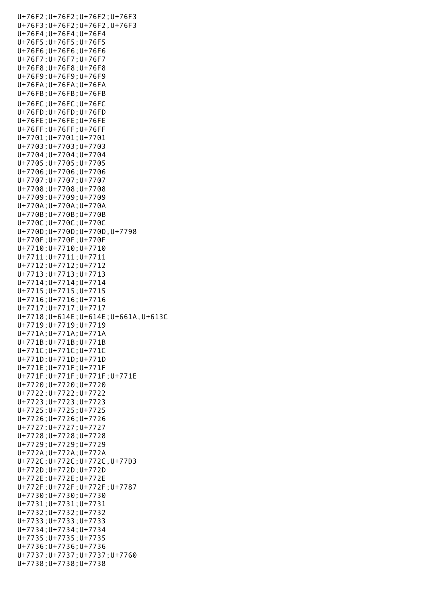U+76F2;U+76F2;U+76F2;U+76F3 U+76F3;U+76F2;U+76F2,U+76F3 U+76F4;U+76F4;U+76F4 U+76F5;U+76F5;U+76F5 U+76F6;U+76F6;U+76F6 U+76F7;U+76F7;U+76F7 U+76F8;U+76F8;U+76F8 U+76F9;U+76F9;U+76F9 U+76FA;U+76FA;U+76FA U+76FB;U+76FB;U+76FB U+76FC;U+76FC;U+76FC U+76FD;U+76FD;U+76FD U+76FE;U+76FE;U+76FE U+76FF;U+76FF;U+76FF U+7701;U+7701;U+7701 U+7703;U+7703;U+7703 U+7704;U+7704;U+7704 U+7705;U+7705;U+7705 U+7706;U+7706;U+7706 U+7707;U+7707;U+7707 U+7708;U+7708;U+7708 U+7709;U+7709;U+7709 U+770A;U+770A;U+770A U+770B;U+770B;U+770B U+770C;U+770C;U+770C U+770D;U+770D;U+770D,U+7798 U+770F;U+770F;U+770F U+7710;U+7710;U+7710 U+7711;U+7711;U+7711 U+7712;U+7712;U+7712 U+7713;U+7713;U+7713 U+7714;U+7714;U+7714 U+7715;U+7715;U+7715 U+7716;U+7716;U+7716 U+7717;U+7717;U+7717 U+7718;U+614E;U+614E;U+661A,U+613C U+7719;U+7719;U+7719 U+771A;U+771A;U+771A U+771B;U+771B;U+771B U+771C;U+771C;U+771C U+771D;U+771D;U+771D U+771E;U+771F;U+771F U+771F;U+771F;U+771F;U+771E U+7720;U+7720;U+7720 U+7722;U+7722;U+7722 U+7723;U+7723;U+7723 U+7725;U+7725;U+7725 U+7726;U+7726;U+7726 U+7727;U+7727;U+7727 U+7728;U+7728;U+7728 U+7729;U+7729;U+7729 U+772A;U+772A;U+772A U+772C;U+772C;U+772C,U+77D3 U+772D;U+772D;U+772D U+772E;U+772E;U+772E U+772F;U+772F;U+772F;U+7787 U+7730;U+7730;U+7730 U+7731;U+7731;U+7731 U+7732;U+7732;U+7732 U+7733;U+7733;U+7733 U+7734;U+7734;U+7734 U+7735;U+7735;U+7735 U+7736;U+7736;U+7736 U+7737;U+7737;U+7737;U+7760 U+7738;U+7738;U+7738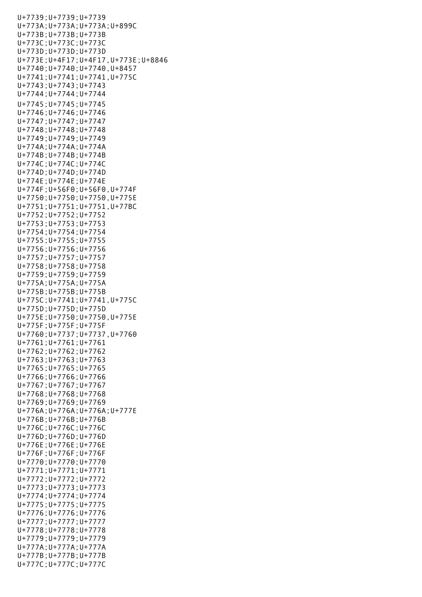U+7739;U+7739;U+7739 U+773A;U+773A;U+773A;U+899C U+773B;U+773B;U+773B U+773C;U+773C;U+773C U+773D;U+773D;U+773D U+773E;U+4F17;U+4F17,U+773E;U+8846 U+7740;U+7740;U+7740,U+8457 U+7741;U+7741;U+7741,U+775C U+7743;U+7743;U+7743 U+7744;U+7744;U+7744 U+7745;U+7745;U+7745 U+7746;U+7746;U+7746 U+7747;U+7747;U+7747 U+7748;U+7748;U+7748 U+7749;U+7749;U+7749 U+774A;U+774A;U+774A U+774B;U+774B;U+774B U+774C;U+774C;U+774C U+774D;U+774D;U+774D U+774E;U+774E;U+774E U+774F;U+56F0;U+56F0,U+774F U+7750;U+7750;U+7750,U+775E U+7751;U+7751;U+7751,U+77BC U+7752;U+7752;U+7752 U+7753;U+7753;U+7753 U+7754;U+7754;U+7754 U+7755;U+7755;U+7755 U+7756;U+7756;U+7756 U+7757;U+7757;U+7757 U+7758;U+7758;U+7758 U+7759;U+7759;U+7759 U+775A;U+775A;U+775A U+775B;U+775B;U+775B U+775C;U+7741;U+7741,U+775C U+775D;U+775D;U+775D U+775E;U+7750;U+7750,U+775E U+775F;U+775F;U+775F U+7760;U+7737;U+7737,U+7760 U+7761;U+7761;U+7761 U+7762;U+7762;U+7762 U+7763;U+7763;U+7763 U+7765;U+7765;U+7765 U+7766;U+7766;U+7766 U+7767;U+7767;U+7767 U+7768;U+7768;U+7768 U+7769;U+7769;U+7769 U+776A;U+776A;U+776A;U+777E U+776B;U+776B;U+776B U+776C;U+776C;U+776C U+776D;U+776D;U+776D U+776E;U+776E;U+776E U+776F;U+776F;U+776F U+7770;U+7770;U+7770 U+7771;U+7771;U+7771 U+7772;U+7772;U+7772 U+7773;U+7773;U+7773 U+7774;U+7774;U+7774 U+7775;U+7775;U+7775 U+7776;U+7776;U+7776 U+7777;U+7777;U+7777 U+7778;U+7778;U+7778 U+7779;U+7779;U+7779 U+777A;U+777A;U+777A U+777B;U+777B;U+777B U+777C;U+777C;U+777C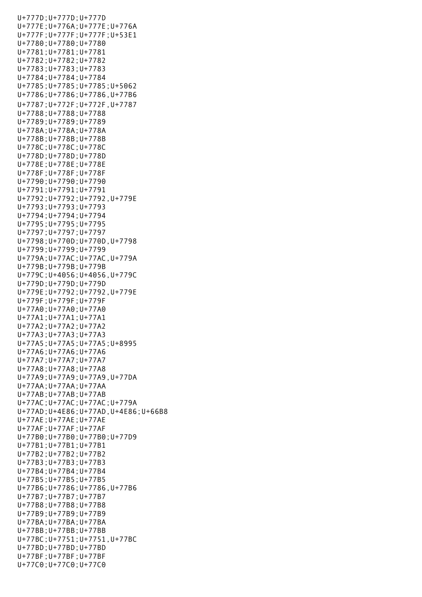U+777D;U+777D;U+777D U+777E;U+776A;U+777E;U+776A U+777F;U+777F;U+777F;U+53E1 U+7780;U+7780;U+7780 U+7781;U+7781;U+7781 U+7782;U+7782;U+7782 U+7783;U+7783;U+7783 U+7784;U+7784;U+7784 U+7785;U+7785;U+7785;U+5062 U+7786;U+7786;U+7786,U+77B6 U+7787;U+772F;U+772F,U+7787 U+7788;U+7788;U+7788 U+7789;U+7789;U+7789 U+778A;U+778A;U+778A U+778B;U+778B;U+778B U+778C;U+778C;U+778C U+778D;U+778D;U+778D U+778E;U+778E;U+778E U+778F;U+778F;U+778F U+7790;U+7790;U+7790 U+7791;U+7791;U+7791 U+7792;U+7792;U+7792,U+779E U+7793;U+7793;U+7793 U+7794;U+7794;U+7794 U+7795;U+7795;U+7795 U+7797;U+7797;U+7797 U+7798;U+770D;U+770D,U+7798 U+7799;U+7799;U+7799 U+779A;U+77AC;U+77AC,U+779A U+779B;U+779B;U+779B U+779C;U+4056;U+4056,U+779C U+779D;U+779D;U+779D U+779E;U+7792;U+7792,U+779E U+779F;U+779F;U+779F U+77A0;U+77A0;U+77A0 U+77A1;U+77A1;U+77A1 U+77A2;U+77A2;U+77A2 U+77A3;U+77A3;U+77A3 U+77A5;U+77A5;U+77A5;U+8995 U+77A6;U+77A6;U+77A6 U+77A7;U+77A7;U+77A7 U+77A8;U+77A8;U+77A8 U+77A9;U+77A9;U+77A9,U+77DA U+77AA;U+77AA;U+77AA U+77AB;U+77AB;U+77AB U+77AC;U+77AC;U+77AC;U+779A U+77AD;U+4E86;U+77AD,U+4E86;U+66B8 U+77AE;U+77AE;U+77AE U+77AF;U+77AF;U+77AF U+77B0;U+77B0;U+77B0;U+77D9 U+77B1;U+77B1;U+77B1 U+77B2;U+77B2;U+77B2 U+77B3;U+77B3;U+77B3 U+77B4;U+77B4;U+77B4 U+77B5;U+77B5;U+77B5 U+77B6;U+7786;U+7786,U+77B6 U+77B7;U+77B7;U+77B7 U+77B8;U+77B8;U+77B8 U+77B9;U+77B9;U+77B9 U+77BA;U+77BA;U+77BA U+77BB;U+77BB;U+77BB U+77BC;U+7751;U+7751,U+77BC U+77BD;U+77BD;U+77BD U+77BF;U+77BF;U+77BF U+77C0;U+77C0;U+77C0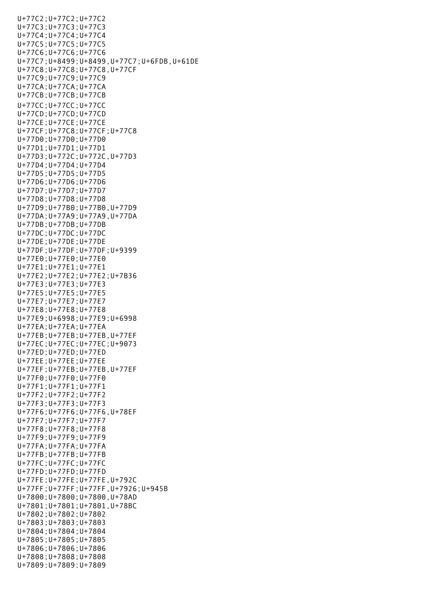U+77C2;U+77C2;U+77C2 U+77C3;U+77C3;U+77C3 U+77C4;U+77C4;U+77C4 U+77C5;U+77C5;U+77C5 U+77C6;U+77C6;U+77C6 U+77C7;U+8499;U+8499,U+77C7;U+6FDB,U+61DE U+77C8;U+77C8;U+77C8,U+77CF U+77C9;U+77C9;U+77C9 U+77CA;U+77CA;U+77CA U+77CB;U+77CB;U+77CB U+77CC;U+77CC;U+77CC U+77CD;U+77CD;U+77CD U+77CE;U+77CE;U+77CE U+77CF;U+77C8;U+77CF;U+77C8 U+77D0;U+77D0;U+77D0 U+77D1;U+77D1;U+77D1 U+77D3;U+772C;U+772C,U+77D3 U+77D4;U+77D4;U+77D4 U+77D5;U+77D5;U+77D5 U+77D6;U+77D6;U+77D6 U+77D7;U+77D7;U+77D7 U+77D8;U+77D8;U+77D8 U+77D9;U+77B0;U+77B0,U+77D9 U+77DA;U+77A9;U+77A9,U+77DA U+77DB;U+77DB;U+77DB U+77DC;U+77DC;U+77DC U+77DE;U+77DE;U+77DE U+77DF;U+77DF;U+77DF;U+9399 U+77E0;U+77E0;U+77E0 U+77E1;U+77E1;U+77E1 U+77E2;U+77E2;U+77E2;U+7B36 U+77E3;U+77E3;U+77E3 U+77E5;U+77E5;U+77E5 U+77E7;U+77E7;U+77E7 U+77E8;U+77E8;U+77E8 U+77E9;U+6998;U+77E9;U+6998 U+77EA;U+77EA;U+77EA U+77EB;U+77EB;U+77EB,U+77EF U+77EC;U+77EC;U+77EC;U+9073 U+77ED;U+77ED;U+77ED U+77EE;U+77EE;U+77EE U+77EF;U+77EB;U+77EB,U+77EF U+77F0;U+77F0;U+77F0 U+77F1;U+77F1;U+77F1 U+77F2;U+77F2;U+77F2 U+77F3;U+77F3;U+77F3 U+77F6;U+77F6;U+77F6,U+78EF U+77F7;U+77F7;U+77F7 U+77F8;U+77F8;U+77F8 U+77F9;U+77F9;U+77F9 U+77FA;U+77FA;U+77FA U+77FB;U+77FB;U+77FB U+77FC;U+77FC;U+77FC U+77FD;U+77FD;U+77FD U+77FE;U+77FE;U+77FE,U+792C U+77FF;U+77FF;U+77FF,U+7926;U+945B U+7800;U+7800;U+7800,U+78AD U+7801;U+7801;U+7801,U+78BC U+7802;U+7802;U+7802 U+7803;U+7803;U+7803 U+7804;U+7804;U+7804 U+7805;U+7805;U+7805 U+7806;U+7806;U+7806 U+7808;U+7808;U+7808 U+7809;U+7809;U+7809

U+77C0;U+77C0;U+77C0;U+77C0;U+77C0;U+77C0;U+77C0;U+77C0;U+77C0;U+77C0;U+77C0;U+77C0;U+77C0;U+77C0;U+77C0;U+77C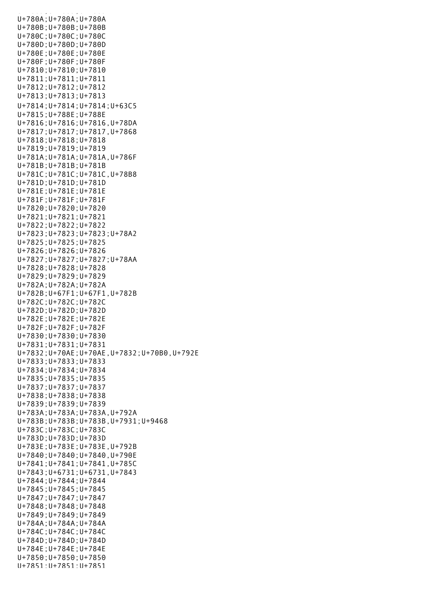U+780A;U+780A;U+780A U+780B;U+780B;U+780B U+780C;U+780C;U+780C U+780D;U+780D;U+780D U+780E;U+780E;U+780E U+780F;U+780F;U+780F U+7810;U+7810;U+7810 U+7811;U+7811;U+7811 U+7812;U+7812;U+7812 U+7813;U+7813;U+7813 U+7814;U+7814;U+7814;U+63C5 U+7815;U+788E;U+788E U+7816;U+7816;U+7816,U+78DA U+7817;U+7817;U+7817,U+7868 U+7818;U+7818;U+7818 U+7819;U+7819;U+7819 U+781A;U+781A;U+781A,U+786F U+781B;U+781B;U+781B U+781C;U+781C;U+781C,U+78B8 U+781D;U+781D;U+781D U+781E;U+781E;U+781E U+781F;U+781F;U+781F U+7820;U+7820;U+7820 U+7821;U+7821;U+7821 U+7822;U+7822;U+7822 U+7823;U+7823;U+7823;U+78A2 U+7825;U+7825;U+7825 U+7826;U+7826;U+7826 U+7827;U+7827;U+7827;U+78AA U+7828;U+7828;U+7828 U+7829;U+7829;U+7829 U+782A;U+782A;U+782A U+782B;U+67F1;U+67F1,U+782B U+782C;U+782C;U+782C U+782D;U+782D;U+782D U+782E;U+782E;U+782E U+782F;U+782F;U+782F U+7830;U+7830;U+7830 U+7831;U+7831;U+7831 U+7832;U+70AE;U+70AE,U+7832;U+70B0,U+792E U+7833;U+7833;U+7833 U+7834;U+7834;U+7834 U+7835;U+7835;U+7835 U+7837;U+7837;U+7837 U+7838;U+7838;U+7838 U+7839;U+7839;U+7839 U+783A;U+783A;U+783A,U+792A U+783B;U+783B;U+783B,U+7931;U+9468 U+783C;U+783C;U+783C U+783D;U+783D;U+783D U+783E;U+783E;U+783E,U+792B U+7840;U+7840;U+7840,U+790E U+7841;U+7841;U+7841,U+785C U+7843;U+6731;U+6731,U+7843 U+7844;U+7844;U+7844 U+7845;U+7845;U+7845 U+7847;U+7847;U+7847 U+7848;U+7848;U+7848 U+7849;U+7849;U+7849 U+784A;U+784A;U+784A U+784C;U+784C;U+784C U+784D;U+784D;U+784D U+784E;U+784E;U+784E U+7850;U+7850;U+7850 U+7851;U+7851;U+7851

u<br>Tanzania (1809);U+7809;U+7809;U+7809;U+7809;U+7809;U+7809;U+7809;U+7809;U+7809;U+7809;U+7809;U+7809;U+7809;U+7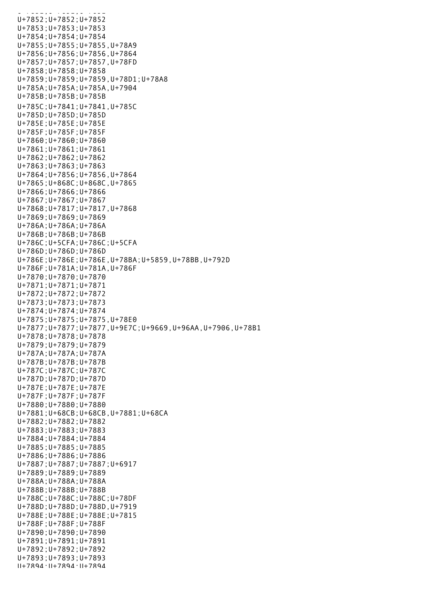$U \bullet T = T \bullet T$ U+7852;U+7852;U+7852 U+7853;U+7853;U+7853 U+7854;U+7854;U+7854 U+7855;U+7855;U+7855,U+78A9 U+7856;U+7856;U+7856,U+7864 U+7857;U+7857;U+7857,U+78FD U+7858;U+7858;U+7858 U+7859;U+7859;U+7859,U+78D1;U+78A8 U+785A;U+785A;U+785A,U+7904 U+785B;U+785B;U+785B U+785C;U+7841;U+7841,U+785C U+785D;U+785D;U+785D U+785E;U+785E;U+785E U+785F;U+785F;U+785F U+7860;U+7860;U+7860 U+7861;U+7861;U+7861 U+7862;U+7862;U+7862 U+7863;U+7863;U+7863 U+7864;U+7856;U+7856,U+7864 U+7865;U+868C;U+868C,U+7865 U+7866;U+7866;U+7866 U+7867;U+7867;U+7867 U+7868;U+7817;U+7817,U+7868 U+7869;U+7869;U+7869 U+786A;U+786A;U+786A U+786B;U+786B;U+786B U+786C;U+5CFA;U+786C;U+5CFA U+786D;U+786D;U+786D U+786E;U+786E;U+786E,U+78BA;U+5859,U+78BB,U+792D U+786F;U+781A;U+781A,U+786F U+7870;U+7870;U+7870 U+7871;U+7871;U+7871 U+7872;U+7872;U+7872 U+7873;U+7873;U+7873 U+7874;U+7874;U+7874 U+7875;U+7875;U+7875,U+78E0 U+7877;U+7877;U+7877,U+9E7C;U+9669,U+96AA,U+7906,U+78B1 U+7878;U+7878;U+7878 U+7879;U+7879;U+7879 U+787A;U+787A;U+787A U+787B;U+787B;U+787B U+787C;U+787C;U+787C U+787D;U+787D;U+787D U+787E;U+787E;U+787E U+787F;U+787F;U+787F U+7880;U+7880;U+7880 U+7881;U+68CB;U+68CB,U+7881;U+68CA U+7882;U+7882;U+7882 U+7883;U+7883;U+7883 U+7884;U+7884;U+7884 U+7885;U+7885;U+7885 U+7886;U+7886;U+7886 U+7887;U+7887;U+7887;U+6917 U+7889;U+7889;U+7889 U+788A;U+788A;U+788A U+788B;U+788B;U+788B U+788C;U+788C;U+788C;U+78DF U+788D;U+788D;U+788D,U+7919 U+788E;U+788E;U+788E;U+7815 U+788F;U+788F;U+788F U+7890;U+7890;U+7890 U+7891;U+7891;U+7891 U+7892;U+7892;U+7892 U+7893;U+7893;U+7893 U+7894;U+7894;U+7894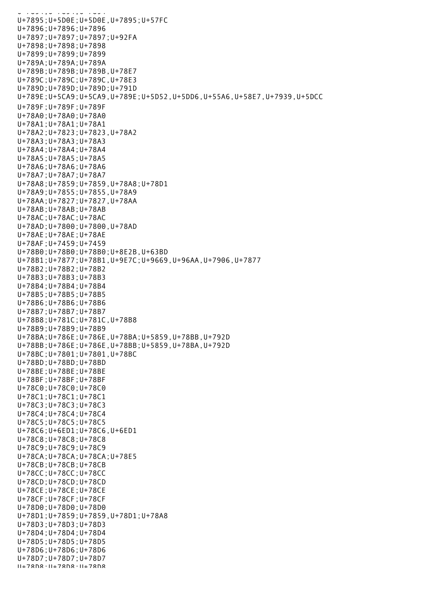U+7895;U+5D0E;U+5D0E,U+7895;U+57FC U+7896;U+7896;U+7896 U+7897;U+7897;U+7897;U+92FA U+7898;U+7898;U+7898 U+7899;U+7899;U+7899 U+789A;U+789A;U+789A U+789B;U+789B;U+789B,U+78E7 U+789C;U+789C;U+789C,U+78E3 U+789D;U+789D;U+789D;U+791D U+789E;U+5CA9;U+5CA9,U+789E;U+5D52,U+5DD6,U+55A6,U+58E7,U+7939,U+5DCC U+789F;U+789F;U+789F U+78A0;U+78A0;U+78A0 U+78A1;U+78A1;U+78A1 U+78A2;U+7823;U+7823,U+78A2 U+78A3;U+78A3;U+78A3 U+78A4;U+78A4;U+78A4 U+78A5;U+78A5;U+78A5 U+78A6;U+78A6;U+78A6 U+78A7;U+78A7;U+78A7 U+78A8;U+7859;U+7859,U+78A8;U+78D1 U+78A9;U+7855;U+7855,U+78A9 U+78AA;U+7827;U+7827,U+78AA U+78AB;U+78AB;U+78AB U+78AC;U+78AC;U+78AC U+78AD;U+7800;U+7800,U+78AD U+78AE;U+78AE;U+78AE U+78AF;U+7459;U+7459 U+78B0;U+78B0;U+78B0;U+8E2B,U+63BD U+78B1;U+7877;U+78B1,U+9E7C;U+9669,U+96AA,U+7906,U+7877 U+78B2;U+78B2;U+78B2 U+78B3;U+78B3;U+78B3 U+78B4;U+78B4;U+78B4 U+78B5;U+78B5;U+78B5 U+78B6;U+78B6;U+78B6 U+78B7;U+78B7;U+78B7 U+78B8;U+781C;U+781C,U+78B8 U+78B9;U+78B9;U+78B9 U+78BA;U+786E;U+786E,U+78BA;U+5859,U+78BB,U+792D U+78BB;U+786E;U+786E,U+78BB;U+5859,U+78BA,U+792D U+78BC;U+7801;U+7801,U+78BC U+78BD;U+78BD;U+78BD U+78BE;U+78BE;U+78BE U+78BF;U+78BF;U+78BF U+78C0;U+78C0;U+78C0 U+78C1;U+78C1;U+78C1 U+78C3;U+78C3;U+78C3 U+78C4;U+78C4;U+78C4 U+78C5;U+78C5;U+78C5 U+78C6;U+6ED1;U+78C6,U+6ED1 U+78C8;U+78C8;U+78C8 U+78C9;U+78C9;U+78C9 U+78CA;U+78CA;U+78CA;U+78E5 U+78CB;U+78CB;U+78CB U+78CC;U+78CC;U+78CC U+78CD;U+78CD;U+78CD U+78CE;U+78CE;U+78CE U+78CF;U+78CF;U+78CF U+78D0;U+78D0;U+78D0 U+78D1;U+7859;U+7859,U+78D1;U+78A8 U+78D3;U+78D3;U+78D3 U+78D4;U+78D4;U+78D4 U+78D5;U+78D5;U+78D5 U+78D6;U+78D6;U+78D6 U+78D7;U+78D7;U+78D7 U+78D8;U+78D8;U+78D8

: U+7894;U+7894;U+7894;U+7894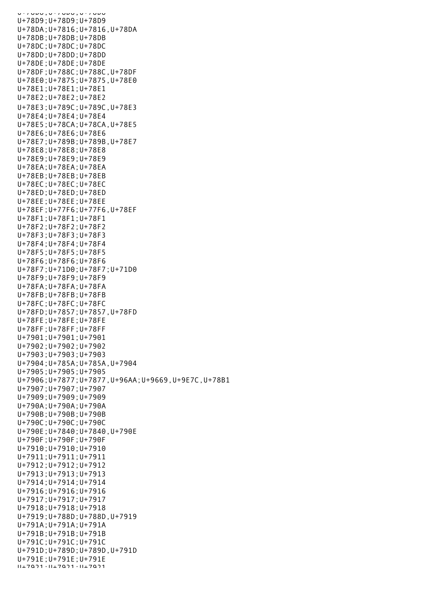U+78D8;U+78D8;U+78D8 U+78D9;U+78D9;U+78D9 U+78DA;U+7816;U+7816,U+78DA U+78DB;U+78DB;U+78DB U+78DC;U+78DC;U+78DC U+78DD;U+78DD;U+78DD U+78DE;U+78DE;U+78DE U+78DF;U+788C;U+788C,U+78DF U+78E0;U+7875;U+7875,U+78E0 U+78E1;U+78E1;U+78E1 U+78E2;U+78E2;U+78E2 U+78E3;U+789C;U+789C,U+78E3 U+78E4;U+78E4;U+78E4 U+78E5;U+78CA;U+78CA,U+78E5 U+78E6;U+78E6;U+78E6 U+78E7;U+789B;U+789B,U+78E7 U+78E8;U+78E8;U+78E8 U+78E9;U+78E9;U+78E9 U+78EA;U+78EA;U+78EA U+78EB;U+78EB;U+78EB U+78EC;U+78EC;U+78EC U+78ED;U+78ED;U+78ED U+78EE;U+78EE;U+78EE U+78EF;U+77F6;U+77F6,U+78EF U+78F1;U+78F1;U+78F1 U+78F2;U+78F2;U+78F2 U+78F3;U+78F3;U+78F3 U+78F4;U+78F4;U+78F4 U+78F5;U+78F5;U+78F5 U+78F6;U+78F6;U+78F6 U+78F7;U+71D0;U+78F7;U+71D0 U+78F9;U+78F9;U+78F9 U+78FA;U+78FA;U+78FA U+78FB;U+78FB;U+78FB U+78FC;U+78FC;U+78FC U+78FD;U+7857;U+7857,U+78FD U+78FE;U+78FE;U+78FE U+78FF;U+78FF;U+78FF U+7901;U+7901;U+7901 U+7902;U+7902;U+7902 U+7903;U+7903;U+7903 U+7904;U+785A;U+785A,U+7904 U+7905;U+7905;U+7905 U+7906;U+7877;U+7877,U+96AA;U+9669,U+9E7C,U+78B1 U+7907;U+7907;U+7907 U+7909;U+7909;U+7909 U+790A;U+790A;U+790A U+790B;U+790B;U+790B U+790C;U+790C;U+790C U+790E;U+7840;U+7840,U+790E U+790F;U+790F;U+790F U+7910;U+7910;U+7910 U+7911;U+7911;U+7911 U+7912;U+7912;U+7912 U+7913;U+7913;U+7913 U+7914;U+7914;U+7914 U+7916;U+7916;U+7916 U+7917;U+7917;U+7917 U+7918;U+7918;U+7918 U+7919;U+788D;U+788D,U+7919 U+791A;U+791A;U+791A U+791B;U+791B;U+791B U+791C;U+791C;U+791C U+791D;U+789D;U+789D,U+791D U+791E;U+791E;U+791E U+7921;U+7921;U+7921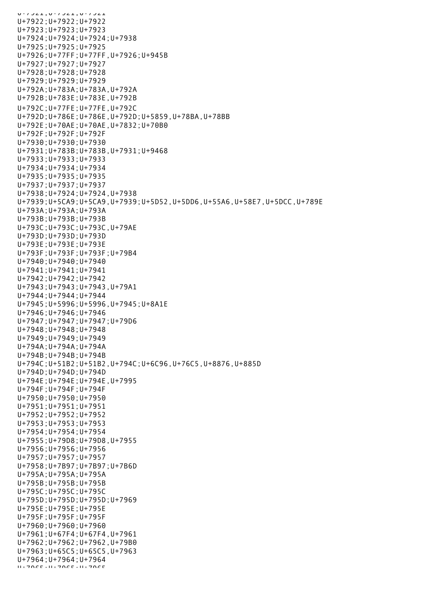U+7921;U+7921;U+7921 U+7922;U+7922;U+7922 U+7923;U+7923;U+7923 U+7924;U+7924;U+7924;U+7938 U+7925;U+7925;U+7925 U+7926;U+77FF;U+77FF,U+7926;U+945B U+7927;U+7927;U+7927 U+7928;U+7928;U+7928 U+7929;U+7929;U+7929 U+792A;U+783A;U+783A,U+792A U+792B;U+783E;U+783E,U+792B U+792C;U+77FE;U+77FE,U+792C U+792D;U+786E;U+786E,U+792D;U+5859,U+78BA,U+78BB U+792E;U+70AE;U+70AE,U+7832;U+70B0 U+792F;U+792F;U+792F U+7930;U+7930;U+7930 U+7931;U+783B;U+783B,U+7931;U+9468 U+7933;U+7933;U+7933 U+7934;U+7934;U+7934 U+7935;U+7935;U+7935 U+7937;U+7937;U+7937 U+7938;U+7924;U+7924,U+7938 U+7939;U+5CA9;U+5CA9,U+7939;U+5D52,U+5DD6,U+55A6,U+58E7,U+5DCC,U+789E U+793A;U+793A;U+793A U+793B;U+793B;U+793B U+793C;U+793C;U+793C,U+79AE U+793D;U+793D;U+793D U+793E;U+793E;U+793E U+793F;U+793F;U+793F;U+79B4 U+7940;U+7940;U+7940 U+7941;U+7941;U+7941 U+7942;U+7942;U+7942 U+7943;U+7943;U+7943,U+79A1 U+7944;U+7944;U+7944 U+7945;U+5996;U+5996,U+7945;U+8A1E U+7946;U+7946;U+7946 U+7947;U+7947;U+7947;U+79D6 U+7948;U+7948;U+7948 U+7949;U+7949;U+7949 U+794A;U+794A;U+794A U+794B;U+794B;U+794B U+794C;U+51B2;U+51B2,U+794C;U+6C96,U+76C5,U+8876,U+885D U+794D;U+794D;U+794D U+794E;U+794E;U+794E,U+7995 U+794F;U+794F;U+794F U+7950;U+7950;U+7950 U+7951;U+7951;U+7951 U+7952;U+7952;U+7952 U+7953;U+7953;U+7953 U+7954;U+7954;U+7954 U+7955;U+79D8;U+79D8,U+7955 U+7956;U+7956;U+7956 U+7957;U+7957;U+7957 U+7958;U+7B97;U+7B97;U+7B6D U+795A;U+795A;U+795A U+795B;U+795B;U+795B U+795C;U+795C;U+795C U+795D;U+795D;U+795D;U+7969 U+795E;U+795E;U+795E U+795F;U+795F;U+795F U+7960;U+7960;U+7960 U+7961;U+67F4;U+67F4,U+7961 U+7962;U+7962;U+7962,U+79B0 U+7963;U+65C5;U+65C5,U+7963 U+7964;U+7964;U+7964  $U+7065$ ; $U+7065$ ; $U+7065$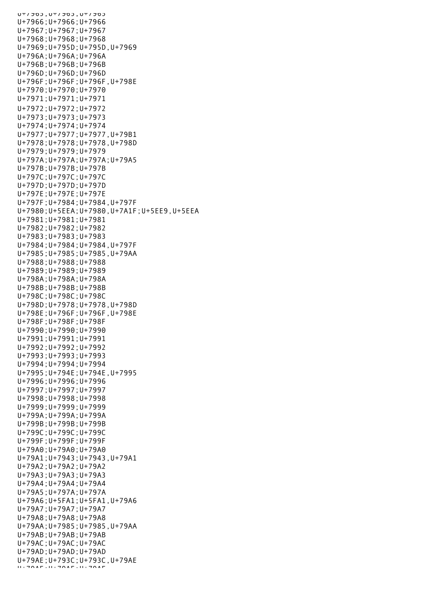$UL$ כס*כו*דט. כס*כו*דט. כסכ*ו*דט U+7966;U+7966;U+7966 U+7967;U+7967;U+7967 U+7968;U+7968;U+7968 U+7969;U+795D;U+795D,U+7969 U+796A;U+796A;U+796A U+796B;U+796B;U+796B U+796D;U+796D;U+796D U+796F;U+796F;U+796F,U+798E U+7970;U+7970;U+7970 U+7971;U+7971;U+7971 U+7972;U+7972;U+7972 U+7973;U+7973;U+7973 U+7974;U+7974;U+7974 U+7977;U+7977;U+7977,U+79B1 U+7978;U+7978;U+7978,U+798D U+7979;U+7979;U+7979 U+797A;U+797A;U+797A;U+79A5 U+797B;U+797B;U+797B U+797C;U+797C;U+797C U+797D;U+797D;U+797D U+797E;U+797E;U+797E U+797F;U+7984;U+7984,U+797F U+7980;U+5EEA;U+7980,U+7A1F;U+5EE9,U+5EEA U+7981;U+7981;U+7981 U+7982;U+7982;U+7982 U+7983;U+7983;U+7983 U+7984;U+7984;U+7984,U+797F U+7985;U+7985;U+7985,U+79AA U+7988;U+7988;U+7988 U+7989;U+7989;U+7989 U+798A;U+798A;U+798A U+798B;U+798B;U+798B U+798C;U+798C;U+798C U+798D;U+7978;U+7978,U+798D U+798E;U+796F;U+796F,U+798E U+798F;U+798F;U+798F U+7990;U+7990;U+7990 U+7991;U+7991;U+7991 U+7992;U+7992;U+7992 U+7993;U+7993;U+7993 U+7994;U+7994;U+7994 U+7995;U+794E;U+794E,U+7995 U+7996;U+7996;U+7996 U+7997;U+7997;U+7997 U+7998;U+7998;U+7998 U+7999;U+7999;U+7999 U+799A;U+799A;U+799A U+799B;U+799B;U+799B U+799C;U+799C;U+799C U+799F;U+799F;U+799F U+79A0;U+79A0;U+79A0 U+79A1;U+7943;U+7943,U+79A1 U+79A2;U+79A2;U+79A2 U+79A3;U+79A3;U+79A3 U+79A4;U+79A4;U+79A4 U+79A5;U+797A;U+797A U+79A6;U+5FA1;U+5FA1,U+79A6 U+79A7;U+79A7;U+79A7 U+79A8;U+79A8;U+79A8 U+79AA;U+7985;U+7985,U+79AA U+79AB;U+79AB;U+79AB U+79AC;U+79AC;U+79AC U+79AD;U+79AD;U+79AD U+79AE;U+793C;U+793C,U+79AE U+79AF;U+79AF;U+79AF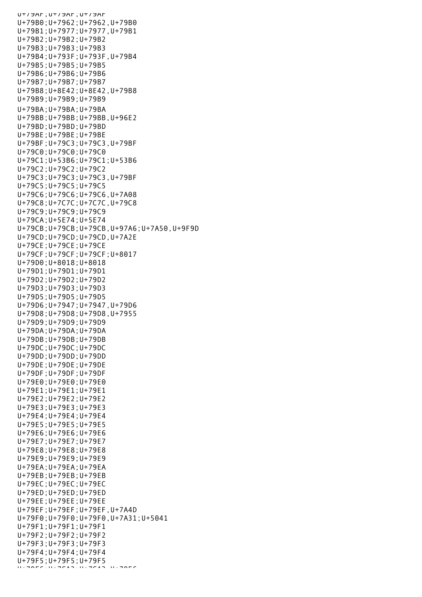U+79AF;U+79AF;U+79AF U+79B0;U+7962;U+7962,U+79B0 U+79B1;U+7977;U+7977,U+79B1 U+79B2;U+79B2;U+79B2 U+79B3;U+79B3;U+79B3 U+79B4;U+793F;U+793F,U+79B4 U+79B5;U+79B5;U+79B5 U+79B6;U+79B6;U+79B6 U+79B7;U+79B7;U+79B7 U+79B8;U+8E42;U+8E42,U+79B8 U+79B9;U+79B9;U+79B9 U+79BA;U+79BA;U+79BA U+79BB;U+79BB;U+79BB,U+96E2 U+79BD;U+79BD;U+79BD U+79BE;U+79BE;U+79BE U+79BF;U+79C3;U+79C3,U+79BF U+79C0;U+79C0;U+79C0 U+79C1;U+53B6;U+79C1;U+53B6 U+79C2;U+79C2;U+79C2 U+79C3;U+79C3;U+79C3,U+79BF U+79C5;U+79C5;U+79C5 U+79C6;U+79C6;U+79C6,U+7A08 U+79C8;U+7C7C;U+7C7C,U+79C8 U+79C9;U+79C9;U+79C9 U+79CA;U+5E74;U+5E74 U+79CB;U+79CB;U+79CB,U+97A6;U+7A50,U+9F9D U+79CD;U+79CD;U+79CD,U+7A2E U+79CE;U+79CE;U+79CE U+79CF;U+79CF;U+79CF;U+8017 U+79D0;U+8018;U+8018 U+79D1;U+79D1;U+79D1 U+79D2;U+79D2;U+79D2 U+79D3;U+79D3;U+79D3 U+79D5;U+79D5;U+79D5 U+79D6;U+7947;U+7947,U+79D6 U+79D8;U+79D8;U+79D8,U+7955 U+79D9;U+79D9;U+79D9 U+79DA;U+79DA;U+79DA U+79DB;U+79DB;U+79DB U+79DC;U+79DC;U+79DC U+79DD;U+79DD;U+79DD U+79DE;U+79DE;U+79DE U+79DF;U+79DF;U+79DF U+79E0;U+79E0;U+79E0 U+79E1;U+79E1;U+79E1 U+79E2;U+79E2;U+79E2 U+79E3;U+79E3;U+79E3 U+79E4;U+79E4;U+79E4 U+79E5;U+79E5;U+79E5 U+79E6;U+79E6;U+79E6 U+79E7;U+79E7;U+79E7 U+79E8;U+79E8;U+79E8 U+79E9;U+79E9;U+79E9 U+79EA;U+79EA;U+79EA U+79EB;U+79EB;U+79EB U+79EC;U+79EC;U+79EC U+79ED;U+79ED;U+79ED U+79EE;U+79EE;U+79EE U+79EF;U+79EF;U+79EF,U+7A4D U+79F0;U+79F0;U+79F0,U+7A31;U+5041 U+79F1;U+79F1;U+79F1 U+79F2;U+79F2;U+79F2 U+79F3;U+79F3;U+79F3 U+79F4;U+79F4;U+79F4 U+79F5;U+79F5;U+79F5  $\Box$ U+79F6; U+79AF6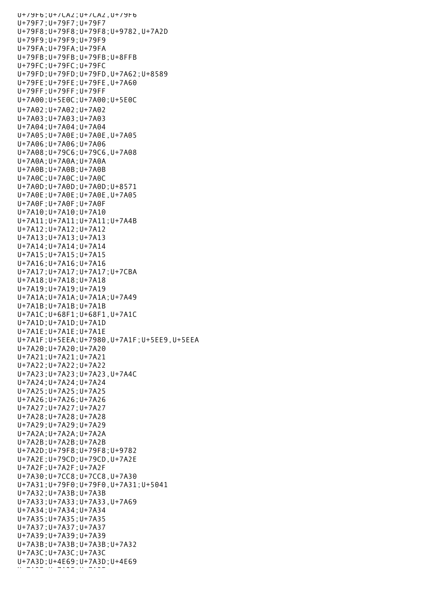U+79F6;U+7CA2;U+7CA2,U+79F6 U+79F7;U+79F7;U+79F7 U+79F8;U+79F8;U+79F8;U+9782,U+7A2D U+79F9;U+79F9;U+79F9 U+79FA;U+79FA;U+79FA U+79FB;U+79FB;U+79FB;U+8FFB U+79FC;U+79FC;U+79FC U+79FD;U+79FD;U+79FD,U+7A62;U+8589 U+79FE;U+79FE;U+79FE,U+7A60 U+79FF;U+79FF;U+79FF U+7A00;U+5E0C;U+7A00;U+5E0C U+7A02;U+7A02;U+7A02 U+7A03;U+7A03;U+7A03 U+7A04;U+7A04;U+7A04 U+7A05;U+7A0E;U+7A0E,U+7A05 U+7A06;U+7A06;U+7A06 U+7A08;U+79C6;U+79C6,U+7A08 U+7A0A;U+7A0A;U+7A0A U+7A0B;U+7A0B;U+7A0B U+7A0C;U+7A0C;U+7A0C U+7A0D;U+7A0D;U+7A0D;U+8571 U+7A0E;U+7A0E;U+7A0E,U+7A05 U+7A0F;U+7A0F;U+7A0F U+7A10;U+7A10;U+7A10 U+7A11;U+7A11;U+7A11;U+7A4B U+7A12;U+7A12;U+7A12 U+7A13;U+7A13;U+7A13 U+7A14;U+7A14;U+7A14 U+7A15;U+7A15;U+7A15 U+7A16;U+7A16;U+7A16 U+7A17;U+7A17;U+7A17;U+7CBA U+7A18;U+7A18;U+7A18 U+7A19;U+7A19;U+7A19 U+7A1A;U+7A1A;U+7A1A;U+7A49 U+7A1B;U+7A1B;U+7A1B U+7A1C;U+68F1;U+68F1,U+7A1C U+7A1D;U+7A1D;U+7A1D U+7A1E;U+7A1E;U+7A1E U+7A1F;U+5EEA;U+7980,U+7A1F;U+5EE9,U+5EEA U+7A20;U+7A20;U+7A20 U+7A21;U+7A21;U+7A21 U+7A22;U+7A22;U+7A22 U+7A23;U+7A23;U+7A23,U+7A4C U+7A24;U+7A24;U+7A24 U+7A25;U+7A25;U+7A25 U+7A26;U+7A26;U+7A26 U+7A27;U+7A27;U+7A27 U+7A28;U+7A28;U+7A28 U+7A29;U+7A29;U+7A29 U+7A2A;U+7A2A;U+7A2A U+7A2B;U+7A2B;U+7A2B U+7A2D;U+79F8;U+79F8;U+9782 U+7A2E;U+79CD;U+79CD,U+7A2E U+7A2F;U+7A2F;U+7A2F U+7A30;U+7CC8;U+7CC8,U+7A30 U+7A31;U+79F0;U+79F0,U+7A31;U+5041 U+7A32;U+7A3B;U+7A3B U+7A33;U+7A33;U+7A33,U+7A69 U+7A34;U+7A34;U+7A34 U+7A35;U+7A35;U+7A35 U+7A37;U+7A37;U+7A37 U+7A39;U+7A39;U+7A39 U+7A3B;U+7A3B;U+7A3B;U+7A32 U+7A3C;U+7A3C;U+7A3C U+7A3D;U+4E69;U+7A3D;U+4E69 U+7A2F;U+7A3F;U+7A3F<br>U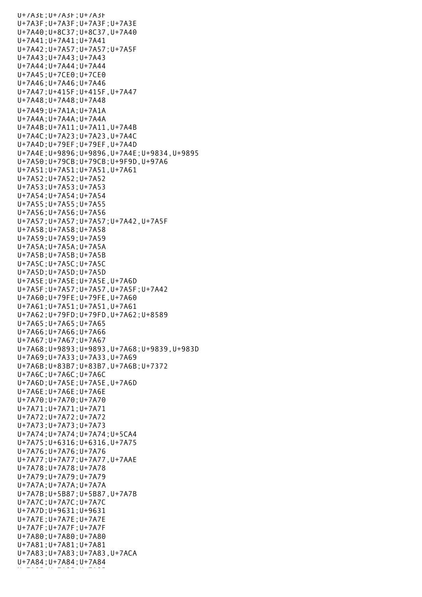U+7A3E;U+7A3F;U+7A3F U+7A3F;U+7A3F;U+7A3F;U+7A3E U+7A40;U+8C37;U+8C37,U+7A40 U+7A41;U+7A41;U+7A41 U+7A42;U+7A57;U+7A57;U+7A5F U+7A43;U+7A43;U+7A43 U+7A44;U+7A44;U+7A44 U+7A45;U+7CE0;U+7CE0 U+7A46;U+7A46;U+7A46 U+7A47;U+415F;U+415F,U+7A47 U+7A48;U+7A48;U+7A48 U+7A49;U+7A1A;U+7A1A U+7A4A;U+7A4A;U+7A4A U+7A4B;U+7A11;U+7A11,U+7A4B U+7A4C;U+7A23;U+7A23,U+7A4C U+7A4D;U+79EF;U+79EF,U+7A4D U+7A4E;U+9896;U+9896,U+7A4E;U+9834,U+9895 U+7A50;U+79CB;U+79CB;U+9F9D,U+97A6 U+7A51;U+7A51;U+7A51,U+7A61 U+7A52;U+7A52;U+7A52 U+7A53;U+7A53;U+7A53 U+7A54;U+7A54;U+7A54 U+7A55;U+7A55;U+7A55 U+7A56;U+7A56;U+7A56 U+7A57;U+7A57;U+7A57;U+7A42,U+7A5F U+7A58;U+7A58;U+7A58 U+7A59;U+7A59;U+7A59 U+7A5A;U+7A5A;U+7A5A U+7A5B;U+7A5B;U+7A5B U+7A5C;U+7A5C;U+7A5C U+7A5D;U+7A5D;U+7A5D U+7A5E;U+7A5E;U+7A5E,U+7A6D U+7A5F;U+7A57;U+7A57,U+7A5F;U+7A42 U+7A60;U+79FE;U+79FE,U+7A60 U+7A61;U+7A51;U+7A51,U+7A61 U+7A62;U+79FD;U+79FD,U+7A62;U+8589 U+7A65;U+7A65;U+7A65 U+7A66;U+7A66;U+7A66 U+7A67;U+7A67;U+7A67 U+7A68;U+9893;U+9893,U+7A68;U+9839,U+983D U+7A69;U+7A33;U+7A33,U+7A69 U+7A6B;U+83B7;U+83B7,U+7A6B;U+7372 U+7A6C;U+7A6C;U+7A6C U+7A6D;U+7A5E;U+7A5E,U+7A6D U+7A6E;U+7A6E;U+7A6E U+7A70;U+7A70;U+7A70 U+7A71;U+7A71;U+7A71 U+7A72;U+7A72;U+7A72 U+7A73;U+7A73;U+7A73 U+7A74;U+7A74;U+7A74;U+5CA4 U+7A75;U+6316;U+6316,U+7A75 U+7A76;U+7A76;U+7A76 U+7A77;U+7A77;U+7A77,U+7AAE U+7A78;U+7A78;U+7A78 U+7A79;U+7A79;U+7A79 U+7A7A;U+7A7A;U+7A7A U+7A7B;U+5B87;U+5B87,U+7A7B U+7A7C;U+7A7C;U+7A7C U+7A7D;U+9631;U+9631 U+7A7E;U+7A7E;U+7A7E U+7A7F;U+7A7F;U+7A7F U+7A80;U+7A80;U+7A80 U+7A81;U+7A81;U+7A81 U+7A83;U+7A83;U+7A83,U+7ACA U+7A84;U+7A84;U+7A84 U+7A85;U+7A85;U+7A85;U+7A85;U+7A85;U+7A85;U+7A85;U+7A85;U+7A85;U+7A85;U+7A85;U+7A85;U+7A85;U+7A85;U+7A85;U+7A8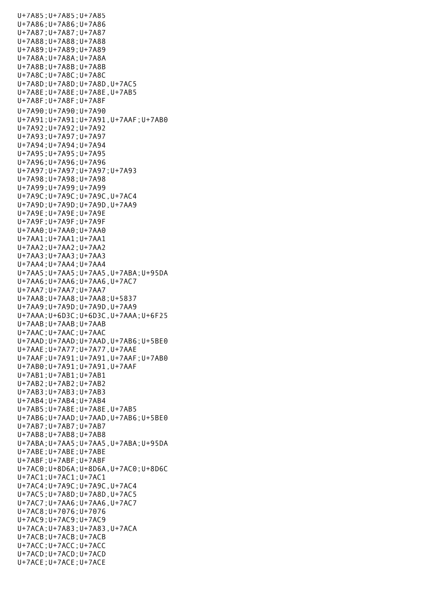U+7A85;U+7A85;U+7A85 U+7A86;U+7A86;U+7A86 U+7A87;U+7A87;U+7A87 U+7A88;U+7A88;U+7A88 U+7A89;U+7A89;U+7A89 U+7A8A;U+7A8A;U+7A8A U+7A8B;U+7A8B;U+7A8B U+7A8C;U+7A8C;U+7A8C U+7A8D;U+7A8D;U+7A8D,U+7AC5 U+7A8E;U+7A8E;U+7A8E,U+7AB5 U+7A8F;U+7A8F;U+7A8F U+7A90;U+7A90;U+7A90 U+7A91;U+7A91;U+7A91,U+7AAF;U+7AB0 U+7A92;U+7A92;U+7A92 U+7A93;U+7A97;U+7A97 U+7A94;U+7A94;U+7A94 U+7A95;U+7A95;U+7A95 U+7A96;U+7A96;U+7A96 U+7A97;U+7A97;U+7A97;U+7A93 U+7A98;U+7A98;U+7A98 U+7A99;U+7A99;U+7A99 U+7A9C;U+7A9C;U+7A9C,U+7AC4 U+7A9D;U+7A9D;U+7A9D,U+7AA9 U+7A9E;U+7A9E;U+7A9E U+7A9F;U+7A9F;U+7A9F U+7AA0;U+7AA0;U+7AA0 U+7AA1;U+7AA1;U+7AA1 U+7AA2;U+7AA2;U+7AA2 U+7AA3;U+7AA3;U+7AA3 U+7AA4;U+7AA4;U+7AA4 U+7AA5;U+7AA5;U+7AA5,U+7ABA;U+95DA U+7AA6;U+7AA6;U+7AA6,U+7AC7 U+7AA7;U+7AA7;U+7AA7 U+7AA8;U+7AA8;U+7AA8;U+5837 U+7AA9;U+7A9D;U+7A9D,U+7AA9 U+7AAA;U+6D3C;U+6D3C,U+7AAA;U+6F25 U+7AAB;U+7AAB;U+7AAB U+7AAC;U+7AAC;U+7AAC U+7AAD;U+7AAD;U+7AAD,U+7AB6;U+5BE0 U+7AAE;U+7A77;U+7A77,U+7AAE U+7AAF;U+7A91;U+7A91,U+7AAF;U+7AB0 U+7AB0;U+7A91;U+7A91,U+7AAF U+7AB1;U+7AB1;U+7AB1 U+7AB2;U+7AB2;U+7AB2 U+7AB3;U+7AB3;U+7AB3 U+7AB4;U+7AB4;U+7AB4 U+7AB5;U+7A8E;U+7A8E,U+7AB5 U+7AB6;U+7AAD;U+7AAD,U+7AB6;U+5BE0 U+7AB7;U+7AB7;U+7AB7 U+7AB8;U+7AB8;U+7AB8 U+7ABA;U+7AA5;U+7AA5,U+7ABA;U+95DA U+7ABE;U+7ABE;U+7ABE U+7ABF;U+7ABF;U+7ABF U+7AC0;U+8D6A;U+8D6A,U+7AC0;U+8D6C U+7AC1;U+7AC1;U+7AC1 U+7AC4;U+7A9C;U+7A9C,U+7AC4 U+7AC5;U+7A8D;U+7A8D,U+7AC5 U+7AC7;U+7AA6;U+7AA6,U+7AC7 U+7AC8;U+7076;U+7076 U+7AC9;U+7AC9;U+7AC9 U+7ACA;U+7A83;U+7A83,U+7ACA U+7ACB;U+7ACB;U+7ACB U+7ACC;U+7ACC;U+7ACC U+7ACD;U+7ACD;U+7ACD U+7ACE;U+7ACE;U+7ACE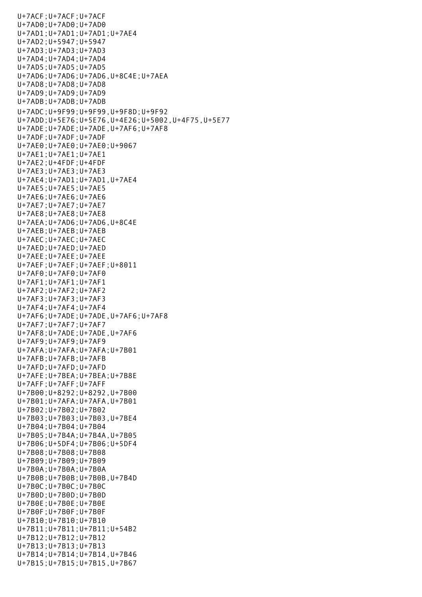U+7ACF;U+7ACF;U+7ACF U+7AD0;U+7AD0;U+7AD0 U+7AD1;U+7AD1;U+7AD1;U+7AE4 U+7AD2;U+5947;U+5947 U+7AD3;U+7AD3;U+7AD3 U+7AD4;U+7AD4;U+7AD4 U+7AD5;U+7AD5;U+7AD5 U+7AD6;U+7AD6;U+7AD6,U+8C4E;U+7AEA U+7AD8;U+7AD8;U+7AD8 U+7AD9;U+7AD9;U+7AD9 U+7ADB;U+7ADB;U+7ADB U+7ADC;U+9F99;U+9F99,U+9F8D;U+9F92 U+7ADD;U+5E76;U+5E76,U+4E26;U+5002,U+4F75,U+5E77 U+7ADE;U+7ADE;U+7ADE,U+7AF6;U+7AF8 U+7ADF;U+7ADF;U+7ADF U+7AE0;U+7AE0;U+7AE0;U+9067 U+7AE1;U+7AE1;U+7AE1 U+7AE2;U+4FDF;U+4FDF U+7AE3;U+7AE3;U+7AE3 U+7AE4;U+7AD1;U+7AD1,U+7AE4 U+7AE5;U+7AE5;U+7AE5 U+7AE6;U+7AE6;U+7AE6 U+7AE7;U+7AE7;U+7AE7 U+7AE8;U+7AE8;U+7AE8 U+7AEA;U+7AD6;U+7AD6,U+8C4E U+7AEB;U+7AEB;U+7AEB U+7AEC;U+7AEC;U+7AEC U+7AED;U+7AED;U+7AED U+7AEE;U+7AEE;U+7AEE U+7AEF;U+7AEF;U+7AEF;U+8011 U+7AF0;U+7AF0;U+7AF0 U+7AF1;U+7AF1;U+7AF1 U+7AF2;U+7AF2;U+7AF2 U+7AF3;U+7AF3;U+7AF3 U+7AF4;U+7AF4;U+7AF4 U+7AF6;U+7ADE;U+7ADE,U+7AF6;U+7AF8 U+7AF7;U+7AF7;U+7AF7 U+7AF8;U+7ADE;U+7ADE,U+7AF6 U+7AF9;U+7AF9;U+7AF9 U+7AFA;U+7AFA;U+7AFA;U+7B01 U+7AFB;U+7AFB;U+7AFB U+7AFD;U+7AFD;U+7AFD U+7AFE;U+7BEA;U+7BEA;U+7B8E U+7AFF;U+7AFF;U+7AFF U+7B00;U+8292;U+8292,U+7B00 U+7B01;U+7AFA;U+7AFA,U+7B01 U+7B02;U+7B02;U+7B02 U+7B03;U+7B03;U+7B03,U+7BE4 U+7B04;U+7B04;U+7B04 U+7B05;U+7B4A;U+7B4A,U+7B05 U+7B06;U+5DF4;U+7B06;U+5DF4 U+7B08;U+7B08;U+7B08 U+7B09;U+7B09;U+7B09 U+7B0A;U+7B0A;U+7B0A U+7B0B;U+7B0B;U+7B0B,U+7B4D U+7B0C;U+7B0C;U+7B0C U+7B0D;U+7B0D;U+7B0D U+7B0E;U+7B0E;U+7B0E U+7B0F;U+7B0F;U+7B0F U+7B10;U+7B10;U+7B10 U+7B11;U+7B11;U+7B11;U+54B2 U+7B12;U+7B12;U+7B12 U+7B13;U+7B13;U+7B13 U+7B14;U+7B14;U+7B14,U+7B46 U+7B15;U+7B15;U+7B15,U+7B67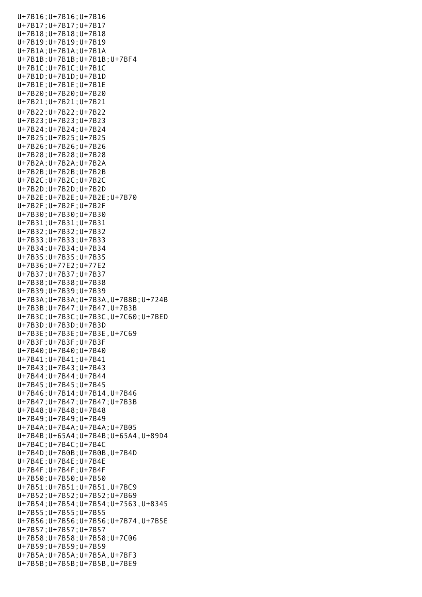U+7B16;U+7B16;U+7B16 U+7B17;U+7B17;U+7B17 U+7B18;U+7B18;U+7B18 U+7B19;U+7B19;U+7B19 U+7B1A;U+7B1A;U+7B1A U+7B1B;U+7B1B;U+7B1B;U+7BF4 U+7B1C;U+7B1C;U+7B1C U+7B1D;U+7B1D;U+7B1D U+7B1E;U+7B1E;U+7B1E U+7B20;U+7B20;U+7B20 U+7B21;U+7B21;U+7B21 U+7B22;U+7B22;U+7B22 U+7B23;U+7B23;U+7B23 U+7B24;U+7B24;U+7B24 U+7B25;U+7B25;U+7B25 U+7B26;U+7B26;U+7B26 U+7B28;U+7B28;U+7B28 U+7B2A;U+7B2A;U+7B2A U+7B2B;U+7B2B;U+7B2B U+7B2C;U+7B2C;U+7B2C U+7B2D;U+7B2D;U+7B2D U+7B2E;U+7B2E;U+7B2E;U+7B70 U+7B2F;U+7B2F;U+7B2F U+7B30;U+7B30;U+7B30 U+7B31;U+7B31;U+7B31 U+7B32;U+7B32;U+7B32 U+7B33;U+7B33;U+7B33 U+7B34;U+7B34;U+7B34 U+7B35;U+7B35;U+7B35 U+7B36;U+77E2;U+77E2 U+7B37;U+7B37;U+7B37 U+7B38;U+7B38;U+7B38 U+7B39;U+7B39;U+7B39 U+7B3A;U+7B3A;U+7B3A,U+7B8B;U+724B U+7B3B;U+7B47;U+7B47,U+7B3B U+7B3C;U+7B3C;U+7B3C,U+7C60;U+7BED U+7B3D;U+7B3D;U+7B3D U+7B3E;U+7B3E;U+7B3E,U+7C69 U+7B3F;U+7B3F;U+7B3F U+7B40;U+7B40;U+7B40 U+7B41;U+7B41;U+7B41 U+7B43;U+7B43;U+7B43 U+7B44;U+7B44;U+7B44 U+7B45;U+7B45;U+7B45 U+7B46;U+7B14;U+7B14,U+7B46 U+7B47;U+7B47;U+7B47;U+7B3B U+7B48;U+7B48;U+7B48 U+7B49;U+7B49;U+7B49 U+7B4A;U+7B4A;U+7B4A;U+7B05 U+7B4B;U+65A4;U+7B4B;U+65A4,U+89D4 U+7B4C;U+7B4C;U+7B4C U+7B4D;U+7B0B;U+7B0B,U+7B4D U+7B4E;U+7B4E;U+7B4E U+7B4F;U+7B4F;U+7B4F U+7B50;U+7B50;U+7B50 U+7B51;U+7B51;U+7B51,U+7BC9 U+7B52;U+7B52;U+7B52;U+7B69 U+7B54;U+7B54;U+7B54;U+7563,U+8345 U+7B55;U+7B55;U+7B55 U+7B56;U+7B56;U+7B56;U+7B74,U+7B5E U+7B57;U+7B57;U+7B57 U+7B58;U+7B58;U+7B58;U+7C06 U+7B59;U+7B59;U+7B59 U+7B5A;U+7B5A;U+7B5A,U+7BF3 U+7B5B;U+7B5B;U+7B5B,U+7BE9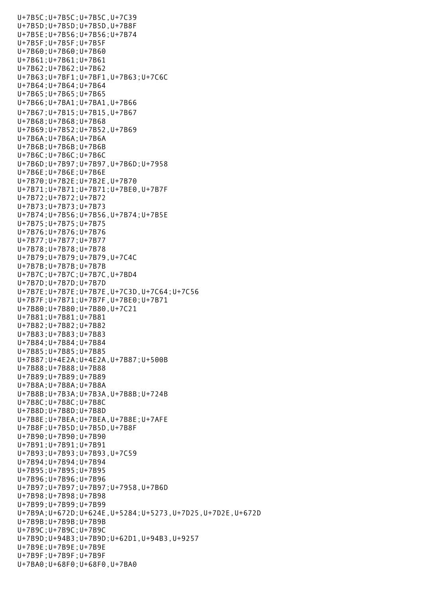U+7B5C;U+7B5C;U+7B5C,U+7C39 U+7B5D;U+7B5D;U+7B5D,U+7B8F U+7B5E;U+7B56;U+7B56;U+7B74 U+7B5F;U+7B5F;U+7B5F U+7B60;U+7B60;U+7B60 U+7B61;U+7B61;U+7B61 U+7B62;U+7B62;U+7B62 U+7B63;U+7BF1;U+7BF1,U+7B63;U+7C6C U+7B64;U+7B64;U+7B64 U+7B65;U+7B65;U+7B65 U+7B66;U+7BA1;U+7BA1,U+7B66 U+7B67;U+7B15;U+7B15,U+7B67 U+7B68;U+7B68;U+7B68 U+7B69;U+7B52;U+7B52,U+7B69 U+7B6A;U+7B6A;U+7B6A U+7B6B;U+7B6B;U+7B6B U+7B6C;U+7B6C;U+7B6C U+7B6D;U+7B97;U+7B97,U+7B6D;U+7958 U+7B6E;U+7B6E;U+7B6E U+7B70;U+7B2E;U+7B2E,U+7B70 U+7B71;U+7B71;U+7B71;U+7BE0,U+7B7F U+7B72;U+7B72;U+7B72 U+7B73;U+7B73;U+7B73 U+7B74;U+7B56;U+7B56,U+7B74;U+7B5E U+7B75;U+7B75;U+7B75 U+7B76;U+7B76;U+7B76 U+7B77;U+7B77;U+7B77 U+7B78;U+7B78;U+7B78 U+7B79;U+7B79;U+7B79,U+7C4C U+7B7B;U+7B7B;U+7B7B U+7B7C;U+7B7C;U+7B7C,U+7BD4 U+7B7D;U+7B7D;U+7B7D U+7B7E;U+7B7E;U+7B7E,U+7C3D,U+7C64;U+7C56 U+7B7F;U+7B71;U+7B7F,U+7BE0;U+7B71 U+7B80;U+7B80;U+7B80,U+7C21 U+7B81;U+7B81;U+7B81 U+7B82;U+7B82;U+7B82 U+7B83;U+7B83;U+7B83 U+7B84;U+7B84;U+7B84 U+7B85;U+7B85;U+7B85 U+7B87;U+4E2A;U+4E2A,U+7B87;U+500B U+7B88;U+7B88;U+7B88 U+7B89;U+7B89;U+7B89 U+7B8A;U+7B8A;U+7B8A U+7B8B;U+7B3A;U+7B3A,U+7B8B;U+724B U+7B8C;U+7B8C;U+7B8C U+7B8D;U+7B8D;U+7B8D U+7B8E;U+7BEA;U+7BEA,U+7B8E;U+7AFE U+7B8F;U+7B5D;U+7B5D,U+7B8F U+7B90;U+7B90;U+7B90 U+7B91;U+7B91;U+7B91 U+7B93;U+7B93;U+7B93,U+7C59 U+7B94;U+7B94;U+7B94 U+7B95;U+7B95;U+7B95 U+7B96;U+7B96;U+7B96 U+7B97;U+7B97;U+7B97;U+7958,U+7B6D U+7B98;U+7B98;U+7B98 U+7B99;U+7B99;U+7B99 U+7B9A;U+672D;U+624E,U+5284;U+5273,U+7D25,U+7D2E,U+672D U+7B9B;U+7B9B;U+7B9B U+7B9C;U+7B9C;U+7B9C U+7B9D;U+94B3;U+7B9D;U+62D1,U+94B3,U+9257 U+7B9E;U+7B9E;U+7B9E U+7B9F;U+7B9F;U+7B9F U+7BA0;U+68F0;U+68F0,U+7BA0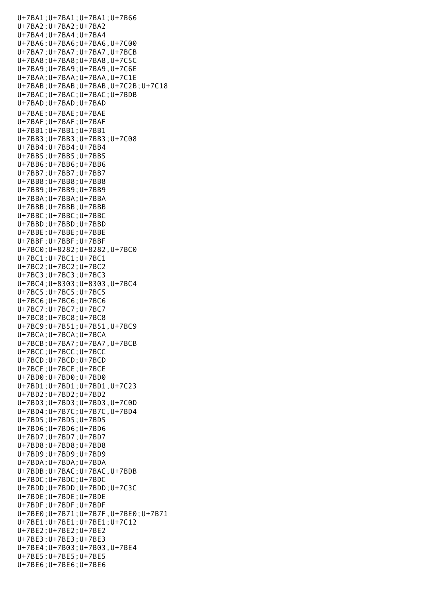U+7BA1;U+7BA1;U+7BA1;U+7B66 U+7BA2;U+7BA2;U+7BA2 U+7BA4;U+7BA4;U+7BA4 U+7BA6;U+7BA6;U+7BA6,U+7C00 U+7BA7;U+7BA7;U+7BA7,U+7BCB U+7BA8;U+7BA8;U+7BA8,U+7C5C U+7BA9;U+7BA9;U+7BA9,U+7C6E U+7BAA;U+7BAA;U+7BAA,U+7C1E U+7BAB;U+7BAB;U+7BAB,U+7C2B;U+7C18 U+7BAC;U+7BAC;U+7BAC;U+7BDB U+7BAD;U+7BAD;U+7BAD U+7BAE;U+7BAE;U+7BAE U+7BAF;U+7BAF;U+7BAF U+7BB1;U+7BB1;U+7BB1 U+7BB3;U+7BB3;U+7BB3;U+7C08 U+7BB4;U+7BB4;U+7BB4 U+7BB5;U+7BB5;U+7BB5 U+7BB6;U+7BB6;U+7BB6 U+7BB7;U+7BB7;U+7BB7 U+7BB8;U+7BB8;U+7BB8 U+7BB9;U+7BB9;U+7BB9 U+7BBA;U+7BBA;U+7BBA U+7BBB;U+7BBB;U+7BBB U+7BBC;U+7BBC;U+7BBC U+7BBD;U+7BBD;U+7BBD U+7BBE;U+7BBE;U+7BBE U+7BBF;U+7BBF;U+7BBF U+7BC0;U+8282;U+8282,U+7BC0 U+7BC1;U+7BC1;U+7BC1 U+7BC2;U+7BC2;U+7BC2 U+7BC3;U+7BC3;U+7BC3 U+7BC4;U+8303;U+8303,U+7BC4 U+7BC5;U+7BC5;U+7BC5 U+7BC6;U+7BC6;U+7BC6 U+7BC7;U+7BC7;U+7BC7 U+7BC8;U+7BC8;U+7BC8 U+7BC9;U+7B51;U+7B51,U+7BC9 U+7BCA;U+7BCA;U+7BCA U+7BCB;U+7BA7;U+7BA7,U+7BCB U+7BCC;U+7BCC;U+7BCC U+7BCD;U+7BCD;U+7BCD U+7BCE;U+7BCE;U+7BCE U+7BD0;U+7BD0;U+7BD0 U+7BD1;U+7BD1;U+7BD1,U+7C23 U+7BD2;U+7BD2;U+7BD2 U+7BD3;U+7BD3;U+7BD3,U+7C0D U+7BD4;U+7B7C;U+7B7C,U+7BD4 U+7BD5;U+7BD5;U+7BD5 U+7BD6;U+7BD6;U+7BD6 U+7BD7;U+7BD7;U+7BD7 U+7BD8;U+7BD8;U+7BD8 U+7BD9;U+7BD9;U+7BD9 U+7BDA;U+7BDA;U+7BDA U+7BDB;U+7BAC;U+7BAC,U+7BDB U+7BDC;U+7BDC;U+7BDC U+7BDD;U+7BDD;U+7BDD;U+7C3C U+7BDE;U+7BDE;U+7BDE U+7BDF;U+7BDF;U+7BDF U+7BE0;U+7B71;U+7B7F,U+7BE0;U+7B71 U+7BE1;U+7BE1;U+7BE1;U+7C12 U+7BE2;U+7BE2;U+7BE2 U+7BE3;U+7BE3;U+7BE3 U+7BE4;U+7B03;U+7B03,U+7BE4 U+7BE5;U+7BE5;U+7BE5 U+7BE6;U+7BE6;U+7BE6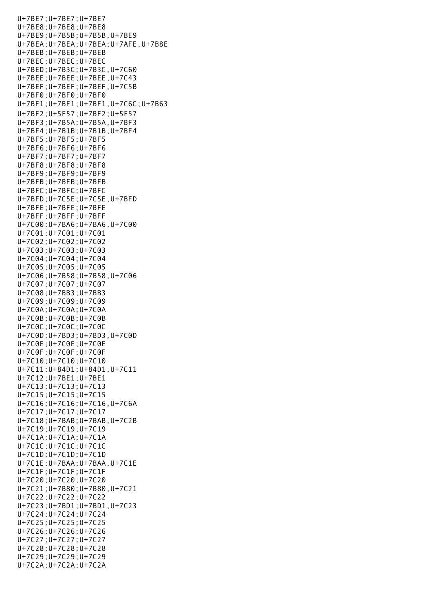U+7BE7;U+7BE7;U+7BE7 U+7BE8;U+7BE8;U+7BE8 U+7BE9;U+7B5B;U+7B5B,U+7BE9 U+7BEA;U+7BEA;U+7BEA;U+7AFE,U+7B8E U+7BEB;U+7BEB;U+7BEB U+7BEC;U+7BEC;U+7BEC U+7BED;U+7B3C;U+7B3C,U+7C60 U+7BEE;U+7BEE;U+7BEE,U+7C43 U+7BEF;U+7BEF;U+7BEF,U+7C5B U+7BF0;U+7BF0;U+7BF0 U+7BF1;U+7BF1;U+7BF1,U+7C6C;U+7B63 U+7BF2;U+5F57;U+7BF2;U+5F57 U+7BF3;U+7B5A;U+7B5A,U+7BF3 U+7BF4;U+7B1B;U+7B1B,U+7BF4 U+7BF5;U+7BF5;U+7BF5 U+7BF6;U+7BF6;U+7BF6 U+7BF7;U+7BF7;U+7BF7 U+7BF8;U+7BF8;U+7BF8 U+7BF9;U+7BF9;U+7BF9 U+7BFB;U+7BFB;U+7BFB U+7BFC;U+7BFC;U+7BFC U+7BFD;U+7C5E;U+7C5E,U+7BFD U+7BFE;U+7BFE;U+7BFE U+7BFF;U+7BFF;U+7BFF U+7C00;U+7BA6;U+7BA6,U+7C00 U+7C01;U+7C01;U+7C01 U+7C02;U+7C02;U+7C02 U+7C03;U+7C03;U+7C03 U+7C04;U+7C04;U+7C04 U+7C05;U+7C05;U+7C05 U+7C06;U+7B58;U+7B58,U+7C06 U+7C07;U+7C07;U+7C07 U+7C08;U+7BB3;U+7BB3 U+7C09;U+7C09;U+7C09 U+7C0A;U+7C0A;U+7C0A U+7C0B;U+7C0B;U+7C0B U+7C0C;U+7C0C;U+7C0C U+7C0D;U+7BD3;U+7BD3,U+7C0D U+7C0E;U+7C0E;U+7C0E U+7C0F;U+7C0F;U+7C0F U+7C10;U+7C10;U+7C10 U+7C11;U+84D1;U+84D1,U+7C11 U+7C12;U+7BE1;U+7BE1 U+7C13;U+7C13;U+7C13 U+7C15;U+7C15;U+7C15 U+7C16;U+7C16;U+7C16,U+7C6A U+7C17;U+7C17;U+7C17 U+7C18;U+7BAB;U+7BAB,U+7C2B U+7C19;U+7C19;U+7C19 U+7C1A;U+7C1A;U+7C1A U+7C1C;U+7C1C;U+7C1C U+7C1D;U+7C1D;U+7C1D U+7C1E;U+7BAA;U+7BAA,U+7C1E U+7C1F;U+7C1F;U+7C1F U+7C20;U+7C20;U+7C20 U+7C21;U+7B80;U+7B80,U+7C21 U+7C22;U+7C22;U+7C22 U+7C23;U+7BD1;U+7BD1,U+7C23 U+7C24;U+7C24;U+7C24 U+7C25;U+7C25;U+7C25 U+7C26;U+7C26;U+7C26 U+7C27;U+7C27;U+7C27 U+7C28;U+7C28;U+7C28 U+7C29;U+7C29;U+7C29 U+7C2A;U+7C2A;U+7C2A

U+7BE6;U+7BE6;U+7BE6;U+7BE6;U+7BE6;U+7BE6;U+7BE6;U+7BE6;U+7BE6;U+7BE6;U+7BE6;U+7BE6;U+7BE6;U+7BE6;U+7BE6;U+7BE6;U+7BE6;U+7BE6;U+7BE6;U+7BE6;U+7BE6;U+7BE6;U+7BE6;U+7BE6;U+7BE6;U+7BE6;U+7BE6;U+7BE6;U+7BE6;U+7BE6;U+7BE6;U+7BE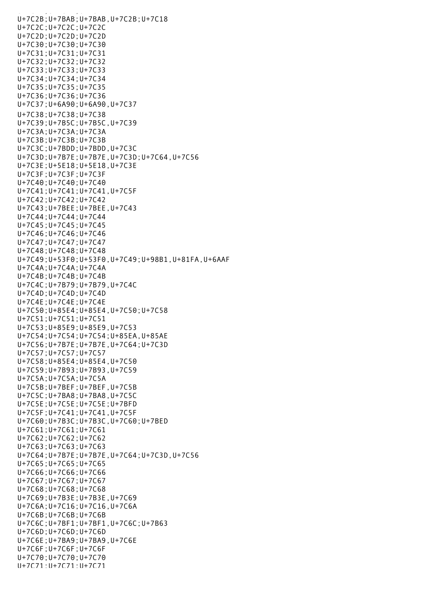U+7C2B;U+7BAB;U+7BAB,U+7C2B;U+7C18 U+7C2C;U+7C2C;U+7C2C U+7C2D;U+7C2D;U+7C2D U+7C30;U+7C30;U+7C30 U+7C31;U+7C31;U+7C31 U+7C32;U+7C32;U+7C32 U+7C33;U+7C33;U+7C33 U+7C34;U+7C34;U+7C34 U+7C35;U+7C35;U+7C35 U+7C36;U+7C36;U+7C36 U+7C37;U+6A90;U+6A90,U+7C37 U+7C38;U+7C38;U+7C38 U+7C39;U+7B5C;U+7B5C,U+7C39 U+7C3A;U+7C3A;U+7C3A U+7C3B;U+7C3B;U+7C3B U+7C3C;U+7BDD;U+7BDD,U+7C3C U+7C3D;U+7B7E;U+7B7E,U+7C3D;U+7C64,U+7C56 U+7C3E;U+5E18;U+5E18,U+7C3E U+7C3F;U+7C3F;U+7C3F U+7C40;U+7C40;U+7C40 U+7C41;U+7C41;U+7C41,U+7C5F U+7C42;U+7C42;U+7C42 U+7C43;U+7BEE;U+7BEE,U+7C43 U+7C44;U+7C44;U+7C44 U+7C45;U+7C45;U+7C45 U+7C46;U+7C46;U+7C46 U+7C47;U+7C47;U+7C47 U+7C48;U+7C48;U+7C48 U+7C49;U+53F0;U+53F0,U+7C49;U+98B1,U+81FA,U+6AAF U+7C4A;U+7C4A;U+7C4A U+7C4B;U+7C4B;U+7C4B U+7C4C;U+7B79;U+7B79,U+7C4C U+7C4D;U+7C4D;U+7C4D U+7C4E;U+7C4E;U+7C4E U+7C50;U+85E4;U+85E4,U+7C50;U+7C58 U+7C51;U+7C51;U+7C51 U+7C53;U+85E9;U+85E9,U+7C53 U+7C54;U+7C54;U+7C54;U+85EA,U+85AE U+7C56;U+7B7E;U+7B7E,U+7C64;U+7C3D U+7C57;U+7C57;U+7C57 U+7C58;U+85E4;U+85E4,U+7C50 U+7C59;U+7B93;U+7B93,U+7C59 U+7C5A;U+7C5A;U+7C5A U+7C5B;U+7BEF;U+7BEF,U+7C5B U+7C5C;U+7BA8;U+7BA8,U+7C5C U+7C5E;U+7C5E;U+7C5E;U+7BFD U+7C5F;U+7C41;U+7C41,U+7C5F U+7C60;U+7B3C;U+7B3C,U+7C60;U+7BED U+7C61;U+7C61;U+7C61 U+7C62;U+7C62;U+7C62 U+7C63;U+7C63;U+7C63 U+7C64;U+7B7E;U+7B7E,U+7C64;U+7C3D,U+7C56 U+7C65;U+7C65;U+7C65 U+7C66;U+7C66;U+7C66 U+7C67;U+7C67;U+7C67 U+7C68;U+7C68;U+7C68 U+7C69;U+7B3E;U+7B3E,U+7C69 U+7C6A;U+7C16;U+7C16,U+7C6A U+7C6B;U+7C6B;U+7C6B U+7C6C;U+7BF1;U+7BF1,U+7C6C;U+7B63 U+7C6D;U+7C6D;U+7C6D U+7C6E;U+7BA9;U+7BA9,U+7C6E U+7C6F;U+7C6F;U+7C6F U+7C70;U+7C70;U+7C70 U+7C71;U+7C71;U+7C71

u<br>Tacharta (1972) - Tacharta (1972) - Tacharta (1972) - Tacharta (1972) - Tacharta (1972) - Tacharta (1972) - Ta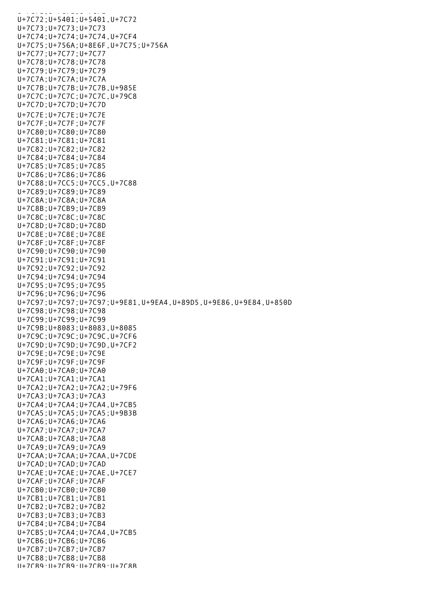U+7C71;U+7C71;U+7C71;U+7C71;U+7C71;U+7C71;U+7C71;U+7C71;U+7C71;U+7C71;U+7C71;U+7C U+7C72;U+5401;U+5401,U+7C72 U+7C73;U+7C73;U+7C73 U+7C74;U+7C74;U+7C74,U+7CF4 U+7C75;U+756A;U+8E6F,U+7C75;U+756A U+7C77;U+7C77;U+7C77 U+7C78;U+7C78;U+7C78 U+7C79;U+7C79;U+7C79 U+7C7A;U+7C7A;U+7C7A U+7C7B;U+7C7B;U+7C7B,U+985E U+7C7C;U+7C7C;U+7C7C,U+79C8 U+7C7D;U+7C7D;U+7C7D U+7C7E;U+7C7E;U+7C7E U+7C7F;U+7C7F;U+7C7F U+7C80;U+7C80;U+7C80 U+7C81;U+7C81;U+7C81 U+7C82;U+7C82;U+7C82 U+7C84;U+7C84;U+7C84 U+7C85;U+7C85;U+7C85 U+7C86;U+7C86;U+7C86 U+7C88;U+7CC5;U+7CC5,U+7C88 U+7C89;U+7C89;U+7C89 U+7C8A;U+7C8A;U+7C8A U+7C8B;U+7CB9;U+7CB9 U+7C8C;U+7C8C;U+7C8C U+7C8D;U+7C8D;U+7C8D U+7C8E;U+7C8E;U+7C8E U+7C8F;U+7C8F;U+7C8F U+7C90;U+7C90;U+7C90 U+7C91;U+7C91;U+7C91 U+7C92;U+7C92;U+7C92 U+7C94;U+7C94;U+7C94 U+7C95;U+7C95;U+7C95 U+7C96;U+7C96;U+7C96 U+7C97;U+7C97;U+7C97;U+9E81,U+9EA4,U+89D5,U+9E86,U+9E84,U+850D U+7C98;U+7C98;U+7C98 U+7C99;U+7C99;U+7C99 U+7C9B;U+8083;U+8083,U+8085 U+7C9C;U+7C9C;U+7C9C,U+7CF6 U+7C9D;U+7C9D;U+7C9D,U+7CF2 U+7C9E;U+7C9E;U+7C9E U+7C9F;U+7C9F;U+7C9F U+7CA0;U+7CA0;U+7CA0 U+7CA1;U+7CA1;U+7CA1 U+7CA2;U+7CA2;U+7CA2;U+79F6 U+7CA3;U+7CA3;U+7CA3 U+7CA4;U+7CA4;U+7CA4,U+7CB5 U+7CA5;U+7CA5;U+7CA5;U+9B3B U+7CA6;U+7CA6;U+7CA6 U+7CA7;U+7CA7;U+7CA7 U+7CA8;U+7CA8;U+7CA8 U+7CA9;U+7CA9;U+7CA9 U+7CAA;U+7CAA;U+7CAA,U+7CDE U+7CAD;U+7CAD;U+7CAD U+7CAE;U+7CAE;U+7CAE,U+7CE7 U+7CAF;U+7CAF;U+7CAF U+7CB0;U+7CB0;U+7CB0 U+7CB1;U+7CB1;U+7CB1 U+7CB2;U+7CB2;U+7CB2 U+7CB3;U+7CB3;U+7CB3 U+7CB4;U+7CB4;U+7CB4 U+7CB5;U+7CA4;U+7CA4,U+7CB5 U+7CB6;U+7CB6;U+7CB6 U+7CB7;U+7CB7;U+7CB7 U+7CB8;U+7CB8;U+7CB8 U+7CB9;U+7CB9;U+7CB9;U+7C8B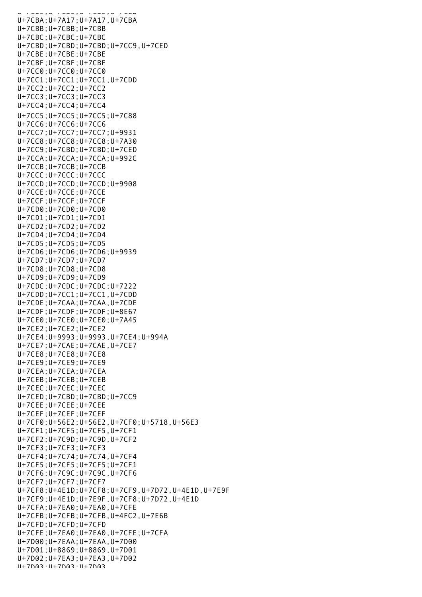U+7CB9;U+7CB9;U+7CB9;U+7C8B U+7CBA;U+7A17;U+7A17,U+7CBA U+7CBB;U+7CBB;U+7CBB U+7CBC;U+7CBC;U+7CBC U+7CBD;U+7CBD;U+7CBD;U+7CC9,U+7CED U+7CBE;U+7CBE;U+7CBE U+7CBF;U+7CBF;U+7CBF U+7CC0;U+7CC0;U+7CC0 U+7CC1;U+7CC1;U+7CC1,U+7CDD U+7CC2;U+7CC2;U+7CC2 U+7CC3;U+7CC3;U+7CC3 U+7CC4;U+7CC4;U+7CC4 U+7CC5;U+7CC5;U+7CC5;U+7C88 U+7CC6;U+7CC6;U+7CC6 U+7CC7;U+7CC7;U+7CC7;U+9931 U+7CC8;U+7CC8;U+7CC8;U+7A30 U+7CC9;U+7CBD;U+7CBD;U+7CED U+7CCA;U+7CCA;U+7CCA;U+992C U+7CCB;U+7CCB;U+7CCB U+7CCC;U+7CCC;U+7CCC U+7CCD;U+7CCD;U+7CCD;U+9908 U+7CCE;U+7CCE;U+7CCE U+7CCF;U+7CCF;U+7CCF U+7CD0;U+7CD0;U+7CD0 U+7CD1;U+7CD1;U+7CD1 U+7CD2;U+7CD2;U+7CD2 U+7CD4;U+7CD4;U+7CD4 U+7CD5;U+7CD5;U+7CD5 U+7CD6;U+7CD6;U+7CD6;U+9939 U+7CD7;U+7CD7;U+7CD7 U+7CD8;U+7CD8;U+7CD8 U+7CD9;U+7CD9;U+7CD9 U+7CDC;U+7CDC;U+7CDC;U+7222 U+7CDD;U+7CC1;U+7CC1,U+7CDD U+7CDE;U+7CAA;U+7CAA,U+7CDE U+7CDF;U+7CDF;U+7CDF;U+8E67 U+7CE0;U+7CE0;U+7CE0;U+7A45 U+7CE2;U+7CE2;U+7CE2 U+7CE4;U+9993;U+9993,U+7CE4;U+994A U+7CE7;U+7CAE;U+7CAE,U+7CE7 U+7CE8;U+7CE8;U+7CE8 U+7CE9;U+7CE9;U+7CE9 U+7CEA;U+7CEA;U+7CEA U+7CEB;U+7CEB;U+7CEB U+7CEC;U+7CEC;U+7CEC U+7CED;U+7CBD;U+7CBD;U+7CC9 U+7CEE;U+7CEE;U+7CEE U+7CEF;U+7CEF;U+7CEF U+7CF0;U+56E2;U+56E2,U+7CF0;U+5718,U+56E3 U+7CF1;U+7CF5;U+7CF5,U+7CF1 U+7CF2;U+7C9D;U+7C9D,U+7CF2 U+7CF3;U+7CF3;U+7CF3 U+7CF4;U+7C74;U+7C74,U+7CF4 U+7CF5;U+7CF5;U+7CF5;U+7CF1 U+7CF6;U+7C9C;U+7C9C,U+7CF6 U+7CF7;U+7CF7;U+7CF7 U+7CF8;U+4E1D;U+7CF8;U+7CF9,U+7D72,U+4E1D,U+7E9F U+7CF9;U+4E1D;U+7E9F,U+7CF8;U+7D72,U+4E1D U+7CFA;U+7EA0;U+7EA0,U+7CFE U+7CFB;U+7CFB;U+7CFB,U+4FC2,U+7E6B U+7CFD;U+7CFD;U+7CFD U+7CFE;U+7EA0;U+7EA0,U+7CFE;U+7CFA U+7D00;U+7EAA;U+7EAA,U+7D00 U+7D01;U+8869;U+8869,U+7D01 U+7D02;U+7EA3;U+7EA3,U+7D02 U+7D03;U+7D03;U+7D03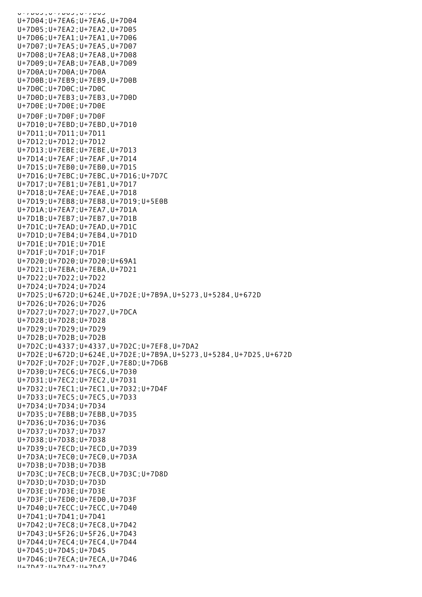U+7D03;U+7D03;U+7D03 U+7D04;U+7EA6;U+7EA6,U+7D04 U+7D05;U+7EA2;U+7EA2,U+7D05 U+7D06;U+7EA1;U+7EA1,U+7D06 U+7D07;U+7EA5;U+7EA5,U+7D07 U+7D08;U+7EA8;U+7EA8,U+7D08 U+7D09;U+7EAB;U+7EAB,U+7D09 U+7D0A;U+7D0A;U+7D0A U+7D0B;U+7EB9;U+7EB9,U+7D0B U+7D0C;U+7D0C;U+7D0C U+7D0D;U+7EB3;U+7EB3,U+7D0D U+7D0E;U+7D0E;U+7D0E U+7D0F;U+7D0F;U+7D0F U+7D10;U+7EBD;U+7EBD,U+7D10 U+7D11;U+7D11;U+7D11 U+7D12;U+7D12;U+7D12 U+7D13;U+7EBE;U+7EBE,U+7D13 U+7D14;U+7EAF;U+7EAF,U+7D14 U+7D15;U+7EB0;U+7EB0,U+7D15 U+7D16;U+7EBC;U+7EBC,U+7D16;U+7D7C U+7D17;U+7EB1;U+7EB1,U+7D17 U+7D18;U+7EAE;U+7EAE,U+7D18 U+7D19;U+7EB8;U+7EB8,U+7D19;U+5E0B U+7D1A;U+7EA7;U+7EA7,U+7D1A U+7D1B;U+7EB7;U+7EB7,U+7D1B U+7D1C;U+7EAD;U+7EAD,U+7D1C U+7D1D;U+7EB4;U+7EB4,U+7D1D U+7D1E;U+7D1E;U+7D1E U+7D1F;U+7D1F;U+7D1F U+7D20;U+7D20;U+7D20;U+69A1 U+7D21;U+7EBA;U+7EBA,U+7D21 U+7D22;U+7D22;U+7D22 U+7D24;U+7D24;U+7D24 U+7D25;U+672D;U+624E,U+7D2E;U+7B9A,U+5273,U+5284,U+672D U+7D26;U+7D26;U+7D26 U+7D27;U+7D27;U+7D27,U+7DCA U+7D28;U+7D28;U+7D28 U+7D29;U+7D29;U+7D29 U+7D2B;U+7D2B;U+7D2B U+7D2C;U+4337;U+4337,U+7D2C;U+7EF8,U+7DA2 U+7D2E;U+672D;U+624E,U+7D2E;U+7B9A,U+5273,U+5284,U+7D25,U+672D U+7D2F;U+7D2F;U+7D2F,U+7E8D;U+7D6B U+7D30;U+7EC6;U+7EC6,U+7D30 U+7D31;U+7EC2;U+7EC2,U+7D31 U+7D32;U+7EC1;U+7EC1,U+7D32;U+7D4F U+7D33;U+7EC5;U+7EC5,U+7D33 U+7D34;U+7D34;U+7D34 U+7D35;U+7EBB;U+7EBB,U+7D35 U+7D36;U+7D36;U+7D36 U+7D37;U+7D37;U+7D37 U+7D38;U+7D38;U+7D38 U+7D39;U+7ECD;U+7ECD,U+7D39 U+7D3A;U+7EC0;U+7EC0,U+7D3A U+7D3B;U+7D3B;U+7D3B U+7D3C;U+7ECB;U+7ECB,U+7D3C;U+7D8D U+7D3D;U+7D3D;U+7D3D U+7D3E;U+7D3E;U+7D3E U+7D3F;U+7ED0;U+7ED0,U+7D3F U+7D40;U+7ECC;U+7ECC,U+7D40 U+7D41;U+7D41;U+7D41 U+7D42;U+7EC8;U+7EC8,U+7D42 U+7D43;U+5F26;U+5F26,U+7D43 U+7D44;U+7EC4;U+7EC4,U+7D44 U+7D45;U+7D45;U+7D45 U+7D46;U+7ECA;U+7ECA,U+7D46 U+7D47;U+7D47;U+7D47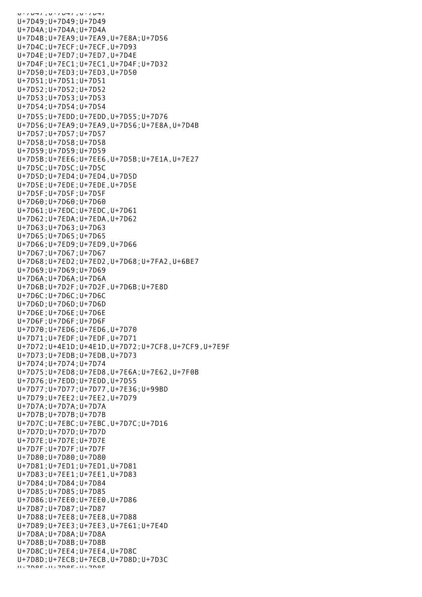U+7D47;U+7D47;U+7D47 U+7D49;U+7D49;U+7D49 U+7D4A;U+7D4A;U+7D4A U+7D4B;U+7EA9;U+7EA9,U+7E8A;U+7D56 U+7D4C;U+7ECF;U+7ECF,U+7D93 U+7D4E;U+7ED7;U+7ED7,U+7D4E U+7D4F;U+7EC1;U+7EC1,U+7D4F;U+7D32 U+7D50;U+7ED3;U+7ED3,U+7D50 U+7D51;U+7D51;U+7D51 U+7D52;U+7D52;U+7D52 U+7D53;U+7D53;U+7D53 U+7D54;U+7D54;U+7D54 U+7D55;U+7EDD;U+7EDD,U+7D55;U+7D76 U+7D56;U+7EA9;U+7EA9,U+7D56;U+7E8A,U+7D4B U+7D57;U+7D57;U+7D57 U+7D58;U+7D58;U+7D58 U+7D59;U+7D59;U+7D59 U+7D5B;U+7EE6;U+7EE6,U+7D5B;U+7E1A,U+7E27 U+7D5C;U+7D5C;U+7D5C U+7D5D;U+7ED4;U+7ED4,U+7D5D U+7D5E;U+7EDE;U+7EDE,U+7D5E U+7D5F;U+7D5F;U+7D5F U+7D60;U+7D60;U+7D60 U+7D61;U+7EDC;U+7EDC,U+7D61 U+7D62;U+7EDA;U+7EDA,U+7D62 U+7D63;U+7D63;U+7D63 U+7D65;U+7D65;U+7D65 U+7D66;U+7ED9;U+7ED9,U+7D66 U+7D67;U+7D67;U+7D67 U+7D68;U+7ED2;U+7ED2,U+7D68;U+7FA2,U+6BE7 U+7D69;U+7D69;U+7D69 U+7D6A;U+7D6A;U+7D6A U+7D6B;U+7D2F;U+7D2F,U+7D6B;U+7E8D U+7D6C;U+7D6C;U+7D6C U+7D6D;U+7D6D;U+7D6D U+7D6E;U+7D6E;U+7D6E U+7D6F;U+7D6F;U+7D6F U+7D70;U+7ED6;U+7ED6,U+7D70 U+7D71;U+7EDF;U+7EDF,U+7D71 U+7D72;U+4E1D;U+4E1D,U+7D72;U+7CF8,U+7CF9,U+7E9F U+7D73;U+7EDB;U+7EDB,U+7D73 U+7D74;U+7D74;U+7D74 U+7D75;U+7ED8;U+7ED8,U+7E6A;U+7E62,U+7F0B U+7D76;U+7EDD;U+7EDD,U+7D55 U+7D77;U+7D77;U+7D77,U+7E36;U+99BD U+7D79;U+7EE2;U+7EE2,U+7D79 U+7D7A;U+7D7A;U+7D7A U+7D7B;U+7D7B;U+7D7B U+7D7C;U+7EBC;U+7EBC,U+7D7C;U+7D16 U+7D7D;U+7D7D;U+7D7D U+7D7E;U+7D7E;U+7D7E U+7D7F;U+7D7F;U+7D7F U+7D80;U+7D80;U+7D80 U+7D81;U+7ED1;U+7ED1,U+7D81 U+7D83;U+7EE1;U+7EE1,U+7D83 U+7D84;U+7D84;U+7D84 U+7D85;U+7D85;U+7D85 U+7D86;U+7EE0;U+7EE0,U+7D86 U+7D87;U+7D87;U+7D87 U+7D88;U+7EE8;U+7EE8,U+7D88 U+7D89;U+7EE3;U+7EE3,U+7E61;U+7E4D U+7D8A;U+7D8A;U+7D8A U+7D8B;U+7D8B;U+7D8B U+7D8C;U+7EE4;U+7EE4,U+7D8C U+7D8D;U+7ECB;U+7ECB,U+7D8D;U+7D3C U+7D8E;U+7D8E;U+7D8E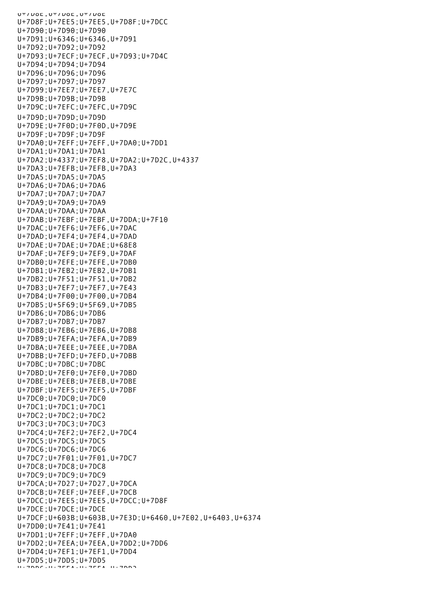UT/UOE, UT/UOE, UT/UOE U+7D8F;U+7EE5;U+7EE5,U+7D8F;U+7DCC U+7D90;U+7D90;U+7D90 U+7D91;U+6346;U+6346,U+7D91 U+7D92;U+7D92;U+7D92 U+7D93;U+7ECF;U+7ECF,U+7D93;U+7D4C U+7D94;U+7D94;U+7D94 U+7D96;U+7D96;U+7D96 U+7D97;U+7D97;U+7D97 U+7D99;U+7EE7;U+7EE7,U+7E7C U+7D9B;U+7D9B;U+7D9B U+7D9C;U+7EFC;U+7EFC,U+7D9C U+7D9D;U+7D9D;U+7D9D U+7D9E;U+7F0D;U+7F0D,U+7D9E U+7D9F;U+7D9F;U+7D9F U+7DA0;U+7EFF;U+7EFF,U+7DA0;U+7DD1 U+7DA1;U+7DA1;U+7DA1 U+7DA2;U+4337;U+7EF8,U+7DA2;U+7D2C,U+4337 U+7DA3;U+7EFB;U+7EFB,U+7DA3 U+7DA5;U+7DA5;U+7DA5 U+7DA6;U+7DA6;U+7DA6 U+7DA7;U+7DA7;U+7DA7 U+7DA9;U+7DA9;U+7DA9 U+7DAA;U+7DAA;U+7DAA U+7DAB;U+7EBF;U+7EBF,U+7DDA;U+7F10 U+7DAC;U+7EF6;U+7EF6,U+7DAC U+7DAD;U+7EF4;U+7EF4,U+7DAD U+7DAE;U+7DAE;U+7DAE;U+68E8 U+7DAF;U+7EF9;U+7EF9,U+7DAF U+7DB0;U+7EFE;U+7EFE,U+7DB0 U+7DB1;U+7EB2;U+7EB2,U+7DB1 U+7DB2;U+7F51;U+7F51,U+7DB2 U+7DB3;U+7EF7;U+7EF7,U+7E43 U+7DB4;U+7F00;U+7F00,U+7DB4 U+7DB5;U+5F69;U+5F69,U+7DB5 U+7DB6;U+7DB6;U+7DB6 U+7DB7;U+7DB7;U+7DB7 U+7DB8;U+7EB6;U+7EB6,U+7DB8 U+7DB9;U+7EFA;U+7EFA,U+7DB9 U+7DBA;U+7EEE;U+7EEE,U+7DBA U+7DBB;U+7EFD;U+7EFD,U+7DBB U+7DBC;U+7DBC;U+7DBC U+7DBD;U+7EF0;U+7EF0,U+7DBD U+7DBE;U+7EEB;U+7EEB,U+7DBE U+7DBF;U+7EF5;U+7EF5,U+7DBF U+7DC0;U+7DC0;U+7DC0 U+7DC1;U+7DC1;U+7DC1 U+7DC2;U+7DC2;U+7DC2 U+7DC3;U+7DC3;U+7DC3 U+7DC4;U+7EF2;U+7EF2,U+7DC4 U+7DC5;U+7DC5;U+7DC5 U+7DC6;U+7DC6;U+7DC6 U+7DC7;U+7F01;U+7F01,U+7DC7 U+7DC8;U+7DC8;U+7DC8 U+7DC9;U+7DC9;U+7DC9 U+7DCA;U+7D27;U+7D27,U+7DCA U+7DCB;U+7EEF;U+7EEF,U+7DCB U+7DCC;U+7EE5;U+7EE5,U+7DCC;U+7D8F U+7DCE;U+7DCE;U+7DCE U+7DCF;U+603B;U+603B,U+7E3D;U+6460,U+7E02,U+6403,U+6374 U+7DD0;U+7E41;U+7E41 U+7DD1;U+7EFF;U+7EFF,U+7DA0 U+7DD2;U+7EEA;U+7EEA,U+7DD2;U+7DD6 U+7DD4;U+7EF1;U+7EF1,U+7DD4 U+7DD5;U+7DD5;U+7DD5 U+7DDC;U+7EEA;U+7EEA,U+7DD2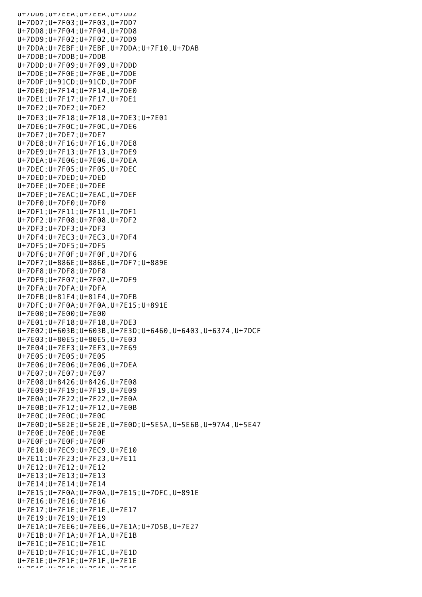U+7DD6;U+7EEA;U+7EEA,U+7DD2 U+7DD7;U+7F03;U+7F03,U+7DD7 U+7DD8;U+7F04;U+7F04,U+7DD8 U+7DD9;U+7F02;U+7F02,U+7DD9 U+7DDA;U+7EBF;U+7EBF,U+7DDA;U+7F10,U+7DAB U+7DDB;U+7DDB;U+7DDB U+7DDD;U+7F09;U+7F09,U+7DDD U+7DDE;U+7F0E;U+7F0E,U+7DDE U+7DDF;U+91CD;U+91CD,U+7DDF U+7DE0;U+7F14;U+7F14,U+7DE0 U+7DE1;U+7F17;U+7F17,U+7DE1 U+7DE2;U+7DE2;U+7DE2 U+7DE3;U+7F18;U+7F18,U+7DE3;U+7E01 U+7DE6;U+7F0C;U+7F0C,U+7DE6 U+7DE7;U+7DE7;U+7DE7 U+7DE8;U+7F16;U+7F16,U+7DE8 U+7DE9;U+7F13;U+7F13,U+7DE9 U+7DEA;U+7E06;U+7E06,U+7DEA U+7DEC;U+7F05;U+7F05,U+7DEC U+7DED;U+7DED;U+7DED U+7DEE;U+7DEE;U+7DEE U+7DEF;U+7EAC;U+7EAC,U+7DEF U+7DF0;U+7DF0;U+7DF0 U+7DF1;U+7F11;U+7F11,U+7DF1 U+7DF2;U+7F08;U+7F08,U+7DF2 U+7DF3;U+7DF3;U+7DF3 U+7DF4;U+7EC3;U+7EC3,U+7DF4 U+7DF5;U+7DF5;U+7DF5 U+7DF6;U+7F0F;U+7F0F,U+7DF6 U+7DF7;U+886E;U+886E,U+7DF7;U+889E U+7DF8;U+7DF8;U+7DF8 U+7DF9;U+7F07;U+7F07,U+7DF9 U+7DFA;U+7DFA;U+7DFA U+7DFB;U+81F4;U+81F4,U+7DFB U+7DFC;U+7F0A;U+7F0A,U+7E15;U+891E U+7E00;U+7E00;U+7E00 U+7E01;U+7F18;U+7F18,U+7DE3 U+7E02;U+603B;U+603B,U+7E3D;U+6460,U+6403,U+6374,U+7DCF U+7E03;U+80E5;U+80E5,U+7E03 U+7E04;U+7EF3;U+7EF3,U+7E69 U+7E05;U+7E05;U+7E05 U+7E06;U+7E06;U+7E06,U+7DEA U+7E07;U+7E07;U+7E07 U+7E08;U+8426;U+8426,U+7E08 U+7E09;U+7F19;U+7F19,U+7E09 U+7E0A;U+7F22;U+7F22,U+7E0A U+7E0B;U+7F12;U+7F12,U+7E0B U+7E0C;U+7E0C;U+7E0C U+7E0D;U+5E2E;U+5E2E,U+7E0D;U+5E5A,U+5E6B,U+97A4,U+5E47 U+7E0E;U+7E0E;U+7E0E U+7E0F;U+7E0F;U+7E0F U+7E10;U+7EC9;U+7EC9,U+7E10 U+7E11;U+7F23;U+7F23,U+7E11 U+7E12;U+7E12;U+7E12 U+7E13;U+7E13;U+7E13 U+7E14;U+7E14;U+7E14 U+7E15;U+7F0A;U+7F0A,U+7E15;U+7DFC,U+891E U+7E16;U+7E16;U+7E16 U+7E17;U+7F1E;U+7F1E,U+7E17 U+7E19;U+7E19;U+7E19 U+7E1A;U+7EE6;U+7EE6,U+7E1A;U+7D5B,U+7E27 U+7E1B;U+7F1A;U+7F1A,U+7E1B U+7E1C;U+7E1C;U+7E1C U+7E1D;U+7F1C;U+7F1C,U+7E1D U+7E1E;U+7F1F;U+7F1F,U+7E1E U+7F1F;U+7F1B;U+7F1B;U+7F1F<br>U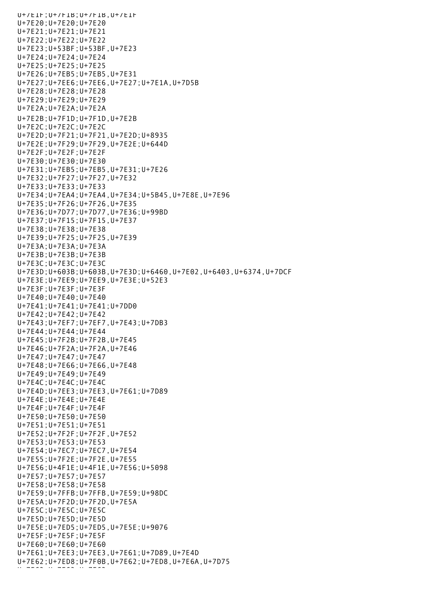U+7E1F;U+7F1B;U+7F1B,U+7E1F U+7E20;U+7E20;U+7E20 U+7E21;U+7E21;U+7E21 U+7E22;U+7E22;U+7E22 U+7E23;U+53BF;U+53BF,U+7E23 U+7E24;U+7E24;U+7E24 U+7E25;U+7E25;U+7E25 U+7E26;U+7EB5;U+7EB5,U+7E31 U+7E27;U+7EE6;U+7EE6,U+7E27;U+7E1A,U+7D5B U+7E28;U+7E28;U+7E28 U+7E29;U+7E29;U+7E29 U+7E2A;U+7E2A;U+7E2A U+7E2B;U+7F1D;U+7F1D,U+7E2B U+7E2C;U+7E2C;U+7E2C U+7E2D;U+7F21;U+7F21,U+7E2D;U+8935 U+7E2E;U+7F29;U+7F29,U+7E2E;U+644D U+7E2F;U+7E2F;U+7E2F U+7E30;U+7E30;U+7E30 U+7E31;U+7EB5;U+7EB5,U+7E31;U+7E26 U+7E32;U+7F27;U+7F27,U+7E32 U+7E33;U+7E33;U+7E33 U+7E34;U+7EA4;U+7EA4,U+7E34;U+5B45,U+7E8E,U+7E96 U+7E35;U+7F26;U+7F26,U+7E35 U+7E36;U+7D77;U+7D77,U+7E36;U+99BD U+7E37;U+7F15;U+7F15,U+7E37 U+7E38;U+7E38;U+7E38 U+7E39;U+7F25;U+7F25,U+7E39 U+7E3A;U+7E3A;U+7E3A U+7E3B;U+7E3B;U+7E3B U+7E3C;U+7E3C;U+7E3C U+7E3D;U+603B;U+603B,U+7E3D;U+6460,U+7E02,U+6403,U+6374,U+7DCF U+7E3E;U+7EE9;U+7EE9,U+7E3E;U+52E3 U+7E3F;U+7E3F;U+7E3F U+7E40;U+7E40;U+7E40 U+7E41;U+7E41;U+7E41;U+7DD0 U+7E42;U+7E42;U+7E42 U+7E43;U+7EF7;U+7EF7,U+7E43;U+7DB3 U+7E44;U+7E44;U+7E44 U+7E45;U+7F2B;U+7F2B,U+7E45 U+7E46;U+7F2A;U+7F2A,U+7E46 U+7E47;U+7E47;U+7E47 U+7E48;U+7E66;U+7E66,U+7E48 U+7E49;U+7E49;U+7E49 U+7E4C;U+7E4C;U+7E4C U+7E4D;U+7EE3;U+7EE3,U+7E61;U+7D89 U+7E4E;U+7E4E;U+7E4E U+7E4F;U+7E4F;U+7E4F U+7E50;U+7E50;U+7E50 U+7E51;U+7E51;U+7E51 U+7E52;U+7F2F;U+7F2F,U+7E52 U+7E53;U+7E53;U+7E53 U+7E54;U+7EC7;U+7EC7,U+7E54 U+7E55;U+7F2E;U+7F2E,U+7E55 U+7E56;U+4F1E;U+4F1E,U+7E56;U+5098 U+7E57;U+7E57;U+7E57 U+7E58;U+7E58;U+7E58 U+7E59;U+7FFB;U+7FFB,U+7E59;U+98DC U+7E5A;U+7F2D;U+7F2D,U+7E5A U+7E5C;U+7E5C;U+7E5C U+7E5D;U+7E5D;U+7E5D U+7E5E;U+7ED5;U+7ED5,U+7E5E;U+9076 U+7E5F;U+7E5F;U+7E5F U+7E60;U+7E60;U+7E60 U+7E61;U+7EE3;U+7EE3,U+7E61;U+7D89,U+7E4D U+7E62;U+7ED8;U+7F0B,U+7E62;U+7ED8,U+7E6A,U+7D75 U+7E63;U+7E63;U+7E63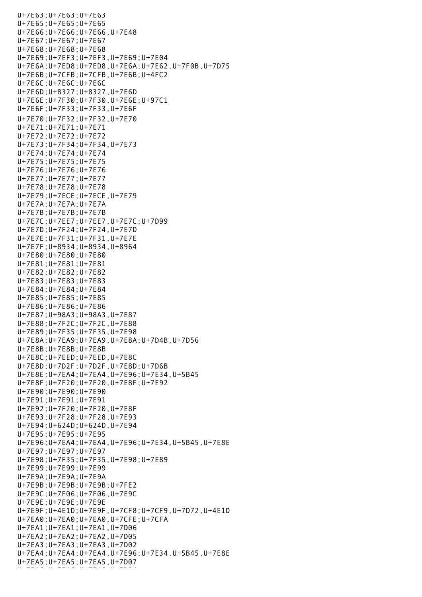U+7E63;U+7E63;U+7E63 U+7E65;U+7E65;U+7E65 U+7E66;U+7E66;U+7E66,U+7E48 U+7E67;U+7E67;U+7E67 U+7E68;U+7E68;U+7E68 U+7E69;U+7EF3;U+7EF3,U+7E69;U+7E04 U+7E6A;U+7ED8;U+7ED8,U+7E6A;U+7E62,U+7F0B,U+7D75 U+7E6B;U+7CFB;U+7CFB,U+7E6B;U+4FC2 U+7E6C;U+7E6C;U+7E6C U+7E6D;U+8327;U+8327,U+7E6D U+7E6E;U+7F30;U+7F30,U+7E6E;U+97C1 U+7E6F;U+7F33;U+7F33,U+7E6F U+7E70;U+7F32;U+7F32,U+7E70 U+7E71;U+7E71;U+7E71 U+7E72;U+7E72;U+7E72 U+7E73;U+7F34;U+7F34,U+7E73 U+7E74;U+7E74;U+7E74 U+7E75;U+7E75;U+7E75 U+7E76;U+7E76;U+7E76 U+7E77;U+7E77;U+7E77 U+7E78;U+7E78;U+7E78 U+7E79;U+7ECE;U+7ECE,U+7E79 U+7E7A;U+7E7A;U+7E7A U+7E7B;U+7E7B;U+7E7B U+7E7C;U+7EE7;U+7EE7,U+7E7C;U+7D99 U+7E7D;U+7F24;U+7F24,U+7E7D U+7E7E;U+7F31;U+7F31,U+7E7E U+7E7F;U+8934;U+8934,U+8964 U+7E80;U+7E80;U+7E80 U+7E81;U+7E81;U+7E81 U+7E82;U+7E82;U+7E82 U+7E83;U+7E83;U+7E83 U+7E84;U+7E84;U+7E84 U+7E85;U+7E85;U+7E85 U+7E86;U+7E86;U+7E86 U+7E87;U+98A3;U+98A3,U+7E87 U+7E88;U+7F2C;U+7F2C,U+7E88 U+7E89;U+7F35;U+7F35,U+7E98 U+7E8A;U+7EA9;U+7EA9,U+7E8A;U+7D4B,U+7D56 U+7E8B;U+7E8B;U+7E8B U+7E8C;U+7EED;U+7EED,U+7E8C U+7E8D;U+7D2F;U+7D2F,U+7E8D;U+7D6B U+7E8E;U+7EA4;U+7EA4,U+7E96;U+7E34,U+5B45 U+7E8F;U+7F20;U+7F20,U+7E8F;U+7E92 U+7E90;U+7E90;U+7E90 U+7E91;U+7E91;U+7E91 U+7E92;U+7F20;U+7F20,U+7E8F U+7E93;U+7F28;U+7F28,U+7E93 U+7E94;U+624D;U+624D,U+7E94 U+7E95;U+7E95;U+7E95 U+7E96;U+7EA4;U+7EA4,U+7E96;U+7E34,U+5B45,U+7E8E U+7E97;U+7E97;U+7E97 U+7E98;U+7F35;U+7F35,U+7E98;U+7E89 U+7E99;U+7E99;U+7E99 U+7E9A;U+7E9A;U+7E9A U+7E9B;U+7E9B;U+7E9B;U+7FE2 U+7E9C;U+7F06;U+7F06,U+7E9C U+7E9E;U+7E9E;U+7E9E U+7E9F;U+4E1D;U+7E9F,U+7CF8;U+7CF9,U+7D72,U+4E1D U+7EA0;U+7EA0;U+7EA0,U+7CFE;U+7CFA U+7EA1;U+7EA1;U+7EA1,U+7D06 U+7EA2;U+7EA2;U+7EA2,U+7D05 U+7EA3;U+7EA3;U+7EA3,U+7D02 U+7EA4;U+7EA4;U+7EA4,U+7E96;U+7E34,U+5B45,U+7E8E U+7EA5;U+7EA5;U+7EA5,U+7D07 U+7EA6;U+7EA6;U+7EA6;U+7EA6;U+7EA6;U+7D04;U+7D04;U+7D04;U+7D04;U+7D04;U+7D04;U+7D04;U+7D04;U+7D04;U+7D04;U+7D0<br>U+7D04;U+7D04;U+7D04;U+7D04;U+7D04;U+7D04;U+7D04;U+7D04;U+7D04;U+7D04;U+7D04;U+7D04;U+7D04;U+7D04;U+7D04;U+7D0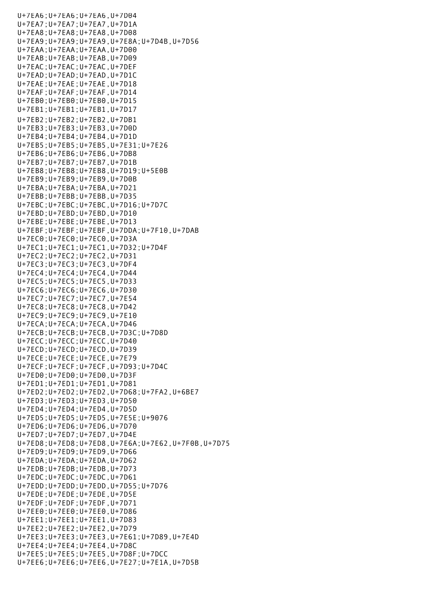U+7EA6;U+7EA6;U+7EA6,U+7D04 U+7EA7;U+7EA7;U+7EA7,U+7D1A U+7EA8;U+7EA8;U+7EA8,U+7D08 U+7EA9;U+7EA9;U+7EA9,U+7E8A;U+7D4B,U+7D56 U+7EAA;U+7EAA;U+7EAA,U+7D00 U+7EAB;U+7EAB;U+7EAB,U+7D09 U+7EAC;U+7EAC;U+7EAC,U+7DEF U+7EAD;U+7EAD;U+7EAD,U+7D1C U+7EAE;U+7EAE;U+7EAE,U+7D18 U+7EAF;U+7EAF;U+7EAF,U+7D14 U+7EB0;U+7EB0;U+7EB0,U+7D15 U+7EB1;U+7EB1;U+7EB1,U+7D17 U+7EB2;U+7EB2;U+7EB2,U+7DB1 U+7EB3;U+7EB3;U+7EB3,U+7D0D U+7EB4;U+7EB4;U+7EB4,U+7D1D U+7EB5;U+7EB5;U+7EB5,U+7E31;U+7E26 U+7EB6;U+7EB6;U+7EB6,U+7DB8 U+7EB7;U+7EB7;U+7EB7,U+7D1B U+7EB8;U+7EB8;U+7EB8,U+7D19;U+5E0B U+7EB9;U+7EB9;U+7EB9,U+7D0B U+7EBA;U+7EBA;U+7EBA,U+7D21 U+7EBB;U+7EBB;U+7EBB,U+7D35 U+7EBC;U+7EBC;U+7EBC,U+7D16;U+7D7C U+7EBD;U+7EBD;U+7EBD,U+7D10 U+7EBE;U+7EBE;U+7EBE,U+7D13 U+7EBF;U+7EBF;U+7EBF,U+7DDA;U+7F10,U+7DAB U+7EC0;U+7EC0;U+7EC0,U+7D3A U+7EC1;U+7EC1;U+7EC1,U+7D32;U+7D4F U+7EC2;U+7EC2;U+7EC2,U+7D31 U+7EC3;U+7EC3;U+7EC3,U+7DF4 U+7EC4;U+7EC4;U+7EC4,U+7D44 U+7EC5;U+7EC5;U+7EC5,U+7D33 U+7EC6;U+7EC6;U+7EC6,U+7D30 U+7EC7;U+7EC7;U+7EC7,U+7E54 U+7EC8;U+7EC8;U+7EC8,U+7D42 U+7EC9;U+7EC9;U+7EC9,U+7E10 U+7ECA;U+7ECA;U+7ECA,U+7D46 U+7ECB;U+7ECB;U+7ECB,U+7D3C;U+7D8D U+7ECC;U+7ECC;U+7ECC,U+7D40 U+7ECD;U+7ECD;U+7ECD,U+7D39 U+7ECE;U+7ECE;U+7ECE,U+7E79 U+7ECF;U+7ECF;U+7ECF,U+7D93;U+7D4C U+7ED0;U+7ED0;U+7ED0,U+7D3F U+7ED1;U+7ED1;U+7ED1,U+7D81 U+7ED2;U+7ED2;U+7ED2,U+7D68;U+7FA2,U+6BE7 U+7ED3;U+7ED3;U+7ED3,U+7D50 U+7ED4;U+7ED4;U+7ED4,U+7D5D U+7ED5;U+7ED5;U+7ED5,U+7E5E;U+9076 U+7ED6;U+7ED6;U+7ED6,U+7D70 U+7ED7;U+7ED7;U+7ED7,U+7D4E U+7ED8;U+7ED8;U+7ED8,U+7E6A;U+7E62,U+7F0B,U+7D75 U+7ED9;U+7ED9;U+7ED9,U+7D66 U+7EDA;U+7EDA;U+7EDA,U+7D62 U+7EDB;U+7EDB;U+7EDB,U+7D73 U+7EDC;U+7EDC;U+7EDC,U+7D61 U+7EDD;U+7EDD;U+7EDD,U+7D55;U+7D76 U+7EDE;U+7EDE;U+7EDE,U+7D5E U+7EDF;U+7EDF;U+7EDF,U+7D71 U+7EE0;U+7EE0;U+7EE0,U+7D86 U+7EE1;U+7EE1;U+7EE1,U+7D83 U+7EE2;U+7EE2;U+7EE2,U+7D79 U+7EE3;U+7EE3;U+7EE3,U+7E61;U+7D89,U+7E4D U+7EE4;U+7EE4;U+7EE4,U+7D8C U+7EE5;U+7EE5;U+7EE5,U+7D8F;U+7DCC U+7EE6;U+7EE6;U+7EE6,U+7E27;U+7E1A,U+7D5B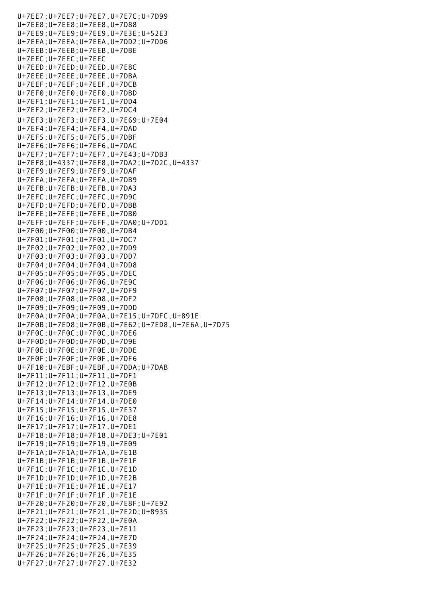U+7EE7;U+7EE7;U+7EE7,U+7E7C;U+7D99 U+7EE8;U+7EE8;U+7EE8,U+7D88 U+7EE9;U+7EE9;U+7EE9,U+7E3E;U+52E3 U+7EEA;U+7EEA;U+7EEA,U+7DD2;U+7DD6 U+7EEB;U+7EEB;U+7EEB,U+7DBE U+7EEC;U+7EEC;U+7EEC U+7EED;U+7EED;U+7EED,U+7E8C U+7EEE;U+7EEE;U+7EEE,U+7DBA U+7EEF;U+7EEF;U+7EEF,U+7DCB U+7EF0;U+7EF0;U+7EF0,U+7DBD U+7EF1;U+7EF1;U+7EF1,U+7DD4 U+7EF2;U+7EF2;U+7EF2,U+7DC4 U+7EF3;U+7EF3;U+7EF3,U+7E69;U+7E04 U+7EF4;U+7EF4;U+7EF4,U+7DAD U+7EF5;U+7EF5;U+7EF5,U+7DBF U+7EF6;U+7EF6;U+7EF6,U+7DAC U+7EF7;U+7EF7;U+7EF7,U+7E43;U+7DB3 U+7EF8;U+4337;U+7EF8,U+7DA2;U+7D2C,U+4337 U+7EF9;U+7EF9;U+7EF9,U+7DAF U+7EFA;U+7EFA;U+7EFA,U+7DB9 U+7EFB;U+7EFB;U+7EFB,U+7DA3 U+7EFC;U+7EFC;U+7EFC,U+7D9C U+7EFD;U+7EFD;U+7EFD,U+7DBB U+7EFE;U+7EFE;U+7EFE,U+7DB0 U+7EFF;U+7EFF;U+7EFF,U+7DA0;U+7DD1 U+7F00;U+7F00;U+7F00,U+7DB4 U+7F01;U+7F01;U+7F01,U+7DC7 U+7F02;U+7F02;U+7F02,U+7DD9 U+7F03;U+7F03;U+7F03,U+7DD7 U+7F04;U+7F04;U+7F04,U+7DD8 U+7F05;U+7F05;U+7F05,U+7DEC U+7F06;U+7F06;U+7F06,U+7E9C U+7F07;U+7F07;U+7F07,U+7DF9 U+7F08;U+7F08;U+7F08,U+7DF2 U+7F09;U+7F09;U+7F09,U+7DDD U+7F0A;U+7F0A;U+7F0A,U+7E15;U+7DFC,U+891E U+7F0B;U+7ED8;U+7F0B,U+7E62;U+7ED8,U+7E6A,U+7D75 U+7F0C;U+7F0C;U+7F0C,U+7DE6 U+7F0D;U+7F0D;U+7F0D,U+7D9E U+7F0E;U+7F0E;U+7F0E,U+7DDE U+7F0F;U+7F0F;U+7F0F,U+7DF6 U+7F10;U+7EBF;U+7EBF,U+7DDA;U+7DAB U+7F11;U+7F11;U+7F11,U+7DF1 U+7F12;U+7F12;U+7F12,U+7E0B U+7F13;U+7F13;U+7F13,U+7DE9 U+7F14;U+7F14;U+7F14,U+7DE0 U+7F15;U+7F15;U+7F15,U+7E37 U+7F16;U+7F16;U+7F16,U+7DE8 U+7F17;U+7F17;U+7F17,U+7DE1 U+7F18;U+7F18;U+7F18,U+7DE3;U+7E01 U+7F19;U+7F19;U+7F19,U+7E09 U+7F1A;U+7F1A;U+7F1A,U+7E1B U+7F1B;U+7F1B;U+7F1B,U+7E1F U+7F1C;U+7F1C;U+7F1C,U+7E1D U+7F1D;U+7F1D;U+7F1D,U+7E2B U+7F1E;U+7F1E;U+7F1E,U+7E17 U+7F1F;U+7F1F;U+7F1F,U+7E1E U+7F20;U+7F20;U+7F20,U+7E8F;U+7E92 U+7F21;U+7F21;U+7F21,U+7E2D;U+8935 U+7F22;U+7F22;U+7F22,U+7E0A U+7F23;U+7F23;U+7F23,U+7E11 U+7F24;U+7F24;U+7F24,U+7E7D U+7F25;U+7F25;U+7F25,U+7E39 U+7F26;U+7F26;U+7F26,U+7E35 U+7F27;U+7F27;U+7F27,U+7E32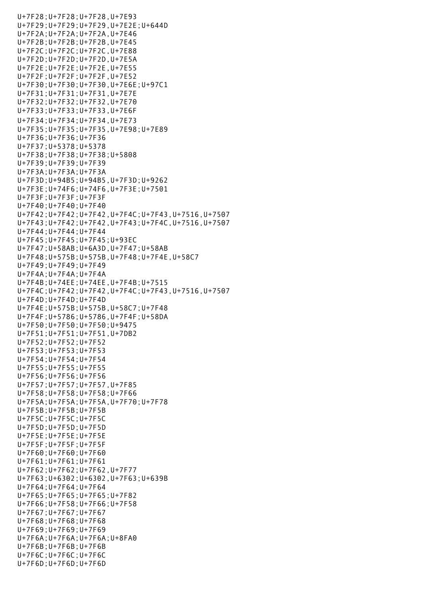U+7F28;U+7F28;U+7F28,U+7E93 U+7F29;U+7F29;U+7F29,U+7E2E;U+644D U+7F2A;U+7F2A;U+7F2A,U+7E46 U+7F2B;U+7F2B;U+7F2B,U+7E45 U+7F2C;U+7F2C;U+7F2C,U+7E88 U+7F2D;U+7F2D;U+7F2D,U+7E5A U+7F2E;U+7F2E;U+7F2E,U+7E55 U+7F2F;U+7F2F;U+7F2F,U+7E52 U+7F30;U+7F30;U+7F30,U+7E6E;U+97C1 U+7F31;U+7F31;U+7F31,U+7E7E U+7F32;U+7F32;U+7F32,U+7E70 U+7F33;U+7F33;U+7F33,U+7E6F U+7F34;U+7F34;U+7F34,U+7E73 U+7F35;U+7F35;U+7F35,U+7E98;U+7E89 U+7F36;U+7F36;U+7F36 U+7F37;U+5378;U+5378 U+7F38;U+7F38;U+7F38;U+5808 U+7F39;U+7F39;U+7F39 U+7F3A;U+7F3A;U+7F3A U+7F3D;U+94B5;U+94B5,U+7F3D;U+9262 U+7F3E;U+74F6;U+74F6,U+7F3E;U+7501 U+7F3F;U+7F3F;U+7F3F U+7F40;U+7F40;U+7F40 U+7F42;U+7F42;U+7F42,U+7F4C;U+7F43,U+7516,U+7507 U+7F43;U+7F42;U+7F42,U+7F43;U+7F4C,U+7516,U+7507 U+7F44;U+7F44;U+7F44 U+7F45;U+7F45;U+7F45;U+93EC U+7F47;U+58AB;U+6A3D,U+7F47;U+58AB U+7F48;U+575B;U+575B,U+7F48;U+7F4E,U+58C7 U+7F49;U+7F49;U+7F49 U+7F4A;U+7F4A;U+7F4A U+7F4B;U+74EE;U+74EE,U+7F4B;U+7515 U+7F4C;U+7F42;U+7F42,U+7F4C;U+7F43,U+7516,U+7507 U+7F4D;U+7F4D;U+7F4D U+7F4E;U+575B;U+575B,U+58C7;U+7F48 U+7F4F;U+5786;U+5786,U+7F4F;U+58DA U+7F50;U+7F50;U+7F50;U+9475 U+7F51;U+7F51;U+7F51,U+7DB2 U+7F52;U+7F52;U+7F52 U+7F53;U+7F53;U+7F53 U+7F54;U+7F54;U+7F54 U+7F55;U+7F55;U+7F55 U+7F56;U+7F56;U+7F56 U+7F57;U+7F57;U+7F57,U+7F85 U+7F58;U+7F58;U+7F58;U+7F66 U+7F5A;U+7F5A;U+7F5A,U+7F70;U+7F78 U+7F5B;U+7F5B;U+7F5B U+7F5C;U+7F5C;U+7F5C U+7F5D;U+7F5D;U+7F5D U+7F5E;U+7F5E;U+7F5E U+7F5F;U+7F5F;U+7F5F U+7F60;U+7F60;U+7F60 U+7F61;U+7F61;U+7F61 U+7F62;U+7F62;U+7F62,U+7F77 U+7F63;U+6302;U+6302,U+7F63;U+639B U+7F64;U+7F64;U+7F64 U+7F65;U+7F65;U+7F65;U+7F82 U+7F66;U+7F58;U+7F66;U+7F58 U+7F67;U+7F67;U+7F67 U+7F68;U+7F68;U+7F68 U+7F69;U+7F69;U+7F69 U+7F6A;U+7F6A;U+7F6A;U+8FA0 U+7F6B;U+7F6B;U+7F6B U+7F6C;U+7F6C;U+7F6C U+7F6D;U+7F6D;U+7F6D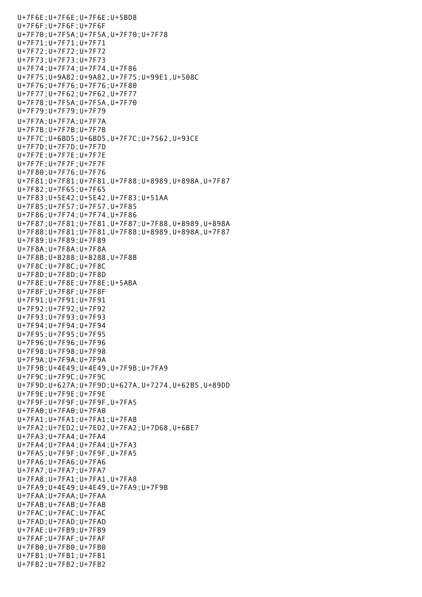U+7F6E;U+7F6E;U+7F6E;U+5BD8 U+7F6F;U+7F6F;U+7F6F U+7F70;U+7F5A;U+7F5A,U+7F70;U+7F78 U+7F71;U+7F71;U+7F71 U+7F72;U+7F72;U+7F72 U+7F73;U+7F73;U+7F73 U+7F74;U+7F74;U+7F74,U+7F86 U+7F75;U+9A82;U+9A82,U+7F75;U+99E1,U+508C U+7F76;U+7F76;U+7F76;U+7F80 U+7F77;U+7F62;U+7F62,U+7F77 U+7F78;U+7F5A;U+7F5A,U+7F70 U+7F79;U+7F79;U+7F79 U+7F7A;U+7F7A;U+7F7A U+7F7B;U+7F7B;U+7F7B U+7F7C;U+6BD5;U+6BD5,U+7F7C;U+7562,U+93CE U+7F7D;U+7F7D;U+7F7D U+7F7E;U+7F7E;U+7F7E U+7F7F;U+7F7F;U+7F7F U+7F80;U+7F76;U+7F76 U+7F81;U+7F81;U+7F81,U+7F88;U+8989,U+898A,U+7F87 U+7F82;U+7F65;U+7F65 U+7F83;U+5E42;U+5E42,U+7F83;U+51AA U+7F85;U+7F57;U+7F57,U+7F85 U+7F86;U+7F74;U+7F74,U+7F86 U+7F87;U+7F81;U+7F81,U+7F87;U+7F88,U+8989,U+898A U+7F88;U+7F81;U+7F81,U+7F88;U+8989,U+898A,U+7F87 U+7F89;U+7F89;U+7F89 U+7F8A;U+7F8A;U+7F8A U+7F8B;U+8288;U+8288,U+7F8B U+7F8C;U+7F8C;U+7F8C U+7F8D;U+7F8D;U+7F8D U+7F8E;U+7F8E;U+7F8E;U+5ABA U+7F8F;U+7F8F;U+7F8F U+7F91;U+7F91;U+7F91 U+7F92;U+7F92;U+7F92 U+7F93;U+7F93;U+7F93 U+7F94;U+7F94;U+7F94 U+7F95;U+7F95;U+7F95 U+7F96;U+7F96;U+7F96 U+7F98;U+7F98;U+7F98 U+7F9A;U+7F9A;U+7F9A U+7F9B;U+4E49;U+4E49,U+7F9B;U+7FA9 U+7F9C;U+7F9C;U+7F9C U+7F9D;U+627A;U+7F9D;U+627A,U+7274,U+62B5,U+89DD U+7F9E;U+7F9E;U+7F9E U+7F9F;U+7F9F;U+7F9F,U+7FA5 U+7FA0;U+7FA0;U+7FA0 U+7FA1;U+7FA1;U+7FA1;U+7FA8 U+7FA2;U+7ED2;U+7ED2,U+7FA2;U+7D68,U+6BE7 U+7FA3;U+7FA4;U+7FA4 U+7FA4;U+7FA4;U+7FA4;U+7FA3 U+7FA5;U+7F9F;U+7F9F,U+7FA5 U+7FA6;U+7FA6;U+7FA6 U+7FA7;U+7FA7;U+7FA7 U+7FA8;U+7FA1;U+7FA1,U+7FA8 U+7FA9;U+4E49;U+4E49,U+7FA9;U+7F9B U+7FAA;U+7FAA;U+7FAA U+7FAB;U+7FAB;U+7FAB U+7FAC;U+7FAC;U+7FAC U+7FAD;U+7FAD;U+7FAD U+7FAE;U+7FB9;U+7FB9 U+7FAF;U+7FAF;U+7FAF U+7FB0;U+7FB0;U+7FB0 U+7FB1;U+7FB1;U+7FB1 U+7FB2;U+7FB2;U+7FB2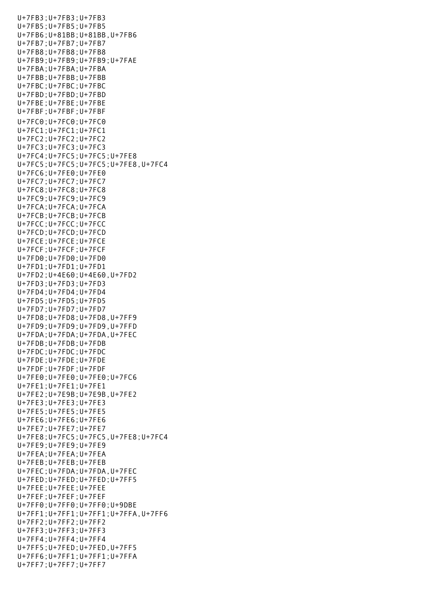U+7FB3;U+7FB3;U+7FB3 U+7FB5;U+7FB5;U+7FB5 U+7FB6;U+81BB;U+81BB,U+7FB6 U+7FB7;U+7FB7;U+7FB7 U+7FB8;U+7FB8;U+7FB8 U+7FB9;U+7FB9;U+7FB9;U+7FAE U+7FBA;U+7FBA;U+7FBA U+7FBB;U+7FBB;U+7FBB U+7FBC;U+7FBC;U+7FBC U+7FBD;U+7FBD;U+7FBD U+7FBE;U+7FBE;U+7FBE U+7FBF;U+7FBF;U+7FBF U+7FC0;U+7FC0;U+7FC0 U+7FC1;U+7FC1;U+7FC1 U+7FC2;U+7FC2;U+7FC2 U+7FC3;U+7FC3;U+7FC3 U+7FC4;U+7FC5;U+7FC5;U+7FE8 U+7FC5;U+7FC5;U+7FC5;U+7FE8,U+7FC4 U+7FC6;U+7FE0;U+7FE0 U+7FC7;U+7FC7;U+7FC7 U+7FC8;U+7FC8;U+7FC8 U+7FC9;U+7FC9;U+7FC9 U+7FCA;U+7FCA;U+7FCA U+7FCB;U+7FCB;U+7FCB U+7FCC;U+7FCC;U+7FCC U+7FCD;U+7FCD;U+7FCD U+7FCE;U+7FCE;U+7FCE U+7FCF;U+7FCF;U+7FCF U+7FD0;U+7FD0;U+7FD0 U+7FD1;U+7FD1;U+7FD1 U+7FD2;U+4E60;U+4E60,U+7FD2 U+7FD3;U+7FD3;U+7FD3 U+7FD4;U+7FD4;U+7FD4 U+7FD5;U+7FD5;U+7FD5 U+7FD7;U+7FD7;U+7FD7 U+7FD8;U+7FD8;U+7FD8,U+7FF9 U+7FD9;U+7FD9;U+7FD9,U+7FFD U+7FDA;U+7FDA;U+7FDA,U+7FEC U+7FDB;U+7FDB;U+7FDB U+7FDC;U+7FDC;U+7FDC U+7FDE;U+7FDE;U+7FDE U+7FDF;U+7FDF;U+7FDF U+7FE0;U+7FE0;U+7FE0;U+7FC6 U+7FE1;U+7FE1;U+7FE1 U+7FE2;U+7E9B;U+7E9B,U+7FE2 U+7FE3;U+7FE3;U+7FE3 U+7FE5;U+7FE5;U+7FE5 U+7FE6;U+7FE6;U+7FE6 U+7FE7;U+7FE7;U+7FE7 U+7FE8;U+7FC5;U+7FC5,U+7FE8;U+7FC4 U+7FE9;U+7FE9;U+7FE9 U+7FEA;U+7FEA;U+7FEA U+7FEB;U+7FEB;U+7FEB U+7FEC;U+7FDA;U+7FDA,U+7FEC U+7FED;U+7FED;U+7FED;U+7FF5 U+7FEE;U+7FEE;U+7FEE U+7FEF;U+7FEF;U+7FEF U+7FF0;U+7FF0;U+7FF0;U+9DBE U+7FF1;U+7FF1;U+7FF1;U+7FFA,U+7FF6 U+7FF2;U+7FF2;U+7FF2 U+7FF3;U+7FF3;U+7FF3 U+7FF4;U+7FF4;U+7FF4 U+7FF5;U+7FED;U+7FED,U+7FF5 U+7FF6;U+7FF1;U+7FF1;U+7FFA U+7FF7;U+7FF7;U+7FF7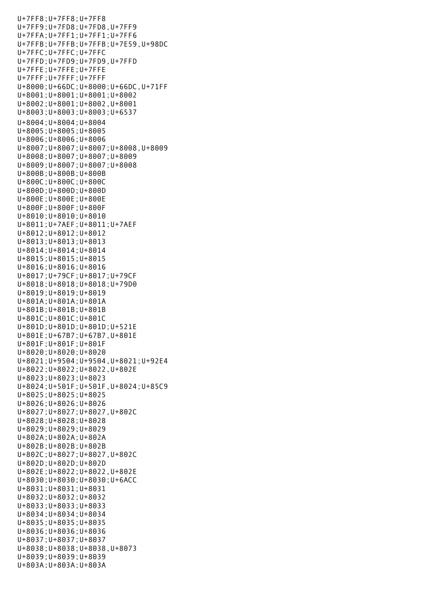U+7FF8;U+7FF8;U+7FF8 U+7FF9;U+7FD8;U+7FD8,U+7FF9 U+7FFA;U+7FF1;U+7FF1;U+7FF6 U+7FFB;U+7FFB;U+7FFB;U+7E59,U+98DC U+7FFC;U+7FFC;U+7FFC U+7FFD;U+7FD9;U+7FD9,U+7FFD U+7FFE;U+7FFE;U+7FFE U+7FFF;U+7FFF;U+7FFF U+8000;U+66DC;U+8000;U+66DC,U+71FF U+8001;U+8001;U+8001;U+8002 U+8002;U+8001;U+8002,U+8001 U+8003;U+8003;U+8003;U+6537 U+8004;U+8004;U+8004 U+8005;U+8005;U+8005 U+8006;U+8006;U+8006 U+8007;U+8007;U+8007;U+8008,U+8009 U+8008;U+8007;U+8007;U+8009 U+8009;U+8007;U+8007;U+8008 U+800B;U+800B;U+800B U+800C;U+800C;U+800C U+800D;U+800D;U+800D U+800E;U+800E;U+800E U+800F;U+800F;U+800F U+8010;U+8010;U+8010 U+8011;U+7AEF;U+8011;U+7AEF U+8012;U+8012;U+8012 U+8013;U+8013;U+8013 U+8014;U+8014;U+8014 U+8015;U+8015;U+8015 U+8016;U+8016;U+8016 U+8017;U+79CF;U+8017;U+79CF U+8018;U+8018;U+8018;U+79D0 U+8019;U+8019;U+8019 U+801A;U+801A;U+801A U+801B;U+801B;U+801B U+801C;U+801C;U+801C U+801D;U+801D;U+801D;U+521E U+801E;U+67B7;U+67B7,U+801E U+801F;U+801F;U+801F U+8020;U+8020;U+8020 U+8021;U+9504;U+9504,U+8021;U+92E4 U+8022;U+8022;U+8022,U+802E U+8023;U+8023;U+8023 U+8024;U+501F;U+501F,U+8024;U+85C9 U+8025;U+8025;U+8025 U+8026;U+8026;U+8026 U+8027;U+8027;U+8027,U+802C U+8028;U+8028;U+8028 U+8029;U+8029;U+8029 U+802A;U+802A;U+802A U+802B;U+802B;U+802B U+802C;U+8027;U+8027,U+802C U+802D;U+802D;U+802D U+802E;U+8022;U+8022,U+802E U+8030;U+8030;U+8030;U+6ACC U+8031;U+8031;U+8031 U+8032;U+8032;U+8032 U+8033;U+8033;U+8033 U+8034;U+8034;U+8034 U+8035;U+8035;U+8035 U+8036;U+8036;U+8036 U+8037;U+8037;U+8037 U+8038;U+8038;U+8038,U+8073 U+8039;U+8039;U+8039 U+803A;U+803A;U+803A

 $U_{\rm T}=\frac{1}{2}\left(\frac{1}{2}\right)^{2}$  ,  $U_{\rm T}=\frac{1}{2}\left(\frac{1}{2}\right)^{2}$  ,  $U_{\rm T}=\frac{1}{2}\left(\frac{1}{2}\right)^{2}$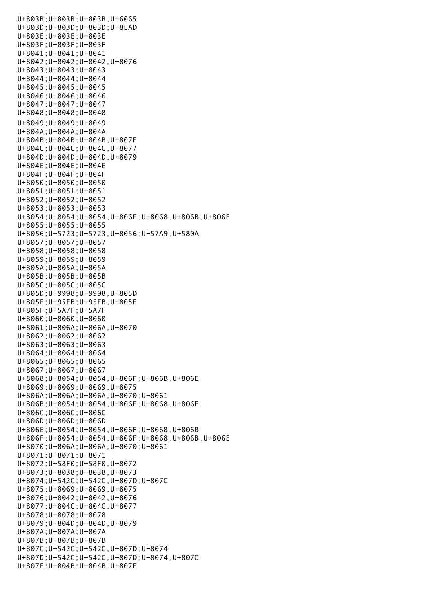.<br>الماء الماري الماء الماري الماء الماء الماء الماء الماء الماء الماء الماء الم U+803B;U+803B;U+803B,U+6065 U+803D;U+803D;U+803D;U+8EAD U+803E;U+803E;U+803E U+803F;U+803F;U+803F U+8041;U+8041;U+8041 U+8042;U+8042;U+8042,U+8076 U+8043;U+8043;U+8043 U+8044;U+8044;U+8044 U+8045;U+8045;U+8045 U+8046;U+8046;U+8046 U+8047;U+8047;U+8047 U+8048;U+8048;U+8048 U+8049;U+8049;U+8049 U+804A;U+804A;U+804A U+804B;U+804B;U+804B,U+807E U+804C;U+804C;U+804C,U+8077 U+804D;U+804D;U+804D,U+8079 U+804E;U+804E;U+804E U+804F;U+804F;U+804F U+8050;U+8050;U+8050 U+8051;U+8051;U+8051 U+8052;U+8052;U+8052 U+8053;U+8053;U+8053 U+8054;U+8054;U+8054,U+806F;U+8068,U+806B,U+806E U+8055;U+8055;U+8055 U+8056;U+5723;U+5723,U+8056;U+57A9,U+580A U+8057;U+8057;U+8057 U+8058;U+8058;U+8058 U+8059;U+8059;U+8059 U+805A;U+805A;U+805A U+805B;U+805B;U+805B U+805C;U+805C;U+805C U+805D;U+9998;U+9998,U+805D U+805E;U+95FB;U+95FB,U+805E U+805F;U+5A7F;U+5A7F U+8060;U+8060;U+8060 U+8061;U+806A;U+806A,U+8070 U+8062;U+8062;U+8062 U+8063;U+8063;U+8063 U+8064;U+8064;U+8064 U+8065;U+8065;U+8065 U+8067;U+8067;U+8067 U+8068;U+8054;U+8054,U+806F;U+806B,U+806E U+8069;U+8069;U+8069,U+8075 U+806A;U+806A;U+806A,U+8070;U+8061 U+806B;U+8054;U+8054,U+806F;U+8068,U+806E U+806C;U+806C;U+806C U+806D;U+806D;U+806D U+806E;U+8054;U+8054,U+806F;U+8068,U+806B U+806F;U+8054;U+8054,U+806F;U+8068,U+806B,U+806E U+8070;U+806A;U+806A,U+8070;U+8061 U+8071;U+8071;U+8071 U+8072;U+58F0;U+58F0,U+8072 U+8073;U+8038;U+8038,U+8073 U+8074;U+542C;U+542C,U+807D;U+807C U+8075;U+8069;U+8069,U+8075 U+8076;U+8042;U+8042,U+8076 U+8077;U+804C;U+804C,U+8077 U+8078;U+8078;U+8078 U+8079;U+804D;U+804D,U+8079 U+807A;U+807A;U+807A U+807B;U+807B;U+807B U+807C;U+542C;U+542C,U+807D;U+8074 U+807D;U+542C;U+542C,U+807D;U+8074,U+807C U+807E;U+804B;U+804B,U+807E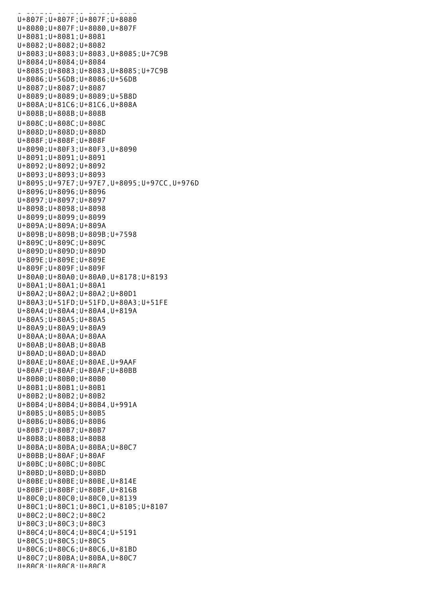U+807E;U+804B;U+804B;U+804B U+807F;U+807F;U+807F;U+8080 U+8080;U+807F;U+8080,U+807F U+8081;U+8081;U+8081 U+8082;U+8082;U+8082 U+8083;U+8083;U+8083,U+8085;U+7C9B U+8084;U+8084;U+8084 U+8085;U+8083;U+8083,U+8085;U+7C9B U+8086;U+56DB;U+8086;U+56DB U+8087;U+8087;U+8087 U+8089;U+8089;U+8089;U+5B8D U+808A;U+81C6;U+81C6,U+808A U+808B;U+808B;U+808B U+808C;U+808C;U+808C U+808D;U+808D;U+808D U+808F;U+808F;U+808F U+8090;U+80F3;U+80F3,U+8090 U+8091;U+8091;U+8091 U+8092;U+8092;U+8092 U+8093;U+8093;U+8093 U+8095;U+97E7;U+97E7,U+8095;U+97CC,U+976D U+8096;U+8096;U+8096 U+8097;U+8097;U+8097 U+8098;U+8098;U+8098 U+8099;U+8099;U+8099 U+809A;U+809A;U+809A U+809B;U+809B;U+809B;U+7598 U+809C;U+809C;U+809C U+809D;U+809D;U+809D U+809E;U+809E;U+809E U+809F;U+809F;U+809F U+80A0;U+80A0;U+80A0,U+8178;U+8193 U+80A1;U+80A1;U+80A1 U+80A2;U+80A2;U+80A2;U+80D1 U+80A3;U+51FD;U+51FD,U+80A3;U+51FE U+80A4;U+80A4;U+80A4,U+819A U+80A5;U+80A5;U+80A5 U+80A9;U+80A9;U+80A9 U+80AA;U+80AA;U+80AA U+80AB;U+80AB;U+80AB U+80AD;U+80AD;U+80AD U+80AE;U+80AE;U+80AE,U+9AAF U+80AF;U+80AF;U+80AF;U+80BB U+80B0;U+80B0;U+80B0 U+80B1;U+80B1;U+80B1 U+80B2;U+80B2;U+80B2 U+80B4;U+80B4;U+80B4,U+991A U+80B5;U+80B5;U+80B5 U+80B6;U+80B6;U+80B6 U+80B7;U+80B7;U+80B7 U+80B8;U+80B8;U+80B8 U+80BA;U+80BA;U+80BA;U+80C7 U+80BB;U+80AF;U+80AF U+80BC;U+80BC;U+80BC U+80BD;U+80BD;U+80BD U+80BE;U+80BE;U+80BE,U+814E U+80BF;U+80BF;U+80BF,U+816B U+80C0;U+80C0;U+80C0,U+8139 U+80C1;U+80C1;U+80C1,U+8105;U+8107 U+80C2;U+80C2;U+80C2 U+80C3;U+80C3;U+80C3 U+80C4;U+80C4;U+80C4;U+5191 U+80C5;U+80C5;U+80C5 U+80C6;U+80C6;U+80C6,U+81BD U+80C7;U+80BA;U+80BA,U+80C7 U+80C8;U+80C8;U+80C8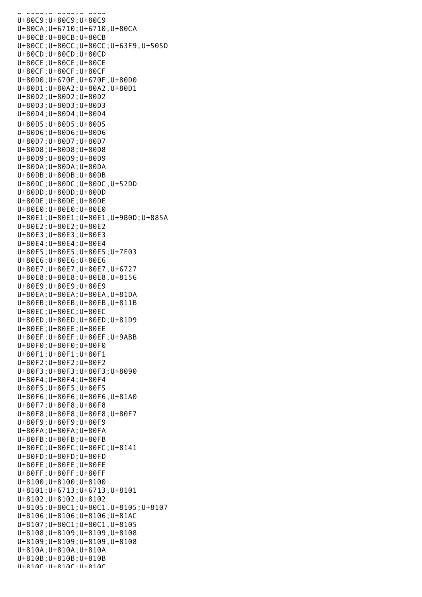U+80C8;U+80C8;U+80C8 U+80C9;U+80C9;U+80C9 U+80CA;U+6710;U+6710,U+80CA U+80CB;U+80CB;U+80CB U+80CC;U+80CC;U+80CC;U+63F9,U+505D U+80CD;U+80CD;U+80CD U+80CE;U+80CE;U+80CE U+80CF;U+80CF;U+80CF U+80D0;U+670F;U+670F,U+80D0 U+80D1;U+80A2;U+80A2,U+80D1 U+80D2;U+80D2;U+80D2 U+80D3;U+80D3;U+80D3 U+80D4;U+80D4;U+80D4 U+80D5;U+80D5;U+80D5 U+80D6;U+80D6;U+80D6 U+80D7;U+80D7;U+80D7 U+80D8;U+80D8;U+80D8 U+80D9;U+80D9;U+80D9 U+80DA;U+80DA;U+80DA U+80DB;U+80DB;U+80DB U+80DC;U+80DC;U+80DC,U+52DD U+80DD;U+80DD;U+80DD U+80DE;U+80DE;U+80DE U+80E0;U+80E0;U+80E0 U+80E1;U+80E1;U+80E1,U+9B0D;U+885A U+80E2;U+80E2;U+80E2 U+80E3;U+80E3;U+80E3 U+80E4;U+80E4;U+80E4 U+80E5;U+80E5;U+80E5;U+7E03 U+80E6;U+80E6;U+80E6 U+80E7;U+80E7;U+80E7,U+6727 U+80E8;U+80E8;U+80E8,U+8156 U+80E9;U+80E9;U+80E9 U+80EA;U+80EA;U+80EA,U+81DA U+80EB;U+80EB;U+80EB,U+811B U+80EC;U+80EC;U+80EC U+80ED;U+80ED;U+80ED;U+81D9 U+80EE;U+80EE;U+80EE U+80EF;U+80EF;U+80EF;U+9ABB U+80F0;U+80F0;U+80F0 U+80F1;U+80F1;U+80F1 U+80F2;U+80F2;U+80F2 U+80F3;U+80F3;U+80F3;U+8090 U+80F4;U+80F4;U+80F4 U+80F5;U+80F5;U+80F5 U+80F6;U+80F6;U+80F6,U+81A0 U+80F7;U+80F8;U+80F8 U+80F8;U+80F8;U+80F8;U+80F7 U+80F9;U+80F9;U+80F9 U+80FA;U+80FA;U+80FA U+80FB;U+80FB;U+80FB U+80FC;U+80FC;U+80FC;U+8141 U+80FD;U+80FD;U+80FD U+80FE;U+80FE;U+80FE U+80FF;U+80FF;U+80FF U+8100;U+8100;U+8100 U+8101;U+6713;U+6713,U+8101 U+8102;U+8102;U+8102 U+8105;U+80C1;U+80C1,U+8105;U+8107 U+8106;U+8106;U+8106;U+81AC U+8107;U+80C1;U+80C1,U+8105 U+8108;U+8109;U+8109,U+8108 U+8109;U+8109;U+8109,U+8108 U+810A;U+810A;U+810A U+810B;U+810B;U+810B  $11+810C \cdot 11+810C \cdot 11+810C$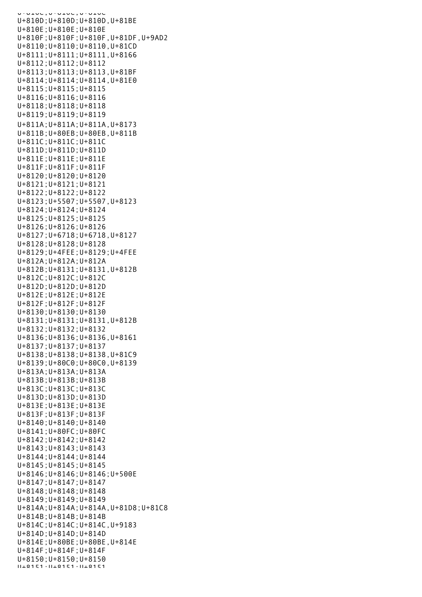U+010C;U+010C;U+010C U+810D;U+810D;U+810D,U+81BE U+810E;U+810E;U+810E U+810F;U+810F;U+810F,U+81DF,U+9AD2 U+8110;U+8110;U+8110,U+81CD U+8111;U+8111;U+8111,U+8166 U+8112;U+8112;U+8112 U+8113;U+8113;U+8113,U+81BF U+8114;U+8114;U+8114,U+81E0 U+8115;U+8115;U+8115 U+8116;U+8116;U+8116 U+8118;U+8118;U+8118 U+8119;U+8119;U+8119 U+811A;U+811A;U+811A,U+8173 U+811B;U+80EB;U+80EB,U+811B U+811C;U+811C;U+811C U+811D;U+811D;U+811D U+811E;U+811E;U+811E U+811F;U+811F;U+811F U+8120;U+8120;U+8120 U+8121;U+8121;U+8121 U+8122;U+8122;U+8122 U+8123;U+5507;U+5507,U+8123 U+8124;U+8124;U+8124 U+8125;U+8125;U+8125 U+8126;U+8126;U+8126 U+8127;U+6718;U+6718,U+8127 U+8128;U+8128;U+8128 U+8129;U+4FEE;U+8129;U+4FEE U+812A;U+812A;U+812A U+812B;U+8131;U+8131,U+812B U+812C;U+812C;U+812C U+812D;U+812D;U+812D U+812E;U+812E;U+812E U+812F;U+812F;U+812F U+8130;U+8130;U+8130 U+8131;U+8131;U+8131,U+812B U+8132;U+8132;U+8132 U+8136;U+8136;U+8136,U+8161 U+8137;U+8137;U+8137 U+8138;U+8138;U+8138,U+81C9 U+8139;U+80C0;U+80C0,U+8139 U+813A;U+813A;U+813A U+813B;U+813B;U+813B U+813C;U+813C;U+813C U+813D;U+813D;U+813D U+813E;U+813E;U+813E U+813F;U+813F;U+813F U+8140;U+8140;U+8140 U+8141;U+80FC;U+80FC U+8142;U+8142;U+8142 U+8143;U+8143;U+8143 U+8144;U+8144;U+8144 U+8145;U+8145;U+8145 U+8146;U+8146;U+8146;U+500E U+8147;U+8147;U+8147 U+8148;U+8148;U+8148 U+8149;U+8149;U+8149 U+814A;U+814A;U+814A,U+81D8;U+81C8 U+814B;U+814B;U+814B U+814C;U+814C;U+814C,U+9183 U+814D;U+814D;U+814D U+814E;U+80BE;U+80BE,U+814E U+814F;U+814F;U+814F U+8150;U+8150;U+8150 U+8151;U+8151;U+8151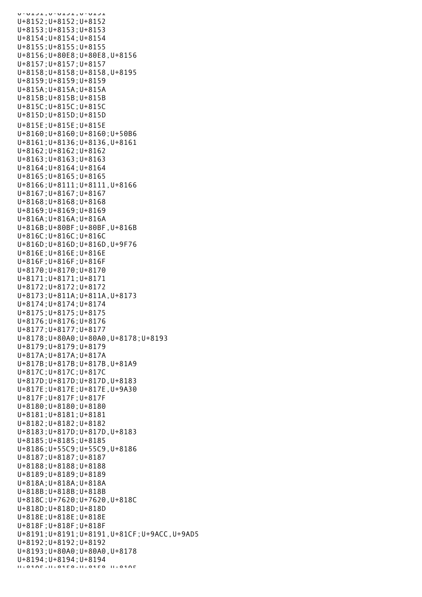U+8151;U+8151;U+B151 U+8152;U+8152;U+8152 U+8153;U+8153;U+8153 U+8154;U+8154;U+8154 U+8155;U+8155;U+8155 U+8156;U+80E8;U+80E8,U+8156 U+8157;U+8157;U+8157 U+8158;U+8158;U+8158,U+8195 U+8159;U+8159;U+8159 U+815A;U+815A;U+815A U+815B;U+815B;U+815B U+815C;U+815C;U+815C U+815D;U+815D;U+815D U+815E;U+815E;U+815E U+8160;U+8160;U+8160;U+50B6 U+8161;U+8136;U+8136,U+8161 U+8162;U+8162;U+8162 U+8163;U+8163;U+8163 U+8164;U+8164;U+8164 U+8165;U+8165;U+8165 U+8166;U+8111;U+8111,U+8166 U+8167;U+8167;U+8167 U+8168;U+8168;U+8168 U+8169;U+8169;U+8169 U+816A;U+816A;U+816A U+816B;U+80BF;U+80BF,U+816B U+816C;U+816C;U+816C U+816D;U+816D;U+816D,U+9F76 U+816E;U+816E;U+816E U+816F;U+816F;U+816F U+8170;U+8170;U+8170 U+8171;U+8171;U+8171 U+8172;U+8172;U+8172 U+8173;U+811A;U+811A,U+8173 U+8174;U+8174;U+8174 U+8175;U+8175;U+8175 U+8176;U+8176;U+8176 U+8177;U+8177;U+8177 U+8178;U+80A0;U+80A0,U+8178;U+8193 U+8179;U+8179;U+8179 U+817A;U+817A;U+817A U+817B;U+817B;U+817B,U+81A9 U+817C;U+817C;U+817C U+817D;U+817D;U+817D,U+8183 U+817E;U+817E;U+817E,U+9A30 U+817F;U+817F;U+817F U+8180;U+8180;U+8180 U+8181;U+8181;U+8181 U+8182;U+8182;U+8182 U+8183;U+817D;U+817D,U+8183 U+8185;U+8185;U+8185 U+8186;U+55C9;U+55C9,U+8186 U+8187;U+8187;U+8187 U+8188;U+8188;U+8188 U+8189;U+8189;U+8189 U+818A;U+818A;U+818A U+818B;U+818B;U+818B U+818C;U+7620;U+7620,U+818C U+818D;U+818D;U+818D U+818E;U+818E;U+818E U+818F;U+818F;U+818F U+8191;U+8191;U+8191,U+81CF;U+9ACC,U+9AD5 U+8192;U+8192;U+8192 U+8193;U+80A0;U+80A0,U+8178 U+8194;U+8194;U+8194  $U+010E$ . $U+01E0$ . $U+01E0$ <br>U+8105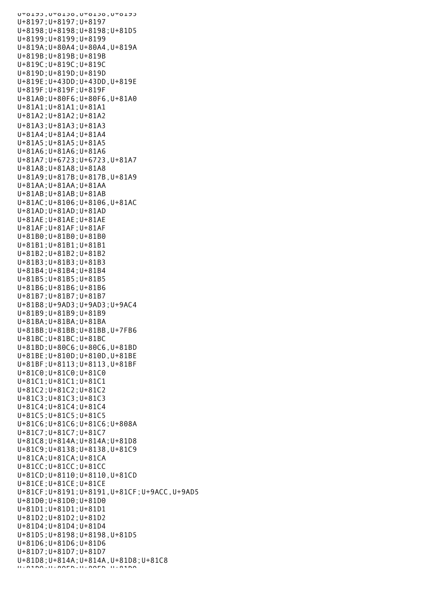UTOLJS, UTOLJO, UTOLJO, UTOLJJ U+8197;U+8197;U+8197 U+8198;U+8198;U+8198;U+81D5 U+8199;U+8199;U+8199 U+819A;U+80A4;U+80A4,U+819A U+819B;U+819B;U+819B U+819C;U+819C;U+819C U+819D;U+819D;U+819D U+819E;U+43DD;U+43DD,U+819E U+819F;U+819F;U+819F U+81A0;U+80F6;U+80F6,U+81A0 U+81A1;U+81A1;U+81A1 U+81A2;U+81A2;U+81A2 U+81A3;U+81A3;U+81A3 U+81A4;U+81A4;U+81A4 U+81A5;U+81A5;U+81A5 U+81A6;U+81A6;U+81A6 U+81A7;U+6723;U+6723,U+81A7 U+81A8;U+81A8;U+81A8 U+81A9;U+817B;U+817B,U+81A9 U+81AA;U+81AA;U+81AA U+81AB;U+81AB;U+81AB U+81AC;U+8106;U+8106,U+81AC U+81AD;U+81AD;U+81AD U+81AE;U+81AE;U+81AE U+81AF;U+81AF;U+81AF U+81B0;U+81B0;U+81B0 U+81B1;U+81B1;U+81B1 U+81B2;U+81B2;U+81B2 U+81B3;U+81B3;U+81B3 U+81B4;U+81B4;U+81B4 U+81B5;U+81B5;U+81B5 U+81B6;U+81B6;U+81B6 U+81B7;U+81B7;U+81B7 U+81B8;U+9AD3;U+9AD3;U+9AC4 U+81B9;U+81B9;U+81B9 U+81BA;U+81BA;U+81BA U+81BB;U+81BB;U+81BB,U+7FB6 U+81BC;U+81BC;U+81BC U+81BD;U+80C6;U+80C6,U+81BD U+81BE;U+810D;U+810D,U+81BE U+81BF;U+8113;U+8113,U+81BF U+81C0;U+81C0;U+81C0 U+81C1;U+81C1;U+81C1 U+81C2;U+81C2;U+81C2 U+81C3;U+81C3;U+81C3 U+81C4;U+81C4;U+81C4 U+81C5;U+81C5;U+81C5 U+81C6;U+81C6;U+81C6;U+808A U+81C7;U+81C7;U+81C7 U+81C8;U+814A;U+814A;U+81D8 U+81C9;U+8138;U+8138,U+81C9 U+81CA;U+81CA;U+81CA U+81CC;U+81CC;U+81CC U+81CD;U+8110;U+8110,U+81CD U+81CE;U+81CE;U+81CE U+81CF;U+8191;U+8191,U+81CF;U+9ACC,U+9AD5 U+81D0;U+81D0;U+81D0 U+81D1;U+81D1;U+81D1 U+81D2;U+81D2;U+81D2 U+81D4;U+81D4;U+81D4 U+81D5;U+8198;U+8198,U+81D5 U+81D6;U+81D6;U+81D6 U+81D7;U+81D7;U+81D7 U+81D8;U+814A;U+814A,U+81D8;U+81C8 U+81D9;U+80ED;U+80ED,U+81D9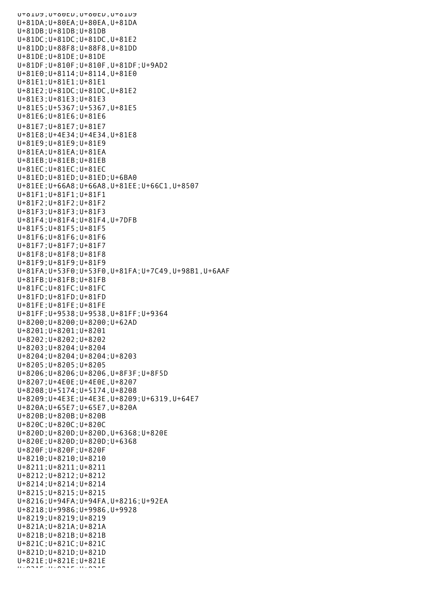U+81D9;U+80ED;U+80ED,U+81D9 U+81DA;U+80EA;U+80EA,U+81DA U+81DB;U+81DB;U+81DB U+81DC;U+81DC;U+81DC,U+81E2 U+81DD;U+88F8;U+88F8,U+81DD U+81DE;U+81DE;U+81DE U+81DF;U+810F;U+810F,U+81DF;U+9AD2 U+81E0;U+8114;U+8114,U+81E0 U+81E1;U+81E1;U+81E1 U+81E2;U+81DC;U+81DC,U+81E2 U+81E3;U+81E3;U+81E3 U+81E5;U+5367;U+5367,U+81E5 U+81E6;U+81E6;U+81E6 U+81E7;U+81E7;U+81E7 U+81E8;U+4E34;U+4E34,U+81E8 U+81E9;U+81E9;U+81E9 U+81EA;U+81EA;U+81EA U+81EB;U+81EB;U+81EB U+81EC;U+81EC;U+81EC U+81ED;U+81ED;U+81ED;U+6BA0 U+81EE;U+66A8;U+66A8,U+81EE;U+66C1,U+8507 U+81F1;U+81F1;U+81F1 U+81F2;U+81F2;U+81F2 U+81F3;U+81F3;U+81F3 U+81F4;U+81F4;U+81F4,U+7DFB U+81F5;U+81F5;U+81F5 U+81F6;U+81F6;U+81F6 U+81F7;U+81F7;U+81F7 U+81F8;U+81F8;U+81F8 U+81F9;U+81F9;U+81F9 U+81FA;U+53F0;U+53F0,U+81FA;U+7C49,U+98B1,U+6AAF U+81FB;U+81FB;U+81FB U+81FC;U+81FC;U+81FC U+81FD;U+81FD;U+81FD U+81FE;U+81FE;U+81FE U+81FF;U+9538;U+9538,U+81FF;U+9364 U+8200;U+8200;U+8200;U+62AD U+8201;U+8201;U+8201 U+8202;U+8202;U+8202 U+8203;U+8204;U+8204 U+8204;U+8204;U+8204;U+8203 U+8205;U+8205;U+8205 U+8206;U+8206;U+8206,U+8F3F;U+8F5D U+8207;U+4E0E;U+4E0E,U+8207 U+8208;U+5174;U+5174,U+8208 U+8209;U+4E3E;U+4E3E,U+8209;U+6319,U+64E7 U+820A;U+65E7;U+65E7,U+820A U+820B;U+820B;U+820B U+820C;U+820C;U+820C U+820D;U+820D;U+820D,U+6368;U+820E U+820E;U+820D;U+820D;U+6368 U+820F;U+820F;U+820F U+8210;U+8210;U+8210 U+8211;U+8211;U+8211 U+8212;U+8212;U+8212 U+8214;U+8214;U+8214 U+8215;U+8215;U+8215 U+8216;U+94FA;U+94FA,U+8216;U+92EA U+8218;U+9986;U+9986,U+9928 U+8219;U+8219;U+8219 U+821A;U+821A;U+821A U+821B;U+821B;U+821B U+821C;U+821C;U+821C U+821D;U+821D;U+821D U+821E;U+821E;U+821E  $U(8,8,8,1)$   $U(8,8,8,1)$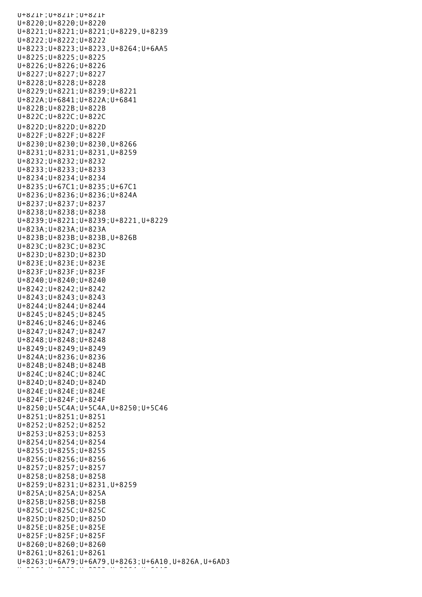U+821F;U+821F;U+821F U+8220;U+8220;U+8220 U+8221;U+8221;U+8221;U+8229,U+8239 U+8222;U+8222;U+8222 U+8223;U+8223;U+8223,U+8264;U+6AA5 U+8225;U+8225;U+8225 U+8226;U+8226;U+8226 U+8227;U+8227;U+8227 U+8228;U+8228;U+8228 U+8229;U+8221;U+8239;U+8221 U+822A;U+6841;U+822A;U+6841 U+822B;U+822B;U+822B U+822C;U+822C;U+822C U+822D;U+822D;U+822D U+822F;U+822F;U+822F U+8230;U+8230;U+8230,U+8266 U+8231;U+8231;U+8231,U+8259 U+8232;U+8232;U+8232 U+8233;U+8233;U+8233 U+8234;U+8234;U+8234 U+8235;U+67C1;U+8235;U+67C1 U+8236;U+8236;U+8236;U+824A U+8237;U+8237;U+8237 U+8238;U+8238;U+8238 U+8239;U+8221;U+8239;U+8221,U+8229 U+823A;U+823A;U+823A U+823B;U+823B;U+823B,U+826B U+823C;U+823C;U+823C U+823D;U+823D;U+823D U+823E;U+823E;U+823E U+823F;U+823F;U+823F U+8240;U+8240;U+8240 U+8242;U+8242;U+8242 U+8243;U+8243;U+8243 U+8244;U+8244;U+8244 U+8245;U+8245;U+8245 U+8246;U+8246;U+8246 U+8247;U+8247;U+8247 U+8248;U+8248;U+8248 U+8249;U+8249;U+8249 U+824A;U+8236;U+8236 U+824B;U+824B;U+824B U+824C;U+824C;U+824C U+824D;U+824D;U+824D U+824E;U+824E;U+824E U+824F;U+824F;U+824F U+8250;U+5C4A;U+5C4A,U+8250;U+5C46 U+8251;U+8251;U+8251 U+8252;U+8252;U+8252 U+8253;U+8253;U+8253 U+8254;U+8254;U+8254 U+8255;U+8255;U+8255 U+8256;U+8256;U+8256 U+8257;U+8257;U+8257 U+8258;U+8258;U+8258 U+8259;U+8231;U+8231,U+8259 U+825A;U+825A;U+825A U+825B;U+825B;U+825B U+825C;U+825C;U+825C U+825D;U+825D;U+825D U+825E;U+825E;U+825E U+825F;U+825F;U+825F U+8260;U+8260;U+8260 U+8261;U+8261;U+8261 U+8263;U+6A79;U+6A79,U+8263;U+6A10,U+826A,U+6AD3 U+8264;U+8283;U+8283;U+8233;U+8264;U+<br>U+823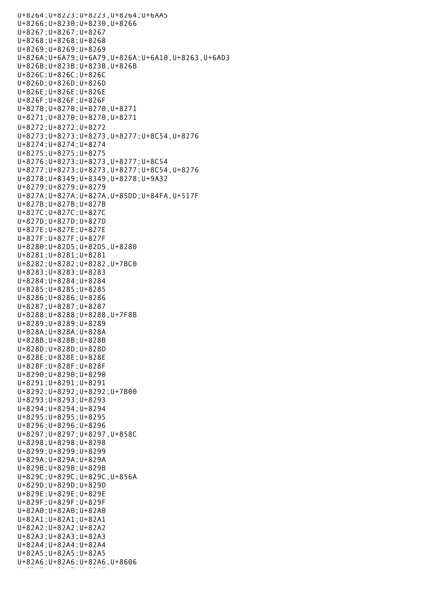U+8264;U+8223;U+8223,U+8264;U+6AA5 U+8266;U+8230;U+8230,U+8266 U+8267;U+8267;U+8267 U+8268;U+8268;U+8268 U+8269;U+8269;U+8269 U+826A;U+6A79;U+6A79,U+826A;U+6A10,U+8263,U+6AD3 U+826B;U+823B;U+823B,U+826B U+826C;U+826C;U+826C U+826D;U+826D;U+826D U+826E;U+826E;U+826E U+826F;U+826F;U+826F U+8270;U+8270;U+8270,U+8271 U+8271;U+8270;U+8270,U+8271 U+8272;U+8272;U+8272 U+8273;U+8273;U+8273,U+8277;U+8C54,U+8276 U+8274;U+8274;U+8274 U+8275;U+8275;U+8275 U+8276;U+8273;U+8273,U+8277;U+8C54 U+8277;U+8273;U+8273,U+8277;U+8C54,U+8276 U+8278;U+8349;U+8349,U+8278;U+9A32 U+8279;U+8279;U+8279 U+827A;U+827A;U+827A,U+85DD;U+84FA,U+517F U+827B;U+827B;U+827B U+827C;U+827C;U+827C U+827D;U+827D;U+827D U+827E;U+827E;U+827E U+827F;U+827F;U+827F U+8280;U+82D5;U+82D5,U+8280 U+8281;U+8281;U+8281 U+8282;U+8282;U+8282,U+7BC0 U+8283;U+8283;U+8283 U+8284;U+8284;U+8284 U+8285;U+8285;U+8285 U+8286;U+8286;U+8286 U+8287;U+8287;U+8287 U+8288;U+8288;U+8288,U+7F8B U+8289;U+8289;U+8289 U+828A;U+828A;U+828A U+828B;U+828B;U+828B U+828D;U+828D;U+828D U+828E;U+828E;U+828E U+828F;U+828F;U+828F U+8290;U+8290;U+8290 U+8291;U+8291;U+8291 U+8292;U+8292;U+8292;U+7B00 U+8293;U+8293;U+8293 U+8294;U+8294;U+8294 U+8295;U+8295;U+8295 U+8296;U+8296;U+8296 U+8297;U+8297;U+8297,U+858C U+8298;U+8298;U+8298 U+8299;U+8299;U+8299 U+829A;U+829A;U+829A U+829B;U+829B;U+829B U+829C;U+829C;U+829C,U+856A U+829D;U+829D;U+829D U+829E;U+829E;U+829E U+829F;U+829F;U+829F U+82A0;U+82A0;U+82A0 U+82A1;U+82A1;U+82A1 U+82A2;U+82A2;U+82A2 U+82A3;U+82A3;U+82A3 U+82A4;U+82A4;U+82A4 U+82A5;U+82A5;U+82A5 U+82A6;U+82A6;U+82A6,U+8606 u+a2a7;u+82A7;u+82A7;u+82A7;u+82A7;u+82A7;u+82A7;u+82A7;u+82A7;u+82A7;u+82A7;u+82A7;u+82A7;u+82A7;u+82A7;u+82A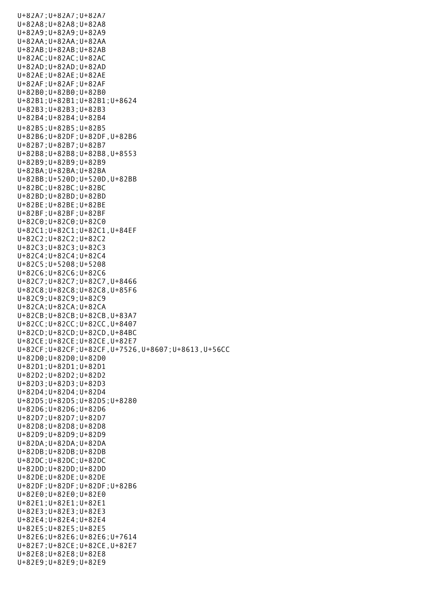U+82A7;U+82A7;U+82A7 U+82A8;U+82A8;U+82A8 U+82A9;U+82A9;U+82A9 U+82AA;U+82AA;U+82AA U+82AB;U+82AB;U+82AB U+82AC;U+82AC;U+82AC U+82AD;U+82AD;U+82AD U+82AE;U+82AE;U+82AE U+82AF;U+82AF;U+82AF U+82B0;U+82B0;U+82B0 U+82B1;U+82B1;U+82B1;U+8624 U+82B3;U+82B3;U+82B3 U+82B4;U+82B4;U+82B4 U+82B5;U+82B5;U+82B5 U+82B6;U+82DF;U+82DF,U+82B6 U+82B7;U+82B7;U+82B7 U+82B8;U+82B8;U+82B8,U+8553 U+82B9;U+82B9;U+82B9 U+82BA;U+82BA;U+82BA U+82BB;U+520D;U+520D,U+82BB U+82BC;U+82BC;U+82BC U+82BD;U+82BD;U+82BD U+82BE;U+82BE;U+82BE U+82BF;U+82BF;U+82BF U+82C0;U+82C0;U+82C0 U+82C1;U+82C1;U+82C1,U+84EF U+82C2;U+82C2;U+82C2 U+82C3;U+82C3;U+82C3 U+82C4;U+82C4;U+82C4 U+82C5;U+5208;U+5208 U+82C6;U+82C6;U+82C6 U+82C7;U+82C7;U+82C7,U+8466 U+82C8;U+82C8;U+82C8,U+85F6 U+82C9;U+82C9;U+82C9 U+82CA;U+82CA;U+82CA U+82CB;U+82CB;U+82CB,U+83A7 U+82CC;U+82CC;U+82CC,U+8407 U+82CD;U+82CD;U+82CD,U+84BC U+82CE;U+82CE;U+82CE,U+82E7 U+82CF;U+82CF;U+82CF,U+7526,U+8607;U+8613,U+56CC U+82D0;U+82D0;U+82D0 U+82D1;U+82D1;U+82D1 U+82D2;U+82D2;U+82D2 U+82D3;U+82D3;U+82D3 U+82D4;U+82D4;U+82D4 U+82D5;U+82D5;U+82D5;U+8280 U+82D6;U+82D6;U+82D6 U+82D7;U+82D7;U+82D7 U+82D8;U+82D8;U+82D8 U+82D9;U+82D9;U+82D9 U+82DA;U+82DA;U+82DA U+82DB;U+82DB;U+82DB U+82DC;U+82DC;U+82DC U+82DD;U+82DD;U+82DD U+82DE;U+82DE;U+82DE U+82DF;U+82DF;U+82DF;U+82B6 U+82E0;U+82E0;U+82E0 U+82E1;U+82E1;U+82E1 U+82E3;U+82E3;U+82E3 U+82E4;U+82E4;U+82E4 U+82E5;U+82E5;U+82E5 U+82E6;U+82E6;U+82E6;U+7614 U+82E7;U+82CE;U+82CE,U+82E7 U+82E8;U+82E8;U+82E8 U+82E9;U+82E9;U+82E9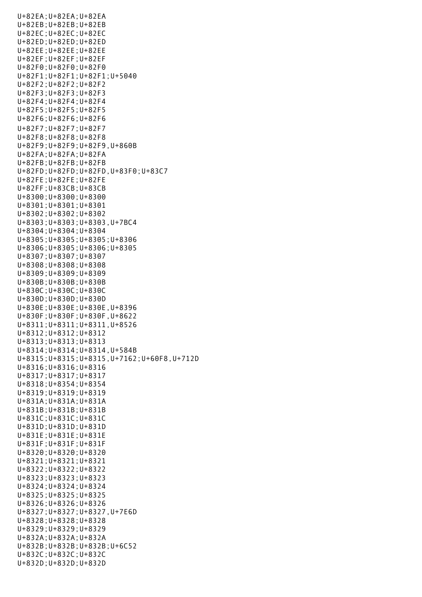U+82EA;U+82EA;U+82EA U+82EB;U+82EB;U+82EB U+82EC;U+82EC;U+82EC U+82ED;U+82ED;U+82ED U+82EE;U+82EE;U+82EE U+82EF;U+82EF;U+82EF U+82F0;U+82F0;U+82F0 U+82F1;U+82F1;U+82F1;U+5040 U+82F2;U+82F2;U+82F2 U+82F3;U+82F3;U+82F3 U+82F4;U+82F4;U+82F4 U+82F5;U+82F5;U+82F5 U+82F6;U+82F6;U+82F6 U+82F7;U+82F7;U+82F7 U+82F8;U+82F8;U+82F8 U+82F9;U+82F9;U+82F9,U+860B U+82FA;U+82FA;U+82FA U+82FB;U+82FB;U+82FB U+82FD;U+82FD;U+82FD,U+83F0;U+83C7 U+82FE;U+82FE;U+82FE U+82FF;U+83CB;U+83CB U+8300;U+8300;U+8300 U+8301;U+8301;U+8301 U+8302;U+8302;U+8302 U+8303;U+8303;U+8303,U+7BC4 U+8304;U+8304;U+8304 U+8305;U+8305;U+8305;U+8306 U+8306;U+8305;U+8306;U+8305 U+8307;U+8307;U+8307 U+8308;U+8308;U+8308 U+8309;U+8309;U+8309 U+830B;U+830B;U+830B U+830C;U+830C;U+830C U+830D;U+830D;U+830D U+830E;U+830E;U+830E,U+8396 U+830F;U+830F;U+830F,U+8622 U+8311;U+8311;U+8311,U+8526 U+8312;U+8312;U+8312 U+8313;U+8313;U+8313 U+8314;U+8314;U+8314,U+584B U+8315;U+8315;U+8315,U+7162;U+60F8,U+712D U+8316;U+8316;U+8316 U+8317;U+8317;U+8317 U+8318;U+8354;U+8354 U+8319;U+8319;U+8319 U+831A;U+831A;U+831A U+831B;U+831B;U+831B U+831C;U+831C;U+831C U+831D;U+831D;U+831D U+831E;U+831E;U+831E U+831F;U+831F;U+831F U+8320;U+8320;U+8320 U+8321;U+8321;U+8321 U+8322;U+8322;U+8322 U+8323;U+8323;U+8323 U+8324;U+8324;U+8324 U+8325;U+8325;U+8325 U+8326;U+8326;U+8326 U+8327;U+8327;U+8327,U+7E6D U+8328;U+8328;U+8328 U+8329;U+8329;U+8329 U+832A;U+832A;U+832A U+832B;U+832B;U+832B;U+6C52 U+832C;U+832C;U+832C U+832D;U+832D;U+832D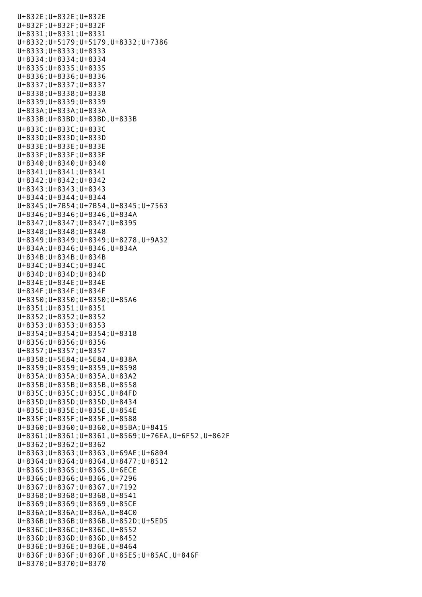U+832E;U+832E;U+832E U+832F;U+832F;U+832F U+8331;U+8331;U+8331 U+8332;U+5179;U+5179,U+8332;U+7386 U+8333;U+8333;U+8333 U+8334;U+8334;U+8334 U+8335;U+8335;U+8335 U+8336;U+8336;U+8336 U+8337;U+8337;U+8337 U+8338;U+8338;U+8338 U+8339;U+8339;U+8339 U+833A;U+833A;U+833A U+833B;U+83BD;U+83BD,U+833B U+833C;U+833C;U+833C U+833D;U+833D;U+833D U+833E;U+833E;U+833E U+833F;U+833F;U+833F U+8340;U+8340;U+8340 U+8341;U+8341;U+8341 U+8342;U+8342;U+8342 U+8343;U+8343;U+8343 U+8344;U+8344;U+8344 U+8345;U+7B54;U+7B54,U+8345;U+7563 U+8346;U+8346;U+8346,U+834A U+8347;U+8347;U+8347;U+8395 U+8348;U+8348;U+8348 U+8349;U+8349;U+8349;U+8278,U+9A32 U+834A;U+8346;U+8346,U+834A U+834B;U+834B;U+834B U+834C;U+834C;U+834C U+834D;U+834D;U+834D U+834E;U+834E;U+834E U+834F;U+834F;U+834F U+8350;U+8350;U+8350;U+85A6 U+8351;U+8351;U+8351 U+8352;U+8352;U+8352 U+8353;U+8353;U+8353 U+8354;U+8354;U+8354;U+8318 U+8356;U+8356;U+8356 U+8357;U+8357;U+8357 U+8358;U+5E84;U+5E84,U+838A U+8359;U+8359;U+8359,U+8598 U+835A;U+835A;U+835A,U+83A2 U+835B;U+835B;U+835B,U+8558 U+835C;U+835C;U+835C,U+84FD U+835D;U+835D;U+835D,U+8434 U+835E;U+835E;U+835E,U+854E U+835F;U+835F;U+835F,U+8588 U+8360;U+8360;U+8360,U+85BA;U+8415 U+8361;U+8361;U+8361,U+8569;U+76EA,U+6F52,U+862F U+8362;U+8362;U+8362 U+8363;U+8363;U+8363,U+69AE;U+6804 U+8364;U+8364;U+8364,U+8477;U+8512 U+8365;U+8365;U+8365,U+6ECE U+8366;U+8366;U+8366,U+7296 U+8367;U+8367;U+8367,U+7192 U+8368;U+8368;U+8368,U+8541 U+8369;U+8369;U+8369,U+85CE U+836A;U+836A;U+836A,U+84C0 U+836B;U+836B;U+836B,U+852D;U+5ED5 U+836C;U+836C;U+836C,U+8552 U+836D;U+836D;U+836D,U+8452 U+836E;U+836E;U+836E,U+8464 U+836F;U+836F;U+836F,U+85E5;U+85AC,U+846F U+8370;U+8370;U+8370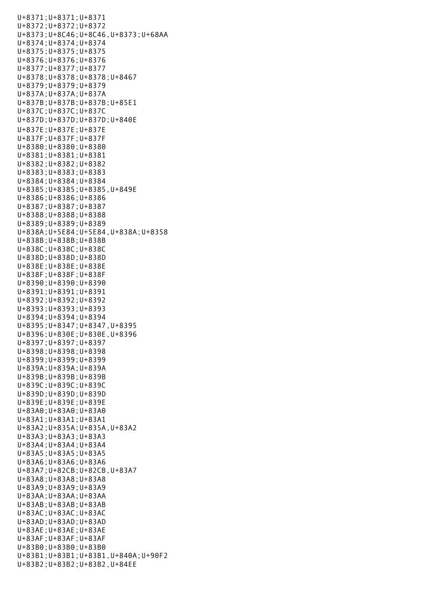U+8371;U+8371;U+8371 U+8372;U+8372;U+8372 U+8373;U+8C46;U+8C46,U+8373;U+68AA U+8374;U+8374;U+8374 U+8375;U+8375;U+8375 U+8376;U+8376;U+8376 U+8377;U+8377;U+8377 U+8378;U+8378;U+8378;U+8467 U+8379;U+8379;U+8379 U+837A;U+837A;U+837A U+837B;U+837B;U+837B;U+85E1 U+837C;U+837C;U+837C U+837D;U+837D;U+837D;U+840E U+837E;U+837E;U+837E U+837F;U+837F;U+837F U+8380;U+8380;U+8380 U+8381;U+8381;U+8381 U+8382;U+8382;U+8382 U+8383;U+8383;U+8383 U+8384;U+8384;U+8384 U+8385;U+8385;U+8385,U+849E U+8386;U+8386;U+8386 U+8387;U+8387;U+8387 U+8388;U+8388;U+8388 U+8389;U+8389;U+8389 U+838A;U+5E84;U+5E84,U+838A;U+8358 U+838B;U+838B;U+838B U+838C;U+838C;U+838C U+838D;U+838D;U+838D U+838E;U+838E;U+838E U+838F;U+838F;U+838F U+8390;U+8390;U+8390 U+8391;U+8391;U+8391 U+8392;U+8392;U+8392 U+8393;U+8393;U+8393 U+8394;U+8394;U+8394 U+8395;U+8347;U+8347,U+8395 U+8396;U+830E;U+830E,U+8396 U+8397;U+8397;U+8397 U+8398;U+8398;U+8398 U+8399;U+8399;U+8399 U+839A;U+839A;U+839A U+839B;U+839B;U+839B U+839C;U+839C;U+839C U+839D;U+839D;U+839D U+839E;U+839E;U+839E U+83A0;U+83A0;U+83A0 U+83A1;U+83A1;U+83A1 U+83A2;U+835A;U+835A,U+83A2 U+83A3;U+83A3;U+83A3 U+83A4;U+83A4;U+83A4 U+83A5;U+83A5;U+83A5 U+83A6;U+83A6;U+83A6 U+83A7;U+82CB;U+82CB,U+83A7 U+83A8;U+83A8;U+83A8 U+83A9;U+83A9;U+83A9 U+83AA;U+83AA;U+83AA U+83AB;U+83AB;U+83AB U+83AC;U+83AC;U+83AC U+83AD;U+83AD;U+83AD U+83AE;U+83AE;U+83AE U+83AF;U+83AF;U+83AF U+83B0;U+83B0;U+83B0 U+83B1;U+83B1;U+83B1,U+840A;U+90F2 U+83B2;U+83B2;U+83B2,U+84EE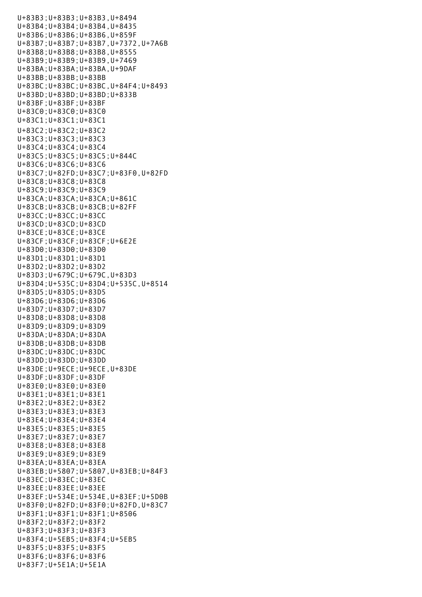U+83B3;U+83B3;U+83B3,U+8494 U+83B4;U+83B4;U+83B4,U+8435 U+83B6;U+83B6;U+83B6,U+859F U+83B7;U+83B7;U+83B7,U+7372,U+7A6B U+83B8;U+83B8;U+83B8,U+8555 U+83B9;U+83B9;U+83B9,U+7469 U+83BA;U+83BA;U+83BA,U+9DAF U+83BB;U+83BB;U+83BB U+83BC;U+83BC;U+83BC,U+84F4;U+8493 U+83BD;U+83BD;U+83BD;U+833B U+83BF;U+83BF;U+83BF U+83C0;U+83C0;U+83C0 U+83C1;U+83C1;U+83C1 U+83C2;U+83C2;U+83C2 U+83C3;U+83C3;U+83C3 U+83C4;U+83C4;U+83C4 U+83C5;U+83C5;U+83C5;U+844C U+83C6;U+83C6;U+83C6 U+83C7;U+82FD;U+83C7;U+83F0,U+82FD U+83C8;U+83C8;U+83C8 U+83C9;U+83C9;U+83C9 U+83CA;U+83CA;U+83CA;U+861C U+83CB;U+83CB;U+83CB;U+82FF U+83CC;U+83CC;U+83CC U+83CD;U+83CD;U+83CD U+83CE;U+83CE;U+83CE U+83CF;U+83CF;U+83CF;U+6E2E U+83D0;U+83D0;U+83D0 U+83D1;U+83D1;U+83D1 U+83D2;U+83D2;U+83D2 U+83D3;U+679C;U+679C,U+83D3 U+83D4;U+535C;U+83D4;U+535C,U+8514 U+83D5;U+83D5;U+83D5 U+83D6;U+83D6;U+83D6 U+83D7;U+83D7;U+83D7 U+83D8;U+83D8;U+83D8 U+83D9;U+83D9;U+83D9 U+83DA;U+83DA;U+83DA U+83DB;U+83DB;U+83DB U+83DC;U+83DC;U+83DC U+83DD;U+83DD;U+83DD U+83DE;U+9ECE;U+9ECE,U+83DE U+83DF;U+83DF;U+83DF U+83E0;U+83E0;U+83E0 U+83E1;U+83E1;U+83E1 U+83E2;U+83E2;U+83E2 U+83E3;U+83E3;U+83E3 U+83E4;U+83E4;U+83E4 U+83E5;U+83E5;U+83E5 U+83E7;U+83E7;U+83E7 U+83E8;U+83E8;U+83E8 U+83E9;U+83E9;U+83E9 U+83EA;U+83EA;U+83EA U+83EB;U+5807;U+5807,U+83EB;U+84F3 U+83EC;U+83EC;U+83EC U+83EE;U+83EE;U+83EE U+83EF;U+534E;U+534E,U+83EF;U+5D0B U+83F0;U+82FD;U+83F0;U+82FD,U+83C7 U+83F1;U+83F1;U+83F1;U+8506 U+83F2;U+83F2;U+83F2 U+83F3;U+83F3;U+83F3 U+83F4;U+5EB5;U+83F4;U+5EB5 U+83F5;U+83F5;U+83F5 U+83F6;U+83F6;U+83F6 U+83F7;U+5E1A;U+5E1A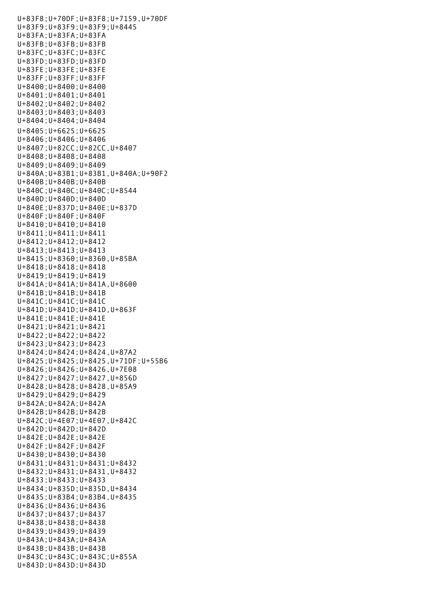U+83F8;U+70DF;U+83F8;U+7159,U+70DF U+83F9;U+83F9;U+83F9;U+8445 U+83FA;U+83FA;U+83FA U+83FB;U+83FB;U+83FB U+83FC;U+83FC;U+83FC U+83FD;U+83FD;U+83FD U+83FE;U+83FE;U+83FE U+83FF;U+83FF;U+83FF U+8400;U+8400;U+8400 U+8401;U+8401;U+8401 U+8402;U+8402;U+8402 U+8403;U+8403;U+8403 U+8404;U+8404;U+8404 U+8405;U+6625;U+6625 U+8406;U+8406;U+8406 U+8407;U+82CC;U+82CC,U+8407 U+8408;U+8408;U+8408 U+8409;U+8409;U+8409 U+840A;U+83B1;U+83B1,U+840A;U+90F2 U+840B;U+840B;U+840B U+840C;U+840C;U+840C;U+8544 U+840D;U+840D;U+840D U+840E;U+837D;U+840E;U+837D U+840F;U+840F;U+840F U+8410;U+8410;U+8410 U+8411;U+8411;U+8411 U+8412;U+8412;U+8412 U+8413;U+8413;U+8413 U+8415;U+8360;U+8360,U+85BA U+8418;U+8418;U+8418 U+8419;U+8419;U+8419 U+841A;U+841A;U+841A,U+8600 U+841B;U+841B;U+841B U+841C;U+841C;U+841C U+841D;U+841D;U+841D,U+863F U+841E;U+841E;U+841E U+8421;U+8421;U+8421 U+8422;U+8422;U+8422 U+8423;U+8423;U+8423 U+8424;U+8424;U+8424,U+87A2 U+8425;U+8425;U+8425,U+71DF;U+55B6 U+8426;U+8426;U+8426,U+7E08 U+8427;U+8427;U+8427,U+856D U+8428;U+8428;U+8428,U+85A9 U+8429;U+8429;U+8429 U+842A;U+842A;U+842A U+842B;U+842B;U+842B U+842C;U+4E07;U+4E07,U+842C U+842D;U+842D;U+842D U+842E;U+842E;U+842E U+842F;U+842F;U+842F U+8430;U+8430;U+8430 U+8431;U+8431;U+8431;U+8432 U+8432;U+8431;U+8431,U+8432 U+8433;U+8433;U+8433 U+8434;U+835D;U+835D,U+8434 U+8435;U+83B4;U+83B4,U+8435 U+8436;U+8436;U+8436 U+8437;U+8437;U+8437 U+8438;U+8438;U+8438 U+8439;U+8439;U+8439 U+843A;U+843A;U+843A U+843B;U+843B;U+843B U+843C;U+843C;U+843C;U+855A U+843D;U+843D;U+843D

U+83F7;U+5E1A;U+5E1A;U+5E1A;U+5E1A;U+5E1A;U+5E1A;U+5E1A;U+5E1A;U+5E1A;U+5E1A;U+5E1A;U+5E1A;U+5E1A;U+5E1A;U+5E1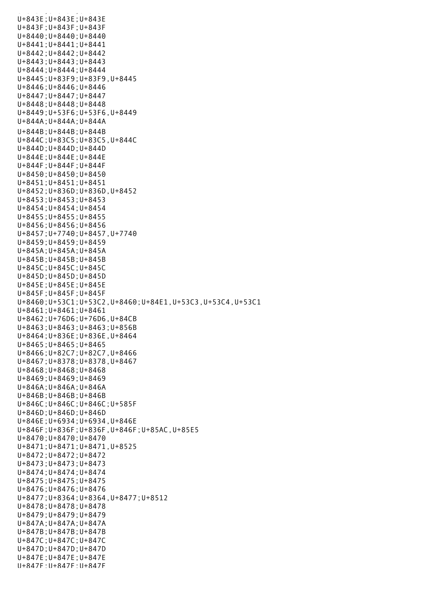U+843E;U+843E;U+843E U+843F;U+843F;U+843F U+8440;U+8440;U+8440 U+8441;U+8441;U+8441 U+8442;U+8442;U+8442 U+8443;U+8443;U+8443 U+8444;U+8444;U+8444 U+8445;U+83F9;U+83F9,U+8445 U+8446;U+8446;U+8446 U+8447;U+8447;U+8447 U+8448;U+8448;U+8448 U+8449;U+53F6;U+53F6,U+8449 U+844A;U+844A;U+844A U+844B;U+844B;U+844B U+844C;U+83C5;U+83C5,U+844C U+844D;U+844D;U+844D U+844E;U+844E;U+844E U+844F;U+844F;U+844F U+8450;U+8450;U+8450 U+8451;U+8451;U+8451 U+8452;U+836D;U+836D,U+8452 U+8453;U+8453;U+8453 U+8454;U+8454;U+8454 U+8455;U+8455;U+8455 U+8456;U+8456;U+8456 U+8457;U+7740;U+8457,U+7740 U+8459;U+8459;U+8459 U+845A;U+845A;U+845A U+845B;U+845B;U+845B U+845C;U+845C;U+845C U+845D;U+845D;U+845D U+845E;U+845E;U+845E U+845F;U+845F;U+845F U+8460;U+53C1;U+53C2,U+8460;U+84E1,U+53C3,U+53C4,U+53C1 U+8461;U+8461;U+8461 U+8462;U+76D6;U+76D6,U+84CB U+8463;U+8463;U+8463;U+856B U+8464;U+836E;U+836E,U+8464 U+8465;U+8465;U+8465 U+8466;U+82C7;U+82C7,U+8466 U+8467;U+8378;U+8378,U+8467 U+8468;U+8468;U+8468 U+8469;U+8469;U+8469 U+846A;U+846A;U+846A U+846B;U+846B;U+846B U+846C;U+846C;U+846C;U+585F U+846D;U+846D;U+846D U+846E;U+6934;U+6934,U+846E U+846F;U+836F;U+836F,U+846F;U+85AC,U+85E5 U+8470;U+8470;U+8470 U+8471;U+8471;U+8471,U+8525 U+8472;U+8472;U+8472 U+8473;U+8473;U+8473 U+8474;U+8474;U+8474 U+8475;U+8475;U+8475 U+8476;U+8476;U+8476 U+8477;U+8364;U+8364,U+8477;U+8512 U+8478;U+8478;U+8478 U+8479;U+8479;U+8479 U+847A;U+847A;U+847A U+847B;U+847B;U+847B U+847C;U+847C;U+847C U+847D;U+847D;U+847D U+847E;U+847E;U+847E U+847F;U+847F;U+847F

u<br>Barat di gara di sebagai di sebagai di sebagai di sebagai di sebagai di sebagai di sebagai di sebagai di sebag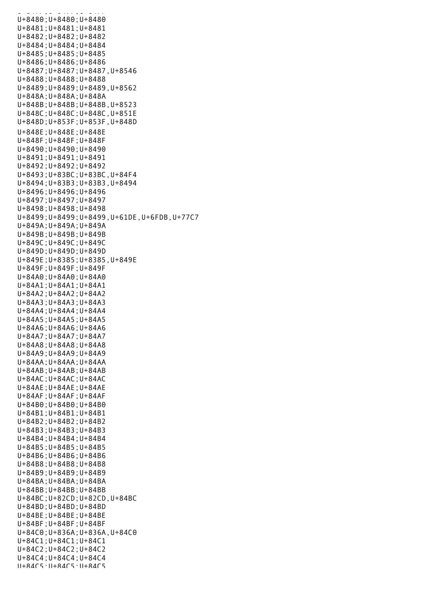$U\cup\ldots$  ,  $U\cup\ldots$   $U\cup\ldots$ U+8480;U+8480;U+8480 U+8481;U+8481;U+8481 U+8482;U+8482;U+8482 U+8484;U+8484;U+8484 U+8485;U+8485;U+8485 U+8486;U+8486;U+8486 U+8487;U+8487;U+8487,U+8546 U+8488;U+8488;U+8488 U+8489;U+8489;U+8489,U+8562 U+848A;U+848A;U+848A U+848B;U+848B;U+848B,U+8523 U+848C;U+848C;U+848C,U+851E U+848D;U+853F;U+853F,U+848D U+848E;U+848E;U+848E U+848F;U+848F;U+848F U+8490;U+8490;U+8490 U+8491;U+8491;U+8491 U+8492;U+8492;U+8492 U+8493;U+83BC;U+83BC,U+84F4 U+8494;U+83B3;U+83B3,U+8494 U+8496;U+8496;U+8496 U+8497;U+8497;U+8497 U+8498;U+8498;U+8498 U+8499;U+8499;U+8499,U+61DE,U+6FDB,U+77C7 U+849A;U+849A;U+849A U+849B;U+849B;U+849B U+849C;U+849C;U+849C U+849D;U+849D;U+849D U+849E;U+8385;U+8385,U+849E U+849F;U+849F;U+849F U+84A0;U+84A0;U+84A0 U+84A1;U+84A1;U+84A1 U+84A2;U+84A2;U+84A2 U+84A3;U+84A3;U+84A3 U+84A4;U+84A4;U+84A4 U+84A5;U+84A5;U+84A5 U+84A6;U+84A6;U+84A6 U+84A7;U+84A7;U+84A7 U+84A8;U+84A8;U+84A8 U+84A9;U+84A9;U+84A9 U+84AA;U+84AA;U+84AA U+84AB;U+84AB;U+84AB U+84AC;U+84AC;U+84AC U+84AE;U+84AE;U+84AE U+84AF;U+84AF;U+84AF U+84B0;U+84B0;U+84B0 U+84B1;U+84B1;U+84B1 U+84B2;U+84B2;U+84B2 U+84B3;U+84B3;U+84B3 U+84B4;U+84B4;U+84B4 U+84B5;U+84B5;U+84B5 U+84B6;U+84B6;U+84B6 U+84B8;U+84B8;U+84B8 U+84B9;U+84B9;U+84B9 U+84BA;U+84BA;U+84BA U+84BB;U+84BB;U+84BB U+84BC;U+82CD;U+82CD,U+84BC U+84BD;U+84BD;U+84BD U+84BE;U+84BE;U+84BE U+84BF;U+84BF;U+84BF U+84C0;U+836A;U+836A,U+84C0 U+84C1;U+84C1;U+84C1 U+84C2;U+84C2;U+84C2 U+84C4;U+84C4;U+84C4 U+84C5;U+84C5;U+84C5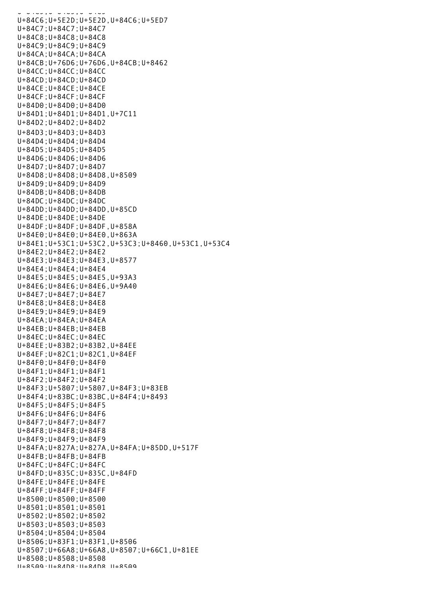U+84C5;U+84C5;U+84C5 U+84C6;U+5E2D;U+5E2D,U+84C6;U+5ED7 U+84C7;U+84C7;U+84C7 U+84C8;U+84C8;U+84C8 U+84C9;U+84C9;U+84C9 U+84CA;U+84CA;U+84CA U+84CB;U+76D6;U+76D6,U+84CB;U+8462 U+84CC;U+84CC;U+84CC U+84CD;U+84CD;U+84CD U+84CE;U+84CE;U+84CE U+84CF;U+84CF;U+84CF U+84D0;U+84D0;U+84D0 U+84D1;U+84D1;U+84D1,U+7C11 U+84D2;U+84D2;U+84D2 U+84D3;U+84D3;U+84D3 U+84D4;U+84D4;U+84D4 U+84D5;U+84D5;U+84D5 U+84D6;U+84D6;U+84D6 U+84D7;U+84D7;U+84D7 U+84D8;U+84D8;U+84D8,U+8509 U+84D9;U+84D9;U+84D9 U+84DB;U+84DB;U+84DB U+84DC;U+84DC;U+84DC U+84DD;U+84DD;U+84DD,U+85CD U+84DE;U+84DE;U+84DE U+84DF;U+84DF;U+84DF,U+858A U+84E0;U+84E0;U+84E0,U+863A U+84E1;U+53C1;U+53C2,U+53C3;U+8460,U+53C1,U+53C4 U+84E2;U+84E2;U+84E2 U+84E3;U+84E3;U+84E3,U+8577 U+84E4;U+84E4;U+84E4 U+84E5;U+84E5;U+84E5,U+93A3 U+84E6;U+84E6;U+84E6,U+9A40 U+84E7;U+84E7;U+84E7 U+84E8;U+84E8;U+84E8 U+84E9;U+84E9;U+84E9 U+84EA;U+84EA;U+84EA U+84EB;U+84EB;U+84EB U+84EC;U+84EC;U+84EC U+84EE;U+83B2;U+83B2,U+84EE U+84EF;U+82C1;U+82C1,U+84EF U+84F0;U+84F0;U+84F0 U+84F1;U+84F1;U+84F1 U+84F2;U+84F2;U+84F2 U+84F3;U+5807;U+5807,U+84F3;U+83EB U+84F4;U+83BC;U+83BC,U+84F4;U+8493 U+84F5;U+84F5;U+84F5 U+84F6;U+84F6;U+84F6 U+84F7;U+84F7;U+84F7 U+84F8;U+84F8;U+84F8 U+84F9;U+84F9;U+84F9 U+84FA;U+827A;U+827A,U+84FA;U+85DD,U+517F U+84FB;U+84FB;U+84FB U+84FC;U+84FC;U+84FC U+84FD;U+835C;U+835C,U+84FD U+84FE;U+84FE;U+84FE U+84FF;U+84FF;U+84FF U+8500;U+8500;U+8500 U+8501;U+8501;U+8501 U+8502;U+8502;U+8502 U+8503;U+8503;U+8503 U+8504;U+8504;U+8504 U+8506;U+83F1;U+83F1,U+8506 U+8507;U+66A8;U+66A8,U+8507;U+66C1,U+81EE U+8508;U+8508;U+8508 U+8509;U+84D8;U+84D8,U+8509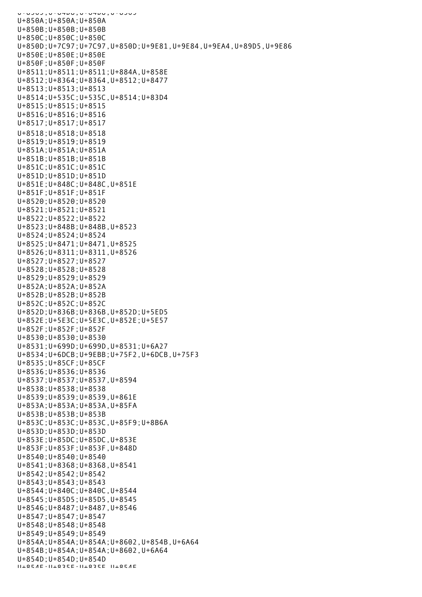U+0509;U+Dasidential U+850A;U+850A;U+850A U+850B;U+850B;U+850B U+850C;U+850C;U+850C U+850D;U+7C97;U+7C97,U+850D;U+9E81,U+9E84,U+9EA4,U+89D5,U+9E86 U+850E;U+850E;U+850E U+850F;U+850F;U+850F U+8511;U+8511;U+8511;U+884A,U+858E U+8512;U+8364;U+8364,U+8512;U+8477 U+8513;U+8513;U+8513 U+8514;U+535C;U+535C,U+8514;U+83D4 U+8515;U+8515;U+8515 U+8516;U+8516;U+8516 U+8517;U+8517;U+8517 U+8518;U+8518;U+8518 U+8519;U+8519;U+8519 U+851A;U+851A;U+851A U+851B;U+851B;U+851B U+851C;U+851C;U+851C U+851D;U+851D;U+851D U+851E;U+848C;U+848C,U+851E U+851F;U+851F;U+851F U+8520;U+8520;U+8520 U+8521;U+8521;U+8521 U+8522;U+8522;U+8522 U+8523;U+848B;U+848B,U+8523 U+8524;U+8524;U+8524 U+8525;U+8471;U+8471,U+8525 U+8526;U+8311;U+8311,U+8526 U+8527;U+8527;U+8527 U+8528;U+8528;U+8528 U+8529;U+8529;U+8529 U+852A;U+852A;U+852A U+852B;U+852B;U+852B U+852C;U+852C;U+852C U+852D;U+836B;U+836B,U+852D;U+5ED5 U+852E;U+5E3C;U+5E3C,U+852E;U+5E57 U+852F;U+852F;U+852F U+8530;U+8530;U+8530 U+8531;U+699D;U+699D,U+8531;U+6A27 U+8534;U+6DCB;U+9EBB;U+75F2,U+6DCB,U+75F3 U+8535;U+85CF;U+85CF U+8536;U+8536;U+8536 U+8537;U+8537;U+8537,U+8594 U+8538;U+8538;U+8538 U+8539;U+8539;U+8539,U+861E U+853A;U+853A;U+853A,U+85FA U+853B;U+853B;U+853B U+853C;U+853C;U+853C,U+85F9;U+8B6A U+853D;U+853D;U+853D U+853E;U+85DC;U+85DC,U+853E U+853F;U+853F;U+853F,U+848D U+8540;U+8540;U+8540 U+8541;U+8368;U+8368,U+8541 U+8542;U+8542;U+8542 U+8543;U+8543;U+8543 U+8544;U+840C;U+840C,U+8544 U+8545;U+85D5;U+85D5,U+8545 U+8546;U+8487;U+8487,U+8546 U+8547;U+8547;U+8547 U+8548;U+8548;U+8548 U+8549;U+8549;U+8549 U+854A;U+854A;U+854A;U+8602,U+854B,U+6A64 U+854B;U+854A;U+854A;U+8602,U+6A64 U+854D;U+854D;U+854D U+854E;U+835E;U+835E,U+854E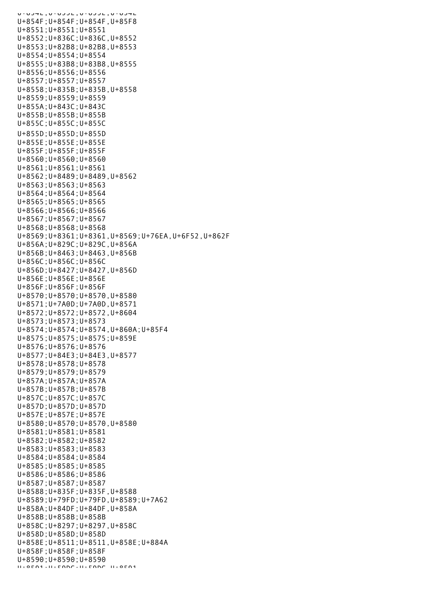U+0J4L,U+0JJL,U+0J3E,U+0J4L U+854F;U+854F;U+854F,U+85F8 U+8551;U+8551;U+8551 U+8552;U+836C;U+836C,U+8552 U+8553;U+82B8;U+82B8,U+8553 U+8554;U+8554;U+8554 U+8555;U+83B8;U+83B8,U+8555 U+8556;U+8556;U+8556 U+8557;U+8557;U+8557 U+8558;U+835B;U+835B,U+8558 U+8559;U+8559;U+8559 U+855A;U+843C;U+843C U+855B;U+855B;U+855B U+855C;U+855C;U+855C U+855D;U+855D;U+855D U+855E;U+855E;U+855E U+855F;U+855F;U+855F U+8560;U+8560;U+8560 U+8561;U+8561;U+8561 U+8562;U+8489;U+8489,U+8562 U+8563;U+8563;U+8563 U+8564;U+8564;U+8564 U+8565;U+8565;U+8565 U+8566;U+8566;U+8566 U+8567;U+8567;U+8567 U+8568;U+8568;U+8568 U+8569;U+8361;U+8361,U+8569;U+76EA,U+6F52,U+862F U+856A;U+829C;U+829C,U+856A U+856B;U+8463;U+8463,U+856B U+856C;U+856C;U+856C U+856D;U+8427;U+8427,U+856D U+856E;U+856E;U+856E U+856F;U+856F;U+856F U+8570;U+8570;U+8570,U+8580 U+8571;U+7A0D;U+7A0D,U+8571 U+8572;U+8572;U+8572,U+8604 U+8573;U+8573;U+8573 U+8574;U+8574;U+8574,U+860A;U+85F4 U+8575;U+8575;U+8575;U+859E U+8576;U+8576;U+8576 U+8577;U+84E3;U+84E3,U+8577 U+8578;U+8578;U+8578 U+8579;U+8579;U+8579 U+857A;U+857A;U+857A U+857B;U+857B;U+857B U+857C;U+857C;U+857C U+857D;U+857D;U+857D U+857E;U+857E;U+857E U+8580;U+8570;U+8570,U+8580 U+8581;U+8581;U+8581 U+8582;U+8582;U+8582 U+8583;U+8583;U+8583 U+8584;U+8584;U+8584 U+8585;U+8585;U+8585 U+8586;U+8586;U+8586 U+8587;U+8587;U+8587 U+8588;U+835F;U+835F,U+8588 U+8589;U+79FD;U+79FD,U+8589;U+7A62 U+858A;U+84DF;U+84DF,U+858A U+858B;U+858B;U+858B U+858C;U+8297;U+8297,U+858C U+858D;U+858D;U+858D U+858E;U+8511;U+8511,U+858E;U+884A U+858F;U+858F;U+858F U+8590;U+8590;U+8590 U+8591;U+59DC;U+59DC,U+8591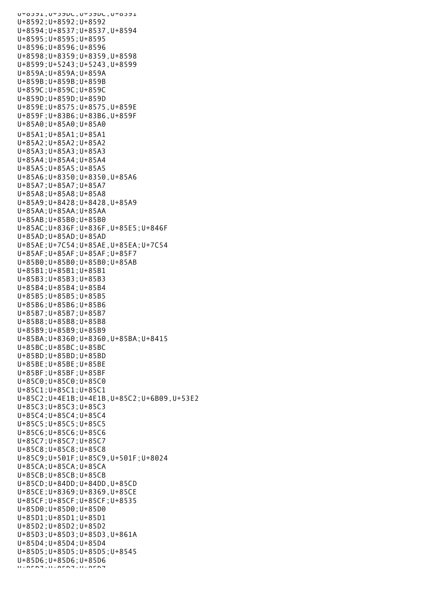UTOJJL,UTJJUL,UTJJUL,UTOJJL U+8592;U+8592;U+8592 U+8594;U+8537;U+8537,U+8594 U+8595;U+8595;U+8595 U+8596;U+8596;U+8596 U+8598;U+8359;U+8359,U+8598 U+8599;U+5243;U+5243,U+8599 U+859A;U+859A;U+859A U+859B;U+859B;U+859B U+859C;U+859C;U+859C U+859D;U+859D;U+859D U+859E;U+8575;U+8575,U+859E U+859F;U+83B6;U+83B6,U+859F U+85A0;U+85A0;U+85A0 U+85A1;U+85A1;U+85A1 U+85A2;U+85A2;U+85A2 U+85A3;U+85A3;U+85A3 U+85A4;U+85A4;U+85A4 U+85A5;U+85A5;U+85A5 U+85A6;U+8350;U+8350,U+85A6 U+85A7;U+85A7;U+85A7 U+85A8;U+85A8;U+85A8 U+85A9;U+8428;U+8428,U+85A9 U+85AA;U+85AA;U+85AA U+85AB;U+85B0;U+85B0 U+85AC;U+836F;U+836F,U+85E5;U+846F U+85AD;U+85AD;U+85AD U+85AE;U+7C54;U+85AE,U+85EA;U+7C54 U+85AF;U+85AF;U+85AF;U+85F7 U+85B0;U+85B0;U+85B0;U+85AB U+85B1;U+85B1;U+85B1 U+85B3;U+85B3;U+85B3 U+85B4;U+85B4;U+85B4 U+85B5;U+85B5;U+85B5 U+85B6;U+85B6;U+85B6 U+85B7;U+85B7;U+85B7 U+85B8;U+85B8;U+85B8 U+85B9;U+85B9;U+85B9 U+85BA;U+8360;U+8360,U+85BA;U+8415 U+85BC;U+85BC;U+85BC U+85BD;U+85BD;U+85BD U+85BE;U+85BE;U+85BE U+85BF;U+85BF;U+85BF U+85C0;U+85C0;U+85C0 U+85C1;U+85C1;U+85C1 U+85C2;U+4E1B;U+4E1B,U+85C2;U+6B09,U+53E2 U+85C3;U+85C3;U+85C3 U+85C4;U+85C4;U+85C4 U+85C5;U+85C5;U+85C5 U+85C6;U+85C6;U+85C6 U+85C7;U+85C7;U+85C7 U+85C8;U+85C8;U+85C8 U+85C9;U+501F;U+85C9,U+501F;U+8024 U+85CA;U+85CA;U+85CA U+85CB;U+85CB;U+85CB U+85CD;U+84DD;U+84DD,U+85CD U+85CE;U+8369;U+8369,U+85CE U+85CF;U+85CF;U+85CF;U+8535 U+85D0;U+85D0;U+85D0 U+85D1;U+85D1;U+85D1 U+85D2;U+85D2;U+85D2 U+85D3;U+85D3;U+85D3,U+861A U+85D4;U+85D4;U+85D4 U+85D5;U+85D5;U+85D5;U+8545 U+85D6;U+85D6;U+85D6 U+85D7;U+85D7;U+85D7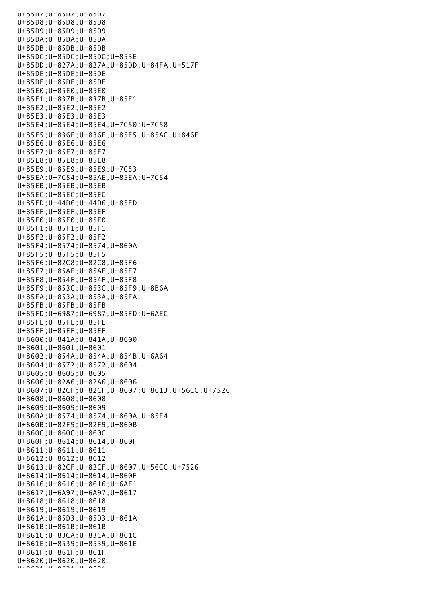U+85D7;U+85D7;U+85D7 U+85D8;U+85D8;U+85D8 U+85D9;U+85D9;U+85D9 U+85DA;U+85DA;U+85DA U+85DB;U+85DB;U+85DB U+85DC;U+85DC;U+85DC;U+853E U+85DD;U+827A;U+827A,U+85DD;U+84FA,U+517F U+85DE;U+85DE;U+85DE U+85DF;U+85DF;U+85DF U+85E0;U+85E0;U+85E0 U+85E1;U+837B;U+837B,U+85E1 U+85E2;U+85E2;U+85E2 U+85E3;U+85E3;U+85E3 U+85E4;U+85E4;U+85E4,U+7C50;U+7C58 U+85E5;U+836F;U+836F,U+85E5;U+85AC,U+846F U+85E6;U+85E6;U+85E6 U+85E7;U+85E7;U+85E7 U+85E8;U+85E8;U+85E8 U+85E9;U+85E9;U+85E9;U+7C53 U+85EA;U+7C54;U+85AE,U+85EA;U+7C54 U+85EB;U+85EB;U+85EB U+85EC;U+85EC;U+85EC U+85ED;U+44D6;U+44D6,U+85ED U+85EF;U+85EF;U+85EF U+85F0;U+85F0;U+85F0 U+85F1;U+85F1;U+85F1 U+85F2;U+85F2;U+85F2 U+85F4;U+8574;U+8574,U+860A U+85F5;U+85F5;U+85F5 U+85F6;U+82C8;U+82C8,U+85F6 U+85F7;U+85AF;U+85AF,U+85F7 U+85F8;U+854F;U+854F,U+85F8 U+85F9;U+853C;U+853C,U+85F9;U+8B6A U+85FA;U+853A;U+853A,U+85FA U+85FB;U+85FB;U+85FB U+85FD;U+6987;U+6987,U+85FD;U+6AEC U+85FE;U+85FE;U+85FE U+85FF;U+85FF;U+85FF U+8600;U+841A;U+841A,U+8600 U+8601;U+8601;U+8601 U+8602;U+854A;U+854A;U+854B,U+6A64 U+8604;U+8572;U+8572,U+8604 U+8605;U+8605;U+8605 U+8606;U+82A6;U+82A6,U+8606 U+8607;U+82CF;U+82CF,U+8607;U+8613,U+56CC,U+7526 U+8608;U+8608;U+8608 U+8609;U+8609;U+8609 U+860A;U+8574;U+8574,U+860A;U+85F4 U+860B;U+82F9;U+82F9,U+860B U+860C;U+860C;U+860C U+860F;U+8614;U+8614,U+860F U+8611;U+8611;U+8611 U+8612;U+8612;U+8612 U+8613;U+82CF;U+82CF,U+8607;U+56CC,U+7526 U+8614;U+8614;U+8614,U+860F U+8616;U+8616;U+8616;U+6AF1 U+8617;U+6A97;U+6A97,U+8617 U+8618;U+8618;U+8618 U+8619;U+8619;U+8619 U+861A;U+85D3;U+85D3,U+861A U+861B;U+861B;U+861B U+861C;U+83CA;U+83CA,U+861C U+861E;U+8539;U+8539,U+861E U+861F;U+861F;U+861F U+8620;U+8620;U+8620 U+8621;U+8621;U+8621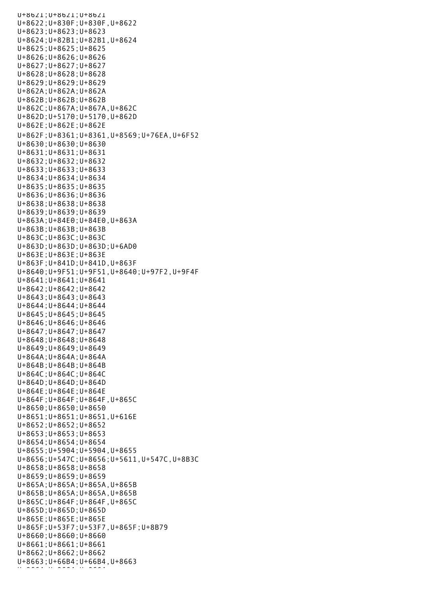U+8621;U+8621;U+8621 U+8622;U+830F;U+830F,U+8622 U+8623;U+8623;U+8623 U+8624;U+82B1;U+82B1,U+8624 U+8625;U+8625;U+8625 U+8626;U+8626;U+8626 U+8627;U+8627;U+8627 U+8628;U+8628;U+8628 U+8629;U+8629;U+8629 U+862A;U+862A;U+862A U+862B;U+862B;U+862B U+862C;U+867A;U+867A,U+862C U+862D;U+5170;U+5170,U+862D U+862E;U+862E;U+862E U+862F;U+8361;U+8361,U+8569;U+76EA,U+6F52 U+8630;U+8630;U+8630 U+8631;U+8631;U+8631 U+8632;U+8632;U+8632 U+8633;U+8633;U+8633 U+8634;U+8634;U+8634 U+8635;U+8635;U+8635 U+8636;U+8636;U+8636 U+8638;U+8638;U+8638 U+8639;U+8639;U+8639 U+863A;U+84E0;U+84E0,U+863A U+863B;U+863B;U+863B U+863C;U+863C;U+863C U+863D;U+863D;U+863D;U+6AD0 U+863E;U+863E;U+863E U+863F;U+841D;U+841D,U+863F U+8640;U+9F51;U+9F51,U+8640;U+97F2,U+9F4F U+8641;U+8641;U+8641 U+8642;U+8642;U+8642 U+8643;U+8643;U+8643 U+8644;U+8644;U+8644 U+8645;U+8645;U+8645 U+8646;U+8646;U+8646 U+8647;U+8647;U+8647 U+8648;U+8648;U+8648 U+8649;U+8649;U+8649 U+864A;U+864A;U+864A U+864B;U+864B;U+864B U+864C;U+864C;U+864C U+864D;U+864D;U+864D U+864E;U+864E;U+864E U+864F;U+864F;U+864F,U+865C U+8650;U+8650;U+8650 U+8651;U+8651;U+8651,U+616E U+8652;U+8652;U+8652 U+8653;U+8653;U+8653 U+8654;U+8654;U+8654 U+8655;U+5904;U+5904,U+8655 U+8656;U+547C;U+8656;U+5611,U+547C,U+8B3C U+8658;U+8658;U+8658 U+8659;U+8659;U+8659 U+865A;U+865A;U+865A,U+865B U+865B;U+865A;U+865A,U+865B U+865C;U+864F;U+864F,U+865C U+865D;U+865D;U+865D U+865E;U+865E;U+865E U+865F;U+53F7;U+53F7,U+865F;U+8B79 U+8660;U+8660;U+8660 U+8661;U+8661;U+8661 U+8662;U+8662;U+8662 U+8663;U+66B4;U+66B4,U+8663 U+8664;U+8664;U+8664;<br>U+866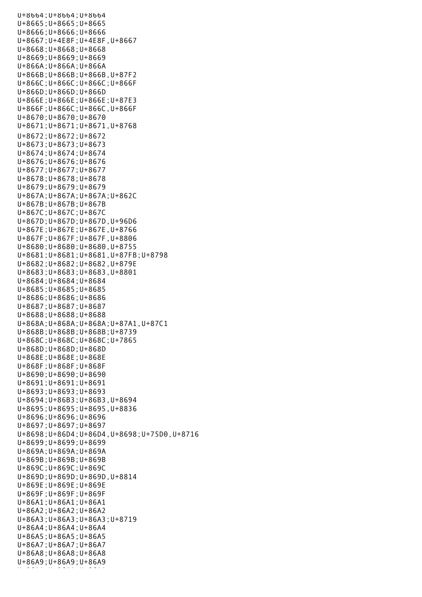U+8664;U+8664;U+8664 U+8665;U+8665;U+8665 U+8666;U+8666;U+8666 U+8667;U+4E8F;U+4E8F,U+8667 U+8668;U+8668;U+8668 U+8669;U+8669;U+8669 U+866A;U+866A;U+866A U+866B;U+866B;U+866B,U+87F2 U+866C;U+866C;U+866C;U+866F U+866D;U+866D;U+866D U+866E;U+866E;U+866E;U+87E3 U+866F;U+866C;U+866C,U+866F U+8670;U+8670;U+8670 U+8671;U+8671;U+8671,U+8768 U+8672;U+8672;U+8672 U+8673;U+8673;U+8673 U+8674;U+8674;U+8674 U+8676;U+8676;U+8676 U+8677;U+8677;U+8677 U+8678;U+8678;U+8678 U+8679;U+8679;U+8679 U+867A;U+867A;U+867A;U+862C U+867B;U+867B;U+867B U+867C;U+867C;U+867C U+867D;U+867D;U+867D,U+96D6 U+867E;U+867E;U+867E,U+8766 U+867F;U+867F;U+867F,U+8806 U+8680;U+8680;U+8680,U+8755 U+8681;U+8681;U+8681,U+87FB;U+8798 U+8682;U+8682;U+8682,U+879E U+8683;U+8683;U+8683,U+8801 U+8684;U+8684;U+8684 U+8685;U+8685;U+8685 U+8686;U+8686;U+8686 U+8687;U+8687;U+8687 U+8688;U+8688;U+8688 U+868A;U+868A;U+868A;U+87A1,U+87C1 U+868B;U+868B;U+868B;U+8739 U+868C;U+868C;U+868C;U+7865 U+868D;U+868D;U+868D U+868E;U+868E;U+868E U+868F;U+868F;U+868F U+8690;U+8690;U+8690 U+8691;U+8691;U+8691 U+8693;U+8693;U+8693 U+8694;U+86B3;U+86B3,U+8694 U+8695;U+8695;U+8695,U+8836 U+8696;U+8696;U+8696 U+8697;U+8697;U+8697 U+8698;U+86D4;U+86D4,U+8698;U+75D0,U+8716 U+8699;U+8699;U+8699 U+869A;U+869A;U+869A U+869B;U+869B;U+869B U+869C;U+869C;U+869C U+869D;U+869D;U+869D,U+8814 U+869E;U+869E;U+869E U+869F;U+869F;U+869F U+86A1;U+86A1;U+86A1 U+86A2;U+86A2;U+86A2 U+86A3;U+86A3;U+86A3;U+8719 U+86A4;U+86A4;U+86A4 U+86A5;U+86A5;U+86A5 U+86A7;U+86A7;U+86A7 U+86A8;U+86A8;U+86A8 U+86A9;U+86A9;U+86A9 u+aa;u+86aa;u+86aa;u+86A<br>U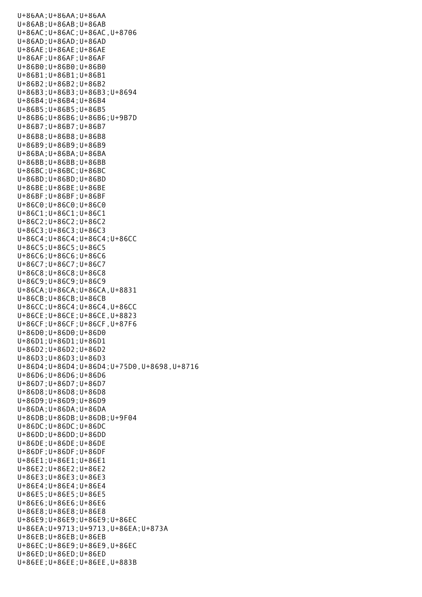U+86AA;U+86AA;U+86AA U+86AB;U+86AB;U+86AB U+86AC;U+86AC;U+86AC,U+8706 U+86AD;U+86AD;U+86AD U+86AE;U+86AE;U+86AE U+86AF;U+86AF;U+86AF U+86B0;U+86B0;U+86B0 U+86B1;U+86B1;U+86B1 U+86B2;U+86B2;U+86B2 U+86B3;U+86B3;U+86B3;U+8694 U+86B4;U+86B4;U+86B4 U+86B5;U+86B5;U+86B5 U+86B6;U+86B6;U+86B6;U+9B7D U+86B7;U+86B7;U+86B7 U+86B8;U+86B8;U+86B8 U+86B9;U+86B9;U+86B9 U+86BA;U+86BA;U+86BA U+86BB;U+86BB;U+86BB U+86BC;U+86BC;U+86BC U+86BD;U+86BD;U+86BD U+86BE;U+86BE;U+86BE U+86BF;U+86BF;U+86BF U+86C0;U+86C0;U+86C0 U+86C1;U+86C1;U+86C1 U+86C2;U+86C2;U+86C2 U+86C3;U+86C3;U+86C3 U+86C4;U+86C4;U+86C4;U+86CC U+86C5;U+86C5;U+86C5 U+86C6;U+86C6;U+86C6 U+86C7;U+86C7;U+86C7 U+86C8;U+86C8;U+86C8 U+86C9;U+86C9;U+86C9 U+86CA;U+86CA;U+86CA,U+8831 U+86CB;U+86CB;U+86CB U+86CC;U+86C4;U+86C4,U+86CC U+86CE;U+86CE;U+86CE,U+8823 U+86CF;U+86CF;U+86CF,U+87F6 U+86D0;U+86D0;U+86D0 U+86D1;U+86D1;U+86D1 U+86D2;U+86D2;U+86D2 U+86D3;U+86D3;U+86D3 U+86D4;U+86D4;U+86D4;U+75D0,U+8698,U+8716 U+86D6;U+86D6;U+86D6 U+86D7;U+86D7;U+86D7 U+86D8;U+86D8;U+86D8 U+86D9;U+86D9;U+86D9 U+86DA;U+86DA;U+86DA U+86DB;U+86DB;U+86DB;U+9F04 U+86DC;U+86DC;U+86DC U+86DD;U+86DD;U+86DD U+86DE;U+86DE;U+86DE U+86DF;U+86DF;U+86DF U+86E1;U+86E1;U+86E1 U+86E2;U+86E2;U+86E2 U+86E3;U+86E3;U+86E3 U+86E4;U+86E4;U+86E4 U+86E5;U+86E5;U+86E5 U+86E6;U+86E6;U+86E6 U+86E8;U+86E8;U+86E8 U+86E9;U+86E9;U+86E9;U+86EC U+86EA;U+9713;U+9713,U+86EA;U+873A U+86EB;U+86EB;U+86EB U+86EC;U+86E9;U+86E9,U+86EC U+86ED;U+86ED;U+86ED U+86EE;U+86EE;U+86EE,U+883B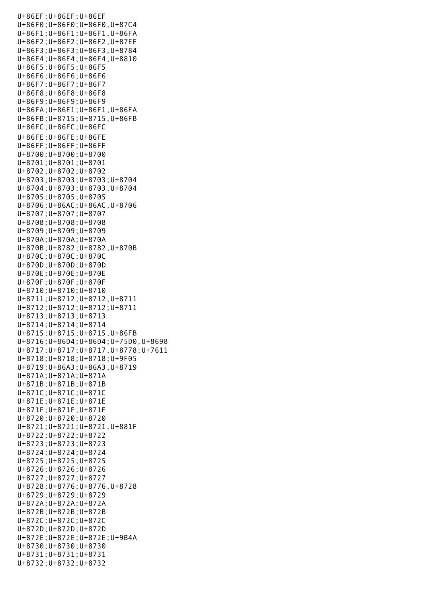U+86EF;U+86EF;U+86EF U+86F0;U+86F0;U+86F0,U+87C4 U+86F1;U+86F1;U+86F1,U+86FA U+86F2;U+86F2;U+86F2,U+87EF U+86F3;U+86F3;U+86F3,U+8784 U+86F4;U+86F4;U+86F4,U+8810 U+86F5;U+86F5;U+86F5 U+86F6;U+86F6;U+86F6 U+86F7;U+86F7;U+86F7 U+86F8;U+86F8;U+86F8 U+86F9;U+86F9;U+86F9 U+86FA;U+86F1;U+86F1,U+86FA U+86FB;U+8715;U+8715,U+86FB U+86FC;U+86FC;U+86FC U+86FE;U+86FE;U+86FE U+86FF;U+86FF;U+86FF U+8700;U+8700;U+8700 U+8701;U+8701;U+8701 U+8702;U+8702;U+8702 U+8703;U+8703;U+8703;U+8704 U+8704;U+8703;U+8703,U+8704 U+8705;U+8705;U+8705 U+8706;U+86AC;U+86AC,U+8706 U+8707;U+8707;U+8707 U+8708;U+8708;U+8708 U+8709;U+8709;U+8709 U+870A;U+870A;U+870A U+870B;U+8782;U+8782,U+870B U+870C;U+870C;U+870C U+870D;U+870D;U+870D U+870E;U+870E;U+870E U+870F;U+870F;U+870F U+8710;U+8710;U+8710 U+8711;U+8712;U+8712,U+8711 U+8712;U+8712;U+8712;U+8711 U+8713;U+8713;U+8713 U+8714;U+8714;U+8714 U+8715;U+8715;U+8715,U+86FB U+8716;U+86D4;U+86D4;U+75D0,U+8698 U+8717;U+8717;U+8717,U+8778;U+7611 U+8718;U+8718;U+8718;U+9F05 U+8719;U+86A3;U+86A3,U+8719 U+871A;U+871A;U+871A U+871B;U+871B;U+871B U+871C;U+871C;U+871C U+871E;U+871E;U+871E U+871F;U+871F;U+871F U+8720;U+8720;U+8720 U+8721;U+8721;U+8721,U+881F U+8722;U+8722;U+8722 U+8723;U+8723;U+8723 U+8724;U+8724;U+8724 U+8725;U+8725;U+8725 U+8726;U+8726;U+8726 U+8727;U+8727;U+8727 U+8728;U+8776;U+8776,U+8728 U+8729;U+8729;U+8729 U+872A;U+872A;U+872A U+872B;U+872B;U+872B U+872C;U+872C;U+872C U+872D;U+872D;U+872D U+872E;U+872E;U+872E;U+9B4A U+8730;U+8730;U+8730 U+8731;U+8731;U+8731 U+8732;U+8732;U+8732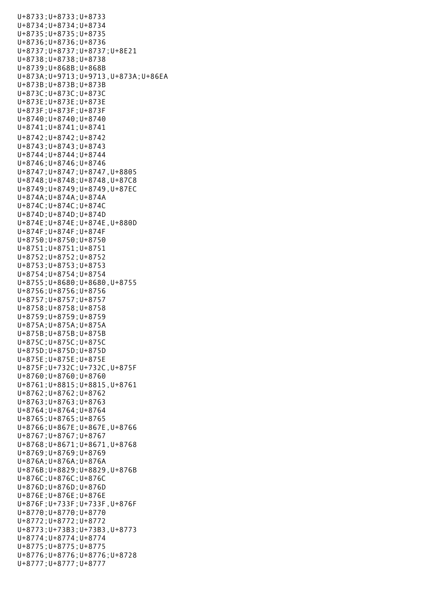U+8733;U+8733;U+8733 U+8734;U+8734;U+8734 U+8735;U+8735;U+8735 U+8736;U+8736;U+8736 U+8737;U+8737;U+8737;U+8E21 U+8738;U+8738;U+8738 U+8739;U+868B;U+868B U+873A;U+9713;U+9713,U+873A;U+86EA U+873B;U+873B;U+873B U+873C;U+873C;U+873C U+873E;U+873E;U+873E U+873F;U+873F;U+873F U+8740;U+8740;U+8740 U+8741;U+8741;U+8741 U+8742;U+8742;U+8742 U+8743;U+8743;U+8743 U+8744;U+8744;U+8744 U+8746;U+8746;U+8746 U+8747;U+8747;U+8747,U+8805 U+8748;U+8748;U+8748,U+87C8 U+8749;U+8749;U+8749,U+87EC U+874A;U+874A;U+874A U+874C;U+874C;U+874C U+874D;U+874D;U+874D U+874E;U+874E;U+874E,U+880D U+874F;U+874F;U+874F U+8750;U+8750;U+8750 U+8751;U+8751;U+8751 U+8752;U+8752;U+8752 U+8753;U+8753;U+8753 U+8754;U+8754;U+8754 U+8755;U+8680;U+8680,U+8755 U+8756;U+8756;U+8756 U+8757;U+8757;U+8757 U+8758;U+8758;U+8758 U+8759;U+8759;U+8759 U+875A;U+875A;U+875A U+875B;U+875B;U+875B U+875C;U+875C;U+875C U+875D;U+875D;U+875D U+875E;U+875E;U+875E U+875F;U+732C;U+732C,U+875F U+8760;U+8760;U+8760 U+8761;U+8815;U+8815,U+8761 U+8762;U+8762;U+8762 U+8763;U+8763;U+8763 U+8764;U+8764;U+8764 U+8765;U+8765;U+8765 U+8766;U+867E;U+867E,U+8766 U+8767;U+8767;U+8767 U+8768;U+8671;U+8671,U+8768 U+8769;U+8769;U+8769 U+876A;U+876A;U+876A U+876B;U+8829;U+8829,U+876B U+876C;U+876C;U+876C U+876D;U+876D;U+876D U+876E;U+876E;U+876E U+876F;U+733F;U+733F,U+876F U+8770;U+8770;U+8770 U+8772;U+8772;U+8772 U+8773;U+73B3;U+73B3,U+8773 U+8774;U+8774;U+8774 U+8775;U+8775;U+8775 U+8776;U+8776;U+8776;U+8728 U+8777;U+8777;U+8777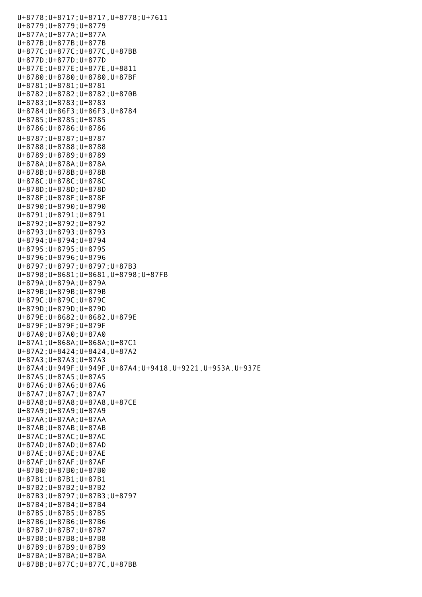U+8778;U+8717;U+8717,U+8778;U+7611 U+8779;U+8779;U+8779 U+877A;U+877A;U+877A U+877B;U+877B;U+877B U+877C;U+877C;U+877C,U+87BB U+877D;U+877D;U+877D U+877E;U+877E;U+877E,U+8811 U+8780;U+8780;U+8780,U+87BF U+8781;U+8781;U+8781 U+8782;U+8782;U+8782;U+870B U+8783;U+8783;U+8783 U+8784;U+86F3;U+86F3,U+8784 U+8785;U+8785;U+8785 U+8786;U+8786;U+8786 U+8787;U+8787;U+8787 U+8788;U+8788;U+8788 U+8789;U+8789;U+8789 U+878A;U+878A;U+878A U+878B;U+878B;U+878B U+878C;U+878C;U+878C U+878D;U+878D;U+878D U+878F;U+878F;U+878F U+8790;U+8790;U+8790 U+8791;U+8791;U+8791 U+8792;U+8792;U+8792 U+8793;U+8793;U+8793 U+8794;U+8794;U+8794 U+8795;U+8795;U+8795 U+8796;U+8796;U+8796 U+8797;U+8797;U+8797;U+87B3 U+8798;U+8681;U+8681,U+8798;U+87FB U+879A;U+879A;U+879A U+879B;U+879B;U+879B U+879C;U+879C;U+879C U+879D;U+879D;U+879D U+879E;U+8682;U+8682,U+879E U+879F;U+879F;U+879F U+87A0;U+87A0;U+87A0 U+87A1;U+868A;U+868A;U+87C1 U+87A2;U+8424;U+8424,U+87A2 U+87A3;U+87A3;U+87A3 U+87A4;U+949F;U+949F,U+87A4;U+9418,U+9221,U+953A,U+937E U+87A5;U+87A5;U+87A5 U+87A6;U+87A6;U+87A6 U+87A7;U+87A7;U+87A7 U+87A8;U+87A8;U+87A8,U+87CE U+87A9;U+87A9;U+87A9 U+87AA;U+87AA;U+87AA U+87AB;U+87AB;U+87AB U+87AC;U+87AC;U+87AC U+87AD;U+87AD;U+87AD U+87AE;U+87AE;U+87AE U+87AF;U+87AF;U+87AF U+87B0;U+87B0;U+87B0 U+87B1;U+87B1;U+87B1 U+87B2;U+87B2;U+87B2 U+87B3;U+8797;U+87B3;U+8797 U+87B4;U+87B4;U+87B4 U+87B5;U+87B5;U+87B5 U+87B6;U+87B6;U+87B6 U+87B7;U+87B7;U+87B7 U+87B8;U+87B8;U+87B8 U+87B9;U+87B9;U+87B9 U+87BA;U+87BA;U+87BA U+87BB;U+877C;U+877C,U+87BB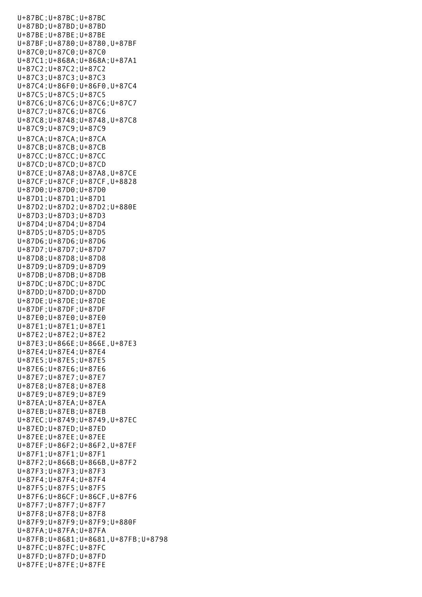U+87BC;U+87BC;U+87BC U+87BD;U+87BD;U+87BD U+87BE;U+87BE;U+87BE U+87BF;U+8780;U+8780,U+87BF U+87C0;U+87C0;U+87C0 U+87C1;U+868A;U+868A;U+87A1 U+87C2;U+87C2;U+87C2 U+87C3;U+87C3;U+87C3 U+87C4;U+86F0;U+86F0,U+87C4 U+87C5;U+87C5;U+87C5 U+87C6;U+87C6;U+87C6;U+87C7 U+87C7;U+87C6;U+87C6 U+87C8;U+8748;U+8748,U+87C8 U+87C9;U+87C9;U+87C9 U+87CA;U+87CA;U+87CA U+87CB;U+87CB;U+87CB U+87CC;U+87CC;U+87CC U+87CD;U+87CD;U+87CD U+87CE;U+87A8;U+87A8,U+87CE U+87CF;U+87CF;U+87CF,U+8828 U+87D0;U+87D0;U+87D0 U+87D1;U+87D1;U+87D1 U+87D2;U+87D2;U+87D2;U+880E U+87D3;U+87D3;U+87D3 U+87D4;U+87D4;U+87D4 U+87D5;U+87D5;U+87D5 U+87D6;U+87D6;U+87D6 U+87D7;U+87D7;U+87D7 U+87D8;U+87D8;U+87D8 U+87D9;U+87D9;U+87D9 U+87DB;U+87DB;U+87DB U+87DC;U+87DC;U+87DC U+87DD;U+87DD;U+87DD U+87DE;U+87DE;U+87DE U+87DF;U+87DF;U+87DF U+87E0;U+87E0;U+87E0 U+87E1;U+87E1;U+87E1 U+87E2;U+87E2;U+87E2 U+87E3;U+866E;U+866E,U+87E3 U+87E4;U+87E4;U+87E4 U+87E5;U+87E5;U+87E5 U+87E6;U+87E6;U+87E6 U+87E7;U+87E7;U+87E7 U+87E8;U+87E8;U+87E8 U+87E9;U+87E9;U+87E9 U+87EA;U+87EA;U+87EA U+87EB;U+87EB;U+87EB U+87EC;U+8749;U+8749,U+87EC U+87ED;U+87ED;U+87ED U+87EE;U+87EE;U+87EE U+87EF;U+86F2;U+86F2,U+87EF U+87F1;U+87F1;U+87F1 U+87F2;U+866B;U+866B,U+87F2 U+87F3;U+87F3;U+87F3 U+87F4;U+87F4;U+87F4 U+87F5;U+87F5;U+87F5 U+87F6;U+86CF;U+86CF,U+87F6 U+87F7;U+87F7;U+87F7 U+87F8;U+87F8;U+87F8 U+87F9;U+87F9;U+87F9;U+880F U+87FA;U+87FA;U+87FA U+87FB;U+8681;U+8681,U+87FB;U+8798 U+87FC;U+87FC;U+87FC U+87FD;U+87FD;U+87FD U+87FE;U+87FE;U+87FE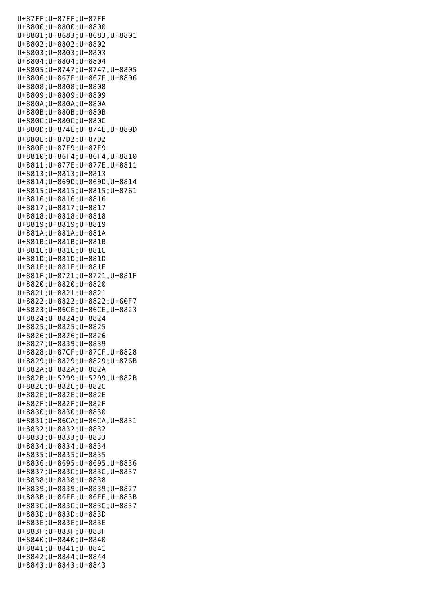U+87FF;U+87FF;U+87FF U+8800;U+8800;U+8800 U+8801;U+8683;U+8683,U+8801 U+8802;U+8802;U+8802 U+8803;U+8803;U+8803 U+8804;U+8804;U+8804 U+8805;U+8747;U+8747,U+8805 U+8806;U+867F;U+867F,U+8806 U+8808;U+8808;U+8808 U+8809;U+8809;U+8809 U+880A;U+880A;U+880A U+880B;U+880B;U+880B U+880C;U+880C;U+880C U+880D;U+874E;U+874E,U+880D U+880E;U+87D2;U+87D2 U+880F;U+87F9;U+87F9 U+8810;U+86F4;U+86F4,U+8810 U+8811;U+877E;U+877E,U+8811 U+8813;U+8813;U+8813 U+8814;U+869D;U+869D,U+8814 U+8815;U+8815;U+8815;U+8761 U+8816;U+8816;U+8816 U+8817;U+8817;U+8817 U+8818;U+8818;U+8818 U+8819;U+8819;U+8819 U+881A;U+881A;U+881A U+881B;U+881B;U+881B U+881C;U+881C;U+881C U+881D;U+881D;U+881D U+881E;U+881E;U+881E U+881F;U+8721;U+8721,U+881F U+8820;U+8820;U+8820 U+8821;U+8821;U+8821 U+8822;U+8822;U+8822;U+60F7 U+8823;U+86CE;U+86CE,U+8823 U+8824;U+8824;U+8824 U+8825;U+8825;U+8825 U+8826;U+8826;U+8826 U+8827;U+8839;U+8839 U+8828;U+87CF;U+87CF,U+8828 U+8829;U+8829;U+8829;U+876B U+882A;U+882A;U+882A U+882B;U+5299;U+5299,U+882B U+882C;U+882C;U+882C U+882E;U+882E;U+882E U+882F;U+882F;U+882F U+8830;U+8830;U+8830 U+8831;U+86CA;U+86CA,U+8831 U+8832;U+8832;U+8832 U+8833;U+8833;U+8833 U+8834;U+8834;U+8834 U+8835;U+8835;U+8835 U+8836;U+8695;U+8695,U+8836 U+8837;U+883C;U+883C,U+8837 U+8838;U+8838;U+8838 U+8839;U+8839;U+8839;U+8827 U+883B;U+86EE;U+86EE,U+883B U+883C;U+883C;U+883C;U+8837 U+883D;U+883D;U+883D U+883E;U+883E;U+883E U+883F;U+883F;U+883F U+8840;U+8840;U+8840 U+8841;U+8841;U+8841 U+8842;U+8844;U+8844 U+8843;U+8843;U+8843

 $U_{\rm B}=\frac{1}{2\pi}\left(\frac{1}{2\pi}\right)^{2}$  , where  $U_{\rm B}=\frac{1}{2\pi}\left(\frac{1}{2\pi}\right)^{2}$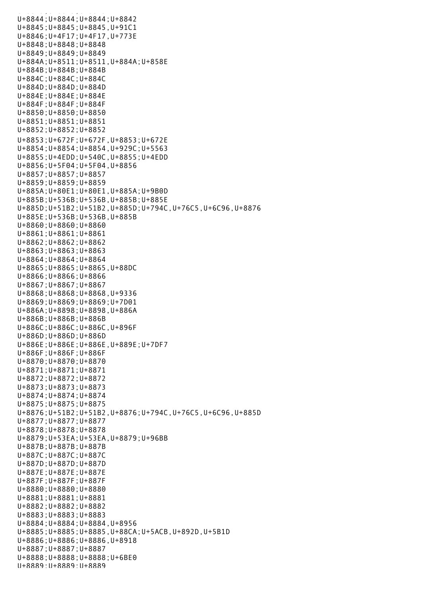u<br>8843;U+8843;U+8843;U+8843;U+8843;U+8843;U+8843;U+8843;U+8843;U+8843;U+8843;U+8843;U+8843;U+8843;U+8843;U+8843; U+8844;U+8844;U+8844;U+8842 U+8845;U+8845;U+8845,U+91C1 U+8846;U+4F17;U+4F17,U+773E U+8848;U+8848;U+8848 U+8849;U+8849;U+8849 U+884A;U+8511;U+8511,U+884A;U+858E U+884B;U+884B;U+884B U+884C;U+884C;U+884C U+884D;U+884D;U+884D U+884E;U+884E;U+884E U+884F;U+884F;U+884F U+8850;U+8850;U+8850 U+8851;U+8851;U+8851 U+8852;U+8852;U+8852 U+8853;U+672F;U+672F,U+8853;U+672E U+8854;U+8854;U+8854,U+929C;U+5563 U+8855;U+4EDD;U+540C,U+8855;U+4EDD U+8856;U+5F04;U+5F04,U+8856 U+8857;U+8857;U+8857 U+8859;U+8859;U+8859 U+885A;U+80E1;U+80E1,U+885A;U+9B0D U+885B;U+536B;U+536B,U+885B;U+885E U+885D;U+51B2;U+51B2,U+885D;U+794C,U+76C5,U+6C96,U+8876 U+885E;U+536B;U+536B,U+885B U+8860;U+8860;U+8860 U+8861;U+8861;U+8861 U+8862;U+8862;U+8862 U+8863;U+8863;U+8863 U+8864;U+8864;U+8864 U+8865;U+8865;U+8865,U+88DC U+8866;U+8866;U+8866 U+8867;U+8867;U+8867 U+8868;U+8868;U+8868,U+9336 U+8869;U+8869;U+8869;U+7D01 U+886A;U+8898;U+8898,U+886A U+886B;U+886B;U+886B U+886C;U+886C;U+886C,U+896F U+886D;U+886D;U+886D U+886E;U+886E;U+886E,U+889E;U+7DF7 U+886F;U+886F;U+886F U+8870;U+8870;U+8870 U+8871;U+8871;U+8871 U+8872;U+8872;U+8872 U+8873;U+8873;U+8873 U+8874;U+8874;U+8874 U+8875;U+8875;U+8875 U+8876;U+51B2;U+51B2,U+8876;U+794C,U+76C5,U+6C96,U+885D U+8877;U+8877;U+8877 U+8878;U+8878;U+8878 U+8879;U+53EA;U+53EA,U+8879;U+96BB U+887B;U+887B;U+887B U+887C;U+887C;U+887C U+887D;U+887D;U+887D U+887E;U+887E;U+887E U+887F;U+887F;U+887F U+8880;U+8880;U+8880 U+8881;U+8881;U+8881 U+8882;U+8882;U+8882 U+8883;U+8883;U+8883 U+8884;U+8884;U+8884,U+8956 U+8885;U+8885;U+8885,U+88CA;U+5ACB,U+892D,U+5B1D U+8886;U+8886;U+8886,U+8918 U+8887;U+8887;U+8887 U+8888;U+8888;U+8888;U+6BE0 U+8889;U+8889;U+8889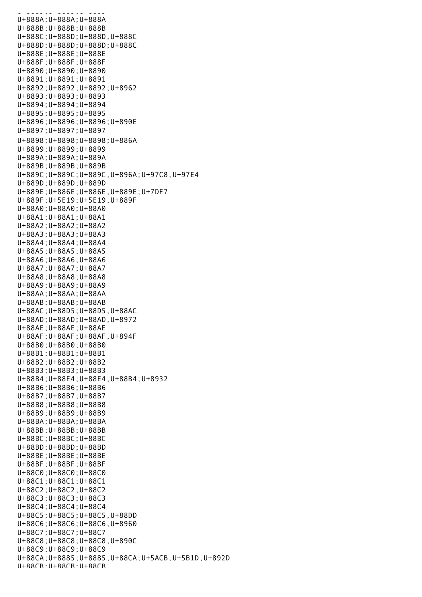$U = 8888$ U+888A;U+888A;U+888A U+888B;U+888B;U+888B U+888C;U+888D;U+888D,U+888C U+888D;U+888D;U+888D;U+888C U+888E;U+888E;U+888E U+888F;U+888F;U+888F U+8890;U+8890;U+8890 U+8891;U+8891;U+8891 U+8892;U+8892;U+8892;U+8962 U+8893;U+8893;U+8893 U+8894;U+8894;U+8894 U+8895;U+8895;U+8895 U+8896;U+8896;U+8896;U+890E U+8897;U+8897;U+8897 U+8898;U+8898;U+8898;U+886A U+8899;U+8899;U+8899 U+889A;U+889A;U+889A U+889B;U+889B;U+889B U+889C;U+889C;U+889C,U+896A;U+97C8,U+97E4 U+889D;U+889D;U+889D U+889E;U+886E;U+886E,U+889E;U+7DF7 U+889F;U+5E19;U+5E19,U+889F U+88A0;U+88A0;U+88A0 U+88A1;U+88A1;U+88A1 U+88A2;U+88A2;U+88A2 U+88A3;U+88A3;U+88A3 U+88A4;U+88A4;U+88A4 U+88A5;U+88A5;U+88A5 U+88A6;U+88A6;U+88A6 U+88A7;U+88A7;U+88A7 U+88A8;U+88A8;U+88A8 U+88A9;U+88A9;U+88A9 U+88AA;U+88AA;U+88AA U+88AB;U+88AB;U+88AB U+88AC;U+88D5;U+88D5,U+88AC U+88AD;U+88AD;U+88AD,U+8972 U+88AE;U+88AE;U+88AE U+88AF;U+88AF;U+88AF,U+894F U+88B0;U+88B0;U+88B0 U+88B1;U+88B1;U+88B1 U+88B2;U+88B2;U+88B2 U+88B3;U+88B3;U+88B3 U+88B4;U+88E4;U+88E4,U+88B4;U+8932 U+88B6;U+88B6;U+88B6 U+88B7;U+88B7;U+88B7 U+88B8;U+88B8;U+88B8 U+88B9;U+88B9;U+88B9 U+88BA;U+88BA;U+88BA U+88BB;U+88BB;U+88BB U+88BC;U+88BC;U+88BC U+88BD;U+88BD;U+88BD U+88BE;U+88BE;U+88BE U+88BF;U+88BF;U+88BF U+88C0;U+88C0;U+88C0 U+88C1;U+88C1;U+88C1 U+88C2;U+88C2;U+88C2 U+88C3;U+88C3;U+88C3 U+88C4;U+88C4;U+88C4 U+88C5;U+88C5;U+88C5,U+88DD U+88C6;U+88C6;U+88C6,U+8960 U+88C7;U+88C7;U+88C7 U+88C8;U+88C8;U+88C8,U+890C U+88C9;U+88C9;U+88C9 U+88CA;U+8885;U+8885,U+88CA;U+5ACB,U+5B1D,U+892D U+88CB;U+88CB;U+88CB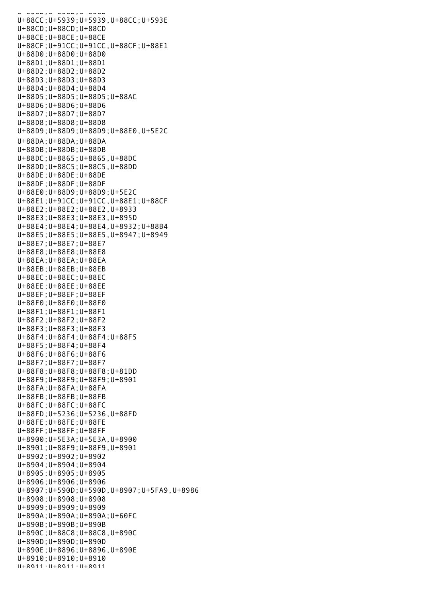U+88CB;U+88CB;U+88CB U+88CC;U+5939;U+5939,U+88CC;U+593E U+88CD;U+88CD;U+88CD U+88CE;U+88CE;U+88CE U+88CF;U+91CC;U+91CC,U+88CF;U+88E1 U+88D0;U+88D0;U+88D0 U+88D1;U+88D1;U+88D1 U+88D2;U+88D2;U+88D2 U+88D3;U+88D3;U+88D3 U+88D4;U+88D4;U+88D4 U+88D5;U+88D5;U+88D5;U+88AC U+88D6;U+88D6;U+88D6 U+88D7;U+88D7;U+88D7 U+88D8;U+88D8;U+88D8 U+88D9;U+88D9;U+88D9;U+88E0,U+5E2C U+88DA;U+88DA;U+88DA U+88DB;U+88DB;U+88DB U+88DC;U+8865;U+8865,U+88DC U+88DD;U+88C5;U+88C5,U+88DD U+88DE;U+88DE;U+88DE U+88DF;U+88DF;U+88DF U+88E0;U+88D9;U+88D9;U+5E2C U+88E1;U+91CC;U+91CC,U+88E1;U+88CF U+88E2;U+88E2;U+88E2,U+8933 U+88E3;U+88E3;U+88E3,U+895D U+88E4;U+88E4;U+88E4,U+8932;U+88B4 U+88E5;U+88E5;U+88E5,U+8947;U+8949 U+88E7;U+88E7;U+88E7 U+88E8;U+88E8;U+88E8 U+88EA;U+88EA;U+88EA U+88EB;U+88EB;U+88EB U+88EC;U+88EC;U+88EC U+88EE;U+88EE;U+88EE U+88EF;U+88EF;U+88EF U+88F0;U+88F0;U+88F0 U+88F1;U+88F1;U+88F1 U+88F2;U+88F2;U+88F2 U+88F3;U+88F3;U+88F3 U+88F4;U+88F4;U+88F4;U+88F5 U+88F5;U+88F4;U+88F4 U+88F6;U+88F6;U+88F6 U+88F7;U+88F7;U+88F7 U+88F8;U+88F8;U+88F8;U+81DD U+88F9;U+88F9;U+88F9;U+8901 U+88FA;U+88FA;U+88FA U+88FB;U+88FB;U+88FB U+88FC;U+88FC;U+88FC U+88FD;U+5236;U+5236,U+88FD U+88FE;U+88FE;U+88FE U+88FF;U+88FF;U+88FF U+8900;U+5E3A;U+5E3A,U+8900 U+8901;U+88F9;U+88F9,U+8901 U+8902;U+8902;U+8902 U+8904;U+8904;U+8904 U+8905;U+8905;U+8905 U+8906;U+8906;U+8906 U+8907;U+590D;U+590D,U+8907;U+5FA9,U+8986 U+8908;U+8908;U+8908 U+8909;U+8909;U+8909 U+890A;U+890A;U+890A;U+60FC U+890B;U+890B;U+890B U+890C;U+88C8;U+88C8,U+890C U+890D;U+890D;U+890D U+890E;U+8896;U+8896,U+890E U+8910;U+8910;U+8910 U+8911;U+8911;U+8911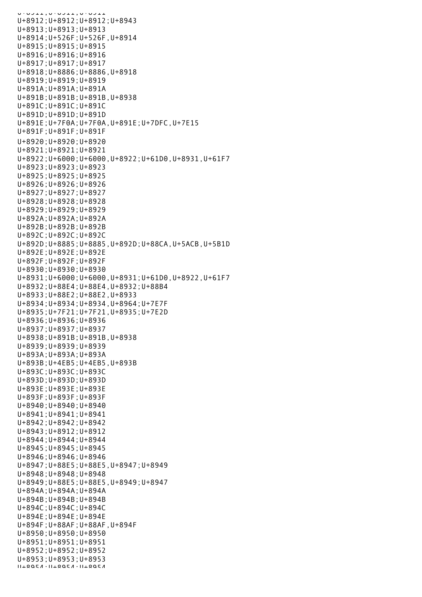U+9911;U+9911;U+9911 U+8912;U+8912;U+8912;U+8943 U+8913;U+8913;U+8913 U+8914;U+526F;U+526F,U+8914 U+8915;U+8915;U+8915 U+8916;U+8916;U+8916 U+8917;U+8917;U+8917 U+8918;U+8886;U+8886,U+8918 U+8919;U+8919;U+8919 U+891A;U+891A;U+891A U+891B;U+891B;U+891B,U+8938 U+891C;U+891C;U+891C U+891D;U+891D;U+891D U+891E;U+7F0A;U+7F0A,U+891E;U+7DFC,U+7E15 U+891F;U+891F;U+891F U+8920;U+8920;U+8920 U+8921;U+8921;U+8921 U+8922;U+6000;U+6000,U+8922;U+61D0,U+8931,U+61F7 U+8923;U+8923;U+8923 U+8925;U+8925;U+8925 U+8926;U+8926;U+8926 U+8927;U+8927;U+8927 U+8928;U+8928;U+8928 U+8929;U+8929;U+8929 U+892A;U+892A;U+892A U+892B;U+892B;U+892B U+892C;U+892C;U+892C U+892D;U+8885;U+8885,U+892D;U+88CA,U+5ACB,U+5B1D U+892E;U+892E;U+892E U+892F;U+892F;U+892F U+8930;U+8930;U+8930 U+8931;U+6000;U+6000,U+8931;U+61D0,U+8922,U+61F7 U+8932;U+88E4;U+88E4,U+8932;U+88B4 U+8933;U+88E2;U+88E2,U+8933 U+8934;U+8934;U+8934,U+8964;U+7E7F U+8935;U+7F21;U+7F21,U+8935;U+7E2D U+8936;U+8936;U+8936 U+8937;U+8937;U+8937 U+8938;U+891B;U+891B,U+8938 U+8939;U+8939;U+8939 U+893A;U+893A;U+893A U+893B;U+4EB5;U+4EB5,U+893B U+893C;U+893C;U+893C U+893D;U+893D;U+893D U+893E;U+893E;U+893E U+893F;U+893F;U+893F U+8940;U+8940;U+8940 U+8941;U+8941;U+8941 U+8942;U+8942;U+8942 U+8943;U+8912;U+8912 U+8944;U+8944;U+8944 U+8945;U+8945;U+8945 U+8946;U+8946;U+8946 U+8947;U+88E5;U+88E5,U+8947;U+8949 U+8948;U+8948;U+8948 U+8949;U+88E5;U+88E5,U+8949;U+8947 U+894A;U+894A;U+894A U+894B;U+894B;U+894B U+894C;U+894C;U+894C U+894E;U+894E;U+894E U+894F;U+88AF;U+88AF,U+894F U+8950;U+8950;U+8950 U+8951;U+8951;U+8951 U+8952;U+8952;U+8952 U+8953;U+8953;U+8953 U+8954;U+8954;U+8954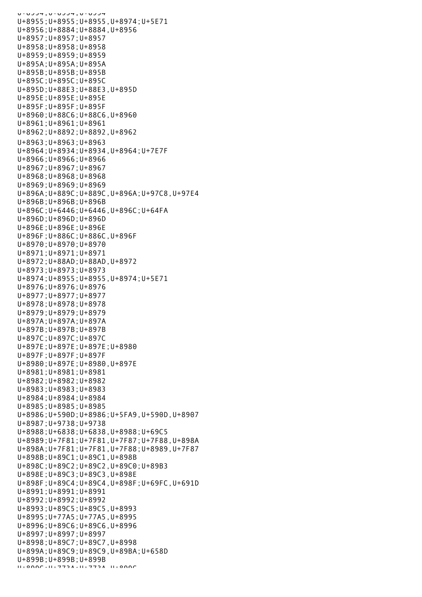U+8954;U+8954;U+8954 U+8955;U+8955;U+8955,U+8974;U+5E71 U+8956;U+8884;U+8884,U+8956 U+8957;U+8957;U+8957 U+8958;U+8958;U+8958 U+8959;U+8959;U+8959 U+895A;U+895A;U+895A U+895B;U+895B;U+895B U+895C;U+895C;U+895C U+895D;U+88E3;U+88E3,U+895D U+895E;U+895E;U+895E U+895F;U+895F;U+895F U+8960;U+88C6;U+88C6,U+8960 U+8961;U+8961;U+8961 U+8962;U+8892;U+8892,U+8962 U+8963;U+8963;U+8963 U+8964;U+8934;U+8934,U+8964;U+7E7F U+8966;U+8966;U+8966 U+8967;U+8967;U+8967 U+8968;U+8968;U+8968 U+8969;U+8969;U+8969 U+896A;U+889C;U+889C,U+896A;U+97C8,U+97E4 U+896B;U+896B;U+896B U+896C;U+6446;U+6446,U+896C;U+64FA U+896D;U+896D;U+896D U+896E;U+896E;U+896E U+896F;U+886C;U+886C,U+896F U+8970;U+8970;U+8970 U+8971;U+8971;U+8971 U+8972;U+88AD;U+88AD,U+8972 U+8973;U+8973;U+8973 U+8974;U+8955;U+8955,U+8974;U+5E71 U+8976;U+8976;U+8976 U+8977;U+8977;U+8977 U+8978;U+8978;U+8978 U+8979;U+8979;U+8979 U+897A;U+897A;U+897A U+897B;U+897B;U+897B U+897C;U+897C;U+897C U+897E;U+897E;U+897E;U+8980 U+897F;U+897F;U+897F U+8980;U+897E;U+8980,U+897E U+8981;U+8981;U+8981 U+8982;U+8982;U+8982 U+8983;U+8983;U+8983 U+8984;U+8984;U+8984 U+8985;U+8985;U+8985 U+8986;U+590D;U+8986;U+5FA9,U+590D,U+8907 U+8987;U+9738;U+9738 U+8988;U+6838;U+6838,U+8988;U+69C5 U+8989;U+7F81;U+7F81,U+7F87;U+7F88,U+898A U+898A;U+7F81;U+7F81,U+7F88;U+8989,U+7F87 U+898B;U+89C1;U+89C1,U+898B U+898C;U+89C2;U+89C2,U+89C0;U+89B3 U+898E;U+89C3;U+89C3,U+898E U+898F;U+89C4;U+89C4,U+898F;U+69FC,U+691D U+8991;U+8991;U+8991 U+8992;U+8992;U+8992 U+8993;U+89C5;U+89C5,U+8993 U+8995;U+77A5;U+77A5,U+8995 U+8996;U+89C6;U+89C6,U+8996 U+8997;U+8997;U+8997 U+8998;U+89C7;U+89C7,U+8998 U+899A;U+89C9;U+89C9,U+89BA;U+658D U+899B;U+899B;U+899B  $U+8000C$ ; $U+773A$ ; $U+773A$ , $U+8000C$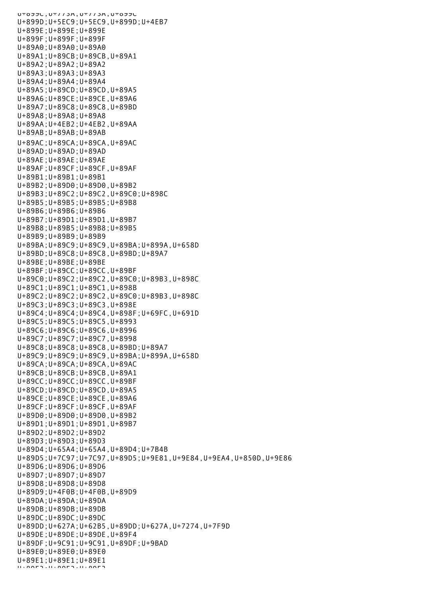UTOJJL, UT//JA, UT//JA, UTOJJL U+899D;U+5EC9;U+5EC9,U+899D;U+4EB7 U+899E;U+899E;U+899E U+899F;U+899F;U+899F U+89A0;U+89A0;U+89A0 U+89A1;U+89CB;U+89CB,U+89A1 U+89A2;U+89A2;U+89A2 U+89A3;U+89A3;U+89A3 U+89A4;U+89A4;U+89A4 U+89A5;U+89CD;U+89CD,U+89A5 U+89A6;U+89CE;U+89CE,U+89A6 U+89A7;U+89C8;U+89C8,U+89BD U+89A8;U+89A8;U+89A8 U+89AA;U+4EB2;U+4EB2,U+89AA U+89AB;U+89AB;U+89AB U+89AC;U+89CA;U+89CA,U+89AC U+89AD;U+89AD;U+89AD U+89AE;U+89AE;U+89AE U+89AF;U+89CF;U+89CF,U+89AF U+89B1;U+89B1;U+89B1 U+89B2;U+89D0;U+89D0,U+89B2 U+89B3;U+89C2;U+89C2,U+89C0;U+898C U+89B5;U+89B5;U+89B5;U+89B8 U+89B6;U+89B6;U+89B6 U+89B7;U+89D1;U+89D1,U+89B7 U+89B8;U+89B5;U+89B8;U+89B5 U+89B9;U+89B9;U+89B9 U+89BA;U+89C9;U+89C9,U+89BA;U+899A,U+658D U+89BD;U+89C8;U+89C8,U+89BD;U+89A7 U+89BE;U+89BE;U+89BE U+89BF;U+89CC;U+89CC,U+89BF U+89C0;U+89C2;U+89C2,U+89C0;U+89B3,U+898C U+89C1;U+89C1;U+89C1,U+898B U+89C2;U+89C2;U+89C2,U+89C0;U+89B3,U+898C U+89C3;U+89C3;U+89C3,U+898E U+89C4;U+89C4;U+89C4,U+898F;U+69FC,U+691D U+89C5;U+89C5;U+89C5,U+8993 U+89C6;U+89C6;U+89C6,U+8996 U+89C7;U+89C7;U+89C7,U+8998 U+89C8;U+89C8;U+89C8,U+89BD;U+89A7 U+89C9;U+89C9;U+89C9,U+89BA;U+899A,U+658D U+89CA;U+89CA;U+89CA,U+89AC U+89CB;U+89CB;U+89CB,U+89A1 U+89CC;U+89CC;U+89CC,U+89BF U+89CD;U+89CD;U+89CD,U+89A5 U+89CE;U+89CE;U+89CE,U+89A6 U+89CF;U+89CF;U+89CF,U+89AF U+89D0;U+89D0;U+89D0,U+89B2 U+89D1;U+89D1;U+89D1,U+89B7 U+89D2;U+89D2;U+89D2 U+89D3;U+89D3;U+89D3 U+89D4;U+65A4;U+65A4,U+89D4;U+7B4B U+89D5;U+7C97;U+7C97,U+89D5;U+9E81,U+9E84,U+9EA4,U+850D,U+9E86 U+89D6;U+89D6;U+89D6 U+89D7;U+89D7;U+89D7 U+89D8;U+89D8;U+89D8 U+89D9;U+4F0B;U+4F0B,U+89D9 U+89DA;U+89DA;U+89DA U+89DB;U+89DB;U+89DB U+89DC;U+89DC;U+89DC U+89DD;U+627A;U+62B5,U+89DD;U+627A,U+7274,U+7F9D U+89DE;U+89DE;U+89DE,U+89F4 U+89DF;U+9C91;U+9C91,U+89DF;U+9BAD U+89E0;U+89E0;U+89E0 U+89E1;U+89E1;U+89E1 U+89E2;U+89E2;U+89E2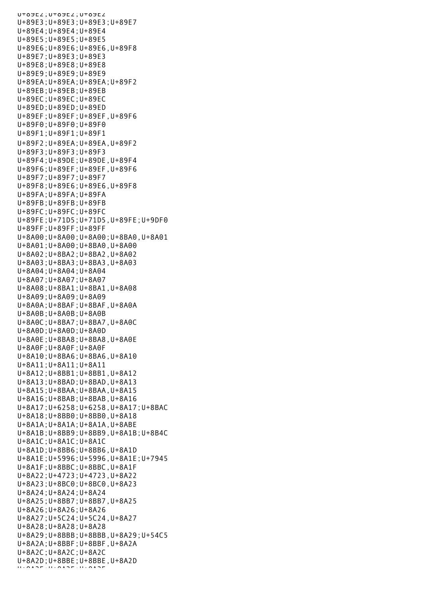U+89E2;U+89E2;U+89E2 U+89E3;U+89E3;U+89E3;U+89E7 U+89E4;U+89E4;U+89E4 U+89E5;U+89E5;U+89E5 U+89E6;U+89E6;U+89E6,U+89F8 U+89E7;U+89E3;U+89E3 U+89E8;U+89E8;U+89E8 U+89E9;U+89E9;U+89E9 U+89EA;U+89EA;U+89EA;U+89F2 U+89EB;U+89EB;U+89EB U+89EC;U+89EC;U+89EC U+89ED;U+89ED;U+89ED U+89EF;U+89EF;U+89EF,U+89F6 U+89F0;U+89F0;U+89F0 U+89F1;U+89F1;U+89F1 U+89F2;U+89EA;U+89EA,U+89F2 U+89F3;U+89F3;U+89F3 U+89F4;U+89DE;U+89DE,U+89F4 U+89F6;U+89EF;U+89EF,U+89F6 U+89F7;U+89F7;U+89F7 U+89F8;U+89E6;U+89E6,U+89F8 U+89FA;U+89FA;U+89FA U+89FB;U+89FB;U+89FB U+89FC;U+89FC;U+89FC U+89FE;U+71D5;U+71D5,U+89FE;U+9DF0 U+89FF;U+89FF;U+89FF U+8A00;U+8A00;U+8A00;U+8BA0,U+8A01 U+8A01;U+8A00;U+8BA0,U+8A00 U+8A02;U+8BA2;U+8BA2,U+8A02 U+8A03;U+8BA3;U+8BA3,U+8A03 U+8A04;U+8A04;U+8A04 U+8A07;U+8A07;U+8A07 U+8A08;U+8BA1;U+8BA1,U+8A08 U+8A09;U+8A09;U+8A09 U+8A0A;U+8BAF;U+8BAF,U+8A0A U+8A0B;U+8A0B;U+8A0B U+8A0C;U+8BA7;U+8BA7,U+8A0C U+8A0D;U+8A0D;U+8A0D U+8A0E;U+8BA8;U+8BA8,U+8A0E U+8A0F;U+8A0F;U+8A0F U+8A10;U+8BA6;U+8BA6,U+8A10 U+8A11;U+8A11;U+8A11 U+8A12;U+8BB1;U+8BB1,U+8A12 U+8A13;U+8BAD;U+8BAD,U+8A13 U+8A15;U+8BAA;U+8BAA,U+8A15 U+8A16;U+8BAB;U+8BAB,U+8A16 U+8A17;U+6258;U+6258,U+8A17;U+8BAC U+8A18;U+8BB0;U+8BB0,U+8A18 U+8A1A;U+8A1A;U+8A1A,U+8ABE U+8A1B;U+8BB9;U+8BB9,U+8A1B;U+8B4C U+8A1C;U+8A1C;U+8A1C U+8A1D;U+8BB6;U+8BB6,U+8A1D U+8A1E;U+5996;U+5996,U+8A1E;U+7945 U+8A1F;U+8BBC;U+8BBC,U+8A1F U+8A22;U+4723;U+4723,U+8A22 U+8A23;U+8BC0;U+8BC0,U+8A23 U+8A24;U+8A24;U+8A24 U+8A25;U+8BB7;U+8BB7,U+8A25 U+8A26;U+8A26;U+8A26 U+8A27;U+5C24;U+5C24,U+8A27 U+8A28;U+8A28;U+8A28 U+8A29;U+8BBB;U+8BBB,U+8A29;U+54C5 U+8A2A;U+8BBF;U+8BBF,U+8A2A U+8A2C;U+8A2C;U+8A2C U+8A2D;U+8BBE;U+8BBE,U+8A2D U+8A2E;U+8A2E;U+8A2E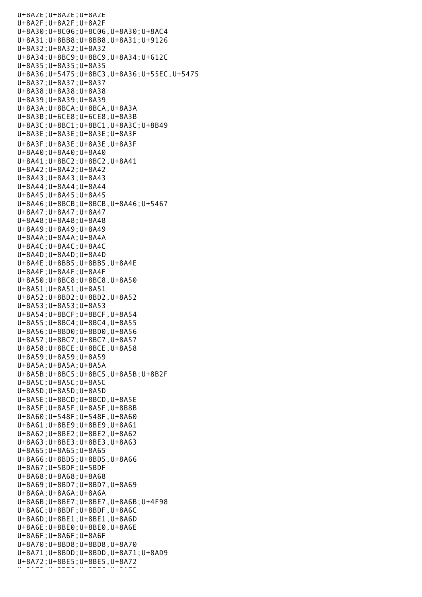U+8A2E;U+8A2E;U+8A2E U+8A2F;U+8A2F;U+8A2F U+8A30;U+8C06;U+8C06,U+8A30;U+8AC4 U+8A31;U+8BB8;U+8BB8,U+8A31;U+9126 U+8A32;U+8A32;U+8A32 U+8A34;U+8BC9;U+8BC9,U+8A34;U+612C U+8A35;U+8A35;U+8A35 U+8A36;U+5475;U+8BC3,U+8A36;U+55EC,U+5475 U+8A37;U+8A37;U+8A37 U+8A38;U+8A38;U+8A38 U+8A39;U+8A39;U+8A39 U+8A3A;U+8BCA;U+8BCA,U+8A3A U+8A3B;U+6CE8;U+6CE8,U+8A3B U+8A3C;U+8BC1;U+8BC1,U+8A3C;U+8B49 U+8A3E;U+8A3E;U+8A3E;U+8A3F U+8A3F;U+8A3E;U+8A3E,U+8A3F U+8A40;U+8A40;U+8A40 U+8A41;U+8BC2;U+8BC2,U+8A41 U+8A42;U+8A42;U+8A42 U+8A43;U+8A43;U+8A43 U+8A44;U+8A44;U+8A44 U+8A45;U+8A45;U+8A45 U+8A46;U+8BCB;U+8BCB,U+8A46;U+5467 U+8A47;U+8A47;U+8A47 U+8A48;U+8A48;U+8A48 U+8A49;U+8A49;U+8A49 U+8A4A;U+8A4A;U+8A4A U+8A4C;U+8A4C;U+8A4C U+8A4D;U+8A4D;U+8A4D U+8A4E;U+8BB5;U+8BB5,U+8A4E U+8A4F;U+8A4F;U+8A4F U+8A50;U+8BC8;U+8BC8,U+8A50 U+8A51;U+8A51;U+8A51 U+8A52;U+8BD2;U+8BD2,U+8A52 U+8A53;U+8A53;U+8A53 U+8A54;U+8BCF;U+8BCF,U+8A54 U+8A55;U+8BC4;U+8BC4,U+8A55 U+8A56;U+8BD0;U+8BD0,U+8A56 U+8A57;U+8BC7;U+8BC7,U+8A57 U+8A58;U+8BCE;U+8BCE,U+8A58 U+8A59;U+8A59;U+8A59 U+8A5A;U+8A5A;U+8A5A U+8A5B;U+8BC5;U+8BC5,U+8A5B;U+8B2F U+8A5C;U+8A5C;U+8A5C U+8A5D;U+8A5D;U+8A5D U+8A5E;U+8BCD;U+8BCD,U+8A5E U+8A5F;U+8A5F;U+8A5F,U+8B8B U+8A60;U+548F;U+548F,U+8A60 U+8A61;U+8BE9;U+8BE9,U+8A61 U+8A62;U+8BE2;U+8BE2,U+8A62 U+8A63;U+8BE3;U+8BE3,U+8A63 U+8A65;U+8A65;U+8A65 U+8A66;U+8BD5;U+8BD5,U+8A66 U+8A67;U+5BDF;U+5BDF U+8A68;U+8A68;U+8A68 U+8A69;U+8BD7;U+8BD7,U+8A69 U+8A6A;U+8A6A;U+8A6A U+8A6B;U+8BE7;U+8BE7,U+8A6B;U+4F98 U+8A6C;U+8BDF;U+8BDF,U+8A6C U+8A6D;U+8BE1;U+8BE1,U+8A6D U+8A6E;U+8BE0;U+8BE0,U+8A6E U+8A6F;U+8A6F;U+8A6F U+8A70;U+8BD8;U+8BD8,U+8A70 U+8A71;U+8BDD;U+8BDD,U+8A71;U+8AD9 U+8A72;U+8BE5;U+8BE5,U+8A72 U+8A73;U+8BE6;U+8A73;U+8A73<br>U+8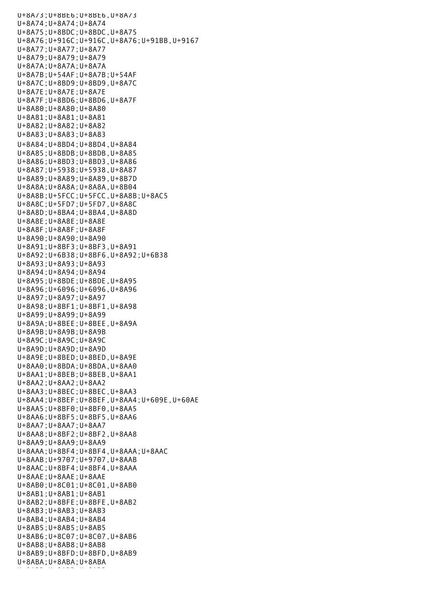U+8A73;U+8BE6;U+8BE6,U+8A73 U+8A74;U+8A74;U+8A74 U+8A75;U+8BDC;U+8BDC,U+8A75 U+8A76;U+916C;U+916C,U+8A76;U+91BB,U+9167 U+8A77;U+8A77;U+8A77 U+8A79;U+8A79;U+8A79 U+8A7A;U+8A7A;U+8A7A U+8A7B;U+54AF;U+8A7B;U+54AF U+8A7C;U+8BD9;U+8BD9,U+8A7C U+8A7E;U+8A7E;U+8A7E U+8A7F;U+8BD6;U+8BD6,U+8A7F U+8A80;U+8A80;U+8A80 U+8A81;U+8A81;U+8A81 U+8A82;U+8A82;U+8A82 U+8A83;U+8A83;U+8A83 U+8A84;U+8BD4;U+8BD4,U+8A84 U+8A85;U+8BDB;U+8BDB,U+8A85 U+8A86;U+8BD3;U+8BD3,U+8A86 U+8A87;U+5938;U+5938,U+8A87 U+8A89;U+8A89;U+8A89,U+8B7D U+8A8A;U+8A8A;U+8A8A,U+8B04 U+8A8B;U+5FCC;U+5FCC,U+8A8B;U+8AC5 U+8A8C;U+5FD7;U+5FD7,U+8A8C U+8A8D;U+8BA4;U+8BA4,U+8A8D U+8A8E;U+8A8E;U+8A8E U+8A8F;U+8A8F;U+8A8F U+8A90;U+8A90;U+8A90 U+8A91;U+8BF3;U+8BF3,U+8A91 U+8A92;U+6B38;U+8BF6,U+8A92;U+6B38 U+8A93;U+8A93;U+8A93 U+8A94;U+8A94;U+8A94 U+8A95;U+8BDE;U+8BDE,U+8A95 U+8A96;U+6096;U+6096,U+8A96 U+8A97;U+8A97;U+8A97 U+8A98;U+8BF1;U+8BF1,U+8A98 U+8A99;U+8A99;U+8A99 U+8A9A;U+8BEE;U+8BEE,U+8A9A U+8A9B;U+8A9B;U+8A9B U+8A9C;U+8A9C;U+8A9C U+8A9D;U+8A9D;U+8A9D U+8A9E;U+8BED;U+8BED,U+8A9E U+8AA0;U+8BDA;U+8BDA,U+8AA0 U+8AA1;U+8BEB;U+8BEB,U+8AA1 U+8AA2;U+8AA2;U+8AA2 U+8AA3;U+8BEC;U+8BEC,U+8AA3 U+8AA4;U+8BEF;U+8BEF,U+8AA4;U+609E,U+60AE U+8AA5;U+8BF0;U+8BF0,U+8AA5 U+8AA6;U+8BF5;U+8BF5,U+8AA6 U+8AA7;U+8AA7;U+8AA7 U+8AA8;U+8BF2;U+8BF2,U+8AA8 U+8AA9;U+8AA9;U+8AA9 U+8AAA;U+8BF4;U+8BF4,U+8AAA;U+8AAC U+8AAB;U+9707;U+9707,U+8AAB U+8AAC;U+8BF4;U+8BF4,U+8AAA U+8AAE;U+8AAE;U+8AAE U+8AB0;U+8C01;U+8C01,U+8AB0 U+8AB1;U+8AB1;U+8AB1 U+8AB2;U+8BFE;U+8BFE,U+8AB2 U+8AB3;U+8AB3;U+8AB3 U+8AB4;U+8AB4;U+8AB4 U+8AB5;U+8AB5;U+8AB5 U+8AB6;U+8C07;U+8C07,U+8AB6 U+8AB8;U+8AB8;U+8AB8 U+8AB9;U+8BFD;U+8BFD,U+8AB9 U+8ABA;U+8ABA;U+8ABA U+8ABB;U+8ABB;U+8ABB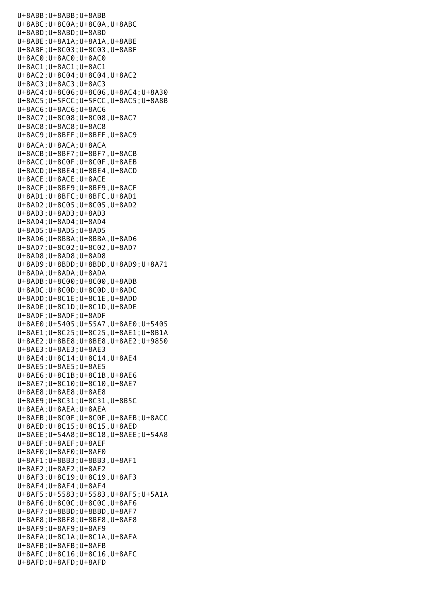U+8ABB;U+8ABB;U+8ABB U+8ABC;U+8C0A;U+8C0A,U+8ABC U+8ABD;U+8ABD;U+8ABD U+8ABE;U+8A1A;U+8A1A,U+8ABE U+8ABF;U+8C03;U+8C03,U+8ABF U+8AC0;U+8AC0;U+8AC0 U+8AC1;U+8AC1;U+8AC1 U+8AC2;U+8C04;U+8C04,U+8AC2 U+8AC3;U+8AC3;U+8AC3 U+8AC4;U+8C06;U+8C06,U+8AC4;U+8A30 U+8AC5;U+5FCC;U+5FCC,U+8AC5;U+8A8B U+8AC6;U+8AC6;U+8AC6 U+8AC7;U+8C08;U+8C08,U+8AC7 U+8AC8;U+8AC8;U+8AC8 U+8AC9;U+8BFF;U+8BFF,U+8AC9 U+8ACA;U+8ACA;U+8ACA U+8ACB;U+8BF7;U+8BF7,U+8ACB U+8ACC;U+8C0F;U+8C0F,U+8AEB U+8ACD;U+8BE4;U+8BE4,U+8ACD U+8ACE;U+8ACE;U+8ACE U+8ACF;U+8BF9;U+8BF9,U+8ACF U+8AD1;U+8BFC;U+8BFC,U+8AD1 U+8AD2;U+8C05;U+8C05,U+8AD2 U+8AD3;U+8AD3;U+8AD3 U+8AD4;U+8AD4;U+8AD4 U+8AD5;U+8AD5;U+8AD5 U+8AD6;U+8BBA;U+8BBA,U+8AD6 U+8AD7;U+8C02;U+8C02,U+8AD7 U+8AD8;U+8AD8;U+8AD8 U+8AD9;U+8BDD;U+8BDD,U+8AD9;U+8A71 U+8ADA;U+8ADA;U+8ADA U+8ADB;U+8C00;U+8C00,U+8ADB U+8ADC;U+8C0D;U+8C0D,U+8ADC U+8ADD;U+8C1E;U+8C1E,U+8ADD U+8ADE;U+8C1D;U+8C1D,U+8ADE U+8ADF;U+8ADF;U+8ADF U+8AE0;U+5405;U+55A7,U+8AE0;U+5405 U+8AE1;U+8C25;U+8C25,U+8AE1;U+8B1A U+8AE2;U+8BE8;U+8BE8,U+8AE2;U+9850 U+8AE3;U+8AE3;U+8AE3 U+8AE4;U+8C14;U+8C14,U+8AE4 U+8AE5;U+8AE5;U+8AE5 U+8AE6;U+8C1B;U+8C1B,U+8AE6 U+8AE7;U+8C10;U+8C10,U+8AE7 U+8AE8;U+8AE8;U+8AE8 U+8AE9;U+8C31;U+8C31,U+8B5C U+8AEA;U+8AEA;U+8AEA U+8AEB;U+8C0F;U+8C0F,U+8AEB;U+8ACC U+8AED;U+8C15;U+8C15,U+8AED U+8AEE;U+54A8;U+8C18,U+8AEE;U+54A8 U+8AEF;U+8AEF;U+8AEF U+8AF0;U+8AF0;U+8AF0 U+8AF1;U+8BB3;U+8BB3,U+8AF1 U+8AF2;U+8AF2;U+8AF2 U+8AF3;U+8C19;U+8C19,U+8AF3 U+8AF4;U+8AF4;U+8AF4 U+8AF5;U+5583;U+5583,U+8AF5;U+5A1A U+8AF6;U+8C0C;U+8C0C,U+8AF6 U+8AF7;U+8BBD;U+8BBD,U+8AF7 U+8AF8;U+8BF8;U+8BF8,U+8AF8 U+8AF9;U+8AF9;U+8AF9 U+8AFA;U+8C1A;U+8C1A,U+8AFA U+8AFB;U+8AFB;U+8AFB U+8AFC;U+8C16;U+8C16,U+8AFC U+8AFD;U+8AFD;U+8AFD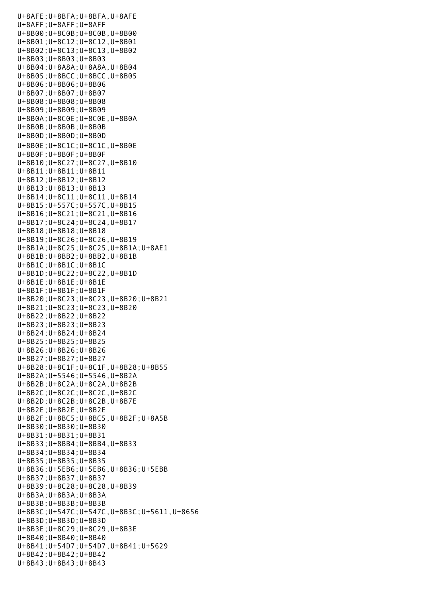U+8AFE;U+8BFA;U+8BFA,U+8AFE U+8AFF;U+8AFF;U+8AFF U+8B00;U+8C0B;U+8C0B,U+8B00 U+8B01;U+8C12;U+8C12,U+8B01 U+8B02;U+8C13;U+8C13,U+8B02 U+8B03;U+8B03;U+8B03 U+8B04;U+8A8A;U+8A8A,U+8B04 U+8B05;U+8BCC;U+8BCC,U+8B05 U+8B06;U+8B06;U+8B06 U+8B07;U+8B07;U+8B07 U+8B08;U+8B08;U+8B08 U+8B09;U+8B09;U+8B09 U+8B0A;U+8C0E;U+8C0E,U+8B0A U+8B0B;U+8B0B;U+8B0B U+8B0D;U+8B0D;U+8B0D U+8B0E;U+8C1C;U+8C1C,U+8B0E U+8B0F;U+8B0F;U+8B0F U+8B10;U+8C27;U+8C27,U+8B10 U+8B11;U+8B11;U+8B11 U+8B12;U+8B12;U+8B12 U+8B13;U+8B13;U+8B13 U+8B14;U+8C11;U+8C11,U+8B14 U+8B15;U+557C;U+557C,U+8B15 U+8B16;U+8C21;U+8C21,U+8B16 U+8B17;U+8C24;U+8C24,U+8B17 U+8B18;U+8B18;U+8B18 U+8B19;U+8C26;U+8C26,U+8B19 U+8B1A;U+8C25;U+8C25,U+8B1A;U+8AE1 U+8B1B;U+8BB2;U+8BB2,U+8B1B U+8B1C;U+8B1C;U+8B1C U+8B1D;U+8C22;U+8C22,U+8B1D U+8B1E;U+8B1E;U+8B1E U+8B1F;U+8B1F;U+8B1F U+8B20;U+8C23;U+8C23,U+8B20;U+8B21 U+8B21;U+8C23;U+8C23,U+8B20 U+8B22;U+8B22;U+8B22 U+8B23;U+8B23;U+8B23 U+8B24;U+8B24;U+8B24 U+8B25;U+8B25;U+8B25 U+8B26;U+8B26;U+8B26 U+8B27;U+8B27;U+8B27 U+8B28;U+8C1F;U+8C1F,U+8B28;U+8B55 U+8B2A;U+5546;U+5546,U+8B2A U+8B2B;U+8C2A;U+8C2A,U+8B2B U+8B2C;U+8C2C;U+8C2C,U+8B2C U+8B2D;U+8C2B;U+8C2B,U+8B7E U+8B2E;U+8B2E;U+8B2E U+8B2F;U+8BC5;U+8BC5,U+8B2F;U+8A5B U+8B30;U+8B30;U+8B30 U+8B31;U+8B31;U+8B31 U+8B33;U+8BB4;U+8BB4,U+8B33 U+8B34;U+8B34;U+8B34 U+8B35;U+8B35;U+8B35 U+8B36;U+5EB6;U+5EB6,U+8B36;U+5EBB U+8B37;U+8B37;U+8B37 U+8B39;U+8C28;U+8C28,U+8B39 U+8B3A;U+8B3A;U+8B3A U+8B3B;U+8B3B;U+8B3B U+8B3C;U+547C;U+547C,U+8B3C;U+5611,U+8656 U+8B3D;U+8B3D;U+8B3D U+8B3E;U+8C29;U+8C29,U+8B3E U+8B40;U+8B40;U+8B40 U+8B41;U+54D7;U+54D7,U+8B41;U+5629 U+8B42;U+8B42;U+8B42 U+8B43;U+8B43;U+8B43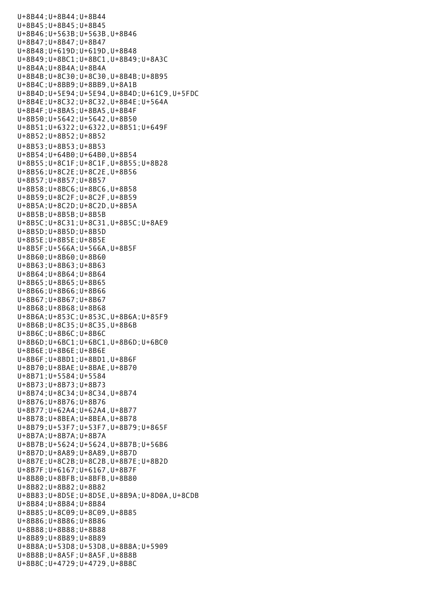U+8B44;U+8B44;U+8B44 U+8B45;U+8B45;U+8B45 U+8B46;U+563B;U+563B,U+8B46 U+8B47;U+8B47;U+8B47 U+8B48;U+619D;U+619D,U+8B48 U+8B49;U+8BC1;U+8BC1,U+8B49;U+8A3C U+8B4A;U+8B4A;U+8B4A U+8B4B;U+8C30;U+8C30,U+8B4B;U+8B95 U+8B4C;U+8BB9;U+8BB9,U+8A1B U+8B4D;U+5E94;U+5E94,U+8B4D;U+61C9,U+5FDC U+8B4E;U+8C32;U+8C32,U+8B4E;U+564A U+8B4F;U+8BA5;U+8BA5,U+8B4F U+8B50;U+5642;U+5642,U+8B50 U+8B51;U+6322;U+6322,U+8B51;U+649F U+8B52;U+8B52;U+8B52 U+8B53;U+8B53;U+8B53 U+8B54;U+64B0;U+64B0,U+8B54 U+8B55;U+8C1F;U+8C1F,U+8B55;U+8B28 U+8B56;U+8C2E;U+8C2E,U+8B56 U+8B57;U+8B57;U+8B57 U+8B58;U+8BC6;U+8BC6,U+8B58 U+8B59;U+8C2F;U+8C2F,U+8B59 U+8B5A;U+8C2D;U+8C2D,U+8B5A U+8B5B;U+8B5B;U+8B5B U+8B5C;U+8C31;U+8C31,U+8B5C;U+8AE9 U+8B5D;U+8B5D;U+8B5D U+8B5E;U+8B5E;U+8B5E U+8B5F;U+566A;U+566A,U+8B5F U+8B60;U+8B60;U+8B60 U+8B63;U+8B63;U+8B63 U+8B64;U+8B64;U+8B64 U+8B65;U+8B65;U+8B65 U+8B66;U+8B66;U+8B66 U+8B67;U+8B67;U+8B67 U+8B68;U+8B68;U+8B68 U+8B6A;U+853C;U+853C,U+8B6A;U+85F9 U+8B6B;U+8C35;U+8C35,U+8B6B U+8B6C;U+8B6C;U+8B6C U+8B6D;U+6BC1;U+6BC1,U+8B6D;U+6BC0 U+8B6E;U+8B6E;U+8B6E U+8B6F;U+8BD1;U+8BD1,U+8B6F U+8B70;U+8BAE;U+8BAE,U+8B70 U+8B71;U+5584;U+5584 U+8B73;U+8B73;U+8B73 U+8B74;U+8C34;U+8C34,U+8B74 U+8B76;U+8B76;U+8B76 U+8B77;U+62A4;U+62A4,U+8B77 U+8B78;U+8BEA;U+8BEA,U+8B78 U+8B79;U+53F7;U+53F7,U+8B79;U+865F U+8B7A;U+8B7A;U+8B7A U+8B7B;U+5624;U+5624,U+8B7B;U+56B6 U+8B7D;U+8A89;U+8A89,U+8B7D U+8B7E;U+8C2B;U+8C2B,U+8B7E;U+8B2D U+8B7F;U+6167;U+6167,U+8B7F U+8B80;U+8BFB;U+8BFB,U+8B80 U+8B82;U+8B82;U+8B82 U+8B83;U+8D5E;U+8D5E,U+8B9A;U+8D0A,U+8CDB U+8B84;U+8B84;U+8B84 U+8B85;U+8C09;U+8C09,U+8B85 U+8B86;U+8B86;U+8B86 U+8B88;U+8B88;U+8B88 U+8B89;U+8B89;U+8B89 U+8B8A;U+53D8;U+53D8,U+8B8A;U+5909 U+8B8B;U+8A5F;U+8A5F,U+8B8B U+8B8C;U+4729;U+4729,U+8B8C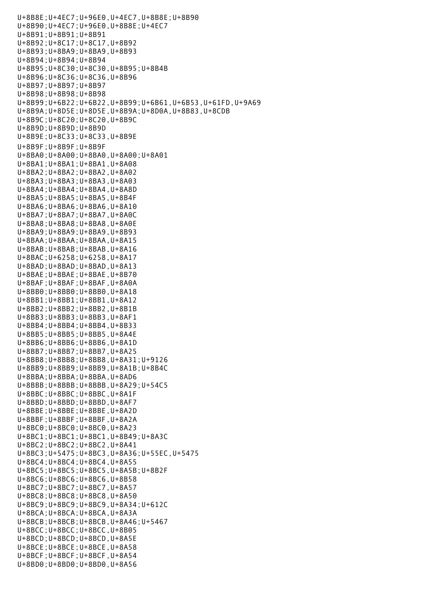U+8B8E;U+4EC7;U+96E0,U+4EC7,U+8B8E;U+8B90 U+8B90;U+4EC7;U+96E0,U+8B8E;U+4EC7 U+8B91;U+8B91;U+8B91 U+8B92;U+8C17;U+8C17,U+8B92 U+8B93;U+8BA9;U+8BA9,U+8B93 U+8B94;U+8B94;U+8B94 U+8B95;U+8C30;U+8C30,U+8B95;U+8B4B U+8B96;U+8C36;U+8C36,U+8B96 U+8B97;U+8B97;U+8B97 U+8B98;U+8B98;U+8B98 U+8B99;U+6B22;U+6B22,U+8B99;U+6B61,U+6B53,U+61FD,U+9A69 U+8B9A;U+8D5E;U+8D5E,U+8B9A;U+8D0A,U+8B83,U+8CDB U+8B9C;U+8C20;U+8C20,U+8B9C U+8B9D;U+8B9D;U+8B9D U+8B9E;U+8C33;U+8C33,U+8B9E U+8B9F;U+8B9F;U+8B9F U+8BA0;U+8A00;U+8BA0,U+8A00;U+8A01 U+8BA1;U+8BA1;U+8BA1,U+8A08 U+8BA2;U+8BA2;U+8BA2,U+8A02 U+8BA3;U+8BA3;U+8BA3,U+8A03 U+8BA4;U+8BA4;U+8BA4,U+8A8D U+8BA5;U+8BA5;U+8BA5,U+8B4F U+8BA6;U+8BA6;U+8BA6,U+8A10 U+8BA7;U+8BA7;U+8BA7,U+8A0C U+8BA8;U+8BA8;U+8BA8,U+8A0E U+8BA9;U+8BA9;U+8BA9,U+8B93 U+8BAA;U+8BAA;U+8BAA,U+8A15 U+8BAB;U+8BAB;U+8BAB,U+8A16 U+8BAC;U+6258;U+6258,U+8A17 U+8BAD;U+8BAD;U+8BAD,U+8A13 U+8BAE;U+8BAE;U+8BAE,U+8B70 U+8BAF;U+8BAF;U+8BAF,U+8A0A U+8BB0;U+8BB0;U+8BB0,U+8A18 U+8BB1;U+8BB1;U+8BB1,U+8A12 U+8BB2;U+8BB2;U+8BB2,U+8B1B U+8BB3;U+8BB3;U+8BB3,U+8AF1 U+8BB4;U+8BB4;U+8BB4,U+8B33 U+8BB5;U+8BB5;U+8BB5,U+8A4E U+8BB6;U+8BB6;U+8BB6,U+8A1D U+8BB7;U+8BB7;U+8BB7,U+8A25 U+8BB8;U+8BB8;U+8BB8,U+8A31;U+9126 U+8BB9;U+8BB9;U+8BB9,U+8A1B;U+8B4C U+8BBA;U+8BBA;U+8BBA,U+8AD6 U+8BBB;U+8BBB;U+8BBB,U+8A29;U+54C5 U+8BBC;U+8BBC;U+8BBC,U+8A1F U+8BBD;U+8BBD;U+8BBD,U+8AF7 U+8BBE;U+8BBE;U+8BBE,U+8A2D U+8BBF;U+8BBF;U+8BBF,U+8A2A U+8BC0;U+8BC0;U+8BC0,U+8A23 U+8BC1;U+8BC1;U+8BC1,U+8B49;U+8A3C U+8BC2;U+8BC2;U+8BC2,U+8A41 U+8BC3;U+5475;U+8BC3,U+8A36;U+55EC,U+5475 U+8BC4;U+8BC4;U+8BC4,U+8A55 U+8BC5;U+8BC5;U+8BC5,U+8A5B;U+8B2F U+8BC6;U+8BC6;U+8BC6,U+8B58 U+8BC7;U+8BC7;U+8BC7,U+8A57 U+8BC8;U+8BC8;U+8BC8,U+8A50 U+8BC9;U+8BC9;U+8BC9,U+8A34;U+612C U+8BCA;U+8BCA;U+8BCA,U+8A3A U+8BCB;U+8BCB;U+8BCB,U+8A46;U+5467 U+8BCC;U+8BCC;U+8BCC,U+8B05 U+8BCD;U+8BCD;U+8BCD,U+8A5E U+8BCE;U+8BCE;U+8BCE,U+8A58 U+8BCF;U+8BCF;U+8BCF,U+8A54 U+8BD0;U+8BD0;U+8BD0,U+8A56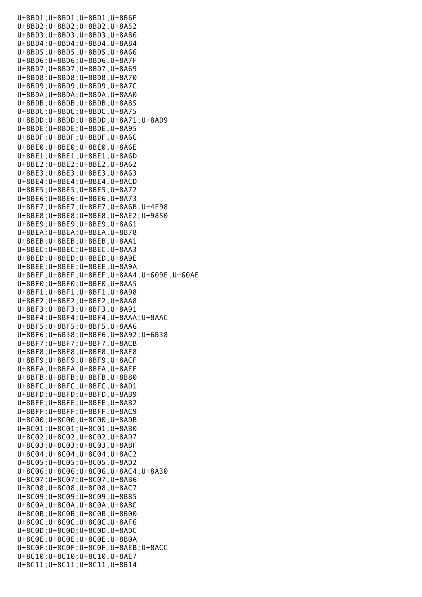|  |  |  |  |  | U+8BD1; U+8BD1; U+8BD1, U+8B6F                              |                                                      |                                                |
|--|--|--|--|--|-------------------------------------------------------------|------------------------------------------------------|------------------------------------------------|
|  |  |  |  |  | U+8BD2; U+8BD2; U+8BD2, U+8A52                              |                                                      |                                                |
|  |  |  |  |  | U+8BD3; U+8BD3; U+8BD3, U+8A86                              |                                                      |                                                |
|  |  |  |  |  | U+8BD4; U+8BD4; U+8BD4, U+8A84                              |                                                      |                                                |
|  |  |  |  |  | U+8BD5; U+8BD5; U+8BD5, U+8A66                              |                                                      |                                                |
|  |  |  |  |  | U+8BD6; U+8BD6; U+8BD6, U+8A7F                              |                                                      |                                                |
|  |  |  |  |  | U+8BD7; U+8BD7; U+8BD7, U+8A69                              |                                                      |                                                |
|  |  |  |  |  | U+8BD8; U+8BD8; U+8BD8, U+8A70                              |                                                      |                                                |
|  |  |  |  |  | U+8BD9; U+8BD9; U+8BD9, U+8A7C                              |                                                      |                                                |
|  |  |  |  |  | U+8BDA; U+8BDA; U+8BDA, U+8AA0                              |                                                      |                                                |
|  |  |  |  |  | U+8BDB; U+8BDB; U+8BDB, U+8A85                              |                                                      |                                                |
|  |  |  |  |  | U+8BDC; U+8BDC; U+8BDC, U+8A75                              |                                                      |                                                |
|  |  |  |  |  |                                                             | U+8BDD; U+8BDD; U+8BDD, U+8A71; U+8AD9               |                                                |
|  |  |  |  |  | U+8BDE; U+8BDE; U+8BDE, U+8A95                              |                                                      |                                                |
|  |  |  |  |  |                                                             |                                                      |                                                |
|  |  |  |  |  | U+8BDF; U+8BDF; U+8BDF, U+8A6C                              |                                                      |                                                |
|  |  |  |  |  | U+8BE0; U+8BE0; U+8BE0, U+8A6E                              |                                                      |                                                |
|  |  |  |  |  | U+8BE1; U+8BE1; U+8BE1, U+8A6D                              |                                                      |                                                |
|  |  |  |  |  | U+8BE2; U+8BE2; U+8BE2, U+8A62                              |                                                      |                                                |
|  |  |  |  |  | U+8BE3; U+8BE3; U+8BE3, U+8A63                              |                                                      |                                                |
|  |  |  |  |  | U+8BE4; U+8BE4; U+8BE4, U+8ACD                              |                                                      |                                                |
|  |  |  |  |  | U+8BE5; U+8BE5; U+8BE5, U+8A72                              |                                                      |                                                |
|  |  |  |  |  | U+8BE6; U+8BE6; U+8BE6, U+8A73                              |                                                      |                                                |
|  |  |  |  |  |                                                             | U+8BE7; U+8BE7; U+8BE7, U+8A6B; U+4F98               |                                                |
|  |  |  |  |  |                                                             | U+8BE8; U+8BE8; U+8BE8, U+8AE2; U+9850               |                                                |
|  |  |  |  |  | U+8BE9; U+8BE9; U+8BE9, U+8A61                              |                                                      |                                                |
|  |  |  |  |  | $U+8BEA$ ; $U+8BEA$ ; $U+8BEA$ , $U+8B78$                   |                                                      |                                                |
|  |  |  |  |  | U+8BEB; U+8BEB; U+8BEB, U+8AA1                              |                                                      |                                                |
|  |  |  |  |  | U+8BEC; U+8BEC; U+8BEC, U+8AA3                              |                                                      |                                                |
|  |  |  |  |  | U+8BED; U+8BED; U+8BED, U+8A9E                              |                                                      |                                                |
|  |  |  |  |  | $U+8BEE$ ; $U+8BEE$ ; $U+8BEE$ , $U+8A9A$                   |                                                      |                                                |
|  |  |  |  |  |                                                             |                                                      | U+8BEF; U+8BEF; U+8BEF, U+8AA4; U+609E, U+60AE |
|  |  |  |  |  |                                                             |                                                      |                                                |
|  |  |  |  |  | U+8BF0; U+8BF0; U+8BF0, U+8AA5                              |                                                      |                                                |
|  |  |  |  |  | U+8BF1; U+8BF1; U+8BF1, U+8A98                              |                                                      |                                                |
|  |  |  |  |  | U+8BF2; U+8BF2; U+8BF2, U+8AA8                              |                                                      |                                                |
|  |  |  |  |  | U+8BF3; U+8BF3; U+8BF3, U+8A91                              |                                                      |                                                |
|  |  |  |  |  |                                                             | U+8BF4; U+8BF4; U+8BF4, U+8AAA; U+8AAC               |                                                |
|  |  |  |  |  | U+8BF5; U+8BF5; U+8BF5, U+8AA6                              |                                                      |                                                |
|  |  |  |  |  |                                                             | U+8BF6; U+6B38; U+8BF6, U+8A92; U+6B38               |                                                |
|  |  |  |  |  | $U+8BF7$ ; $U+8BF7$ ; $U+8BF7$ , $U+8ACB$                   |                                                      |                                                |
|  |  |  |  |  |                                                             |                                                      |                                                |
|  |  |  |  |  | U+8BF8; U+8BF8; U+8BF8, U+8AF8                              |                                                      |                                                |
|  |  |  |  |  | U+8BF9; U+8BF9; U+8BF9, U+8ACF                              |                                                      |                                                |
|  |  |  |  |  | U+8BFA; U+8BFA; U+8BFA, U+8AFE                              |                                                      |                                                |
|  |  |  |  |  | $U+8BFB$ ; $U+8BFB$ ; $U+8BFB$ , $U+8B80$                   |                                                      |                                                |
|  |  |  |  |  | $U+8BFC$ ; $U+8BFC$ ; $U+8BFC$ , $U+8AD1$                   |                                                      |                                                |
|  |  |  |  |  | $U+8BFD$ ; $U+8BFD$ ; $U+8BFD$ , $U+8AB9$                   |                                                      |                                                |
|  |  |  |  |  |                                                             |                                                      |                                                |
|  |  |  |  |  | U+8BFE; U+8BFE; U+8BFE, U+8AB2                              |                                                      |                                                |
|  |  |  |  |  | U+8BFF; U+8BFF; U+8BFF, U+8AC9                              |                                                      |                                                |
|  |  |  |  |  | $U+8C00$ ; $U+8C00$ ; $U+8C00$ , $U+8ADB$                   |                                                      |                                                |
|  |  |  |  |  | $U+8C01; U+8C01; U+8C01, U+8AB0$                            |                                                      |                                                |
|  |  |  |  |  | $U+8C02$ ; $U+8C02$ ; $U+8C02$ , $U+8AD7$                   |                                                      |                                                |
|  |  |  |  |  | U+8C03; U+8C03; U+8C03, U+8ABF                              |                                                      |                                                |
|  |  |  |  |  | U+8C04; U+8C04; U+8C04, U+8AC2                              |                                                      |                                                |
|  |  |  |  |  | U+8C05; U+8C05; U+8C05, U+8AD2                              |                                                      |                                                |
|  |  |  |  |  |                                                             | $U+8C06$ ; $U+8C06$ ; $U+8C06$ , $U+8AC4$ ; $U+8A30$ |                                                |
|  |  |  |  |  | U+8C07; U+8C07; U+8C07, U+8AB6                              |                                                      |                                                |
|  |  |  |  |  | $U+8C08$ ; $U+8C08$ ; $U+8C08$ , $U+8AC7$                   |                                                      |                                                |
|  |  |  |  |  | $U+8C09$ ; $U+8C09$ ; $U+8C09$ , $U+8B85$                   |                                                      |                                                |
|  |  |  |  |  | $U+8C\Theta A$ ; $U+8C\Theta A$ ; $U+8C\Theta A$ , $U+8ABC$ |                                                      |                                                |
|  |  |  |  |  | $U+8C0B$ ; $U+8C0B$ ; $U+8C0B$ , $U+8B00$                   |                                                      |                                                |
|  |  |  |  |  | U+8C0C; U+8C0C; U+8C0C, U+8AF6                              |                                                      |                                                |
|  |  |  |  |  | $U+8C0D$ ; $U+8C0D$ ; $U+8C0D$ , $U+8ADC$                   |                                                      |                                                |
|  |  |  |  |  | $U+8C0E$ ; $U+8C0E$ ; $U+8C0E$ , $U+8B0A$                   |                                                      |                                                |
|  |  |  |  |  |                                                             | $U+8C0F$ ; $U+8C0F$ ; $U+8C0F$ , $U+8AEB$ ; $U+8ACC$ |                                                |
|  |  |  |  |  | $U+8C10$ ; $U+8C10$ ; $U+8C10$ , $U+8AE7$                   |                                                      |                                                |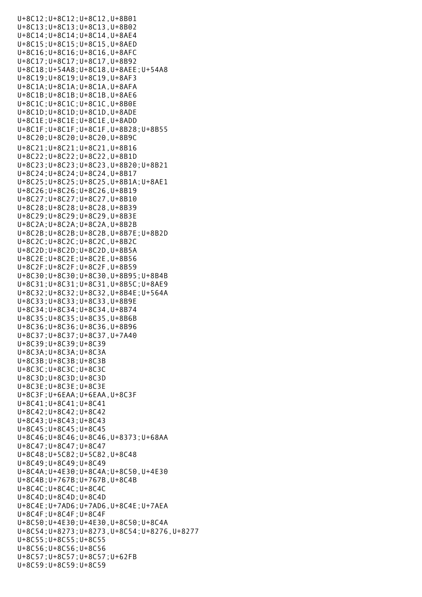$U_{\rm B}=\frac{1}{2}C_1\left(\frac{1}{2}\right)$  ,  $U_{\rm B}=\frac{1}{2}C_1\left(\frac{1}{2}\right)$  ,  $U_{\rm B}=\frac{1}{2}C_1\left(\frac{1}{2}\right)$ U+8C12;U+8C12;U+8C12,U+8B01 U+8C13;U+8C13;U+8C13,U+8B02 U+8C14;U+8C14;U+8C14,U+8AE4 U+8C15;U+8C15;U+8C15,U+8AED U+8C16;U+8C16;U+8C16,U+8AFC U+8C17;U+8C17;U+8C17,U+8B92 U+8C18;U+54A8;U+8C18,U+8AEE;U+54A8 U+8C19;U+8C19;U+8C19,U+8AF3 U+8C1A;U+8C1A;U+8C1A,U+8AFA U+8C1B;U+8C1B;U+8C1B,U+8AE6 U+8C1C;U+8C1C;U+8C1C,U+8B0E U+8C1D;U+8C1D;U+8C1D,U+8ADE U+8C1E;U+8C1E;U+8C1E,U+8ADD U+8C1F;U+8C1F;U+8C1F,U+8B28;U+8B55 U+8C20;U+8C20;U+8C20,U+8B9C U+8C21;U+8C21;U+8C21,U+8B16 U+8C22;U+8C22;U+8C22,U+8B1D U+8C23;U+8C23;U+8C23,U+8B20;U+8B21 U+8C24;U+8C24;U+8C24,U+8B17 U+8C25;U+8C25;U+8C25,U+8B1A;U+8AE1 U+8C26;U+8C26;U+8C26,U+8B19 U+8C27;U+8C27;U+8C27,U+8B10 U+8C28;U+8C28;U+8C28,U+8B39 U+8C29;U+8C29;U+8C29,U+8B3E U+8C2A;U+8C2A;U+8C2A,U+8B2B U+8C2B;U+8C2B;U+8C2B,U+8B7E;U+8B2D U+8C2C;U+8C2C;U+8C2C,U+8B2C U+8C2D;U+8C2D;U+8C2D,U+8B5A U+8C2E;U+8C2E;U+8C2E,U+8B56 U+8C2F;U+8C2F;U+8C2F,U+8B59 U+8C30;U+8C30;U+8C30,U+8B95;U+8B4B U+8C31;U+8C31;U+8C31,U+8B5C;U+8AE9 U+8C32;U+8C32;U+8C32,U+8B4E;U+564A U+8C33;U+8C33;U+8C33,U+8B9E U+8C34;U+8C34;U+8C34,U+8B74 U+8C35;U+8C35;U+8C35,U+8B6B U+8C36;U+8C36;U+8C36,U+8B96 U+8C37;U+8C37;U+8C37,U+7A40 U+8C39;U+8C39;U+8C39 U+8C3A;U+8C3A;U+8C3A U+8C3B;U+8C3B;U+8C3B U+8C3C;U+8C3C;U+8C3C U+8C3D;U+8C3D;U+8C3D U+8C3E;U+8C3E;U+8C3E U+8C3F;U+6EAA;U+6EAA,U+8C3F U+8C41;U+8C41;U+8C41 U+8C42;U+8C42;U+8C42 U+8C43;U+8C43;U+8C43 U+8C45;U+8C45;U+8C45 U+8C46;U+8C46;U+8C46,U+8373;U+68AA U+8C47;U+8C47;U+8C47 U+8C48;U+5C82;U+5C82,U+8C48 U+8C49;U+8C49;U+8C49 U+8C4A;U+4E30;U+8C4A;U+8C50,U+4E30 U+8C4B;U+767B;U+767B,U+8C4B U+8C4C;U+8C4C;U+8C4C U+8C4D;U+8C4D;U+8C4D U+8C4E;U+7AD6;U+7AD6,U+8C4E;U+7AEA U+8C4F;U+8C4F;U+8C4F U+8C50;U+4E30;U+4E30,U+8C50;U+8C4A U+8C54;U+8273;U+8273,U+8C54;U+8276,U+8277 U+8C55;U+8C55;U+8C55 U+8C56;U+8C56;U+8C56 U+8C57;U+8C57;U+8C57;U+62FB U+8C59;U+8C59;U+8C59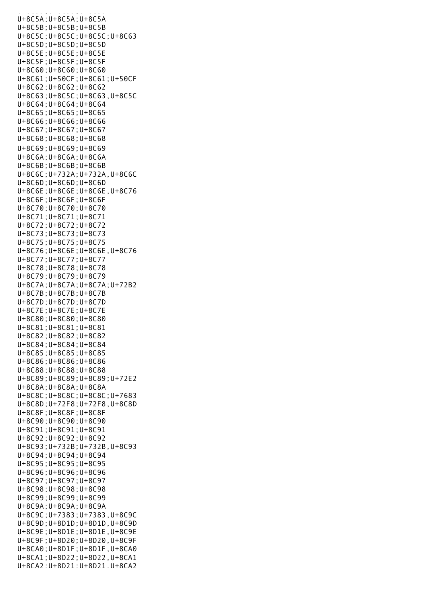u<br>Basan di aktivitas di aktivitas di aktivitas di aktivitas di aktivitas di aktivitas di aktivitas di aktivitas U+8C5A;U+8C5A;U+8C5A U+8C5B;U+8C5B;U+8C5B U+8C5C;U+8C5C;U+8C5C;U+8C63 U+8C5D;U+8C5D;U+8C5D U+8C5E;U+8C5E;U+8C5E U+8C5F;U+8C5F;U+8C5F U+8C60;U+8C60;U+8C60 U+8C61;U+50CF;U+8C61;U+50CF U+8C62;U+8C62;U+8C62 U+8C63;U+8C5C;U+8C63,U+8C5C U+8C64;U+8C64;U+8C64 U+8C65;U+8C65;U+8C65 U+8C66;U+8C66;U+8C66 U+8C67;U+8C67;U+8C67 U+8C68;U+8C68;U+8C68 U+8C69;U+8C69;U+8C69 U+8C6A;U+8C6A;U+8C6A U+8C6B;U+8C6B;U+8C6B U+8C6C;U+732A;U+732A,U+8C6C U+8C6D;U+8C6D;U+8C6D U+8C6E;U+8C6E;U+8C6E,U+8C76 U+8C6F;U+8C6F;U+8C6F U+8C70;U+8C70;U+8C70 U+8C71;U+8C71;U+8C71 U+8C72;U+8C72;U+8C72 U+8C73;U+8C73;U+8C73 U+8C75;U+8C75;U+8C75 U+8C76;U+8C6E;U+8C6E,U+8C76 U+8C77;U+8C77;U+8C77 U+8C78;U+8C78;U+8C78 U+8C79;U+8C79;U+8C79 U+8C7A;U+8C7A;U+8C7A;U+72B2 U+8C7B;U+8C7B;U+8C7B U+8C7D;U+8C7D;U+8C7D U+8C7E;U+8C7E;U+8C7E U+8C80;U+8C80;U+8C80 U+8C81;U+8C81;U+8C81 U+8C82;U+8C82;U+8C82 U+8C84;U+8C84;U+8C84 U+8C85;U+8C85;U+8C85 U+8C86;U+8C86;U+8C86 U+8C88;U+8C88;U+8C88 U+8C89;U+8C89;U+8C89;U+72E2 U+8C8A;U+8C8A;U+8C8A U+8C8C;U+8C8C;U+8C8C;U+7683 U+8C8D;U+72F8;U+72F8,U+8C8D U+8C8F;U+8C8F;U+8C8F U+8C90;U+8C90;U+8C90 U+8C91;U+8C91;U+8C91 U+8C92;U+8C92;U+8C92 U+8C93;U+732B;U+732B,U+8C93 U+8C94;U+8C94;U+8C94 U+8C95;U+8C95;U+8C95 U+8C96;U+8C96;U+8C96 U+8C97;U+8C97;U+8C97 U+8C98;U+8C98;U+8C98 U+8C99;U+8C99;U+8C99 U+8C9A;U+8C9A;U+8C9A U+8C9C;U+7383;U+7383,U+8C9C U+8C9D;U+8D1D;U+8D1D,U+8C9D U+8C9E;U+8D1E;U+8D1E,U+8C9E U+8C9F;U+8D20;U+8D20,U+8C9F U+8CA0;U+8D1F;U+8D1F,U+8CA0 U+8CA1;U+8D22;U+8D22,U+8CA1 U+8CA2;U+8D21;U+8D21,U+8CA2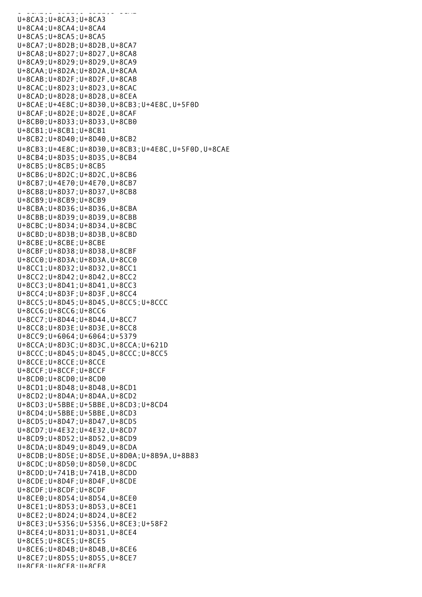$U = 0.12, U = 0.12, U = 0.12, U = 0.12, U = 0.12, U = 0.12, U = 0.12, U = 0.12, U = 0.12, U = 0.12, U = 0.12, U = 0.12, U = 0.12, U = 0.12, U = 0.12, U = 0.12, U = 0.12, U = 0.12, U = 0.12, U = 0.12, U = 0.12, U = 0.12, U = 0.12, U = 0.12, U = 0.12, U = 0.12, U = 0.12, U = 0$ U+8CA3;U+8CA3;U+8CA3 U+8CA4;U+8CA4;U+8CA4 U+8CA5;U+8CA5;U+8CA5 U+8CA7;U+8D2B;U+8D2B,U+8CA7 U+8CA8;U+8D27;U+8D27,U+8CA8 U+8CA9;U+8D29;U+8D29,U+8CA9 U+8CAA;U+8D2A;U+8D2A,U+8CAA U+8CAB;U+8D2F;U+8D2F,U+8CAB U+8CAC;U+8D23;U+8D23,U+8CAC U+8CAD;U+8D28;U+8D28,U+8CEA U+8CAE;U+4E8C;U+8D30,U+8CB3;U+4E8C,U+5F0D U+8CAF;U+8D2E;U+8D2E,U+8CAF U+8CB0;U+8D33;U+8D33,U+8CB0 U+8CB1;U+8CB1;U+8CB1 U+8CB2;U+8D40;U+8D40,U+8CB2 U+8CB3;U+4E8C;U+8D30,U+8CB3;U+4E8C,U+5F0D,U+8CAE U+8CB4;U+8D35;U+8D35,U+8CB4 U+8CB5;U+8CB5;U+8CB5 U+8CB6;U+8D2C;U+8D2C,U+8CB6 U+8CB7;U+4E70;U+4E70,U+8CB7 U+8CB8;U+8D37;U+8D37,U+8CB8 U+8CB9;U+8CB9;U+8CB9 U+8CBA;U+8D36;U+8D36,U+8CBA U+8CBB;U+8D39;U+8D39,U+8CBB U+8CBC;U+8D34;U+8D34,U+8CBC U+8CBD;U+8D3B;U+8D3B,U+8CBD U+8CBE;U+8CBE;U+8CBE U+8CBF;U+8D38;U+8D38,U+8CBF U+8CC0;U+8D3A;U+8D3A,U+8CC0 U+8CC1;U+8D32;U+8D32,U+8CC1 U+8CC2;U+8D42;U+8D42,U+8CC2 U+8CC3;U+8D41;U+8D41,U+8CC3 U+8CC4;U+8D3F;U+8D3F,U+8CC4 U+8CC5;U+8D45;U+8D45,U+8CC5;U+8CCC U+8CC6;U+8CC6;U+8CC6 U+8CC7;U+8D44;U+8D44,U+8CC7 U+8CC8;U+8D3E;U+8D3E,U+8CC8 U+8CC9;U+6064;U+6064;U+5379 U+8CCA;U+8D3C;U+8D3C,U+8CCA;U+621D U+8CCC;U+8D45;U+8D45,U+8CCC;U+8CC5 U+8CCE;U+8CCE;U+8CCE U+8CCF;U+8CCF;U+8CCF U+8CD0;U+8CD0;U+8CD0 U+8CD1;U+8D48;U+8D48,U+8CD1 U+8CD2;U+8D4A;U+8D4A,U+8CD2 U+8CD3;U+5BBE;U+5BBE,U+8CD3;U+8CD4 U+8CD4;U+5BBE;U+5BBE,U+8CD3 U+8CD5;U+8D47;U+8D47,U+8CD5 U+8CD7;U+4E32;U+4E32,U+8CD7 U+8CD9;U+8D52;U+8D52,U+8CD9 U+8CDA;U+8D49;U+8D49,U+8CDA U+8CDB;U+8D5E;U+8D5E,U+8D0A;U+8B9A,U+8B83 U+8CDC;U+8D50;U+8D50,U+8CDC U+8CDD;U+741B;U+741B,U+8CDD U+8CDE;U+8D4F;U+8D4F,U+8CDE U+8CDF;U+8CDF;U+8CDF U+8CE0;U+8D54;U+8D54,U+8CE0 U+8CE1;U+8D53;U+8D53,U+8CE1 U+8CE2;U+8D24;U+8D24,U+8CE2 U+8CE3;U+5356;U+5356,U+8CE3;U+58F2 U+8CE4;U+8D31;U+8D31,U+8CE4 U+8CE5;U+8CE5;U+8CE5 U+8CE6;U+8D4B;U+8D4B,U+8CE6 U+8CE7;U+8D55;U+8D55,U+8CE7 U+8CE8;U+8CE8;U+8CE8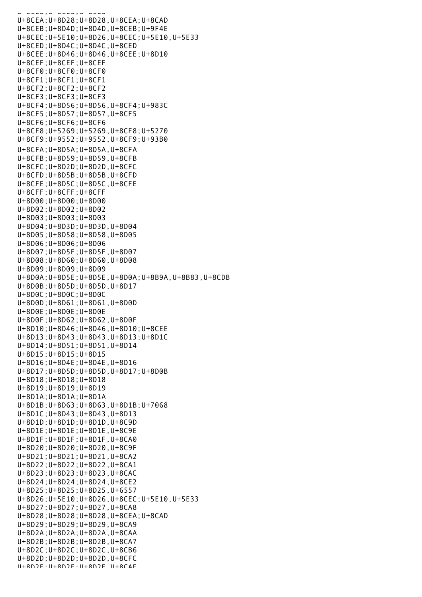U+8CE8;U+8CE8;U+8CE8 U+8CEA;U+8D28;U+8D28,U+8CEA;U+8CAD U+8CEB;U+8D4D;U+8D4D,U+8CEB;U+9F4E U+8CEC;U+5E10;U+8D26,U+8CEC;U+5E10,U+5E33 U+8CED;U+8D4C;U+8D4C,U+8CED U+8CEE;U+8D46;U+8D46,U+8CEE;U+8D10 U+8CEF;U+8CEF;U+8CEF U+8CF0;U+8CF0;U+8CF0 U+8CF1;U+8CF1;U+8CF1 U+8CF2;U+8CF2;U+8CF2 U+8CF3;U+8CF3;U+8CF3 U+8CF4;U+8D56;U+8D56,U+8CF4;U+983C U+8CF5;U+8D57;U+8D57,U+8CF5 U+8CF6;U+8CF6;U+8CF6 U+8CF8;U+5269;U+5269,U+8CF8;U+5270 U+8CF9;U+9552;U+9552,U+8CF9;U+93B0 U+8CFA;U+8D5A;U+8D5A,U+8CFA U+8CFB;U+8D59;U+8D59,U+8CFB U+8CFC;U+8D2D;U+8D2D,U+8CFC U+8CFD;U+8D5B;U+8D5B,U+8CFD U+8CFE;U+8D5C;U+8D5C,U+8CFE U+8CFF;U+8CFF;U+8CFF U+8D00;U+8D00;U+8D00 U+8D02;U+8D02;U+8D02 U+8D03;U+8D03;U+8D03 U+8D04;U+8D3D;U+8D3D,U+8D04 U+8D05;U+8D58;U+8D58,U+8D05 U+8D06;U+8D06;U+8D06 U+8D07;U+8D5F;U+8D5F,U+8D07 U+8D08;U+8D60;U+8D60,U+8D08 U+8D09;U+8D09;U+8D09 U+8D0A;U+8D5E;U+8D5E,U+8D0A;U+8B9A,U+8B83,U+8CDB U+8D0B;U+8D5D;U+8D5D,U+8D17 U+8D0C;U+8D0C;U+8D0C U+8D0D;U+8D61;U+8D61,U+8D0D U+8D0E;U+8D0E;U+8D0E U+8D0F;U+8D62;U+8D62,U+8D0F U+8D10;U+8D46;U+8D46,U+8D10;U+8CEE U+8D13;U+8D43;U+8D43,U+8D13;U+8D1C U+8D14;U+8D51;U+8D51,U+8D14 U+8D15;U+8D15;U+8D15 U+8D16;U+8D4E;U+8D4E,U+8D16 U+8D17;U+8D5D;U+8D5D,U+8D17;U+8D0B U+8D18;U+8D18;U+8D18 U+8D19;U+8D19;U+8D19 U+8D1A;U+8D1A;U+8D1A U+8D1B;U+8D63;U+8D63,U+8D1B;U+7068 U+8D1C;U+8D43;U+8D43,U+8D13 U+8D1D;U+8D1D;U+8D1D,U+8C9D U+8D1E;U+8D1E;U+8D1E,U+8C9E U+8D1F;U+8D1F;U+8D1F,U+8CA0 U+8D20;U+8D20;U+8D20,U+8C9F U+8D21;U+8D21;U+8D21,U+8CA2 U+8D22;U+8D22;U+8D22,U+8CA1 U+8D23;U+8D23;U+8D23,U+8CAC U+8D24;U+8D24;U+8D24,U+8CE2 U+8D25;U+8D25;U+8D25,U+6557 U+8D26;U+5E10;U+8D26,U+8CEC;U+5E10,U+5E33 U+8D27;U+8D27;U+8D27,U+8CA8 U+8D28;U+8D28;U+8D28,U+8CEA;U+8CAD U+8D29;U+8D29;U+8D29,U+8CA9 U+8D2A;U+8D2A;U+8D2A,U+8CAA U+8D2B;U+8D2B;U+8D2B,U+8CA7 U+8D2C;U+8D2C;U+8D2C,U+8CB6 U+8D2D;U+8D2D;U+8D2D,U+8CFC U+8D2E;U+8D2E;U+8D2E,U+8CAF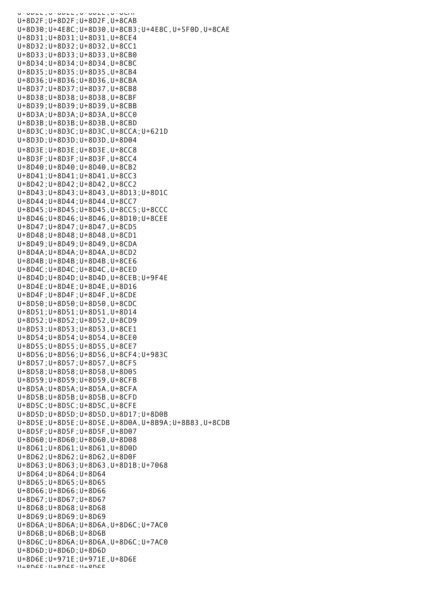U+0D2E;U+0D2E;U+0D2E;U+0CAT U+8D2F;U+8D2F;U+8D2F,U+8CAB U+8D30;U+4E8C;U+8D30,U+8CB3;U+4E8C,U+5F0D,U+8CAE U+8D31;U+8D31;U+8D31,U+8CE4 U+8D32;U+8D32;U+8D32,U+8CC1 U+8D33;U+8D33;U+8D33,U+8CB0 U+8D34;U+8D34;U+8D34,U+8CBC U+8D35;U+8D35;U+8D35,U+8CB4 U+8D36;U+8D36;U+8D36,U+8CBA U+8D37;U+8D37;U+8D37,U+8CB8 U+8D38;U+8D38;U+8D38,U+8CBF U+8D39;U+8D39;U+8D39,U+8CBB U+8D3A;U+8D3A;U+8D3A,U+8CC0 U+8D3B;U+8D3B;U+8D3B,U+8CBD U+8D3C;U+8D3C;U+8D3C,U+8CCA;U+621D U+8D3D;U+8D3D;U+8D3D,U+8D04 U+8D3E;U+8D3E;U+8D3E,U+8CC8 U+8D3F;U+8D3F;U+8D3F,U+8CC4 U+8D40;U+8D40;U+8D40,U+8CB2 U+8D41;U+8D41;U+8D41,U+8CC3 U+8D42;U+8D42;U+8D42,U+8CC2 U+8D43;U+8D43;U+8D43,U+8D13;U+8D1C U+8D44;U+8D44;U+8D44,U+8CC7 U+8D45;U+8D45;U+8D45,U+8CC5;U+8CCC U+8D46;U+8D46;U+8D46,U+8D10;U+8CEE U+8D47;U+8D47;U+8D47,U+8CD5 U+8D48;U+8D48;U+8D48,U+8CD1 U+8D49;U+8D49;U+8D49,U+8CDA U+8D4A;U+8D4A;U+8D4A,U+8CD2 U+8D4B;U+8D4B;U+8D4B,U+8CE6 U+8D4C;U+8D4C;U+8D4C,U+8CED U+8D4D;U+8D4D;U+8D4D,U+8CEB;U+9F4E U+8D4E;U+8D4E;U+8D4E,U+8D16 U+8D4F;U+8D4F;U+8D4F,U+8CDE U+8D50;U+8D50;U+8D50,U+8CDC U+8D51;U+8D51;U+8D51,U+8D14 U+8D52;U+8D52;U+8D52,U+8CD9 U+8D53;U+8D53;U+8D53,U+8CE1 U+8D54;U+8D54;U+8D54,U+8CE0 U+8D55;U+8D55;U+8D55,U+8CE7 U+8D56;U+8D56;U+8D56,U+8CF4;U+983C U+8D57;U+8D57;U+8D57,U+8CF5 U+8D58;U+8D58;U+8D58,U+8D05 U+8D59;U+8D59;U+8D59,U+8CFB U+8D5A;U+8D5A;U+8D5A,U+8CFA U+8D5B;U+8D5B;U+8D5B,U+8CFD U+8D5C;U+8D5C;U+8D5C,U+8CFE U+8D5D;U+8D5D;U+8D5D,U+8D17;U+8D0B U+8D5E;U+8D5E;U+8D5E,U+8D0A,U+8B9A;U+8B83,U+8CDB U+8D5F;U+8D5F;U+8D5F,U+8D07 U+8D60;U+8D60;U+8D60,U+8D08 U+8D61;U+8D61;U+8D61,U+8D0D U+8D62;U+8D62;U+8D62,U+8D0F U+8D63;U+8D63;U+8D63,U+8D1B;U+7068 U+8D64;U+8D64;U+8D64 U+8D65;U+8D65;U+8D65 U+8D66;U+8D66;U+8D66 U+8D67;U+8D67;U+8D67 U+8D68;U+8D68;U+8D68 U+8D69;U+8D69;U+8D69 U+8D6A;U+8D6A;U+8D6A,U+8D6C;U+7AC0 U+8D6B;U+8D6B;U+8D6B U+8D6C;U+8D6A;U+8D6A,U+8D6C;U+7AC0 U+8D6D;U+8D6D;U+8D6D U+8D6E;U+971E;U+971E,U+8D6E U+8D6F;U+8D6F;U+8D6F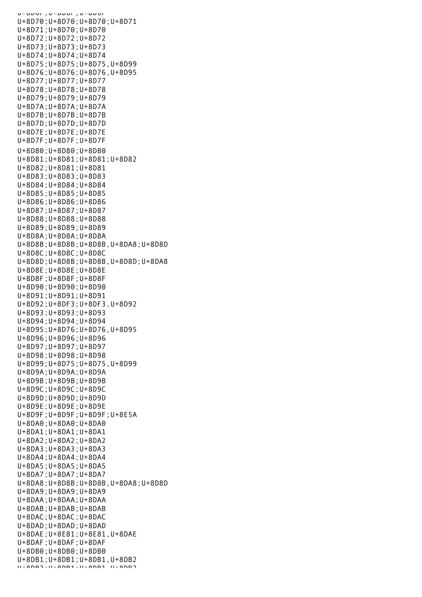U+0DUF,U+0DUF,U+0DUF U+8D70;U+8D70;U+8D70;U+8D71 U+8D71;U+8D70;U+8D70 U+8D72;U+8D72;U+8D72 U+8D73;U+8D73;U+8D73 U+8D74;U+8D74;U+8D74 U+8D75;U+8D75;U+8D75,U+8D99 U+8D76;U+8D76;U+8D76,U+8D95 U+8D77;U+8D77;U+8D77 U+8D78;U+8D78;U+8D78 U+8D79;U+8D79;U+8D79 U+8D7A;U+8D7A;U+8D7A U+8D7B;U+8D7B;U+8D7B U+8D7D;U+8D7D;U+8D7D U+8D7E;U+8D7E;U+8D7E U+8D7F;U+8D7F;U+8D7F U+8D80;U+8D80;U+8D80 U+8D81;U+8D81;U+8D81;U+8D82 U+8D82;U+8D81;U+8D81 U+8D83;U+8D83;U+8D83 U+8D84;U+8D84;U+8D84 U+8D85;U+8D85;U+8D85 U+8D86;U+8D86;U+8D86 U+8D87;U+8D87;U+8D87 U+8D88;U+8D88;U+8D88 U+8D89;U+8D89;U+8D89 U+8D8A;U+8D8A;U+8D8A U+8D8B;U+8D8B;U+8D8B,U+8DA8;U+8D8D U+8D8C;U+8D8C;U+8D8C U+8D8D;U+8D8B;U+8D8B,U+8D8D;U+8DA8 U+8D8E;U+8D8E;U+8D8E U+8D8F;U+8D8F;U+8D8F U+8D90;U+8D90;U+8D90 U+8D91;U+8D91;U+8D91 U+8D92;U+8DF3;U+8DF3,U+8D92 U+8D93;U+8D93;U+8D93 U+8D94;U+8D94;U+8D94 U+8D95;U+8D76;U+8D76,U+8D95 U+8D96;U+8D96;U+8D96 U+8D97;U+8D97;U+8D97 U+8D98;U+8D98;U+8D98 U+8D99;U+8D75;U+8D75,U+8D99 U+8D9A;U+8D9A;U+8D9A U+8D9B;U+8D9B;U+8D9B U+8D9C;U+8D9C;U+8D9C U+8D9D;U+8D9D;U+8D9D U+8D9E;U+8D9E;U+8D9E U+8D9F;U+8D9F;U+8D9F;U+8E5A U+8DA0;U+8DA0;U+8DA0 U+8DA1;U+8DA1;U+8DA1 U+8DA2;U+8DA2;U+8DA2 U+8DA3;U+8DA3;U+8DA3 U+8DA4;U+8DA4;U+8DA4 U+8DA5;U+8DA5;U+8DA5 U+8DA7;U+8DA7;U+8DA7 U+8DA8;U+8D8B;U+8D8B,U+8DA8;U+8D8D U+8DA9;U+8DA9;U+8DA9 U+8DAA;U+8DAA;U+8DAA U+8DAB;U+8DAB;U+8DAB U+8DAC;U+8DAC;U+8DAC U+8DAD;U+8DAD;U+8DAD U+8DAE;U+8E81;U+8E81,U+8DAE U+8DAF;U+8DAF;U+8DAF U+8DB0;U+8DB0;U+8DB0 U+8DB1;U+8DB1;U+8DB1,U+8DB2 U+8DB2;U+8DB1;U+8DB1,U+8DB2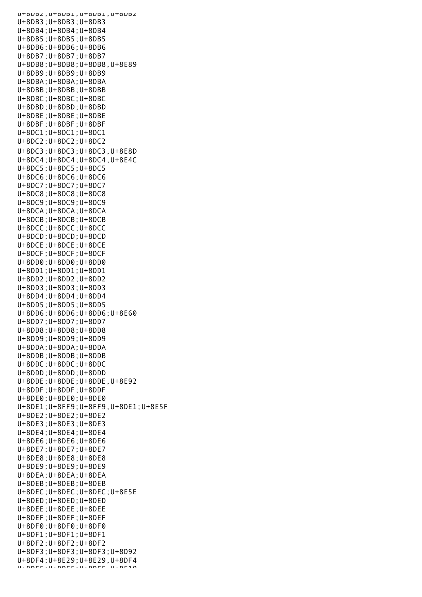UTOUDZ, UTOUDI, UTOUDI, UTOUDZ U+8DB3;U+8DB3;U+8DB3 U+8DB4;U+8DB4;U+8DB4 U+8DB5;U+8DB5;U+8DB5 U+8DB6;U+8DB6;U+8DB6 U+8DB7;U+8DB7;U+8DB7 U+8DB8;U+8DB8;U+8DB8,U+8E89 U+8DB9;U+8DB9;U+8DB9 U+8DBA;U+8DBA;U+8DBA U+8DBB;U+8DBB;U+8DBB U+8DBC;U+8DBC;U+8DBC U+8DBD;U+8DBD;U+8DBD U+8DBE;U+8DBE;U+8DBE U+8DBF;U+8DBF;U+8DBF U+8DC1;U+8DC1;U+8DC1 U+8DC2;U+8DC2;U+8DC2 U+8DC3;U+8DC3;U+8DC3,U+8E8D U+8DC4;U+8DC4;U+8DC4,U+8E4C U+8DC5;U+8DC5;U+8DC5 U+8DC6;U+8DC6;U+8DC6 U+8DC7;U+8DC7;U+8DC7 U+8DC8;U+8DC8;U+8DC8 U+8DC9;U+8DC9;U+8DC9 U+8DCA;U+8DCA;U+8DCA U+8DCB;U+8DCB;U+8DCB U+8DCC;U+8DCC;U+8DCC U+8DCD;U+8DCD;U+8DCD U+8DCE;U+8DCE;U+8DCE U+8DCF;U+8DCF;U+8DCF U+8DD0;U+8DD0;U+8DD0 U+8DD1;U+8DD1;U+8DD1 U+8DD2;U+8DD2;U+8DD2 U+8DD3;U+8DD3;U+8DD3 U+8DD4;U+8DD4;U+8DD4 U+8DD5;U+8DD5;U+8DD5 U+8DD6;U+8DD6;U+8DD6;U+8E60 U+8DD7;U+8DD7;U+8DD7 U+8DD8;U+8DD8;U+8DD8 U+8DD9;U+8DD9;U+8DD9 U+8DDA;U+8DDA;U+8DDA U+8DDB;U+8DDB;U+8DDB U+8DDC;U+8DDC;U+8DDC U+8DDD;U+8DDD;U+8DDD U+8DDE;U+8DDE;U+8DDE,U+8E92 U+8DDF;U+8DDF;U+8DDF U+8DE0;U+8DE0;U+8DE0 U+8DE1;U+8FF9;U+8FF9,U+8DE1;U+8E5F U+8DE2;U+8DE2;U+8DE2 U+8DE3;U+8DE3;U+8DE3 U+8DE4;U+8DE4;U+8DE4 U+8DE6;U+8DE6;U+8DE6 U+8DE7;U+8DE7;U+8DE7 U+8DE8;U+8DE8;U+8DE8 U+8DE9;U+8DE9;U+8DE9 U+8DEA;U+8DEA;U+8DEA U+8DEB;U+8DEB;U+8DEB U+8DEC;U+8DEC;U+8DEC;U+8E5E U+8DED;U+8DED;U+8DED U+8DEE;U+8DEE;U+8DEE U+8DEF;U+8DEF;U+8DEF U+8DF0;U+8DF0;U+8DF0 U+8DF1;U+8DF1;U+8DF1 U+8DF2;U+8DF2;U+8DF2 U+8DF3;U+8DF3;U+8DF3;U+8D92 U+8DF4;U+8E29;U+8E29,U+8DF4 U+8DF5;U+8DF5;U+8DF5,U+8E10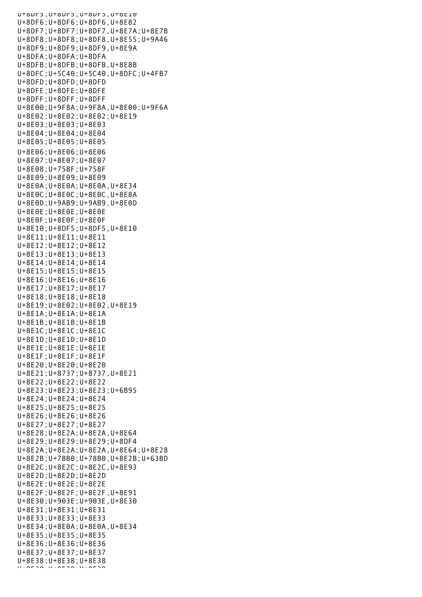U+8DF5;U+8DF5;U+8DF5,U+8E10 U+8DF6;U+8DF6;U+8DF6,U+8E82 U+8DF7;U+8DF7;U+8DF7,U+8E7A;U+8E7B U+8DF8;U+8DF8;U+8DF8,U+8E55;U+9A46 U+8DF9;U+8DF9;U+8DF9,U+8E9A U+8DFA;U+8DFA;U+8DFA U+8DFB;U+8DFB;U+8DFB,U+8E8B U+8DFC;U+5C40;U+5C40,U+8DFC;U+4FB7 U+8DFD;U+8DFD;U+8DFD U+8DFE;U+8DFE;U+8DFE U+8DFF;U+8DFF;U+8DFF U+8E00;U+9F8A;U+9F8A,U+8E00;U+9F6A U+8E02;U+8E02;U+8E02;U+8E19 U+8E03;U+8E03;U+8E03 U+8E04;U+8E04;U+8E04 U+8E05;U+8E05;U+8E05 U+8E06;U+8E06;U+8E06 U+8E07;U+8E07;U+8E07 U+8E08;U+758F;U+758F U+8E09;U+8E09;U+8E09 U+8E0A;U+8E0A;U+8E0A,U+8E34 U+8E0C;U+8E0C;U+8E0C,U+8E8A U+8E0D;U+9AB9;U+9AB9,U+8E0D U+8E0E;U+8E0E;U+8E0E U+8E0F;U+8E0F;U+8E0F U+8E10;U+8DF5;U+8DF5,U+8E10 U+8E11;U+8E11;U+8E11 U+8E12;U+8E12;U+8E12 U+8E13;U+8E13;U+8E13 U+8E14;U+8E14;U+8E14 U+8E15;U+8E15;U+8E15 U+8E16;U+8E16;U+8E16 U+8E17;U+8E17;U+8E17 U+8E18;U+8E18;U+8E18 U+8E19;U+8E02;U+8E02,U+8E19 U+8E1A;U+8E1A;U+8E1A U+8E1B;U+8E1B;U+8E1B U+8E1C;U+8E1C;U+8E1C U+8E1D;U+8E1D;U+8E1D U+8E1E;U+8E1E;U+8E1E U+8E1F;U+8E1F;U+8E1F U+8E20;U+8E20;U+8E20 U+8E21;U+8737;U+8737,U+8E21 U+8E22;U+8E22;U+8E22 U+8E23;U+8E23;U+8E23;U+6B95 U+8E24;U+8E24;U+8E24 U+8E25;U+8E25;U+8E25 U+8E26;U+8E26;U+8E26 U+8E27;U+8E27;U+8E27 U+8E28;U+8E2A;U+8E2A,U+8E64 U+8E29;U+8E29;U+8E29;U+8DF4 U+8E2A;U+8E2A;U+8E2A,U+8E64;U+8E28 U+8E2B;U+78B0;U+78B0,U+8E2B;U+63BD U+8E2C;U+8E2C;U+8E2C,U+8E93 U+8E2D;U+8E2D;U+8E2D U+8E2E;U+8E2E;U+8E2E U+8E2F;U+8E2F;U+8E2F,U+8E91 U+8E30;U+903E;U+903E,U+8E30 U+8E31;U+8E31;U+8E31 U+8E33;U+8E33;U+8E33 U+8E34;U+8E0A;U+8E0A,U+8E34 U+8E35;U+8E35;U+8E35 U+8E36;U+8E36;U+8E36 U+8E37;U+8E37;U+8E37 U+8E38;U+8E38;U+8E38 U+8E39;U+8E39;U+8E39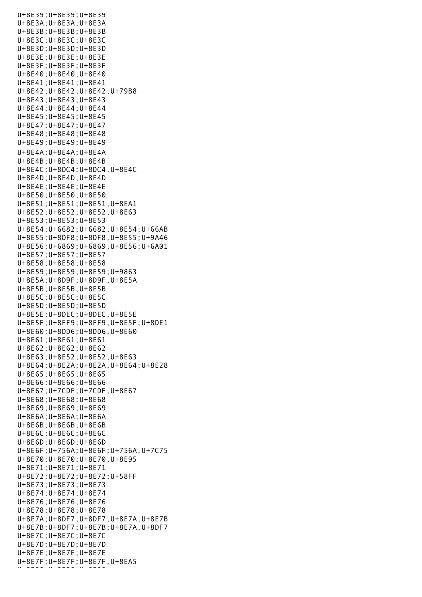U+8E39;U+8E39;U+8E39 U+8E3A;U+8E3A;U+8E3A U+8E3B;U+8E3B;U+8E3B U+8E3C;U+8E3C;U+8E3C U+8E3D;U+8E3D;U+8E3D U+8E3E;U+8E3E;U+8E3E U+8E3F;U+8E3F;U+8E3F U+8E40;U+8E40;U+8E40 U+8E41;U+8E41;U+8E41 U+8E42;U+8E42;U+8E42;U+79B8 U+8E43;U+8E43;U+8E43 U+8E44;U+8E44;U+8E44 U+8E45;U+8E45;U+8E45 U+8E47;U+8E47;U+8E47 U+8E48;U+8E48;U+8E48 U+8E49;U+8E49;U+8E49 U+8E4A;U+8E4A;U+8E4A U+8E4B;U+8E4B;U+8E4B U+8E4C;U+8DC4;U+8DC4,U+8E4C U+8E4D;U+8E4D;U+8E4D U+8E4E;U+8E4E;U+8E4E U+8E50;U+8E50;U+8E50 U+8E51;U+8E51;U+8E51,U+8EA1 U+8E52;U+8E52;U+8E52,U+8E63 U+8E53;U+8E53;U+8E53 U+8E54;U+6682;U+6682,U+8E54;U+66AB U+8E55;U+8DF8;U+8DF8,U+8E55;U+9A46 U+8E56;U+6869;U+6869,U+8E56;U+6A01 U+8E57;U+8E57;U+8E57 U+8E58;U+8E58;U+8E58 U+8E59;U+8E59;U+8E59;U+9863 U+8E5A;U+8D9F;U+8D9F,U+8E5A U+8E5B;U+8E5B;U+8E5B U+8E5C;U+8E5C;U+8E5C U+8E5D;U+8E5D;U+8E5D U+8E5E;U+8DEC;U+8DEC,U+8E5E U+8E5F;U+8FF9;U+8FF9,U+8E5F;U+8DE1 U+8E60;U+8DD6;U+8DD6,U+8E60 U+8E61;U+8E61;U+8E61 U+8E62;U+8E62;U+8E62 U+8E63;U+8E52;U+8E52,U+8E63 U+8E64;U+8E2A;U+8E2A,U+8E64;U+8E28 U+8E65;U+8E65;U+8E65 U+8E66;U+8E66;U+8E66 U+8E67;U+7CDF;U+7CDF,U+8E67 U+8E68;U+8E68;U+8E68 U+8E69;U+8E69;U+8E69 U+8E6A;U+8E6A;U+8E6A U+8E6B;U+8E6B;U+8E6B U+8E6C;U+8E6C;U+8E6C U+8E6D;U+8E6D;U+8E6D U+8E6F;U+756A;U+8E6F;U+756A,U+7C75 U+8E70;U+8E70;U+8E70,U+8E95 U+8E71;U+8E71;U+8E71 U+8E72;U+8E72;U+8E72;U+58FF U+8E73;U+8E73;U+8E73 U+8E74;U+8E74;U+8E74 U+8E76;U+8E76;U+8E76 U+8E78;U+8E78;U+8E78 U+8E7A;U+8DF7;U+8DF7,U+8E7A;U+8E7B U+8E7B;U+8DF7;U+8E7B;U+8E7A,U+8DF7 U+8E7C;U+8E7C;U+8E7C U+8E7D;U+8E7D;U+8E7D U+8E7E;U+8E7E;U+8E7E U+8E7F;U+8E7F;U+8E7F,U+8EA5 U+8E88 U+8E80;U+8E80;<br>U+8E80;U+8E80;U+8E80;U+8E80;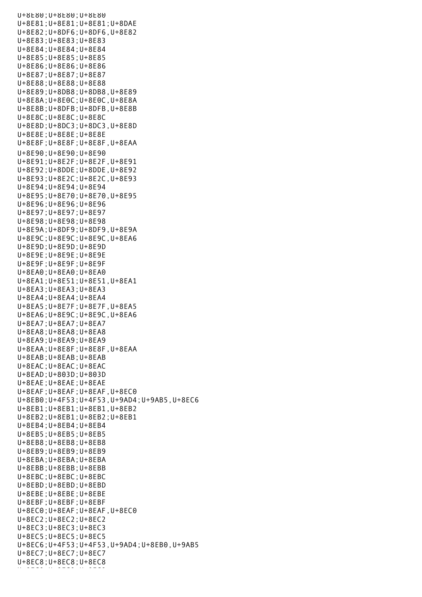U+8E80;U+8E80;U+8E80 U+8E81;U+8E81;U+8E81;U+8DAE U+8E82;U+8DF6;U+8DF6,U+8E82 U+8E83;U+8E83;U+8E83 U+8E84;U+8E84;U+8E84 U+8E85;U+8E85;U+8E85 U+8E86;U+8E86;U+8E86 U+8E87;U+8E87;U+8E87 U+8E88;U+8E88;U+8E88 U+8E89;U+8DB8;U+8DB8,U+8E89 U+8E8A;U+8E0C;U+8E0C,U+8E8A U+8E8B;U+8DFB;U+8DFB,U+8E8B U+8E8C;U+8E8C;U+8E8C U+8E8D;U+8DC3;U+8DC3,U+8E8D U+8E8E;U+8E8E;U+8E8E U+8E8F;U+8E8F;U+8E8F,U+8EAA U+8E90;U+8E90;U+8E90 U+8E91;U+8E2F;U+8E2F,U+8E91 U+8E92;U+8DDE;U+8DDE,U+8E92 U+8E93;U+8E2C;U+8E2C,U+8E93 U+8E94;U+8E94;U+8E94 U+8E95;U+8E70;U+8E70,U+8E95 U+8E96;U+8E96;U+8E96 U+8E97;U+8E97;U+8E97 U+8E98;U+8E98;U+8E98 U+8E9A;U+8DF9;U+8DF9,U+8E9A U+8E9C;U+8E9C;U+8E9C,U+8EA6 U+8E9D;U+8E9D;U+8E9D U+8E9E;U+8E9E;U+8E9E U+8E9F;U+8E9F;U+8E9F U+8EA0;U+8EA0;U+8EA0 U+8EA1;U+8E51;U+8E51,U+8EA1 U+8EA3;U+8EA3;U+8EA3 U+8EA4;U+8EA4;U+8EA4 U+8EA5;U+8E7F;U+8E7F,U+8EA5 U+8EA6;U+8E9C;U+8E9C,U+8EA6 U+8EA7;U+8EA7;U+8EA7 U+8EA8;U+8EA8;U+8EA8 U+8EA9;U+8EA9;U+8EA9 U+8EAA;U+8E8F;U+8E8F,U+8EAA U+8EAB;U+8EAB;U+8EAB U+8EAC;U+8EAC;U+8EAC U+8EAD;U+803D;U+803D U+8EAE;U+8EAE;U+8EAE U+8EAF;U+8EAF;U+8EAF,U+8EC0 U+8EB0;U+4F53;U+4F53,U+9AD4;U+9AB5,U+8EC6 U+8EB1;U+8EB1;U+8EB1,U+8EB2 U+8EB2;U+8EB1;U+8EB2;U+8EB1 U+8EB4;U+8EB4;U+8EB4 U+8EB5;U+8EB5;U+8EB5 U+8EB8;U+8EB8;U+8EB8 U+8EB9;U+8EB9;U+8EB9 U+8EBA;U+8EBA;U+8EBA U+8EBB;U+8EBB;U+8EBB U+8EBC;U+8EBC;U+8EBC U+8EBD;U+8EBD;U+8EBD U+8EBE;U+8EBE;U+8EBE U+8EBF;U+8EBF;U+8EBF U+8EC0;U+8EAF;U+8EAF,U+8EC0 U+8EC2;U+8EC2;U+8EC2 U+8EC3;U+8EC3;U+8EC3 U+8EC5;U+8EC5;U+8EC5 U+8EC6;U+4F53;U+4F53,U+9AD4;U+8EB0,U+9AB5 U+8EC7;U+8EC7;U+8EC7 U+8EC8;U+8EC8;U+8EC8 u+aec9;u+aec9;u+8Ec9;u+8Ec9;<br>U+8Ec9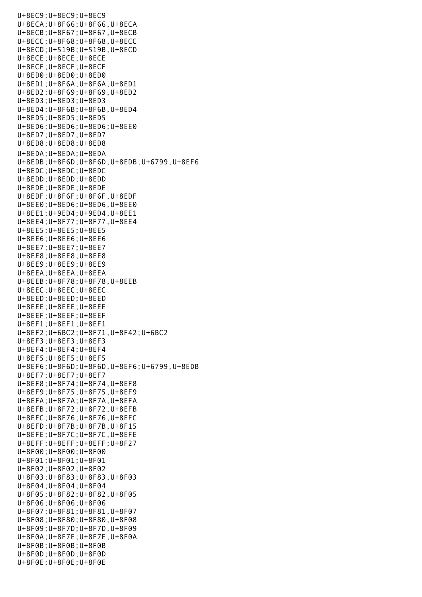U+8EC9;U+8EC9;U+8EC9 U+8ECA;U+8F66;U+8F66,U+8ECA U+8ECB;U+8F67;U+8F67,U+8ECB U+8ECC;U+8F68;U+8F68,U+8ECC U+8ECD;U+519B;U+519B,U+8ECD U+8ECE;U+8ECE;U+8ECE U+8ECF;U+8ECF;U+8ECF U+8ED0;U+8ED0;U+8ED0 U+8ED1;U+8F6A;U+8F6A,U+8ED1 U+8ED2;U+8F69;U+8F69,U+8ED2 U+8ED3;U+8ED3;U+8ED3 U+8ED4;U+8F6B;U+8F6B,U+8ED4 U+8ED5;U+8ED5;U+8ED5 U+8ED6;U+8ED6;U+8ED6;U+8EE0 U+8ED7;U+8ED7;U+8ED7 U+8ED8;U+8ED8;U+8ED8 U+8EDA;U+8EDA;U+8EDA U+8EDB;U+8F6D;U+8F6D,U+8EDB;U+6799,U+8EF6 U+8EDC;U+8EDC;U+8EDC U+8EDD;U+8EDD;U+8EDD U+8EDE;U+8EDE;U+8EDE U+8EDF;U+8F6F;U+8F6F,U+8EDF U+8EE0;U+8ED6;U+8ED6,U+8EE0 U+8EE1;U+9ED4;U+9ED4,U+8EE1 U+8EE4;U+8F77;U+8F77,U+8EE4 U+8EE5;U+8EE5;U+8EE5 U+8EE6;U+8EE6;U+8EE6 U+8EE7;U+8EE7;U+8EE7 U+8EE8;U+8EE8;U+8EE8 U+8EE9;U+8EE9;U+8EE9 U+8EEA;U+8EEA;U+8EEA U+8EEB;U+8F78;U+8F78,U+8EEB U+8EEC;U+8EEC;U+8EEC U+8EED;U+8EED;U+8EED U+8EEE;U+8EEE;U+8EEE U+8EEF;U+8EEF;U+8EEF U+8EF1;U+8EF1;U+8EF1 U+8EF2;U+6BC2;U+8F71,U+8F42;U+6BC2 U+8EF3;U+8EF3;U+8EF3 U+8EF4;U+8EF4;U+8EF4 U+8EF5;U+8EF5;U+8EF5 U+8EF6;U+8F6D;U+8F6D,U+8EF6;U+6799,U+8EDB U+8EF7;U+8EF7;U+8EF7 U+8EF8;U+8F74;U+8F74,U+8EF8 U+8EF9;U+8F75;U+8F75,U+8EF9 U+8EFA;U+8F7A;U+8F7A,U+8EFA U+8EFB;U+8F72;U+8F72,U+8EFB U+8EFC;U+8F76;U+8F76,U+8EFC U+8EFD;U+8F7B;U+8F7B,U+8F15 U+8EFE;U+8F7C;U+8F7C,U+8EFE U+8EFF;U+8EFF;U+8EFF;U+8F27 U+8F00;U+8F00;U+8F00 U+8F01;U+8F01;U+8F01 U+8F02;U+8F02;U+8F02 U+8F03;U+8F83;U+8F83,U+8F03 U+8F04;U+8F04;U+8F04 U+8F05;U+8F82;U+8F82,U+8F05 U+8F06;U+8F06;U+8F06 U+8F07;U+8F81;U+8F81,U+8F07 U+8F08;U+8F80;U+8F80,U+8F08 U+8F09;U+8F7D;U+8F7D,U+8F09 U+8F0A;U+8F7E;U+8F7E,U+8F0A U+8F0B;U+8F0B;U+8F0B U+8F0D;U+8F0D;U+8F0D U+8F0E;U+8F0E;U+8F0E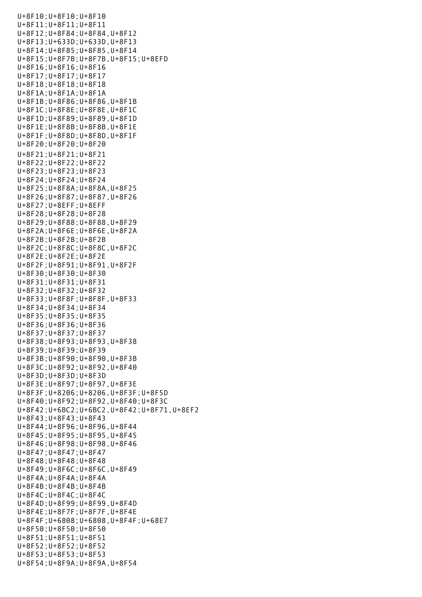U+8F10;U+8F10;U+8F10 U+8F11;U+8F11;U+8F11 U+8F12;U+8F84;U+8F84,U+8F12 U+8F13;U+633D;U+633D,U+8F13 U+8F14;U+8F85;U+8F85,U+8F14 U+8F15;U+8F7B;U+8F7B,U+8F15;U+8EFD U+8F16;U+8F16;U+8F16 U+8F17;U+8F17;U+8F17 U+8F18;U+8F18;U+8F18 U+8F1A;U+8F1A;U+8F1A U+8F1B;U+8F86;U+8F86,U+8F1B U+8F1C;U+8F8E;U+8F8E,U+8F1C U+8F1D;U+8F89;U+8F89,U+8F1D U+8F1E;U+8F8B;U+8F8B,U+8F1E U+8F1F;U+8F8D;U+8F8D,U+8F1F U+8F20;U+8F20;U+8F20 U+8F21;U+8F21;U+8F21 U+8F22;U+8F22;U+8F22 U+8F23;U+8F23;U+8F23 U+8F24;U+8F24;U+8F24 U+8F25;U+8F8A;U+8F8A,U+8F25 U+8F26;U+8F87;U+8F87,U+8F26 U+8F27;U+8EFF;U+8EFF U+8F28;U+8F28;U+8F28 U+8F29;U+8F88;U+8F88,U+8F29 U+8F2A;U+8F6E;U+8F6E,U+8F2A U+8F2B;U+8F2B;U+8F2B U+8F2C;U+8F8C;U+8F8C,U+8F2C U+8F2E;U+8F2E;U+8F2E U+8F2F;U+8F91;U+8F91,U+8F2F U+8F30;U+8F30;U+8F30 U+8F31;U+8F31;U+8F31 U+8F32;U+8F32;U+8F32 U+8F33;U+8F8F;U+8F8F,U+8F33 U+8F34;U+8F34;U+8F34 U+8F35;U+8F35;U+8F35 U+8F36;U+8F36;U+8F36 U+8F37;U+8F37;U+8F37 U+8F38;U+8F93;U+8F93,U+8F38 U+8F39;U+8F39;U+8F39 U+8F3B;U+8F90;U+8F90,U+8F3B U+8F3C;U+8F92;U+8F92,U+8F40 U+8F3D;U+8F3D;U+8F3D U+8F3E;U+8F97;U+8F97,U+8F3E U+8F3F;U+8206;U+8206,U+8F3F;U+8F5D U+8F40;U+8F92;U+8F92,U+8F40;U+8F3C U+8F42;U+6BC2;U+6BC2,U+8F42;U+8F71,U+8EF2 U+8F43;U+8F43;U+8F43 U+8F44;U+8F96;U+8F96,U+8F44 U+8F45;U+8F95;U+8F95,U+8F45 U+8F46;U+8F98;U+8F98,U+8F46 U+8F47;U+8F47;U+8F47 U+8F48;U+8F48;U+8F48 U+8F49;U+8F6C;U+8F6C,U+8F49 U+8F4A;U+8F4A;U+8F4A U+8F4B;U+8F4B;U+8F4B U+8F4C;U+8F4C;U+8F4C U+8F4D;U+8F99;U+8F99,U+8F4D U+8F4E;U+8F7F;U+8F7F,U+8F4E U+8F4F;U+6808;U+6808,U+8F4F;U+68E7 U+8F50;U+8F50;U+8F50 U+8F51;U+8F51;U+8F51 U+8F52;U+8F52;U+8F52 U+8F53;U+8F53;U+8F53 U+8F54;U+8F9A;U+8F9A,U+8F54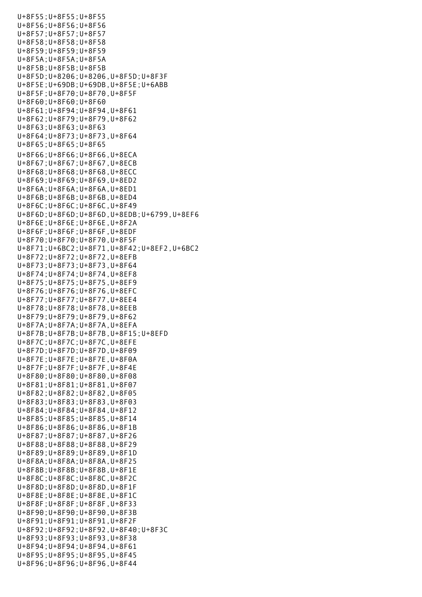U+8F55;U+8F55;U+8F55 U+8F56;U+8F56;U+8F56 U+8F57;U+8F57;U+8F57 U+8F58;U+8F58;U+8F58 U+8F59;U+8F59;U+8F59 U+8F5A;U+8F5A;U+8F5A U+8F5B;U+8F5B;U+8F5B U+8F5D;U+8206;U+8206,U+8F5D;U+8F3F U+8F5E;U+69DB;U+69DB,U+8F5E;U+6ABB U+8F5F;U+8F70;U+8F70,U+8F5F U+8F60;U+8F60;U+8F60 U+8F61;U+8F94;U+8F94,U+8F61 U+8F62;U+8F79;U+8F79,U+8F62 U+8F63;U+8F63;U+8F63 U+8F64;U+8F73;U+8F73,U+8F64 U+8F65;U+8F65;U+8F65 U+8F66;U+8F66;U+8F66,U+8ECA U+8F67;U+8F67;U+8F67,U+8ECB U+8F68;U+8F68;U+8F68,U+8ECC U+8F69;U+8F69;U+8F69,U+8ED2 U+8F6A;U+8F6A;U+8F6A,U+8ED1 U+8F6B;U+8F6B;U+8F6B,U+8ED4 U+8F6C;U+8F6C;U+8F6C,U+8F49 U+8F6D;U+8F6D;U+8F6D,U+8EDB;U+6799,U+8EF6 U+8F6E;U+8F6E;U+8F6E,U+8F2A U+8F6F;U+8F6F;U+8F6F,U+8EDF U+8F70;U+8F70;U+8F70,U+8F5F U+8F71;U+6BC2;U+8F71,U+8F42;U+8EF2,U+6BC2 U+8F72;U+8F72;U+8F72,U+8EFB U+8F73;U+8F73;U+8F73,U+8F64 U+8F74;U+8F74;U+8F74,U+8EF8 U+8F75;U+8F75;U+8F75,U+8EF9 U+8F76;U+8F76;U+8F76,U+8EFC U+8F77;U+8F77;U+8F77,U+8EE4 U+8F78;U+8F78;U+8F78,U+8EEB U+8F79;U+8F79;U+8F79,U+8F62 U+8F7A;U+8F7A;U+8F7A,U+8EFA U+8F7B;U+8F7B;U+8F7B,U+8F15;U+8EFD U+8F7C;U+8F7C;U+8F7C,U+8EFE U+8F7D;U+8F7D;U+8F7D,U+8F09 U+8F7E;U+8F7E;U+8F7E,U+8F0A U+8F7F;U+8F7F;U+8F7F,U+8F4E U+8F80;U+8F80;U+8F80,U+8F08 U+8F81;U+8F81;U+8F81,U+8F07 U+8F82;U+8F82;U+8F82,U+8F05 U+8F83;U+8F83;U+8F83,U+8F03 U+8F84;U+8F84;U+8F84,U+8F12 U+8F85;U+8F85;U+8F85,U+8F14 U+8F86;U+8F86;U+8F86,U+8F1B U+8F87;U+8F87;U+8F87,U+8F26 U+8F88;U+8F88;U+8F88,U+8F29 U+8F89;U+8F89;U+8F89,U+8F1D U+8F8A;U+8F8A;U+8F8A,U+8F25 U+8F8B;U+8F8B;U+8F8B,U+8F1E U+8F8C;U+8F8C;U+8F8C,U+8F2C U+8F8D;U+8F8D;U+8F8D,U+8F1F U+8F8E;U+8F8E;U+8F8E,U+8F1C U+8F8F;U+8F8F;U+8F8F,U+8F33 U+8F90;U+8F90;U+8F90,U+8F3B U+8F91;U+8F91;U+8F91,U+8F2F U+8F92;U+8F92;U+8F92,U+8F40;U+8F3C U+8F93;U+8F93;U+8F93,U+8F38 U+8F94;U+8F94;U+8F94,U+8F61 U+8F95;U+8F95;U+8F95,U+8F45 U+8F96;U+8F96;U+8F96,U+8F44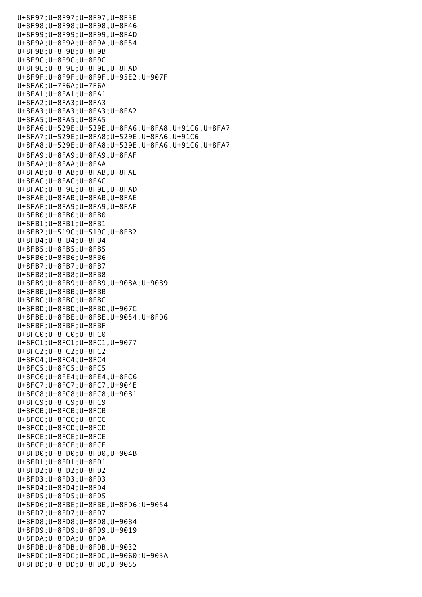U+8F97;U+8F97;U+8F97,U+8F3E U+8F98;U+8F98;U+8F98,U+8F46 U+8F99;U+8F99;U+8F99,U+8F4D U+8F9A;U+8F9A;U+8F9A,U+8F54 U+8F9B;U+8F9B;U+8F9B U+8F9C;U+8F9C;U+8F9C U+8F9E;U+8F9E;U+8F9E,U+8FAD U+8F9F;U+8F9F;U+8F9F,U+95E2;U+907F U+8FA0;U+7F6A;U+7F6A U+8FA1;U+8FA1;U+8FA1 U+8FA2;U+8FA3;U+8FA3 U+8FA3;U+8FA3;U+8FA3;U+8FA2 U+8FA5;U+8FA5;U+8FA5 U+8FA6;U+529E;U+529E,U+8FA6;U+8FA8,U+91C6,U+8FA7 U+8FA7;U+529E;U+8FA8;U+529E,U+8FA6,U+91C6 U+8FA8;U+529E;U+8FA8;U+529E,U+8FA6,U+91C6,U+8FA7 U+8FA9;U+8FA9;U+8FA9,U+8FAF U+8FAA;U+8FAA;U+8FAA U+8FAB;U+8FAB;U+8FAB,U+8FAE U+8FAC;U+8FAC;U+8FAC U+8FAD;U+8F9E;U+8F9E,U+8FAD U+8FAE;U+8FAB;U+8FAB,U+8FAE U+8FAF;U+8FA9;U+8FA9,U+8FAF  $U+8FB0:U+8FB0:U+8FB0$ U+8FB1;U+8FB1;U+8FB1 U+8FB2;U+519C;U+519C,U+8FB2 U+8FB4;U+8FB4;U+8FB4 U+8FB5;U+8FB5;U+8FB5 U+8FB6;U+8FB6;U+8FB6 U+8FB7;U+8FB7;U+8FB7 U+8FB8;U+8FB8;U+8FB8 U+8FB9;U+8FB9;U+8FB9,U+908A;U+9089 U+8FBB;U+8FBB;U+8FBB U+8FBC;U+8FBC;U+8FBC U+8FBD;U+8FBD;U+8FBD,U+907C U+8FBE;U+8FBE;U+8FBE,U+9054;U+8FD6 U+8FBF;U+8FBF;U+8FBF U+8FC0;U+8FC0;U+8FC0 U+8FC1;U+8FC1;U+8FC1,U+9077 U+8FC2;U+8FC2;U+8FC2 U+8FC4;U+8FC4;U+8FC4 U+8FC5;U+8FC5;U+8FC5 U+8FC6;U+8FE4;U+8FE4,U+8FC6 U+8FC7;U+8FC7;U+8FC7,U+904E U+8FC8;U+8FC8;U+8FC8,U+9081 U+8FC9;U+8FC9;U+8FC9 U+8FCB;U+8FCB;U+8FCB U+8FCC;U+8FCC;U+8FCC U+8FCD;U+8FCD;U+8FCD U+8FCE;U+8FCE;U+8FCE U+8FCF;U+8FCF;U+8FCF U+8FD0;U+8FD0;U+8FD0,U+904B U+8FD1;U+8FD1;U+8FD1 U+8FD2;U+8FD2;U+8FD2 U+8FD3;U+8FD3;U+8FD3 U+8FD4;U+8FD4;U+8FD4 U+8FD5;U+8FD5;U+8FD5 U+8FD6;U+8FBE;U+8FBE,U+8FD6;U+9054 U+8FD7;U+8FD7;U+8FD7 U+8FD8;U+8FD8;U+8FD8,U+9084 U+8FD9;U+8FD9;U+8FD9,U+9019 U+8FDA;U+8FDA;U+8FDA U+8FDB;U+8FDB;U+8FDB,U+9032 U+8FDC;U+8FDC;U+8FDC,U+9060;U+903A U+8FDD;U+8FDD;U+8FDD,U+9055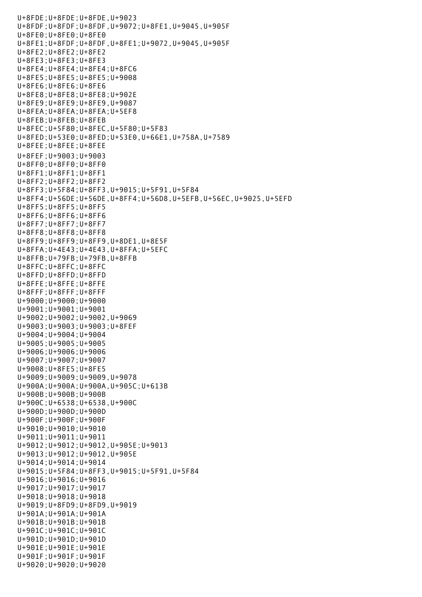U+8FDE;U+8FDE;U+8FDE,U+9023 U+8FDF;U+8FDF;U+8FDF,U+9072;U+8FE1,U+9045,U+905F U+8FE0;U+8FE0;U+8FE0 U+8FE1;U+8FDF;U+8FDF,U+8FE1;U+9072,U+9045,U+905F U+8FE2;U+8FE2;U+8FE2 U+8FE3;U+8FE3;U+8FE3 U+8FE4;U+8FE4;U+8FE4;U+8FC6 U+8FE5;U+8FE5;U+8FE5;U+9008 U+8FE6;U+8FE6;U+8FE6 U+8FE8;U+8FE8;U+8FE8;U+902E U+8FE9;U+8FE9;U+8FE9,U+9087 U+8FEA;U+8FEA;U+8FEA;U+5EF8 U+8FEB;U+8FEB;U+8FEB U+8FEC;U+5F80;U+8FEC,U+5F80;U+5F83 U+8FED;U+53E0;U+8FED;U+53E0,U+66E1,U+758A,U+7589 U+8FEE;U+8FEE;U+8FEE U+8FEF;U+9003;U+9003 U+8FF0;U+8FF0;U+8FF0 U+8FF1;U+8FF1;U+8FF1 U+8FF2;U+8FF2;U+8FF2 U+8FF3;U+5F84;U+8FF3,U+9015;U+5F91,U+5F84 U+8FF4;U+56DE;U+56DE,U+8FF4;U+56D8,U+5EFB,U+56EC,U+9025,U+5EFD U+8FF5;U+8FF5;U+8FF5 U+8FF6;U+8FF6;U+8FF6 U+8FF7;U+8FF7;U+8FF7 U+8FF8;U+8FF8;U+8FF8 U+8FF9;U+8FF9;U+8FF9,U+8DE1,U+8E5F U+8FFA;U+4E43;U+4E43,U+8FFA;U+5EFC U+8FFB;U+79FB;U+79FB,U+8FFB U+8FFC;U+8FFC;U+8FFC U+8FFD;U+8FFD;U+8FFD U+8FFE;U+8FFE;U+8FFE U+8FFF;U+8FFF;U+8FFF U+9000;U+9000;U+9000 U+9001;U+9001;U+9001 U+9002;U+9002;U+9002,U+9069 U+9003;U+9003;U+9003;U+8FEF U+9004;U+9004;U+9004 U+9005;U+9005;U+9005 U+9006;U+9006;U+9006 U+9007;U+9007;U+9007 U+9008;U+8FE5;U+8FE5 U+9009;U+9009;U+9009,U+9078 U+900A;U+900A;U+900A,U+905C;U+613B U+900B;U+900B;U+900B U+900C;U+6538;U+6538,U+900C U+900D;U+900D;U+900D U+900F;U+900F;U+900F U+9010;U+9010;U+9010 U+9011;U+9011;U+9011 U+9012;U+9012;U+9012,U+905E;U+9013 U+9013;U+9012;U+9012,U+905E U+9014;U+9014;U+9014 U+9015;U+5F84;U+8FF3,U+9015;U+5F91,U+5F84 U+9016;U+9016;U+9016 U+9017;U+9017;U+9017 U+9018;U+9018;U+9018 U+9019;U+8FD9;U+8FD9,U+9019 U+901A;U+901A;U+901A U+901B;U+901B;U+901B U+901C;U+901C;U+901C U+901D;U+901D;U+901D U+901E;U+901E;U+901E U+901F;U+901F;U+901F U+9020;U+9020;U+9020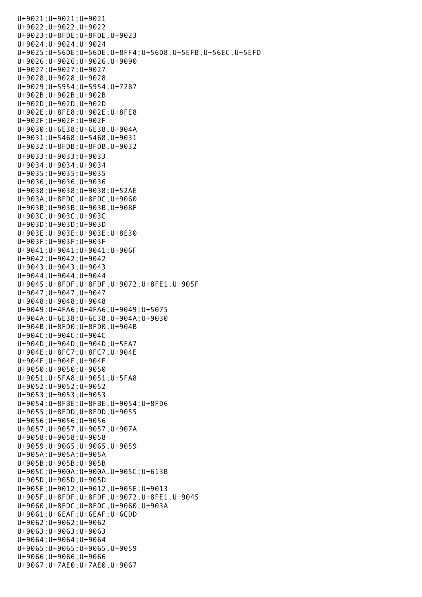U+9021;U+9021;U+9021 U+9022;U+9022;U+9022 U+9023;U+8FDE;U+8FDE,U+9023 U+9024;U+9024;U+9024 U+9025;U+56DE;U+56DE,U+8FF4;U+56D8,U+5EFB,U+56EC,U+5EFD U+9026;U+9026;U+9026,U+9090 U+9027;U+9027;U+9027 U+9028;U+9028;U+9028 U+9029;U+5954;U+5954;U+7287 U+902B;U+902B;U+902B U+902D;U+902D;U+902D U+902E;U+8FE8;U+902E;U+8FE8 U+902F;U+902F;U+902F U+9030;U+6E38;U+6E38,U+904A U+9031;U+5468;U+5468,U+9031 U+9032;U+8FDB;U+8FDB,U+9032 U+9033;U+9033;U+9033 U+9034;U+9034;U+9034 U+9035;U+9035;U+9035 U+9036;U+9036;U+9036 U+9038;U+9038;U+9038;U+52AE U+903A;U+8FDC;U+8FDC,U+9060 U+903B;U+903B;U+903B,U+908F U+903C;U+903C;U+903C U+903D;U+903D;U+903D U+903E;U+903E;U+903E;U+8E30 U+903F;U+903F;U+903F U+9041;U+9041;U+9041;U+906F U+9042;U+9042;U+9042 U+9043;U+9043;U+9043 U+9044;U+9044;U+9044 U+9045;U+8FDF;U+8FDF,U+9072;U+8FE1,U+905F U+9047;U+9047;U+9047 U+9048;U+9048;U+9048 U+9049;U+4FA6;U+4FA6,U+9049;U+5075 U+904A;U+6E38;U+6E38,U+904A;U+9030 U+904B;U+8FD0;U+8FD0,U+904B U+904C;U+904C;U+904C U+904D;U+904D;U+904D;U+5FA7 U+904E;U+8FC7;U+8FC7,U+904E U+904F;U+904F;U+904F U+9050;U+9050;U+9050 U+9051;U+5FA8;U+9051;U+5FA8 U+9052;U+9052;U+9052 U+9053;U+9053;U+9053 U+9054;U+8FBE;U+8FBE,U+9054;U+8FD6 U+9055;U+8FDD;U+8FDD,U+9055 U+9056;U+9056;U+9056 U+9057;U+9057;U+9057,U+907A U+9058;U+9058;U+9058 U+9059;U+9065;U+9065,U+9059 U+905A;U+905A;U+905A U+905B;U+905B;U+905B U+905C;U+900A;U+900A,U+905C;U+613B U+905D;U+905D;U+905D U+905E;U+9012;U+9012,U+905E;U+9013 U+905F;U+8FDF;U+8FDF,U+9072;U+8FE1,U+9045 U+9060;U+8FDC;U+8FDC,U+9060;U+903A U+9061;U+6EAF;U+6EAF;U+6CDD U+9062;U+9062;U+9062 U+9063;U+9063;U+9063 U+9064;U+9064;U+9064 U+9065;U+9065;U+9065,U+9059 U+9066;U+9066;U+9066 U+9067;U+7AE0;U+7AE0,U+9067

U+9020;U+9020;U+9020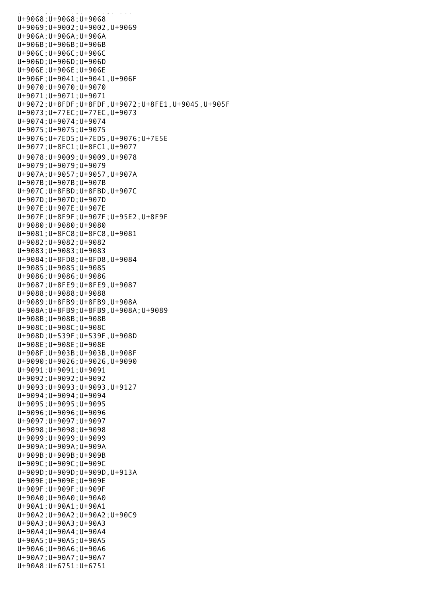U+9068;U+9068;U+9068 U+9069;U+9002;U+9002,U+9069 U+906A;U+906A;U+906A U+906B;U+906B;U+906B U+906C;U+906C;U+906C U+906D;U+906D;U+906D U+906E;U+906E;U+906E U+906F;U+9041;U+9041,U+906F U+9070;U+9070;U+9070 U+9071;U+9071;U+9071 U+9072;U+8FDF;U+8FDF,U+9072;U+8FE1,U+9045,U+905F U+9073;U+77EC;U+77EC,U+9073 U+9074;U+9074;U+9074 U+9075;U+9075;U+9075 U+9076;U+7ED5;U+7ED5,U+9076;U+7E5E U+9077;U+8FC1;U+8FC1,U+9077 U+9078;U+9009;U+9009,U+9078 U+9079;U+9079;U+9079 U+907A;U+9057;U+9057,U+907A U+907B;U+907B;U+907B U+907C;U+8FBD;U+8FBD,U+907C U+907D;U+907D;U+907D U+907E;U+907E;U+907E U+907F;U+8F9F;U+907F;U+95E2,U+8F9F U+9080;U+9080;U+9080 U+9081;U+8FC8;U+8FC8,U+9081 U+9082;U+9082;U+9082 U+9083;U+9083;U+9083 U+9084;U+8FD8;U+8FD8,U+9084 U+9085;U+9085;U+9085 U+9086;U+9086;U+9086 U+9087;U+8FE9;U+8FE9,U+9087 U+9088;U+9088;U+9088 U+9089;U+8FB9;U+8FB9,U+908A U+908A;U+8FB9;U+8FB9,U+908A;U+9089 U+908B;U+908B;U+908B U+908C;U+908C;U+908C U+908D;U+539F;U+539F,U+908D U+908E;U+908E;U+908E U+908F;U+903B;U+903B,U+908F U+9090;U+9026;U+9026,U+9090 U+9091;U+9091;U+9091 U+9092;U+9092;U+9092 U+9093;U+9093;U+9093,U+9127 U+9094;U+9094;U+9094 U+9095;U+9095;U+9095 U+9096;U+9096;U+9096 U+9097;U+9097;U+9097 U+9098;U+9098;U+9098 U+9099;U+9099;U+9099 U+909A;U+909A;U+909A U+909B;U+909B;U+909B U+909C;U+909C;U+909C U+909D;U+909D;U+909D,U+913A U+909E;U+909E;U+909E U+909F;U+909F;U+909F U+90A0;U+90A0;U+90A0 U+90A1;U+90A1;U+90A1 U+90A2;U+90A2;U+90A2;U+90C9 U+90A3;U+90A3;U+90A3 U+90A4;U+90A4;U+90A4 U+90A5;U+90A5;U+90A5 U+90A6;U+90A6;U+90A6 U+90A7;U+90A7;U+90A7 U+90A8;U+6751;U+6751

u<br>Politika je povezavanje političara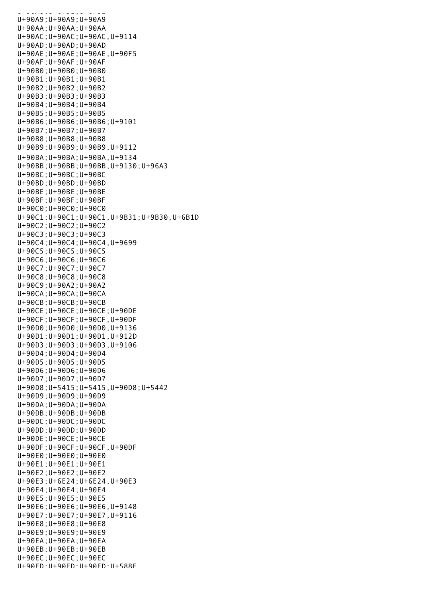$U_1, U_2, U_3, U_5, U_6, U_7, U_8, U_9$ U+90A9;U+90A9;U+90A9 U+90AA;U+90AA;U+90AA U+90AC;U+90AC;U+90AC,U+9114 U+90AD;U+90AD;U+90AD U+90AE;U+90AE;U+90AE,U+90F5 U+90AF;U+90AF;U+90AF U+90B0;U+90B0;U+90B0 U+90B1;U+90B1;U+90B1 U+90B2;U+90B2;U+90B2 U+90B3;U+90B3;U+90B3 U+90B4;U+90B4;U+90B4 U+90B5;U+90B5;U+90B5 U+90B6;U+90B6;U+90B6;U+9101 U+90B7;U+90B7;U+90B7 U+90B8;U+90B8;U+90B8 U+90B9;U+90B9;U+90B9,U+9112 U+90BA;U+90BA;U+90BA,U+9134 U+90BB;U+90BB;U+90BB,U+9130;U+96A3 U+90BC;U+90BC;U+90BC U+90BD;U+90BD;U+90BD U+90BE;U+90BE;U+90BE U+90BF;U+90BF;U+90BF U+90C0;U+90C0;U+90C0 U+90C1;U+90C1;U+90C1,U+9B31;U+9B30,U+6B1D U+90C2;U+90C2;U+90C2 U+90C3;U+90C3;U+90C3 U+90C4;U+90C4;U+90C4,U+9699 U+90C5;U+90C5;U+90C5 U+90C6;U+90C6;U+90C6 U+90C7;U+90C7;U+90C7 U+90C8;U+90C8;U+90C8 U+90C9;U+90A2;U+90A2 U+90CA;U+90CA;U+90CA U+90CB;U+90CB;U+90CB U+90CE;U+90CE;U+90CE;U+90DE U+90CF;U+90CF;U+90CF,U+90DF U+90D0;U+90D0;U+90D0,U+9136 U+90D1;U+90D1;U+90D1,U+912D U+90D3;U+90D3;U+90D3,U+9106 U+90D4;U+90D4;U+90D4 U+90D5;U+90D5;U+90D5 U+90D6;U+90D6;U+90D6 U+90D7;U+90D7;U+90D7 U+90D8;U+5415;U+5415,U+90D8;U+5442 U+90D9;U+90D9;U+90D9 U+90DA;U+90DA;U+90DA U+90DB;U+90DB;U+90DB U+90DC;U+90DC;U+90DC U+90DD;U+90DD;U+90DD U+90DE;U+90CE;U+90CE U+90DF;U+90CF;U+90CF,U+90DF U+90E0;U+90E0;U+90E0 U+90E1;U+90E1;U+90E1 U+90E2;U+90E2;U+90E2 U+90E3;U+6E24;U+6E24,U+90E3 U+90E4;U+90E4;U+90E4 U+90E5;U+90E5;U+90E5 U+90E6;U+90E6;U+90E6,U+9148 U+90E7;U+90E7;U+90E7,U+9116 U+90E8;U+90E8;U+90E8 U+90E9;U+90E9;U+90E9 U+90EA;U+90EA;U+90EA U+90EB;U+90EB;U+90EB U+90EC;U+90EC;U+90EC U+90ED;U+90ED;U+90ED;U+588E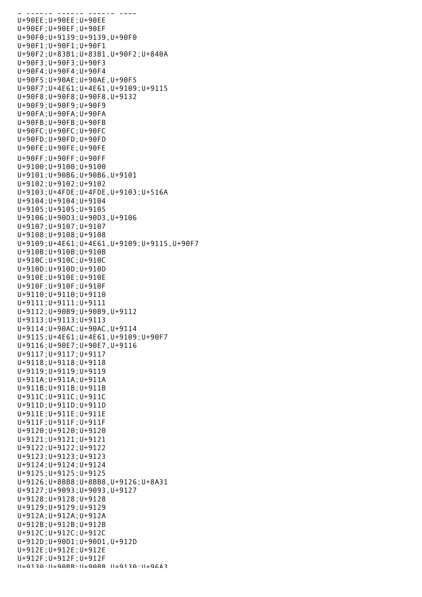U+90ED;U+90ED;U+90ED;U+588E U+90EE;U+90EE;U+90EE U+90EF;U+90EF;U+90EF U+90F0;U+9139;U+9139,U+90F0 U+90F1;U+90F1;U+90F1 U+90F2;U+83B1;U+83B1,U+90F2;U+840A U+90F3;U+90F3;U+90F3 U+90F4;U+90F4;U+90F4 U+90F5;U+90AE;U+90AE,U+90F5 U+90F7;U+4E61;U+4E61,U+9109;U+9115 U+90F8;U+90F8;U+90F8,U+9132 U+90F9;U+90F9;U+90F9 U+90FA;U+90FA;U+90FA U+90FB;U+90FB;U+90FB U+90FC;U+90FC;U+90FC U+90FD;U+90FD;U+90FD U+90FE;U+90FE;U+90FE U+90FF;U+90FF;U+90FF U+9100;U+9100;U+9100 U+9101;U+90B6;U+90B6,U+9101 U+9102;U+9102;U+9102 U+9103;U+4FDE;U+4FDE,U+9103;U+516A U+9104;U+9104;U+9104 U+9105;U+9105;U+9105 U+9106;U+90D3;U+90D3,U+9106 U+9107;U+9107;U+9107 U+9108;U+9108;U+9108 U+9109;U+4E61;U+4E61,U+9109;U+9115,U+90F7 U+910B;U+910B;U+910B U+910C;U+910C;U+910C U+910D;U+910D;U+910D U+910E;U+910E;U+910E U+910F;U+910F;U+910F U+9110;U+9110;U+9110 U+9111;U+9111;U+9111 U+9112;U+90B9;U+90B9,U+9112 U+9113;U+9113;U+9113 U+9114;U+90AC;U+90AC,U+9114 U+9115;U+4E61;U+4E61,U+9109;U+90F7 U+9116;U+90E7;U+90E7,U+9116 U+9117;U+9117;U+9117 U+9118;U+9118;U+9118 U+9119;U+9119;U+9119 U+911A;U+911A;U+911A U+911B;U+911B;U+911B U+911C;U+911C;U+911C U+911D;U+911D;U+911D U+911E;U+911E;U+911E U+911F;U+911F;U+911F U+9120;U+9120;U+9120 U+9121;U+9121;U+9121 U+9122;U+9122;U+9122 U+9123;U+9123;U+9123 U+9124;U+9124;U+9124 U+9125;U+9125;U+9125 U+9126;U+8BB8;U+8BB8,U+9126;U+8A31 U+9127;U+9093;U+9093,U+9127 U+9128;U+9128;U+9128 U+9129;U+9129;U+9129 U+912A;U+912A;U+912A U+912B;U+912B;U+912B U+912C;U+912C;U+912C U+912D;U+90D1;U+90D1,U+912D U+912E;U+912E;U+912E U+912F;U+912F;U+912F U+9130;U+90BB;U+90BB,U+9130;U+96A3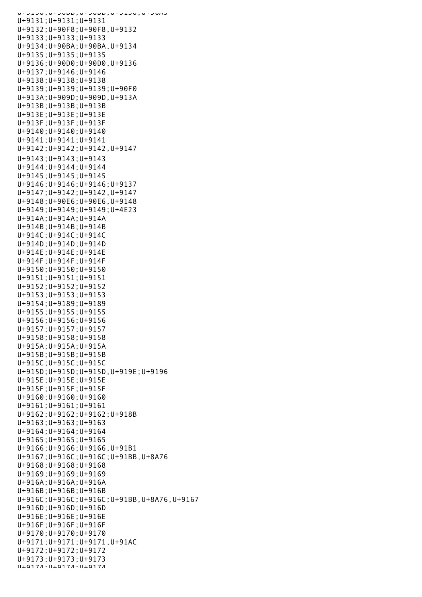U+9130;U+90BB;U+90BB,U+9130;U+96A3 U+9131;U+9131;U+9131 U+9132;U+90F8;U+90F8,U+9132 U+9133;U+9133;U+9133 U+9134;U+90BA;U+90BA,U+9134 U+9135;U+9135;U+9135 U+9136;U+90D0;U+90D0,U+9136 U+9137;U+9146;U+9146 U+9138;U+9138;U+9138 U+9139;U+9139;U+9139;U+90F0 U+913A;U+909D;U+909D,U+913A U+913B;U+913B;U+913B U+913E;U+913E;U+913E U+913F;U+913F;U+913F U+9140;U+9140;U+9140 U+9141;U+9141;U+9141 U+9142;U+9142;U+9142,U+9147 U+9143;U+9143;U+9143 U+9144;U+9144;U+9144 U+9145;U+9145;U+9145 U+9146;U+9146;U+9146;U+9137 U+9147;U+9142;U+9142,U+9147 U+9148;U+90E6;U+90E6,U+9148 U+9149;U+9149;U+9149;U+4E23 U+914A;U+914A;U+914A U+914B;U+914B;U+914B U+914C;U+914C;U+914C U+914D;U+914D;U+914D U+914E;U+914E;U+914E U+914F;U+914F;U+914F U+9150;U+9150;U+9150 U+9151;U+9151;U+9151 U+9152;U+9152;U+9152 U+9153;U+9153;U+9153 U+9154;U+9189;U+9189 U+9155;U+9155;U+9155 U+9156;U+9156;U+9156 U+9157;U+9157;U+9157 U+9158;U+9158;U+9158 U+915A;U+915A;U+915A U+915B;U+915B;U+915B U+915C;U+915C;U+915C U+915D;U+915D;U+915D,U+919E;U+9196 U+915E;U+915E;U+915E U+915F;U+915F;U+915F U+9160;U+9160;U+9160 U+9161;U+9161;U+9161 U+9162;U+9162;U+9162;U+918B U+9163;U+9163;U+9163 U+9164;U+9164;U+9164 U+9165;U+9165;U+9165 U+9166;U+9166;U+9166,U+91B1 U+9167;U+916C;U+916C;U+91BB,U+8A76 U+9168;U+9168;U+9168 U+9169;U+9169;U+9169 U+916A;U+916A;U+916A U+916B;U+916B;U+916B U+916C;U+916C;U+916C;U+91BB,U+8A76,U+9167 U+916D;U+916D;U+916D U+916E;U+916E;U+916E U+916F;U+916F;U+916F U+9170;U+9170;U+9170 U+9171;U+9171;U+9171,U+91AC U+9172;U+9172;U+9172 U+9173;U+9173;U+9173 U+9174;U+9174;U+9174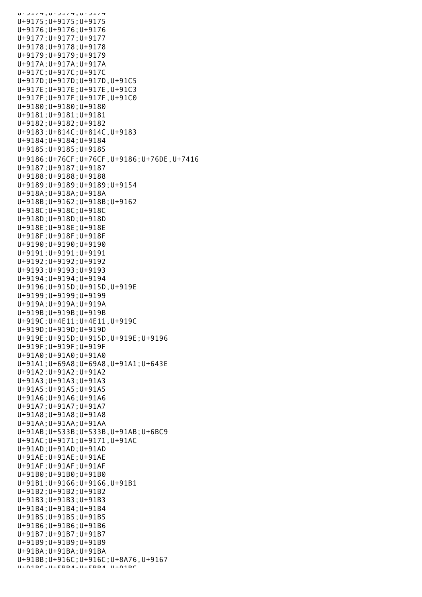U+9174;U+9174;U+9174 U+9175;U+9175;U+9175 U+9176;U+9176;U+9176 U+9177;U+9177;U+9177 U+9178;U+9178;U+9178 U+9179;U+9179;U+9179 U+917A;U+917A;U+917A U+917C;U+917C;U+917C U+917D;U+917D;U+917D,U+91C5 U+917E;U+917E;U+917E,U+91C3 U+917F;U+917F;U+917F,U+91C0 U+9180;U+9180;U+9180 U+9181;U+9181;U+9181 U+9182;U+9182;U+9182 U+9183;U+814C;U+814C,U+9183 U+9184;U+9184;U+9184 U+9185;U+9185;U+9185 U+9186;U+76CF;U+76CF,U+9186;U+76DE,U+7416 U+9187;U+9187;U+9187 U+9188;U+9188;U+9188 U+9189;U+9189;U+9189;U+9154 U+918A;U+918A;U+918A U+918B;U+9162;U+918B;U+9162 U+918C;U+918C;U+918C U+918D;U+918D;U+918D U+918E;U+918E;U+918E U+918F;U+918F;U+918F U+9190;U+9190;U+9190 U+9191;U+9191;U+9191 U+9192;U+9192;U+9192 U+9193;U+9193;U+9193 U+9194;U+9194;U+9194 U+9196;U+915D;U+915D,U+919E U+9199;U+9199;U+9199 U+919A;U+919A;U+919A U+919B;U+919B;U+919B U+919C;U+4E11;U+4E11,U+919C U+919D;U+919D;U+919D U+919E;U+915D;U+915D,U+919E;U+9196 U+919F;U+919F;U+919F U+91A0;U+91A0;U+91A0 U+91A1;U+69A8;U+69A8,U+91A1;U+643E U+91A2;U+91A2;U+91A2 U+91A3;U+91A3;U+91A3 U+91A5;U+91A5;U+91A5 U+91A6;U+91A6;U+91A6 U+91A7;U+91A7;U+91A7 U+91A8;U+91A8;U+91A8 U+91AA;U+91AA;U+91AA U+91AB;U+533B;U+533B,U+91AB;U+6BC9 U+91AC;U+9171;U+9171,U+91AC U+91AD;U+91AD;U+91AD U+91AE;U+91AE;U+91AE U+91AF;U+91AF;U+91AF U+91B0;U+91B0;U+91B0 U+91B1;U+9166;U+9166,U+91B1 U+91B2;U+91B2;U+91B2 U+91B3;U+91B3;U+91B3 U+91B4;U+91B4;U+91B4 U+91B5;U+91B5;U+91B5 U+91B6;U+91B6;U+91B6 U+91B7;U+91B7;U+91B7 U+91B9;U+91B9;U+91B9 U+91BA;U+91BA;U+91BA U+91BB;U+916C;U+916C;U+8A76,U+9167 U+91BC;U+5BB4;U+5BB4,U+91BC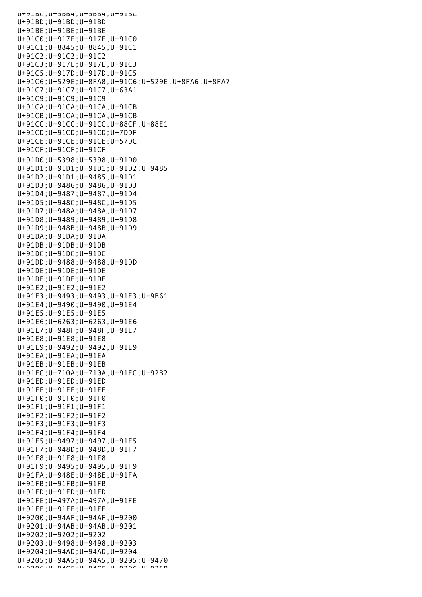U+91BC;U+5BB4;U+5BB4,U+91BC U+91BD;U+91BD;U+91BD U+91BE;U+91BE;U+91BE U+91C0;U+917F;U+917F,U+91C0 U+91C1;U+8845;U+8845,U+91C1 U+91C2;U+91C2;U+91C2 U+91C3;U+917E;U+917E,U+91C3 U+91C5;U+917D;U+917D,U+91C5 U+91C6;U+529E;U+8FA8,U+91C6;U+529E,U+8FA6,U+8FA7 U+91C7;U+91C7;U+91C7,U+63A1 U+91C9;U+91C9;U+91C9 U+91CA;U+91CA;U+91CA,U+91CB U+91CB;U+91CA;U+91CA,U+91CB U+91CC;U+91CC;U+91CC,U+88CF,U+88E1 U+91CD;U+91CD;U+91CD;U+7DDF U+91CE;U+91CE;U+91CE;U+57DC U+91CF;U+91CF;U+91CF U+91D0;U+5398;U+5398,U+91D0 U+91D1;U+91D1;U+91D1;U+91D2,U+9485 U+91D2;U+91D1;U+9485,U+91D1 U+91D3;U+9486;U+9486,U+91D3 U+91D4;U+9487;U+9487,U+91D4 U+91D5;U+948C;U+948C,U+91D5 U+91D7;U+948A;U+948A,U+91D7 U+91D8;U+9489;U+9489,U+91D8 U+91D9;U+948B;U+948B,U+91D9 U+91DA;U+91DA;U+91DA U+91DB;U+91DB;U+91DB U+91DC;U+91DC;U+91DC U+91DD;U+9488;U+9488,U+91DD U+91DE;U+91DE;U+91DE U+91DF;U+91DF;U+91DF U+91E2;U+91E2;U+91E2 U+91E3;U+9493;U+9493,U+91E3;U+9B61 U+91E4;U+9490;U+9490,U+91E4 U+91E5;U+91E5;U+91E5 U+91E6;U+6263;U+6263,U+91E6 U+91E7;U+948F;U+948F,U+91E7 U+91E8;U+91E8;U+91E8 U+91E9;U+9492;U+9492,U+91E9 U+91EA;U+91EA;U+91EA  $U+91EB:U+91EB:U+91EB$ U+91EC;U+710A;U+710A,U+91EC;U+92B2 U+91ED;U+91ED;U+91ED U+91EE;U+91EE;U+91EE U+91F0;U+91F0;U+91F0 U+91F1;U+91F1;U+91F1 U+91F2;U+91F2;U+91F2 U+91F3;U+91F3;U+91F3 U+91F4;U+91F4;U+91F4 U+91F5;U+9497;U+9497,U+91F5 U+91F7;U+948D;U+948D,U+91F7 U+91F8;U+91F8;U+91F8 U+91F9;U+9495;U+9495,U+91F9 U+91FA;U+948E;U+948E,U+91FA U+91FB;U+91FB;U+91FB U+91FD;U+91FD;U+91FD U+91FE;U+497A;U+497A,U+91FE U+91FF;U+91FF;U+91FF U+9200;U+94AF;U+94AF,U+9200 U+9201;U+94AB;U+94AB,U+9201 U+9202;U+9202;U+9202 U+9203;U+9498;U+9498,U+9203 U+9204;U+94AD;U+94AD,U+9204 U+9205;U+94A5;U+94A5,U+9205;U+9470 U+9206;U+94C5;U+94C5,U+9206;U+925B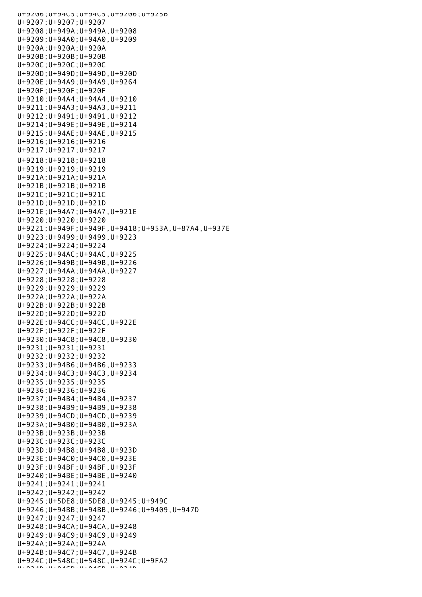U+9206;U+94C5;U+94C5,U+9206;U+925B U+9207;U+9207;U+9207 U+9208;U+949A;U+949A,U+9208 U+9209;U+94A0;U+94A0,U+9209 U+920A;U+920A;U+920A U+920B;U+920B;U+920B U+920C;U+920C;U+920C U+920D;U+949D;U+949D,U+920D U+920E;U+94A9;U+94A9,U+9264 U+920F;U+920F;U+920F U+9210;U+94A4;U+94A4,U+9210 U+9211;U+94A3;U+94A3,U+9211 U+9212;U+9491;U+9491,U+9212 U+9214;U+949E;U+949E,U+9214 U+9215;U+94AE;U+94AE,U+9215 U+9216;U+9216;U+9216 U+9217;U+9217;U+9217 U+9218;U+9218;U+9218 U+9219;U+9219;U+9219 U+921A;U+921A;U+921A U+921B;U+921B;U+921B U+921C;U+921C;U+921C U+921D;U+921D;U+921D U+921E;U+94A7;U+94A7,U+921E U+9220;U+9220;U+9220 U+9221;U+949F;U+949F,U+9418;U+953A,U+87A4,U+937E U+9223;U+9499;U+9499,U+9223 U+9224;U+9224;U+9224 U+9225;U+94AC;U+94AC,U+9225 U+9226;U+949B;U+949B,U+9226 U+9227;U+94AA;U+94AA,U+9227 U+9228;U+9228;U+9228 U+9229;U+9229;U+9229 U+922A;U+922A;U+922A U+922B;U+922B;U+922B U+922D;U+922D;U+922D U+922E;U+94CC;U+94CC,U+922E U+922F;U+922F;U+922F U+9230;U+94C8;U+94C8,U+9230 U+9231;U+9231;U+9231 U+9232;U+9232;U+9232 U+9233;U+94B6;U+94B6,U+9233 U+9234;U+94C3;U+94C3,U+9234 U+9235;U+9235;U+9235 U+9236;U+9236;U+9236 U+9237;U+94B4;U+94B4,U+9237 U+9238;U+94B9;U+94B9,U+9238 U+9239;U+94CD;U+94CD,U+9239 U+923A;U+94B0;U+94B0,U+923A U+923B;U+923B;U+923B U+923C;U+923C;U+923C U+923D;U+94B8;U+94B8,U+923D U+923E;U+94C0;U+94C0,U+923E U+923F;U+94BF;U+94BF,U+923F U+9240;U+94BE;U+94BE,U+9240 U+9241;U+9241;U+9241 U+9242;U+9242;U+9242 U+9245;U+5DE8;U+5DE8,U+9245;U+949C U+9246;U+94BB;U+94BB,U+9246;U+9409,U+947D U+9247;U+9247;U+9247 U+9248;U+94CA;U+94CA,U+9248 U+9249;U+94C9;U+94C9,U+9249 U+924A;U+924A;U+924A U+924B;U+94C7;U+94C7,U+924B U+924C;U+548C;U+548C,U+924C;U+9FA2 U+924D;U+94CB;U+94CB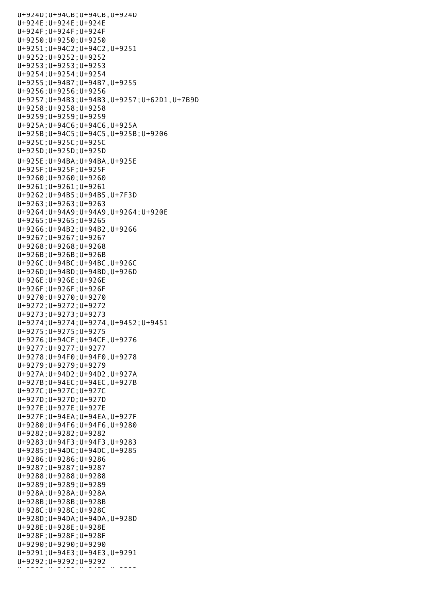U+924D;U+94CB;U+94CB,U+924D U+924E;U+924E;U+924E U+924F;U+924F;U+924F U+9250;U+9250;U+9250 U+9251;U+94C2;U+94C2,U+9251 U+9252;U+9252;U+9252 U+9253;U+9253;U+9253 U+9254;U+9254;U+9254 U+9255;U+94B7;U+94B7,U+9255 U+9256;U+9256;U+9256 U+9257;U+94B3;U+94B3,U+9257;U+62D1,U+7B9D U+9258;U+9258;U+9258 U+9259;U+9259;U+9259 U+925A;U+94C6;U+94C6,U+925A U+925B;U+94C5;U+94C5,U+925B;U+9206 U+925C;U+925C;U+925C U+925D;U+925D;U+925D U+925E;U+94BA;U+94BA,U+925E U+925F;U+925F;U+925F U+9260;U+9260;U+9260 U+9261;U+9261;U+9261 U+9262;U+94B5;U+94B5,U+7F3D U+9263;U+9263;U+9263 U+9264;U+94A9;U+94A9,U+9264;U+920E U+9265;U+9265;U+9265 U+9266;U+94B2;U+94B2,U+9266 U+9267;U+9267;U+9267 U+9268;U+9268;U+9268 U+926B;U+926B;U+926B U+926C;U+94BC;U+94BC,U+926C U+926D;U+94BD;U+94BD,U+926D U+926E;U+926E;U+926E U+926F;U+926F;U+926F U+9270;U+9270;U+9270 U+9272;U+9272;U+9272 U+9273;U+9273;U+9273 U+9274;U+9274;U+9274,U+9452;U+9451 U+9275;U+9275;U+9275 U+9276;U+94CF;U+94CF,U+9276 U+9277;U+9277;U+9277 U+9278;U+94F0;U+94F0,U+9278 U+9279;U+9279;U+9279 U+927A;U+94D2;U+94D2,U+927A U+927B;U+94EC;U+94EC,U+927B U+927C;U+927C;U+927C U+927D;U+927D;U+927D U+927E;U+927E;U+927E U+927F;U+94EA;U+94EA,U+927F U+9280;U+94F6;U+94F6,U+9280 U+9282;U+9282;U+9282 U+9283;U+94F3;U+94F3,U+9283 U+9285;U+94DC;U+94DC,U+9285 U+9286;U+9286;U+9286 U+9287;U+9287;U+9287 U+9288;U+9288;U+9288 U+9289;U+9289;U+9289 U+928A;U+928A;U+928A U+928B;U+928B;U+928B U+928C;U+928C;U+928C U+928D;U+94DA;U+94DA,U+928D U+928E;U+928E;U+928E U+928F;U+928F;U+928F U+9290;U+9290;U+9290 U+9291;U+94E3;U+94E3,U+9291 U+9292;U+9292;U+9292 U+9283;U+94E8;U+94E8;U+9293<br>U+9293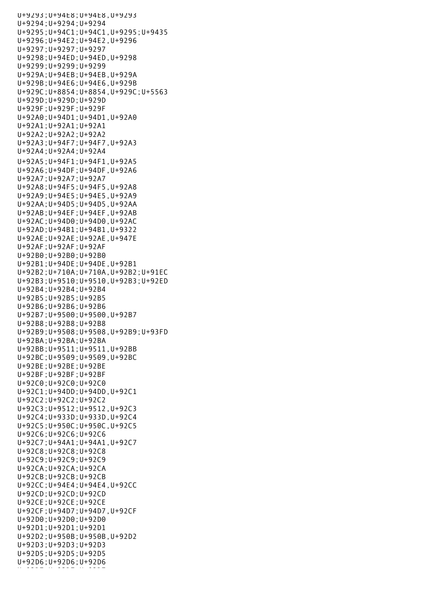U+9293;U+94E8;U+94E8,U+9293 U+9294;U+9294;U+9294 U+9295;U+94C1;U+94C1,U+9295;U+9435 U+9296;U+94E2;U+94E2,U+9296 U+9297;U+9297;U+9297 U+9298;U+94ED;U+94ED,U+9298 U+9299;U+9299;U+9299 U+929A;U+94EB;U+94EB,U+929A U+929B;U+94E6;U+94E6,U+929B U+929C;U+8854;U+8854,U+929C;U+5563 U+929D;U+929D;U+929D U+929F;U+929F;U+929F U+92A0;U+94D1;U+94D1,U+92A0 U+92A1;U+92A1;U+92A1 U+92A2;U+92A2;U+92A2 U+92A3;U+94F7;U+94F7,U+92A3 U+92A4;U+92A4;U+92A4 U+92A5;U+94F1;U+94F1,U+92A5 U+92A6;U+94DF;U+94DF,U+92A6 U+92A7;U+92A7;U+92A7 U+92A8;U+94F5;U+94F5,U+92A8 U+92A9;U+94E5;U+94E5,U+92A9 U+92AA;U+94D5;U+94D5,U+92AA U+92AB;U+94EF;U+94EF,U+92AB U+92AC;U+94D0;U+94D0,U+92AC U+92AD;U+94B1;U+94B1,U+9322 U+92AE;U+92AE;U+92AE,U+947E U+92AF;U+92AF;U+92AF U+92B0;U+92B0;U+92B0 U+92B1;U+94DE;U+94DE,U+92B1 U+92B2;U+710A;U+710A,U+92B2;U+91EC U+92B3;U+9510;U+9510,U+92B3;U+92ED U+92B4;U+92B4;U+92B4 U+92B5;U+92B5;U+92B5 U+92B6;U+92B6;U+92B6 U+92B7;U+9500;U+9500,U+92B7 U+92B8;U+92B8;U+92B8 U+92B9;U+9508;U+9508,U+92B9;U+93FD U+92BA;U+92BA;U+92BA U+92BB;U+9511;U+9511,U+92BB U+92BC;U+9509;U+9509,U+92BC U+92BE;U+92BE;U+92BE U+92BF;U+92BF;U+92BF U+92C0;U+92C0;U+92C0 U+92C1;U+94DD;U+94DD,U+92C1 U+92C2;U+92C2;U+92C2 U+92C3;U+9512;U+9512,U+92C3 U+92C4;U+933D;U+933D,U+92C4 U+92C5;U+950C;U+950C,U+92C5 U+92C6;U+92C6;U+92C6 U+92C7;U+94A1;U+94A1,U+92C7 U+92C8;U+92C8;U+92C8 U+92C9;U+92C9;U+92C9 U+92CA;U+92CA;U+92CA U+92CB;U+92CB;U+92CB U+92CC;U+94E4;U+94E4,U+92CC U+92CD;U+92CD;U+92CD U+92CE;U+92CE;U+92CE U+92CF;U+94D7;U+94D7,U+92CF U+92D0;U+92D0;U+92D0 U+92D1;U+92D1;U+92D1 U+92D2;U+950B;U+950B,U+92D2 U+92D3;U+92D3;U+92D3 U+92D5;U+92D5;U+92D5 U+92D6;U+92D6;U+92D6 U+92D7;U+92D7;U+92D7;U+92D7;U+92D7;U+92D7;U+92D7;U+92D7;U+92D7;U+92D7;U+92D7;U+92D7;U+92D7;U+92D7;U+92D7;U+92D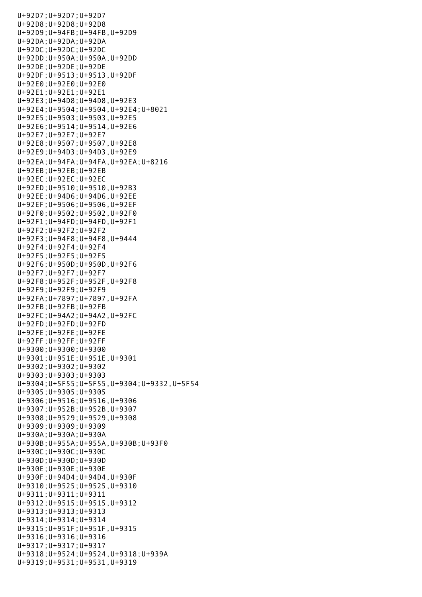U+92D7;U+92D7;U+92D7 U+92D8;U+92D8;U+92D8 U+92D9;U+94FB;U+94FB,U+92D9 U+92DA;U+92DA;U+92DA U+92DC;U+92DC;U+92DC U+92DD;U+950A;U+950A,U+92DD U+92DE;U+92DE;U+92DE U+92DF;U+9513;U+9513,U+92DF U+92E0;U+92E0;U+92E0 U+92E1;U+92E1;U+92E1 U+92E3;U+94D8;U+94D8,U+92E3 U+92E4;U+9504;U+9504,U+92E4;U+8021 U+92E5;U+9503;U+9503,U+92E5 U+92E6;U+9514;U+9514,U+92E6 U+92E7;U+92E7;U+92E7 U+92E8;U+9507;U+9507,U+92E8 U+92E9;U+94D3;U+94D3,U+92E9 U+92EA;U+94FA;U+94FA,U+92EA;U+8216 U+92EB;U+92EB;U+92EB U+92EC;U+92EC;U+92EC U+92ED;U+9510;U+9510,U+92B3 U+92EE;U+94D6;U+94D6,U+92EE U+92EF;U+9506;U+9506,U+92EF U+92F0;U+9502;U+9502,U+92F0 U+92F1;U+94FD;U+94FD,U+92F1 U+92F2;U+92F2;U+92F2 U+92F3;U+94F8;U+94F8,U+9444 U+92F4;U+92F4;U+92F4 U+92F5;U+92F5;U+92F5 U+92F6;U+950D;U+950D,U+92F6 U+92F7;U+92F7;U+92F7 U+92F8;U+952F;U+952F,U+92F8 U+92F9;U+92F9;U+92F9 U+92FA;U+7897;U+7897,U+92FA U+92FB;U+92FB;U+92FB U+92FC;U+94A2;U+94A2,U+92FC U+92FD;U+92FD;U+92FD U+92FE;U+92FE;U+92FE U+92FF;U+92FF;U+92FF U+9300;U+9300;U+9300 U+9301;U+951E;U+951E,U+9301 U+9302;U+9302;U+9302 U+9303;U+9303;U+9303 U+9304;U+5F55;U+5F55,U+9304;U+9332,U+5F54 U+9305;U+9305;U+9305 U+9306;U+9516;U+9516,U+9306 U+9307;U+952B;U+952B,U+9307 U+9308;U+9529;U+9529,U+9308 U+9309;U+9309;U+9309 U+930A;U+930A;U+930A U+930B;U+955A;U+955A,U+930B;U+93F0 U+930C;U+930C;U+930C U+930D;U+930D;U+930D U+930E;U+930E;U+930E U+930F;U+94D4;U+94D4,U+930F U+9310;U+9525;U+9525,U+9310 U+9311;U+9311;U+9311 U+9312;U+9515;U+9515,U+9312 U+9313;U+9313;U+9313 U+9314;U+9314;U+9314 U+9315;U+951F;U+951F,U+9315 U+9316;U+9316;U+9316 U+9317;U+9317;U+9317 U+9318;U+9524;U+9524,U+9318;U+939A U+9319;U+9531;U+9531,U+9319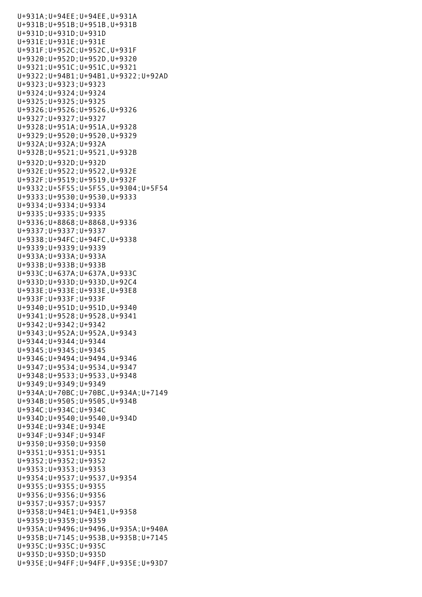U+931A;U+94EE;U+94EE,U+931A U+931B;U+951B;U+951B,U+931B U+931D;U+931D;U+931D U+931E;U+931E;U+931E U+931F;U+952C;U+952C,U+931F U+9320;U+952D;U+952D,U+9320 U+9321;U+951C;U+951C,U+9321 U+9322;U+94B1;U+94B1,U+9322;U+92AD U+9323;U+9323;U+9323 U+9324;U+9324;U+9324 U+9325;U+9325;U+9325 U+9326;U+9526;U+9526,U+9326 U+9327;U+9327;U+9327 U+9328;U+951A;U+951A,U+9328 U+9329;U+9520;U+9520,U+9329 U+932A;U+932A;U+932A U+932B;U+9521;U+9521,U+932B U+932D;U+932D;U+932D U+932E;U+9522;U+9522,U+932E U+932F;U+9519;U+9519,U+932F U+9332;U+5F55;U+5F55,U+9304;U+5F54 U+9333;U+9530;U+9530,U+9333 U+9334;U+9334;U+9334 U+9335;U+9335;U+9335 U+9336;U+8868;U+8868,U+9336 U+9337;U+9337;U+9337 U+9338;U+94FC;U+94FC,U+9338 U+9339;U+9339;U+9339 U+933A;U+933A;U+933A U+933B;U+933B;U+933B U+933C;U+637A;U+637A,U+933C U+933D;U+933D;U+933D,U+92C4 U+933E;U+933E;U+933E,U+93E8 U+933F;U+933F;U+933F U+9340;U+951D;U+951D,U+9340 U+9341;U+9528;U+9528,U+9341 U+9342;U+9342;U+9342 U+9343;U+952A;U+952A,U+9343 U+9344;U+9344;U+9344 U+9345;U+9345;U+9345 U+9346;U+9494;U+9494,U+9346 U+9347;U+9534;U+9534,U+9347 U+9348;U+9533;U+9533,U+9348 U+9349;U+9349;U+9349 U+934A;U+70BC;U+70BC,U+934A;U+7149 U+934B;U+9505;U+9505,U+934B U+934C;U+934C;U+934C U+934D;U+9540;U+9540,U+934D U+934E;U+934E;U+934E U+934F;U+934F;U+934F U+9350;U+9350;U+9350 U+9351;U+9351;U+9351 U+9352;U+9352;U+9352 U+9353;U+9353;U+9353 U+9354;U+9537;U+9537,U+9354 U+9355;U+9355;U+9355 U+9356;U+9356;U+9356 U+9357;U+9357;U+9357 U+9358;U+94E1;U+94E1,U+9358 U+9359;U+9359;U+9359 U+935A;U+9496;U+9496,U+935A;U+940A U+935B;U+7145;U+953B,U+935B;U+7145 U+935C;U+935C;U+935C U+935D;U+935D;U+935D U+935E;U+94FF;U+94FF,U+935E;U+93D7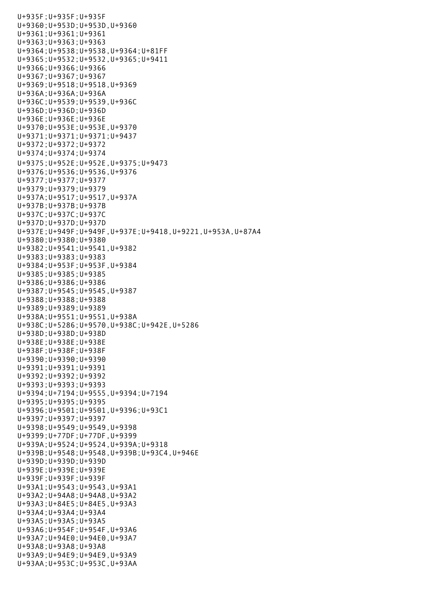U+935F;U+935F;U+935F U+9360;U+953D;U+953D,U+9360 U+9361;U+9361;U+9361 U+9363;U+9363;U+9363 U+9364;U+9538;U+9538,U+9364;U+81FF U+9365;U+9532;U+9532,U+9365;U+9411 U+9366;U+9366;U+9366 U+9367;U+9367;U+9367 U+9369;U+9518;U+9518,U+9369 U+936A;U+936A;U+936A U+936C;U+9539;U+9539,U+936C U+936D;U+936D;U+936D U+936E;U+936E;U+936E U+9370;U+953E;U+953E,U+9370 U+9371;U+9371;U+9371;U+9437 U+9372;U+9372;U+9372 U+9374;U+9374;U+9374 U+9375;U+952E;U+952E,U+9375;U+9473 U+9376;U+9536;U+9536,U+9376 U+9377;U+9377;U+9377 U+9379;U+9379;U+9379 U+937A;U+9517;U+9517,U+937A U+937B;U+937B;U+937B U+937C;U+937C;U+937C U+937D;U+937D;U+937D U+937E;U+949F;U+949F,U+937E;U+9418,U+9221,U+953A,U+87A4 U+9380;U+9380;U+9380 U+9382;U+9541;U+9541,U+9382 U+9383;U+9383;U+9383 U+9384;U+953F;U+953F,U+9384 U+9385;U+9385;U+9385 U+9386;U+9386;U+9386 U+9387;U+9545;U+9545,U+9387 U+9388;U+9388;U+9388 U+9389;U+9389;U+9389 U+938A;U+9551;U+9551,U+938A U+938C;U+5286;U+9570,U+938C;U+942E,U+5286 U+938D;U+938D;U+938D U+938E;U+938E;U+938E U+938F;U+938F;U+938F U+9390;U+9390;U+9390 U+9391;U+9391;U+9391 U+9392;U+9392;U+9392 U+9393;U+9393;U+9393 U+9394;U+7194;U+9555,U+9394;U+7194 U+9395;U+9395;U+9395 U+9396;U+9501;U+9501,U+9396;U+93C1 U+9397;U+9397;U+9397 U+9398;U+9549;U+9549,U+9398 U+9399;U+77DF;U+77DF,U+9399 U+939A;U+9524;U+9524,U+939A;U+9318 U+939B;U+9548;U+9548,U+939B;U+93C4,U+946E U+939D;U+939D;U+939D U+939E;U+939E;U+939E U+939F;U+939F;U+939F U+93A1;U+9543;U+9543,U+93A1 U+93A2;U+94A8;U+94A8,U+93A2 U+93A3;U+84E5;U+84E5,U+93A3 U+93A4;U+93A4;U+93A4 U+93A5;U+93A5;U+93A5 U+93A6;U+954F;U+954F,U+93A6 U+93A7;U+94E0;U+94E0,U+93A7 U+93A8;U+93A8;U+93A8 U+93A9;U+94E9;U+94E9,U+93A9 U+93AA;U+953C;U+953C,U+93AA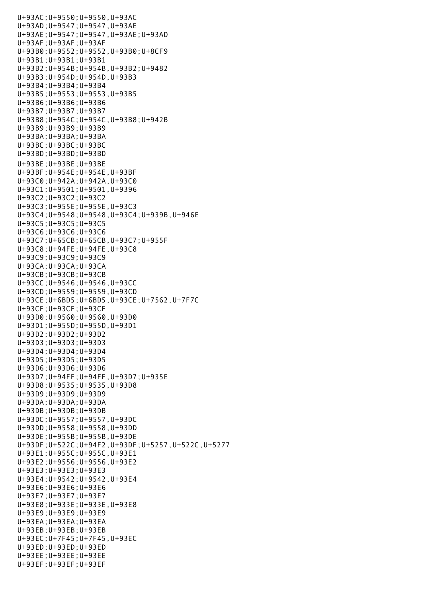U+93AC;U+9550;U+9550,U+93AC U+93AD;U+9547;U+9547,U+93AE U+93AE;U+9547;U+9547,U+93AE;U+93AD U+93AF;U+93AF;U+93AF U+93B0;U+9552;U+9552,U+93B0;U+8CF9 U+93B1;U+93B1;U+93B1 U+93B2;U+954B;U+954B,U+93B2;U+9482 U+93B3;U+954D;U+954D,U+93B3 U+93B4;U+93B4;U+93B4 U+93B5;U+9553;U+9553,U+93B5 U+93B6;U+93B6;U+93B6 U+93B7;U+93B7;U+93B7 U+93B8;U+954C;U+954C,U+93B8;U+942B U+93B9;U+93B9;U+93B9 U+93BA;U+93BA;U+93BA U+93BC;U+93BC;U+93BC U+93BD;U+93BD;U+93BD U+93BE;U+93BE;U+93BE U+93BF;U+954E;U+954E,U+93BF U+93C0;U+942A;U+942A,U+93C0 U+93C1;U+9501;U+9501,U+9396 U+93C2;U+93C2;U+93C2 U+93C3;U+955E;U+955E,U+93C3 U+93C4;U+9548;U+9548,U+93C4;U+939B,U+946E U+93C5;U+93C5;U+93C5 U+93C6;U+93C6;U+93C6 U+93C7;U+65CB;U+65CB,U+93C7;U+955F U+93C8;U+94FE;U+94FE,U+93C8 U+93C9;U+93C9;U+93C9 U+93CA;U+93CA;U+93CA U+93CB;U+93CB;U+93CB U+93CC;U+9546;U+9546,U+93CC U+93CD;U+9559;U+9559,U+93CD U+93CE;U+6BD5;U+6BD5,U+93CE;U+7562,U+7F7C U+93CF;U+93CF;U+93CF U+93D0;U+9560;U+9560,U+93D0 U+93D1;U+955D;U+955D,U+93D1 U+93D2;U+93D2;U+93D2 U+93D3;U+93D3;U+93D3 U+93D4;U+93D4;U+93D4 U+93D5;U+93D5;U+93D5 U+93D6;U+93D6;U+93D6 U+93D7;U+94FF;U+94FF,U+93D7;U+935E U+93D8;U+9535;U+9535,U+93D8 U+93D9;U+93D9;U+93D9 U+93DA;U+93DA;U+93DA U+93DB;U+93DB;U+93DB U+93DC;U+9557;U+9557,U+93DC U+93DD;U+9558;U+9558,U+93DD U+93DE;U+955B;U+955B,U+93DE U+93DF;U+522C;U+94F2,U+93DF;U+5257,U+522C,U+5277 U+93E1;U+955C;U+955C,U+93E1 U+93E2;U+9556;U+9556,U+93E2 U+93E3;U+93E3;U+93E3 U+93E4;U+9542;U+9542,U+93E4 U+93E6;U+93E6;U+93E6 U+93E7;U+93E7;U+93E7 U+93E8;U+933E;U+933E,U+93E8 U+93E9;U+93E9;U+93E9 U+93EA;U+93EA;U+93EA U+93EB;U+93EB;U+93EB U+93EC;U+7F45;U+7F45,U+93EC U+93ED;U+93ED;U+93ED U+93EE;U+93EE;U+93EE U+93EF;U+93EF;U+93EF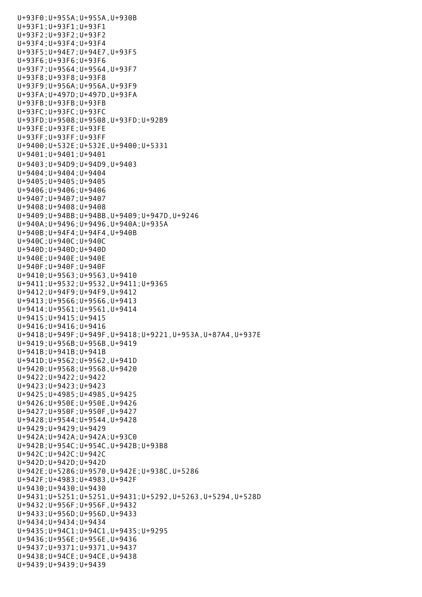U+93F0;U+955A;U+955A,U+930B U+93F1;U+93F1;U+93F1 U+93F2;U+93F2;U+93F2 U+93F4;U+93F4;U+93F4 U+93F5;U+94E7;U+94E7,U+93F5 U+93F6;U+93F6;U+93F6 U+93F7;U+9564;U+9564,U+93F7 U+93F8;U+93F8;U+93F8 U+93F9;U+956A;U+956A,U+93F9 U+93FA;U+497D;U+497D,U+93FA U+93FB;U+93FB;U+93FB U+93FC;U+93FC;U+93FC U+93FD;U+9508;U+9508,U+93FD;U+92B9 U+93FE;U+93FE;U+93FE U+93FF;U+93FF;U+93FF U+9400;U+532E;U+532E,U+9400;U+5331 U+9401;U+9401;U+9401 U+9403;U+94D9;U+94D9,U+9403 U+9404;U+9404;U+9404 U+9405;U+9405;U+9405 U+9406;U+9406;U+9406 U+9407;U+9407;U+9407 U+9408;U+9408;U+9408 U+9409;U+94BB;U+94BB,U+9409;U+947D,U+9246 U+940A;U+9496;U+9496,U+940A;U+935A U+940B;U+94F4;U+94F4,U+940B U+940C;U+940C;U+940C U+940D;U+940D;U+940D U+940E;U+940E;U+940E U+940F;U+940F;U+940F U+9410;U+9563;U+9563,U+9410 U+9411;U+9532;U+9532,U+9411;U+9365 U+9412;U+94F9;U+94F9,U+9412 U+9413;U+9566;U+9566,U+9413 U+9414;U+9561;U+9561,U+9414 U+9415;U+9415;U+9415 U+9416;U+9416;U+9416 U+9418;U+949F;U+949F,U+9418;U+9221,U+953A,U+87A4,U+937E U+9419;U+956B;U+956B,U+9419 U+941B;U+941B;U+941B U+941D;U+9562;U+9562,U+941D U+9420;U+9568;U+9568,U+9420 U+9422;U+9422;U+9422 U+9423;U+9423;U+9423 U+9425;U+4985;U+4985,U+9425 U+9426;U+950E;U+950E,U+9426 U+9427;U+950F;U+950F,U+9427 U+9428;U+9544;U+9544,U+9428 U+9429;U+9429;U+9429 U+942A;U+942A;U+942A;U+93C0 U+942B;U+954C;U+954C,U+942B;U+93B8 U+942C;U+942C;U+942C U+942D;U+942D;U+942D U+942E;U+5286;U+9570,U+942E;U+938C,U+5286 U+942F;U+4983;U+4983,U+942F U+9430;U+9430;U+9430 U+9431;U+5251;U+5251,U+9431;U+5292,U+5263,U+5294,U+528D U+9432;U+956F;U+956F,U+9432 U+9433;U+956D;U+956D,U+9433 U+9434;U+9434;U+9434 U+9435;U+94C1;U+94C1,U+9435;U+9295 U+9436;U+956E;U+956E,U+9436 U+9437;U+9371;U+9371,U+9437 U+9438;U+94CE;U+94CE,U+9438 U+9439;U+9439;U+9439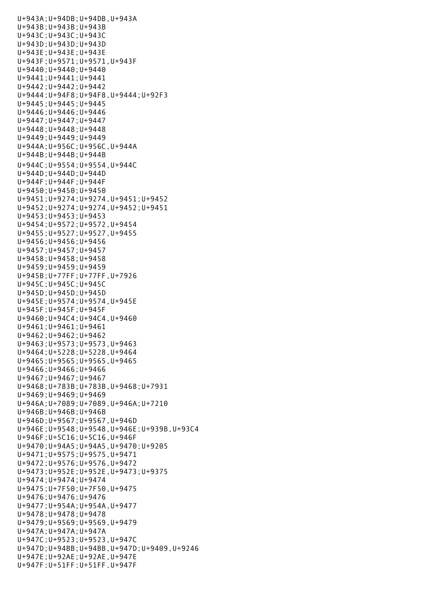U+943A;U+94DB;U+94DB,U+943A U+943B;U+943B;U+943B U+943C;U+943C;U+943C U+943D;U+943D;U+943D U+943E;U+943E;U+943E U+943F;U+9571;U+9571,U+943F U+9440;U+9440;U+9440 U+9441;U+9441;U+9441 U+9442;U+9442;U+9442 U+9444;U+94F8;U+94F8,U+9444;U+92F3 U+9445;U+9445;U+9445 U+9446;U+9446;U+9446 U+9447;U+9447;U+9447 U+9448;U+9448;U+9448 U+9449;U+9449;U+9449 U+944A;U+956C;U+956C,U+944A U+944B;U+944B;U+944B U+944C;U+9554;U+9554,U+944C U+944D;U+944D;U+944D U+944F;U+944F;U+944F U+9450;U+9450;U+9450 U+9451;U+9274;U+9274,U+9451;U+9452 U+9452;U+9274;U+9274,U+9452;U+9451 U+9453;U+9453;U+9453 U+9454;U+9572;U+9572,U+9454 U+9455;U+9527;U+9527,U+9455 U+9456;U+9456;U+9456 U+9457;U+9457;U+9457 U+9458;U+9458;U+9458 U+9459;U+9459;U+9459 U+945B;U+77FF;U+77FF,U+7926 U+945C;U+945C;U+945C U+945D;U+945D;U+945D U+945E;U+9574;U+9574,U+945E U+945F;U+945F;U+945F U+9460;U+94C4;U+94C4,U+9460 U+9461;U+9461;U+9461 U+9462;U+9462;U+9462 U+9463;U+9573;U+9573,U+9463 U+9464;U+5228;U+5228,U+9464 U+9465;U+9565;U+9565,U+9465 U+9466;U+9466;U+9466 U+9467;U+9467;U+9467 U+9468;U+783B;U+783B,U+9468;U+7931 U+9469;U+9469;U+9469 U+946A;U+7089;U+7089,U+946A;U+7210 U+946B;U+946B;U+946B U+946D;U+9567;U+9567,U+946D U+946E;U+9548;U+9548,U+946E;U+939B,U+93C4 U+946F;U+5C16;U+5C16,U+946F U+9470;U+94A5;U+94A5,U+9470;U+9205 U+9471;U+9575;U+9575,U+9471 U+9472;U+9576;U+9576,U+9472 U+9473;U+952E;U+952E,U+9473;U+9375 U+9474;U+9474;U+9474 U+9475;U+7F50;U+7F50,U+9475 U+9476;U+9476;U+9476 U+9477;U+954A;U+954A,U+9477 U+9478;U+9478;U+9478 U+9479;U+9569;U+9569,U+9479 U+947A;U+947A;U+947A U+947C;U+9523;U+9523,U+947C U+947D;U+94BB;U+94BB,U+947D;U+9409,U+9246 U+947E;U+92AE;U+92AE,U+947E U+947F;U+51FF;U+51FF,U+947F

U+9439;U+9439;U+9439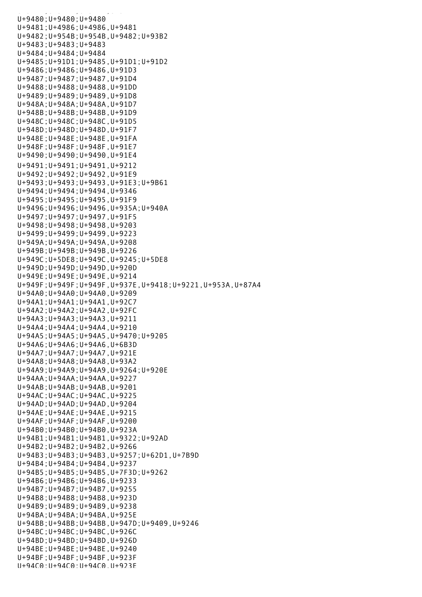$U_{\rm{eff}}$  =  $U_{\rm{eff}}$   $\sim$   $U_{\rm{eff}}$   $\sim$   $U_{\rm{eff}}$   $\sim$   $U_{\rm{eff}}$ U+9480;U+9480;U+9480 U+9481;U+4986;U+4986,U+9481 U+9482;U+954B;U+954B,U+9482;U+93B2 U+9483;U+9483;U+9483 U+9484;U+9484;U+9484 U+9485;U+91D1;U+9485,U+91D1;U+91D2 U+9486;U+9486;U+9486,U+91D3 U+9487;U+9487;U+9487,U+91D4 U+9488;U+9488;U+9488,U+91DD U+9489;U+9489;U+9489,U+91D8 U+948A;U+948A;U+948A,U+91D7 U+948B;U+948B;U+948B,U+91D9 U+948C;U+948C;U+948C,U+91D5 U+948D;U+948D;U+948D,U+91F7 U+948E;U+948E;U+948E,U+91FA U+948F;U+948F;U+948F,U+91E7 U+9490;U+9490;U+9490,U+91E4 U+9491;U+9491;U+9491,U+9212 U+9492;U+9492;U+9492,U+91E9 U+9493;U+9493;U+9493,U+91E3;U+9B61 U+9494;U+9494;U+9494,U+9346 U+9495;U+9495;U+9495,U+91F9 U+9496;U+9496;U+9496,U+935A;U+940A U+9497;U+9497;U+9497,U+91F5 U+9498;U+9498;U+9498,U+9203 U+9499;U+9499;U+9499,U+9223 U+949A;U+949A;U+949A,U+9208 U+949B;U+949B;U+949B,U+9226 U+949C;U+5DE8;U+949C,U+9245;U+5DE8 U+949D;U+949D;U+949D,U+920D U+949E;U+949E;U+949E,U+9214 U+949F;U+949F;U+949F,U+937E,U+9418;U+9221,U+953A,U+87A4 U+94A0;U+94A0;U+94A0,U+9209 U+94A1;U+94A1;U+94A1,U+92C7 U+94A2;U+94A2;U+94A2,U+92FC U+94A3;U+94A3;U+94A3,U+9211 U+94A4;U+94A4;U+94A4,U+9210 U+94A5;U+94A5;U+94A5,U+9470;U+9205 U+94A6;U+94A6;U+94A6,U+6B3D U+94A7;U+94A7;U+94A7,U+921E U+94A8;U+94A8;U+94A8,U+93A2 U+94A9;U+94A9;U+94A9,U+9264;U+920E U+94AA;U+94AA;U+94AA,U+9227 U+94AB;U+94AB;U+94AB,U+9201 U+94AC;U+94AC;U+94AC,U+9225 U+94AD;U+94AD;U+94AD,U+9204 U+94AE;U+94AE;U+94AE,U+9215 U+94AF;U+94AF;U+94AF,U+9200 U+94B0;U+94B0;U+94B0,U+923A U+94B1;U+94B1;U+94B1,U+9322;U+92AD U+94B2;U+94B2;U+94B2,U+9266 U+94B3;U+94B3;U+94B3,U+9257;U+62D1,U+7B9D U+94B4;U+94B4;U+94B4,U+9237 U+94B5;U+94B5;U+94B5,U+7F3D;U+9262 U+94B6;U+94B6;U+94B6,U+9233 U+94B7;U+94B7;U+94B7,U+9255 U+94B8;U+94B8;U+94B8,U+923D U+94B9;U+94B9;U+94B9,U+9238 U+94BA;U+94BA;U+94BA,U+925E U+94BB;U+94BB;U+94BB,U+947D;U+9409,U+9246 U+94BC;U+94BC;U+94BC,U+926C U+94BD;U+94BD;U+94BD,U+926D U+94BE;U+94BE;U+94BE,U+9240 U+94BF;U+94BF;U+94BF,U+923F U+94C0;U+94C0;U+94C0,U+923E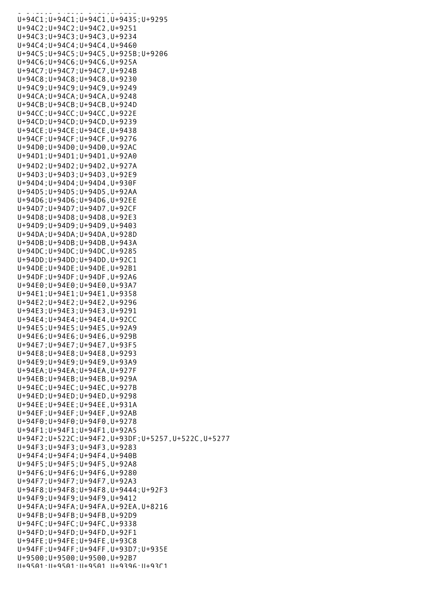U+94C0;U+94C0;U+94C0,U+923E U+94C1;U+94C1;U+94C1,U+9435;U+9295 U+94C2;U+94C2;U+94C2,U+9251 U+94C3;U+94C3;U+94C3,U+9234 U+94C4;U+94C4;U+94C4,U+9460 U+94C5;U+94C5;U+94C5,U+925B;U+9206 U+94C6;U+94C6;U+94C6,U+925A U+94C7;U+94C7;U+94C7,U+924B U+94C8;U+94C8;U+94C8,U+9230 U+94C9;U+94C9;U+94C9,U+9249 U+94CA;U+94CA;U+94CA,U+9248 U+94CB;U+94CB;U+94CB,U+924D U+94CC;U+94CC;U+94CC,U+922E U+94CD;U+94CD;U+94CD,U+9239 U+94CE;U+94CE;U+94CE,U+9438 U+94CF;U+94CF;U+94CF,U+9276 U+94D0;U+94D0;U+94D0,U+92AC U+94D1;U+94D1;U+94D1,U+92A0 U+94D2;U+94D2;U+94D2,U+927A U+94D3;U+94D3;U+94D3,U+92E9 U+94D4;U+94D4;U+94D4,U+930F U+94D5;U+94D5;U+94D5,U+92AA U+94D6;U+94D6;U+94D6,U+92EE U+94D7;U+94D7;U+94D7,U+92CF U+94D8;U+94D8;U+94D8,U+92E3 U+94D9;U+94D9;U+94D9,U+9403 U+94DA;U+94DA;U+94DA,U+928D U+94DB;U+94DB;U+94DB,U+943A U+94DC;U+94DC;U+94DC,U+9285 U+94DD;U+94DD;U+94DD,U+92C1 U+94DE;U+94DE;U+94DE,U+92B1 U+94DF;U+94DF;U+94DF,U+92A6 U+94E0;U+94E0;U+94E0,U+93A7 U+94E1;U+94E1;U+94E1,U+9358 U+94E2;U+94E2;U+94E2,U+9296 U+94E3;U+94E3;U+94E3,U+9291 U+94E4;U+94E4;U+94E4,U+92CC U+94E5;U+94E5;U+94E5,U+92A9 U+94E6;U+94E6;U+94E6,U+929B U+94E7;U+94E7;U+94E7,U+93F5 U+94E8;U+94E8;U+94E8,U+9293 U+94E9;U+94E9;U+94E9,U+93A9 U+94EA;U+94EA;U+94EA,U+927F U+94EB;U+94EB;U+94EB,U+929A U+94EC;U+94EC;U+94EC,U+927B U+94ED;U+94ED;U+94ED,U+9298 U+94EE;U+94EE;U+94EE,U+931A U+94EF;U+94EF;U+94EF,U+92AB U+94F0;U+94F0;U+94F0,U+9278 U+94F1;U+94F1;U+94F1,U+92A5 U+94F2;U+522C;U+94F2,U+93DF;U+5257,U+522C,U+5277 U+94F3;U+94F3;U+94F3,U+9283 U+94F4;U+94F4;U+94F4,U+940B U+94F5;U+94F5;U+94F5,U+92A8 U+94F6;U+94F6;U+94F6,U+9280 U+94F7;U+94F7;U+94F7,U+92A3 U+94F8;U+94F8;U+94F8,U+9444;U+92F3 U+94F9;U+94F9;U+94F9,U+9412 U+94FA;U+94FA;U+94FA,U+92EA,U+8216 U+94FB;U+94FB;U+94FB,U+92D9 U+94FC;U+94FC;U+94FC,U+9338 U+94FD;U+94FD;U+94FD,U+92F1 U+94FE;U+94FE;U+94FE,U+93C8 U+94FF;U+94FF;U+94FF,U+93D7;U+935E U+9500;U+9500;U+9500,U+92B7 U+9501;U+9501;U+9501,U+9396;U+93C1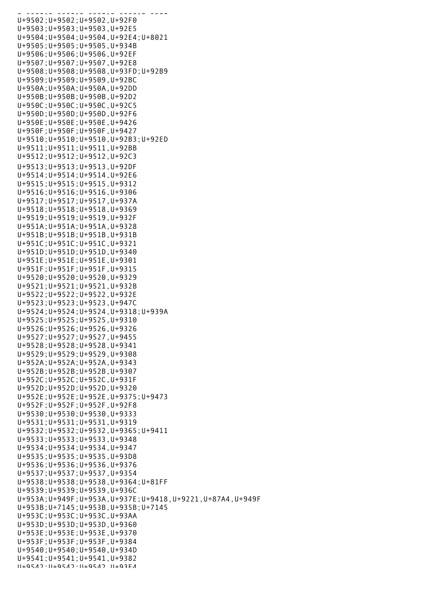| a - podaju - podaju - podaju - podaju - poda                   |
|----------------------------------------------------------------|
| U+9502; U+9502; U+9502, U+92F0                                 |
| $U+9503; U+9503; U+9503; U+92E5$                               |
| U+9504; U+9504; U+9504, U+92E4; U+8021                         |
| $U+9505$ ; $U+9505$ ; $U+9505$ , $U+934B$                      |
| U+9506; U+9506; U+9506, U+92EF                                 |
|                                                                |
| U+9507; U+9507; U+9507, U+92E8                                 |
| U+9508; U+9508; U+9508, U+93FD; U+92B9                         |
| $U+9509; U+9509; U+9509, U+92BC$                               |
| U+950A; U+950A; U+950A, U+92DD                                 |
|                                                                |
| U+950B; U+950B; U+950B, U+92D2                                 |
| U+950C; U+950C; U+950C, U+92C5                                 |
| $U+950D$ ; $U+950D$ ; $U+950D$ , $U+92F6$                      |
| U+950E; U+950E; U+950E, U+9426                                 |
|                                                                |
| U+950F; U+950F; U+950F, U+9427                                 |
| U+9510; U+9510; U+9510, U+92B3; U+92ED                         |
| U+9511; U+9511; U+9511, U+92BB                                 |
| U+9512; U+9512; U+9512, U+92C3                                 |
|                                                                |
| U+9513; U+9513; U+9513, U+92DF                                 |
| U+9514; U+9514; U+9514, U+92E6                                 |
| U+9515; U+9515; U+9515, U+9312                                 |
| $U+9516$ ; $U+9516$ ; $U+9516$ , $U+9306$                      |
| U+9517; U+9517; U+9517, U+937A                                 |
|                                                                |
| U+9518; U+9518; U+9518, U+9369                                 |
| U+9519; U+9519; U+9519, U+932F                                 |
| U+951A; U+951A; U+951A, U+9328                                 |
| U+951B; U+951B; U+951B, U+931B                                 |
| U+951C; U+951C; U+951C, U+9321                                 |
| $U+951D; U+951D; U+951D; U+9340$                               |
|                                                                |
| U+951E; U+951E; U+951E, U+9301                                 |
| U+951F; U+951F; U+951F, U+9315                                 |
| U+9520; U+9520; U+9520, U+9329                                 |
| U+9521; U+9521; U+9521, U+932B                                 |
| U+9522; U+9522; U+9522, U+932E                                 |
| $U+9523; U+9523; U+9523; U+947C$                               |
| U+9524; U+9524; U+9524, U+9318; U+939A                         |
|                                                                |
| U+9525; U+9525; U+9525, U+9310                                 |
| U+9526;U+9526;U+9526,U+9326                                    |
| $U+9527; U+9527; U+9527, U+9455$                               |
| $U+9528$ ; $U+9528$ ; $U+9528$ , $U+9341$                      |
| U+9529; U+9529; U+9529, U+9308                                 |
|                                                                |
| U+952A; U+952A; U+952A, U+9343                                 |
| U+952B; U+952B; U+952B, U+9307                                 |
| U+952C; U+952C; U+952C, U+931F                                 |
| $U+952D; U+952D; U+952D; U+9320$                               |
| U+952E; U+952E; U+952E, U+9375; U+9473                         |
| U+952F; U+952F; U+952F, U+92F8                                 |
|                                                                |
| $U+9530$ ; $U+9530$ ; $U+9530$ , $U+9333$                      |
| $U+9531; U+9531; U+9531; U+9319$                               |
| U+9532; U+9532; U+9532, U+9365; U+9411                         |
| $U+9533; U+9533; U+9533; U+9348$                               |
| U+9534; U+9534; U+9534, U+9347                                 |
| $U+9535$ ; $U+9535$ ; $U+9535$ , $U+93D8$                      |
|                                                                |
| $U+9536$ ; $U+9536$ ; $U+9536$ , $U+9376$                      |
| U+9537; U+9537; U+9537, U+9354                                 |
| U+9538; U+9538; U+9538, U+9364; U+81FF                         |
| $U+9539; U+9539; U+9539, U+936C$                               |
| U+953A; U+949F; U+953A, U+937E; U+9418, U+9221, U+87A4, U+949F |
| U+953B; U+7145; U+953B, U+935B; U+7145                         |
|                                                                |
| U+953C; U+953C; U+953C, U+93AA                                 |
| $U+953D; U+953D; U+953D; U+9360$                               |
| U+953E; U+953E; U+953E, U+9370                                 |
| U+953F; U+953F; U+953F, U+9384                                 |
| $U+9540$ ; $U+9540$ ; $U+9540$ , $U+934D$                      |
| $U+9541; U+9541; U+9541; U+9382$                               |
| 11+9547.11+9547.11+9547.11+93F4                                |
|                                                                |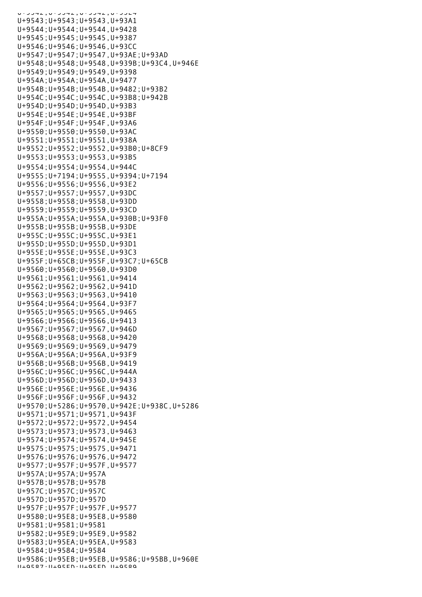| u · Junz , u · Junz , u · Junz , u · Julin |                                                |
|--------------------------------------------|------------------------------------------------|
| U+9543; U+9543; U+9543, U+93A1             |                                                |
| $U+9544; U+9544; U+9544, U+9428$           |                                                |
| U+9545; U+9545; U+9545, U+9387             |                                                |
| U+9546; U+9546; U+9546, U+93CC             |                                                |
|                                            | U+9547; U+9547; U+9547, U+93AE; U+93AD         |
|                                            |                                                |
|                                            | U+9548; U+9548; U+9548, U+939B; U+93C4, U+946E |
| U+9549; U+9549; U+9549, U+9398             |                                                |
| U+954A; U+954A; U+954A, U+9477             |                                                |
|                                            | U+954B; U+954B; U+954B, U+9482; U+93B2         |
|                                            | U+954C; U+954C; U+954C, U+93B8; U+942B         |
| U+954D; U+954D; U+954D, U+93B3             |                                                |
| U+954E; U+954E; U+954E, U+93BF             |                                                |
| U+954F; U+954F; U+954F, U+93A6             |                                                |
|                                            |                                                |
| U+9550; U+9550; U+9550, U+93AC             |                                                |
| U+9551; U+9551; U+9551, U+938A             |                                                |
|                                            | U+9552; U+9552; U+9552, U+93B0; U+8CF9         |
| $U+9553; U+9553; U+9553; U+93B5$           |                                                |
| U+9554; U+9554; U+9554, U+944C             |                                                |
|                                            | U+9555; U+7194; U+9555, U+9394; U+7194         |
| U+9556; U+9556; U+9556, U+93E2             |                                                |
| U+9557; U+9557; U+9557, U+93DC             |                                                |
|                                            |                                                |
| U+9558; U+9558; U+9558, U+93DD             |                                                |
| U+9559; U+9559; U+9559, U+93CD             |                                                |
|                                            | U+955A; U+955A; U+955A, U+930B; U+93F0         |
| U+955B; U+955B; U+955B, U+93DE             |                                                |
| U+955C; U+955C; U+955C, U+93E1             |                                                |
| U+955D; U+955D; U+955D, U+93D1             |                                                |
| U+955E; U+955E; U+955E, U+93C3             |                                                |
|                                            | U+955F; U+65CB; U+955F, U+93C7; U+65CB         |
| U+9560; U+9560; U+9560, U+93D0             |                                                |
|                                            |                                                |
| U+9561; U+9561; U+9561, U+9414             |                                                |
| U+9562; U+9562; U+9562, U+941D             |                                                |
| $U+9563; U+9563; U+9563, U+9410$           |                                                |
| U+9564; U+9564; U+9564, U+93F7             |                                                |
| U+9565; U+9565; U+9565, U+9465             |                                                |
| $U+9566$ ; $U+9566$ ; $U+9566$ , $U+9413$  |                                                |
| U+9567; U+9567; U+9567, U+946D             |                                                |
| $U+9568; U+9568; U+9568, U+9420$           |                                                |
| $U+9569; U+9569; U+9569, U+9479$           |                                                |
| $U+956A; U+956A; U+956A; U+93F9$           |                                                |
| $U+956B$ ; $U+956B$ ; $U+956B$ , $U+9419$  |                                                |
| U+956C; U+956C; U+956C, U+944A             |                                                |
|                                            |                                                |
| U+956D; U+956D; U+956D, U+9433             |                                                |
| U+956E; U+956E; U+956E, U+9436             |                                                |
| U+956F; U+956F; U+956F, U+9432             |                                                |
|                                            | U+9570;U+5286;U+9570,U+942E;U+938C,U+5286      |
| U+9571; U+9571; U+9571, U+943F             |                                                |
| $U+9572; U+9572; U+9572; U+9454$           |                                                |
| $U+9573; U+9573; U+9573; U+9463$           |                                                |
| U+9574; U+9574; U+9574, U+945E             |                                                |
| $U+9575$ ; $U+9575$ ; $U+9575$ , $U+9471$  |                                                |
| U+9576; U+9576; U+9576, U+9472             |                                                |
|                                            |                                                |
| U+9577; U+957F; U+957F, U+9577             |                                                |
| $U+957A; U+957A; U+957A$                   |                                                |
| $U+957B$ ; $U+957B$ ; $U+957B$             |                                                |
| $U+957C$ ; $U+957C$ ; $U+957C$             |                                                |
| $U+957D; U+957D; U+957D$                   |                                                |
| U+957F; U+957F; U+957F, U+9577             |                                                |
| $U+9580$ ; $U+95E8$ ; $U+95E8$ , $U+9580$  |                                                |
| $U+9581; U+9581; U+9581$                   |                                                |
| U+9582; U+95E9; U+95E9, U+9582             |                                                |
| U+9583; U+95EA; U+95EA, U+9583             |                                                |
| $U+9584; U+9584; U+9584$                   |                                                |
|                                            | U+9586; U+95EB; U+95EB, U+9586; U+95BB, U+960E |
| 11+0527.11+05FN.11+05FN 11+0520            |                                                |
|                                            |                                                |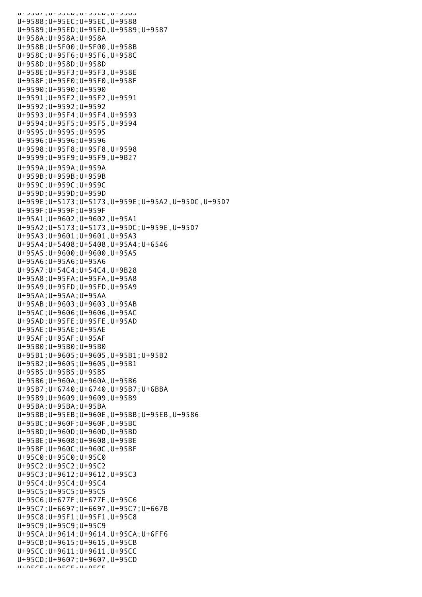U+9507;U+55ED;U+95ED;U+9505 U+9588;U+95EC;U+95EC,U+9588 U+9589;U+95ED;U+95ED,U+9589;U+9587 U+958A;U+958A;U+958A U+958B;U+5F00;U+5F00,U+958B U+958C;U+95F6;U+95F6,U+958C U+958D;U+958D;U+958D U+958E;U+95F3;U+95F3,U+958E U+958F;U+95F0;U+95F0,U+958F U+9590;U+9590;U+9590 U+9591;U+95F2;U+95F2,U+9591 U+9592;U+9592;U+9592 U+9593;U+95F4;U+95F4,U+9593 U+9594;U+95F5;U+95F5,U+9594 U+9595;U+9595;U+9595 U+9596;U+9596;U+9596 U+9598;U+95F8;U+95F8,U+9598 U+9599;U+95F9;U+95F9,U+9B27 U+959A;U+959A;U+959A U+959B;U+959B;U+959B U+959C;U+959C;U+959C U+959D;U+959D;U+959D U+959E;U+5173;U+5173,U+959E;U+95A2,U+95DC,U+95D7 U+959F;U+959F;U+959F U+95A1;U+9602;U+9602,U+95A1 U+95A2;U+5173;U+5173,U+95DC;U+959E,U+95D7 U+95A3;U+9601;U+9601,U+95A3 U+95A4;U+5408;U+5408,U+95A4;U+6546 U+95A5;U+9600;U+9600,U+95A5 U+95A6;U+95A6;U+95A6 U+95A7;U+54C4;U+54C4,U+9B28 U+95A8;U+95FA;U+95FA,U+95A8 U+95A9;U+95FD;U+95FD,U+95A9 U+95AA;U+95AA;U+95AA U+95AB;U+9603;U+9603,U+95AB U+95AC;U+9606;U+9606,U+95AC U+95AD;U+95FE;U+95FE,U+95AD U+95AE;U+95AE;U+95AE U+95AF;U+95AF;U+95AF U+95B0;U+95B0;U+95B0 U+95B1;U+9605;U+9605,U+95B1;U+95B2 U+95B2;U+9605;U+9605,U+95B1 U+95B5;U+95B5;U+95B5 U+95B6;U+960A;U+960A,U+95B6 U+95B7;U+6740;U+6740,U+95B7;U+6BBA U+95B9;U+9609;U+9609,U+95B9 U+95BA;U+95BA;U+95BA U+95BB;U+95EB;U+960E,U+95BB;U+95EB,U+9586 U+95BC;U+960F;U+960F,U+95BC U+95BD;U+960D;U+960D,U+95BD U+95BE;U+9608;U+9608,U+95BE U+95BF;U+960C;U+960C,U+95BF U+95C0;U+95C0;U+95C0 U+95C2;U+95C2;U+95C2 U+95C3;U+9612;U+9612,U+95C3 U+95C4;U+95C4;U+95C4 U+95C5;U+95C5;U+95C5 U+95C6;U+677F;U+677F,U+95C6 U+95C7;U+6697;U+6697,U+95C7;U+667B U+95C8;U+95F1;U+95F1,U+95C8 U+95C9;U+95C9;U+95C9 U+95CA;U+9614;U+9614,U+95CA;U+6FF6 U+95CB;U+9615;U+9615,U+95CB U+95CC;U+9611;U+9611,U+95CC U+95CD;U+9607;U+9607,U+95CD U+95CE;U+95CE;U+95CE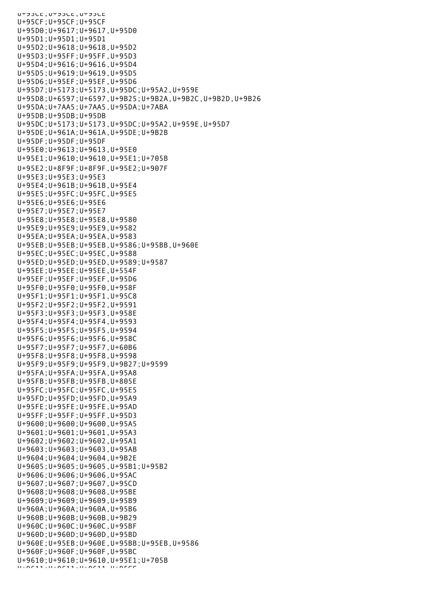U+95CE;U+95CE;U+95CE U+95CF;U+95CF;U+95CF U+95D0;U+9617;U+9617,U+95D0 U+95D1;U+95D1;U+95D1 U+95D2;U+9618;U+9618,U+95D2 U+95D3;U+95FF;U+95FF,U+95D3 U+95D4;U+9616;U+9616,U+95D4 U+95D5;U+9619;U+9619,U+95D5 U+95D6;U+95EF;U+95EF,U+95D6 U+95D7;U+5173;U+5173,U+95DC;U+95A2,U+959E U+95D8;U+6597;U+6597,U+9B25;U+9B2A,U+9B2C,U+9B2D,U+9B26 U+95DA;U+7AA5;U+7AA5,U+95DA;U+7ABA  $U+95DB:U+95DB:U+95DB$ U+95DC;U+5173;U+5173,U+95DC;U+95A2,U+959E,U+95D7 U+95DE;U+961A;U+961A,U+95DE;U+9B2B U+95DF;U+95DF;U+95DF U+95E0;U+9613;U+9613,U+95E0 U+95E1;U+9610;U+9610,U+95E1;U+705B U+95E2;U+8F9F;U+8F9F,U+95E2;U+907F U+95E3;U+95E3;U+95E3 U+95E4;U+961B;U+961B,U+95E4 U+95E5;U+95FC;U+95FC,U+95E5 U+95E6;U+95E6;U+95E6 U+95E7;U+95E7;U+95E7 U+95E8;U+95E8;U+95E8,U+9580 U+95E9;U+95E9;U+95E9,U+9582 U+95EA;U+95EA;U+95EA,U+9583 U+95EB;U+95EB;U+95EB,U+9586;U+95BB,U+960E U+95EC;U+95EC;U+95EC,U+9588 U+95ED;U+95ED;U+95ED,U+9589;U+9587 U+95EE;U+95EE;U+95EE,U+554F U+95EF;U+95EF;U+95EF,U+95D6 U+95F0;U+95F0;U+95F0,U+958F U+95F1;U+95F1;U+95F1,U+95C8 U+95F2;U+95F2;U+95F2,U+9591 U+95F3;U+95F3;U+95F3,U+958E U+95F4;U+95F4;U+95F4,U+9593 U+95F5;U+95F5;U+95F5,U+9594 U+95F6;U+95F6;U+95F6,U+958C U+95F7;U+95F7;U+95F7,U+60B6 U+95F8;U+95F8;U+95F8,U+9598 U+95F9;U+95F9;U+95F9,U+9B27;U+9599 U+95FA;U+95FA;U+95FA,U+95A8 U+95FB;U+95FB;U+95FB,U+805E U+95FC;U+95FC;U+95FC,U+95E5 U+95FD;U+95FD;U+95FD,U+95A9 U+95FE;U+95FE;U+95FE,U+95AD U+95FF;U+95FF;U+95FF,U+95D3 U+9600;U+9600;U+9600,U+95A5 U+9601;U+9601;U+9601,U+95A3 U+9602;U+9602;U+9602,U+95A1 U+9603;U+9603;U+9603,U+95AB U+9604;U+9604;U+9604,U+9B2E U+9605;U+9605;U+9605,U+95B1;U+95B2 U+9606;U+9606;U+9606,U+95AC U+9607;U+9607;U+9607,U+95CD U+9608;U+9608;U+9608,U+95BE U+9609;U+9609;U+9609,U+95B9 U+960A;U+960A;U+960A,U+95B6 U+960B;U+960B;U+960B,U+9B29 U+960C;U+960C;U+960C,U+95BF U+960D;U+960D;U+960D,U+95BD U+960E;U+95EB;U+960E,U+95BB;U+95EB,U+9586 U+960F;U+960F;U+960F,U+95BC U+9610;U+9610;U+9610,U+95E1;U+705B U+9611;U+9611;U+9611,U+95CC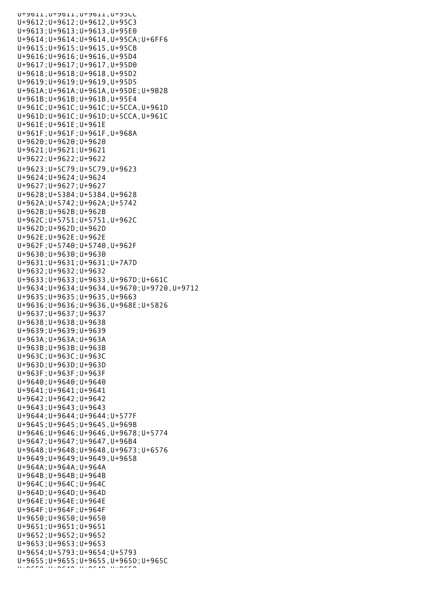U+9611;U+9611;U+9611,U+95CC U+9612;U+9612;U+9612,U+95C3 U+9613;U+9613;U+9613,U+95E0 U+9614;U+9614;U+9614,U+95CA;U+6FF6 U+9615;U+9615;U+9615,U+95CB U+9616;U+9616;U+9616,U+95D4 U+9617;U+9617;U+9617,U+95D0 U+9618;U+9618;U+9618,U+95D2 U+9619;U+9619;U+9619,U+95D5 U+961A;U+961A;U+961A,U+95DE;U+9B2B U+961B;U+961B;U+961B,U+95E4 U+961C;U+961C;U+961C;U+5CCA,U+961D U+961D;U+961C;U+961D;U+5CCA,U+961C U+961E;U+961E;U+961E U+961F;U+961F;U+961F,U+968A U+9620;U+9620;U+9620 U+9621;U+9621;U+9621 U+9622;U+9622;U+9622 U+9623;U+5C79;U+5C79,U+9623 U+9624;U+9624;U+9624 U+9627;U+9627;U+9627 U+9628;U+5384;U+5384,U+9628 U+962A;U+5742;U+962A;U+5742 U+962B;U+962B;U+962B U+962C;U+5751;U+5751,U+962C U+962D;U+962D;U+962D U+962E;U+962E;U+962E U+962F;U+5740;U+5740,U+962F U+9630;U+9630;U+9630 U+9631;U+9631;U+9631;U+7A7D U+9632;U+9632;U+9632 U+9633;U+9633;U+9633,U+967D;U+661C U+9634;U+9634;U+9634,U+9670;U+9720,U+9712 U+9635;U+9635;U+9635,U+9663 U+9636;U+9636;U+9636,U+968E;U+5826 U+9637;U+9637;U+9637 U+9638;U+9638;U+9638 U+9639;U+9639;U+9639 U+963A;U+963A;U+963A U+963B;U+963B;U+963B U+963C;U+963C;U+963C U+963D;U+963D;U+963D U+963F;U+963F;U+963F U+9640;U+9640;U+9640 U+9641;U+9641;U+9641 U+9642;U+9642;U+9642 U+9643;U+9643;U+9643 U+9644;U+9644;U+9644;U+577F U+9645;U+9645;U+9645,U+969B U+9646;U+9646;U+9646,U+9678;U+5774 U+9647;U+9647;U+9647,U+96B4 U+9648;U+9648;U+9648,U+9673;U+6576 U+9649;U+9649;U+9649,U+9658 U+964A;U+964A;U+964A U+964B;U+964B;U+964B U+964C;U+964C;U+964C U+964D;U+964D;U+964D U+964E;U+964E;U+964E U+964F;U+964F;U+964F U+9650;U+9650;U+9650 U+9651;U+9651;U+9651 U+9652;U+9652;U+9652 U+9653;U+9653;U+9653 U+9654;U+5793;U+9654;U+5793 U+9655;U+9655;U+9655,U+965D;U+965C  $U_{\rm H}$  and  $\sigma$  and  $\sigma$  and  $\sigma$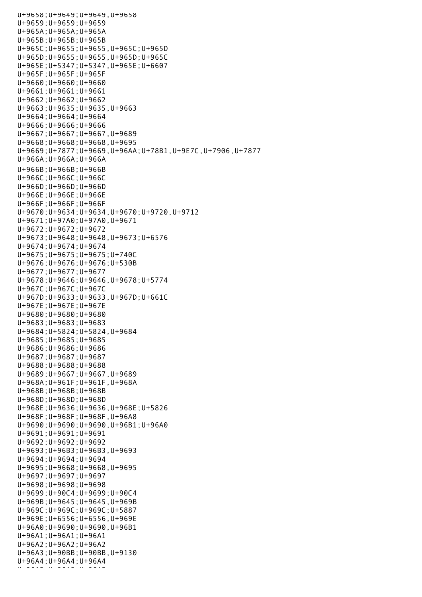U+9658;U+9649;U+9649,U+9658 U+9659;U+9659;U+9659 U+965A;U+965A;U+965A U+965B;U+965B;U+965B U+965C;U+9655;U+9655,U+965C;U+965D U+965D;U+9655;U+9655,U+965D;U+965C U+965E;U+5347;U+5347,U+965E;U+6607 U+965F;U+965F;U+965F U+9660;U+9660;U+9660 U+9661;U+9661;U+9661 U+9662;U+9662;U+9662 U+9663;U+9635;U+9635,U+9663 U+9664;U+9664;U+9664 U+9666;U+9666;U+9666 U+9667;U+9667;U+9667,U+9689 U+9668;U+9668;U+9668,U+9695 U+9669;U+7877;U+9669,U+96AA;U+78B1,U+9E7C,U+7906,U+7877 U+966A;U+966A;U+966A U+966B;U+966B;U+966B U+966C;U+966C;U+966C U+966D;U+966D;U+966D U+966E;U+966E;U+966E U+966F;U+966F;U+966F U+9670;U+9634;U+9634,U+9670;U+9720,U+9712 U+9671;U+97A0;U+97A0,U+9671 U+9672;U+9672;U+9672 U+9673;U+9648;U+9648,U+9673;U+6576 U+9674;U+9674;U+9674 U+9675;U+9675;U+9675;U+740C U+9676;U+9676;U+9676;U+530B U+9677;U+9677;U+9677 U+9678;U+9646;U+9646,U+9678;U+5774 U+967C;U+967C;U+967C U+967D;U+9633;U+9633,U+967D;U+661C U+967E;U+967E;U+967E U+9680;U+9680;U+9680 U+9683;U+9683;U+9683 U+9684;U+5824;U+5824,U+9684 U+9685;U+9685;U+9685 U+9686;U+9686;U+9686 U+9687;U+9687;U+9687 U+9688;U+9688;U+9688 U+9689;U+9667;U+9667,U+9689 U+968A;U+961F;U+961F,U+968A U+968B;U+968B;U+968B U+968D;U+968D;U+968D U+968E;U+9636;U+9636,U+968E;U+5826 U+968F;U+968F;U+968F,U+96A8 U+9690;U+9690;U+9690,U+96B1;U+96A0 U+9691;U+9691;U+9691 U+9692;U+9692;U+9692 U+9693;U+96B3;U+96B3,U+9693 U+9694;U+9694;U+9694 U+9695;U+9668;U+9668,U+9695 U+9697;U+9697;U+9697 U+9698;U+9698;U+9698 U+9699;U+90C4;U+9699;U+90C4 U+969B;U+9645;U+9645,U+969B U+969C;U+969C;U+969C;U+5887 U+969E;U+6556;U+6556,U+969E U+96A0;U+9690;U+9690,U+96B1 U+96A1;U+96A1;U+96A1 U+96A2;U+96A2;U+96A2 U+96A3;U+90BB;U+90BB,U+9130 U+96A4;U+96A4;U+96A4 U+96A5;U+96A5;U+96A5;U+96A5;U+96A5;U+96A5;U+9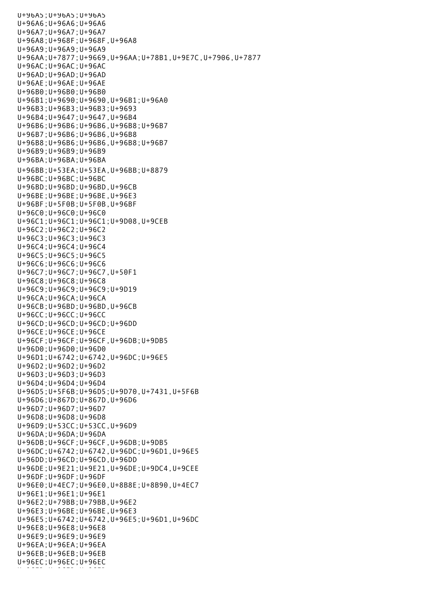U+96A5;U+96A5;U+96A5 U+96A6;U+96A6;U+96A6 U+96A7;U+96A7;U+96A7 U+96A8;U+968F;U+968F,U+96A8 U+96A9;U+96A9;U+96A9 U+96AA;U+7877;U+9669,U+96AA;U+78B1,U+9E7C,U+7906,U+7877 U+96AC;U+96AC;U+96AC U+96AD;U+96AD;U+96AD U+96AE;U+96AE;U+96AE U+96B0;U+96B0;U+96B0 U+96B1;U+9690;U+9690,U+96B1;U+96A0 U+96B3;U+96B3;U+96B3;U+9693 U+96B4;U+9647;U+9647,U+96B4 U+96B6;U+96B6;U+96B6,U+96B8;U+96B7 U+96B7;U+96B6;U+96B6,U+96B8 U+96B8;U+96B6;U+96B6,U+96B8;U+96B7 U+96B9;U+96B9;U+96B9 U+96BA;U+96BA;U+96BA U+96BB;U+53EA;U+53EA,U+96BB;U+8879 U+96BC;U+96BC;U+96BC U+96BD;U+96BD;U+96BD,U+96CB U+96BE;U+96BE;U+96BE,U+96E3 U+96BF;U+5F0B;U+5F0B,U+96BF U+96C0;U+96C0;U+96C0 U+96C1;U+96C1;U+96C1;U+9D08,U+9CEB U+96C2;U+96C2;U+96C2 U+96C3;U+96C3;U+96C3 U+96C4;U+96C4;U+96C4 U+96C5;U+96C5;U+96C5 U+96C6;U+96C6;U+96C6 U+96C7;U+96C7;U+96C7,U+50F1 U+96C8;U+96C8;U+96C8 U+96C9;U+96C9;U+96C9;U+9D19 U+96CA;U+96CA;U+96CA U+96CB;U+96BD;U+96BD,U+96CB U+96CC;U+96CC;U+96CC U+96CD;U+96CD;U+96CD;U+96DD U+96CE;U+96CE;U+96CE U+96CF;U+96CF;U+96CF,U+96DB;U+9DB5 U+96D0;U+96D0;U+96D0 U+96D1;U+6742;U+6742,U+96DC;U+96E5 U+96D2;U+96D2;U+96D2 U+96D3;U+96D3;U+96D3 U+96D4;U+96D4;U+96D4 U+96D5;U+5F6B;U+96D5;U+9D70,U+7431,U+5F6B U+96D6;U+867D;U+867D,U+96D6 U+96D7;U+96D7;U+96D7 U+96D8;U+96D8;U+96D8 U+96D9;U+53CC;U+53CC,U+96D9 U+96DA;U+96DA;U+96DA U+96DB;U+96CF;U+96CF,U+96DB;U+9DB5 U+96DC;U+6742;U+6742,U+96DC;U+96D1,U+96E5 U+96DD;U+96CD;U+96CD,U+96DD U+96DE;U+9E21;U+9E21,U+96DE;U+9DC4,U+9CEE U+96DF;U+96DF;U+96DF U+96E0;U+4EC7;U+96E0,U+8B8E;U+8B90,U+4EC7 U+96E1;U+96E1;U+96E1 U+96E2;U+79BB;U+79BB,U+96E2 U+96E3;U+96BE;U+96BE,U+96E3 U+96E5;U+6742;U+6742,U+96E5;U+96D1,U+96DC U+96E8;U+96E8;U+96E8 U+96E9;U+96E9;U+96E9 U+96EA;U+96EA;U+96EA U+96EB;U+96EB;U+96EB U+96EC;U+96EC;U+96EC U+96ED;U+96ED;U+96ED;U+96ED;<br>U+96ED;U+96ED;U+96ED;U+96ED;U+96ED;U+96ED;U+96ED;U+96ED;U+96ED;U+96ED;U+96ED;U+96ED;U+96ED;U+96ED;U+96ED;U+96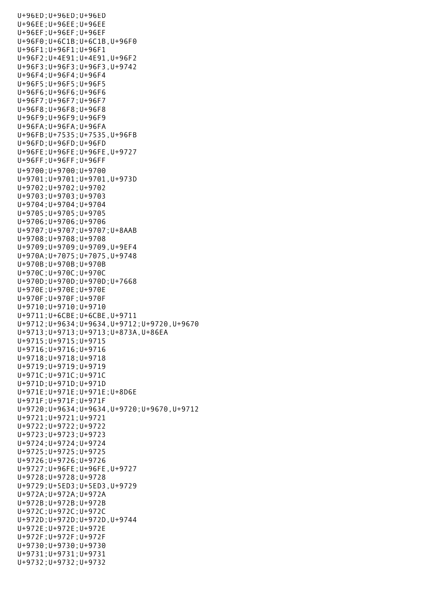U+96ED;U+96ED;U+96ED U+96EE;U+96EE;U+96EE U+96EF;U+96EF;U+96EF U+96F0;U+6C1B;U+6C1B,U+96F0 U+96F1;U+96F1;U+96F1 U+96F2;U+4E91;U+4E91,U+96F2 U+96F3;U+96F3;U+96F3,U+9742 U+96F4;U+96F4;U+96F4 U+96F5;U+96F5;U+96F5 U+96F6;U+96F6;U+96F6 U+96F7;U+96F7;U+96F7 U+96F8;U+96F8;U+96F8 U+96F9;U+96F9;U+96F9 U+96FA;U+96FA;U+96FA U+96FB;U+7535;U+7535,U+96FB U+96FD;U+96FD;U+96FD U+96FE;U+96FE;U+96FE,U+9727 U+96FF;U+96FF;U+96FF U+9700;U+9700;U+9700 U+9701;U+9701;U+9701,U+973D U+9702;U+9702;U+9702 U+9703;U+9703;U+9703 U+9704;U+9704;U+9704 U+9705;U+9705;U+9705 U+9706;U+9706;U+9706 U+9707;U+9707;U+9707;U+8AAB U+9708;U+9708;U+9708 U+9709;U+9709;U+9709,U+9EF4 U+970A;U+7075;U+7075,U+9748 U+970B;U+970B;U+970B U+970C;U+970C;U+970C U+970D;U+970D;U+970D;U+7668 U+970E;U+970E;U+970E U+970F;U+970F;U+970F U+9710;U+9710;U+9710 U+9711;U+6CBE;U+6CBE,U+9711 U+9712;U+9634;U+9634,U+9712;U+9720,U+9670 U+9713;U+9713;U+9713;U+873A,U+86EA U+9715;U+9715;U+9715 U+9716;U+9716;U+9716 U+9718;U+9718;U+9718 U+9719;U+9719;U+9719 U+971C;U+971C;U+971C U+971D;U+971D;U+971D U+971E;U+971E;U+971E;U+8D6E U+971F;U+971F;U+971F U+9720;U+9634;U+9634,U+9720;U+9670,U+9712 U+9721;U+9721;U+9721 U+9722;U+9722;U+9722 U+9723;U+9723;U+9723 U+9724;U+9724;U+9724 U+9725;U+9725;U+9725 U+9726;U+9726;U+9726 U+9727;U+96FE;U+96FE,U+9727 U+9728;U+9728;U+9728 U+9729;U+5ED3;U+5ED3,U+9729 U+972A;U+972A;U+972A U+972B;U+972B;U+972B U+972C;U+972C;U+972C U+972D;U+972D;U+972D,U+9744 U+972E;U+972E;U+972E U+972F;U+972F;U+972F U+9730;U+9730;U+9730 U+9731;U+9731;U+9731 U+9732;U+9732;U+9732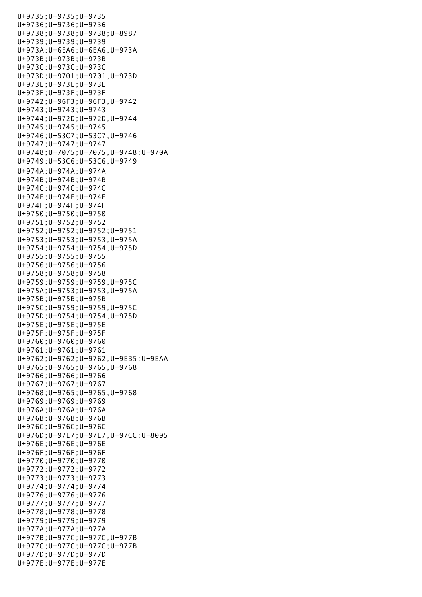U+9735;U+9735;U+9735 U+9736;U+9736;U+9736 U+9738;U+9738;U+9738;U+8987 U+9739;U+9739;U+9739 U+973A;U+6EA6;U+6EA6,U+973A U+973B;U+973B;U+973B U+973C;U+973C;U+973C U+973D;U+9701;U+9701,U+973D U+973E;U+973E;U+973E U+973F;U+973F;U+973F U+9742;U+96F3;U+96F3,U+9742 U+9743;U+9743;U+9743 U+9744;U+972D;U+972D,U+9744 U+9745;U+9745;U+9745 U+9746;U+53C7;U+53C7,U+9746 U+9747;U+9747;U+9747 U+9748;U+7075;U+7075,U+9748;U+970A U+9749;U+53C6;U+53C6,U+9749 U+974A;U+974A;U+974A U+974B;U+974B;U+974B U+974C;U+974C;U+974C U+974E;U+974E;U+974E U+974F;U+974F;U+974F U+9750;U+9750;U+9750 U+9751;U+9752;U+9752 U+9752;U+9752;U+9752;U+9751 U+9753;U+9753;U+9753,U+975A U+9754;U+9754;U+9754,U+975D U+9755;U+9755;U+9755 U+9756;U+9756;U+9756 U+9758;U+9758;U+9758 U+9759;U+9759;U+9759,U+975C U+975A;U+9753;U+9753,U+975A U+975B;U+975B;U+975B U+975C;U+9759;U+9759,U+975C U+975D;U+9754;U+9754,U+975D U+975E;U+975E;U+975E U+975F;U+975F;U+975F U+9760;U+9760;U+9760 U+9761;U+9761;U+9761 U+9762;U+9762;U+9762,U+9EB5;U+9EAA U+9765;U+9765;U+9765,U+9768 U+9766;U+9766;U+9766 U+9767;U+9767;U+9767 U+9768;U+9765;U+9765,U+9768 U+9769;U+9769;U+9769 U+976A;U+976A;U+976A U+976B;U+976B;U+976B U+976C;U+976C;U+976C U+976D;U+97E7;U+97E7,U+97CC;U+8095 U+976E;U+976E;U+976E U+976F;U+976F;U+976F U+9770;U+9770;U+9770 U+9772;U+9772;U+9772 U+9773;U+9773;U+9773 U+9774;U+9774;U+9774 U+9776;U+9776;U+9776 U+9777;U+9777;U+9777 U+9778;U+9778;U+9778 U+9779;U+9779;U+9779 U+977A;U+977A;U+977A U+977B;U+977C;U+977C,U+977B U+977C;U+977C;U+977C;U+977B U+977D;U+977D;U+977D U+977E;U+977E;U+977E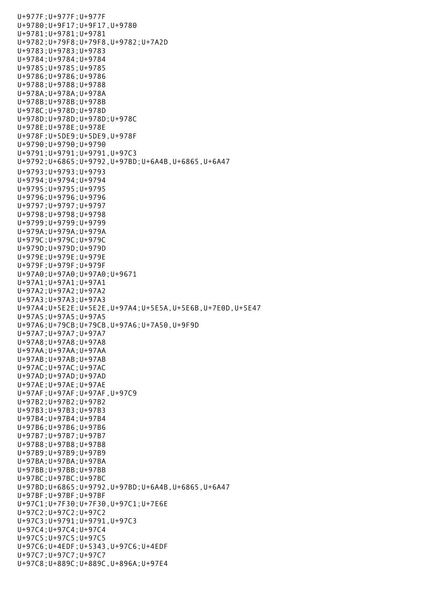U+977F;U+977F;U+977F U+9780;U+9F17;U+9F17,U+9780 U+9781;U+9781;U+9781 U+9782;U+79F8;U+79F8,U+9782;U+7A2D U+9783;U+9783;U+9783 U+9784;U+9784;U+9784 U+9785;U+9785;U+9785 U+9786;U+9786;U+9786 U+9788;U+9788;U+9788 U+978A;U+978A;U+978A U+978B;U+978B;U+978B U+978C;U+978D;U+978D U+978D;U+978D;U+978D;U+978C U+978E;U+978E;U+978E U+978F;U+5DE9;U+5DE9,U+978F U+9790;U+9790;U+9790 U+9791;U+9791;U+9791,U+97C3 U+9792;U+6865;U+9792,U+97BD;U+6A4B,U+6865,U+6A47 U+9793;U+9793;U+9793 U+9794;U+9794;U+9794 U+9795;U+9795;U+9795 U+9796;U+9796;U+9796 U+9797;U+9797;U+9797 U+9798;U+9798;U+9798 U+9799;U+9799;U+9799 U+979A;U+979A;U+979A U+979C;U+979C;U+979C U+979D;U+979D;U+979D U+979E;U+979E;U+979E U+979F;U+979F;U+979F U+97A0;U+97A0;U+97A0;U+9671 U+97A1;U+97A1;U+97A1 U+97A2;U+97A2;U+97A2 U+97A3;U+97A3;U+97A3 U+97A4;U+5E2E;U+5E2E,U+97A4;U+5E5A,U+5E6B,U+7E0D,U+5E47 U+97A5;U+97A5;U+97A5 U+97A6;U+79CB;U+79CB,U+97A6;U+7A50,U+9F9D U+97A7;U+97A7;U+97A7 U+97A8;U+97A8;U+97A8 U+97AA;U+97AA;U+97AA U+97AB;U+97AB;U+97AB U+97AC;U+97AC;U+97AC U+97AD;U+97AD;U+97AD U+97AE;U+97AE;U+97AE U+97AF;U+97AF;U+97AF,U+97C9 U+97B2;U+97B2;U+97B2 U+97B3;U+97B3;U+97B3 U+97B4;U+97B4;U+97B4 U+97B6;U+97B6;U+97B6 U+97B7;U+97B7;U+97B7 U+97B8;U+97B8;U+97B8 U+97B9;U+97B9;U+97B9 U+97BA;U+97BA;U+97BA U+97BB;U+97BB;U+97BB U+97BC;U+97BC;U+97BC U+97BD;U+6865;U+9792,U+97BD;U+6A4B,U+6865,U+6A47 U+97BF;U+97BF;U+97BF U+97C1;U+7F30;U+7F30,U+97C1;U+7E6E U+97C2;U+97C2;U+97C2 U+97C3;U+9791;U+9791,U+97C3 U+97C4;U+97C4;U+97C4 U+97C5;U+97C5;U+97C5 U+97C6;U+4EDF;U+5343,U+97C6;U+4EDF U+97C7;U+97C7;U+97C7 U+97C8;U+889C;U+889C,U+896A;U+97E4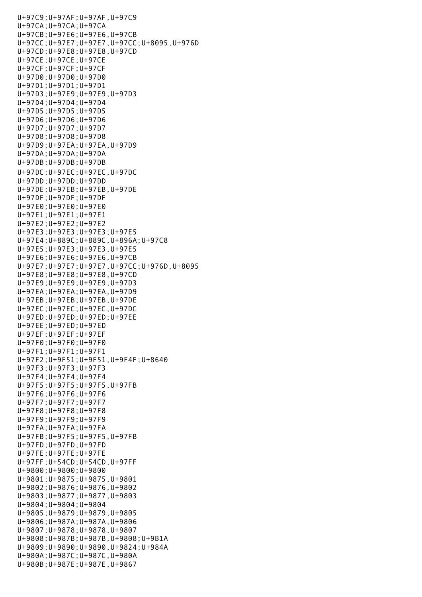U+97C9;U+97AF;U+97AF,U+97C9 U+97CA;U+97CA;U+97CA U+97CB;U+97E6;U+97E6,U+97CB U+97CC;U+97E7;U+97E7,U+97CC;U+8095,U+976D U+97CD;U+97E8;U+97E8,U+97CD U+97CE;U+97CE;U+97CE U+97CF;U+97CF;U+97CF U+97D0;U+97D0;U+97D0 U+97D1;U+97D1;U+97D1 U+97D3;U+97E9;U+97E9,U+97D3 U+97D4;U+97D4;U+97D4 U+97D5;U+97D5;U+97D5 U+97D6;U+97D6;U+97D6 U+97D7;U+97D7;U+97D7 U+97D8;U+97D8;U+97D8 U+97D9;U+97EA;U+97EA,U+97D9 U+97DA;U+97DA;U+97DA U+97DB;U+97DB;U+97DB U+97DC;U+97EC;U+97EC,U+97DC U+97DD;U+97DD;U+97DD U+97DE;U+97EB;U+97EB,U+97DE U+97DF;U+97DF;U+97DF U+97E0;U+97E0;U+97E0 U+97E1;U+97E1;U+97E1 U+97E2;U+97E2;U+97E2 U+97E3;U+97E3;U+97E3;U+97E5 U+97E4;U+889C;U+889C,U+896A;U+97C8 U+97E5;U+97E3;U+97E3,U+97E5 U+97E6;U+97E6;U+97E6,U+97CB U+97E7;U+97E7;U+97E7,U+97CC;U+976D,U+8095 U+97E8;U+97E8;U+97E8,U+97CD U+97E9;U+97E9;U+97E9,U+97D3 U+97EA;U+97EA;U+97EA,U+97D9 U+97EB;U+97EB;U+97EB,U+97DE U+97EC;U+97EC;U+97EC,U+97DC U+97ED;U+97ED;U+97ED;U+97EE U+97EE;U+97ED;U+97ED U+97EF;U+97EF;U+97EF U+97F0;U+97F0;U+97F0 U+97F1;U+97F1;U+97F1 U+97F2;U+9F51;U+9F51,U+9F4F;U+8640 U+97F3;U+97F3;U+97F3 U+97F4;U+97F4;U+97F4 U+97F5;U+97F5;U+97F5,U+97FB U+97F6;U+97F6;U+97F6 U+97F7;U+97F7;U+97F7 U+97F8;U+97F8;U+97F8 U+97F9;U+97F9;U+97F9 U+97FA;U+97FA;U+97FA U+97FB;U+97F5;U+97F5,U+97FB U+97FD;U+97FD;U+97FD U+97FE;U+97FE;U+97FE U+97FF;U+54CD;U+54CD,U+97FF U+9800;U+9800;U+9800 U+9801;U+9875;U+9875,U+9801 U+9802;U+9876;U+9876,U+9802 U+9803;U+9877;U+9877,U+9803 U+9804;U+9804;U+9804 U+9805;U+9879;U+9879,U+9805 U+9806;U+987A;U+987A,U+9806 U+9807;U+9878;U+9878,U+9807 U+9808;U+987B;U+987B,U+9808;U+9B1A U+9809;U+9890;U+9890,U+9824;U+984A U+980A;U+987C;U+987C,U+980A U+980B;U+987E;U+987E,U+9867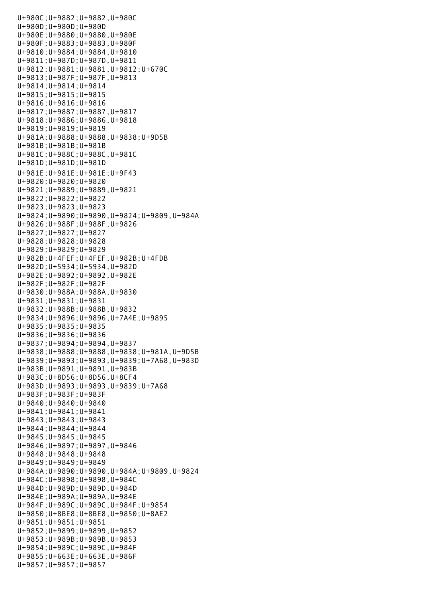U+980C;U+9882;U+9882,U+980C U+980D;U+980D;U+980D U+980E;U+9880;U+9880,U+980E U+980F;U+9883;U+9883,U+980F U+9810;U+9884;U+9884,U+9810 U+9811;U+987D;U+987D,U+9811 U+9812;U+9881;U+9881,U+9812;U+670C U+9813;U+987F;U+987F,U+9813 U+9814;U+9814;U+9814 U+9815;U+9815;U+9815 U+9816;U+9816;U+9816 U+9817;U+9887;U+9887,U+9817 U+9818;U+9886;U+9886,U+9818 U+9819;U+9819;U+9819 U+981A;U+9888;U+9888,U+9838;U+9D5B U+981B;U+981B;U+981B U+981C;U+988C;U+988C,U+981C U+981D;U+981D;U+981D U+981E;U+981E;U+981E;U+9F43 U+9820;U+9820;U+9820 U+9821;U+9889;U+9889,U+9821 U+9822;U+9822;U+9822 U+9823;U+9823;U+9823 U+9824;U+9890;U+9890,U+9824;U+9809,U+984A U+9826;U+988F;U+988F,U+9826 U+9827;U+9827;U+9827 U+9828;U+9828;U+9828 U+9829;U+9829;U+9829 U+982B;U+4FEF;U+4FEF,U+982B;U+4FDB U+982D;U+5934;U+5934,U+982D U+982E;U+9892;U+9892,U+982E U+982F;U+982F;U+982F U+9830;U+988A;U+988A,U+9830 U+9831;U+9831;U+9831 U+9832;U+988B;U+988B,U+9832 U+9834;U+9896;U+9896,U+7A4E;U+9895 U+9835;U+9835;U+9835 U+9836;U+9836;U+9836 U+9837;U+9894;U+9894,U+9837 U+9838;U+9888;U+9888,U+9838;U+981A,U+9D5B U+9839;U+9893;U+9893,U+9839;U+7A68,U+983D U+983B;U+9891;U+9891,U+983B U+983C;U+8D56;U+8D56,U+8CF4 U+983D;U+9893;U+9893,U+9839;U+7A68 U+983F;U+983F;U+983F U+9840;U+9840;U+9840 U+9841;U+9841;U+9841 U+9843;U+9843;U+9843 U+9844;U+9844;U+9844 U+9845;U+9845;U+9845 U+9846;U+9897;U+9897,U+9846 U+9848;U+9848;U+9848 U+9849;U+9849;U+9849 U+984A;U+9890;U+9890,U+984A;U+9809,U+9824 U+984C;U+9898;U+9898,U+984C U+984D;U+989D;U+989D,U+984D U+984E;U+989A;U+989A,U+984E U+984F;U+989C;U+989C,U+984F;U+9854 U+9850;U+8BE8;U+8BE8,U+9850;U+8AE2 U+9851;U+9851;U+9851 U+9852;U+9899;U+9899,U+9852 U+9853;U+989B;U+989B,U+9853 U+9854;U+989C;U+989C,U+984F U+9855;U+663E;U+663E,U+986F U+9857;U+9857;U+9857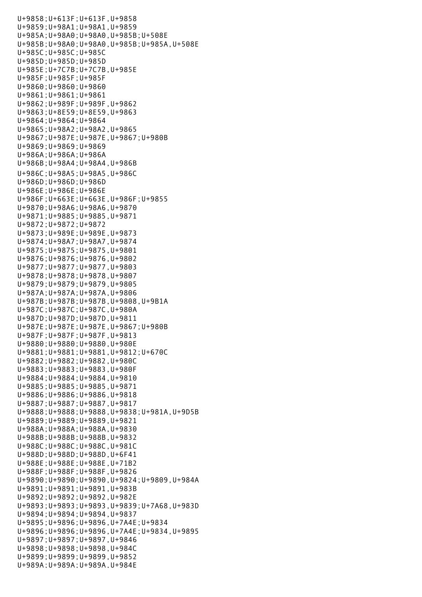U+9857;U+9857;U+9857;U+9857;U+9857;U+9857;U+9857;U+9857;U+9857;U+9857;U+9857;U+9857;U+9857;U+9857;U+9857;U+985 U+9858;U+613F;U+613F,U+9858 U+9859;U+98A1;U+98A1,U+9859 U+985A;U+98A0;U+98A0,U+985B;U+508E U+985B;U+98A0;U+98A0,U+985B;U+985A,U+508E U+985C;U+985C;U+985C U+985D;U+985D;U+985D U+985E;U+7C7B;U+7C7B,U+985E U+985F;U+985F;U+985F U+9860;U+9860;U+9860 U+9861;U+9861;U+9861 U+9862;U+989F;U+989F,U+9862 U+9863;U+8E59;U+8E59,U+9863 U+9864;U+9864;U+9864 U+9865;U+98A2;U+98A2,U+9865 U+9867;U+987E;U+987E,U+9867;U+980B U+9869;U+9869;U+9869 U+986A;U+986A;U+986A U+986B;U+98A4;U+98A4,U+986B U+986C;U+98A5;U+98A5,U+986C U+986D;U+986D;U+986D U+986E;U+986E;U+986E U+986F;U+663E;U+663E,U+986F;U+9855 U+9870;U+98A6;U+98A6,U+9870 U+9871;U+9885;U+9885,U+9871 U+9872;U+9872;U+9872 U+9873;U+989E;U+989E,U+9873 U+9874;U+98A7;U+98A7,U+9874 U+9875;U+9875;U+9875,U+9801 U+9876;U+9876;U+9876,U+9802 U+9877;U+9877;U+9877,U+9803 U+9878;U+9878;U+9878,U+9807 U+9879;U+9879;U+9879,U+9805 U+987A;U+987A;U+987A,U+9806 U+987B;U+987B;U+987B,U+9808,U+9B1A U+987C;U+987C;U+987C,U+980A U+987D;U+987D;U+987D,U+9811 U+987E;U+987E;U+987E,U+9867;U+980B U+987F;U+987F;U+987F,U+9813 U+9880;U+9880;U+9880,U+980E U+9881;U+9881;U+9881,U+9812;U+670C U+9882;U+9882;U+9882,U+980C U+9883;U+9883;U+9883,U+980F U+9884;U+9884;U+9884,U+9810 U+9885;U+9885;U+9885,U+9871 U+9886;U+9886;U+9886,U+9818 U+9887;U+9887;U+9887,U+9817 U+9888;U+9888;U+9888,U+9838;U+981A,U+9D5B U+9889;U+9889;U+9889,U+9821 U+988A;U+988A;U+988A,U+9830 U+988B;U+988B;U+988B,U+9832 U+988C;U+988C;U+988C,U+981C U+988D;U+988D;U+988D,U+6F41 U+988E;U+988E;U+988E,U+71B2 U+988F;U+988F;U+988F,U+9826 U+9890;U+9890;U+9890,U+9824;U+9809,U+984A U+9891;U+9891;U+9891,U+983B U+9892;U+9892;U+9892,U+982E U+9893;U+9893;U+9893,U+9839;U+7A68,U+983D U+9894;U+9894;U+9894,U+9837 U+9895;U+9896;U+9896,U+7A4E;U+9834 U+9896;U+9896;U+9896,U+7A4E;U+9834,U+9895 U+9897;U+9897;U+9897,U+9846 U+9898;U+9898;U+9898,U+984C U+9899;U+9899;U+9899,U+9852 U+989A;U+989A;U+989A,U+984E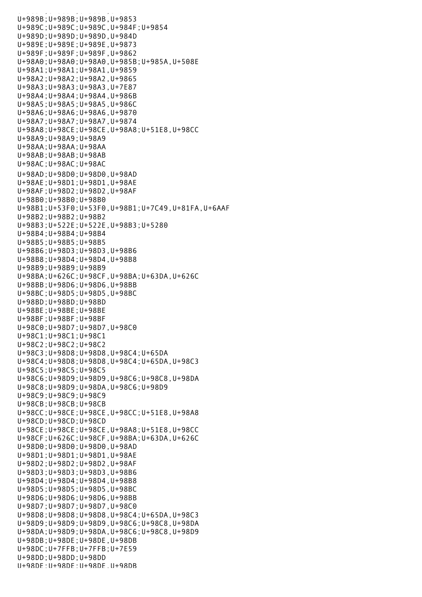U+989B;U+989B;U+989B,U+9853 U+989C;U+989C;U+989C,U+984F;U+9854 U+989D;U+989D;U+989D,U+984D U+989E;U+989E;U+989E,U+9873 U+989F;U+989F;U+989F,U+9862 U+98A0;U+98A0;U+98A0,U+985B;U+985A,U+508E U+98A1;U+98A1;U+98A1,U+9859 U+98A2;U+98A2;U+98A2,U+9865 U+98A3;U+98A3;U+98A3,U+7E87 U+98A4;U+98A4;U+98A4,U+986B U+98A5;U+98A5;U+98A5,U+986C U+98A6;U+98A6;U+98A6,U+9870 U+98A7;U+98A7;U+98A7,U+9874 U+98A8;U+98CE;U+98CE,U+98A8;U+51E8,U+98CC U+98A9;U+98A9;U+98A9 U+98AA;U+98AA;U+98AA U+98AB;U+98AB;U+98AB U+98AC;U+98AC;U+98AC U+98AD;U+98D0;U+98D0,U+98AD U+98AE;U+98D1;U+98D1,U+98AE U+98AF;U+98D2;U+98D2,U+98AF U+98B0;U+98B0;U+98B0 U+98B1;U+53F0;U+53F0,U+98B1;U+7C49,U+81FA,U+6AAF U+98B2;U+98B2;U+98B2 U+98B3;U+522E;U+522E,U+98B3;U+5280 U+98B4;U+98B4;U+98B4 U+98B5;U+98B5;U+98B5 U+98B6;U+98D3;U+98D3,U+98B6 U+98B8;U+98D4;U+98D4,U+98B8 U+98B9;U+98B9;U+98B9 U+98BA;U+626C;U+98CF,U+98BA;U+63DA,U+626C U+98BB;U+98D6;U+98D6,U+98BB U+98BC;U+98D5;U+98D5,U+98BC U+98BD;U+98BD;U+98BD U+98BE;U+98BE;U+98BE U+98BF;U+98BF;U+98BF U+98C0;U+98D7;U+98D7,U+98C0 U+98C1;U+98C1;U+98C1 U+98C2;U+98C2;U+98C2 U+98C3;U+98D8;U+98D8,U+98C4;U+65DA U+98C4;U+98D8;U+98D8,U+98C4;U+65DA,U+98C3 U+98C5;U+98C5;U+98C5 U+98C6;U+98D9;U+98D9,U+98C6;U+98C8,U+98DA U+98C8;U+98D9;U+98DA,U+98C6;U+98D9 U+98C9;U+98C9;U+98C9 U+98CB;U+98CB;U+98CB U+98CC;U+98CE;U+98CE,U+98CC;U+51E8,U+98A8 U+98CD;U+98CD;U+98CD U+98CE;U+98CE;U+98CE,U+98A8;U+51E8,U+98CC U+98CF;U+626C;U+98CF,U+98BA;U+63DA,U+626C U+98D0;U+98D0;U+98D0,U+98AD U+98D1;U+98D1;U+98D1,U+98AE U+98D2;U+98D2;U+98D2,U+98AF U+98D3;U+98D3;U+98D3,U+98B6 U+98D4;U+98D4;U+98D4,U+98B8 U+98D5;U+98D5;U+98D5,U+98BC U+98D6;U+98D6;U+98D6,U+98BB U+98D7;U+98D7;U+98D7,U+98C0 U+98D8;U+98D8;U+98D8,U+98C4;U+65DA,U+98C3 U+98D9;U+98D9;U+98D9,U+98C6;U+98C8,U+98DA U+98DA;U+98D9;U+98DA,U+98C6;U+98C8,U+98D9 U+98DB;U+98DE;U+98DE,U+98DB U+98DC;U+7FFB;U+7FFB;U+7E59 U+98DD;U+98DD;U+98DD U+98DE;U+98DE;U+98DE,U+98DB

u+989A;U+989A;U+989A;U+989A;U+989A;U+989A;U+989A;U+989A;U+989A;U+989A;U+984E;U+984E;U+984E;U+984E;U+984E;U+984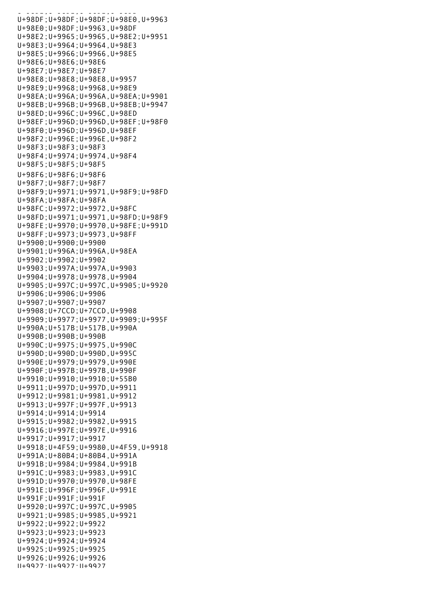U+98DE;U+98DE;U+98DE,U+98DB U+98DF;U+98DF;U+98DF;U+98E0,U+9963 U+98E0;U+98DF;U+9963,U+98DF U+98E2;U+9965;U+9965,U+98E2;U+9951 U+98E3;U+9964;U+9964,U+98E3 U+98E5;U+9966;U+9966,U+98E5 U+98E6;U+98E6;U+98E6 U+98E7;U+98E7;U+98E7 U+98E8;U+98E8;U+98E8,U+9957 U+98E9;U+9968;U+9968,U+98E9 U+98EA;U+996A;U+996A,U+98EA;U+9901 U+98EB;U+996B;U+996B,U+98EB;U+9947 U+98ED;U+996C;U+996C,U+98ED U+98EF;U+996D;U+996D,U+98EF;U+98F0 U+98F0;U+996D;U+996D,U+98EF U+98F2;U+996E;U+996E,U+98F2 U+98F3;U+98F3;U+98F3 U+98F4;U+9974;U+9974,U+98F4 U+98F5;U+98F5;U+98F5 U+98F6;U+98F6;U+98F6 U+98F7;U+98F7;U+98F7 U+98F9;U+9971;U+9971,U+98F9;U+98FD U+98FA;U+98FA;U+98FA U+98FC;U+9972;U+9972,U+98FC U+98FD;U+9971;U+9971,U+98FD;U+98F9 U+98FE;U+9970;U+9970,U+98FE;U+991D U+98FF;U+9973;U+9973,U+98FF U+9900;U+9900;U+9900 U+9901;U+996A;U+996A,U+98EA U+9902;U+9902;U+9902 U+9903;U+997A;U+997A,U+9903 U+9904;U+9978;U+9978,U+9904 U+9905;U+997C;U+997C,U+9905;U+9920 U+9906;U+9906;U+9906 U+9907;U+9907;U+9907 U+9908;U+7CCD;U+7CCD,U+9908 U+9909;U+9977;U+9977,U+9909;U+995F U+990A;U+517B;U+517B,U+990A U+990B;U+990B;U+990B U+990C;U+9975;U+9975,U+990C U+990D;U+990D;U+990D,U+995C U+990E;U+9979;U+9979,U+990E U+990F;U+997B;U+997B,U+990F U+9910;U+9910;U+9910;U+55B0 U+9911;U+997D;U+997D,U+9911 U+9912;U+9981;U+9981,U+9912 U+9913;U+997F;U+997F,U+9913 U+9914;U+9914;U+9914 U+9915;U+9982;U+9982,U+9915 U+9916;U+997E;U+997E,U+9916 U+9917;U+9917;U+9917 U+9918;U+4F59;U+9980,U+4F59,U+9918 U+991A;U+80B4;U+80B4,U+991A U+991B;U+9984;U+9984,U+991B U+991C;U+9983;U+9983,U+991C U+991D;U+9970;U+9970,U+98FE U+991E;U+996F;U+996F,U+991E U+991F;U+991F;U+991F U+9920;U+997C;U+997C,U+9905 U+9921;U+9985;U+9985,U+9921 U+9922;U+9922;U+9922 U+9923;U+9923;U+9923 U+9924;U+9924;U+9924 U+9925;U+9925;U+9925 U+9926;U+9926;U+9926 U+9927;U+9927;U+9927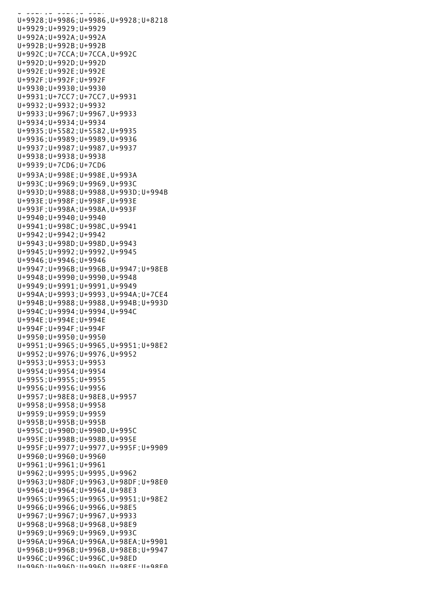*U+9927;*U+9927;U+9927;U+9927;U+9 U+9928;U+9986;U+9986,U+9928;U+8218 U+9929;U+9929;U+9929 U+992A;U+992A;U+992A U+992B;U+992B;U+992B U+992C;U+7CCA;U+7CCA,U+992C U+992D;U+992D;U+992D U+992E;U+992E;U+992E U+992F;U+992F;U+992F U+9930;U+9930;U+9930 U+9931;U+7CC7;U+7CC7,U+9931 U+9932;U+9932;U+9932 U+9933;U+9967;U+9967,U+9933 U+9934;U+9934;U+9934 U+9935;U+5582;U+5582,U+9935 U+9936;U+9989;U+9989,U+9936 U+9937;U+9987;U+9987,U+9937 U+9938;U+9938;U+9938 U+9939;U+7CD6;U+7CD6 U+993A;U+998E;U+998E,U+993A U+993C;U+9969;U+9969,U+993C U+993D;U+9988;U+9988,U+993D;U+994B U+993E;U+998F;U+998F,U+993E U+993F;U+998A;U+998A,U+993F U+9940;U+9940;U+9940 U+9941;U+998C;U+998C,U+9941 U+9942;U+9942;U+9942 U+9943;U+998D;U+998D,U+9943 U+9945;U+9992;U+9992,U+9945 U+9946;U+9946;U+9946 U+9947;U+996B;U+996B,U+9947;U+98EB U+9948;U+9990;U+9990,U+9948 U+9949;U+9991;U+9991,U+9949 U+994A;U+9993;U+9993,U+994A;U+7CE4 U+994B;U+9988;U+9988,U+994B;U+993D U+994C;U+9994;U+9994,U+994C U+994E;U+994E;U+994E U+994F;U+994F;U+994F U+9950;U+9950;U+9950 U+9951;U+9965;U+9965,U+9951;U+98E2 U+9952;U+9976;U+9976,U+9952 U+9953;U+9953;U+9953 U+9954;U+9954;U+9954 U+9955;U+9955;U+9955 U+9956;U+9956;U+9956 U+9957;U+98E8;U+98E8,U+9957 U+9958;U+9958;U+9958 U+9959;U+9959;U+9959 U+995B;U+995B;U+995B U+995C;U+990D;U+990D,U+995C U+995E;U+998B;U+998B,U+995E U+995F;U+9977;U+9977,U+995F;U+9909 U+9960;U+9960;U+9960 U+9961;U+9961;U+9961 U+9962;U+9995;U+9995,U+9962 U+9963;U+98DF;U+9963,U+98DF;U+98E0 U+9964;U+9964;U+9964,U+98E3 U+9965;U+9965;U+9965,U+9951;U+98E2 U+9966;U+9966;U+9966,U+98E5 U+9967;U+9967;U+9967,U+9933 U+9968;U+9968;U+9968,U+98E9 U+9969;U+9969;U+9969,U+993C U+996A;U+996A;U+996A,U+98EA;U+9901 U+996B;U+996B;U+996B,U+98EB;U+9947 U+996C;U+996C;U+996C,U+98ED U+996D;U+996D;U+996D,U+98EF;U+98F0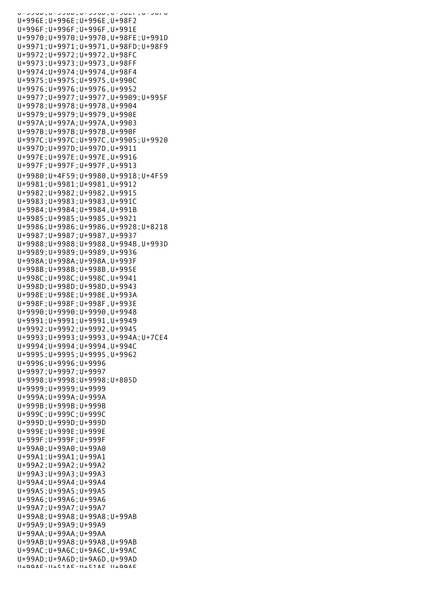U+996D;U+996D;U+996D,U+98EF;U+98F0 U+996E;U+996E;U+996E,U+98F2 U+996F;U+996F;U+996F,U+991E U+9970;U+9970;U+9970,U+98FE;U+991D U+9971;U+9971;U+9971,U+98FD;U+98F9 U+9972;U+9972;U+9972,U+98FC U+9973;U+9973;U+9973,U+98FF U+9974;U+9974;U+9974,U+98F4 U+9975;U+9975;U+9975,U+990C U+9976;U+9976;U+9976,U+9952 U+9977;U+9977;U+9977,U+9909;U+995F U+9978;U+9978;U+9978,U+9904 U+9979;U+9979;U+9979,U+990E U+997A;U+997A;U+997A,U+9903 U+997B;U+997B;U+997B,U+990F U+997C;U+997C;U+997C,U+9905;U+9920 U+997D;U+997D;U+997D,U+9911 U+997E;U+997E;U+997E,U+9916 U+997F;U+997F;U+997F,U+9913 U+9980;U+4F59;U+9980,U+9918;U+4F59 U+9981;U+9981;U+9981,U+9912 U+9982;U+9982;U+9982,U+9915 U+9983;U+9983;U+9983,U+991C U+9984;U+9984;U+9984,U+991B U+9985;U+9985;U+9985,U+9921 U+9986;U+9986;U+9986,U+9928;U+8218 U+9987;U+9987;U+9987,U+9937 U+9988;U+9988;U+9988,U+994B,U+993D U+9989;U+9989;U+9989,U+9936 U+998A;U+998A;U+998A,U+993F U+998B;U+998B;U+998B,U+995E U+998C;U+998C;U+998C,U+9941 U+998D;U+998D;U+998D,U+9943 U+998E;U+998E;U+998E,U+993A U+998F;U+998F;U+998F,U+993E U+9990;U+9990;U+9990,U+9948 U+9991;U+9991;U+9991,U+9949 U+9992;U+9992;U+9992,U+9945 U+9993;U+9993;U+9993,U+994A;U+7CE4 U+9994;U+9994;U+9994,U+994C U+9995;U+9995;U+9995,U+9962 U+9996;U+9996;U+9996 U+9997;U+9997;U+9997 U+9998;U+9998;U+9998;U+805D U+9999;U+9999;U+9999 U+999A;U+999A;U+999A U+999B;U+999B;U+999B U+999C;U+999C;U+999C U+999D;U+999D;U+999D U+999E;U+999E;U+999E U+999F;U+999F;U+999F U+99A0;U+99A0;U+99A0 U+99A1;U+99A1;U+99A1 U+99A2;U+99A2;U+99A2 U+99A3;U+99A3;U+99A3 U+99A4;U+99A4;U+99A4 U+99A5;U+99A5;U+99A5 U+99A6;U+99A6;U+99A6 U+99A7;U+99A7;U+99A7 U+99A8;U+99A8;U+99A8;U+99AB U+99A9;U+99A9;U+99A9 U+99AA;U+99AA;U+99AA U+99AB;U+99A8;U+99A8,U+99AB U+99AC;U+9A6C;U+9A6C,U+99AC U+99AD;U+9A6D;U+9A6D,U+99AD U+99AE;U+51AF;U+51AF,U+99AE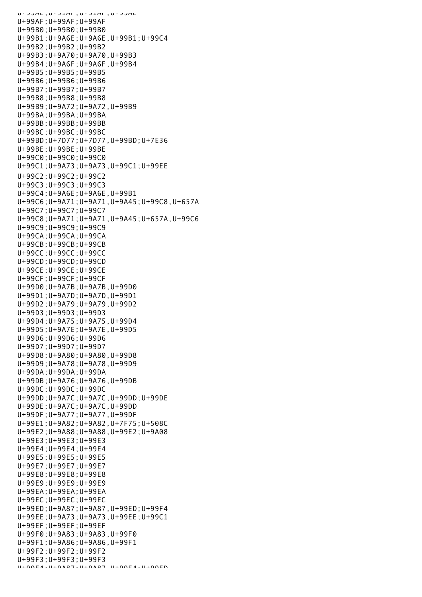U+99AE;U+51AF;U+51AF,U+99AE U+99AF;U+99AF;U+99AF U+99B0;U+99B0;U+99B0 U+99B1;U+9A6E;U+9A6E,U+99B1;U+99C4 U+99B2;U+99B2;U+99B2 U+99B3;U+9A70;U+9A70,U+99B3 U+99B4;U+9A6F;U+9A6F,U+99B4 U+99B5;U+99B5;U+99B5 U+99B6;U+99B6;U+99B6 U+99B7;U+99B7;U+99B7 U+99B8;U+99B8;U+99B8 U+99B9;U+9A72;U+9A72,U+99B9 U+99BA;U+99BA;U+99BA U+99BB;U+99BB;U+99BB U+99BC;U+99BC;U+99BC U+99BD;U+7D77;U+7D77,U+99BD;U+7E36 U+99BE;U+99BE;U+99BE U+99C0;U+99C0;U+99C0 U+99C1;U+9A73;U+9A73,U+99C1;U+99EE U+99C2;U+99C2;U+99C2 U+99C3;U+99C3;U+99C3 U+99C4;U+9A6E;U+9A6E,U+99B1 U+99C6;U+9A71;U+9A71,U+9A45;U+99C8,U+657A U+99C7;U+99C7;U+99C7 U+99C8;U+9A71;U+9A71,U+9A45;U+657A,U+99C6 U+99C9;U+99C9;U+99C9 U+99CA;U+99CA;U+99CA U+99CB;U+99CB;U+99CB U+99CC;U+99CC;U+99CC U+99CD;U+99CD;U+99CD U+99CE;U+99CE;U+99CE U+99CF;U+99CF;U+99CF U+99D0;U+9A7B;U+9A7B,U+99D0 U+99D1;U+9A7D;U+9A7D,U+99D1 U+99D2;U+9A79;U+9A79,U+99D2 U+99D3;U+99D3;U+99D3 U+99D4;U+9A75;U+9A75,U+99D4 U+99D5;U+9A7E;U+9A7E,U+99D5 U+99D6;U+99D6;U+99D6 U+99D7;U+99D7;U+99D7 U+99D8;U+9A80;U+9A80,U+99D8 U+99D9;U+9A78;U+9A78,U+99D9 U+99DA;U+99DA;U+99DA U+99DB;U+9A76;U+9A76,U+99DB U+99DC;U+99DC;U+99DC U+99DD;U+9A7C;U+9A7C,U+99DD;U+99DE U+99DE;U+9A7C;U+9A7C,U+99DD U+99DF;U+9A77;U+9A77,U+99DF U+99E1;U+9A82;U+9A82,U+7F75;U+508C U+99E2;U+9A88;U+9A88,U+99E2;U+9A08 U+99E3;U+99E3;U+99E3 U+99E4;U+99E4;U+99E4 U+99E5;U+99E5;U+99E5 U+99E7;U+99E7;U+99E7 U+99E8;U+99E8;U+99E8 U+99E9;U+99E9;U+99E9 U+99EA;U+99EA;U+99EA U+99EC;U+99EC;U+99EC U+99ED;U+9A87;U+9A87,U+99ED;U+99F4 U+99EE;U+9A73;U+9A73,U+99EE;U+99C1 U+99EF;U+99EF;U+99EF U+99F0;U+9A83;U+9A83,U+99F0 U+99F1;U+9A86;U+9A86,U+99F1 U+99F2;U+99F2;U+99F2 U+99F3;U+99F3;U+99F3 U+99F4;U+9A87;U+9A87,U+99F4;U+99ED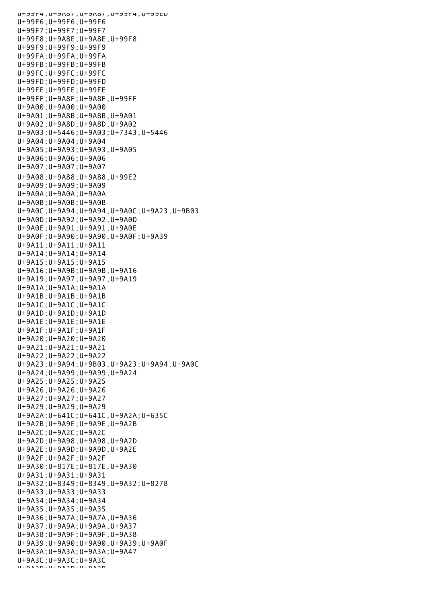$U^{\pm}$ פע $U^{\pm}$ דע,  $U^{\pm}$ סמכ $U$ ,  $U^{\pm}$ סאכ $U$ U+99F6;U+99F6;U+99F6 U+99F7;U+99F7;U+99F7 U+99F8;U+9A8E;U+9A8E,U+99F8 U+99F9;U+99F9;U+99F9 U+99FA;U+99FA;U+99FA U+99FB;U+99FB;U+99FB U+99FC;U+99FC;U+99FC U+99FD;U+99FD;U+99FD U+99FE;U+99FE;U+99FE U+99FF;U+9A8F;U+9A8F,U+99FF U+9A00;U+9A00;U+9A00 U+9A01;U+9A8B;U+9A8B,U+9A01 U+9A02;U+9A8D;U+9A8D,U+9A02 U+9A03;U+5446;U+9A03;U+7343,U+5446 U+9A04;U+9A04;U+9A04 U+9A05;U+9A93;U+9A93,U+9A05 U+9A06;U+9A06;U+9A06 U+9A07;U+9A07;U+9A07 U+9A08;U+9A88;U+9A88,U+99E2 U+9A09;U+9A09;U+9A09 U+9A0A;U+9A0A;U+9A0A U+9A0B;U+9A0B;U+9A0B U+9A0C;U+9A94;U+9A94,U+9A0C;U+9A23,U+9B03 U+9A0D;U+9A92;U+9A92,U+9A0D U+9A0E;U+9A91;U+9A91,U+9A0E U+9A0F;U+9A90;U+9A90,U+9A0F;U+9A39 U+9A11;U+9A11;U+9A11 U+9A14;U+9A14;U+9A14 U+9A15;U+9A15;U+9A15 U+9A16;U+9A9B;U+9A9B,U+9A16 U+9A19;U+9A97;U+9A97,U+9A19 U+9A1A;U+9A1A;U+9A1A U+9A1B;U+9A1B;U+9A1B U+9A1C;U+9A1C;U+9A1C U+9A1D;U+9A1D;U+9A1D U+9A1E;U+9A1E;U+9A1E U+9A1F;U+9A1F;U+9A1F U+9A20;U+9A20;U+9A20 U+9A21;U+9A21;U+9A21 U+9A22;U+9A22;U+9A22 U+9A23;U+9A94;U+9B03,U+9A23;U+9A94,U+9A0C U+9A24;U+9A99;U+9A99,U+9A24 U+9A25;U+9A25;U+9A25 U+9A26;U+9A26;U+9A26 U+9A27;U+9A27;U+9A27 U+9A29;U+9A29;U+9A29 U+9A2A;U+641C;U+641C,U+9A2A;U+635C U+9A2B;U+9A9E;U+9A9E,U+9A2B U+9A2C;U+9A2C;U+9A2C U+9A2D;U+9A98;U+9A98,U+9A2D U+9A2E;U+9A9D;U+9A9D,U+9A2E U+9A2F;U+9A2F;U+9A2F U+9A30;U+817E;U+817E,U+9A30 U+9A31;U+9A31;U+9A31 U+9A32;U+8349;U+8349,U+9A32;U+8278 U+9A33;U+9A33;U+9A33 U+9A34;U+9A34;U+9A34 U+9A35;U+9A35;U+9A35 U+9A36;U+9A7A;U+9A7A,U+9A36 U+9A37;U+9A9A;U+9A9A,U+9A37 U+9A38;U+9A9F;U+9A9F,U+9A38 U+9A39;U+9A90;U+9A90,U+9A39;U+9A0F U+9A3A;U+9A3A;U+9A3A;U+9A47 U+9A3C;U+9A3C;U+9A3C U+9A3D;U+9A3D;U+9A3D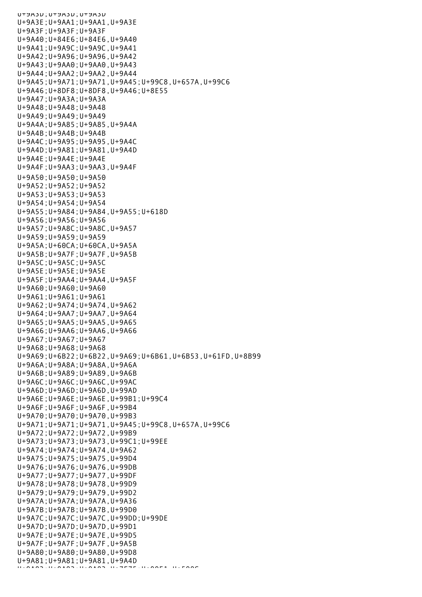U+9A3D;U+9A3D;U+9A3D U+9A3E;U+9AA1;U+9AA1,U+9A3E U+9A3F;U+9A3F;U+9A3F U+9A40;U+84E6;U+84E6,U+9A40 U+9A41;U+9A9C;U+9A9C,U+9A41 U+9A42;U+9A96;U+9A96,U+9A42 U+9A43;U+9AA0;U+9AA0,U+9A43 U+9A44;U+9AA2;U+9AA2,U+9A44 U+9A45;U+9A71;U+9A71,U+9A45;U+99C8,U+657A,U+99C6 U+9A46;U+8DF8;U+8DF8,U+9A46;U+8E55 U+9A47;U+9A3A;U+9A3A U+9A48;U+9A48;U+9A48 U+9A49;U+9A49;U+9A49 U+9A4A;U+9A85;U+9A85,U+9A4A U+9A4B;U+9A4B;U+9A4B U+9A4C;U+9A95;U+9A95,U+9A4C U+9A4D;U+9A81;U+9A81,U+9A4D U+9A4E;U+9A4E;U+9A4E U+9A4F;U+9AA3;U+9AA3,U+9A4F U+9A50;U+9A50;U+9A50 U+9A52;U+9A52;U+9A52 U+9A53;U+9A53;U+9A53 U+9A54;U+9A54;U+9A54 U+9A55;U+9A84;U+9A84,U+9A55;U+618D U+9A56;U+9A56;U+9A56 U+9A57;U+9A8C;U+9A8C,U+9A57 U+9A59;U+9A59;U+9A59 U+9A5A;U+60CA;U+60CA,U+9A5A U+9A5B;U+9A7F;U+9A7F,U+9A5B U+9A5C;U+9A5C;U+9A5C U+9A5E;U+9A5E;U+9A5E U+9A5F;U+9AA4;U+9AA4,U+9A5F U+9A60;U+9A60;U+9A60 U+9A61;U+9A61;U+9A61 U+9A62;U+9A74;U+9A74,U+9A62 U+9A64;U+9AA7;U+9AA7,U+9A64 U+9A65;U+9AA5;U+9AA5,U+9A65 U+9A66;U+9AA6;U+9AA6,U+9A66 U+9A67;U+9A67;U+9A67 U+9A68;U+9A68;U+9A68 U+9A69;U+6B22;U+6B22,U+9A69;U+6B61,U+6B53,U+61FD,U+8B99 U+9A6A;U+9A8A;U+9A8A,U+9A6A U+9A6B;U+9A89;U+9A89,U+9A6B U+9A6C;U+9A6C;U+9A6C,U+99AC U+9A6D;U+9A6D;U+9A6D,U+99AD U+9A6E;U+9A6E;U+9A6E,U+99B1;U+99C4 U+9A6F;U+9A6F;U+9A6F,U+99B4 U+9A70;U+9A70;U+9A70,U+99B3 U+9A71;U+9A71;U+9A71,U+9A45;U+99C8,U+657A,U+99C6 U+9A72;U+9A72;U+9A72,U+99B9 U+9A73;U+9A73;U+9A73,U+99C1;U+99EE U+9A74;U+9A74;U+9A74,U+9A62 U+9A75;U+9A75;U+9A75,U+99D4 U+9A76;U+9A76;U+9A76,U+99DB U+9A77;U+9A77;U+9A77,U+99DF U+9A78;U+9A78;U+9A78,U+99D9 U+9A79;U+9A79;U+9A79,U+99D2 U+9A7A;U+9A7A;U+9A7A,U+9A36 U+9A7B;U+9A7B;U+9A7B,U+99D0 U+9A7C;U+9A7C;U+9A7C,U+99DD;U+99DE U+9A7D;U+9A7D;U+9A7D,U+99D1 U+9A7E;U+9A7E;U+9A7E,U+99D5 U+9A7F;U+9A7F;U+9A7F,U+9A5B U+9A80;U+9A80;U+9A80,U+99D8 U+9A81;U+9A81;U+9A81,U+9A4D U+9A23;U+9A82;U+9A82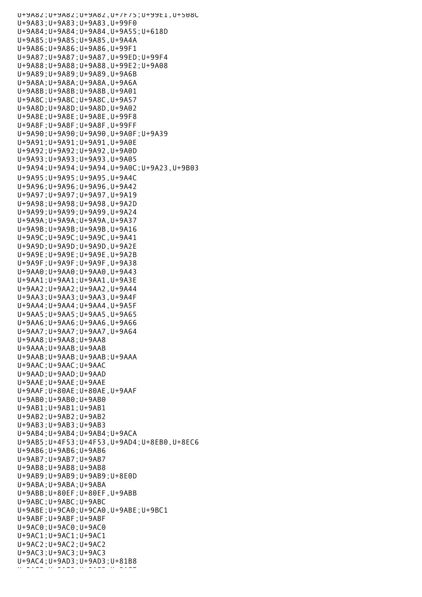U+9A82;U+9A82;U+9A82,U+7F75;U+99E1,U+508C U+9A83;U+9A83;U+9A83,U+99F0 U+9A84;U+9A84;U+9A84,U+9A55;U+618D U+9A85;U+9A85;U+9A85,U+9A4A U+9A86;U+9A86;U+9A86,U+99F1 U+9A87;U+9A87;U+9A87,U+99ED;U+99F4 U+9A88;U+9A88;U+9A88,U+99E2;U+9A08 U+9A89;U+9A89;U+9A89,U+9A6B U+9A8A;U+9A8A;U+9A8A,U+9A6A U+9A8B;U+9A8B;U+9A8B,U+9A01 U+9A8C;U+9A8C;U+9A8C,U+9A57 U+9A8D;U+9A8D;U+9A8D,U+9A02 U+9A8E;U+9A8E;U+9A8E,U+99F8 U+9A8F;U+9A8F;U+9A8F,U+99FF U+9A90;U+9A90;U+9A90,U+9A0F;U+9A39 U+9A91;U+9A91;U+9A91,U+9A0E U+9A92;U+9A92;U+9A92,U+9A0D U+9A93;U+9A93;U+9A93,U+9A05 U+9A94;U+9A94;U+9A94,U+9A0C;U+9A23,U+9B03 U+9A95;U+9A95;U+9A95,U+9A4C U+9A96;U+9A96;U+9A96,U+9A42 U+9A97;U+9A97;U+9A97,U+9A19 U+9A98;U+9A98;U+9A98,U+9A2D U+9A99;U+9A99;U+9A99,U+9A24 U+9A9A;U+9A9A;U+9A9A,U+9A37 U+9A9B;U+9A9B;U+9A9B,U+9A16 U+9A9C;U+9A9C;U+9A9C,U+9A41 U+9A9D;U+9A9D;U+9A9D,U+9A2E U+9A9E;U+9A9E;U+9A9E,U+9A2B U+9A9F;U+9A9F;U+9A9F,U+9A38 U+9AA0;U+9AA0;U+9AA0,U+9A43 U+9AA1;U+9AA1;U+9AA1,U+9A3E U+9AA2;U+9AA2;U+9AA2,U+9A44 U+9AA3;U+9AA3;U+9AA3,U+9A4F U+9AA4;U+9AA4;U+9AA4,U+9A5F U+9AA5;U+9AA5;U+9AA5,U+9A65 U+9AA6;U+9AA6;U+9AA6,U+9A66 U+9AA7;U+9AA7;U+9AA7,U+9A64 U+9AA8;U+9AA8;U+9AA8 U+9AAA;U+9AAB;U+9AAB U+9AAB;U+9AAB;U+9AAB;U+9AAA U+9AAC;U+9AAC;U+9AAC U+9AAD;U+9AAD;U+9AAD U+9AAE;U+9AAE;U+9AAE U+9AAF;U+80AE;U+80AE,U+9AAF U+9AB0;U+9AB0;U+9AB0 U+9AB1;U+9AB1;U+9AB1 U+9AB2;U+9AB2;U+9AB2 U+9AB3;U+9AB3;U+9AB3 U+9AB4;U+9AB4;U+9AB4;U+9ACA U+9AB5;U+4F53;U+4F53,U+9AD4;U+8EB0,U+8EC6 U+9AB6;U+9AB6;U+9AB6 U+9AB7;U+9AB7;U+9AB7 U+9AB8;U+9AB8;U+9AB8 U+9AB9;U+9AB9;U+9AB9;U+8E0D U+9ABA;U+9ABA;U+9ABA U+9ABB;U+80EF;U+80EF,U+9ABB U+9ABC;U+9ABC;U+9ABC U+9ABE;U+9CA0;U+9CA0,U+9ABE;U+9BC1 U+9ABF;U+9ABF;U+9ABF U+9AC0;U+9AC0;U+9AC0 U+9AC1;U+9AC1;U+9AC1 U+9AC2;U+9AC2;U+9AC2 U+9AC3;U+9AC3;U+9AC3 U+9AC4;U+9AD3;U+9AD3;U+81B8 U+9ac5;U+9ac5;U+9ac5;U+9ac5<br>;U+9AC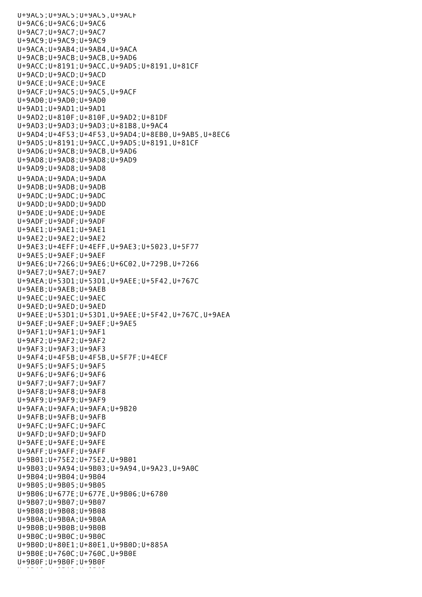U+9AC5;U+9AC5;U+9AC5,U+9ACF U+9AC6;U+9AC6;U+9AC6 U+9AC7;U+9AC7;U+9AC7 U+9AC9;U+9AC9;U+9AC9 U+9ACA;U+9AB4;U+9AB4,U+9ACA U+9ACB;U+9ACB;U+9ACB,U+9AD6 U+9ACC;U+8191;U+9ACC,U+9AD5;U+8191,U+81CF U+9ACD;U+9ACD;U+9ACD U+9ACE;U+9ACE;U+9ACE U+9ACF;U+9AC5;U+9AC5,U+9ACF U+9AD0;U+9AD0;U+9AD0 U+9AD1;U+9AD1;U+9AD1 U+9AD2;U+810F;U+810F,U+9AD2;U+81DF U+9AD3;U+9AD3;U+9AD3;U+81B8,U+9AC4 U+9AD4;U+4F53;U+4F53,U+9AD4;U+8EB0,U+9AB5,U+8EC6 U+9AD5;U+8191;U+9ACC,U+9AD5;U+8191,U+81CF U+9AD6;U+9ACB;U+9ACB,U+9AD6 U+9AD8;U+9AD8;U+9AD8;U+9AD9 U+9AD9;U+9AD8;U+9AD8 U+9ADA;U+9ADA;U+9ADA U+9ADB;U+9ADB;U+9ADB U+9ADC;U+9ADC;U+9ADC U+9ADD;U+9ADD;U+9ADD U+9ADE;U+9ADE;U+9ADE U+9ADF;U+9ADF;U+9ADF U+9AE1;U+9AE1;U+9AE1 U+9AE2;U+9AE2;U+9AE2 U+9AE3;U+4EFF;U+4EFF,U+9AE3;U+5023,U+5F77 U+9AE5;U+9AEF;U+9AEF U+9AE6;U+7266;U+9AE6;U+6C02,U+729B,U+7266 U+9AE7;U+9AE7;U+9AE7 U+9AEA;U+53D1;U+53D1,U+9AEE;U+5F42,U+767C U+9AEB;U+9AEB;U+9AEB U+9AEC;U+9AEC;U+9AEC U+9AED;U+9AED;U+9AED U+9AEE;U+53D1;U+53D1,U+9AEE;U+5F42,U+767C,U+9AEA U+9AEF;U+9AEF;U+9AEF;U+9AE5 U+9AF1;U+9AF1;U+9AF1 U+9AF2;U+9AF2;U+9AF2 U+9AF3;U+9AF3;U+9AF3 U+9AF4;U+4F5B;U+4F5B,U+5F7F;U+4ECF U+9AF5;U+9AF5;U+9AF5 U+9AF6;U+9AF6;U+9AF6 U+9AF7;U+9AF7;U+9AF7 U+9AF8;U+9AF8;U+9AF8 U+9AF9;U+9AF9;U+9AF9 U+9AFA;U+9AFA;U+9AFA;U+9B20 U+9AFB;U+9AFB;U+9AFB U+9AFC;U+9AFC;U+9AFC U+9AFD;U+9AFD;U+9AFD U+9AFE;U+9AFE;U+9AFE U+9AFF;U+9AFF;U+9AFF U+9B01;U+75E2;U+75E2,U+9B01 U+9B03;U+9A94;U+9B03;U+9A94,U+9A23,U+9A0C U+9B04;U+9B04;U+9B04 U+9B05;U+9B05;U+9B05 U+9B06;U+677E;U+677E,U+9B06;U+6780 U+9B07;U+9B07;U+9B07 U+9B08;U+9B08;U+9B08 U+9B0A;U+9B0A;U+9B0A U+9B0B;U+9B0B;U+9B0B U+9B0C;U+9B0C;U+9B0C U+9B0D;U+80E1;U+80E1,U+9B0D;U+885A U+9B0E;U+760C;U+760C,U+9B0E U+9B0F;U+9B0F;U+9B0F U+9B10;U+9B10;U+9B10;U+9B10;U+9B10;U+9B10;U+9B10;U+9B10;U+9B10;U+9B10;U+9B10;U+9B10;U+9B10;U+9B10;U+9B10;U+9B1<br>U+9B10;U+9B10;U+9B10;U+9B10;U+9B10;U+9B10;U+9B10;U+9B10;U+9B10;U+9B10;U+9B10;U+9B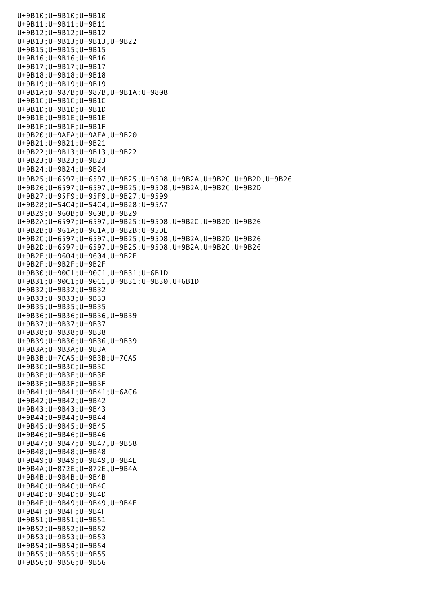U+9B10;U+9B10;U+9B10 U+9B11;U+9B11;U+9B11 U+9B12;U+9B12;U+9B12 U+9B13;U+9B13;U+9B13,U+9B22 U+9B15;U+9B15;U+9B15 U+9B16;U+9B16;U+9B16 U+9B17;U+9B17;U+9B17 U+9B18;U+9B18;U+9B18 U+9B19;U+9B19;U+9B19 U+9B1A;U+987B;U+987B,U+9B1A;U+9808 U+9B1C;U+9B1C;U+9B1C U+9B1D;U+9B1D;U+9B1D U+9B1E;U+9B1E;U+9B1E U+9B1F;U+9B1F;U+9B1F U+9B20;U+9AFA;U+9AFA,U+9B20 U+9B21;U+9B21;U+9B21 U+9B22;U+9B13;U+9B13,U+9B22 U+9B23;U+9B23;U+9B23 U+9B24;U+9B24;U+9B24 U+9B25;U+6597;U+6597,U+9B25;U+95D8,U+9B2A,U+9B2C,U+9B2D,U+9B26 U+9B26;U+6597;U+6597,U+9B25;U+95D8,U+9B2A,U+9B2C,U+9B2D U+9B27;U+95F9;U+95F9,U+9B27;U+9599 U+9B28;U+54C4;U+54C4,U+9B28;U+95A7 U+9B29;U+960B;U+960B,U+9B29 U+9B2A;U+6597;U+6597,U+9B25;U+95D8,U+9B2C,U+9B2D,U+9B26 U+9B2B;U+961A;U+961A,U+9B2B;U+95DE U+9B2C;U+6597;U+6597,U+9B25;U+95D8,U+9B2A,U+9B2D,U+9B26 U+9B2D;U+6597;U+6597,U+9B25;U+95D8,U+9B2A,U+9B2C,U+9B26 U+9B2E;U+9604;U+9604,U+9B2E U+9B2F;U+9B2F;U+9B2F U+9B30;U+90C1;U+90C1,U+9B31;U+6B1D U+9B31;U+90C1;U+90C1,U+9B31;U+9B30,U+6B1D U+9B32;U+9B32;U+9B32 U+9B33;U+9B33;U+9B33 U+9B35;U+9B35;U+9B35 U+9B36;U+9B36;U+9B36,U+9B39 U+9B37;U+9B37;U+9B37 U+9B38;U+9B38;U+9B38 U+9B39;U+9B36;U+9B36,U+9B39 U+9B3A;U+9B3A;U+9B3A U+9B3B;U+7CA5;U+9B3B;U+7CA5 U+9B3C;U+9B3C;U+9B3C U+9B3E;U+9B3E;U+9B3E U+9B3F;U+9B3F;U+9B3F U+9B41;U+9B41;U+9B41;U+6AC6 U+9B42;U+9B42;U+9B42 U+9B43;U+9B43;U+9B43 U+9B44;U+9B44;U+9B44 U+9B45;U+9B45;U+9B45 U+9B46;U+9B46;U+9B46 U+9B47;U+9B47;U+9B47,U+9B58 U+9B48;U+9B48;U+9B48 U+9B49;U+9B49;U+9B49,U+9B4E U+9B4A;U+872E;U+872E,U+9B4A U+9B4B;U+9B4B;U+9B4B U+9B4C;U+9B4C;U+9B4C U+9B4D;U+9B4D;U+9B4D U+9B4E;U+9B49;U+9B49,U+9B4E U+9B4F;U+9B4F;U+9B4F U+9B51;U+9B51;U+9B51 U+9B52;U+9B52;U+9B52 U+9B53;U+9B53;U+9B53 U+9B54;U+9B54;U+9B54 U+9B55;U+9B55;U+9B55 U+9B56;U+9B56;U+9B56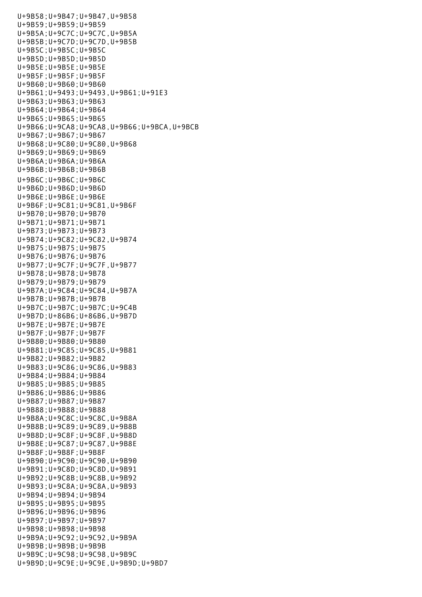U+9B58;U+9B47;U+9B47,U+9B58 U+9B59;U+9B59;U+9B59 U+9B5A;U+9C7C;U+9C7C,U+9B5A U+9B5B;U+9C7D;U+9C7D,U+9B5B U+9B5C;U+9B5C;U+9B5C U+9B5D;U+9B5D;U+9B5D U+9B5E;U+9B5E;U+9B5E U+9B5F;U+9B5F;U+9B5F U+9B60;U+9B60;U+9B60 U+9B61;U+9493;U+9493,U+9B61;U+91E3 U+9B63;U+9B63;U+9B63 U+9B64;U+9B64;U+9B64 U+9B65;U+9B65;U+9B65 U+9B66;U+9CA8;U+9CA8,U+9B66;U+9BCA,U+9BCB U+9B67;U+9B67;U+9B67 U+9B68;U+9C80;U+9C80,U+9B68 U+9B69;U+9B69;U+9B69 U+9B6A;U+9B6A;U+9B6A U+9B6B;U+9B6B;U+9B6B U+9B6C;U+9B6C;U+9B6C U+9B6D;U+9B6D;U+9B6D U+9B6E;U+9B6E;U+9B6E U+9B6F;U+9C81;U+9C81,U+9B6F U+9B70;U+9B70;U+9B70 U+9B71;U+9B71;U+9B71 U+9B73;U+9B73;U+9B73 U+9B74;U+9C82;U+9C82,U+9B74 U+9B75;U+9B75;U+9B75 U+9B76;U+9B76;U+9B76 U+9B77;U+9C7F;U+9C7F,U+9B77 U+9B78;U+9B78;U+9B78 U+9B79;U+9B79;U+9B79 U+9B7A;U+9C84;U+9C84,U+9B7A U+9B7B;U+9B7B;U+9B7B U+9B7C;U+9B7C;U+9B7C;U+9C4B U+9B7D;U+86B6;U+86B6,U+9B7D U+9B7E;U+9B7E;U+9B7E U+9B7F;U+9B7F;U+9B7F U+9B80;U+9B80;U+9B80 U+9B81;U+9C85;U+9C85,U+9B81 U+9B82;U+9B82;U+9B82 U+9B83;U+9C86;U+9C86,U+9B83 U+9B84;U+9B84;U+9B84 U+9B85;U+9B85;U+9B85 U+9B86;U+9B86;U+9B86 U+9B87;U+9B87;U+9B87 U+9B88;U+9B88;U+9B88 U+9B8A;U+9C8C;U+9C8C,U+9B8A U+9B8B;U+9C89;U+9C89,U+9B8B U+9B8D;U+9C8F;U+9C8F,U+9B8D U+9B8E;U+9C87;U+9C87,U+9B8E U+9B8F;U+9B8F;U+9B8F U+9B90;U+9C90;U+9C90,U+9B90 U+9B91;U+9C8D;U+9C8D,U+9B91 U+9B92;U+9C8B;U+9C8B,U+9B92 U+9B93;U+9C8A;U+9C8A,U+9B93 U+9B94;U+9B94;U+9B94 U+9B95;U+9B95;U+9B95 U+9B96;U+9B96;U+9B96 U+9B97;U+9B97;U+9B97 U+9B98;U+9B98;U+9B98 U+9B9A;U+9C92;U+9C92,U+9B9A U+9B9B;U+9B9B;U+9B9B U+9B9C;U+9C98;U+9C98,U+9B9C U+9B9D;U+9C9E;U+9C9E,U+9B9D;U+9BD7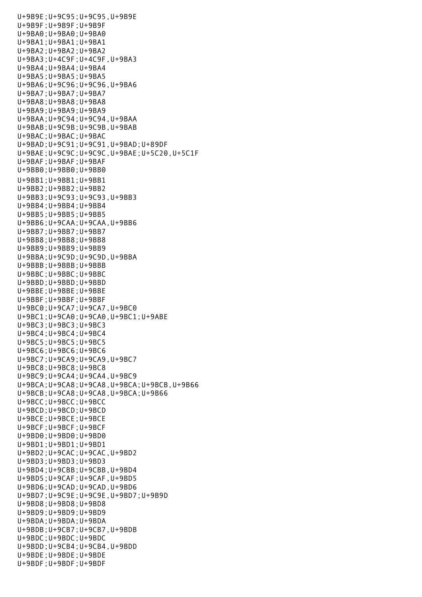U+9B9E;U+9C95;U+9C95,U+9B9E U+9B9F;U+9B9F;U+9B9F U+9BA0;U+9BA0;U+9BA0 U+9BA1;U+9BA1;U+9BA1 U+9BA2;U+9BA2;U+9BA2 U+9BA3;U+4C9F;U+4C9F,U+9BA3 U+9BA4;U+9BA4;U+9BA4 U+9BA5;U+9BA5;U+9BA5 U+9BA6;U+9C96;U+9C96,U+9BA6 U+9BA7;U+9BA7;U+9BA7 U+9BA8;U+9BA8;U+9BA8 U+9BA9;U+9BA9;U+9BA9 U+9BAA;U+9C94;U+9C94,U+9BAA U+9BAB;U+9C9B;U+9C9B,U+9BAB U+9BAC;U+9BAC;U+9BAC U+9BAD;U+9C91;U+9C91,U+9BAD;U+89DF U+9BAE;U+9C9C;U+9C9C,U+9BAE;U+5C20,U+5C1F U+9BAF;U+9BAF;U+9BAF U+9BB0;U+9BB0;U+9BB0 U+9BB1;U+9BB1;U+9BB1 U+9BB2;U+9BB2;U+9BB2 U+9BB3;U+9C93;U+9C93,U+9BB3 U+9BB4;U+9BB4;U+9BB4 U+9BB5;U+9BB5;U+9BB5 U+9BB6;U+9CAA;U+9CAA,U+9BB6 U+9BB7;U+9BB7;U+9BB7 U+9BB8;U+9BB8;U+9BB8 U+9BB9;U+9BB9;U+9BB9 U+9BBA;U+9C9D;U+9C9D,U+9BBA U+9BBB;U+9BBB;U+9BBB U+9BBC;U+9BBC;U+9BBC U+9BBD;U+9BBD;U+9BBD U+9BBE;U+9BBE;U+9BBE U+9BBF;U+9BBF;U+9BBF U+9BC0;U+9CA7;U+9CA7,U+9BC0 U+9BC1;U+9CA0;U+9CA0,U+9BC1;U+9ABE U+9BC3;U+9BC3;U+9BC3 U+9BC4;U+9BC4;U+9BC4 U+9BC5;U+9BC5;U+9BC5 U+9BC6;U+9BC6;U+9BC6 U+9BC7;U+9CA9;U+9CA9,U+9BC7 U+9BC8;U+9BC8;U+9BC8 U+9BC9;U+9CA4;U+9CA4,U+9BC9 U+9BCA;U+9CA8;U+9CA8,U+9BCA;U+9BCB,U+9B66 U+9BCB;U+9CA8;U+9CA8,U+9BCA;U+9B66 U+9BCC;U+9BCC;U+9BCC U+9BCD;U+9BCD;U+9BCD U+9BCE;U+9BCE;U+9BCE U+9BCF;U+9BCF;U+9BCF U+9BD0;U+9BD0;U+9BD0 U+9BD1;U+9BD1;U+9BD1 U+9BD2;U+9CAC;U+9CAC,U+9BD2 U+9BD3;U+9BD3;U+9BD3 U+9BD4;U+9CBB;U+9CBB,U+9BD4 U+9BD5;U+9CAF;U+9CAF,U+9BD5 U+9BD6;U+9CAD;U+9CAD,U+9BD6 U+9BD7;U+9C9E;U+9C9E,U+9BD7;U+9B9D U+9BD8;U+9BD8;U+9BD8 U+9BD9;U+9BD9;U+9BD9 U+9BDA;U+9BDA;U+9BDA U+9BDB;U+9CB7;U+9CB7,U+9BDB U+9BDC;U+9BDC;U+9BDC U+9BDD;U+9CB4;U+9CB4,U+9BDD U+9BDE;U+9BDE;U+9BDE U+9BDF;U+9BDF;U+9BDF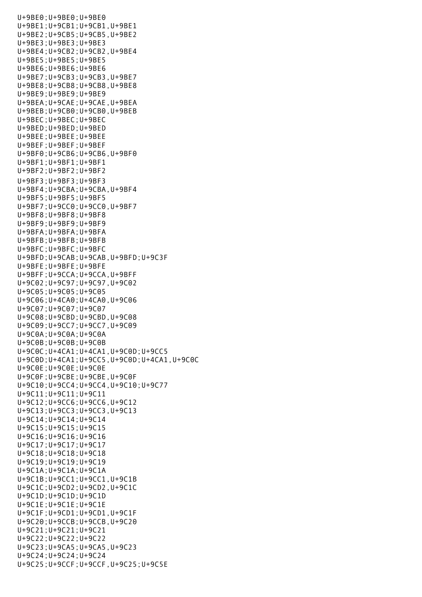U+9BE0;U+9BE0;U+9BE0 U+9BE1;U+9CB1;U+9CB1,U+9BE1 U+9BE2;U+9CB5;U+9CB5,U+9BE2 U+9BE3;U+9BE3;U+9BE3 U+9BE4;U+9CB2;U+9CB2,U+9BE4 U+9BE5;U+9BE5;U+9BE5 U+9BE6;U+9BE6;U+9BE6 U+9BE7;U+9CB3;U+9CB3,U+9BE7 U+9BE8;U+9CB8;U+9CB8,U+9BE8 U+9BE9;U+9BE9;U+9BE9 U+9BEA;U+9CAE;U+9CAE,U+9BEA U+9BEB;U+9CB0;U+9CB0,U+9BEB U+9BEC;U+9BEC;U+9BEC U+9BED;U+9BED;U+9BED U+9BEE;U+9BEE;U+9BEE U+9BEF;U+9BEF;U+9BEF U+9BF0;U+9CB6;U+9CB6,U+9BF0 U+9BF1;U+9BF1;U+9BF1 U+9BF2;U+9BF2;U+9BF2 U+9BF3;U+9BF3;U+9BF3 U+9BF4;U+9CBA;U+9CBA,U+9BF4 U+9BF5;U+9BF5;U+9BF5 U+9BF7;U+9CC0;U+9CC0,U+9BF7 U+9BF8;U+9BF8;U+9BF8 U+9BF9;U+9BF9;U+9BF9 U+9BFA;U+9BFA;U+9BFA U+9BFB;U+9BFB;U+9BFB U+9BFC;U+9BFC;U+9BFC U+9BFD;U+9CAB;U+9CAB,U+9BFD;U+9C3F U+9BFE;U+9BFE;U+9BFE U+9BFF;U+9CCA;U+9CCA,U+9BFF U+9C02;U+9C97;U+9C97,U+9C02 U+9C05;U+9C05;U+9C05 U+9C06;U+4CA0;U+4CA0,U+9C06 U+9C07;U+9C07;U+9C07 U+9C08;U+9CBD;U+9CBD,U+9C08 U+9C09;U+9CC7;U+9CC7,U+9C09 U+9C0A;U+9C0A;U+9C0A U+9C0B;U+9C0B;U+9C0B U+9C0C;U+4CA1;U+4CA1,U+9C0D;U+9CC5 U+9C0D;U+4CA1;U+9CC5,U+9C0D;U+4CA1,U+9C0C U+9C0E;U+9C0E;U+9C0E U+9C0F;U+9CBE;U+9CBE,U+9C0F U+9C10;U+9CC4;U+9CC4,U+9C10;U+9C77 U+9C11;U+9C11;U+9C11 U+9C12;U+9CC6;U+9CC6,U+9C12 U+9C13;U+9CC3;U+9CC3,U+9C13 U+9C14;U+9C14;U+9C14 U+9C15;U+9C15;U+9C15 U+9C16;U+9C16;U+9C16 U+9C17;U+9C17;U+9C17 U+9C18;U+9C18;U+9C18 U+9C19;U+9C19;U+9C19 U+9C1A;U+9C1A;U+9C1A U+9C1B;U+9CC1;U+9CC1,U+9C1B U+9C1C;U+9CD2;U+9CD2,U+9C1C U+9C1D;U+9C1D;U+9C1D U+9C1E;U+9C1E;U+9C1E U+9C1F;U+9CD1;U+9CD1,U+9C1F U+9C20;U+9CCB;U+9CCB,U+9C20 U+9C21;U+9C21;U+9C21 U+9C22;U+9C22;U+9C22 U+9C23;U+9CA5;U+9CA5,U+9C23 U+9C24;U+9C24;U+9C24 U+9C25;U+9CCF;U+9CCF,U+9C25;U+9C5E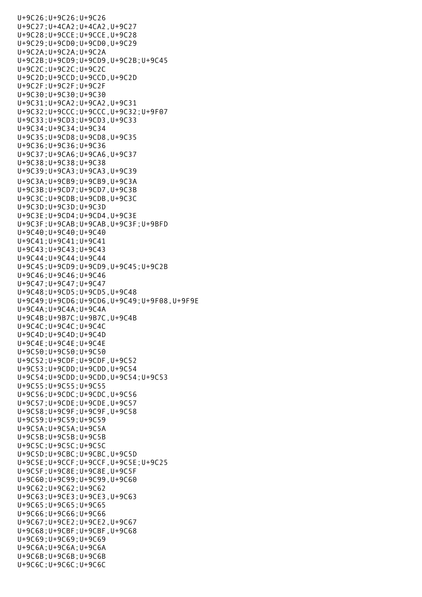U+9C26;U+9C26;U+9C26 U+9C27;U+4CA2;U+4CA2,U+9C27 U+9C28;U+9CCE;U+9CCE,U+9C28 U+9C29;U+9CD0;U+9CD0,U+9C29 U+9C2A;U+9C2A;U+9C2A U+9C2B;U+9CD9;U+9CD9,U+9C2B;U+9C45 U+9C2C;U+9C2C;U+9C2C U+9C2D;U+9CCD;U+9CCD,U+9C2D U+9C2F;U+9C2F;U+9C2F U+9C30;U+9C30;U+9C30 U+9C31;U+9CA2;U+9CA2,U+9C31 U+9C32;U+9CCC;U+9CCC,U+9C32;U+9F07 U+9C33;U+9CD3;U+9CD3,U+9C33 U+9C34;U+9C34;U+9C34 U+9C35;U+9CD8;U+9CD8,U+9C35 U+9C36;U+9C36;U+9C36 U+9C37;U+9CA6;U+9CA6,U+9C37 U+9C38;U+9C38;U+9C38 U+9C39;U+9CA3;U+9CA3,U+9C39 U+9C3A;U+9CB9;U+9CB9,U+9C3A U+9C3B;U+9CD7;U+9CD7,U+9C3B U+9C3C;U+9CDB;U+9CDB,U+9C3C U+9C3D;U+9C3D;U+9C3D U+9C3E;U+9CD4;U+9CD4,U+9C3E U+9C3F;U+9CAB;U+9CAB,U+9C3F;U+9BFD U+9C40;U+9C40;U+9C40 U+9C41;U+9C41;U+9C41 U+9C43;U+9C43;U+9C43 U+9C44;U+9C44;U+9C44 U+9C45;U+9CD9;U+9CD9,U+9C45;U+9C2B U+9C46;U+9C46;U+9C46 U+9C47;U+9C47;U+9C47 U+9C48;U+9CD5;U+9CD5,U+9C48 U+9C49;U+9CD6;U+9CD6,U+9C49;U+9F08,U+9F9E U+9C4A;U+9C4A;U+9C4A U+9C4B;U+9B7C;U+9B7C,U+9C4B U+9C4C;U+9C4C;U+9C4C U+9C4D;U+9C4D;U+9C4D U+9C4E;U+9C4E;U+9C4E U+9C50;U+9C50;U+9C50 U+9C52;U+9CDF;U+9CDF,U+9C52 U+9C53;U+9CDD;U+9CDD,U+9C54 U+9C54;U+9CDD;U+9CDD,U+9C54;U+9C53 U+9C55;U+9C55;U+9C55 U+9C56;U+9CDC;U+9CDC,U+9C56 U+9C57;U+9CDE;U+9CDE,U+9C57 U+9C58;U+9C9F;U+9C9F,U+9C58 U+9C59;U+9C59;U+9C59 U+9C5A;U+9C5A;U+9C5A U+9C5B;U+9C5B;U+9C5B U+9C5C;U+9C5C;U+9C5C U+9C5D;U+9CBC;U+9CBC,U+9C5D U+9C5E;U+9CCF;U+9CCF,U+9C5E;U+9C25 U+9C5F;U+9C8E;U+9C8E,U+9C5F U+9C60;U+9C99;U+9C99,U+9C60 U+9C62;U+9C62;U+9C62 U+9C63;U+9CE3;U+9CE3,U+9C63 U+9C65;U+9C65;U+9C65 U+9C66;U+9C66;U+9C66 U+9C67;U+9CE2;U+9CE2,U+9C67 U+9C68;U+9CBF;U+9CBF,U+9C68 U+9C69;U+9C69;U+9C69 U+9C6A;U+9C6A;U+9C6A U+9C6B;U+9C6B;U+9C6B U+9C6C;U+9C6C;U+9C6C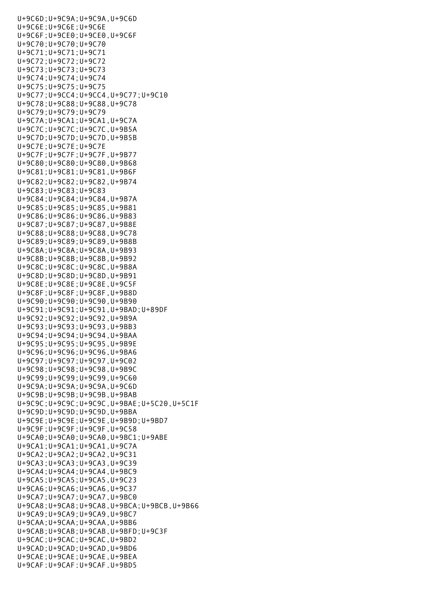U+9C6C;U+9C6C;U+9C6C;U+9C6C;U+9C6C;U+9C6C;U+9C6C;U+9C6C;U+9C6C;U+9C6C;U+9C6C;U+9C6C;U+9C6C;U+9C6C;U+9C6C;U+9C6 U+9C6D;U+9C9A;U+9C9A,U+9C6D U+9C6E;U+9C6E;U+9C6E U+9C6F;U+9CE0;U+9CE0,U+9C6F U+9C70;U+9C70;U+9C70 U+9C71;U+9C71;U+9C71 U+9C72;U+9C72;U+9C72 U+9C73;U+9C73;U+9C73 U+9C74;U+9C74;U+9C74 U+9C75;U+9C75;U+9C75 U+9C77;U+9CC4;U+9CC4,U+9C77;U+9C10 U+9C78;U+9C88;U+9C88,U+9C78 U+9C79;U+9C79;U+9C79 U+9C7A;U+9CA1;U+9CA1,U+9C7A U+9C7C;U+9C7C;U+9C7C,U+9B5A U+9C7D;U+9C7D;U+9C7D,U+9B5B U+9C7E;U+9C7E;U+9C7E U+9C7F;U+9C7F;U+9C7F,U+9B77 U+9C80;U+9C80;U+9C80,U+9B68 U+9C81;U+9C81;U+9C81,U+9B6F U+9C82;U+9C82;U+9C82,U+9B74 U+9C83;U+9C83;U+9C83 U+9C84;U+9C84;U+9C84,U+9B7A U+9C85;U+9C85;U+9C85,U+9B81 U+9C86;U+9C86;U+9C86,U+9B83 U+9C87;U+9C87;U+9C87,U+9B8E U+9C88;U+9C88;U+9C88,U+9C78 U+9C89;U+9C89;U+9C89,U+9B8B U+9C8A;U+9C8A;U+9C8A,U+9B93 U+9C8B;U+9C8B;U+9C8B,U+9B92 U+9C8C;U+9C8C;U+9C8C,U+9B8A U+9C8D;U+9C8D;U+9C8D,U+9B91 U+9C8E;U+9C8E;U+9C8E,U+9C5F U+9C8F;U+9C8F;U+9C8F,U+9B8D U+9C90;U+9C90;U+9C90,U+9B90 U+9C91;U+9C91;U+9C91,U+9BAD;U+89DF U+9C92;U+9C92;U+9C92,U+9B9A U+9C93;U+9C93;U+9C93,U+9BB3 U+9C94;U+9C94;U+9C94,U+9BAA U+9C95;U+9C95;U+9C95,U+9B9E U+9C96;U+9C96;U+9C96,U+9BA6 U+9C97;U+9C97;U+9C97,U+9C02 U+9C98;U+9C98;U+9C98,U+9B9C U+9C99;U+9C99;U+9C99,U+9C60 U+9C9A;U+9C9A;U+9C9A,U+9C6D U+9C9B;U+9C9B;U+9C9B,U+9BAB U+9C9C;U+9C9C;U+9C9C,U+9BAE;U+5C20,U+5C1F U+9C9D;U+9C9D;U+9C9D,U+9BBA U+9C9E;U+9C9E;U+9C9E,U+9B9D;U+9BD7 U+9C9F;U+9C9F;U+9C9F,U+9C58 U+9CA0;U+9CA0;U+9CA0,U+9BC1;U+9ABE U+9CA1;U+9CA1;U+9CA1,U+9C7A U+9CA2;U+9CA2;U+9CA2,U+9C31 U+9CA3;U+9CA3;U+9CA3,U+9C39 U+9CA4;U+9CA4;U+9CA4,U+9BC9 U+9CA5;U+9CA5;U+9CA5,U+9C23 U+9CA6;U+9CA6;U+9CA6,U+9C37 U+9CA7;U+9CA7;U+9CA7,U+9BC0 U+9CA8;U+9CA8;U+9CA8,U+9BCA;U+9BCB,U+9B66 U+9CA9;U+9CA9;U+9CA9,U+9BC7 U+9CAA;U+9CAA;U+9CAA,U+9BB6 U+9CAB;U+9CAB;U+9CAB,U+9BFD;U+9C3F U+9CAC;U+9CAC;U+9CAC,U+9BD2 U+9CAD;U+9CAD;U+9CAD,U+9BD6 U+9CAE;U+9CAE;U+9CAE,U+9BEA U+9CAF;U+9CAF;U+9CAF,U+9BD5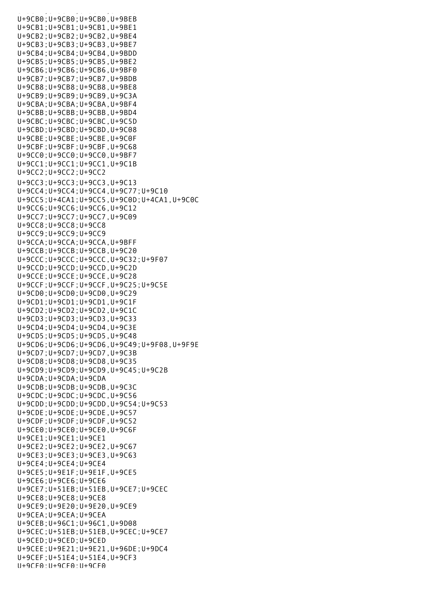U+9CB0;U+9CB0;U+9CB0,U+9BEB U+9CB1;U+9CB1;U+9CB1,U+9BE1 U+9CB2;U+9CB2;U+9CB2,U+9BE4 U+9CB3;U+9CB3;U+9CB3,U+9BE7 U+9CB4;U+9CB4;U+9CB4,U+9BDD U+9CB5;U+9CB5;U+9CB5,U+9BE2 U+9CB6;U+9CB6;U+9CB6,U+9BF0 U+9CB7;U+9CB7;U+9CB7,U+9BDB U+9CB8;U+9CB8;U+9CB8,U+9BE8 U+9CB9;U+9CB9;U+9CB9,U+9C3A U+9CBA;U+9CBA;U+9CBA,U+9BF4 U+9CBB;U+9CBB;U+9CBB,U+9BD4 U+9CBC;U+9CBC;U+9CBC,U+9C5D U+9CBD;U+9CBD;U+9CBD,U+9C08 U+9CBE;U+9CBE;U+9CBE,U+9C0F U+9CBF;U+9CBF;U+9CBF,U+9C68 U+9CC0;U+9CC0;U+9CC0,U+9BF7 U+9CC1;U+9CC1;U+9CC1,U+9C1B U+9CC2;U+9CC2;U+9CC2 U+9CC3;U+9CC3;U+9CC3,U+9C13 U+9CC4;U+9CC4;U+9CC4,U+9C77;U+9C10 U+9CC5;U+4CA1;U+9CC5,U+9C0D;U+4CA1,U+9C0C U+9CC6;U+9CC6;U+9CC6,U+9C12 U+9CC7;U+9CC7;U+9CC7,U+9C09 U+9CC8;U+9CC8;U+9CC8 U+9CC9;U+9CC9;U+9CC9 U+9CCA;U+9CCA;U+9CCA,U+9BFF U+9CCB;U+9CCB;U+9CCB,U+9C20 U+9CCC;U+9CCC;U+9CCC,U+9C32;U+9F07 U+9CCD;U+9CCD;U+9CCD,U+9C2D U+9CCE;U+9CCE;U+9CCE,U+9C28 U+9CCF;U+9CCF;U+9CCF,U+9C25;U+9C5E U+9CD0;U+9CD0;U+9CD0,U+9C29 U+9CD1;U+9CD1;U+9CD1,U+9C1F U+9CD2;U+9CD2;U+9CD2,U+9C1C U+9CD3;U+9CD3;U+9CD3,U+9C33 U+9CD4;U+9CD4;U+9CD4,U+9C3E U+9CD5;U+9CD5;U+9CD5,U+9C48 U+9CD6;U+9CD6;U+9CD6,U+9C49;U+9F08,U+9F9E U+9CD7;U+9CD7;U+9CD7,U+9C3B U+9CD8;U+9CD8;U+9CD8,U+9C35 U+9CD9;U+9CD9;U+9CD9,U+9C45;U+9C2B U+9CDA;U+9CDA;U+9CDA U+9CDB;U+9CDB;U+9CDB,U+9C3C U+9CDC;U+9CDC;U+9CDC,U+9C56 U+9CDD;U+9CDD;U+9CDD,U+9C54;U+9C53 U+9CDE;U+9CDE;U+9CDE,U+9C57 U+9CDF;U+9CDF;U+9CDF,U+9C52 U+9CE0;U+9CE0;U+9CE0,U+9C6F U+9CE1;U+9CE1;U+9CE1 U+9CE2;U+9CE2;U+9CE2,U+9C67 U+9CE3;U+9CE3;U+9CE3,U+9C63 U+9CE4;U+9CE4;U+9CE4 U+9CE5;U+9E1F;U+9E1F,U+9CE5 U+9CE6;U+9CE6;U+9CE6 U+9CE7;U+51EB;U+51EB,U+9CE7;U+9CEC U+9CE8;U+9CE8;U+9CE8 U+9CE9;U+9E20;U+9E20,U+9CE9 U+9CEA;U+9CEA;U+9CEA U+9CEB;U+96C1;U+96C1,U+9D08 U+9CEC;U+51EB;U+51EB,U+9CEC;U+9CE7 U+9CED;U+9CED;U+9CED U+9CEE;U+9E21;U+9E21,U+96DE;U+9DC4 U+9CEF;U+51E4;U+51E4,U+9CF3 U+9CF0;U+9CF0;U+9CF0

u<br>Subali ya sali ya sali ya shekara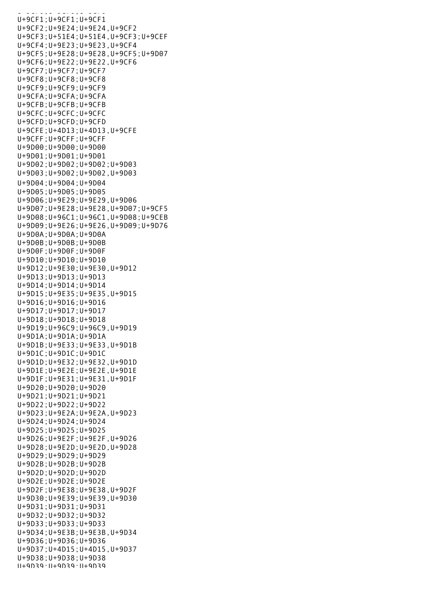$U = 90$  and  $U = 90$  and  $U = 90$ U+9CF1;U+9CF1;U+9CF1 U+9CF2;U+9E24;U+9E24,U+9CF2 U+9CF3;U+51E4;U+51E4,U+9CF3;U+9CEF U+9CF4;U+9E23;U+9E23,U+9CF4 U+9CF5;U+9E28;U+9E28,U+9CF5;U+9D07 U+9CF6;U+9E22;U+9E22,U+9CF6 U+9CF7;U+9CF7;U+9CF7 U+9CF8;U+9CF8;U+9CF8 U+9CF9;U+9CF9;U+9CF9 U+9CFA;U+9CFA;U+9CFA U+9CFB;U+9CFB;U+9CFB U+9CFC;U+9CFC;U+9CFC U+9CFD;U+9CFD;U+9CFD U+9CFE;U+4D13;U+4D13,U+9CFE U+9CFF;U+9CFF;U+9CFF U+9D00;U+9D00;U+9D00 U+9D01;U+9D01;U+9D01 U+9D02;U+9D02;U+9D02;U+9D03 U+9D03;U+9D02;U+9D02,U+9D03 U+9D04;U+9D04;U+9D04 U+9D05;U+9D05;U+9D05 U+9D06;U+9E29;U+9E29,U+9D06 U+9D07;U+9E28;U+9E28,U+9D07;U+9CF5 U+9D08;U+96C1;U+96C1,U+9D08;U+9CEB U+9D09;U+9E26;U+9E26,U+9D09;U+9D76 U+9D0A;U+9D0A;U+9D0A U+9D0B;U+9D0B;U+9D0B U+9D0F;U+9D0F;U+9D0F U+9D10;U+9D10;U+9D10 U+9D12;U+9E30;U+9E30,U+9D12 U+9D13;U+9D13;U+9D13 U+9D14;U+9D14;U+9D14 U+9D15;U+9E35;U+9E35,U+9D15 U+9D16;U+9D16;U+9D16 U+9D17;U+9D17;U+9D17 U+9D18;U+9D18;U+9D18 U+9D19;U+96C9;U+96C9,U+9D19 U+9D1A;U+9D1A;U+9D1A U+9D1B;U+9E33;U+9E33,U+9D1B U+9D1C;U+9D1C;U+9D1C U+9D1D;U+9E32;U+9E32,U+9D1D U+9D1E;U+9E2E;U+9E2E,U+9D1E U+9D1F;U+9E31;U+9E31,U+9D1F U+9D20;U+9D20;U+9D20 U+9D21;U+9D21;U+9D21 U+9D22;U+9D22;U+9D22 U+9D23;U+9E2A;U+9E2A,U+9D23 U+9D24;U+9D24;U+9D24 U+9D25;U+9D25;U+9D25 U+9D26;U+9E2F;U+9E2F,U+9D26 U+9D28;U+9E2D;U+9E2D,U+9D28 U+9D29;U+9D29;U+9D29 U+9D2B;U+9D2B;U+9D2B U+9D2D;U+9D2D;U+9D2D U+9D2E;U+9D2E;U+9D2E U+9D2F;U+9E38;U+9E38,U+9D2F U+9D30;U+9E39;U+9E39,U+9D30 U+9D31;U+9D31;U+9D31 U+9D32;U+9D32;U+9D32 U+9D33;U+9D33;U+9D33 U+9D34;U+9E3B;U+9E3B,U+9D34 U+9D36;U+9D36;U+9D36 U+9D37;U+4D15;U+4D15,U+9D37 U+9D38;U+9D38;U+9D38 U+9D39;U+9D39;U+9D39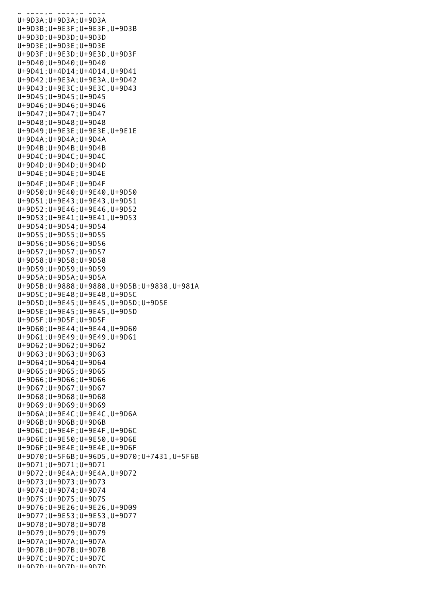U+9D39;U+9D39;U+9D39 U+9D3A;U+9D3A;U+9D3A U+9D3B;U+9E3F;U+9E3F,U+9D3B U+9D3D;U+9D3D;U+9D3D U+9D3E;U+9D3E;U+9D3E U+9D3F;U+9E3D;U+9E3D,U+9D3F U+9D40;U+9D40;U+9D40 U+9D41;U+4D14;U+4D14,U+9D41 U+9D42;U+9E3A;U+9E3A,U+9D42 U+9D43;U+9E3C;U+9E3C,U+9D43 U+9D45;U+9D45;U+9D45 U+9D46;U+9D46;U+9D46 U+9D47;U+9D47;U+9D47 U+9D48;U+9D48;U+9D48 U+9D49;U+9E3E;U+9E3E,U+9E1E U+9D4A;U+9D4A;U+9D4A U+9D4B;U+9D4B;U+9D4B U+9D4C;U+9D4C;U+9D4C U+9D4D;U+9D4D;U+9D4D U+9D4E;U+9D4E;U+9D4E U+9D4F;U+9D4F;U+9D4F U+9D50;U+9E40;U+9E40,U+9D50 U+9D51;U+9E43;U+9E43,U+9D51 U+9D52;U+9E46;U+9E46,U+9D52 U+9D53;U+9E41;U+9E41,U+9D53 U+9D54;U+9D54;U+9D54 U+9D55;U+9D55;U+9D55 U+9D56;U+9D56;U+9D56 U+9D57;U+9D57;U+9D57 U+9D58;U+9D58;U+9D58 U+9D59;U+9D59;U+9D59 U+9D5A;U+9D5A;U+9D5A U+9D5B;U+9888;U+9888,U+9D5B;U+9838,U+981A U+9D5C;U+9E48;U+9E48,U+9D5C U+9D5D;U+9E45;U+9E45,U+9D5D;U+9D5E U+9D5E;U+9E45;U+9E45,U+9D5D U+9D5F;U+9D5F;U+9D5F U+9D60;U+9E44;U+9E44,U+9D60 U+9D61;U+9E49;U+9E49,U+9D61 U+9D62;U+9D62;U+9D62 U+9D63;U+9D63;U+9D63 U+9D64;U+9D64;U+9D64 U+9D65;U+9D65;U+9D65 U+9D66;U+9D66;U+9D66 U+9D67;U+9D67;U+9D67 U+9D68;U+9D68;U+9D68 U+9D69;U+9D69;U+9D69 U+9D6A;U+9E4C;U+9E4C,U+9D6A U+9D6B;U+9D6B;U+9D6B U+9D6C;U+9E4F;U+9E4F,U+9D6C U+9D6E;U+9E50;U+9E50,U+9D6E U+9D6F;U+9E4E;U+9E4E,U+9D6F U+9D70;U+5F6B;U+96D5,U+9D70;U+7431,U+5F6B U+9D71;U+9D71;U+9D71 U+9D72;U+9E4A;U+9E4A,U+9D72 U+9D73;U+9D73;U+9D73 U+9D74;U+9D74;U+9D74 U+9D75;U+9D75;U+9D75 U+9D76;U+9E26;U+9E26,U+9D09 U+9D77;U+9E53;U+9E53,U+9D77 U+9D78;U+9D78;U+9D78 U+9D79;U+9D79;U+9D79 U+9D7A;U+9D7A;U+9D7A U+9D7B;U+9D7B;U+9D7B U+9D7C;U+9D7C;U+9D7C U+9D7D;U+9D7D;U+9D7D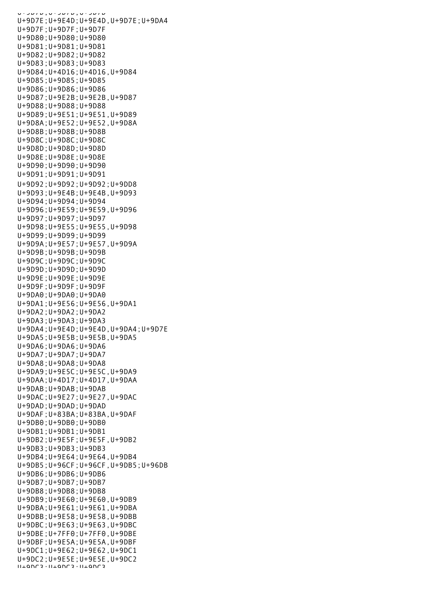U+9D7D;U+9D7D;U+9D7D U+9D7E;U+9E4D;U+9E4D,U+9D7E;U+9DA4 U+9D7F;U+9D7F;U+9D7F U+9D80;U+9D80;U+9D80 U+9D81;U+9D81;U+9D81 U+9D82;U+9D82;U+9D82 U+9D83;U+9D83;U+9D83 U+9D84;U+4D16;U+4D16,U+9D84 U+9D85;U+9D85;U+9D85 U+9D86;U+9D86;U+9D86 U+9D87;U+9E2B;U+9E2B,U+9D87 U+9D88;U+9D88;U+9D88 U+9D89;U+9E51;U+9E51,U+9D89 U+9D8A;U+9E52;U+9E52,U+9D8A U+9D8B;U+9D8B;U+9D8B U+9D8C;U+9D8C;U+9D8C U+9D8D;U+9D8D;U+9D8D U+9D8E;U+9D8E;U+9D8E U+9D90;U+9D90;U+9D90 U+9D91;U+9D91;U+9D91 U+9D92;U+9D92;U+9D92;U+9DD8 U+9D93;U+9E4B;U+9E4B,U+9D93 U+9D94;U+9D94;U+9D94 U+9D96;U+9E59;U+9E59,U+9D96 U+9D97;U+9D97;U+9D97 U+9D98;U+9E55;U+9E55,U+9D98 U+9D99;U+9D99;U+9D99 U+9D9A;U+9E57;U+9E57,U+9D9A U+9D9B;U+9D9B;U+9D9B U+9D9C;U+9D9C;U+9D9C U+9D9D;U+9D9D;U+9D9D U+9D9E;U+9D9E;U+9D9E U+9D9F;U+9D9F;U+9D9F U+9DA0;U+9DA0;U+9DA0 U+9DA1;U+9E56;U+9E56,U+9DA1 U+9DA2;U+9DA2;U+9DA2 U+9DA3;U+9DA3;U+9DA3 U+9DA4;U+9E4D;U+9E4D,U+9DA4;U+9D7E U+9DA5;U+9E5B;U+9E5B,U+9DA5 U+9DA6;U+9DA6;U+9DA6 U+9DA7;U+9DA7;U+9DA7 U+9DA8;U+9DA8;U+9DA8 U+9DA9;U+9E5C;U+9E5C,U+9DA9 U+9DAA;U+4D17;U+4D17,U+9DAA U+9DAB;U+9DAB;U+9DAB U+9DAC;U+9E27;U+9E27,U+9DAC U+9DAD;U+9DAD;U+9DAD U+9DAF;U+83BA;U+83BA,U+9DAF U+9DB0;U+9DB0;U+9DB0 U+9DB1;U+9DB1;U+9DB1 U+9DB2;U+9E5F;U+9E5F,U+9DB2 U+9DB3;U+9DB3;U+9DB3 U+9DB4;U+9E64;U+9E64,U+9DB4 U+9DB5;U+96CF;U+96CF,U+9DB5;U+96DB U+9DB6;U+9DB6;U+9DB6 U+9DB7;U+9DB7;U+9DB7 U+9DB8;U+9DB8;U+9DB8 U+9DB9;U+9E60;U+9E60,U+9DB9 U+9DBA;U+9E61;U+9E61,U+9DBA U+9DBB;U+9E58;U+9E58,U+9DBB U+9DBC;U+9E63;U+9E63,U+9DBC U+9DBE;U+7FF0;U+7FF0,U+9DBE U+9DBF;U+9E5A;U+9E5A,U+9DBF U+9DC1;U+9E62;U+9E62,U+9DC1 U+9DC2;U+9E5E;U+9E5E,U+9DC2 U+9DC3;U+9DC3;U+9DC3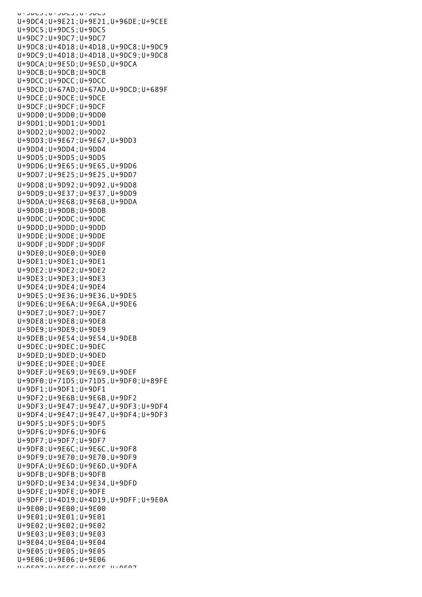U+9DC3;U+9DC3;U+9DC3 U+9DC4;U+9E21;U+9E21,U+96DE;U+9CEE U+9DC5;U+9DC5;U+9DC5 U+9DC7;U+9DC7;U+9DC7 U+9DC8;U+4D18;U+4D18,U+9DC8;U+9DC9 U+9DC9;U+4D18;U+4D18,U+9DC9;U+9DC8 U+9DCA;U+9E5D;U+9E5D,U+9DCA U+9DCB;U+9DCB;U+9DCB U+9DCC;U+9DCC;U+9DCC U+9DCD;U+67AD;U+67AD,U+9DCD;U+689F U+9DCE;U+9DCE;U+9DCE U+9DCF;U+9DCF;U+9DCF U+9DD0;U+9DD0;U+9DD0 U+9DD1;U+9DD1;U+9DD1 U+9DD2;U+9DD2;U+9DD2 U+9DD3;U+9E67;U+9E67,U+9DD3 U+9DD4;U+9DD4;U+9DD4 U+9DD5;U+9DD5;U+9DD5 U+9DD6;U+9E65;U+9E65,U+9DD6 U+9DD7;U+9E25;U+9E25,U+9DD7 U+9DD8;U+9D92;U+9D92,U+9DD8 U+9DD9;U+9E37;U+9E37,U+9DD9 U+9DDA;U+9E68;U+9E68,U+9DDA U+9DDB;U+9DDB;U+9DDB U+9DDC;U+9DDC;U+9DDC U+9DDD;U+9DDD;U+9DDD U+9DDE;U+9DDE;U+9DDE U+9DDF;U+9DDF;U+9DDF U+9DE0;U+9DE0;U+9DE0 U+9DE1;U+9DE1;U+9DE1 U+9DE2;U+9DE2;U+9DE2 U+9DE3;U+9DE3;U+9DE3 U+9DE4;U+9DE4;U+9DE4 U+9DE5;U+9E36;U+9E36,U+9DE5 U+9DE6;U+9E6A;U+9E6A,U+9DE6 U+9DE7;U+9DE7;U+9DE7 U+9DE8;U+9DE8;U+9DE8 U+9DE9;U+9DE9;U+9DE9 U+9DEB;U+9E54;U+9E54,U+9DEB U+9DEC;U+9DEC;U+9DEC U+9DED;U+9DED;U+9DED U+9DEE;U+9DEE;U+9DEE U+9DEF;U+9E69;U+9E69,U+9DEF U+9DF0;U+71D5;U+71D5,U+9DF0;U+89FE U+9DF1;U+9DF1;U+9DF1 U+9DF2;U+9E6B;U+9E6B,U+9DF2 U+9DF3;U+9E47;U+9E47,U+9DF3;U+9DF4 U+9DF4;U+9E47;U+9E47,U+9DF4;U+9DF3 U+9DF5;U+9DF5;U+9DF5 U+9DF6;U+9DF6;U+9DF6 U+9DF7;U+9DF7;U+9DF7 U+9DF8;U+9E6C;U+9E6C,U+9DF8 U+9DF9;U+9E70;U+9E70,U+9DF9 U+9DFA;U+9E6D;U+9E6D,U+9DFA U+9DFB;U+9DFB;U+9DFB U+9DFD;U+9E34;U+9E34,U+9DFD U+9DFE;U+9DFE;U+9DFE U+9DFF;U+4D19;U+4D19,U+9DFF;U+9E0A U+9E00;U+9E00;U+9E00 U+9E01;U+9E01;U+9E01 U+9E02;U+9E02;U+9E02 U+9E03;U+9E03;U+9E03 U+9E04;U+9E04;U+9E04 U+9E05;U+9E05;U+9E05 U+9E06;U+9E06;U+9E06 U+9E07;U+9E6F;U+9E6F,U+9E07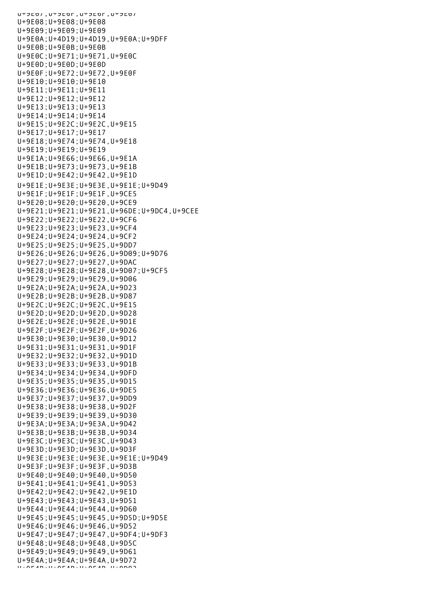UTJEV/, UTJEOF, UTJEV/ U+9E08;U+9E08;U+9E08 U+9E09;U+9E09;U+9E09 U+9E0A;U+4D19;U+4D19,U+9E0A;U+9DFF U+9E0B;U+9E0B;U+9E0B U+9E0C;U+9E71;U+9E71,U+9E0C U+9E0D;U+9E0D;U+9E0D U+9E0F;U+9E72;U+9E72,U+9E0F U+9E10;U+9E10;U+9E10 U+9E11;U+9E11;U+9E11 U+9E12;U+9E12;U+9E12 U+9E13;U+9E13;U+9E13 U+9E14;U+9E14;U+9E14 U+9E15;U+9E2C;U+9E2C,U+9E15 U+9E17;U+9E17;U+9E17 U+9E18;U+9E74;U+9E74,U+9E18 U+9E19;U+9E19;U+9E19 U+9E1A;U+9E66;U+9E66,U+9E1A U+9E1B;U+9E73;U+9E73,U+9E1B U+9E1D;U+9E42;U+9E42,U+9E1D U+9E1E;U+9E3E;U+9E3E,U+9E1E;U+9D49 U+9E1F;U+9E1F;U+9E1F,U+9CE5 U+9E20;U+9E20;U+9E20,U+9CE9 U+9E21;U+9E21;U+9E21,U+96DE;U+9DC4,U+9CEE U+9E22;U+9E22;U+9E22,U+9CF6 U+9E23;U+9E23;U+9E23,U+9CF4 U+9E24;U+9E24;U+9E24,U+9CF2 U+9E25;U+9E25;U+9E25,U+9DD7 U+9E26;U+9E26;U+9E26,U+9D09;U+9D76 U+9E27;U+9E27;U+9E27,U+9DAC U+9E28;U+9E28;U+9E28,U+9D07;U+9CF5 U+9E29;U+9E29;U+9E29,U+9D06 U+9E2A;U+9E2A;U+9E2A,U+9D23 U+9E2B;U+9E2B;U+9E2B,U+9D87 U+9E2C;U+9E2C;U+9E2C,U+9E15 U+9E2D;U+9E2D;U+9E2D,U+9D28 U+9E2E;U+9E2E;U+9E2E,U+9D1E U+9E2F;U+9E2F;U+9E2F,U+9D26 U+9E30;U+9E30;U+9E30,U+9D12 U+9E31;U+9E31;U+9E31,U+9D1F U+9E32;U+9E32;U+9E32,U+9D1D U+9E33;U+9E33;U+9E33,U+9D1B U+9E34;U+9E34;U+9E34,U+9DFD U+9E35;U+9E35;U+9E35,U+9D15 U+9E36;U+9E36;U+9E36,U+9DE5 U+9E37;U+9E37;U+9E37,U+9DD9 U+9E38;U+9E38;U+9E38,U+9D2F U+9E39;U+9E39;U+9E39,U+9D30 U+9E3A;U+9E3A;U+9E3A,U+9D42 U+9E3B;U+9E3B;U+9E3B,U+9D34 U+9E3C;U+9E3C;U+9E3C,U+9D43 U+9E3D;U+9E3D;U+9E3D,U+9D3F U+9E3E;U+9E3E;U+9E3E,U+9E1E;U+9D49 U+9E3F;U+9E3F;U+9E3F,U+9D3B U+9E40;U+9E40;U+9E40,U+9D50 U+9E41;U+9E41;U+9E41,U+9D53 U+9E42;U+9E42;U+9E42,U+9E1D U+9E43;U+9E43;U+9E43,U+9D51 U+9E44;U+9E44;U+9E44,U+9D60 U+9E45;U+9E45;U+9E45,U+9D5D;U+9D5E U+9E46;U+9E46;U+9E46,U+9D52 U+9E47;U+9E47;U+9E47,U+9DF4;U+9DF3 U+9E48;U+9E48;U+9E48,U+9D5C U+9E49;U+9E49;U+9E49,U+9D61 U+9E4A;U+9E4A;U+9E4A,U+9D72 U+9E4B;U+9E4B;U+9E4B,U+9D93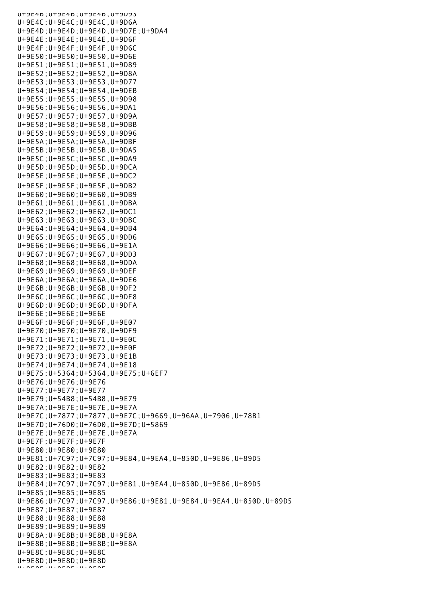U+9E4B;U+9E4B;U+9E4B,U+9D93 U+9E4C;U+9E4C;U+9E4C,U+9D6A U+9E4D;U+9E4D;U+9E4D,U+9D7E;U+9DA4 U+9E4E;U+9E4E;U+9E4E,U+9D6F U+9E4F;U+9E4F;U+9E4F,U+9D6C U+9E50;U+9E50;U+9E50,U+9D6E U+9E51;U+9E51;U+9E51,U+9D89 U+9E52;U+9E52;U+9E52,U+9D8A U+9E53;U+9E53;U+9E53,U+9D77 U+9E54;U+9E54;U+9E54,U+9DEB U+9E55;U+9E55;U+9E55,U+9D98 U+9E56;U+9E56;U+9E56,U+9DA1 U+9E57;U+9E57;U+9E57,U+9D9A U+9E58;U+9E58;U+9E58,U+9DBB U+9E59;U+9E59;U+9E59,U+9D96 U+9E5A;U+9E5A;U+9E5A,U+9DBF U+9E5B;U+9E5B;U+9E5B,U+9DA5 U+9E5C;U+9E5C;U+9E5C,U+9DA9 U+9E5D;U+9E5D;U+9E5D,U+9DCA U+9E5E;U+9E5E;U+9E5E,U+9DC2 U+9E5F;U+9E5F;U+9E5F,U+9DB2 U+9E60;U+9E60;U+9E60,U+9DB9 U+9E61;U+9E61;U+9E61,U+9DBA U+9E62;U+9E62;U+9E62,U+9DC1 U+9E63;U+9E63;U+9E63,U+9DBC U+9E64;U+9E64;U+9E64,U+9DB4 U+9E65;U+9E65;U+9E65,U+9DD6 U+9E66;U+9E66;U+9E66,U+9E1A U+9E67;U+9E67;U+9E67,U+9DD3 U+9E68;U+9E68;U+9E68,U+9DDA U+9E69;U+9E69;U+9E69,U+9DEF U+9E6A;U+9E6A;U+9E6A,U+9DE6 U+9E6B;U+9E6B;U+9E6B,U+9DF2 U+9E6C;U+9E6C;U+9E6C,U+9DF8 U+9E6D;U+9E6D;U+9E6D,U+9DFA U+9E6E;U+9E6E;U+9E6E U+9E6F;U+9E6F;U+9E6F,U+9E07 U+9E70;U+9E70;U+9E70,U+9DF9 U+9E71;U+9E71;U+9E71,U+9E0C U+9E72;U+9E72;U+9E72,U+9E0F U+9E73;U+9E73;U+9E73,U+9E1B U+9E74;U+9E74;U+9E74,U+9E18 U+9E75;U+5364;U+5364,U+9E75;U+6EF7 U+9E76;U+9E76;U+9E76 U+9E77;U+9E77;U+9E77 U+9E79;U+54B8;U+54B8,U+9E79 U+9E7A;U+9E7E;U+9E7E,U+9E7A U+9E7C;U+7877;U+7877,U+9E7C;U+9669,U+96AA,U+7906,U+78B1 U+9E7D;U+76D0;U+76D0,U+9E7D;U+5869 U+9E7E;U+9E7E;U+9E7E,U+9E7A U+9E7F;U+9E7F;U+9E7F U+9E80;U+9E80;U+9E80 U+9E81;U+7C97;U+7C97;U+9E84,U+9EA4,U+850D,U+9E86,U+89D5 U+9E82;U+9E82;U+9E82 U+9E83;U+9E83;U+9E83 U+9E84;U+7C97;U+7C97;U+9E81,U+9EA4,U+850D,U+9E86,U+89D5 U+9E85;U+9E85;U+9E85 U+9E86;U+7C97;U+7C97,U+9E86;U+9E81,U+9E84,U+9EA4,U+850D,U+89D5 U+9E87;U+9E87;U+9E87 U+9E88;U+9E88;U+9E88 U+9E89;U+9E89;U+9E89 U+9E8A;U+9E8B;U+9E8B,U+9E8A U+9E8B;U+9E8B;U+9E8B;U+9E8A U+9E8C;U+9E8C;U+9E8C U+9E8D;U+9E8D;U+9E8D U+9E8E;U+9E8E;U+9E8E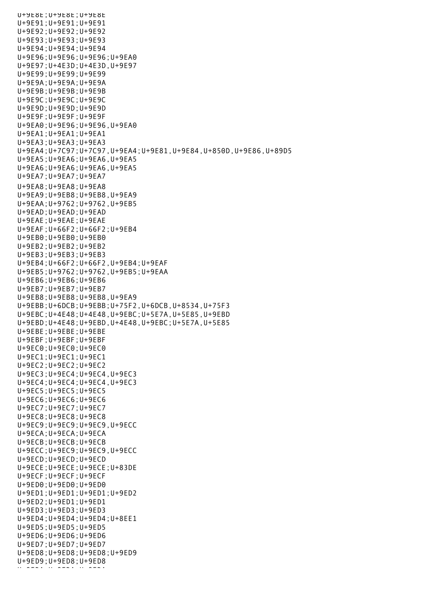U+9E8E;U+9E8E;U+9E8E U+9E91;U+9E91;U+9E91 U+9E92;U+9E92;U+9E92 U+9E93;U+9E93;U+9E93 U+9E94;U+9E94;U+9E94 U+9E96;U+9E96;U+9E96;U+9EA0 U+9E97;U+4E3D;U+4E3D,U+9E97 U+9E99;U+9E99;U+9E99 U+9E9A;U+9E9A;U+9E9A U+9E9B;U+9E9B;U+9E9B U+9E9C;U+9E9C;U+9E9C U+9E9D;U+9E9D;U+9E9D U+9E9F;U+9E9F;U+9E9F U+9EA0;U+9E96;U+9E96,U+9EA0 U+9EA1;U+9EA1;U+9EA1 U+9EA3;U+9EA3;U+9EA3 U+9EA4;U+7C97;U+7C97,U+9EA4;U+9E81,U+9E84,U+850D,U+9E86,U+89D5 U+9EA5;U+9EA6;U+9EA6,U+9EA5 U+9EA6;U+9EA6;U+9EA6,U+9EA5 U+9EA7;U+9EA7;U+9EA7 U+9EA8;U+9EA8;U+9EA8 U+9EA9;U+9EB8;U+9EB8,U+9EA9 U+9EAA;U+9762;U+9762,U+9EB5 U+9EAD;U+9EAD;U+9EAD U+9EAE;U+9EAE;U+9EAE U+9EAF;U+66F2;U+66F2;U+9EB4 U+9EB0;U+9EB0;U+9EB0 U+9EB2;U+9EB2;U+9EB2 U+9EB3;U+9EB3;U+9EB3 U+9EB4;U+66F2;U+66F2,U+9EB4;U+9EAF U+9EB5;U+9762;U+9762,U+9EB5;U+9EAA U+9EB6;U+9EB6;U+9EB6 U+9EB7;U+9EB7;U+9EB7 U+9EB8;U+9EB8;U+9EB8,U+9EA9 U+9EBB;U+6DCB;U+9EBB;U+75F2,U+6DCB,U+8534,U+75F3 U+9EBC;U+4E48;U+4E48,U+9EBC;U+5E7A,U+5E85,U+9EBD U+9EBD;U+4E48;U+9EBD,U+4E48,U+9EBC;U+5E7A,U+5E85 U+9EBE;U+9EBE;U+9EBE U+9EBF;U+9EBF;U+9EBF U+9EC0;U+9EC0;U+9EC0 U+9EC1;U+9EC1;U+9EC1 U+9EC2;U+9EC2;U+9EC2 U+9EC3;U+9EC4;U+9EC4,U+9EC3 U+9EC4;U+9EC4;U+9EC4,U+9EC3 U+9EC5;U+9EC5;U+9EC5 U+9EC6;U+9EC6;U+9EC6 U+9EC7;U+9EC7;U+9EC7 U+9EC8;U+9EC8;U+9EC8 U+9EC9;U+9EC9;U+9EC9,U+9ECC U+9ECA;U+9ECA;U+9ECA U+9ECB;U+9ECB;U+9ECB U+9ECC;U+9EC9;U+9EC9,U+9ECC U+9ECD;U+9ECD;U+9ECD U+9ECE;U+9ECE;U+9ECE;U+83DE U+9ECF;U+9ECF;U+9ECF U+9ED0;U+9ED0;U+9ED0 U+9ED1;U+9ED1;U+9ED1;U+9ED2 U+9ED2;U+9ED1;U+9ED1 U+9ED3;U+9ED3;U+9ED3 U+9ED4;U+9ED4;U+9ED4;U+8EE1 U+9ED5;U+9ED5;U+9ED5 U+9ED6;U+9ED6;U+9ED6 U+9ED7;U+9ED7;U+9ED7 U+9ED8;U+9ED8;U+9ED8;U+9ED9 U+9ED9;U+9ED8;U+9ED8 U+9EDA;U+9EDA;U+9EDA;<br>U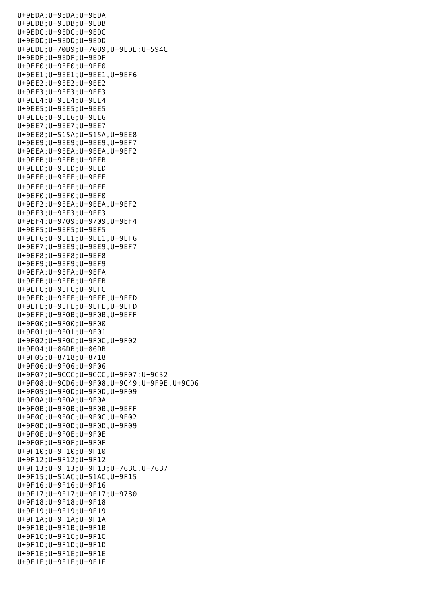U+9EDA;U+9EDA;U+9EDA U+9EDB;U+9EDB;U+9EDB U+9EDC;U+9EDC;U+9EDC U+9EDD;U+9EDD;U+9EDD U+9EDE;U+70B9;U+70B9,U+9EDE;U+594C U+9EDF;U+9EDF;U+9EDF U+9EE0;U+9EE0;U+9EE0 U+9EE1;U+9EE1;U+9EE1,U+9EF6 U+9EE2;U+9EE2;U+9EE2 U+9EE3;U+9EE3;U+9EE3 U+9EE4;U+9EE4;U+9EE4 U+9EE5;U+9EE5;U+9EE5 U+9EE6;U+9EE6;U+9EE6 U+9EE7;U+9EE7;U+9EE7 U+9EE8;U+515A;U+515A,U+9EE8 U+9EE9;U+9EE9;U+9EE9,U+9EF7 U+9EEA;U+9EEA;U+9EEA,U+9EF2 U+9EEB;U+9EEB;U+9EEB U+9EED;U+9EED;U+9EED U+9EEE;U+9EEE;U+9EEE U+9EEF;U+9EEF;U+9EEF U+9EF0;U+9EF0;U+9EF0 U+9EF2;U+9EEA;U+9EEA,U+9EF2 U+9EF3;U+9EF3;U+9EF3 U+9EF4;U+9709;U+9709,U+9EF4 U+9EF5;U+9EF5;U+9EF5 U+9EF6;U+9EE1;U+9EE1,U+9EF6 U+9EF7;U+9EE9;U+9EE9,U+9EF7 U+9EF8;U+9EF8;U+9EF8 U+9EF9;U+9EF9;U+9EF9 U+9EFA;U+9EFA;U+9EFA U+9EFB;U+9EFB;U+9EFB U+9EFC;U+9EFC;U+9EFC U+9EFD;U+9EFE;U+9EFE,U+9EFD U+9EFE;U+9EFE;U+9EFE,U+9EFD U+9EFF;U+9F0B;U+9F0B,U+9EFF U+9F00;U+9F00;U+9F00 U+9F01;U+9F01;U+9F01 U+9F02;U+9F0C;U+9F0C,U+9F02 U+9F04;U+86DB;U+86DB U+9F05;U+8718;U+8718 U+9F06;U+9F06;U+9F06 U+9F07;U+9CCC;U+9CCC,U+9F07;U+9C32 U+9F08;U+9CD6;U+9F08,U+9C49;U+9F9E,U+9CD6 U+9F09;U+9F0D;U+9F0D,U+9F09 U+9F0A;U+9F0A;U+9F0A U+9F0B;U+9F0B;U+9F0B,U+9EFF U+9F0C;U+9F0C;U+9F0C,U+9F02 U+9F0D;U+9F0D;U+9F0D,U+9F09 U+9F0E;U+9F0E;U+9F0E U+9F0F;U+9F0F;U+9F0F U+9F10;U+9F10;U+9F10 U+9F12;U+9F12;U+9F12 U+9F13;U+9F13;U+9F13;U+76BC,U+76B7 U+9F15;U+51AC;U+51AC,U+9F15 U+9F16;U+9F16;U+9F16 U+9F17;U+9F17;U+9F17;U+9780 U+9F18;U+9F18;U+9F18 U+9F19;U+9F19;U+9F19 U+9F1A;U+9F1A;U+9F1A U+9F1B;U+9F1B;U+9F1B U+9F1C;U+9F1C;U+9F1C U+9F1D;U+9F1D;U+9F1D U+9F1E;U+9F1E;U+9F1E U+9F1F;U+9F1F;U+9F1F U+9F20;U+9F20;U+9F20;U+9F20;U+9F20;U+9F20;U+9F20;U+9F20;U+9F20;U+9F20;U+9F20;U+9F20;U+9F20;U+9F20;U+9F20;U+9F2<br>U+9F20;U+9F20;U+9F20;U+9F20;U+9F20;U+9F20;U+9F20;U+9F20;U+9F20;U+9F20;U+9F20;U+9F20;U+9F20;U+9F20;U+9F20;U+9F2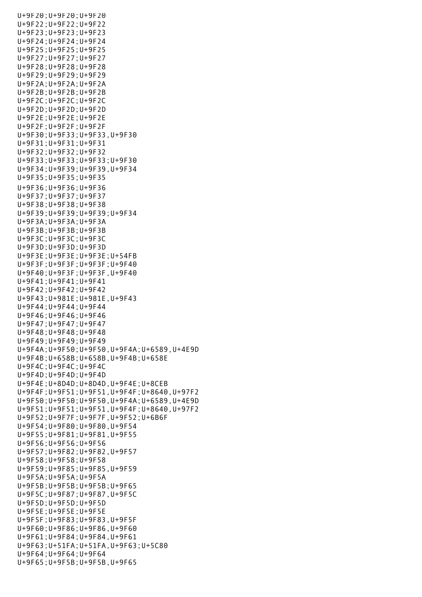U+9F20;U+9F20;U+9F20 U+9F22;U+9F22;U+9F22 U+9F23;U+9F23;U+9F23 U+9F24;U+9F24;U+9F24 U+9F25;U+9F25;U+9F25 U+9F27;U+9F27;U+9F27 U+9F28;U+9F28;U+9F28 U+9F29;U+9F29;U+9F29 U+9F2A;U+9F2A;U+9F2A U+9F2B;U+9F2B;U+9F2B U+9F2C;U+9F2C;U+9F2C U+9F2D;U+9F2D;U+9F2D U+9F2E;U+9F2E;U+9F2E U+9F2F;U+9F2F;U+9F2F U+9F30;U+9F33;U+9F33,U+9F30 U+9F31;U+9F31;U+9F31 U+9F32;U+9F32;U+9F32 U+9F33;U+9F33;U+9F33;U+9F30 U+9F34;U+9F39;U+9F39,U+9F34 U+9F35;U+9F35;U+9F35 U+9F36;U+9F36;U+9F36 U+9F37;U+9F37;U+9F37 U+9F38;U+9F38;U+9F38 U+9F39;U+9F39;U+9F39;U+9F34 U+9F3A;U+9F3A;U+9F3A U+9F3B;U+9F3B;U+9F3B U+9F3C;U+9F3C;U+9F3C U+9F3D;U+9F3D;U+9F3D U+9F3E;U+9F3E;U+9F3E;U+54FB U+9F3F;U+9F3F;U+9F3F;U+9F40 U+9F40;U+9F3F;U+9F3F,U+9F40 U+9F41;U+9F41;U+9F41 U+9F42;U+9F42;U+9F42 U+9F43;U+981E;U+981E,U+9F43 U+9F44;U+9F44;U+9F44 U+9F46;U+9F46;U+9F46 U+9F47;U+9F47;U+9F47 U+9F48;U+9F48;U+9F48 U+9F49;U+9F49;U+9F49 U+9F4A;U+9F50;U+9F50,U+9F4A;U+6589,U+4E9D U+9F4B;U+658B;U+658B,U+9F4B;U+658E U+9F4C;U+9F4C;U+9F4C U+9F4D;U+9F4D;U+9F4D U+9F4E;U+8D4D;U+8D4D,U+9F4E;U+8CEB U+9F4F;U+9F51;U+9F51,U+9F4F;U+8640,U+97F2 U+9F50;U+9F50;U+9F50,U+9F4A;U+6589,U+4E9D U+9F51;U+9F51;U+9F51,U+9F4F;U+8640,U+97F2 U+9F52;U+9F7F;U+9F7F,U+9F52;U+6B6F U+9F54;U+9F80;U+9F80,U+9F54 U+9F55;U+9F81;U+9F81,U+9F55 U+9F56;U+9F56;U+9F56 U+9F57;U+9F82;U+9F82,U+9F57 U+9F58;U+9F58;U+9F58 U+9F59;U+9F85;U+9F85,U+9F59 U+9F5A;U+9F5A;U+9F5A U+9F5B;U+9F5B;U+9F5B;U+9F65 U+9F5C;U+9F87;U+9F87,U+9F5C U+9F5D;U+9F5D;U+9F5D U+9F5E;U+9F5E;U+9F5E U+9F5F;U+9F83;U+9F83,U+9F5F U+9F60;U+9F86;U+9F86,U+9F60 U+9F61;U+9F84;U+9F84,U+9F61 U+9F63;U+51FA;U+51FA,U+9F63;U+5C80 U+9F64;U+9F64;U+9F64 U+9F65;U+9F5B;U+9F5B,U+9F65